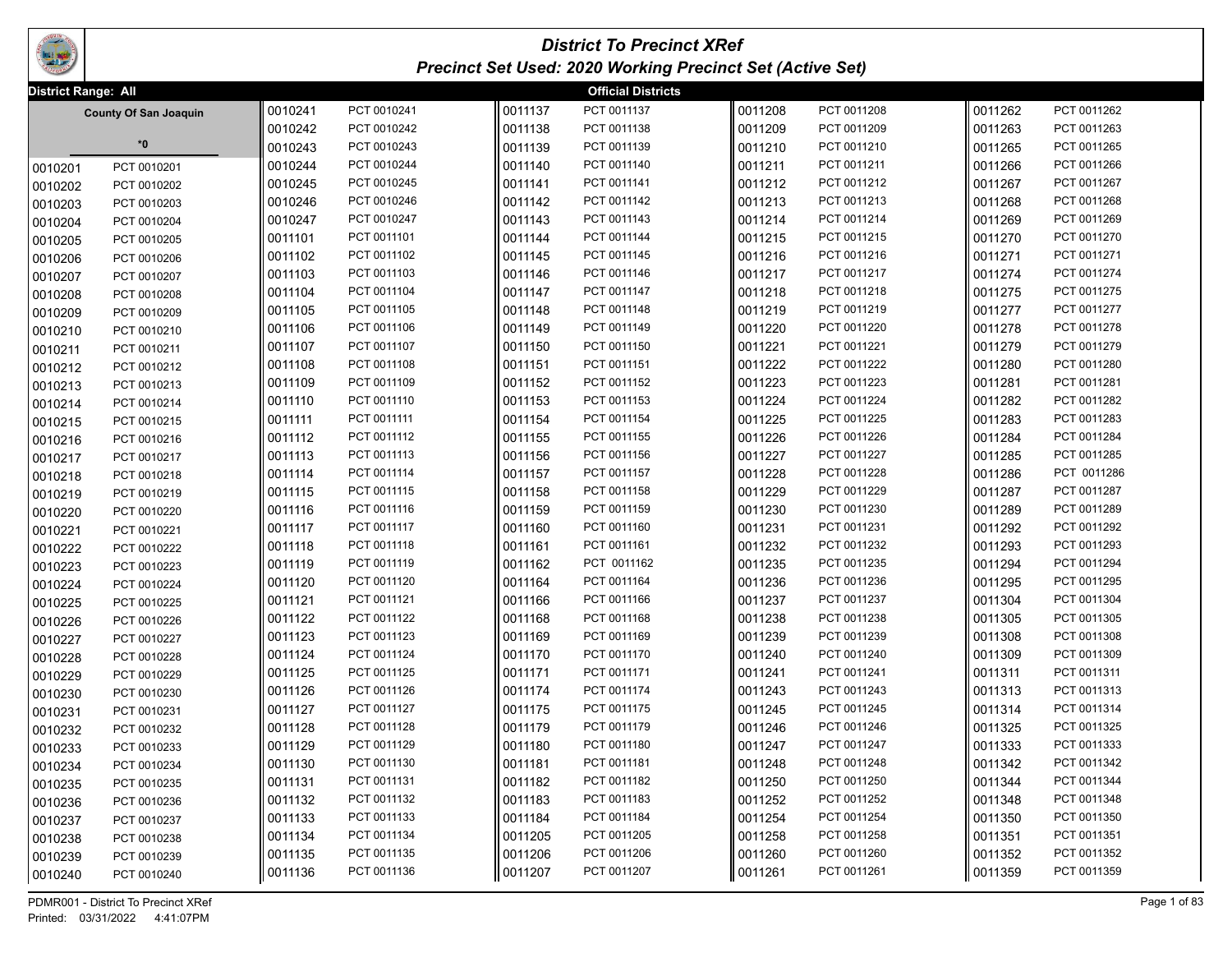

## *District To Precinct XRef Precinct Set Used: 2020 Working Precinct Set (Active Set)*

|         | District Range: All<br><b>Official Districts</b> |         |             |         |             |         |             |         |             |  |
|---------|--------------------------------------------------|---------|-------------|---------|-------------|---------|-------------|---------|-------------|--|
|         | <b>County Of San Joaquin</b>                     | 0010241 | PCT 0010241 | 0011137 | PCT 0011137 | 0011208 | PCT 0011208 | 0011262 | PCT 0011262 |  |
|         |                                                  | 0010242 | PCT 0010242 | 0011138 | PCT 0011138 | 0011209 | PCT 0011209 | 0011263 | PCT 0011263 |  |
|         | $^\ast\!0$                                       | 0010243 | PCT 0010243 | 0011139 | PCT 0011139 | 0011210 | PCT 0011210 | 0011265 | PCT 0011265 |  |
| 0010201 | PCT 0010201                                      | 0010244 | PCT 0010244 | 0011140 | PCT 0011140 | 0011211 | PCT 0011211 | 0011266 | PCT 0011266 |  |
| 0010202 | PCT 0010202                                      | 0010245 | PCT 0010245 | 0011141 | PCT 0011141 | 0011212 | PCT 0011212 | 0011267 | PCT 0011267 |  |
| 0010203 | PCT 0010203                                      | 0010246 | PCT 0010246 | 0011142 | PCT 0011142 | 0011213 | PCT 0011213 | 0011268 | PCT 0011268 |  |
| 0010204 | PCT 0010204                                      | 0010247 | PCT 0010247 | 0011143 | PCT 0011143 | 0011214 | PCT 0011214 | 0011269 | PCT 0011269 |  |
| 0010205 | PCT 0010205                                      | 0011101 | PCT 0011101 | 0011144 | PCT 0011144 | 0011215 | PCT 0011215 | 0011270 | PCT 0011270 |  |
| 0010206 | PCT 0010206                                      | 0011102 | PCT 0011102 | 0011145 | PCT 0011145 | 0011216 | PCT 0011216 | 0011271 | PCT 0011271 |  |
| 0010207 | PCT 0010207                                      | 0011103 | PCT 0011103 | 0011146 | PCT 0011146 | 0011217 | PCT 0011217 | 0011274 | PCT 0011274 |  |
| 0010208 | PCT 0010208                                      | 0011104 | PCT 0011104 | 0011147 | PCT 0011147 | 0011218 | PCT 0011218 | 0011275 | PCT 0011275 |  |
| 0010209 | PCT 0010209                                      | 0011105 | PCT 0011105 | 0011148 | PCT 0011148 | 0011219 | PCT 0011219 | 0011277 | PCT 0011277 |  |
| 0010210 | PCT 0010210                                      | 0011106 | PCT 0011106 | 0011149 | PCT 0011149 | 0011220 | PCT 0011220 | 0011278 | PCT 0011278 |  |
| 0010211 | PCT 0010211                                      | 0011107 | PCT 0011107 | 0011150 | PCT 0011150 | 0011221 | PCT 0011221 | 0011279 | PCT 0011279 |  |
| 0010212 | PCT 0010212                                      | 0011108 | PCT 0011108 | 0011151 | PCT 0011151 | 0011222 | PCT 0011222 | 0011280 | PCT 0011280 |  |
| 0010213 | PCT 0010213                                      | 0011109 | PCT 0011109 | 0011152 | PCT 0011152 | 0011223 | PCT 0011223 | 0011281 | PCT 0011281 |  |
| 0010214 | PCT 0010214                                      | 0011110 | PCT 0011110 | 0011153 | PCT 0011153 | 0011224 | PCT 0011224 | 0011282 | PCT 0011282 |  |
| 0010215 | PCT 0010215                                      | 0011111 | PCT 0011111 | 0011154 | PCT 0011154 | 0011225 | PCT 0011225 | 0011283 | PCT 0011283 |  |
| 0010216 | PCT 0010216                                      | 0011112 | PCT 0011112 | 0011155 | PCT 0011155 | 0011226 | PCT 0011226 | 0011284 | PCT 0011284 |  |
| 0010217 | PCT 0010217                                      | 0011113 | PCT 0011113 | 0011156 | PCT 0011156 | 0011227 | PCT 0011227 | 0011285 | PCT 0011285 |  |
| 0010218 | PCT 0010218                                      | 0011114 | PCT 0011114 | 0011157 | PCT 0011157 | 0011228 | PCT 0011228 | 0011286 | PCT 0011286 |  |
| 0010219 | PCT 0010219                                      | 0011115 | PCT 0011115 | 0011158 | PCT 0011158 | 0011229 | PCT 0011229 | 0011287 | PCT 0011287 |  |
| 0010220 | PCT 0010220                                      | 0011116 | PCT 0011116 | 0011159 | PCT 0011159 | 0011230 | PCT 0011230 | 0011289 | PCT 0011289 |  |
| 0010221 | PCT 0010221                                      | 0011117 | PCT 0011117 | 0011160 | PCT 0011160 | 0011231 | PCT 0011231 | 0011292 | PCT 0011292 |  |
| 0010222 | PCT 0010222                                      | 0011118 | PCT 0011118 | 0011161 | PCT 0011161 | 0011232 | PCT 0011232 | 0011293 | PCT 0011293 |  |
| 0010223 | PCT 0010223                                      | 0011119 | PCT 0011119 | 0011162 | PCT 0011162 | 0011235 | PCT 0011235 | 0011294 | PCT 0011294 |  |
| 0010224 | PCT 0010224                                      | 0011120 | PCT 0011120 | 0011164 | PCT 0011164 | 0011236 | PCT 0011236 | 0011295 | PCT 0011295 |  |
| 0010225 | PCT 0010225                                      | 0011121 | PCT 0011121 | 0011166 | PCT 0011166 | 0011237 | PCT 0011237 | 0011304 | PCT 0011304 |  |
| 0010226 | PCT 0010226                                      | 0011122 | PCT 0011122 | 0011168 | PCT 0011168 | 0011238 | PCT 0011238 | 0011305 | PCT 0011305 |  |
| 0010227 | PCT 0010227                                      | 0011123 | PCT 0011123 | 0011169 | PCT 0011169 | 0011239 | PCT 0011239 | 0011308 | PCT 0011308 |  |
| 0010228 | PCT 0010228                                      | 0011124 | PCT 0011124 | 0011170 | PCT 0011170 | 0011240 | PCT 0011240 | 0011309 | PCT 0011309 |  |
| 0010229 | PCT 0010229                                      | 0011125 | PCT 0011125 | 0011171 | PCT 0011171 | 0011241 | PCT 0011241 | 0011311 | PCT 0011311 |  |
| 0010230 | PCT 0010230                                      | 0011126 | PCT 0011126 | 0011174 | PCT 0011174 | 0011243 | PCT 0011243 | 0011313 | PCT 0011313 |  |
| 0010231 | PCT 0010231                                      | 0011127 | PCT 0011127 | 0011175 | PCT 0011175 | 0011245 | PCT 0011245 | 0011314 | PCT 0011314 |  |
| 0010232 | PCT 0010232                                      | 0011128 | PCT 0011128 | 0011179 | PCT 0011179 | 0011246 | PCT 0011246 | 0011325 | PCT 0011325 |  |
| 0010233 | PCT 0010233                                      | 0011129 | PCT 0011129 | 0011180 | PCT 0011180 | 0011247 | PCT 0011247 | 0011333 | PCT 0011333 |  |
| 0010234 | PCT 0010234                                      | 0011130 | PCT 0011130 | 0011181 | PCT 0011181 | 0011248 | PCT 0011248 | 0011342 | PCT 0011342 |  |
| 0010235 | PCT 0010235                                      | 0011131 | PCT 0011131 | 0011182 | PCT 0011182 | 0011250 | PCT 0011250 | 0011344 | PCT 0011344 |  |
| 0010236 | PCT 0010236                                      | 0011132 | PCT 0011132 | 0011183 | PCT 0011183 | 0011252 | PCT 0011252 | 0011348 | PCT 0011348 |  |
| 0010237 | PCT 0010237                                      | 0011133 | PCT 0011133 | 0011184 | PCT 0011184 | 0011254 | PCT 0011254 | 0011350 | PCT 0011350 |  |
| 0010238 | PCT 0010238                                      | 0011134 | PCT 0011134 | 0011205 | PCT 0011205 | 0011258 | PCT 0011258 | 0011351 | PCT 0011351 |  |
| 0010239 | PCT 0010239                                      | 0011135 | PCT 0011135 | 0011206 | PCT 0011206 | 0011260 | PCT 0011260 | 0011352 | PCT 0011352 |  |
| 0010240 | PCT 0010240                                      | 0011136 | PCT 0011136 | 0011207 | PCT 0011207 | 0011261 | PCT 0011261 | 0011359 | PCT 0011359 |  |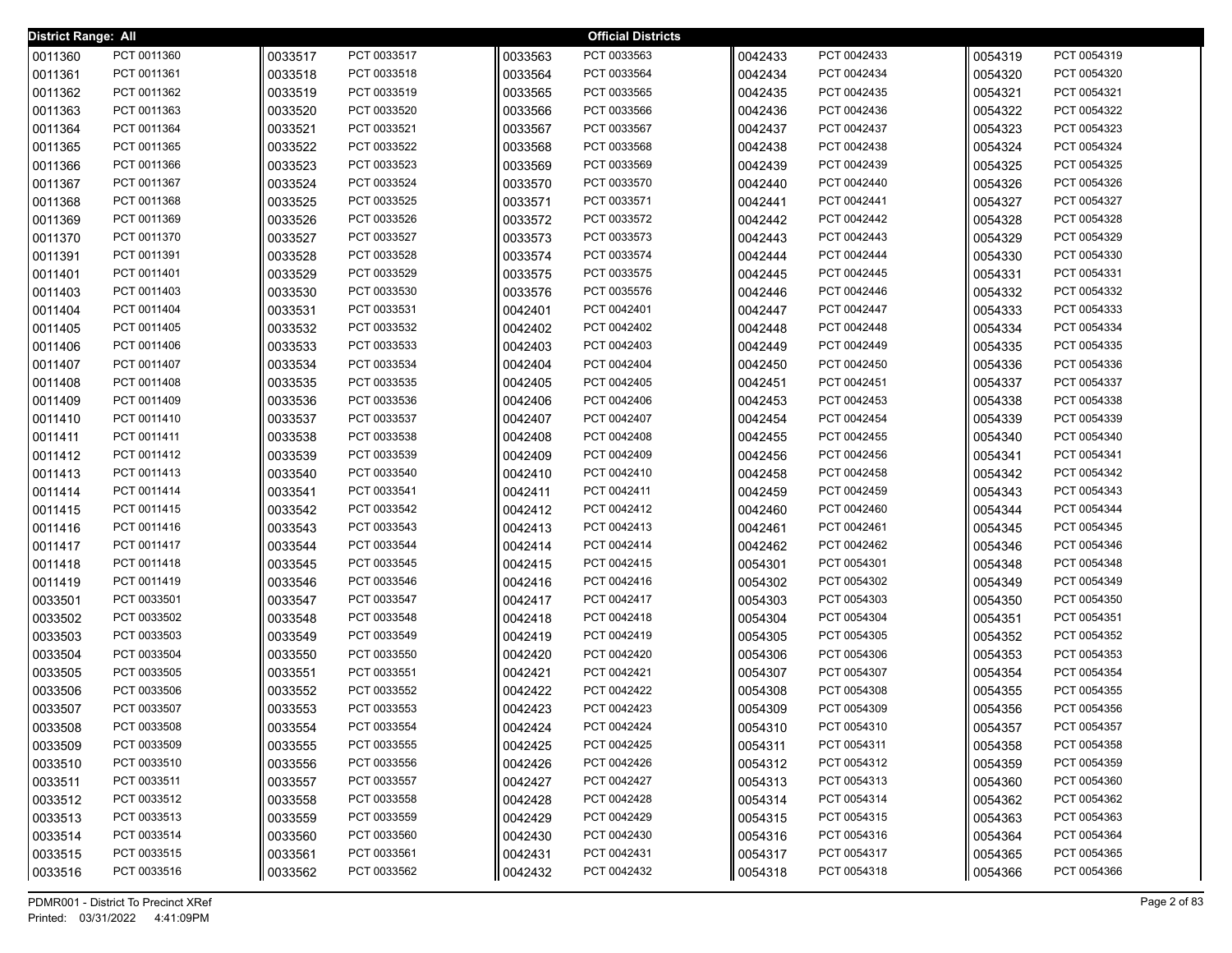| <b>District Range: All</b> |             |         |             |         | <b>Official Districts</b> |         |             |         |             |
|----------------------------|-------------|---------|-------------|---------|---------------------------|---------|-------------|---------|-------------|
| 0011360                    | PCT 0011360 | 0033517 | PCT 0033517 | 0033563 | PCT 0033563               | 0042433 | PCT 0042433 | 0054319 | PCT 0054319 |
| 0011361                    | PCT 0011361 | 0033518 | PCT 0033518 | 0033564 | PCT 0033564               | 0042434 | PCT 0042434 | 0054320 | PCT 0054320 |
| 0011362                    | PCT 0011362 | 0033519 | PCT 0033519 | 0033565 | PCT 0033565               | 0042435 | PCT 0042435 | 0054321 | PCT 0054321 |
| 0011363                    | PCT 0011363 | 0033520 | PCT 0033520 | 0033566 | PCT 0033566               | 0042436 | PCT 0042436 | 0054322 | PCT 0054322 |
| 0011364                    | PCT 0011364 | 0033521 | PCT 0033521 | 0033567 | PCT 0033567               | 0042437 | PCT 0042437 | 0054323 | PCT 0054323 |
| 0011365                    | PCT 0011365 | 0033522 | PCT 0033522 | 0033568 | PCT 0033568               | 0042438 | PCT 0042438 | 0054324 | PCT 0054324 |
| 0011366                    | PCT 0011366 | 0033523 | PCT 0033523 | 0033569 | PCT 0033569               | 0042439 | PCT 0042439 | 0054325 | PCT 0054325 |
| 0011367                    | PCT 0011367 | 0033524 | PCT 0033524 | 0033570 | PCT 0033570               | 0042440 | PCT 0042440 | 0054326 | PCT 0054326 |
| 0011368                    | PCT 0011368 | 0033525 | PCT 0033525 | 0033571 | PCT 0033571               | 0042441 | PCT 0042441 | 0054327 | PCT 0054327 |
| 0011369                    | PCT 0011369 | 0033526 | PCT 0033526 | 0033572 | PCT 0033572               | 0042442 | PCT 0042442 | 0054328 | PCT 0054328 |
| 0011370                    | PCT 0011370 | 0033527 | PCT 0033527 | 0033573 | PCT 0033573               | 0042443 | PCT 0042443 | 0054329 | PCT 0054329 |
| 0011391                    | PCT 0011391 | 0033528 | PCT 0033528 | 0033574 | PCT 0033574               | 0042444 | PCT 0042444 | 0054330 | PCT 0054330 |
| 0011401                    | PCT 0011401 | 0033529 | PCT 0033529 | 0033575 | PCT 0033575               | 0042445 | PCT 0042445 | 0054331 | PCT 0054331 |
| 0011403                    | PCT 0011403 | 0033530 | PCT 0033530 | 0033576 | PCT 0035576               | 0042446 | PCT 0042446 | 0054332 | PCT 0054332 |
| 0011404                    | PCT 0011404 | 0033531 | PCT 0033531 | 0042401 | PCT 0042401               | 0042447 | PCT 0042447 | 0054333 | PCT 0054333 |
| 0011405                    | PCT 0011405 | 0033532 | PCT 0033532 | 0042402 | PCT 0042402               | 0042448 | PCT 0042448 | 0054334 | PCT 0054334 |
| 0011406                    | PCT 0011406 | 0033533 | PCT 0033533 | 0042403 | PCT 0042403               | 0042449 | PCT 0042449 | 0054335 | PCT 0054335 |
| 0011407                    | PCT 0011407 | 0033534 | PCT 0033534 | 0042404 | PCT 0042404               | 0042450 | PCT 0042450 | 0054336 | PCT 0054336 |
| 0011408                    | PCT 0011408 | 0033535 | PCT 0033535 | 0042405 | PCT 0042405               | 0042451 | PCT 0042451 | 0054337 | PCT 0054337 |
| 0011409                    | PCT 0011409 | 0033536 | PCT 0033536 | 0042406 | PCT 0042406               | 0042453 | PCT 0042453 | 0054338 | PCT 0054338 |
| 0011410                    | PCT 0011410 | 0033537 | PCT 0033537 | 0042407 | PCT 0042407               | 0042454 | PCT 0042454 | 0054339 | PCT 0054339 |
| 0011411                    | PCT 0011411 | 0033538 | PCT 0033538 | 0042408 | PCT 0042408               | 0042455 | PCT 0042455 | 0054340 | PCT 0054340 |
| 0011412                    | PCT 0011412 | 0033539 | PCT 0033539 | 0042409 | PCT 0042409               | 0042456 | PCT 0042456 | 0054341 | PCT 0054341 |
| 0011413                    | PCT 0011413 | 0033540 | PCT 0033540 | 0042410 | PCT 0042410               | 0042458 | PCT 0042458 | 0054342 | PCT 0054342 |
| 0011414                    | PCT 0011414 | 0033541 | PCT 0033541 | 0042411 | PCT 0042411               | 0042459 | PCT 0042459 | 0054343 | PCT 0054343 |
| 0011415                    | PCT 0011415 | 0033542 | PCT 0033542 | 0042412 | PCT 0042412               | 0042460 | PCT 0042460 | 0054344 | PCT 0054344 |
| 0011416                    | PCT 0011416 | 0033543 | PCT 0033543 | 0042413 | PCT 0042413               | 0042461 | PCT 0042461 | 0054345 | PCT 0054345 |
| 0011417                    | PCT 0011417 | 0033544 | PCT 0033544 | 0042414 | PCT 0042414               | 0042462 | PCT 0042462 | 0054346 | PCT 0054346 |
| 0011418                    | PCT 0011418 | 0033545 | PCT 0033545 | 0042415 | PCT 0042415               | 0054301 | PCT 0054301 | 0054348 | PCT 0054348 |
| 0011419                    | PCT 0011419 | 0033546 | PCT 0033546 | 0042416 | PCT 0042416               | 0054302 | PCT 0054302 | 0054349 | PCT 0054349 |
| 0033501                    | PCT 0033501 | 0033547 | PCT 0033547 | 0042417 | PCT 0042417               | 0054303 | PCT 0054303 | 0054350 | PCT 0054350 |
| 0033502                    | PCT 0033502 | 0033548 | PCT 0033548 | 0042418 | PCT 0042418               | 0054304 | PCT 0054304 | 0054351 | PCT 0054351 |
| 0033503                    | PCT 0033503 | 0033549 | PCT 0033549 | 0042419 | PCT 0042419               | 0054305 | PCT 0054305 | 0054352 | PCT 0054352 |
| 0033504                    | PCT 0033504 | 0033550 | PCT 0033550 | 0042420 | PCT 0042420               | 0054306 | PCT 0054306 | 0054353 | PCT 0054353 |
| 0033505                    | PCT 0033505 | 0033551 | PCT 0033551 | 0042421 | PCT 0042421               | 0054307 | PCT 0054307 | 0054354 | PCT 0054354 |
| 0033506                    | PCT 0033506 | 0033552 | PCT 0033552 | 0042422 | PCT 0042422               | 0054308 | PCT 0054308 | 0054355 | PCT 0054355 |
| 0033507                    | PCT 0033507 | 0033553 | PCT 0033553 | 0042423 | PCT 0042423               | 0054309 | PCT 0054309 | 0054356 | PCT 0054356 |
| 0033508                    | PCT 0033508 | 0033554 | PCT 0033554 | 0042424 | PCT 0042424               | 0054310 | PCT 0054310 | 0054357 | PCT 0054357 |
| 0033509                    | PCT 0033509 | 0033555 | PCT 0033555 | 0042425 | PCT 0042425               | 0054311 | PCT 0054311 | 0054358 | PCT 0054358 |
| 0033510                    | PCT 0033510 | 0033556 | PCT 0033556 | 0042426 | PCT 0042426               | 0054312 | PCT 0054312 | 0054359 | PCT 0054359 |
| 0033511                    | PCT 0033511 | 0033557 | PCT 0033557 | 0042427 | PCT 0042427               | 0054313 | PCT 0054313 | 0054360 | PCT 0054360 |
| 0033512                    | PCT 0033512 | 0033558 | PCT 0033558 | 0042428 | PCT 0042428               | 0054314 | PCT 0054314 | 0054362 | PCT 0054362 |
| 0033513                    | PCT 0033513 | 0033559 | PCT 0033559 | 0042429 | PCT 0042429               | 0054315 | PCT 0054315 | 0054363 | PCT 0054363 |
| 0033514                    | PCT 0033514 | 0033560 | PCT 0033560 | 0042430 | PCT 0042430               | 0054316 | PCT 0054316 | 0054364 | PCT 0054364 |
| 0033515                    | PCT 0033515 | 0033561 | PCT 0033561 | 0042431 | PCT 0042431               | 0054317 | PCT 0054317 | 0054365 | PCT 0054365 |
| 0033516                    | PCT 0033516 | 0033562 | PCT 0033562 | 0042432 | PCT 0042432               | 0054318 | PCT 0054318 | 0054366 | PCT 0054366 |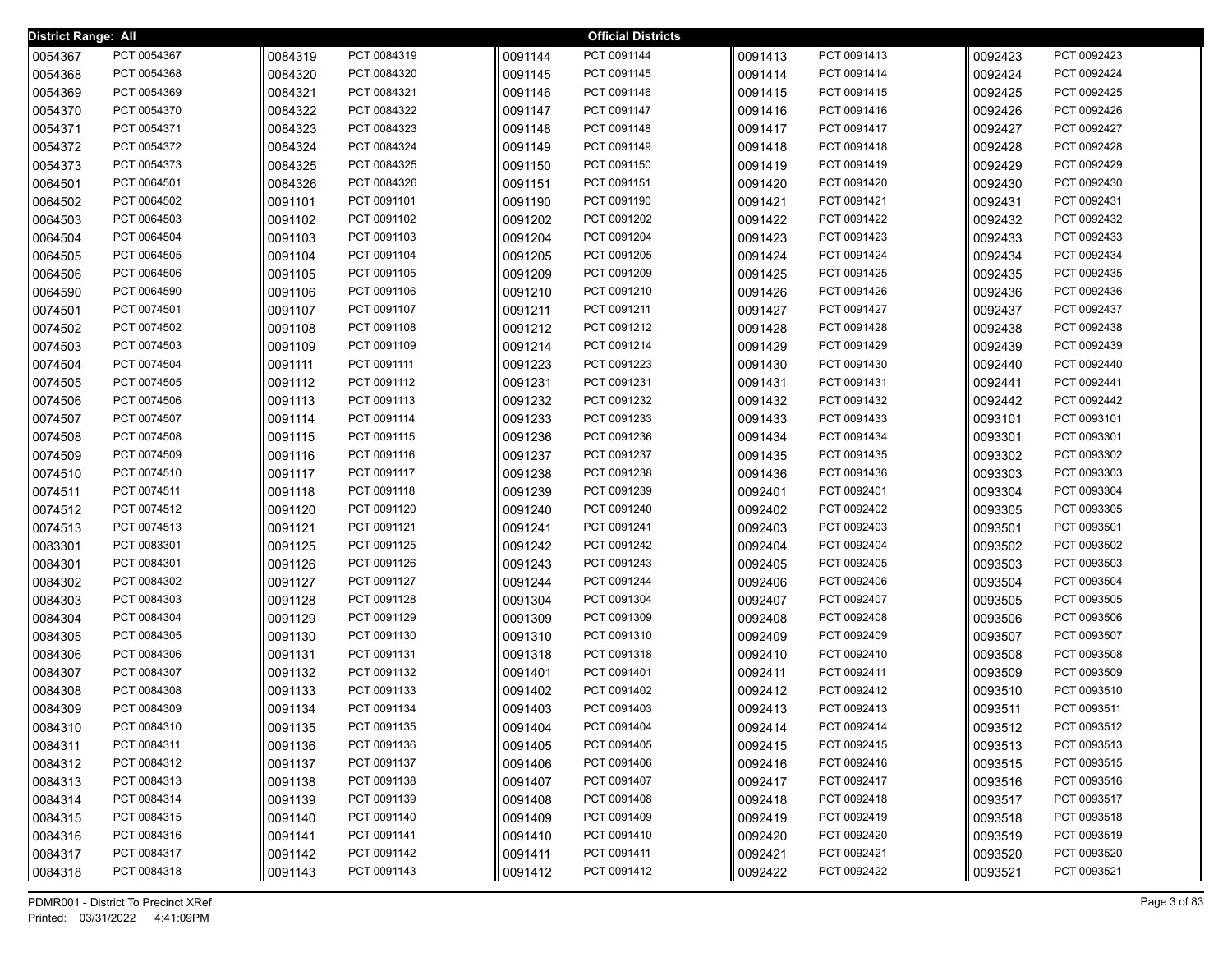| District Range: All |             |         |             |         | <b>Official Districts</b> |         |             |         |             |
|---------------------|-------------|---------|-------------|---------|---------------------------|---------|-------------|---------|-------------|
| 0054367             | PCT 0054367 | 0084319 | PCT 0084319 | 0091144 | PCT 0091144               | 0091413 | PCT 0091413 | 0092423 | PCT 0092423 |
| 0054368             | PCT 0054368 | 0084320 | PCT 0084320 | 0091145 | PCT 0091145               | 0091414 | PCT 0091414 | 0092424 | PCT 0092424 |
| 0054369             | PCT 0054369 | 0084321 | PCT 0084321 | 0091146 | PCT 0091146               | 0091415 | PCT 0091415 | 0092425 | PCT 0092425 |
| 0054370             | PCT 0054370 | 0084322 | PCT 0084322 | 0091147 | PCT 0091147               | 0091416 | PCT 0091416 | 0092426 | PCT 0092426 |
| 0054371             | PCT 0054371 | 0084323 | PCT 0084323 | 0091148 | PCT 0091148               | 0091417 | PCT 0091417 | 0092427 | PCT 0092427 |
| 0054372             | PCT 0054372 | 0084324 | PCT 0084324 | 0091149 | PCT 0091149               | 0091418 | PCT 0091418 | 0092428 | PCT 0092428 |
| 0054373             | PCT 0054373 | 0084325 | PCT 0084325 | 0091150 | PCT 0091150               | 0091419 | PCT 0091419 | 0092429 | PCT 0092429 |
| 0064501             | PCT 0064501 | 0084326 | PCT 0084326 | 0091151 | PCT 0091151               | 0091420 | PCT 0091420 | 0092430 | PCT 0092430 |
| 0064502             | PCT 0064502 | 0091101 | PCT 0091101 | 0091190 | PCT 0091190               | 0091421 | PCT 0091421 | 0092431 | PCT 0092431 |
| 0064503             | PCT 0064503 | 0091102 | PCT 0091102 | 0091202 | PCT 0091202               | 0091422 | PCT 0091422 | 0092432 | PCT 0092432 |
| 0064504             | PCT 0064504 | 0091103 | PCT 0091103 | 0091204 | PCT 0091204               | 0091423 | PCT 0091423 | 0092433 | PCT 0092433 |
| 0064505             | PCT 0064505 | 0091104 | PCT 0091104 | 0091205 | PCT 0091205               | 0091424 | PCT 0091424 | 0092434 | PCT 0092434 |
| 0064506             | PCT 0064506 | 0091105 | PCT 0091105 | 0091209 | PCT 0091209               | 0091425 | PCT 0091425 | 0092435 | PCT 0092435 |
| 0064590             | PCT 0064590 | 0091106 | PCT 0091106 | 0091210 | PCT 0091210               | 0091426 | PCT 0091426 | 0092436 | PCT 0092436 |
| 0074501             | PCT 0074501 | 0091107 | PCT 0091107 | 0091211 | PCT 0091211               | 0091427 | PCT 0091427 | 0092437 | PCT 0092437 |
| 0074502             | PCT 0074502 | 0091108 | PCT 0091108 | 0091212 | PCT 0091212               | 0091428 | PCT 0091428 | 0092438 | PCT 0092438 |
| 0074503             | PCT 0074503 | 0091109 | PCT 0091109 | 0091214 | PCT 0091214               | 0091429 | PCT 0091429 | 0092439 | PCT 0092439 |
| 0074504             | PCT 0074504 | 0091111 | PCT 0091111 | 0091223 | PCT 0091223               | 0091430 | PCT 0091430 | 0092440 | PCT 0092440 |
| 0074505             | PCT 0074505 | 0091112 | PCT 0091112 | 0091231 | PCT 0091231               | 0091431 | PCT 0091431 | 0092441 | PCT 0092441 |
| 0074506             | PCT 0074506 | 0091113 | PCT 0091113 | 0091232 | PCT 0091232               | 0091432 | PCT 0091432 | 0092442 | PCT 0092442 |
| 0074507             | PCT 0074507 | 0091114 | PCT 0091114 | 0091233 | PCT 0091233               | 0091433 | PCT 0091433 | 0093101 | PCT 0093101 |
| 0074508             | PCT 0074508 | 0091115 | PCT 0091115 | 0091236 | PCT 0091236               | 0091434 | PCT 0091434 | 0093301 | PCT 0093301 |
| 0074509             | PCT 0074509 | 0091116 | PCT 0091116 | 0091237 | PCT 0091237               | 0091435 | PCT 0091435 | 0093302 | PCT 0093302 |
| 0074510             | PCT 0074510 | 0091117 | PCT 0091117 | 0091238 | PCT 0091238               | 0091436 | PCT 0091436 | 0093303 | PCT 0093303 |
| 0074511             | PCT 0074511 | 0091118 | PCT 0091118 | 0091239 | PCT 0091239               | 0092401 | PCT 0092401 | 0093304 | PCT 0093304 |
| 0074512             | PCT 0074512 | 0091120 | PCT 0091120 | 0091240 | PCT 0091240               | 0092402 | PCT 0092402 | 0093305 | PCT 0093305 |
| 0074513             | PCT 0074513 | 0091121 | PCT 0091121 | 0091241 | PCT 0091241               | 0092403 | PCT 0092403 | 0093501 | PCT 0093501 |
| 0083301             | PCT 0083301 | 0091125 | PCT 0091125 | 0091242 | PCT 0091242               | 0092404 | PCT 0092404 | 0093502 | PCT 0093502 |
| 0084301             | PCT 0084301 | 0091126 | PCT 0091126 | 0091243 | PCT 0091243               | 0092405 | PCT 0092405 | 0093503 | PCT 0093503 |
| 0084302             | PCT 0084302 | 0091127 | PCT 0091127 | 0091244 | PCT 0091244               | 0092406 | PCT 0092406 | 0093504 | PCT 0093504 |
| 0084303             | PCT 0084303 | 0091128 | PCT 0091128 | 0091304 | PCT 0091304               | 0092407 | PCT 0092407 | 0093505 | PCT 0093505 |
| 0084304             | PCT 0084304 | 0091129 | PCT 0091129 | 0091309 | PCT 0091309               | 0092408 | PCT 0092408 | 0093506 | PCT 0093506 |
| 0084305             | PCT 0084305 | 0091130 | PCT 0091130 | 0091310 | PCT 0091310               | 0092409 | PCT 0092409 | 0093507 | PCT 0093507 |
| 0084306             | PCT 0084306 | 0091131 | PCT 0091131 | 0091318 | PCT 0091318               | 0092410 | PCT 0092410 | 0093508 | PCT 0093508 |
| 0084307             | PCT 0084307 | 0091132 | PCT 0091132 | 0091401 | PCT 0091401               | 0092411 | PCT 0092411 | 0093509 | PCT 0093509 |
| 0084308             | PCT 0084308 | 0091133 | PCT 0091133 | 0091402 | PCT 0091402               | 0092412 | PCT 0092412 | 0093510 | PCT 0093510 |
| 0084309             | PCT 0084309 | 0091134 | PCT 0091134 | 0091403 | PCT 0091403               | 0092413 | PCT 0092413 | 0093511 | PCT 0093511 |
| 0084310             | PCT 0084310 | 0091135 | PCT 0091135 | 0091404 | PCT 0091404               | 0092414 | PCT 0092414 | 0093512 | PCT 0093512 |
| 0084311             | PCT 0084311 | 0091136 | PCT 0091136 | 0091405 | PCT 0091405               | 0092415 | PCT 0092415 | 0093513 | PCT 0093513 |
| 0084312             | PCT 0084312 | 0091137 | PCT 0091137 | 0091406 | PCT 0091406               | 0092416 | PCT 0092416 | 0093515 | PCT 0093515 |
| 0084313             | PCT 0084313 | 0091138 | PCT 0091138 | 0091407 | PCT 0091407               | 0092417 | PCT 0092417 | 0093516 | PCT 0093516 |
| 0084314             | PCT 0084314 | 0091139 | PCT 0091139 | 0091408 | PCT 0091408               | 0092418 | PCT 0092418 | 0093517 | PCT 0093517 |
| 0084315             | PCT 0084315 | 0091140 | PCT 0091140 | 0091409 | PCT 0091409               | 0092419 | PCT 0092419 | 0093518 | PCT 0093518 |
| 0084316             | PCT 0084316 | 0091141 | PCT 0091141 | 0091410 | PCT 0091410               | 0092420 | PCT 0092420 | 0093519 | PCT 0093519 |
| 0084317             | PCT 0084317 | 0091142 | PCT 0091142 | 0091411 | PCT 0091411               | 0092421 | PCT 0092421 | 0093520 | PCT 0093520 |
| 0084318             | PCT 0084318 | 0091143 | PCT 0091143 | 0091412 | PCT 0091412               | 0092422 | PCT 0092422 | 0093521 | PCT 0093521 |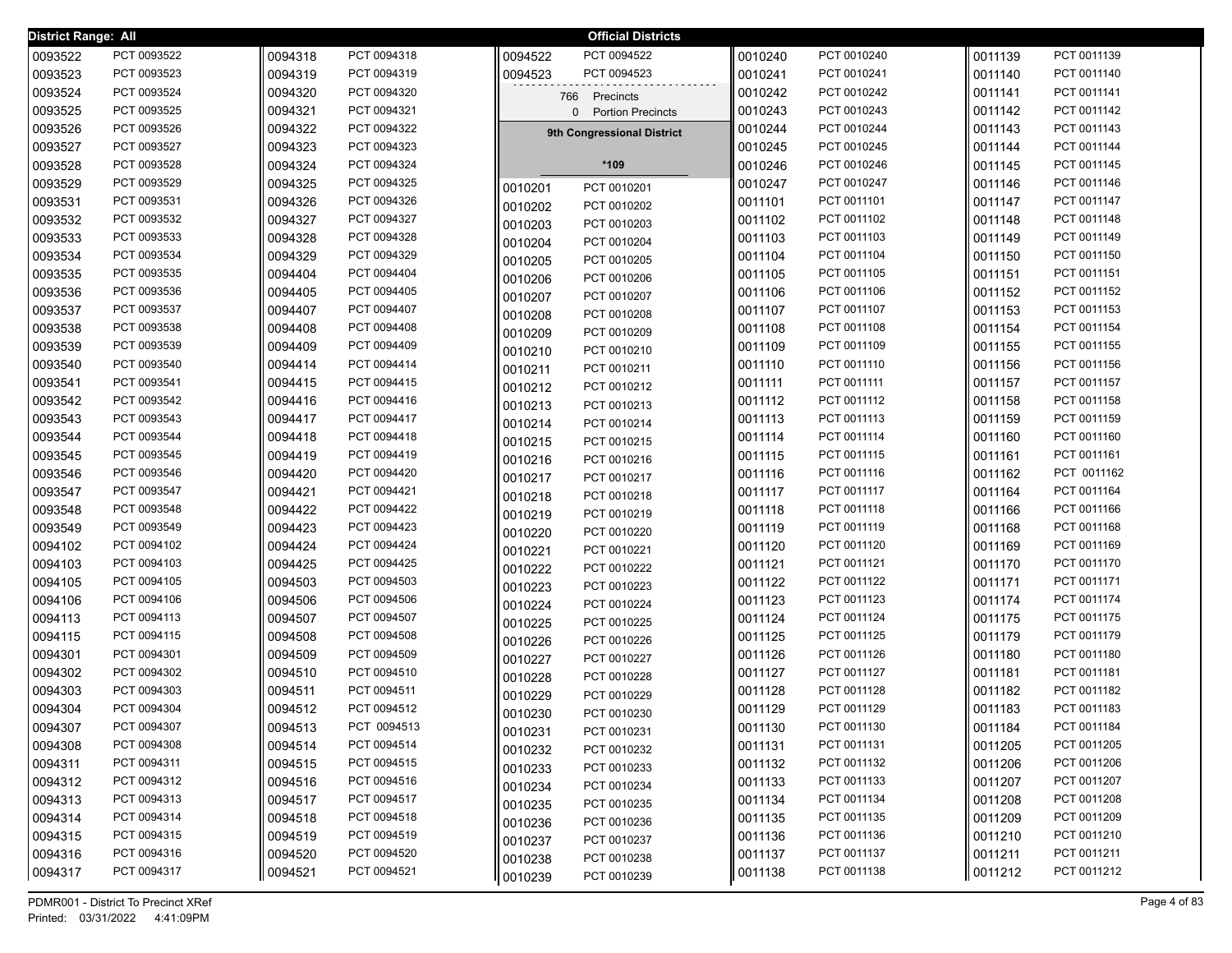| District Range: All |             |         |             |         | <b>Official Districts</b>  |         |             |         |             |
|---------------------|-------------|---------|-------------|---------|----------------------------|---------|-------------|---------|-------------|
| 0093522             | PCT 0093522 | 0094318 | PCT 0094318 | 0094522 | PCT 0094522                | 0010240 | PCT 0010240 | 0011139 | PCT 0011139 |
| 0093523             | PCT 0093523 | 0094319 | PCT 0094319 | 0094523 | PCT 0094523                | 0010241 | PCT 0010241 | 0011140 | PCT 0011140 |
| 0093524             | PCT 0093524 | 0094320 | PCT 0094320 |         | 766 Precincts              | 0010242 | PCT 0010242 | 0011141 | PCT 0011141 |
| 0093525             | PCT 0093525 | 0094321 | PCT 0094321 |         | 0 Portion Precincts        | 0010243 | PCT 0010243 | 0011142 | PCT 0011142 |
| 0093526             | PCT 0093526 | 0094322 | PCT 0094322 |         | 9th Congressional District | 0010244 | PCT 0010244 | 0011143 | PCT 0011143 |
| 0093527             | PCT 0093527 | 0094323 | PCT 0094323 |         |                            | 0010245 | PCT 0010245 | 0011144 | PCT 0011144 |
| 0093528             | PCT 0093528 | 0094324 | PCT 0094324 |         | *109                       | 0010246 | PCT 0010246 | 0011145 | PCT 0011145 |
| 0093529             | PCT 0093529 | 0094325 | PCT 0094325 | 0010201 | PCT 0010201                | 0010247 | PCT 0010247 | 0011146 | PCT 0011146 |
| 0093531             | PCT 0093531 | 0094326 | PCT 0094326 | 0010202 | PCT 0010202                | 0011101 | PCT 0011101 | 0011147 | PCT 0011147 |
| 0093532             | PCT 0093532 | 0094327 | PCT 0094327 | 0010203 | PCT 0010203                | 0011102 | PCT 0011102 | 0011148 | PCT 0011148 |
| 0093533             | PCT 0093533 | 0094328 | PCT 0094328 | 0010204 | PCT 0010204                | 0011103 | PCT 0011103 | 0011149 | PCT 0011149 |
| 0093534             | PCT 0093534 | 0094329 | PCT 0094329 | 0010205 | PCT 0010205                | 0011104 | PCT 0011104 | 0011150 | PCT 0011150 |
| 0093535             | PCT 0093535 | 0094404 | PCT 0094404 | 0010206 | PCT 0010206                | 0011105 | PCT 0011105 | 0011151 | PCT 0011151 |
| 0093536             | PCT 0093536 | 0094405 | PCT 0094405 | 0010207 | PCT 0010207                | 0011106 | PCT 0011106 | 0011152 | PCT 0011152 |
| 0093537             | PCT 0093537 | 0094407 | PCT 0094407 | 0010208 | PCT 0010208                | 0011107 | PCT 0011107 | 0011153 | PCT 0011153 |
| 0093538             | PCT 0093538 | 0094408 | PCT 0094408 | 0010209 | PCT 0010209                | 0011108 | PCT 0011108 | 0011154 | PCT 0011154 |
| 0093539             | PCT 0093539 | 0094409 | PCT 0094409 | 0010210 | PCT 0010210                | 0011109 | PCT 0011109 | 0011155 | PCT 0011155 |
| 0093540             | PCT 0093540 | 0094414 | PCT 0094414 | 0010211 | PCT 0010211                | 0011110 | PCT 0011110 | 0011156 | PCT 0011156 |
| 0093541             | PCT 0093541 | 0094415 | PCT 0094415 | 0010212 | PCT 0010212                | 0011111 | PCT 0011111 | 0011157 | PCT 0011157 |
| 0093542             | PCT 0093542 | 0094416 | PCT 0094416 | 0010213 | PCT 0010213                | 0011112 | PCT 0011112 | 0011158 | PCT 0011158 |
| 0093543             | PCT 0093543 | 0094417 | PCT 0094417 | 0010214 | PCT 0010214                | 0011113 | PCT 0011113 | 0011159 | PCT 0011159 |
| 0093544             | PCT 0093544 | 0094418 | PCT 0094418 | 0010215 | PCT 0010215                | 0011114 | PCT 0011114 | 0011160 | PCT 0011160 |
| 0093545             | PCT 0093545 | 0094419 | PCT 0094419 | 0010216 | PCT 0010216                | 0011115 | PCT 0011115 | 0011161 | PCT 0011161 |
| 0093546             | PCT 0093546 | 0094420 | PCT 0094420 | 0010217 | PCT 0010217                | 0011116 | PCT 0011116 | 0011162 | PCT 0011162 |
| 0093547             | PCT 0093547 | 0094421 | PCT 0094421 | 0010218 | PCT 0010218                | 0011117 | PCT 0011117 | 0011164 | PCT 0011164 |
| 0093548             | PCT 0093548 | 0094422 | PCT 0094422 | 0010219 | PCT 0010219                | 0011118 | PCT 0011118 | 0011166 | PCT 0011166 |
| 0093549             | PCT 0093549 | 0094423 | PCT 0094423 | 0010220 | PCT 0010220                | 0011119 | PCT 0011119 | 0011168 | PCT 0011168 |
| 0094102             | PCT 0094102 | 0094424 | PCT 0094424 | 0010221 | PCT 0010221                | 0011120 | PCT 0011120 | 0011169 | PCT 0011169 |
| 0094103             | PCT 0094103 | 0094425 | PCT 0094425 | 0010222 | PCT 0010222                | 0011121 | PCT 0011121 | 0011170 | PCT 0011170 |
| 0094105             | PCT 0094105 | 0094503 | PCT 0094503 | 0010223 | PCT 0010223                | 0011122 | PCT 0011122 | 0011171 | PCT 0011171 |
| 0094106             | PCT 0094106 | 0094506 | PCT 0094506 | 0010224 | PCT 0010224                | 0011123 | PCT 0011123 | 0011174 | PCT 0011174 |
| 0094113             | PCT 0094113 | 0094507 | PCT 0094507 | 0010225 | PCT 0010225                | 0011124 | PCT 0011124 | 0011175 | PCT 0011175 |
| 0094115             | PCT 0094115 | 0094508 | PCT 0094508 | 0010226 | PCT 0010226                | 0011125 | PCT 0011125 | 0011179 | PCT 0011179 |
| 0094301             | PCT 0094301 | 0094509 | PCT 0094509 | 0010227 | PCT 0010227                | 0011126 | PCT 0011126 | 0011180 | PCT 0011180 |
| 0094302             | PCT 0094302 | 0094510 | PCT 0094510 | 0010228 | PCT 0010228                | 0011127 | PCT 0011127 | 0011181 | PCT 0011181 |
| 0094303             | PCT 0094303 | 0094511 | PCT 0094511 | 0010229 | PCT 0010229                | 0011128 | PCT 0011128 | 0011182 | PCT 0011182 |
| 0094304             | PCT 0094304 | 0094512 | PCT 0094512 | 0010230 | PCT 0010230                | 0011129 | PCT 0011129 | 0011183 | PCT 0011183 |
| 0094307             | PCT 0094307 | 0094513 | PCT 0094513 | 0010231 | PCT 0010231                | 0011130 | PCT 0011130 | 0011184 | PCT 0011184 |
| 0094308             | PCT 0094308 | 0094514 | PCT 0094514 | 0010232 | PCT 0010232                | 0011131 | PCT 0011131 | 0011205 | PCT 0011205 |
| 0094311             | PCT 0094311 | 0094515 | PCT 0094515 | 0010233 | PCT 0010233                | 0011132 | PCT 0011132 | 0011206 | PCT 0011206 |
| 0094312             | PCT 0094312 | 0094516 | PCT 0094516 | 0010234 | PCT 0010234                | 0011133 | PCT 0011133 | 0011207 | PCT 0011207 |
| 0094313             | PCT 0094313 | 0094517 | PCT 0094517 | 0010235 | PCT 0010235                | 0011134 | PCT 0011134 | 0011208 | PCT 0011208 |
| 0094314             | PCT 0094314 | 0094518 | PCT 0094518 | 0010236 | PCT 0010236                | 0011135 | PCT 0011135 | 0011209 | PCT 0011209 |
| 0094315             | PCT 0094315 | 0094519 | PCT 0094519 | 0010237 | PCT 0010237                | 0011136 | PCT 0011136 | 0011210 | PCT 0011210 |
| 0094316             | PCT 0094316 | 0094520 | PCT 0094520 | 0010238 | PCT 0010238                | 0011137 | PCT 0011137 | 0011211 | PCT 0011211 |
| 0094317             | PCT 0094317 | 0094521 | PCT 0094521 | 0010239 | PCT 0010239                | 0011138 | PCT 0011138 | 0011212 | PCT 0011212 |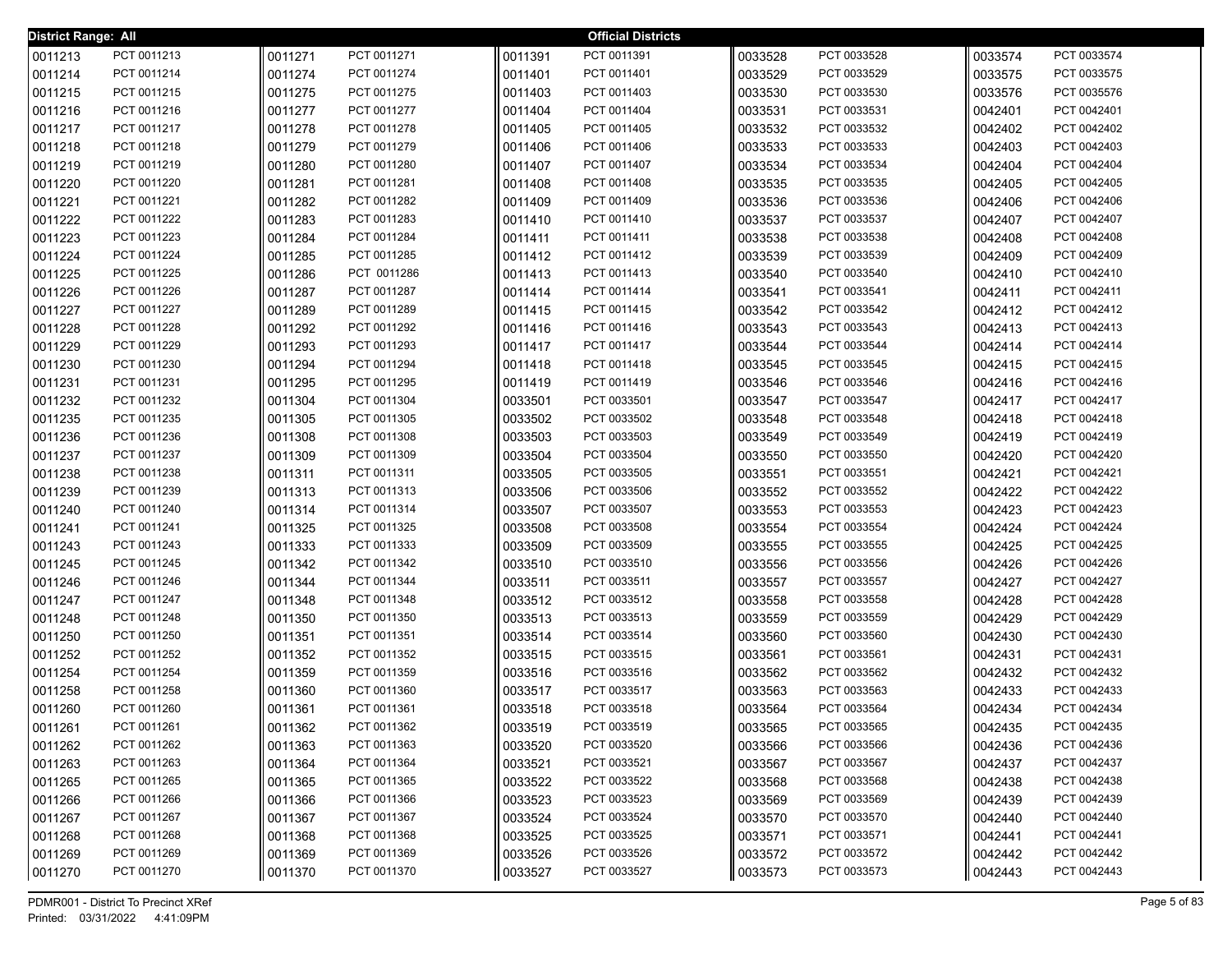| <b>District Range: All</b> |                            |         |                            |         | <b>Official Districts</b>  |         |                            |         |                            |
|----------------------------|----------------------------|---------|----------------------------|---------|----------------------------|---------|----------------------------|---------|----------------------------|
| 0011213                    | PCT 0011213                | 0011271 | PCT 0011271                | 0011391 | PCT 0011391                | 0033528 | PCT 0033528                | 0033574 | PCT 0033574                |
| 0011214                    | PCT 0011214                | 0011274 | PCT 0011274                | 0011401 | PCT 0011401                | 0033529 | PCT 0033529                | 0033575 | PCT 0033575                |
| 0011215                    | PCT 0011215                | 0011275 | PCT 0011275                | 0011403 | PCT 0011403                | 0033530 | PCT 0033530                | 0033576 | PCT 0035576                |
| 0011216                    | PCT 0011216                | 0011277 | PCT 0011277                | 0011404 | PCT 0011404                | 0033531 | PCT 0033531                | 0042401 | PCT 0042401                |
| 0011217                    | PCT 0011217                | 0011278 | PCT 0011278                | 0011405 | PCT 0011405                | 0033532 | PCT 0033532                | 0042402 | PCT 0042402                |
| 0011218                    | PCT 0011218                | 0011279 | PCT 0011279                | 0011406 | PCT 0011406                | 0033533 | PCT 0033533                | 0042403 | PCT 0042403                |
| 0011219                    | PCT 0011219                | 0011280 | PCT 0011280                | 0011407 | PCT 0011407                | 0033534 | PCT 0033534                | 0042404 | PCT 0042404                |
| 0011220                    | PCT 0011220                | 0011281 | PCT 0011281                | 0011408 | PCT 0011408                | 0033535 | PCT 0033535                | 0042405 | PCT 0042405                |
| 0011221                    | PCT 0011221                | 0011282 | PCT 0011282                | 0011409 | PCT 0011409                | 0033536 | PCT 0033536                | 0042406 | PCT 0042406                |
| 0011222                    | PCT 0011222                | 0011283 | PCT 0011283                | 0011410 | PCT 0011410                | 0033537 | PCT 0033537                | 0042407 | PCT 0042407                |
| 0011223                    | PCT 0011223                | 0011284 | PCT 0011284                | 0011411 | PCT 0011411                | 0033538 | PCT 0033538                | 0042408 | PCT 0042408                |
| 0011224                    | PCT 0011224                | 0011285 | PCT 0011285                | 0011412 | PCT 0011412                | 0033539 | PCT 0033539                | 0042409 | PCT 0042409                |
| 0011225                    | PCT 0011225                | 0011286 | PCT 0011286                | 0011413 | PCT 0011413                | 0033540 | PCT 0033540                | 0042410 | PCT 0042410                |
| 0011226                    | PCT 0011226                | 0011287 | PCT 0011287                | 0011414 | PCT 0011414                | 0033541 | PCT 0033541                | 0042411 | PCT 0042411                |
| 0011227                    | PCT 0011227                | 0011289 | PCT 0011289                | 0011415 | PCT 0011415                | 0033542 | PCT 0033542                | 0042412 | PCT 0042412                |
| 0011228                    | PCT 0011228                | 0011292 | PCT 0011292                | 0011416 | PCT 0011416                | 0033543 | PCT 0033543                | 0042413 | PCT 0042413                |
| 0011229                    | PCT 0011229                | 0011293 | PCT 0011293                | 0011417 | PCT 0011417                | 0033544 | PCT 0033544                | 0042414 | PCT 0042414                |
| 0011230                    | PCT 0011230                | 0011294 | PCT 0011294                | 0011418 | PCT 0011418                | 0033545 | PCT 0033545                | 0042415 | PCT 0042415                |
| 0011231                    | PCT 0011231                | 0011295 | PCT 0011295                | 0011419 | PCT 0011419                | 0033546 | PCT 0033546                | 0042416 | PCT 0042416                |
| 0011232                    | PCT 0011232                | 0011304 | PCT 0011304                | 0033501 | PCT 0033501                | 0033547 | PCT 0033547                | 0042417 | PCT 0042417                |
| 0011235                    | PCT 0011235                | 0011305 | PCT 0011305                | 0033502 | PCT 0033502                | 0033548 | PCT 0033548                | 0042418 | PCT 0042418                |
| 0011236                    | PCT 0011236                | 0011308 | PCT 0011308                | 0033503 | PCT 0033503                | 0033549 | PCT 0033549                | 0042419 | PCT 0042419                |
| 0011237                    | PCT 0011237                | 0011309 | PCT 0011309                | 0033504 | PCT 0033504                | 0033550 | PCT 0033550                | 0042420 | PCT 0042420                |
| 0011238                    | PCT 0011238                | 0011311 | PCT 0011311                | 0033505 | PCT 0033505                | 0033551 | PCT 0033551                | 0042421 | PCT 0042421                |
| 0011239                    | PCT 0011239                | 0011313 | PCT 0011313                | 0033506 | PCT 0033506                | 0033552 | PCT 0033552                | 0042422 | PCT 0042422                |
| 0011240                    | PCT 0011240                | 0011314 | PCT 0011314                | 0033507 | PCT 0033507                | 0033553 | PCT 0033553                | 0042423 | PCT 0042423                |
| 0011241                    | PCT 0011241                | 0011325 | PCT 0011325                | 0033508 | PCT 0033508                | 0033554 | PCT 0033554                | 0042424 | PCT 0042424                |
| 0011243                    | PCT 0011243                | 0011333 | PCT 0011333                | 0033509 | PCT 0033509                | 0033555 | PCT 0033555                | 0042425 | PCT 0042425                |
| 0011245                    | PCT 0011245                | 0011342 | PCT 0011342                | 0033510 | PCT 0033510                | 0033556 | PCT 0033556                | 0042426 | PCT 0042426                |
| 0011246                    | PCT 0011246                | 0011344 | PCT 0011344                | 0033511 | PCT 0033511                | 0033557 | PCT 0033557                | 0042427 | PCT 0042427                |
| 0011247                    | PCT 0011247                | 0011348 | PCT 0011348                | 0033512 | PCT 0033512                | 0033558 | PCT 0033558                | 0042428 | PCT 0042428                |
| 0011248                    | PCT 0011248                | 0011350 | PCT 0011350                | 0033513 | PCT 0033513                | 0033559 | PCT 0033559                | 0042429 | PCT 0042429                |
| 0011250                    | PCT 0011250                | 0011351 | PCT 0011351                | 0033514 | PCT 0033514                | 0033560 | PCT 0033560                | 0042430 | PCT 0042430                |
| 0011252                    | PCT 0011252                | 0011352 | PCT 0011352                | 0033515 | PCT 0033515                | 0033561 | PCT 0033561                | 0042431 | PCT 0042431                |
| 0011254                    | PCT 0011254                | 0011359 | PCT 0011359                | 0033516 | PCT 0033516                | 0033562 | PCT 0033562                | 0042432 | PCT 0042432                |
| 0011258                    | PCT 0011258                | 0011360 | PCT 0011360                | 0033517 | PCT 0033517                | 0033563 | PCT 0033563                | 0042433 | PCT 0042433                |
| 0011260                    | PCT 0011260                | 0011361 | PCT 0011361                | 0033518 | PCT 0033518                | 0033564 | PCT 0033564                | 0042434 | PCT 0042434                |
| 0011261                    | PCT 0011261                | 0011362 | PCT 0011362                | 0033519 | PCT 0033519                | 0033565 | PCT 0033565                | 0042435 | PCT 0042435                |
| 0011262                    | PCT 0011262<br>PCT 0011263 | 0011363 | PCT 0011363<br>PCT 0011364 | 0033520 | PCT 0033520<br>PCT 0033521 | 0033566 | PCT 0033566                | 0042436 | PCT 0042436<br>PCT 0042437 |
| 0011263                    |                            | 0011364 |                            | 0033521 |                            | 0033567 | PCT 0033567                | 0042437 | PCT 0042438                |
| 0011265                    | PCT 0011265<br>PCT 0011266 | 0011365 | PCT 0011365                | 0033522 | PCT 0033522                | 0033568 | PCT 0033568                | 0042438 | PCT 0042439                |
| 0011266                    | PCT 0011267                | 0011366 | PCT 0011366                | 0033523 | PCT 0033523                | 0033569 | PCT 0033569<br>PCT 0033570 | 0042439 |                            |
| 0011267                    |                            | 0011367 | PCT 0011367                | 0033524 | PCT 0033524                | 0033570 |                            | 0042440 | PCT 0042440                |
| 0011268                    | PCT 0011268                | 0011368 | PCT 0011368                | 0033525 | PCT 0033525                | 0033571 | PCT 0033571                | 0042441 | PCT 0042441                |
| 0011269                    | PCT 0011269                | 0011369 | PCT 0011369                | 0033526 | PCT 0033526                | 0033572 | PCT 0033572                | 0042442 | PCT 0042442                |
| 0011270                    | PCT 0011270                | 0011370 | PCT 0011370                | 0033527 | PCT 0033527                | 0033573 | PCT 0033573                | 0042443 | PCT 0042443                |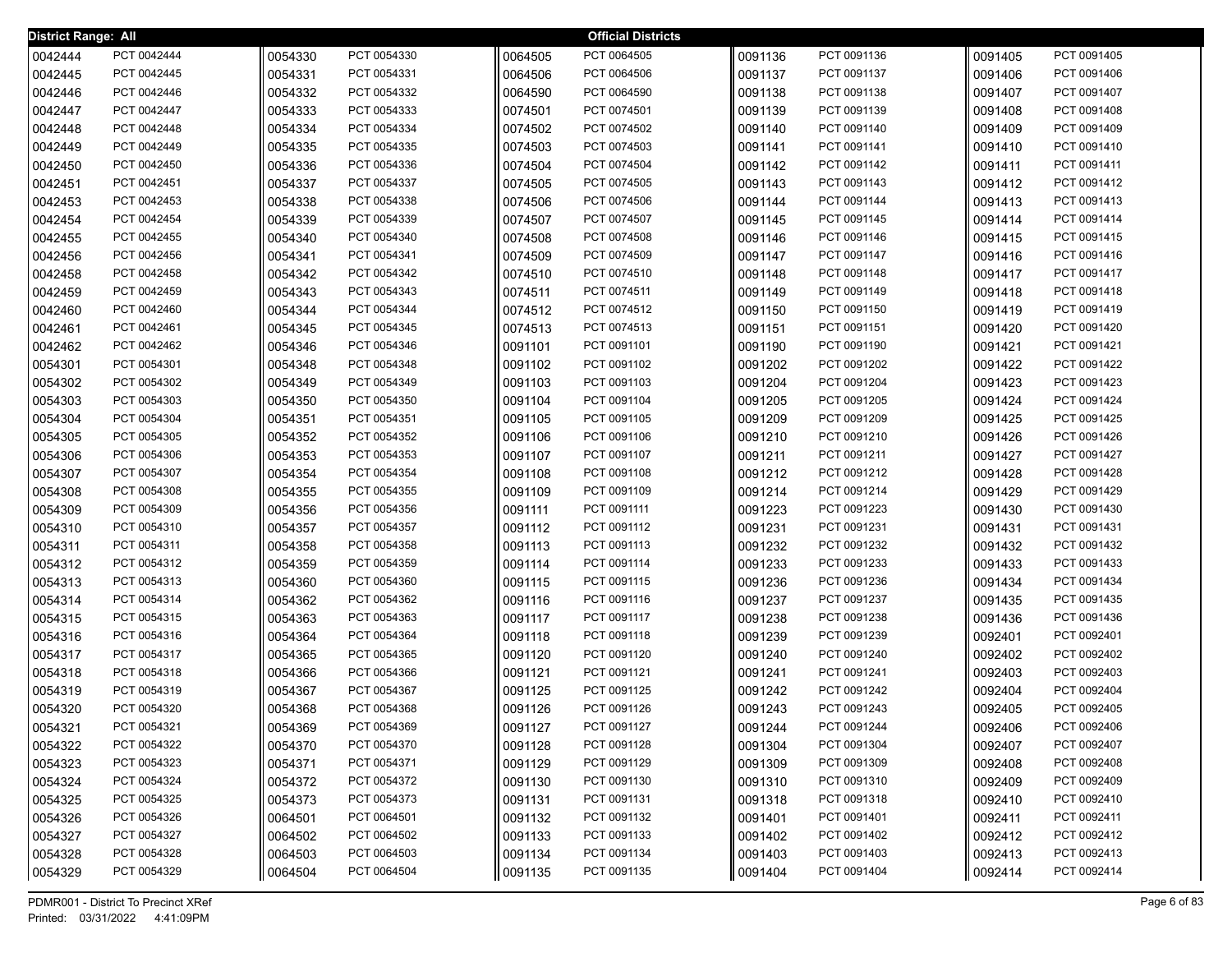| District Range: All |                            |                    |                            |                    | <b>Official Districts</b>  |                    |                            |                    |                            |
|---------------------|----------------------------|--------------------|----------------------------|--------------------|----------------------------|--------------------|----------------------------|--------------------|----------------------------|
| 0042444             | PCT 0042444                | 0054330            | PCT 0054330                | 0064505            | PCT 0064505                | 0091136            | PCT 0091136                | 0091405            | PCT 0091405                |
| 0042445             | PCT 0042445                | 0054331            | PCT 0054331                | 0064506            | PCT 0064506                | 0091137            | PCT 0091137                | 0091406            | PCT 0091406                |
| 0042446             | PCT 0042446                | 0054332            | PCT 0054332                | 0064590            | PCT 0064590                | 0091138            | PCT 0091138                | 0091407            | PCT 0091407                |
| 0042447             | PCT 0042447                | 0054333            | PCT 0054333                | 0074501            | PCT 0074501                | 0091139            | PCT 0091139                | 0091408            | PCT 0091408                |
| 0042448             | PCT 0042448                | 0054334            | PCT 0054334                | 0074502            | PCT 0074502                | 0091140            | PCT 0091140                | 0091409            | PCT 0091409                |
| 0042449             | PCT 0042449                | 0054335            | PCT 0054335                | 0074503            | PCT 0074503                | 0091141            | PCT 0091141                | 0091410            | PCT 0091410                |
| 0042450             | PCT 0042450                | 0054336            | PCT 0054336                | 0074504            | PCT 0074504                | 0091142            | PCT 0091142                | 0091411            | PCT 0091411                |
| 0042451             | PCT 0042451                | 0054337            | PCT 0054337                | 0074505            | PCT 0074505                | 0091143            | PCT 0091143                | 0091412            | PCT 0091412                |
| 0042453             | PCT 0042453                | 0054338            | PCT 0054338                | 0074506            | PCT 0074506                | 0091144            | PCT 0091144                | 0091413            | PCT 0091413                |
| 0042454             | PCT 0042454                | 0054339            | PCT 0054339                | 0074507            | PCT 0074507                | 0091145            | PCT 0091145                | 0091414            | PCT 0091414                |
| 0042455             | PCT 0042455                | 0054340            | PCT 0054340                | 0074508            | PCT 0074508                | 0091146            | PCT 0091146                | 0091415            | PCT 0091415                |
| 0042456             | PCT 0042456                | 0054341            | PCT 0054341                | 0074509            | PCT 0074509                | 0091147            | PCT 0091147                | 0091416            | PCT 0091416                |
| 0042458             | PCT 0042458                | 0054342            | PCT 0054342                | 0074510            | PCT 0074510                | 0091148            | PCT 0091148                | 0091417            | PCT 0091417                |
| 0042459             | PCT 0042459                | 0054343            | PCT 0054343                | 0074511            | PCT 0074511                | 0091149            | PCT 0091149                | 0091418            | PCT 0091418                |
| 0042460             | PCT 0042460                | 0054344            | PCT 0054344                | 0074512            | PCT 0074512                | 0091150            | PCT 0091150                | 0091419            | PCT 0091419                |
| 0042461             | PCT 0042461                | 0054345            | PCT 0054345                | 0074513            | PCT 0074513                | 0091151            | PCT 0091151                | 0091420            | PCT 0091420                |
| 0042462             | PCT 0042462                | 0054346            | PCT 0054346                | 0091101            | PCT 0091101                | 0091190            | PCT 0091190                | 0091421            | PCT 0091421                |
| 0054301             | PCT 0054301                | 0054348            | PCT 0054348                | 0091102            | PCT 0091102                | 0091202            | PCT 0091202                | 0091422            | PCT 0091422                |
| 0054302             | PCT 0054302                | 0054349            | PCT 0054349                | 0091103            | PCT 0091103                | 0091204            | PCT 0091204                | 0091423            | PCT 0091423                |
| 0054303             | PCT 0054303                | 0054350            | PCT 0054350                | 0091104            | PCT 0091104                | 0091205            | PCT 0091205                | 0091424            | PCT 0091424                |
| 0054304             | PCT 0054304                | 0054351            | PCT 0054351                | 0091105            | PCT 0091105                | 0091209            | PCT 0091209                | 0091425            | PCT 0091425                |
| 0054305             | PCT 0054305                | 0054352            | PCT 0054352                | 0091106            | PCT 0091106                | 0091210            | PCT 0091210                | 0091426            | PCT 0091426                |
| 0054306             | PCT 0054306                | 0054353            | PCT 0054353                | 0091107            | PCT 0091107                | 0091211            | PCT 0091211                | 0091427            | PCT 0091427                |
| 0054307             | PCT 0054307                | 0054354            | PCT 0054354                | 0091108            | PCT 0091108                | 0091212            | PCT 0091212                | 0091428            | PCT 0091428                |
| 0054308             | PCT 0054308                | 0054355            | PCT 0054355                | 0091109            | PCT 0091109                | 0091214            | PCT 0091214                | 0091429            | PCT 0091429                |
| 0054309             | PCT 0054309                | 0054356            | PCT 0054356                | 0091111            | PCT 0091111                | 0091223            | PCT 0091223                | 0091430            | PCT 0091430                |
| 0054310             | PCT 0054310                | 0054357            | PCT 0054357                | 0091112            | PCT 0091112                | 0091231            | PCT 0091231                | 0091431            | PCT 0091431                |
| 0054311             | PCT 0054311                | 0054358            | PCT 0054358                | 0091113            | PCT 0091113                | 0091232            | PCT 0091232                | 0091432            | PCT 0091432                |
| 0054312             | PCT 0054312                | 0054359            | PCT 0054359                | 0091114            | PCT 0091114                | 0091233            | PCT 0091233                | 0091433            | PCT 0091433                |
| 0054313             | PCT 0054313                | 0054360            | PCT 0054360                | 0091115            | PCT 0091115                | 0091236            | PCT 0091236                | 0091434            | PCT 0091434                |
| 0054314             | PCT 0054314                | 0054362            | PCT 0054362                | 0091116            | PCT 0091116                | 0091237            | PCT 0091237                | 0091435            | PCT 0091435                |
| 0054315             | PCT 0054315                | 0054363            | PCT 0054363                | 0091117            | PCT 0091117                | 0091238            | PCT 0091238                | 0091436            | PCT 0091436                |
| 0054316             | PCT 0054316                | 0054364            | PCT 0054364                | 0091118            | PCT 0091118                | 0091239            | PCT 0091239                | 0092401            | PCT 0092401                |
| 0054317             | PCT 0054317                | 0054365            | PCT 0054365                | 0091120            | PCT 0091120                | 0091240            | PCT 0091240                | 0092402            | PCT 0092402                |
| 0054318             | PCT 0054318                | 0054366            | PCT 0054366<br>PCT 0054367 | 0091121            | PCT 0091121                | 0091241            | PCT 0091241                | 0092403            | PCT 0092403                |
| 0054319             | PCT 0054319                | 0054367            | PCT 0054368                | 0091125            | PCT 0091125<br>PCT 0091126 | 0091242            | PCT 0091242<br>PCT 0091243 | 0092404            | PCT 0092404<br>PCT 0092405 |
| 0054320             | PCT 0054320                | 0054368            | PCT 0054369                | 0091126            |                            | 0091243            | PCT 0091244                | 0092405            | PCT 0092406                |
| 0054321             | PCT 0054321<br>PCT 0054322 | 0054369            | PCT 0054370                | 0091127            | PCT 0091127<br>PCT 0091128 | 0091244            |                            | 0092406            |                            |
| 0054322             | PCT 0054323                | 0054370            | PCT 0054371                | 0091128            | PCT 0091129                | 0091304            | PCT 0091304<br>PCT 0091309 | 0092407            | PCT 0092407<br>PCT 0092408 |
| 0054323             | PCT 0054324                | 0054371            | PCT 0054372                | 0091129            | PCT 0091130                | 0091309            | PCT 0091310                | 0092408            | PCT 0092409                |
| 0054324             |                            | 0054372            | PCT 0054373                | 0091130            |                            | 0091310            | PCT 0091318                | 0092409            | PCT 0092410                |
| 0054325             | PCT 0054325<br>PCT 0054326 | 0054373            | PCT 0064501                | 0091131            | PCT 0091131<br>PCT 0091132 | 0091318            | PCT 0091401                | 0092410            | PCT 0092411                |
| 0054326             | PCT 0054327                | 0064501            | PCT 0064502                | 0091132            |                            | 0091401            |                            | 0092411            | PCT 0092412                |
| 0054327<br>0054328  | PCT 0054328                | 0064502<br>0064503 | PCT 0064503                | 0091133<br>0091134 | PCT 0091133<br>PCT 0091134 | 0091402<br>0091403 | PCT 0091402<br>PCT 0091403 | 0092412<br>0092413 | PCT 0092413                |
|                     |                            |                    | PCT 0064504                | 0091135            | PCT 0091135                |                    |                            |                    | PCT 0092414                |
| 0054329             | PCT 0054329                | 0064504            |                            |                    |                            | 0091404            | PCT 0091404                | 0092414            |                            |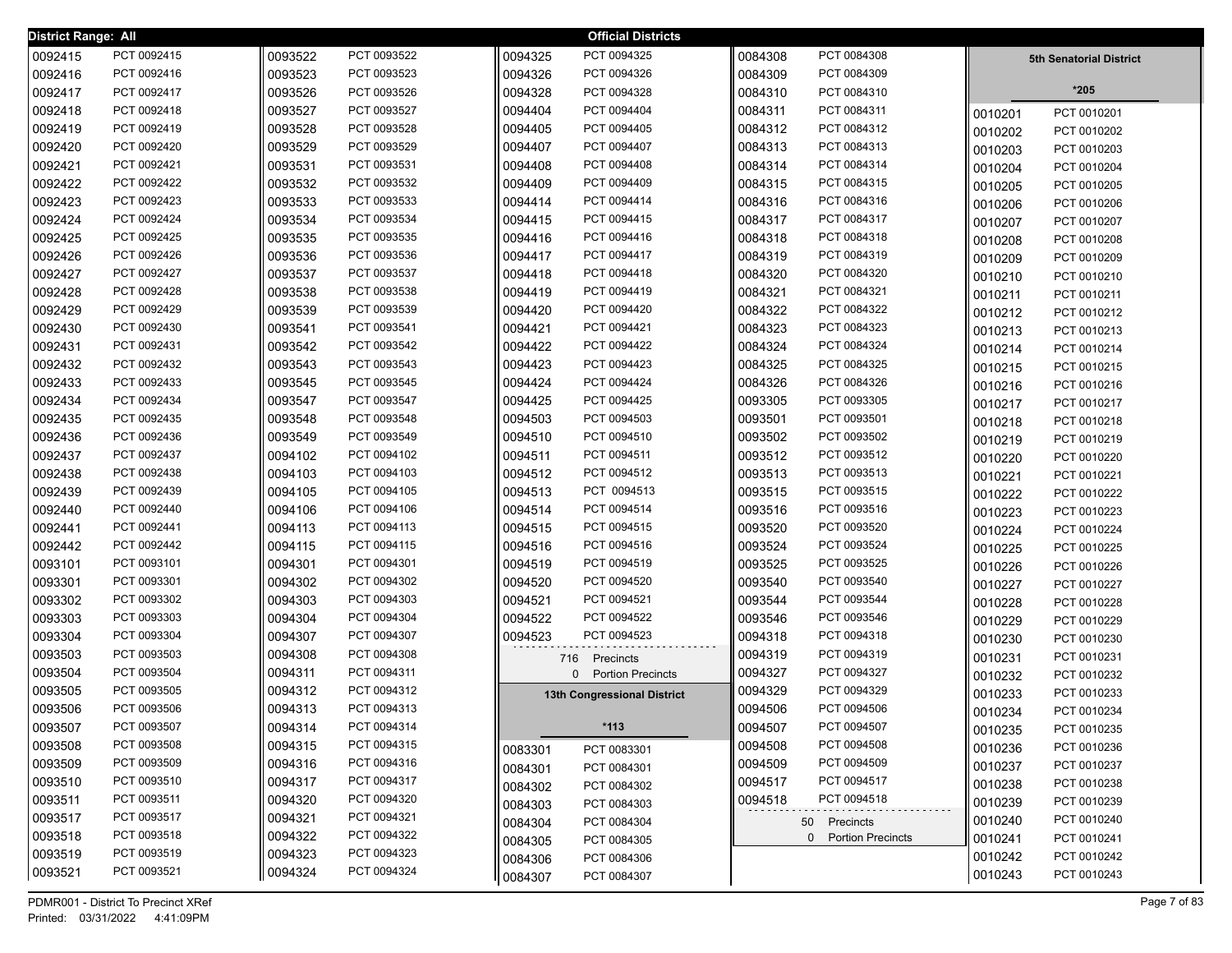| District Range: All |             |         |             |         | <b>Official Districts</b>   |         |                     |         |                                |
|---------------------|-------------|---------|-------------|---------|-----------------------------|---------|---------------------|---------|--------------------------------|
| 0092415             | PCT 0092415 | 0093522 | PCT 0093522 | 0094325 | PCT 0094325                 | 0084308 | PCT 0084308         |         | <b>5th Senatorial District</b> |
| 0092416             | PCT 0092416 | 0093523 | PCT 0093523 | 0094326 | PCT 0094326                 | 0084309 | PCT 0084309         |         |                                |
| 0092417             | PCT 0092417 | 0093526 | PCT 0093526 | 0094328 | PCT 0094328                 | 0084310 | PCT 0084310         |         | $*205$                         |
| 0092418             | PCT 0092418 | 0093527 | PCT 0093527 | 0094404 | PCT 0094404                 | 0084311 | PCT 0084311         | 0010201 | PCT 0010201                    |
| 0092419             | PCT 0092419 | 0093528 | PCT 0093528 | 0094405 | PCT 0094405                 | 0084312 | PCT 0084312         | 0010202 | PCT 0010202                    |
| 0092420             | PCT 0092420 | 0093529 | PCT 0093529 | 0094407 | PCT 0094407                 | 0084313 | PCT 0084313         | 0010203 | PCT 0010203                    |
| 0092421             | PCT 0092421 | 0093531 | PCT 0093531 | 0094408 | PCT 0094408                 | 0084314 | PCT 0084314         | 0010204 | PCT 0010204                    |
| 0092422             | PCT 0092422 | 0093532 | PCT 0093532 | 0094409 | PCT 0094409                 | 0084315 | PCT 0084315         | 0010205 | PCT 0010205                    |
| 0092423             | PCT 0092423 | 0093533 | PCT 0093533 | 0094414 | PCT 0094414                 | 0084316 | PCT 0084316         | 0010206 | PCT 0010206                    |
| 0092424             | PCT 0092424 | 0093534 | PCT 0093534 | 0094415 | PCT 0094415                 | 0084317 | PCT 0084317         | 0010207 | PCT 0010207                    |
| 0092425             | PCT 0092425 | 0093535 | PCT 0093535 | 0094416 | PCT 0094416                 | 0084318 | PCT 0084318         | 0010208 | PCT 0010208                    |
| 0092426             | PCT 0092426 | 0093536 | PCT 0093536 | 0094417 | PCT 0094417                 | 0084319 | PCT 0084319         | 0010209 | PCT 0010209                    |
| 0092427             | PCT 0092427 | 0093537 | PCT 0093537 | 0094418 | PCT 0094418                 | 0084320 | PCT 0084320         | 0010210 | PCT 0010210                    |
| 0092428             | PCT 0092428 | 0093538 | PCT 0093538 | 0094419 | PCT 0094419                 | 0084321 | PCT 0084321         | 0010211 | PCT 0010211                    |
| 0092429             | PCT 0092429 | 0093539 | PCT 0093539 | 0094420 | PCT 0094420                 | 0084322 | PCT 0084322         | 0010212 | PCT 0010212                    |
| 0092430             | PCT 0092430 | 0093541 | PCT 0093541 | 0094421 | PCT 0094421                 | 0084323 | PCT 0084323         | 0010213 | PCT 0010213                    |
| 0092431             | PCT 0092431 | 0093542 | PCT 0093542 | 0094422 | PCT 0094422                 | 0084324 | PCT 0084324         | 0010214 | PCT 0010214                    |
| 0092432             | PCT 0092432 | 0093543 | PCT 0093543 | 0094423 | PCT 0094423                 | 0084325 | PCT 0084325         | 0010215 | PCT 0010215                    |
| 0092433             | PCT 0092433 | 0093545 | PCT 0093545 | 0094424 | PCT 0094424                 | 0084326 | PCT 0084326         | 0010216 | PCT 0010216                    |
| 0092434             | PCT 0092434 | 0093547 | PCT 0093547 | 0094425 | PCT 0094425                 | 0093305 | PCT 0093305         | 0010217 | PCT 0010217                    |
| 0092435             | PCT 0092435 | 0093548 | PCT 0093548 | 0094503 | PCT 0094503                 | 0093501 | PCT 0093501         | 0010218 | PCT 0010218                    |
| 0092436             | PCT 0092436 | 0093549 | PCT 0093549 | 0094510 | PCT 0094510                 | 0093502 | PCT 0093502         | 0010219 | PCT 0010219                    |
| 0092437             | PCT 0092437 | 0094102 | PCT 0094102 | 0094511 | PCT 0094511                 | 0093512 | PCT 0093512         | 0010220 | PCT 0010220                    |
| 0092438             | PCT 0092438 | 0094103 | PCT 0094103 | 0094512 | PCT 0094512                 | 0093513 | PCT 0093513         | 0010221 | PCT 0010221                    |
| 0092439             | PCT 0092439 | 0094105 | PCT 0094105 | 0094513 | PCT 0094513                 | 0093515 | PCT 0093515         | 0010222 | PCT 0010222                    |
| 0092440             | PCT 0092440 | 0094106 | PCT 0094106 | 0094514 | PCT 0094514                 | 0093516 | PCT 0093516         | 0010223 | PCT 0010223                    |
| 0092441             | PCT 0092441 | 0094113 | PCT 0094113 | 0094515 | PCT 0094515                 | 0093520 | PCT 0093520         | 0010224 | PCT 0010224                    |
| 0092442             | PCT 0092442 | 0094115 | PCT 0094115 | 0094516 | PCT 0094516                 | 0093524 | PCT 0093524         | 0010225 | PCT 0010225                    |
| 0093101             | PCT 0093101 | 0094301 | PCT 0094301 | 0094519 | PCT 0094519                 | 0093525 | PCT 0093525         | 0010226 | PCT 0010226                    |
| 0093301             | PCT 0093301 | 0094302 | PCT 0094302 | 0094520 | PCT 0094520                 | 0093540 | PCT 0093540         | 0010227 | PCT 0010227                    |
| 0093302             | PCT 0093302 | 0094303 | PCT 0094303 | 0094521 | PCT 0094521                 | 0093544 | PCT 0093544         | 0010228 | PCT 0010228                    |
| 0093303             | PCT 0093303 | 0094304 | PCT 0094304 | 0094522 | PCT 0094522                 | 0093546 | PCT 0093546         | 0010229 | PCT 0010229                    |
| 0093304             | PCT 0093304 | 0094307 | PCT 0094307 | 0094523 | PCT 0094523                 | 0094318 | PCT 0094318         | 0010230 | PCT 0010230                    |
| 0093503             | PCT 0093503 | 0094308 | PCT 0094308 | 716     | Precincts                   | 0094319 | PCT 0094319         | 0010231 | PCT 0010231                    |
| 0093504             | PCT 0093504 | 0094311 | PCT 0094311 |         | 0 Portion Precincts         | 0094327 | PCT 0094327         | 0010232 | PCT 0010232                    |
| 0093505             | PCT 0093505 | 0094312 | PCT 0094312 |         | 13th Congressional District | 0094329 | PCT 0094329         | 0010233 | PCT 0010233                    |
| 0093506             | PCT 0093506 | 0094313 | PCT 0094313 |         |                             | 0094506 | PCT 0094506         | 0010234 | PCT 0010234                    |
| 0093507             | PCT 0093507 | 0094314 | PCT 0094314 |         | -113                        | 0094507 | PCT 0094507         | 0010235 | PCT 0010235                    |
| 0093508             | PCT 0093508 | 0094315 | PCT 0094315 | 0083301 | PCT 0083301                 | 0094508 | PCT 0094508         | 0010236 | PCT 0010236                    |
| 0093509             | PCT 0093509 | 0094316 | PCT 0094316 | 0084301 | PCT 0084301                 | 0094509 | PCT 0094509         | 0010237 | PCT 0010237                    |
| 0093510             | PCT 0093510 | 0094317 | PCT 0094317 | 0084302 | PCT 0084302                 | 0094517 | PCT 0094517         | 0010238 | PCT 0010238                    |
| 0093511             | PCT 0093511 | 0094320 | PCT 0094320 | 0084303 | PCT 0084303                 | 0094518 | PCT 0094518         | 0010239 | PCT 0010239                    |
| 0093517             | PCT 0093517 | 0094321 | PCT 0094321 | 0084304 | PCT 0084304                 |         | 50 Precincts        | 0010240 | PCT 0010240                    |
| 0093518             | PCT 0093518 | 0094322 | PCT 0094322 | 0084305 | PCT 0084305                 |         | 0 Portion Precincts | 0010241 | PCT 0010241                    |
| 0093519             | PCT 0093519 | 0094323 | PCT 0094323 | 0084306 | PCT 0084306                 |         |                     | 0010242 | PCT 0010242                    |
| 0093521             | PCT 0093521 | 0094324 | PCT 0094324 | 0084307 | PCT 0084307                 |         |                     | 0010243 | PCT 0010243                    |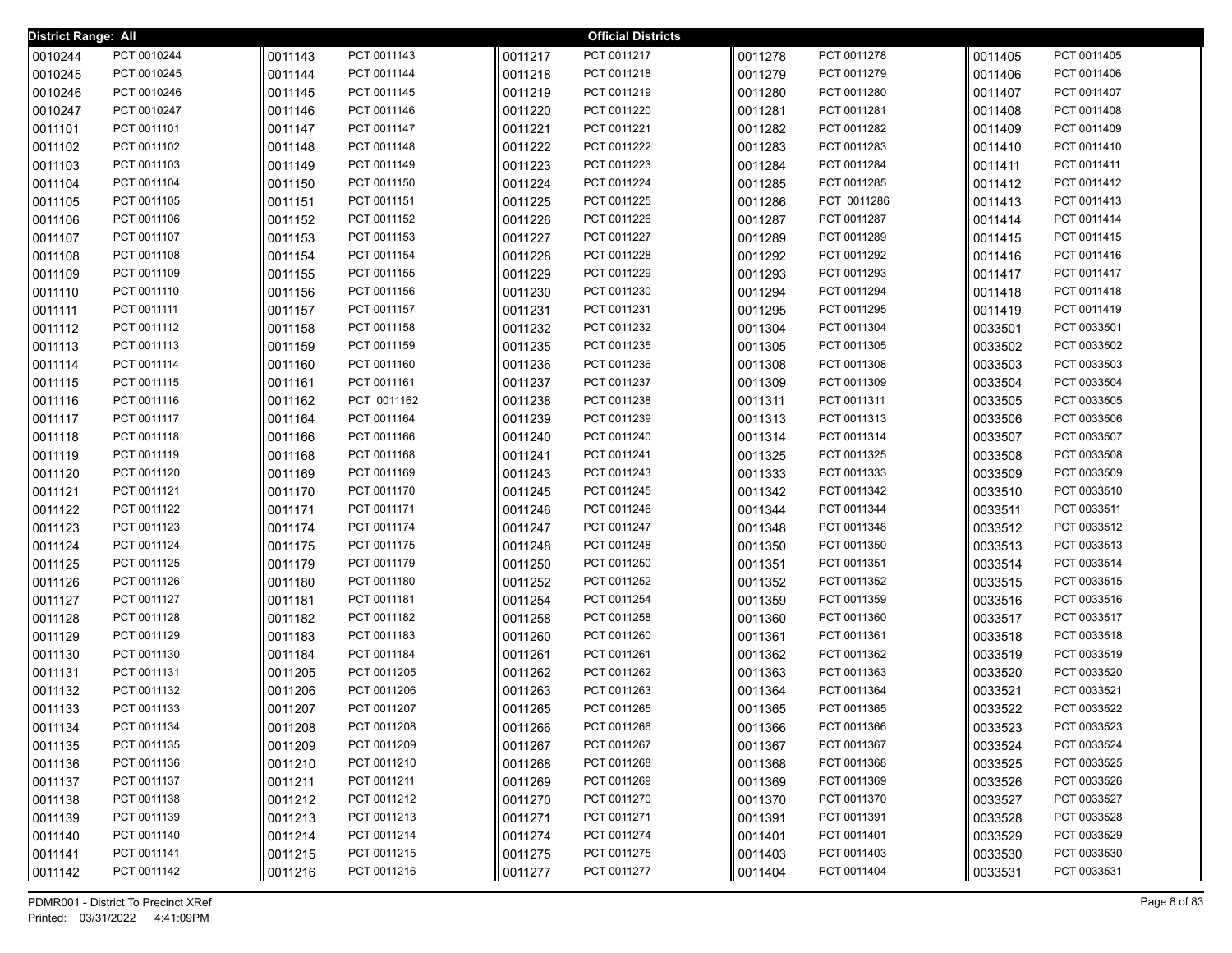| <b>District Range: All</b> |                            |         |                            |                    | <b>Official Districts</b> |         |                            |         |                            |
|----------------------------|----------------------------|---------|----------------------------|--------------------|---------------------------|---------|----------------------------|---------|----------------------------|
| 0010244                    | PCT 0010244                | 0011143 | PCT 0011143                | 0011217            | PCT 0011217               | 0011278 | PCT 0011278                | 0011405 | PCT 0011405                |
| 0010245                    | PCT 0010245                | 0011144 | PCT 0011144                | 0011218            | PCT 0011218               | 0011279 | PCT 0011279                | 0011406 | PCT 0011406                |
| 0010246                    | PCT 0010246                | 0011145 | PCT 0011145                | 0011219            | PCT 0011219               | 0011280 | PCT 0011280                | 0011407 | PCT 0011407                |
| 0010247                    | PCT 0010247                | 0011146 | PCT 0011146                | 0011220            | PCT 0011220               | 0011281 | PCT 0011281                | 0011408 | PCT 0011408                |
| 0011101                    | PCT 0011101                | 0011147 | PCT 0011147                | 0011221            | PCT 0011221               | 0011282 | PCT 0011282                | 0011409 | PCT 0011409                |
| 0011102                    | PCT 0011102                | 0011148 | PCT 0011148                | 0011222            | PCT 0011222               | 0011283 | PCT 0011283                | 0011410 | PCT 0011410                |
| 0011103                    | PCT 0011103                | 0011149 | PCT 0011149                | 0011223            | PCT 0011223               | 0011284 | PCT 0011284                | 0011411 | PCT 0011411                |
| 0011104                    | PCT 0011104                | 0011150 | PCT 0011150                | 0011224            | PCT 0011224               | 0011285 | PCT 0011285                | 0011412 | PCT 0011412                |
| 0011105                    | PCT 0011105                | 0011151 | PCT 0011151                | 0011225            | PCT 0011225               | 0011286 | PCT 0011286                | 0011413 | PCT 0011413                |
| 0011106                    | PCT 0011106                | 0011152 | PCT 0011152                | 0011226            | PCT 0011226               | 0011287 | PCT 0011287                | 0011414 | PCT 0011414                |
| 0011107                    | PCT 0011107                | 0011153 | PCT 0011153                | 0011227            | PCT 0011227               | 0011289 | PCT 0011289                | 0011415 | PCT 0011415                |
| 0011108                    | PCT 0011108                | 0011154 | PCT 0011154                | 0011228            | PCT 0011228               | 0011292 | PCT 0011292                | 0011416 | PCT 0011416                |
| 0011109                    | PCT 0011109                | 0011155 | PCT 0011155                | 0011229            | PCT 0011229               | 0011293 | PCT 0011293                | 0011417 | PCT 0011417                |
| 0011110                    | PCT 0011110                | 0011156 | PCT 0011156                | 0011230            | PCT 0011230               | 0011294 | PCT 0011294                | 0011418 | PCT 0011418                |
| 0011111                    | PCT 0011111                | 0011157 | PCT 0011157                | 0011231            | PCT 0011231               | 0011295 | PCT 0011295                | 0011419 | PCT 0011419                |
| 0011112                    | PCT 0011112                | 0011158 | PCT 0011158                | 0011232            | PCT 0011232               | 0011304 | PCT 0011304                | 0033501 | PCT 0033501                |
| 0011113                    | PCT 0011113                | 0011159 | PCT 0011159                | 0011235            | PCT 0011235               | 0011305 | PCT 0011305                | 0033502 | PCT 0033502                |
| 0011114                    | PCT 0011114                | 0011160 | PCT 0011160                | 0011236            | PCT 0011236               | 0011308 | PCT 0011308                | 0033503 | PCT 0033503                |
| 0011115                    | PCT 0011115                | 0011161 | PCT 0011161                | 0011237            | PCT 0011237               | 0011309 | PCT 0011309                | 0033504 | PCT 0033504                |
| 0011116                    | PCT 0011116                | 0011162 | PCT 0011162                | 0011238            | PCT 0011238               | 0011311 | PCT 0011311                | 0033505 | PCT 0033505                |
| 0011117                    | PCT 0011117                | 0011164 | PCT 0011164                | 0011239            | PCT 0011239               | 0011313 | PCT 0011313                | 0033506 | PCT 0033506                |
| 0011118                    | PCT 0011118                | 0011166 | PCT 0011166                | 0011240            | PCT 0011240               | 0011314 | PCT 0011314                | 0033507 | PCT 0033507                |
| 0011119                    | PCT 0011119                | 0011168 | PCT 0011168                | 0011241            | PCT 0011241               | 0011325 | PCT 0011325                | 0033508 | PCT 0033508                |
| 0011120                    | PCT 0011120                | 0011169 | PCT 0011169                | 0011243            | PCT 0011243               | 0011333 | PCT 0011333                | 0033509 | PCT 0033509                |
| 0011121                    | PCT 0011121                | 0011170 | PCT 0011170                | 0011245            | PCT 0011245               | 0011342 | PCT 0011342                | 0033510 | PCT 0033510                |
| 0011122                    | PCT 0011122                | 0011171 | PCT 0011171                | 0011246            | PCT 0011246               | 0011344 | PCT 0011344                | 0033511 | PCT 0033511                |
| 0011123                    | PCT 0011123                | 0011174 | PCT 0011174                | 0011247            | PCT 0011247               | 0011348 | PCT 0011348                | 0033512 | PCT 0033512                |
| 0011124                    | PCT 0011124                | 0011175 | PCT 0011175                | 0011248            | PCT 0011248               | 0011350 | PCT 0011350                | 0033513 | PCT 0033513                |
| 0011125                    | PCT 0011125                | 0011179 | PCT 0011179                | 0011250            | PCT 0011250               | 0011351 | PCT 0011351                | 0033514 | PCT 0033514                |
| 0011126                    | PCT 0011126                | 0011180 | PCT 0011180                | 0011252            | PCT 0011252               | 0011352 | PCT 0011352                | 0033515 | PCT 0033515                |
| 0011127                    | PCT 0011127                | 0011181 | PCT 0011181                | 0011254            | PCT 0011254               | 0011359 | PCT 0011359                | 0033516 | PCT 0033516                |
| 0011128                    | PCT 0011128                | 0011182 | PCT 0011182                | 0011258            | PCT 0011258               | 0011360 | PCT 0011360                | 0033517 | PCT 0033517                |
| 0011129                    | PCT 0011129                | 0011183 | PCT 0011183                | 0011260            | PCT 0011260               | 0011361 | PCT 0011361                | 0033518 | PCT 0033518                |
| 0011130                    | PCT 0011130                | 0011184 | PCT 0011184                | 0011261            | PCT 0011261               | 0011362 | PCT 0011362                | 0033519 | PCT 0033519                |
| 0011131                    | PCT 0011131                | 0011205 | PCT 0011205                | 0011262            | PCT 0011262               | 0011363 | PCT 0011363                | 0033520 | PCT 0033520                |
| 0011132                    | PCT 0011132                | 0011206 | PCT 0011206<br>PCT 0011207 | 0011263            | PCT 0011263               | 0011364 | PCT 0011364                | 0033521 | PCT 0033521                |
| 0011133                    | PCT 0011133                | 0011207 |                            | 0011265            | PCT 0011265               | 0011365 | PCT 0011365                | 0033522 | PCT 0033522                |
| 0011134                    | PCT 0011134                | 0011208 | PCT 0011208                | 0011266            | PCT 0011266               | 0011366 | PCT 0011366                | 0033523 | PCT 0033523                |
| 0011135                    | PCT 0011135                | 0011209 | PCT 0011209                | 0011267            | PCT 0011267               | 0011367 | PCT 0011367                | 0033524 | PCT 0033524<br>PCT 0033525 |
| 0011136                    | PCT 0011136                | 0011210 | PCT 0011210                | 0011268            | PCT 0011268               | 0011368 | PCT 0011368                | 0033525 |                            |
| 0011137                    | PCT 0011137                | 0011211 | PCT 0011211                | 0011269            | PCT 0011269               | 0011369 | PCT 0011369                | 0033526 | PCT 0033526<br>PCT 0033527 |
| 0011138                    | PCT 0011138<br>PCT 0011139 | 0011212 | PCT 0011212                | 0011270            | PCT 0011270               | 0011370 | PCT 0011370                | 0033527 | PCT 0033528                |
| 0011139                    |                            | 0011213 | PCT 0011213<br>PCT 0011214 | 0011271<br>0011274 | PCT 0011271               | 0011391 | PCT 0011391<br>PCT 0011401 | 0033528 |                            |
| 0011140                    | PCT 0011140<br>PCT 0011141 | 0011214 |                            | 0011275            | PCT 0011274               | 0011401 |                            | 0033529 | PCT 0033529<br>PCT 0033530 |
| 0011141                    |                            | 0011215 | PCT 0011215                |                    | PCT 0011275               | 0011403 | PCT 0011403                | 0033530 |                            |
| 0011142                    | PCT 0011142                | 0011216 | PCT 0011216                | 0011277            | PCT 0011277               | 0011404 | PCT 0011404                | 0033531 | PCT 0033531                |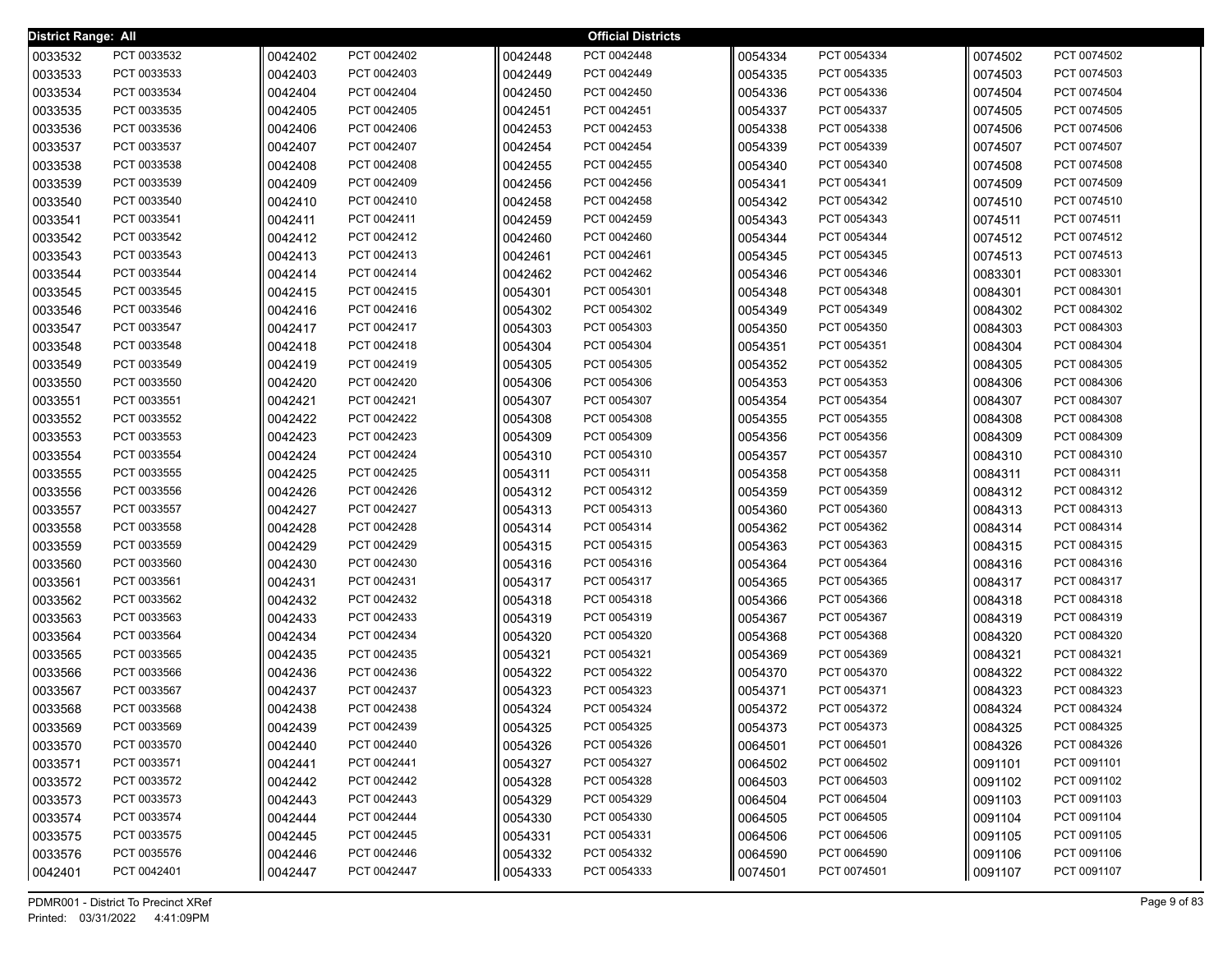| <b>District Range: All</b> |             |         |             |         | <b>Official Districts</b> |         |             |         |             |
|----------------------------|-------------|---------|-------------|---------|---------------------------|---------|-------------|---------|-------------|
| 0033532                    | PCT 0033532 | 0042402 | PCT 0042402 | 0042448 | PCT 0042448               | 0054334 | PCT 0054334 | 0074502 | PCT 0074502 |
| 0033533                    | PCT 0033533 | 0042403 | PCT 0042403 | 0042449 | PCT 0042449               | 0054335 | PCT 0054335 | 0074503 | PCT 0074503 |
| 0033534                    | PCT 0033534 | 0042404 | PCT 0042404 | 0042450 | PCT 0042450               | 0054336 | PCT 0054336 | 0074504 | PCT 0074504 |
| 0033535                    | PCT 0033535 | 0042405 | PCT 0042405 | 0042451 | PCT 0042451               | 0054337 | PCT 0054337 | 0074505 | PCT 0074505 |
| 0033536                    | PCT 0033536 | 0042406 | PCT 0042406 | 0042453 | PCT 0042453               | 0054338 | PCT 0054338 | 0074506 | PCT 0074506 |
| 0033537                    | PCT 0033537 | 0042407 | PCT 0042407 | 0042454 | PCT 0042454               | 0054339 | PCT 0054339 | 0074507 | PCT 0074507 |
| 0033538                    | PCT 0033538 | 0042408 | PCT 0042408 | 0042455 | PCT 0042455               | 0054340 | PCT 0054340 | 0074508 | PCT 0074508 |
| 0033539                    | PCT 0033539 | 0042409 | PCT 0042409 | 0042456 | PCT 0042456               | 0054341 | PCT 0054341 | 0074509 | PCT 0074509 |
| 0033540                    | PCT 0033540 | 0042410 | PCT 0042410 | 0042458 | PCT 0042458               | 0054342 | PCT 0054342 | 0074510 | PCT 0074510 |
| 0033541                    | PCT 0033541 | 0042411 | PCT 0042411 | 0042459 | PCT 0042459               | 0054343 | PCT 0054343 | 0074511 | PCT 0074511 |
| 0033542                    | PCT 0033542 | 0042412 | PCT 0042412 | 0042460 | PCT 0042460               | 0054344 | PCT 0054344 | 0074512 | PCT 0074512 |
| 0033543                    | PCT 0033543 | 0042413 | PCT 0042413 | 0042461 | PCT 0042461               | 0054345 | PCT 0054345 | 0074513 | PCT 0074513 |
| 0033544                    | PCT 0033544 | 0042414 | PCT 0042414 | 0042462 | PCT 0042462               | 0054346 | PCT 0054346 | 0083301 | PCT 0083301 |
| 0033545                    | PCT 0033545 | 0042415 | PCT 0042415 | 0054301 | PCT 0054301               | 0054348 | PCT 0054348 | 0084301 | PCT 0084301 |
| 0033546                    | PCT 0033546 | 0042416 | PCT 0042416 | 0054302 | PCT 0054302               | 0054349 | PCT 0054349 | 0084302 | PCT 0084302 |
| 0033547                    | PCT 0033547 | 0042417 | PCT 0042417 | 0054303 | PCT 0054303               | 0054350 | PCT 0054350 | 0084303 | PCT 0084303 |
| 0033548                    | PCT 0033548 | 0042418 | PCT 0042418 | 0054304 | PCT 0054304               | 0054351 | PCT 0054351 | 0084304 | PCT 0084304 |
| 0033549                    | PCT 0033549 | 0042419 | PCT 0042419 | 0054305 | PCT 0054305               | 0054352 | PCT 0054352 | 0084305 | PCT 0084305 |
| 0033550                    | PCT 0033550 | 0042420 | PCT 0042420 | 0054306 | PCT 0054306               | 0054353 | PCT 0054353 | 0084306 | PCT 0084306 |
| 0033551                    | PCT 0033551 | 0042421 | PCT 0042421 | 0054307 | PCT 0054307               | 0054354 | PCT 0054354 | 0084307 | PCT 0084307 |
| 0033552                    | PCT 0033552 | 0042422 | PCT 0042422 | 0054308 | PCT 0054308               | 0054355 | PCT 0054355 | 0084308 | PCT 0084308 |
| 0033553                    | PCT 0033553 | 0042423 | PCT 0042423 | 0054309 | PCT 0054309               | 0054356 | PCT 0054356 | 0084309 | PCT 0084309 |
| 0033554                    | PCT 0033554 | 0042424 | PCT 0042424 | 0054310 | PCT 0054310               | 0054357 | PCT 0054357 | 0084310 | PCT 0084310 |
| 0033555                    | PCT 0033555 | 0042425 | PCT 0042425 | 0054311 | PCT 0054311               | 0054358 | PCT 0054358 | 0084311 | PCT 0084311 |
| 0033556                    | PCT 0033556 | 0042426 | PCT 0042426 | 0054312 | PCT 0054312               | 0054359 | PCT 0054359 | 0084312 | PCT 0084312 |
| 0033557                    | PCT 0033557 | 0042427 | PCT 0042427 | 0054313 | PCT 0054313               | 0054360 | PCT 0054360 | 0084313 | PCT 0084313 |
| 0033558                    | PCT 0033558 | 0042428 | PCT 0042428 | 0054314 | PCT 0054314               | 0054362 | PCT 0054362 | 0084314 | PCT 0084314 |
| 0033559                    | PCT 0033559 | 0042429 | PCT 0042429 | 0054315 | PCT 0054315               | 0054363 | PCT 0054363 | 0084315 | PCT 0084315 |
| 0033560                    | PCT 0033560 | 0042430 | PCT 0042430 | 0054316 | PCT 0054316               | 0054364 | PCT 0054364 | 0084316 | PCT 0084316 |
| 0033561                    | PCT 0033561 | 0042431 | PCT 0042431 | 0054317 | PCT 0054317               | 0054365 | PCT 0054365 | 0084317 | PCT 0084317 |
| 0033562                    | PCT 0033562 | 0042432 | PCT 0042432 | 0054318 | PCT 0054318               | 0054366 | PCT 0054366 | 0084318 | PCT 0084318 |
| 0033563                    | PCT 0033563 | 0042433 | PCT 0042433 | 0054319 | PCT 0054319               | 0054367 | PCT 0054367 | 0084319 | PCT 0084319 |
| 0033564                    | PCT 0033564 | 0042434 | PCT 0042434 | 0054320 | PCT 0054320               | 0054368 | PCT 0054368 | 0084320 | PCT 0084320 |
| 0033565                    | PCT 0033565 | 0042435 | PCT 0042435 | 0054321 | PCT 0054321               | 0054369 | PCT 0054369 | 0084321 | PCT 0084321 |
| 0033566                    | PCT 0033566 | 0042436 | PCT 0042436 | 0054322 | PCT 0054322               | 0054370 | PCT 0054370 | 0084322 | PCT 0084322 |
| 0033567                    | PCT 0033567 | 0042437 | PCT 0042437 | 0054323 | PCT 0054323               | 0054371 | PCT 0054371 | 0084323 | PCT 0084323 |
| 0033568                    | PCT 0033568 | 0042438 | PCT 0042438 | 0054324 | PCT 0054324               | 0054372 | PCT 0054372 | 0084324 | PCT 0084324 |
| 0033569                    | PCT 0033569 | 0042439 | PCT 0042439 | 0054325 | PCT 0054325               | 0054373 | PCT 0054373 | 0084325 | PCT 0084325 |
| 0033570                    | PCT 0033570 | 0042440 | PCT 0042440 | 0054326 | PCT 0054326               | 0064501 | PCT 0064501 | 0084326 | PCT 0084326 |
| 0033571                    | PCT 0033571 | 0042441 | PCT 0042441 | 0054327 | PCT 0054327               | 0064502 | PCT 0064502 | 0091101 | PCT 0091101 |
| 0033572                    | PCT 0033572 | 0042442 | PCT 0042442 | 0054328 | PCT 0054328               | 0064503 | PCT 0064503 | 0091102 | PCT 0091102 |
| 0033573                    | PCT 0033573 | 0042443 | PCT 0042443 | 0054329 | PCT 0054329               | 0064504 | PCT 0064504 | 0091103 | PCT 0091103 |
| 0033574                    | PCT 0033574 | 0042444 | PCT 0042444 | 0054330 | PCT 0054330               | 0064505 | PCT 0064505 | 0091104 | PCT 0091104 |
| 0033575                    | PCT 0033575 | 0042445 | PCT 0042445 | 0054331 | PCT 0054331               | 0064506 | PCT 0064506 | 0091105 | PCT 0091105 |
| 0033576                    | PCT 0035576 | 0042446 | PCT 0042446 | 0054332 | PCT 0054332               | 0064590 | PCT 0064590 | 0091106 | PCT 0091106 |
| 0042401                    | PCT 0042401 | 0042447 | PCT 0042447 | 0054333 | PCT 0054333               | 0074501 | PCT 0074501 | 0091107 | PCT 0091107 |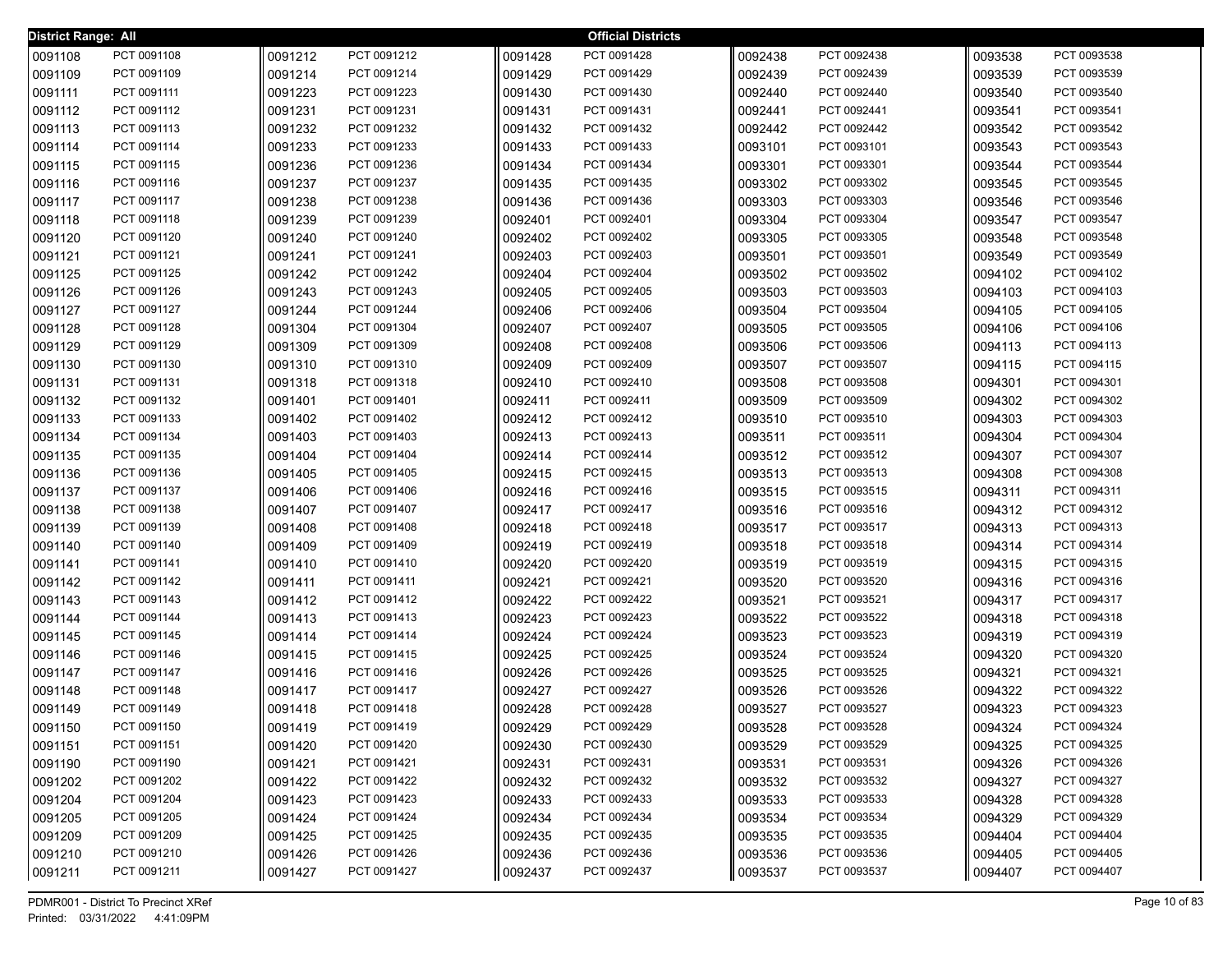| District Range: All |                            |                    |                            |                    | <b>Official Districts</b>  |                    |                            |                    |                            |
|---------------------|----------------------------|--------------------|----------------------------|--------------------|----------------------------|--------------------|----------------------------|--------------------|----------------------------|
| 0091108             | PCT 0091108                | 0091212            | PCT 0091212                | 0091428            | PCT 0091428                | 0092438            | PCT 0092438                | 0093538            | PCT 0093538                |
| 0091109             | PCT 0091109                | 0091214            | PCT 0091214                | 0091429            | PCT 0091429                | 0092439            | PCT 0092439                | 0093539            | PCT 0093539                |
| 0091111             | PCT 0091111                | 0091223            | PCT 0091223                | 0091430            | PCT 0091430                | 0092440            | PCT 0092440                | 0093540            | PCT 0093540                |
| 0091112             | PCT 0091112                | 0091231            | PCT 0091231                | 0091431            | PCT 0091431                | 0092441            | PCT 0092441                | 0093541            | PCT 0093541                |
| 0091113             | PCT 0091113                | 0091232            | PCT 0091232                | 0091432            | PCT 0091432                | 0092442            | PCT 0092442                | 0093542            | PCT 0093542                |
| 0091114             | PCT 0091114                | 0091233            | PCT 0091233                | 0091433            | PCT 0091433                | 0093101            | PCT 0093101                | 0093543            | PCT 0093543                |
| 0091115             | PCT 0091115                | 0091236            | PCT 0091236                | 0091434            | PCT 0091434                | 0093301            | PCT 0093301                | 0093544            | PCT 0093544                |
| 0091116             | PCT 0091116                | 0091237            | PCT 0091237                | 0091435            | PCT 0091435                | 0093302            | PCT 0093302                | 0093545            | PCT 0093545                |
| 0091117             | PCT 0091117                | 0091238            | PCT 0091238                | 0091436            | PCT 0091436                | 0093303            | PCT 0093303                | 0093546            | PCT 0093546                |
| 0091118             | PCT 0091118                | 0091239            | PCT 0091239                | 0092401            | PCT 0092401                | 0093304            | PCT 0093304                | 0093547            | PCT 0093547                |
| 0091120             | PCT 0091120                | 0091240            | PCT 0091240                | 0092402            | PCT 0092402                | 0093305            | PCT 0093305                | 0093548            | PCT 0093548                |
| 0091121             | PCT 0091121                | 0091241            | PCT 0091241                | 0092403            | PCT 0092403                | 0093501            | PCT 0093501                | 0093549            | PCT 0093549                |
| 0091125             | PCT 0091125                | 0091242            | PCT 0091242                | 0092404            | PCT 0092404                | 0093502            | PCT 0093502                | 0094102            | PCT 0094102                |
| 0091126             | PCT 0091126                | 0091243            | PCT 0091243                | 0092405            | PCT 0092405                | 0093503            | PCT 0093503                | 0094103            | PCT 0094103                |
| 0091127             | PCT 0091127                | 0091244            | PCT 0091244                | 0092406            | PCT 0092406                | 0093504            | PCT 0093504                | 0094105            | PCT 0094105                |
| 0091128             | PCT 0091128                | 0091304            | PCT 0091304                | 0092407            | PCT 0092407                | 0093505            | PCT 0093505                | 0094106            | PCT 0094106                |
| 0091129             | PCT 0091129                | 0091309            | PCT 0091309                | 0092408            | PCT 0092408                | 0093506            | PCT 0093506                | 0094113            | PCT 0094113                |
| 0091130             | PCT 0091130                | 0091310            | PCT 0091310                | 0092409            | PCT 0092409                | 0093507            | PCT 0093507                | 0094115            | PCT 0094115                |
| 0091131             | PCT 0091131                | 0091318            | PCT 0091318                | 0092410            | PCT 0092410                | 0093508            | PCT 0093508                | 0094301            | PCT 0094301                |
| 0091132             | PCT 0091132                | 0091401            | PCT 0091401                | 0092411            | PCT 0092411                | 0093509            | PCT 0093509                | 0094302            | PCT 0094302                |
| 0091133             | PCT 0091133                | 0091402            | PCT 0091402                | 0092412            | PCT 0092412                | 0093510            | PCT 0093510                | 0094303            | PCT 0094303                |
| 0091134             | PCT 0091134                | 0091403            | PCT 0091403                | 0092413            | PCT 0092413                | 0093511            | PCT 0093511                | 0094304            | PCT 0094304                |
| 0091135             | PCT 0091135                | 0091404            | PCT 0091404                | 0092414            | PCT 0092414                | 0093512            | PCT 0093512                | 0094307            | PCT 0094307                |
| 0091136             | PCT 0091136                | 0091405            | PCT 0091405                | 0092415            | PCT 0092415                | 0093513            | PCT 0093513                | 0094308            | PCT 0094308                |
| 0091137             | PCT 0091137                | 0091406            | PCT 0091406                | 0092416            | PCT 0092416                | 0093515            | PCT 0093515                | 0094311            | PCT 0094311                |
| 0091138             | PCT 0091138                | 0091407            | PCT 0091407                | 0092417            | PCT 0092417                | 0093516            | PCT 0093516                | 0094312            | PCT 0094312                |
| 0091139             | PCT 0091139                | 0091408            | PCT 0091408                | 0092418            | PCT 0092418                | 0093517            | PCT 0093517                | 0094313            | PCT 0094313                |
| 0091140             | PCT 0091140                | 0091409            | PCT 0091409                | 0092419            | PCT 0092419                | 0093518            | PCT 0093518                | 0094314            | PCT 0094314                |
| 0091141             | PCT 0091141                | 0091410            | PCT 0091410                | 0092420            | PCT 0092420                | 0093519            | PCT 0093519                | 0094315            | PCT 0094315                |
| 0091142             | PCT 0091142                | 0091411            | PCT 0091411                | 0092421            | PCT 0092421                | 0093520            | PCT 0093520                | 0094316            | PCT 0094316                |
| 0091143             | PCT 0091143                | 0091412            | PCT 0091412                | 0092422            | PCT 0092422                | 0093521            | PCT 0093521                | 0094317            | PCT 0094317                |
| 0091144             | PCT 0091144                | 0091413            | PCT 0091413                | 0092423            | PCT 0092423                | 0093522            | PCT 0093522                | 0094318            | PCT 0094318                |
| 0091145             | PCT 0091145                | 0091414            | PCT 0091414                | 0092424            | PCT 0092424                | 0093523            | PCT 0093523                | 0094319            | PCT 0094319                |
| 0091146             | PCT 0091146                | 0091415            | PCT 0091415                | 0092425            | PCT 0092425                | 0093524            | PCT 0093524                | 0094320            | PCT 0094320                |
| 0091147             | PCT 0091147                | 0091416            | PCT 0091416                | 0092426            | PCT 0092426                | 0093525            | PCT 0093525                | 0094321            | PCT 0094321                |
| 0091148             | PCT 0091148                | 0091417            | PCT 0091417                | 0092427            | PCT 0092427                | 0093526            | PCT 0093526                | 0094322            | PCT 0094322                |
| 0091149             | PCT 0091149<br>PCT 0091150 | 0091418            | PCT 0091418<br>PCT 0091419 | 0092428            | PCT 0092428<br>PCT 0092429 | 0093527            | PCT 0093527<br>PCT 0093528 | 0094323            | PCT 0094323<br>PCT 0094324 |
| 0091150             | PCT 0091151                | 0091419            | PCT 0091420                | 0092429            |                            | 0093528            |                            | 0094324            | PCT 0094325                |
| 0091151             | PCT 0091190                | 0091420            | PCT 0091421                | 0092430            | PCT 0092430<br>PCT 0092431 | 0093529            | PCT 0093529<br>PCT 0093531 | 0094325            | PCT 0094326                |
| 0091190             | PCT 0091202                | 0091421            | PCT 0091422                | 0092431            | PCT 0092432                | 0093531            | PCT 0093532                | 0094326            | PCT 0094327                |
| 0091202             | PCT 0091204                | 0091422            | PCT 0091423                | 0092432            | PCT 0092433                | 0093532            | PCT 0093533                | 0094327            | PCT 0094328                |
| 0091204<br>0091205  | PCT 0091205                | 0091423<br>0091424 | PCT 0091424                | 0092433<br>0092434 | PCT 0092434                | 0093533<br>0093534 | PCT 0093534                | 0094328<br>0094329 | PCT 0094329                |
| 0091209             | PCT 0091209                | 0091425            | PCT 0091425                | 0092435            | PCT 0092435                | 0093535            | PCT 0093535                | 0094404            | PCT 0094404                |
| 0091210             | PCT 0091210                | 0091426            | PCT 0091426                | 0092436            | PCT 0092436                | 0093536            | PCT 0093536                | 0094405            | PCT 0094405                |
| 0091211             | PCT 0091211                | 0091427            | PCT 0091427                | 0092437            | PCT 0092437                | 0093537            | PCT 0093537                | 0094407            | PCT 0094407                |
|                     |                            |                    |                            |                    |                            |                    |                            |                    |                            |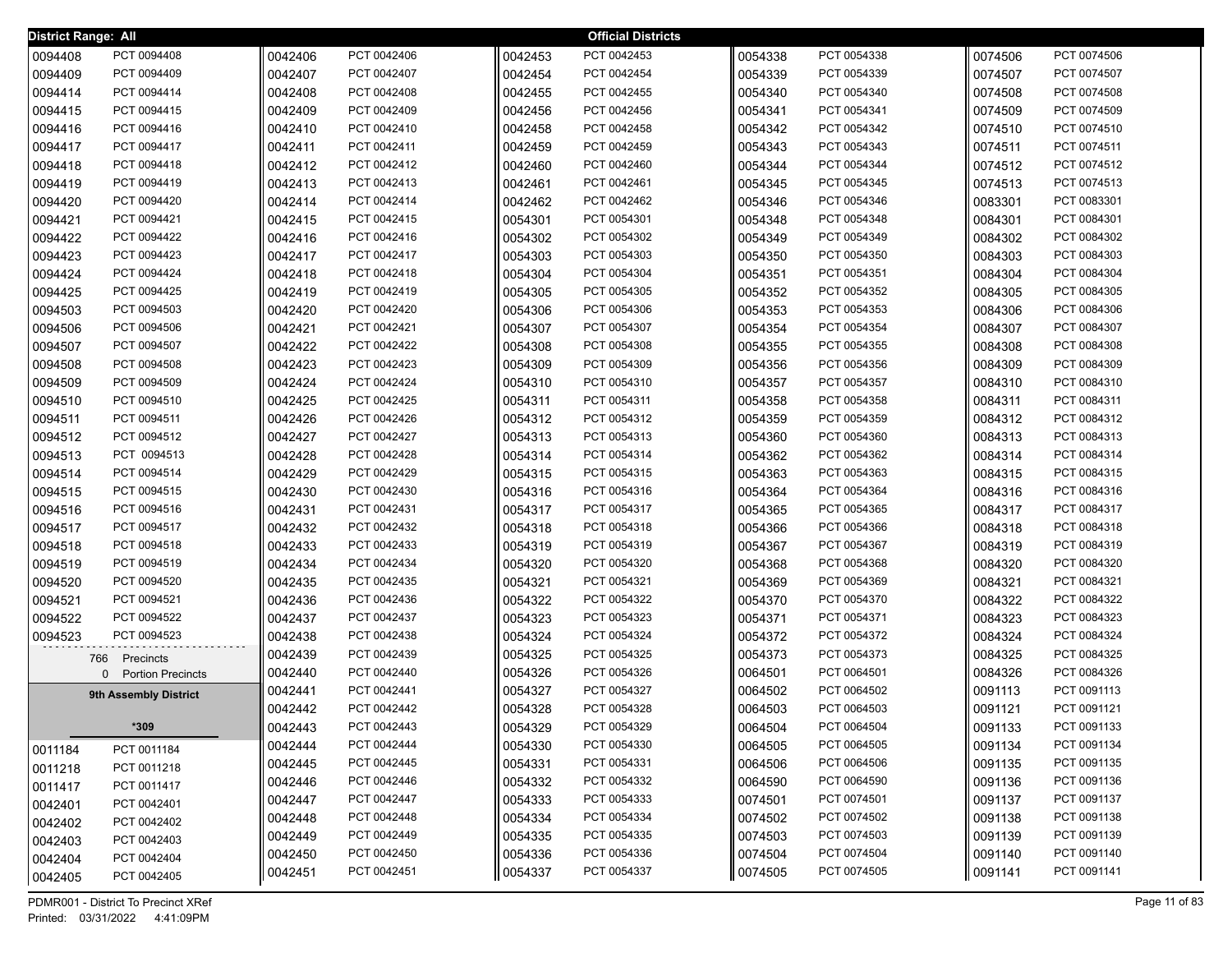| <b>District Range: All</b> |                          |         |             |         | <b>Official Districts</b> |         |             |         |             |
|----------------------------|--------------------------|---------|-------------|---------|---------------------------|---------|-------------|---------|-------------|
| 0094408                    | PCT 0094408              | 0042406 | PCT 0042406 | 0042453 | PCT 0042453               | 0054338 | PCT 0054338 | 0074506 | PCT 0074506 |
| 0094409                    | PCT 0094409              | 0042407 | PCT 0042407 | 0042454 | PCT 0042454               | 0054339 | PCT 0054339 | 0074507 | PCT 0074507 |
| 0094414                    | PCT 0094414              | 0042408 | PCT 0042408 | 0042455 | PCT 0042455               | 0054340 | PCT 0054340 | 0074508 | PCT 0074508 |
| 0094415                    | PCT 0094415              | 0042409 | PCT 0042409 | 0042456 | PCT 0042456               | 0054341 | PCT 0054341 | 0074509 | PCT 0074509 |
| 0094416                    | PCT 0094416              | 0042410 | PCT 0042410 | 0042458 | PCT 0042458               | 0054342 | PCT 0054342 | 0074510 | PCT 0074510 |
| 0094417                    | PCT 0094417              | 0042411 | PCT 0042411 | 0042459 | PCT 0042459               | 0054343 | PCT 0054343 | 0074511 | PCT 0074511 |
| 0094418                    | PCT 0094418              | 0042412 | PCT 0042412 | 0042460 | PCT 0042460               | 0054344 | PCT 0054344 | 0074512 | PCT 0074512 |
| 0094419                    | PCT 0094419              | 0042413 | PCT 0042413 | 0042461 | PCT 0042461               | 0054345 | PCT 0054345 | 0074513 | PCT 0074513 |
| 0094420                    | PCT 0094420              | 0042414 | PCT 0042414 | 0042462 | PCT 0042462               | 0054346 | PCT 0054346 | 0083301 | PCT 0083301 |
| 0094421                    | PCT 0094421              | 0042415 | PCT 0042415 | 0054301 | PCT 0054301               | 0054348 | PCT 0054348 | 0084301 | PCT 0084301 |
| 0094422                    | PCT 0094422              | 0042416 | PCT 0042416 | 0054302 | PCT 0054302               | 0054349 | PCT 0054349 | 0084302 | PCT 0084302 |
| 0094423                    | PCT 0094423              | 0042417 | PCT 0042417 | 0054303 | PCT 0054303               | 0054350 | PCT 0054350 | 0084303 | PCT 0084303 |
| 0094424                    | PCT 0094424              | 0042418 | PCT 0042418 | 0054304 | PCT 0054304               | 0054351 | PCT 0054351 | 0084304 | PCT 0084304 |
| 0094425                    | PCT 0094425              | 0042419 | PCT 0042419 | 0054305 | PCT 0054305               | 0054352 | PCT 0054352 | 0084305 | PCT 0084305 |
| 0094503                    | PCT 0094503              | 0042420 | PCT 0042420 | 0054306 | PCT 0054306               | 0054353 | PCT 0054353 | 0084306 | PCT 0084306 |
| 0094506                    | PCT 0094506              | 0042421 | PCT 0042421 | 0054307 | PCT 0054307               | 0054354 | PCT 0054354 | 0084307 | PCT 0084307 |
| 0094507                    | PCT 0094507              | 0042422 | PCT 0042422 | 0054308 | PCT 0054308               | 0054355 | PCT 0054355 | 0084308 | PCT 0084308 |
| 0094508                    | PCT 0094508              | 0042423 | PCT 0042423 | 0054309 | PCT 0054309               | 0054356 | PCT 0054356 | 0084309 | PCT 0084309 |
| 0094509                    | PCT 0094509              | 0042424 | PCT 0042424 | 0054310 | PCT 0054310               | 0054357 | PCT 0054357 | 0084310 | PCT 0084310 |
| 0094510                    | PCT 0094510              | 0042425 | PCT 0042425 | 0054311 | PCT 0054311               | 0054358 | PCT 0054358 | 0084311 | PCT 0084311 |
| 0094511                    | PCT 0094511              | 0042426 | PCT 0042426 | 0054312 | PCT 0054312               | 0054359 | PCT 0054359 | 0084312 | PCT 0084312 |
| 0094512                    | PCT 0094512              | 0042427 | PCT 0042427 | 0054313 | PCT 0054313               | 0054360 | PCT 0054360 | 0084313 | PCT 0084313 |
| 0094513                    | PCT 0094513              | 0042428 | PCT 0042428 | 0054314 | PCT 0054314               | 0054362 | PCT 0054362 | 0084314 | PCT 0084314 |
| 0094514                    | PCT 0094514              | 0042429 | PCT 0042429 | 0054315 | PCT 0054315               | 0054363 | PCT 0054363 | 0084315 | PCT 0084315 |
| 0094515                    | PCT 0094515              | 0042430 | PCT 0042430 | 0054316 | PCT 0054316               | 0054364 | PCT 0054364 | 0084316 | PCT 0084316 |
| 0094516                    | PCT 0094516              | 0042431 | PCT 0042431 | 0054317 | PCT 0054317               | 0054365 | PCT 0054365 | 0084317 | PCT 0084317 |
| 0094517                    | PCT 0094517              | 0042432 | PCT 0042432 | 0054318 | PCT 0054318               | 0054366 | PCT 0054366 | 0084318 | PCT 0084318 |
| 0094518                    | PCT 0094518              | 0042433 | PCT 0042433 | 0054319 | PCT 0054319               | 0054367 | PCT 0054367 | 0084319 | PCT 0084319 |
| 0094519                    | PCT 0094519              | 0042434 | PCT 0042434 | 0054320 | PCT 0054320               | 0054368 | PCT 0054368 | 0084320 | PCT 0084320 |
| 0094520                    | PCT 0094520              | 0042435 | PCT 0042435 | 0054321 | PCT 0054321               | 0054369 | PCT 0054369 | 0084321 | PCT 0084321 |
| 0094521                    | PCT 0094521              | 0042436 | PCT 0042436 | 0054322 | PCT 0054322               | 0054370 | PCT 0054370 | 0084322 | PCT 0084322 |
| 0094522                    | PCT 0094522              | 0042437 | PCT 0042437 | 0054323 | PCT 0054323               | 0054371 | PCT 0054371 | 0084323 | PCT 0084323 |
| 0094523                    | PCT 0094523              | 0042438 | PCT 0042438 | 0054324 | PCT 0054324               | 0054372 | PCT 0054372 | 0084324 | PCT 0084324 |
| 766                        | Precincts                | 0042439 | PCT 0042439 | 0054325 | PCT 0054325               | 0054373 | PCT 0054373 | 0084325 | PCT 0084325 |
| 0                          | <b>Portion Precincts</b> | 0042440 | PCT 0042440 | 0054326 | PCT 0054326               | 0064501 | PCT 0064501 | 0084326 | PCT 0084326 |
|                            | 9th Assembly District    | 0042441 | PCT 0042441 | 0054327 | PCT 0054327               | 0064502 | PCT 0064502 | 0091113 | PCT 0091113 |
|                            |                          | 0042442 | PCT 0042442 | 0054328 | PCT 0054328               | 0064503 | PCT 0064503 | 0091121 | PCT 0091121 |
|                            | $*309$                   | 0042443 | PCT 0042443 | 0054329 | PCT 0054329               | 0064504 | PCT 0064504 | 0091133 | PCT 0091133 |
| 0011184                    | PCT 0011184              | 0042444 | PCT 0042444 | 0054330 | PCT 0054330               | 0064505 | PCT 0064505 | 0091134 | PCT 0091134 |
| 0011218                    | PCT 0011218              | 0042445 | PCT 0042445 | 0054331 | PCT 0054331               | 0064506 | PCT 0064506 | 0091135 | PCT 0091135 |
| 0011417                    | PCT 0011417              | 0042446 | PCT 0042446 | 0054332 | PCT 0054332               | 0064590 | PCT 0064590 | 0091136 | PCT 0091136 |
| 0042401                    | PCT 0042401              | 0042447 | PCT 0042447 | 0054333 | PCT 0054333               | 0074501 | PCT 0074501 | 0091137 | PCT 0091137 |
| 0042402                    | PCT 0042402              | 0042448 | PCT 0042448 | 0054334 | PCT 0054334               | 0074502 | PCT 0074502 | 0091138 | PCT 0091138 |
| 0042403                    | PCT 0042403              | 0042449 | PCT 0042449 | 0054335 | PCT 0054335               | 0074503 | PCT 0074503 | 0091139 | PCT 0091139 |
| 0042404                    | PCT 0042404              | 0042450 | PCT 0042450 | 0054336 | PCT 0054336               | 0074504 | PCT 0074504 | 0091140 | PCT 0091140 |
| 0042405                    | PCT 0042405              | 0042451 | PCT 0042451 | 0054337 | PCT 0054337               | 0074505 | PCT 0074505 | 0091141 | PCT 0091141 |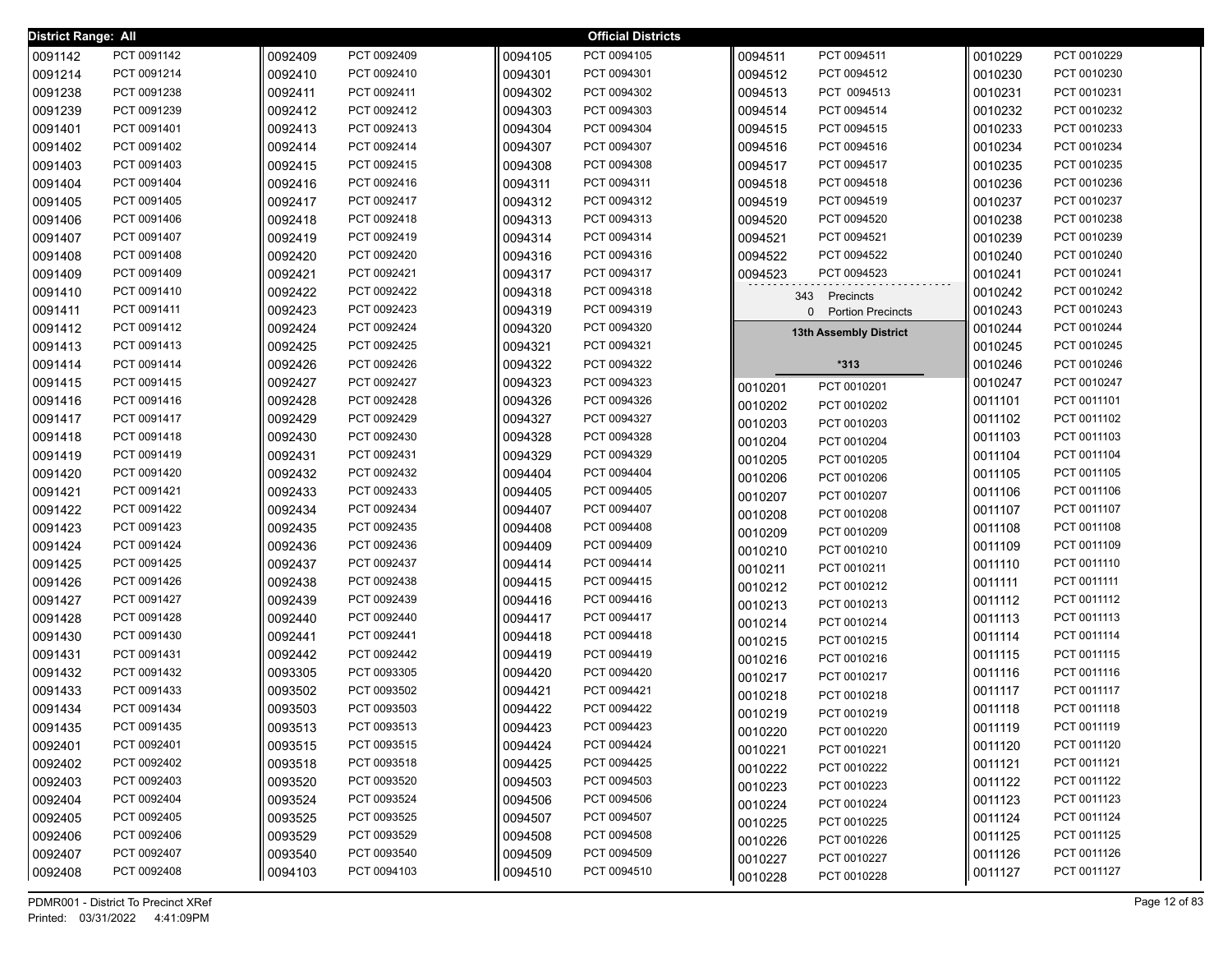| District Range: All |                            |         |             |         | <b>Official Districts</b> |         |                                          |         |             |
|---------------------|----------------------------|---------|-------------|---------|---------------------------|---------|------------------------------------------|---------|-------------|
| 0091142             | PCT 0091142                | 0092409 | PCT 0092409 | 0094105 | PCT 0094105               | 0094511 | PCT 0094511                              | 0010229 | PCT 0010229 |
| 0091214             | PCT 0091214                | 0092410 | PCT 0092410 | 0094301 | PCT 0094301               | 0094512 | PCT 0094512                              | 0010230 | PCT 0010230 |
| 0091238             | PCT 0091238                | 0092411 | PCT 0092411 | 0094302 | PCT 0094302               | 0094513 | PCT 0094513                              | 0010231 | PCT 0010231 |
| 0091239             | PCT 0091239                | 0092412 | PCT 0092412 | 0094303 | PCT 0094303               | 0094514 | PCT 0094514                              | 0010232 | PCT 0010232 |
| 0091401             | PCT 0091401                | 0092413 | PCT 0092413 | 0094304 | PCT 0094304               | 0094515 | PCT 0094515                              | 0010233 | PCT 0010233 |
| 0091402             | PCT 0091402                | 0092414 | PCT 0092414 | 0094307 | PCT 0094307               | 0094516 | PCT 0094516                              | 0010234 | PCT 0010234 |
| 0091403             | PCT 0091403                | 0092415 | PCT 0092415 | 0094308 | PCT 0094308               | 0094517 | PCT 0094517                              | 0010235 | PCT 0010235 |
| 0091404             | PCT 0091404                | 0092416 | PCT 0092416 | 0094311 | PCT 0094311               | 0094518 | PCT 0094518                              | 0010236 | PCT 0010236 |
| 0091405             | PCT 0091405                | 0092417 | PCT 0092417 | 0094312 | PCT 0094312               | 0094519 | PCT 0094519                              | 0010237 | PCT 0010237 |
| 0091406             | PCT 0091406                | 0092418 | PCT 0092418 | 0094313 | PCT 0094313               | 0094520 | PCT 0094520                              | 0010238 | PCT 0010238 |
| 0091407             | PCT 0091407                | 0092419 | PCT 0092419 | 0094314 | PCT 0094314               | 0094521 | PCT 0094521                              | 0010239 | PCT 0010239 |
| 0091408             | PCT 0091408                | 0092420 | PCT 0092420 | 0094316 | PCT 0094316               | 0094522 | PCT 0094522                              | 0010240 | PCT 0010240 |
| 0091409             | PCT 0091409                | 0092421 | PCT 0092421 | 0094317 | PCT 0094317               | 0094523 | PCT 0094523                              | 0010241 | PCT 0010241 |
| 0091410             | PCT 0091410                | 0092422 | PCT 0092422 | 0094318 | PCT 0094318               |         | 343 Precincts                            | 0010242 | PCT 0010242 |
| 0091411             | PCT 0091411                | 0092423 | PCT 0092423 | 0094319 | PCT 0094319               |         | <b>Portion Precincts</b><br>$\mathbf{0}$ | 0010243 | PCT 0010243 |
| 0091412             | PCT 0091412                | 0092424 | PCT 0092424 | 0094320 | PCT 0094320               |         | 13th Assembly District                   | 0010244 | PCT 0010244 |
| 0091413             | PCT 0091413                | 0092425 | PCT 0092425 | 0094321 | PCT 0094321               |         |                                          | 0010245 | PCT 0010245 |
| 0091414             | PCT 0091414                | 0092426 | PCT 0092426 | 0094322 | PCT 0094322               |         | $*313$                                   | 0010246 | PCT 0010246 |
| 0091415             | PCT 0091415                | 0092427 | PCT 0092427 | 0094323 | PCT 0094323               | 0010201 | PCT 0010201                              | 0010247 | PCT 0010247 |
| 0091416             | PCT 0091416                | 0092428 | PCT 0092428 | 0094326 | PCT 0094326               | 0010202 | PCT 0010202                              | 0011101 | PCT 0011101 |
| 0091417             | PCT 0091417                | 0092429 | PCT 0092429 | 0094327 | PCT 0094327               | 0010203 | PCT 0010203                              | 0011102 | PCT 0011102 |
| 0091418             | PCT 0091418                | 0092430 | PCT 0092430 | 0094328 | PCT 0094328               | 0010204 | PCT 0010204                              | 0011103 | PCT 0011103 |
| 0091419             | PCT 0091419                | 0092431 | PCT 0092431 | 0094329 | PCT 0094329               | 0010205 | PCT 0010205                              | 0011104 | PCT 0011104 |
| 0091420             | PCT 0091420                | 0092432 | PCT 0092432 | 0094404 | PCT 0094404               | 0010206 | PCT 0010206                              | 0011105 | PCT 0011105 |
| 0091421             | PCT 0091421                | 0092433 | PCT 0092433 | 0094405 | PCT 0094405               | 0010207 | PCT 0010207                              | 0011106 | PCT 0011106 |
| 0091422             | PCT 0091422                | 0092434 | PCT 0092434 | 0094407 | PCT 0094407               | 0010208 | PCT 0010208                              | 0011107 | PCT 0011107 |
| 0091423             | PCT 0091423                | 0092435 | PCT 0092435 | 0094408 | PCT 0094408               | 0010209 | PCT 0010209                              | 0011108 | PCT 0011108 |
| 0091424             | PCT 0091424                | 0092436 | PCT 0092436 | 0094409 | PCT 0094409               | 0010210 | PCT 0010210                              | 0011109 | PCT 0011109 |
| 0091425             | PCT 0091425                | 0092437 | PCT 0092437 | 0094414 | PCT 0094414               | 0010211 | PCT 0010211                              | 0011110 | PCT 0011110 |
| 0091426             | PCT 0091426                | 0092438 | PCT 0092438 | 0094415 | PCT 0094415               | 0010212 | PCT 0010212                              | 0011111 | PCT 0011111 |
| 0091427             | PCT 0091427                | 0092439 | PCT 0092439 | 0094416 | PCT 0094416               | 0010213 | PCT 0010213                              | 0011112 | PCT 0011112 |
| 0091428             | PCT 0091428                | 0092440 | PCT 0092440 | 0094417 | PCT 0094417               | 0010214 | PCT 0010214                              | 0011113 | PCT 0011113 |
| 0091430             | PCT 0091430                | 0092441 | PCT 0092441 | 0094418 | PCT 0094418               | 0010215 | PCT 0010215                              | 0011114 | PCT 0011114 |
| 0091431             | PCT 0091431                | 0092442 | PCT 0092442 | 0094419 | PCT 0094419               | 0010216 | PCT 0010216                              | 0011115 | PCT 0011115 |
| 0091432             | PCT 0091432                | 0093305 | PCT 0093305 | 0094420 | PCT 0094420               | 0010217 | PCT 0010217                              | 0011116 | PCT 0011116 |
| 0091433             | PCT 0091433                | 0093502 | PCT 0093502 | 0094421 | PCT 0094421               | 0010218 | PCT 0010218                              | 0011117 | PCT 0011117 |
| 0091434             | PCT 0091434                | 0093503 | PCT 0093503 | 0094422 | PCT 0094422               | 0010219 | PCT 0010219                              | 0011118 | PCT 0011118 |
| 0091435             | PCT 0091435                | 0093513 | PCT 0093513 | 0094423 | PCT 0094423               | 0010220 | PCT 0010220                              | 0011119 | PCT 0011119 |
| 0092401             | PCT 0092401                | 0093515 | PCT 0093515 | 0094424 | PCT 0094424               | 0010221 | PCT 0010221                              | 0011120 | PCT 0011120 |
| 0092402             | PCT 0092402                | 0093518 | PCT 0093518 | 0094425 | PCT 0094425               | 0010222 | PCT 0010222                              | 0011121 | PCT 0011121 |
| 0092403             | PCT 0092403                | 0093520 | PCT 0093520 | 0094503 | PCT 0094503               | 0010223 | PCT 0010223                              | 0011122 | PCT 0011122 |
| 0092404             | PCT 0092404<br>PCT 0092405 | 0093524 | PCT 0093524 | 0094506 | PCT 0094506               | 0010224 | PCT 0010224                              | 0011123 | PCT 0011123 |
| 0092405             |                            | 0093525 | PCT 0093525 | 0094507 | PCT 0094507               | 0010225 | PCT 0010225                              | 0011124 | PCT 0011124 |
| 0092406             | PCT 0092406                | 0093529 | PCT 0093529 | 0094508 | PCT 0094508               | 0010226 | PCT 0010226                              | 0011125 | PCT 0011125 |
| 0092407             | PCT 0092407                | 0093540 | PCT 0093540 | 0094509 | PCT 0094509               | 0010227 | PCT 0010227                              | 0011126 | PCT 0011126 |
| 0092408             | PCT 0092408                | 0094103 | PCT 0094103 | 0094510 | PCT 0094510               | 0010228 | PCT 0010228                              | 0011127 | PCT 0011127 |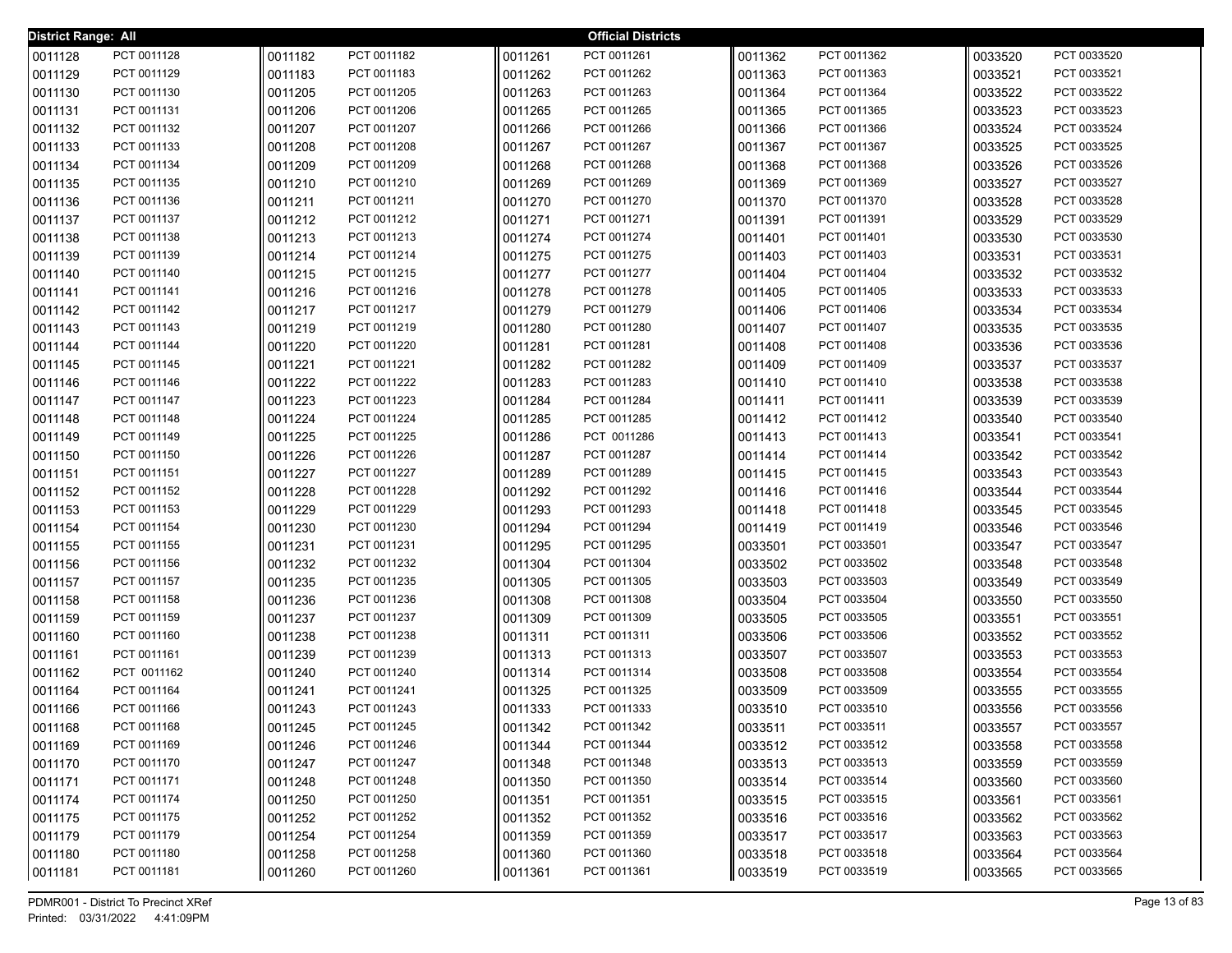| <b>District Range: All</b> |             |         |                            |         | <b>Official Districts</b> |         |             |         |                            |
|----------------------------|-------------|---------|----------------------------|---------|---------------------------|---------|-------------|---------|----------------------------|
| 0011128                    | PCT 0011128 | 0011182 | PCT 0011182                | 0011261 | PCT 0011261               | 0011362 | PCT 0011362 | 0033520 | PCT 0033520                |
| 0011129                    | PCT 0011129 | 0011183 | PCT 0011183                | 0011262 | PCT 0011262               | 0011363 | PCT 0011363 | 0033521 | PCT 0033521                |
| 0011130                    | PCT 0011130 | 0011205 | PCT 0011205                | 0011263 | PCT 0011263               | 0011364 | PCT 0011364 | 0033522 | PCT 0033522                |
| 0011131                    | PCT 0011131 | 0011206 | PCT 0011206                | 0011265 | PCT 0011265               | 0011365 | PCT 0011365 | 0033523 | PCT 0033523                |
| 0011132                    | PCT 0011132 | 0011207 | PCT 0011207                | 0011266 | PCT 0011266               | 0011366 | PCT 0011366 | 0033524 | PCT 0033524                |
| 0011133                    | PCT 0011133 | 0011208 | PCT 0011208                | 0011267 | PCT 0011267               | 0011367 | PCT 0011367 | 0033525 | PCT 0033525                |
| 0011134                    | PCT 0011134 | 0011209 | PCT 0011209                | 0011268 | PCT 0011268               | 0011368 | PCT 0011368 | 0033526 | PCT 0033526                |
| 0011135                    | PCT 0011135 | 0011210 | PCT 0011210                | 0011269 | PCT 0011269               | 0011369 | PCT 0011369 | 0033527 | PCT 0033527                |
| 0011136                    | PCT 0011136 | 0011211 | PCT 0011211                | 0011270 | PCT 0011270               | 0011370 | PCT 0011370 | 0033528 | PCT 0033528                |
| 0011137                    | PCT 0011137 | 0011212 | PCT 0011212                | 0011271 | PCT 0011271               | 0011391 | PCT 0011391 | 0033529 | PCT 0033529                |
| 0011138                    | PCT 0011138 | 0011213 | PCT 0011213                | 0011274 | PCT 0011274               | 0011401 | PCT 0011401 | 0033530 | PCT 0033530                |
| 0011139                    | PCT 0011139 | 0011214 | PCT 0011214                | 0011275 | PCT 0011275               | 0011403 | PCT 0011403 | 0033531 | PCT 0033531                |
| 0011140                    | PCT 0011140 | 0011215 | PCT 0011215                | 0011277 | PCT 0011277               | 0011404 | PCT 0011404 | 0033532 | PCT 0033532                |
| 0011141                    | PCT 0011141 | 0011216 | PCT 0011216                | 0011278 | PCT 0011278               | 0011405 | PCT 0011405 | 0033533 | PCT 0033533                |
| 0011142                    | PCT 0011142 | 0011217 | PCT 0011217                | 0011279 | PCT 0011279               | 0011406 | PCT 0011406 | 0033534 | PCT 0033534                |
| 0011143                    | PCT 0011143 | 0011219 | PCT 0011219                | 0011280 | PCT 0011280               | 0011407 | PCT 0011407 | 0033535 | PCT 0033535                |
| 0011144                    | PCT 0011144 | 0011220 | PCT 0011220                | 0011281 | PCT 0011281               | 0011408 | PCT 0011408 | 0033536 | PCT 0033536                |
| 0011145                    | PCT 0011145 | 0011221 | PCT 0011221                | 0011282 | PCT 0011282               | 0011409 | PCT 0011409 | 0033537 | PCT 0033537                |
| 0011146                    | PCT 0011146 | 0011222 | PCT 0011222                | 0011283 | PCT 0011283               | 0011410 | PCT 0011410 | 0033538 | PCT 0033538                |
| 0011147                    | PCT 0011147 | 0011223 | PCT 0011223                | 0011284 | PCT 0011284               | 0011411 | PCT 0011411 | 0033539 | PCT 0033539                |
| 0011148                    | PCT 0011148 | 0011224 | PCT 0011224                | 0011285 | PCT 0011285               | 0011412 | PCT 0011412 | 0033540 | PCT 0033540                |
| 0011149                    | PCT 0011149 | 0011225 | PCT 0011225                | 0011286 | PCT 0011286               | 0011413 | PCT 0011413 | 0033541 | PCT 0033541                |
| 0011150                    | PCT 0011150 | 0011226 | PCT 0011226                | 0011287 | PCT 0011287               | 0011414 | PCT 0011414 | 0033542 | PCT 0033542                |
| 0011151                    | PCT 0011151 | 0011227 | PCT 0011227                | 0011289 | PCT 0011289               | 0011415 | PCT 0011415 | 0033543 | PCT 0033543                |
| 0011152                    | PCT 0011152 | 0011228 | PCT 0011228                | 0011292 | PCT 0011292               | 0011416 | PCT 0011416 | 0033544 | PCT 0033544                |
| 0011153                    | PCT 0011153 | 0011229 | PCT 0011229                | 0011293 | PCT 0011293               | 0011418 | PCT 0011418 | 0033545 | PCT 0033545                |
| 0011154                    | PCT 0011154 | 0011230 | PCT 0011230                | 0011294 | PCT 0011294               | 0011419 | PCT 0011419 | 0033546 | PCT 0033546                |
| 0011155                    | PCT 0011155 | 0011231 | PCT 0011231                | 0011295 | PCT 0011295               | 0033501 | PCT 0033501 | 0033547 | PCT 0033547                |
| 0011156                    | PCT 0011156 | 0011232 | PCT 0011232                | 0011304 | PCT 0011304               | 0033502 | PCT 0033502 | 0033548 | PCT 0033548                |
| 0011157                    | PCT 0011157 | 0011235 | PCT 0011235                | 0011305 | PCT 0011305               | 0033503 | PCT 0033503 | 0033549 | PCT 0033549                |
| 0011158                    | PCT 0011158 | 0011236 | PCT 0011236                | 0011308 | PCT 0011308               | 0033504 | PCT 0033504 | 0033550 | PCT 0033550                |
| 0011159                    | PCT 0011159 | 0011237 | PCT 0011237                | 0011309 | PCT 0011309               | 0033505 | PCT 0033505 | 0033551 | PCT 0033551                |
| 0011160                    | PCT 0011160 | 0011238 | PCT 0011238                | 0011311 | PCT 0011311               | 0033506 | PCT 0033506 | 0033552 | PCT 0033552                |
| 0011161                    | PCT 0011161 | 0011239 | PCT 0011239                | 0011313 | PCT 0011313               | 0033507 | PCT 0033507 | 0033553 | PCT 0033553                |
| 0011162                    | PCT 0011162 | 0011240 | PCT 0011240                | 0011314 | PCT 0011314               | 0033508 | PCT 0033508 | 0033554 | PCT 0033554                |
| 0011164                    | PCT 0011164 | 0011241 | PCT 0011241                | 0011325 | PCT 0011325               | 0033509 | PCT 0033509 | 0033555 | PCT 0033555                |
| 0011166                    | PCT 0011166 | 0011243 | PCT 0011243                | 0011333 | PCT 0011333               | 0033510 | PCT 0033510 | 0033556 | PCT 0033556                |
| 0011168                    | PCT 0011168 | 0011245 | PCT 0011245                | 0011342 | PCT 0011342               | 0033511 | PCT 0033511 | 0033557 | PCT 0033557                |
| 0011169                    | PCT 0011169 | 0011246 | PCT 0011246                | 0011344 | PCT 0011344               | 0033512 | PCT 0033512 | 0033558 | PCT 0033558<br>PCT 0033559 |
| 0011170                    | PCT 0011170 | 0011247 | PCT 0011247                | 0011348 | PCT 0011348               | 0033513 | PCT 0033513 | 0033559 |                            |
| 0011171                    | PCT 0011171 | 0011248 | PCT 0011248                | 0011350 | PCT 0011350               | 0033514 | PCT 0033514 | 0033560 | PCT 0033560                |
| 0011174                    | PCT 0011174 | 0011250 | PCT 0011250                | 0011351 | PCT 0011351               | 0033515 | PCT 0033515 | 0033561 | PCT 0033561                |
| 0011175                    | PCT 0011175 | 0011252 | PCT 0011252<br>PCT 0011254 | 0011352 | PCT 0011352               | 0033516 | PCT 0033516 | 0033562 | PCT 0033562                |
| 0011179                    | PCT 0011179 | 0011254 |                            | 0011359 | PCT 0011359               | 0033517 | PCT 0033517 | 0033563 | PCT 0033563<br>PCT 0033564 |
| 0011180                    | PCT 0011180 | 0011258 | PCT 0011258                | 0011360 | PCT 0011360               | 0033518 | PCT 0033518 | 0033564 |                            |
| 0011181                    | PCT 0011181 | 0011260 | PCT 0011260                | 0011361 | PCT 0011361               | 0033519 | PCT 0033519 | 0033565 | PCT 0033565                |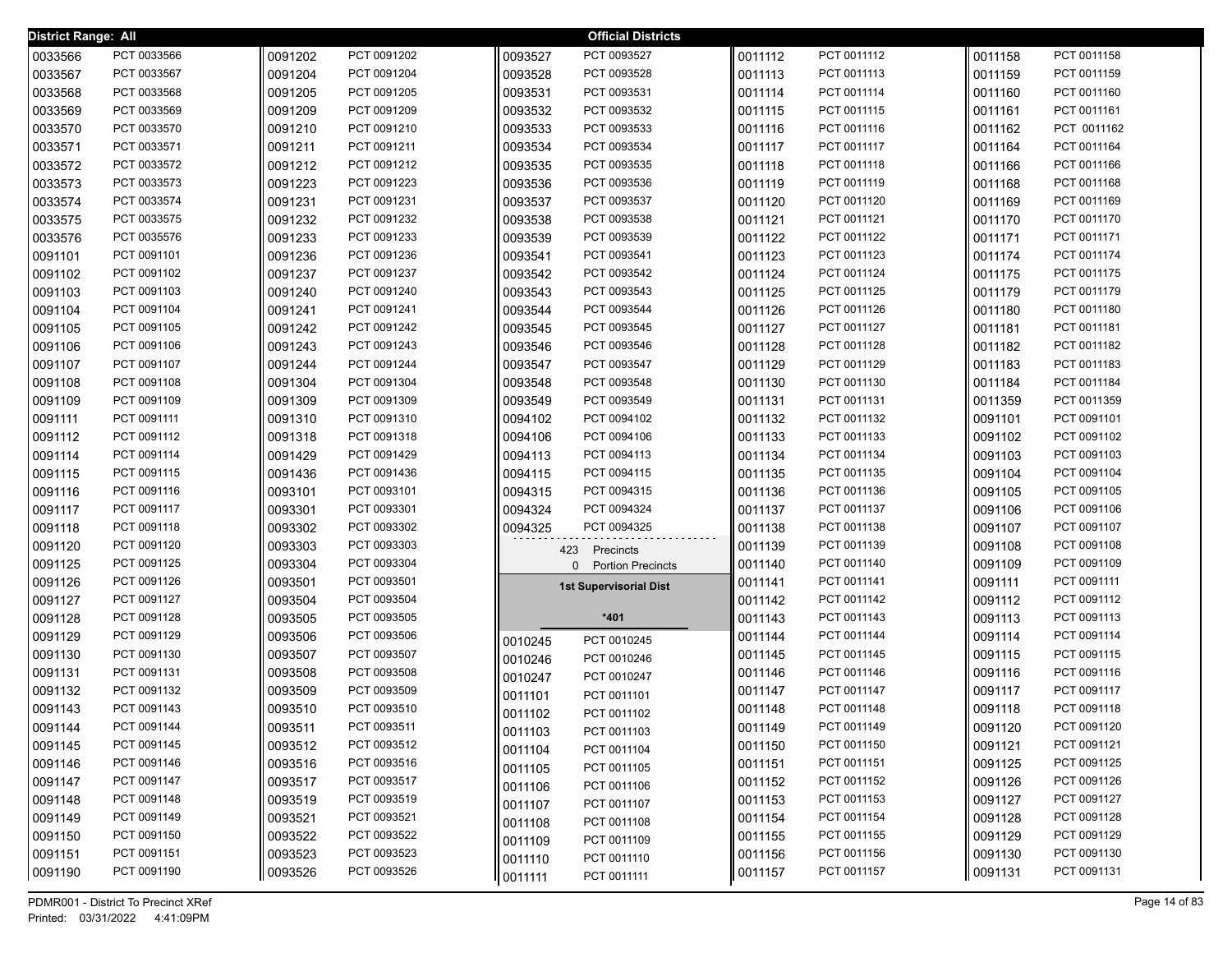| <b>District Range: All</b> |             |         |             |              | <b>Official Districts</b>     |         |             |         |             |
|----------------------------|-------------|---------|-------------|--------------|-------------------------------|---------|-------------|---------|-------------|
| 0033566                    | PCT 0033566 | 0091202 | PCT 0091202 | 0093527      | PCT 0093527                   | 0011112 | PCT 0011112 | 0011158 | PCT 0011158 |
| 0033567                    | PCT 0033567 | 0091204 | PCT 0091204 | 0093528      | PCT 0093528                   | 0011113 | PCT 0011113 | 0011159 | PCT 0011159 |
| 0033568                    | PCT 0033568 | 0091205 | PCT 0091205 | 0093531      | PCT 0093531                   | 0011114 | PCT 0011114 | 0011160 | PCT 0011160 |
| 0033569                    | PCT 0033569 | 0091209 | PCT 0091209 | 0093532      | PCT 0093532                   | 0011115 | PCT 0011115 | 0011161 | PCT 0011161 |
| 0033570                    | PCT 0033570 | 0091210 | PCT 0091210 | 0093533      | PCT 0093533                   | 0011116 | PCT 0011116 | 0011162 | PCT 0011162 |
| 0033571                    | PCT 0033571 | 0091211 | PCT 0091211 | 0093534      | PCT 0093534                   | 0011117 | PCT 0011117 | 0011164 | PCT 0011164 |
| 0033572                    | PCT 0033572 | 0091212 | PCT 0091212 | 0093535      | PCT 0093535                   | 0011118 | PCT 0011118 | 0011166 | PCT 0011166 |
| 0033573                    | PCT 0033573 | 0091223 | PCT 0091223 | 0093536      | PCT 0093536                   | 0011119 | PCT 0011119 | 0011168 | PCT 0011168 |
| 0033574                    | PCT 0033574 | 0091231 | PCT 0091231 | 0093537      | PCT 0093537                   | 0011120 | PCT 0011120 | 0011169 | PCT 0011169 |
| 0033575                    | PCT 0033575 | 0091232 | PCT 0091232 | 0093538      | PCT 0093538                   | 0011121 | PCT 0011121 | 0011170 | PCT 0011170 |
| 0033576                    | PCT 0035576 | 0091233 | PCT 0091233 | 0093539      | PCT 0093539                   | 0011122 | PCT 0011122 | 0011171 | PCT 0011171 |
| 0091101                    | PCT 0091101 | 0091236 | PCT 0091236 | 0093541      | PCT 0093541                   | 0011123 | PCT 0011123 | 0011174 | PCT 0011174 |
| 0091102                    | PCT 0091102 | 0091237 | PCT 0091237 | 0093542      | PCT 0093542                   | 0011124 | PCT 0011124 | 0011175 | PCT 0011175 |
| 0091103                    | PCT 0091103 | 0091240 | PCT 0091240 | 0093543      | PCT 0093543                   | 0011125 | PCT 0011125 | 0011179 | PCT 0011179 |
| 0091104                    | PCT 0091104 | 0091241 | PCT 0091241 | 0093544      | PCT 0093544                   | 0011126 | PCT 0011126 | 0011180 | PCT 0011180 |
| 0091105                    | PCT 0091105 | 0091242 | PCT 0091242 | 0093545      | PCT 0093545                   | 0011127 | PCT 0011127 | 0011181 | PCT 0011181 |
| 0091106                    | PCT 0091106 | 0091243 | PCT 0091243 | 0093546      | PCT 0093546                   | 0011128 | PCT 0011128 | 0011182 | PCT 0011182 |
| 0091107                    | PCT 0091107 | 0091244 | PCT 0091244 | 0093547      | PCT 0093547                   | 0011129 | PCT 0011129 | 0011183 | PCT 0011183 |
| 0091108                    | PCT 0091108 | 0091304 | PCT 0091304 | 0093548      | PCT 0093548                   | 0011130 | PCT 0011130 | 0011184 | PCT 0011184 |
| 0091109                    | PCT 0091109 | 0091309 | PCT 0091309 | 0093549      | PCT 0093549                   | 0011131 | PCT 0011131 | 0011359 | PCT 0011359 |
| 0091111                    | PCT 0091111 | 0091310 | PCT 0091310 | 0094102      | PCT 0094102                   | 0011132 | PCT 0011132 | 0091101 | PCT 0091101 |
| 0091112                    | PCT 0091112 | 0091318 | PCT 0091318 | 0094106      | PCT 0094106                   | 0011133 | PCT 0011133 | 0091102 | PCT 0091102 |
| 0091114                    | PCT 0091114 | 0091429 | PCT 0091429 | 0094113      | PCT 0094113                   | 0011134 | PCT 0011134 | 0091103 | PCT 0091103 |
| 0091115                    | PCT 0091115 | 0091436 | PCT 0091436 | 0094115      | PCT 0094115                   | 0011135 | PCT 0011135 | 0091104 | PCT 0091104 |
| 0091116                    | PCT 0091116 | 0093101 | PCT 0093101 | 0094315      | PCT 0094315                   | 0011136 | PCT 0011136 | 0091105 | PCT 0091105 |
| 0091117                    | PCT 0091117 | 0093301 | PCT 0093301 | 0094324      | PCT 0094324                   | 0011137 | PCT 0011137 | 0091106 | PCT 0091106 |
| 0091118                    | PCT 0091118 | 0093302 | PCT 0093302 | 0094325      | PCT 0094325                   | 0011138 | PCT 0011138 | 0091107 | PCT 0091107 |
| 0091120                    | PCT 0091120 | 0093303 | PCT 0093303 | 423          | Precincts                     | 0011139 | PCT 0011139 | 0091108 | PCT 0091108 |
| 0091125                    | PCT 0091125 | 0093304 | PCT 0093304 | $\mathbf{0}$ | <b>Portion Precincts</b>      | 0011140 | PCT 0011140 | 0091109 | PCT 0091109 |
| 0091126                    | PCT 0091126 | 0093501 | PCT 0093501 |              | <b>1st Supervisorial Dist</b> | 0011141 | PCT 0011141 | 0091111 | PCT 0091111 |
| 0091127                    | PCT 0091127 | 0093504 | PCT 0093504 |              |                               | 0011142 | PCT 0011142 | 0091112 | PCT 0091112 |
| 0091128                    | PCT 0091128 | 0093505 | PCT 0093505 |              | $*401$                        | 0011143 | PCT 0011143 | 0091113 | PCT 0091113 |
| 0091129                    | PCT 0091129 | 0093506 | PCT 0093506 | 0010245      | PCT 0010245                   | 0011144 | PCT 0011144 | 0091114 | PCT 0091114 |
| 0091130                    | PCT 0091130 | 0093507 | PCT 0093507 | 0010246      | PCT 0010246                   | 0011145 | PCT 0011145 | 0091115 | PCT 0091115 |
| 0091131                    | PCT 0091131 | 0093508 | PCT 0093508 | 0010247      | PCT 0010247                   | 0011146 | PCT 0011146 | 0091116 | PCT 0091116 |
| 0091132                    | PCT 0091132 | 0093509 | PCT 0093509 | 0011101      | PCT 0011101                   | 0011147 | PCT 0011147 | 0091117 | PCT 0091117 |
| 0091143                    | PCT 0091143 | 0093510 | PCT 0093510 | 0011102      | PCT 0011102                   | 0011148 | PCT 0011148 | 0091118 | PCT 0091118 |
| 0091144                    | PCT 0091144 | 0093511 | PCT 0093511 | 0011103      | PCT 0011103                   | 0011149 | PCT 0011149 | 0091120 | PCT 0091120 |
| 0091145                    | PCT 0091145 | 0093512 | PCT 0093512 | 0011104      | PCT 0011104                   | 0011150 | PCT 0011150 | 0091121 | PCT 0091121 |
| 0091146                    | PCT 0091146 | 0093516 | PCT 0093516 | 0011105      | PCT 0011105                   | 0011151 | PCT 0011151 | 0091125 | PCT 0091125 |
| 0091147                    | PCT 0091147 | 0093517 | PCT 0093517 | 0011106      | PCT 0011106                   | 0011152 | PCT 0011152 | 0091126 | PCT 0091126 |
| 0091148                    | PCT 0091148 | 0093519 | PCT 0093519 | 0011107      | PCT 0011107                   | 0011153 | PCT 0011153 | 0091127 | PCT 0091127 |
| 0091149                    | PCT 0091149 | 0093521 | PCT 0093521 | 0011108      | PCT 0011108                   | 0011154 | PCT 0011154 | 0091128 | PCT 0091128 |
| 0091150                    | PCT 0091150 | 0093522 | PCT 0093522 | 0011109      | PCT 0011109                   | 0011155 | PCT 0011155 | 0091129 | PCT 0091129 |
| 0091151                    | PCT 0091151 | 0093523 | PCT 0093523 | 0011110      | PCT 0011110                   | 0011156 | PCT 0011156 | 0091130 | PCT 0091130 |
| 0091190                    | PCT 0091190 | 0093526 | PCT 0093526 | 0011111      | PCT 0011111                   | 0011157 | PCT 0011157 | 0091131 | PCT 0091131 |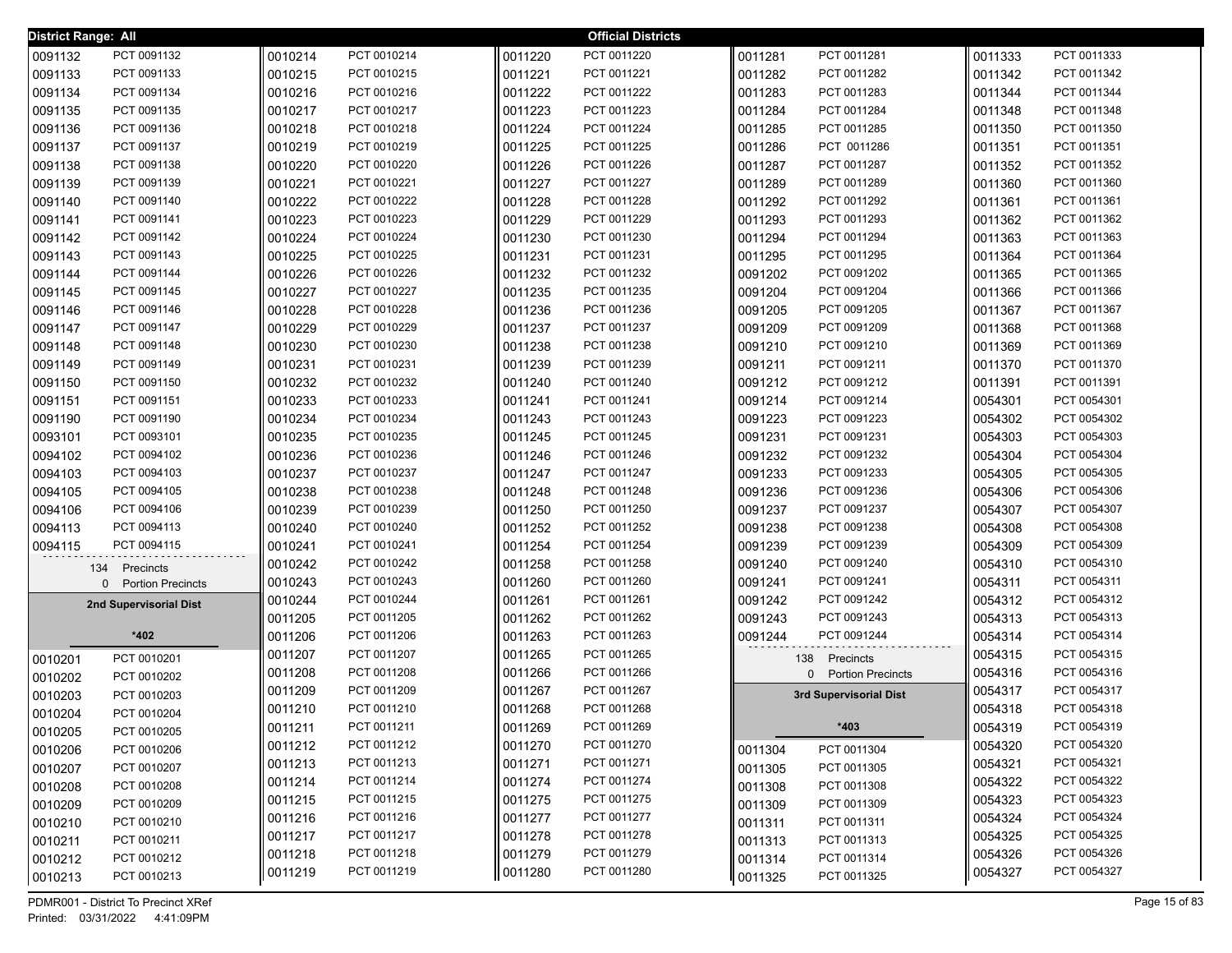| <b>District Range: All</b> |                        |         |             |         | <b>Official Districts</b> |         |                          |         |             |
|----------------------------|------------------------|---------|-------------|---------|---------------------------|---------|--------------------------|---------|-------------|
| 0091132                    | PCT 0091132            | 0010214 | PCT 0010214 | 0011220 | PCT 0011220               | 0011281 | PCT 0011281              | 0011333 | PCT 0011333 |
| 0091133                    | PCT 0091133            | 0010215 | PCT 0010215 | 0011221 | PCT 0011221               | 0011282 | PCT 0011282              | 0011342 | PCT 0011342 |
| 0091134                    | PCT 0091134            | 0010216 | PCT 0010216 | 0011222 | PCT 0011222               | 0011283 | PCT 0011283              | 0011344 | PCT 0011344 |
| 0091135                    | PCT 0091135            | 0010217 | PCT 0010217 | 0011223 | PCT 0011223               | 0011284 | PCT 0011284              | 0011348 | PCT 0011348 |
| 0091136                    | PCT 0091136            | 0010218 | PCT 0010218 | 0011224 | PCT 0011224               | 0011285 | PCT 0011285              | 0011350 | PCT 0011350 |
| 0091137                    | PCT 0091137            | 0010219 | PCT 0010219 | 0011225 | PCT 0011225               | 0011286 | PCT 0011286              | 0011351 | PCT 0011351 |
| 0091138                    | PCT 0091138            | 0010220 | PCT 0010220 | 0011226 | PCT 0011226               | 0011287 | PCT 0011287              | 0011352 | PCT 0011352 |
| 0091139                    | PCT 0091139            | 0010221 | PCT 0010221 | 0011227 | PCT 0011227               | 0011289 | PCT 0011289              | 0011360 | PCT 0011360 |
| 0091140                    | PCT 0091140            | 0010222 | PCT 0010222 | 0011228 | PCT 0011228               | 0011292 | PCT 0011292              | 0011361 | PCT 0011361 |
| 0091141                    | PCT 0091141            | 0010223 | PCT 0010223 | 0011229 | PCT 0011229               | 0011293 | PCT 0011293              | 0011362 | PCT 0011362 |
| 0091142                    | PCT 0091142            | 0010224 | PCT 0010224 | 0011230 | PCT 0011230               | 0011294 | PCT 0011294              | 0011363 | PCT 0011363 |
| 0091143                    | PCT 0091143            | 0010225 | PCT 0010225 | 0011231 | PCT 0011231               | 0011295 | PCT 0011295              | 0011364 | PCT 0011364 |
| 0091144                    | PCT 0091144            | 0010226 | PCT 0010226 | 0011232 | PCT 0011232               | 0091202 | PCT 0091202              | 0011365 | PCT 0011365 |
| 0091145                    | PCT 0091145            | 0010227 | PCT 0010227 | 0011235 | PCT 0011235               | 0091204 | PCT 0091204              | 0011366 | PCT 0011366 |
| 0091146                    | PCT 0091146            | 0010228 | PCT 0010228 | 0011236 | PCT 0011236               | 0091205 | PCT 0091205              | 0011367 | PCT 0011367 |
| 0091147                    | PCT 0091147            | 0010229 | PCT 0010229 | 0011237 | PCT 0011237               | 0091209 | PCT 0091209              | 0011368 | PCT 0011368 |
| 0091148                    | PCT 0091148            | 0010230 | PCT 0010230 | 0011238 | PCT 0011238               | 0091210 | PCT 0091210              | 0011369 | PCT 0011369 |
| 0091149                    | PCT 0091149            | 0010231 | PCT 0010231 | 0011239 | PCT 0011239               | 0091211 | PCT 0091211              | 0011370 | PCT 0011370 |
| 0091150                    | PCT 0091150            | 0010232 | PCT 0010232 | 0011240 | PCT 0011240               | 0091212 | PCT 0091212              | 0011391 | PCT 0011391 |
| 0091151                    | PCT 0091151            | 0010233 | PCT 0010233 | 0011241 | PCT 0011241               | 0091214 | PCT 0091214              | 0054301 | PCT 0054301 |
| 0091190                    | PCT 0091190            | 0010234 | PCT 0010234 | 0011243 | PCT 0011243               | 0091223 | PCT 0091223              | 0054302 | PCT 0054302 |
| 0093101                    | PCT 0093101            | 0010235 | PCT 0010235 | 0011245 | PCT 0011245               | 0091231 | PCT 0091231              | 0054303 | PCT 0054303 |
| 0094102                    | PCT 0094102            | 0010236 | PCT 0010236 | 0011246 | PCT 0011246               | 0091232 | PCT 0091232              | 0054304 | PCT 0054304 |
| 0094103                    | PCT 0094103            | 0010237 | PCT 0010237 | 0011247 | PCT 0011247               | 0091233 | PCT 0091233              | 0054305 | PCT 0054305 |
| 0094105                    | PCT 0094105            | 0010238 | PCT 0010238 | 0011248 | PCT 0011248               | 0091236 | PCT 0091236              | 0054306 | PCT 0054306 |
| 0094106                    | PCT 0094106            | 0010239 | PCT 0010239 | 0011250 | PCT 0011250               | 0091237 | PCT 0091237              | 0054307 | PCT 0054307 |
| 0094113                    | PCT 0094113            | 0010240 | PCT 0010240 | 0011252 | PCT 0011252               | 0091238 | PCT 0091238              | 0054308 | PCT 0054308 |
| 0094115                    | PCT 0094115            | 0010241 | PCT 0010241 | 0011254 | PCT 0011254               | 0091239 | PCT 0091239              | 0054309 | PCT 0054309 |
|                            | 134<br>Precincts       | 0010242 | PCT 0010242 | 0011258 | PCT 0011258               | 0091240 | PCT 0091240              | 0054310 | PCT 0054310 |
|                            | 0 Portion Precincts    | 0010243 | PCT 0010243 | 0011260 | PCT 0011260               | 0091241 | PCT 0091241              | 0054311 | PCT 0054311 |
|                            | 2nd Supervisorial Dist | 0010244 | PCT 0010244 | 0011261 | PCT 0011261               | 0091242 | PCT 0091242              | 0054312 | PCT 0054312 |
|                            |                        | 0011205 | PCT 0011205 | 0011262 | PCT 0011262               | 0091243 | PCT 0091243              | 0054313 | PCT 0054313 |
|                            | *402                   | 0011206 | PCT 0011206 | 0011263 | PCT 0011263               | 0091244 | PCT 0091244              | 0054314 | PCT 0054314 |
| 0010201                    | PCT 0010201            | 0011207 | PCT 0011207 | 0011265 | PCT 0011265               | 138     | Precincts                | 0054315 | PCT 0054315 |
| 0010202                    | PCT 0010202            | 0011208 | PCT 0011208 | 0011266 | PCT 0011266               | 0       | <b>Portion Precincts</b> | 0054316 | PCT 0054316 |
| 0010203                    | PCT 0010203            | 0011209 | PCT 0011209 | 0011267 | PCT 0011267               |         | 3rd Supervisorial Dist   | 0054317 | PCT 0054317 |
| 0010204                    | PCT 0010204            | 0011210 | PCT 0011210 | 0011268 | PCT 0011268               |         |                          | 0054318 | PCT 0054318 |
| 0010205                    | PCT 0010205            | 0011211 | PCT 0011211 | 0011269 | PCT 0011269               |         | *403                     | 0054319 | PCT 0054319 |
| 0010206                    | PCT 0010206            | 0011212 | PCT 0011212 | 0011270 | PCT 0011270               | 0011304 | PCT 0011304              | 0054320 | PCT 0054320 |
| 0010207                    | PCT 0010207            | 0011213 | PCT 0011213 | 0011271 | PCT 0011271               | 0011305 | PCT 0011305              | 0054321 | PCT 0054321 |
| 0010208                    | PCT 0010208            | 0011214 | PCT 0011214 | 0011274 | PCT 0011274               | 0011308 | PCT 0011308              | 0054322 | PCT 0054322 |
| 0010209                    | PCT 0010209            | 0011215 | PCT 0011215 | 0011275 | PCT 0011275               | 0011309 | PCT 0011309              | 0054323 | PCT 0054323 |
| 0010210                    | PCT 0010210            | 0011216 | PCT 0011216 | 0011277 | PCT 0011277               | 0011311 | PCT 0011311              | 0054324 | PCT 0054324 |
| 0010211                    | PCT 0010211            | 0011217 | PCT 0011217 | 0011278 | PCT 0011278               | 0011313 | PCT 0011313              | 0054325 | PCT 0054325 |
| 0010212                    | PCT 0010212            | 0011218 | PCT 0011218 | 0011279 | PCT 0011279               | 0011314 | PCT 0011314              | 0054326 | PCT 0054326 |
| 0010213                    | PCT 0010213            | 0011219 | PCT 0011219 | 0011280 | PCT 0011280               | 0011325 | PCT 0011325              | 0054327 | PCT 0054327 |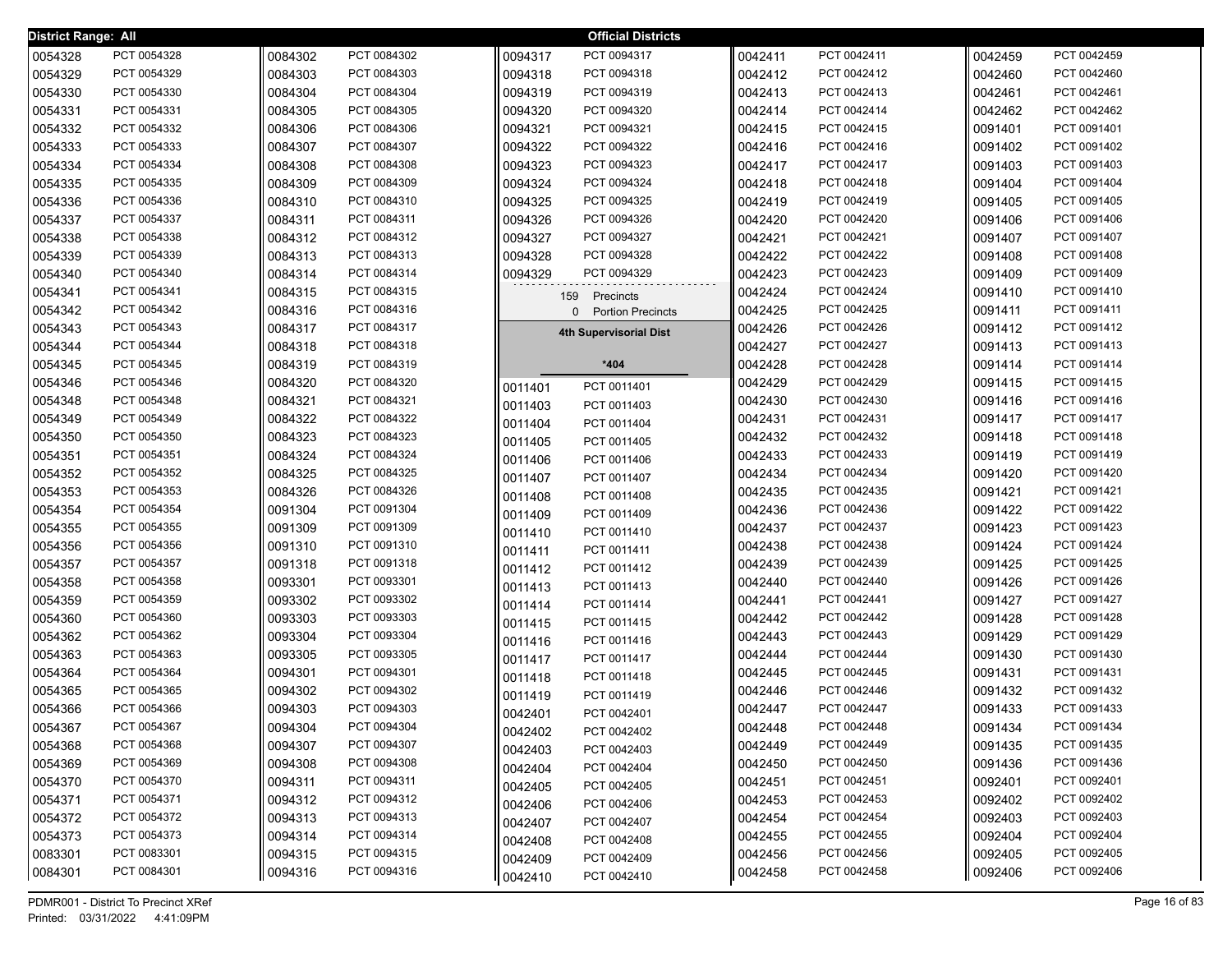| <b>District Range: All</b> |             |         |             |         | <b>Official Districts</b>                |         |             |         |             |
|----------------------------|-------------|---------|-------------|---------|------------------------------------------|---------|-------------|---------|-------------|
| 0054328                    | PCT 0054328 | 0084302 | PCT 0084302 | 0094317 | PCT 0094317                              | 0042411 | PCT 0042411 | 0042459 | PCT 0042459 |
| 0054329                    | PCT 0054329 | 0084303 | PCT 0084303 | 0094318 | PCT 0094318                              | 0042412 | PCT 0042412 | 0042460 | PCT 0042460 |
| 0054330                    | PCT 0054330 | 0084304 | PCT 0084304 | 0094319 | PCT 0094319                              | 0042413 | PCT 0042413 | 0042461 | PCT 0042461 |
| 0054331                    | PCT 0054331 | 0084305 | PCT 0084305 | 0094320 | PCT 0094320                              | 0042414 | PCT 0042414 | 0042462 | PCT 0042462 |
| 0054332                    | PCT 0054332 | 0084306 | PCT 0084306 | 0094321 | PCT 0094321                              | 0042415 | PCT 0042415 | 0091401 | PCT 0091401 |
| 0054333                    | PCT 0054333 | 0084307 | PCT 0084307 | 0094322 | PCT 0094322                              | 0042416 | PCT 0042416 | 0091402 | PCT 0091402 |
| 0054334                    | PCT 0054334 | 0084308 | PCT 0084308 | 0094323 | PCT 0094323                              | 0042417 | PCT 0042417 | 0091403 | PCT 0091403 |
| 0054335                    | PCT 0054335 | 0084309 | PCT 0084309 | 0094324 | PCT 0094324                              | 0042418 | PCT 0042418 | 0091404 | PCT 0091404 |
| 0054336                    | PCT 0054336 | 0084310 | PCT 0084310 | 0094325 | PCT 0094325                              | 0042419 | PCT 0042419 | 0091405 | PCT 0091405 |
| 0054337                    | PCT 0054337 | 0084311 | PCT 0084311 | 0094326 | PCT 0094326                              | 0042420 | PCT 0042420 | 0091406 | PCT 0091406 |
| 0054338                    | PCT 0054338 | 0084312 | PCT 0084312 | 0094327 | PCT 0094327                              | 0042421 | PCT 0042421 | 0091407 | PCT 0091407 |
| 0054339                    | PCT 0054339 | 0084313 | PCT 0084313 | 0094328 | PCT 0094328                              | 0042422 | PCT 0042422 | 0091408 | PCT 0091408 |
| 0054340                    | PCT 0054340 | 0084314 | PCT 0084314 | 0094329 | PCT 0094329                              | 0042423 | PCT 0042423 | 0091409 | PCT 0091409 |
| 0054341                    | PCT 0054341 | 0084315 | PCT 0084315 | 159     | Precincts                                | 0042424 | PCT 0042424 | 0091410 | PCT 0091410 |
| 0054342                    | PCT 0054342 | 0084316 | PCT 0084316 |         | <b>Portion Precincts</b><br><sup>0</sup> | 0042425 | PCT 0042425 | 0091411 | PCT 0091411 |
| 0054343                    | PCT 0054343 | 0084317 | PCT 0084317 |         | <b>4th Supervisorial Dist</b>            | 0042426 | PCT 0042426 | 0091412 | PCT 0091412 |
| 0054344                    | PCT 0054344 | 0084318 | PCT 0084318 |         |                                          | 0042427 | PCT 0042427 | 0091413 | PCT 0091413 |
| 0054345                    | PCT 0054345 | 0084319 | PCT 0084319 |         | $*404$                                   | 0042428 | PCT 0042428 | 0091414 | PCT 0091414 |
| 0054346                    | PCT 0054346 | 0084320 | PCT 0084320 | 0011401 | PCT 0011401                              | 0042429 | PCT 0042429 | 0091415 | PCT 0091415 |
| 0054348                    | PCT 0054348 | 0084321 | PCT 0084321 | 0011403 | PCT 0011403                              | 0042430 | PCT 0042430 | 0091416 | PCT 0091416 |
| 0054349                    | PCT 0054349 | 0084322 | PCT 0084322 | 0011404 | PCT 0011404                              | 0042431 | PCT 0042431 | 0091417 | PCT 0091417 |
| 0054350                    | PCT 0054350 | 0084323 | PCT 0084323 | 0011405 | PCT 0011405                              | 0042432 | PCT 0042432 | 0091418 | PCT 0091418 |
| 0054351                    | PCT 0054351 | 0084324 | PCT 0084324 | 0011406 | PCT 0011406                              | 0042433 | PCT 0042433 | 0091419 | PCT 0091419 |
| 0054352                    | PCT 0054352 | 0084325 | PCT 0084325 | 0011407 | PCT 0011407                              | 0042434 | PCT 0042434 | 0091420 | PCT 0091420 |
| 0054353                    | PCT 0054353 | 0084326 | PCT 0084326 | 0011408 | PCT 0011408                              | 0042435 | PCT 0042435 | 0091421 | PCT 0091421 |
| 0054354                    | PCT 0054354 | 0091304 | PCT 0091304 | 0011409 | PCT 0011409                              | 0042436 | PCT 0042436 | 0091422 | PCT 0091422 |
| 0054355                    | PCT 0054355 | 0091309 | PCT 0091309 | 0011410 | PCT 0011410                              | 0042437 | PCT 0042437 | 0091423 | PCT 0091423 |
| 0054356                    | PCT 0054356 | 0091310 | PCT 0091310 | 0011411 | PCT 0011411                              | 0042438 | PCT 0042438 | 0091424 | PCT 0091424 |
| 0054357                    | PCT 0054357 | 0091318 | PCT 0091318 | 0011412 | PCT 0011412                              | 0042439 | PCT 0042439 | 0091425 | PCT 0091425 |
| 0054358                    | PCT 0054358 | 0093301 | PCT 0093301 | 0011413 | PCT 0011413                              | 0042440 | PCT 0042440 | 0091426 | PCT 0091426 |
| 0054359                    | PCT 0054359 | 0093302 | PCT 0093302 | 0011414 | PCT 0011414                              | 0042441 | PCT 0042441 | 0091427 | PCT 0091427 |
| 0054360                    | PCT 0054360 | 0093303 | PCT 0093303 | 0011415 | PCT 0011415                              | 0042442 | PCT 0042442 | 0091428 | PCT 0091428 |
| 0054362                    | PCT 0054362 | 0093304 | PCT 0093304 | 0011416 | PCT 0011416                              | 0042443 | PCT 0042443 | 0091429 | PCT 0091429 |
| 0054363                    | PCT 0054363 | 0093305 | PCT 0093305 | 0011417 | PCT 0011417                              | 0042444 | PCT 0042444 | 0091430 | PCT 0091430 |
| 0054364                    | PCT 0054364 | 0094301 | PCT 0094301 | 0011418 | PCT 0011418                              | 0042445 | PCT 0042445 | 0091431 | PCT 0091431 |
| 0054365                    | PCT 0054365 | 0094302 | PCT 0094302 | 0011419 | PCT 0011419                              | 0042446 | PCT 0042446 | 0091432 | PCT 0091432 |
| 0054366                    | PCT 0054366 | 0094303 | PCT 0094303 | 0042401 | PCT 0042401                              | 0042447 | PCT 0042447 | 0091433 | PCT 0091433 |
| 0054367                    | PCT 0054367 | 0094304 | PCT 0094304 | 0042402 | PCT 0042402                              | 0042448 | PCT 0042448 | 0091434 | PCT 0091434 |
| 0054368                    | PCT 0054368 | 0094307 | PCT 0094307 | 0042403 | PCT 0042403                              | 0042449 | PCT 0042449 | 0091435 | PCT 0091435 |
| 0054369                    | PCT 0054369 | 0094308 | PCT 0094308 | 0042404 | PCT 0042404                              | 0042450 | PCT 0042450 | 0091436 | PCT 0091436 |
| 0054370                    | PCT 0054370 | 0094311 | PCT 0094311 | 0042405 | PCT 0042405                              | 0042451 | PCT 0042451 | 0092401 | PCT 0092401 |
| 0054371                    | PCT 0054371 | 0094312 | PCT 0094312 | 0042406 | PCT 0042406                              | 0042453 | PCT 0042453 | 0092402 | PCT 0092402 |
| 0054372                    | PCT 0054372 | 0094313 | PCT 0094313 | 0042407 | PCT 0042407                              | 0042454 | PCT 0042454 | 0092403 | PCT 0092403 |
| 0054373                    | PCT 0054373 | 0094314 | PCT 0094314 | 0042408 | PCT 0042408                              | 0042455 | PCT 0042455 | 0092404 | PCT 0092404 |
| 0083301                    | PCT 0083301 | 0094315 | PCT 0094315 | 0042409 | PCT 0042409                              | 0042456 | PCT 0042456 | 0092405 | PCT 0092405 |
| 0084301                    | PCT 0084301 | 0094316 | PCT 0094316 | 0042410 | PCT 0042410                              | 0042458 | PCT 0042458 | 0092406 | PCT 0092406 |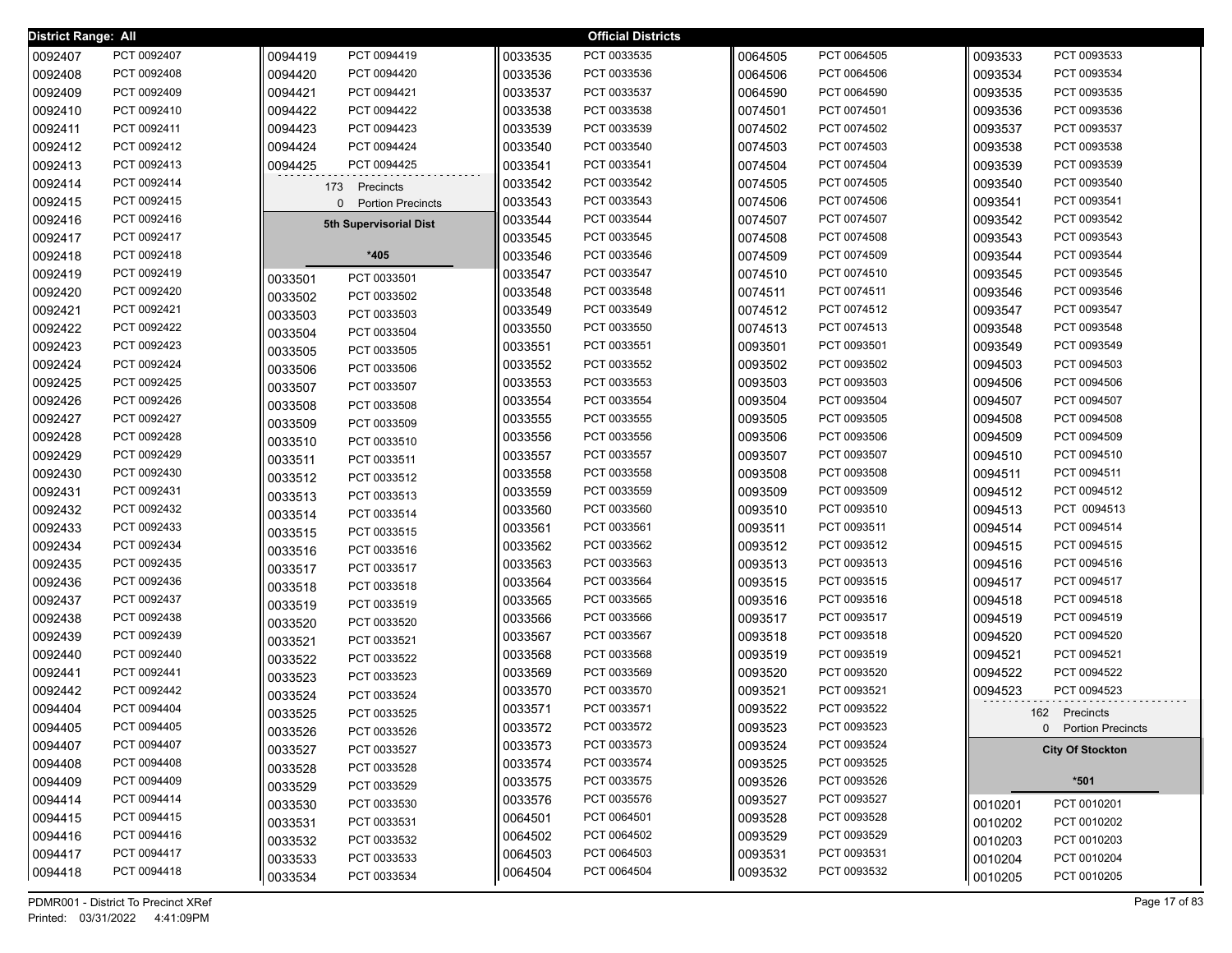| District Range: All |             |         |                               |         | <b>Official Districts</b> |         |             |         |                         |
|---------------------|-------------|---------|-------------------------------|---------|---------------------------|---------|-------------|---------|-------------------------|
| 0092407             | PCT 0092407 | 0094419 | PCT 0094419                   | 0033535 | PCT 0033535               | 0064505 | PCT 0064505 | 0093533 | PCT 0093533             |
| 0092408             | PCT 0092408 | 0094420 | PCT 0094420                   | 0033536 | PCT 0033536               | 0064506 | PCT 0064506 | 0093534 | PCT 0093534             |
| 0092409             | PCT 0092409 | 0094421 | PCT 0094421                   | 0033537 | PCT 0033537               | 0064590 | PCT 0064590 | 0093535 | PCT 0093535             |
| 0092410             | PCT 0092410 | 0094422 | PCT 0094422                   | 0033538 | PCT 0033538               | 0074501 | PCT 0074501 | 0093536 | PCT 0093536             |
| 0092411             | PCT 0092411 | 0094423 | PCT 0094423                   | 0033539 | PCT 0033539               | 0074502 | PCT 0074502 | 0093537 | PCT 0093537             |
| 0092412             | PCT 0092412 | 0094424 | PCT 0094424                   | 0033540 | PCT 0033540               | 0074503 | PCT 0074503 | 0093538 | PCT 0093538             |
| 0092413             | PCT 0092413 | 0094425 | PCT 0094425                   | 0033541 | PCT 0033541               | 0074504 | PCT 0074504 | 0093539 | PCT 0093539             |
| 0092414             | PCT 0092414 |         | 173 Precincts                 | 0033542 | PCT 0033542               | 0074505 | PCT 0074505 | 0093540 | PCT 0093540             |
| 0092415             | PCT 0092415 |         | <b>Portion Precincts</b><br>0 | 0033543 | PCT 0033543               | 0074506 | PCT 0074506 | 0093541 | PCT 0093541             |
| 0092416             | PCT 0092416 |         | 5th Supervisorial Dist        | 0033544 | PCT 0033544               | 0074507 | PCT 0074507 | 0093542 | PCT 0093542             |
| 0092417             | PCT 0092417 |         |                               | 0033545 | PCT 0033545               | 0074508 | PCT 0074508 | 0093543 | PCT 0093543             |
| 0092418             | PCT 0092418 |         | *405                          | 0033546 | PCT 0033546               | 0074509 | PCT 0074509 | 0093544 | PCT 0093544             |
| 0092419             | PCT 0092419 | 0033501 | PCT 0033501                   | 0033547 | PCT 0033547               | 0074510 | PCT 0074510 | 0093545 | PCT 0093545             |
| 0092420             | PCT 0092420 | 0033502 | PCT 0033502                   | 0033548 | PCT 0033548               | 0074511 | PCT 0074511 | 0093546 | PCT 0093546             |
| 0092421             | PCT 0092421 | 0033503 | PCT 0033503                   | 0033549 | PCT 0033549               | 0074512 | PCT 0074512 | 0093547 | PCT 0093547             |
| 0092422             | PCT 0092422 | 0033504 | PCT 0033504                   | 0033550 | PCT 0033550               | 0074513 | PCT 0074513 | 0093548 | PCT 0093548             |
| 0092423             | PCT 0092423 | 0033505 | PCT 0033505                   | 0033551 | PCT 0033551               | 0093501 | PCT 0093501 | 0093549 | PCT 0093549             |
| 0092424             | PCT 0092424 | 0033506 | PCT 0033506                   | 0033552 | PCT 0033552               | 0093502 | PCT 0093502 | 0094503 | PCT 0094503             |
| 0092425             | PCT 0092425 | 0033507 | PCT 0033507                   | 0033553 | PCT 0033553               | 0093503 | PCT 0093503 | 0094506 | PCT 0094506             |
| 0092426             | PCT 0092426 | 0033508 | PCT 0033508                   | 0033554 | PCT 0033554               | 0093504 | PCT 0093504 | 0094507 | PCT 0094507             |
| 0092427             | PCT 0092427 | 0033509 | PCT 0033509                   | 0033555 | PCT 0033555               | 0093505 | PCT 0093505 | 0094508 | PCT 0094508             |
| 0092428             | PCT 0092428 | 0033510 | PCT 0033510                   | 0033556 | PCT 0033556               | 0093506 | PCT 0093506 | 0094509 | PCT 0094509             |
| 0092429             | PCT 0092429 | 0033511 | PCT 0033511                   | 0033557 | PCT 0033557               | 0093507 | PCT 0093507 | 0094510 | PCT 0094510             |
| 0092430             | PCT 0092430 | 0033512 | PCT 0033512                   | 0033558 | PCT 0033558               | 0093508 | PCT 0093508 | 0094511 | PCT 0094511             |
| 0092431             | PCT 0092431 | 0033513 | PCT 0033513                   | 0033559 | PCT 0033559               | 0093509 | PCT 0093509 | 0094512 | PCT 0094512             |
| 0092432             | PCT 0092432 | 0033514 | PCT 0033514                   | 0033560 | PCT 0033560               | 0093510 | PCT 0093510 | 0094513 | PCT 0094513             |
| 0092433             | PCT 0092433 | 0033515 | PCT 0033515                   | 0033561 | PCT 0033561               | 0093511 | PCT 0093511 | 0094514 | PCT 0094514             |
| 0092434             | PCT 0092434 | 0033516 | PCT 0033516                   | 0033562 | PCT 0033562               | 0093512 | PCT 0093512 | 0094515 | PCT 0094515             |
| 0092435             | PCT 0092435 | 0033517 | PCT 0033517                   | 0033563 | PCT 0033563               | 0093513 | PCT 0093513 | 0094516 | PCT 0094516             |
| 0092436             | PCT 0092436 | 0033518 | PCT 0033518                   | 0033564 | PCT 0033564               | 0093515 | PCT 0093515 | 0094517 | PCT 0094517             |
| 0092437             | PCT 0092437 | 0033519 | PCT 0033519                   | 0033565 | PCT 0033565               | 0093516 | PCT 0093516 | 0094518 | PCT 0094518             |
| 0092438             | PCT 0092438 | 0033520 | PCT 0033520                   | 0033566 | PCT 0033566               | 0093517 | PCT 0093517 | 0094519 | PCT 0094519             |
| 0092439             | PCT 0092439 | 0033521 | PCT 0033521                   | 0033567 | PCT 0033567               | 0093518 | PCT 0093518 | 0094520 | PCT 0094520             |
| 0092440             | PCT 0092440 | 0033522 | PCT 0033522                   | 0033568 | PCT 0033568               | 0093519 | PCT 0093519 | 0094521 | PCT 0094521             |
| 0092441             | PCT 0092441 | 0033523 | PCT 0033523                   | 0033569 | PCT 0033569               | 0093520 | PCT 0093520 | 0094522 | PCT 0094522             |
| 0092442             | PCT 0092442 | 0033524 | PCT 0033524                   | 0033570 | PCT 0033570               | 0093521 | PCT 0093521 | 0094523 | PCT 0094523             |
| 0094404             | PCT 0094404 | 0033525 | PCT 0033525                   | 0033571 | PCT 0033571               | 0093522 | PCT 0093522 |         | 162 Precincts           |
| 0094405             | PCT 0094405 | 0033526 | PCT 0033526                   | 0033572 | PCT 0033572               | 0093523 | PCT 0093523 |         | 0 Portion Precincts     |
| 0094407             | PCT 0094407 | 0033527 | PCT 0033527                   | 0033573 | PCT 0033573               | 0093524 | PCT 0093524 |         | <b>City Of Stockton</b> |
| 0094408             | PCT 0094408 | 0033528 | PCT 0033528                   | 0033574 | PCT 0033574               | 0093525 | PCT 0093525 |         |                         |
| 0094409             | PCT 0094409 | 0033529 | PCT 0033529                   | 0033575 | PCT 0033575               | 0093526 | PCT 0093526 |         | $*501$                  |
| 0094414             | PCT 0094414 | 0033530 | PCT 0033530                   | 0033576 | PCT 0035576               | 0093527 | PCT 0093527 | 0010201 | PCT 0010201             |
| 0094415             | PCT 0094415 | 0033531 | PCT 0033531                   | 0064501 | PCT 0064501               | 0093528 | PCT 0093528 | 0010202 | PCT 0010202             |
| 0094416             | PCT 0094416 | 0033532 | PCT 0033532                   | 0064502 | PCT 0064502               | 0093529 | PCT 0093529 | 0010203 | PCT 0010203             |
| 0094417             | PCT 0094417 | 0033533 | PCT 0033533                   | 0064503 | PCT 0064503               | 0093531 | PCT 0093531 | 0010204 | PCT 0010204             |
| 0094418             | PCT 0094418 | 0033534 | PCT 0033534                   | 0064504 | PCT 0064504               | 0093532 | PCT 0093532 | 0010205 | PCT 0010205             |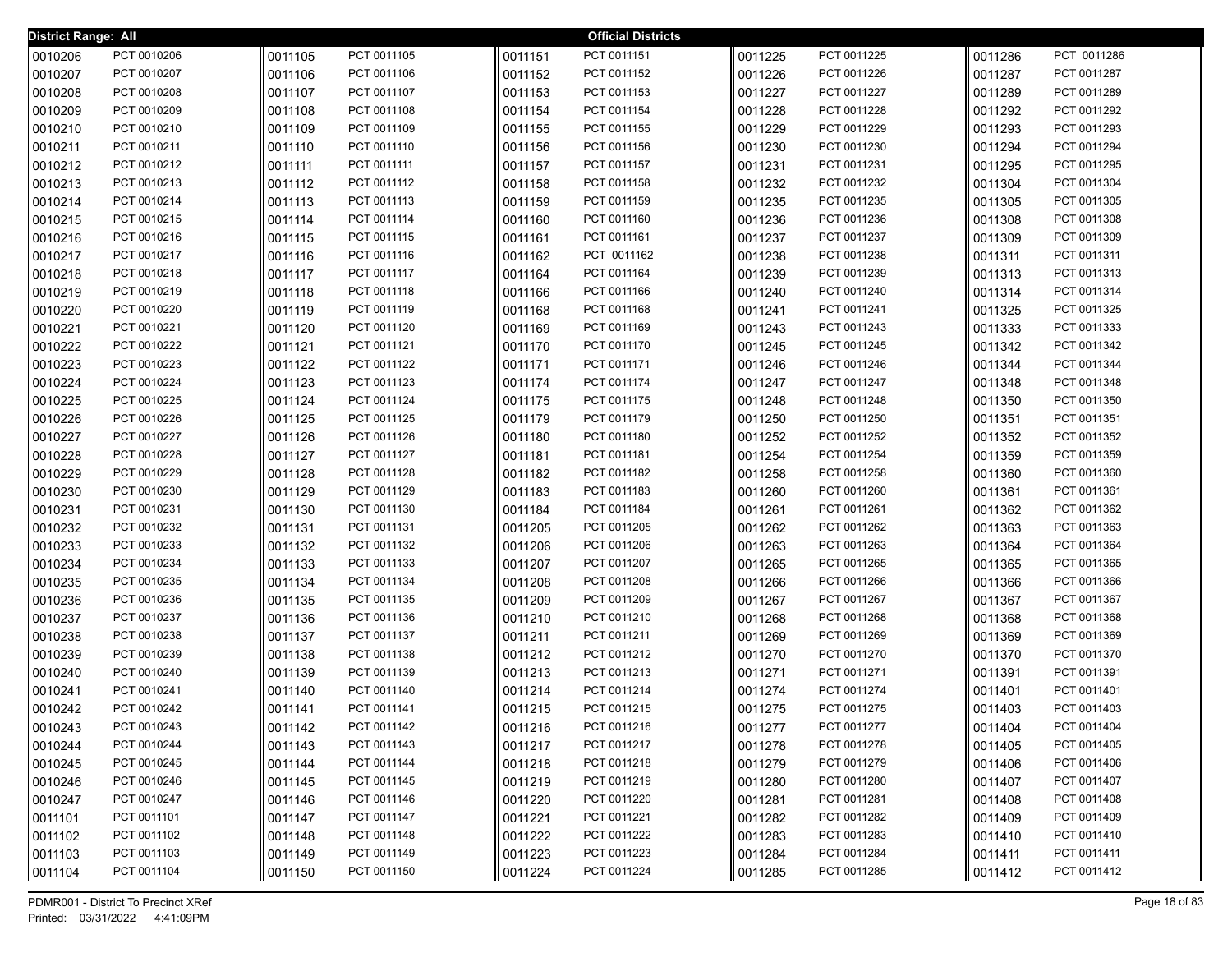| <b>District Range: All</b> |                            |                    |                            |                    | <b>Official Districts</b>  |                    |                            |                    |                            |
|----------------------------|----------------------------|--------------------|----------------------------|--------------------|----------------------------|--------------------|----------------------------|--------------------|----------------------------|
| 0010206                    | PCT 0010206                | 0011105            | PCT 0011105                | 0011151            | PCT 0011151                | 0011225            | PCT 0011225                | 0011286            | PCT 0011286                |
| 0010207                    | PCT 0010207                | 0011106            | PCT 0011106                | 0011152            | PCT 0011152                | 0011226            | PCT 0011226                | 0011287            | PCT 0011287                |
| 0010208                    | PCT 0010208                | 0011107            | PCT 0011107                | 0011153            | PCT 0011153                | 0011227            | PCT 0011227                | 0011289            | PCT 0011289                |
| 0010209                    | PCT 0010209                | 0011108            | PCT 0011108                | 0011154            | PCT 0011154                | 0011228            | PCT 0011228                | 0011292            | PCT 0011292                |
| 0010210                    | PCT 0010210                | 0011109            | PCT 0011109                | 0011155            | PCT 0011155                | 0011229            | PCT 0011229                | 0011293            | PCT 0011293                |
| 0010211                    | PCT 0010211                | 0011110            | PCT 0011110                | 0011156            | PCT 0011156                | 0011230            | PCT 0011230                | 0011294            | PCT 0011294                |
| 0010212                    | PCT 0010212                | 0011111            | PCT 0011111                | 0011157            | PCT 0011157                | 0011231            | PCT 0011231                | 0011295            | PCT 0011295                |
| 0010213                    | PCT 0010213                | 0011112            | PCT 0011112                | 0011158            | PCT 0011158                | 0011232            | PCT 0011232                | 0011304            | PCT 0011304                |
| 0010214                    | PCT 0010214                | 0011113            | PCT 0011113                | 0011159            | PCT 0011159                | 0011235            | PCT 0011235                | 0011305            | PCT 0011305                |
| 0010215                    | PCT 0010215                | 0011114            | PCT 0011114                | 0011160            | PCT 0011160                | 0011236            | PCT 0011236                | 0011308            | PCT 0011308                |
| 0010216                    | PCT 0010216                | 0011115            | PCT 0011115                | 0011161            | PCT 0011161                | 0011237            | PCT 0011237                | 0011309            | PCT 0011309                |
| 0010217                    | PCT 0010217                | 0011116            | PCT 0011116                | 0011162            | PCT 0011162                | 0011238            | PCT 0011238                | 0011311            | PCT 0011311                |
| 0010218                    | PCT 0010218                | 0011117            | PCT 0011117                | 0011164            | PCT 0011164                | 0011239            | PCT 0011239                | 0011313            | PCT 0011313                |
| 0010219                    | PCT 0010219                | 0011118            | PCT 0011118                | 0011166            | PCT 0011166                | 0011240            | PCT 0011240                | 0011314            | PCT 0011314                |
| 0010220                    | PCT 0010220                | 0011119            | PCT 0011119                | 0011168            | PCT 0011168                | 0011241            | PCT 0011241                | 0011325            | PCT 0011325                |
| 0010221                    | PCT 0010221                | 0011120            | PCT 0011120                | 0011169            | PCT 0011169                | 0011243            | PCT 0011243                | 0011333            | PCT 0011333                |
| 0010222                    | PCT 0010222                | 0011121            | PCT 0011121                | 0011170            | PCT 0011170                | 0011245            | PCT 0011245                | 0011342            | PCT 0011342                |
| 0010223                    | PCT 0010223                | 0011122            | PCT 0011122                | 0011171            | PCT 0011171                | 0011246            | PCT 0011246                | 0011344            | PCT 0011344                |
| 0010224                    | PCT 0010224                | 0011123            | PCT 0011123                | 0011174            | PCT 0011174                | 0011247            | PCT 0011247                | 0011348            | PCT 0011348                |
| 0010225                    | PCT 0010225                | 0011124            | PCT 0011124                | 0011175            | PCT 0011175                | 0011248            | PCT 0011248                | 0011350            | PCT 0011350                |
| 0010226                    | PCT 0010226                | 0011125            | PCT 0011125                | 0011179            | PCT 0011179                | 0011250            | PCT 0011250                | 0011351            | PCT 0011351                |
| 0010227                    | PCT 0010227                | 0011126            | PCT 0011126                | 0011180            | PCT 0011180                | 0011252            | PCT 0011252                | 0011352            | PCT 0011352                |
| 0010228                    | PCT 0010228                | 0011127            | PCT 0011127                | 0011181            | PCT 0011181<br>PCT 0011182 | 0011254            | PCT 0011254<br>PCT 0011258 | 0011359            | PCT 0011359                |
| 0010229                    | PCT 0010229<br>PCT 0010230 | 0011128            | PCT 0011128<br>PCT 0011129 | 0011182            | PCT 0011183                | 0011258            | PCT 0011260                | 0011360            | PCT 0011360<br>PCT 0011361 |
| 0010230<br>0010231         | PCT 0010231                | 0011129<br>0011130 | PCT 0011130                | 0011183<br>0011184 | PCT 0011184                | 0011260<br>0011261 | PCT 0011261                | 0011361<br>0011362 | PCT 0011362                |
| 0010232                    | PCT 0010232                | 0011131            | PCT 0011131                | 0011205            | PCT 0011205                | 0011262            | PCT 0011262                | 0011363            | PCT 0011363                |
| 0010233                    | PCT 0010233                | 0011132            | PCT 0011132                | 0011206            | PCT 0011206                | 0011263            | PCT 0011263                | 0011364            | PCT 0011364                |
| 0010234                    | PCT 0010234                | 0011133            | PCT 0011133                | 0011207            | PCT 0011207                | 0011265            | PCT 0011265                | 0011365            | PCT 0011365                |
| 0010235                    | PCT 0010235                | 0011134            | PCT 0011134                | 0011208            | PCT 0011208                | 0011266            | PCT 0011266                | 0011366            | PCT 0011366                |
| 0010236                    | PCT 0010236                | 0011135            | PCT 0011135                | 0011209            | PCT 0011209                | 0011267            | PCT 0011267                | 0011367            | PCT 0011367                |
| 0010237                    | PCT 0010237                | 0011136            | PCT 0011136                | 0011210            | PCT 0011210                | 0011268            | PCT 0011268                | 0011368            | PCT 0011368                |
| 0010238                    | PCT 0010238                | 0011137            | PCT 0011137                | 0011211            | PCT 0011211                | 0011269            | PCT 0011269                | 0011369            | PCT 0011369                |
| 0010239                    | PCT 0010239                | 0011138            | PCT 0011138                | 0011212            | PCT 0011212                | 0011270            | PCT 0011270                | 0011370            | PCT 0011370                |
| 0010240                    | PCT 0010240                | 0011139            | PCT 0011139                | 0011213            | PCT 0011213                | 0011271            | PCT 0011271                | 0011391            | PCT 0011391                |
| 0010241                    | PCT 0010241                | 0011140            | PCT 0011140                | 0011214            | PCT 0011214                | 0011274            | PCT 0011274                | 0011401            | PCT 0011401                |
| 0010242                    | PCT 0010242                | 0011141            | PCT 0011141                | 0011215            | PCT 0011215                | 0011275            | PCT 0011275                | 0011403            | PCT 0011403                |
| 0010243                    | PCT 0010243                | 0011142            | PCT 0011142                | 0011216            | PCT 0011216                | 0011277            | PCT 0011277                | 0011404            | PCT 0011404                |
| 0010244                    | PCT 0010244                | 0011143            | PCT 0011143                | 0011217            | PCT 0011217                | 0011278            | PCT 0011278                | 0011405            | PCT 0011405                |
| 0010245                    | PCT 0010245                | 0011144            | PCT 0011144                | 0011218            | PCT 0011218                | 0011279            | PCT 0011279                | 0011406            | PCT 0011406                |
| 0010246                    | PCT 0010246                | 0011145            | PCT 0011145                | 0011219            | PCT 0011219                | 0011280            | PCT 0011280                | 0011407            | PCT 0011407                |
| 0010247                    | PCT 0010247                | 0011146            | PCT 0011146                | 0011220            | PCT 0011220                | 0011281            | PCT 0011281                | 0011408            | PCT 0011408                |
| 0011101                    | PCT 0011101                | 0011147            | PCT 0011147                | 0011221            | PCT 0011221                | 0011282            | PCT 0011282                | 0011409            | PCT 0011409                |
| 0011102                    | PCT 0011102                | 0011148            | PCT 0011148                | 0011222            | PCT 0011222                | 0011283            | PCT 0011283                | 0011410            | PCT 0011410                |
| 0011103                    | PCT 0011103                | 0011149            | PCT 0011149                | 0011223            | PCT 0011223                | 0011284            | PCT 0011284                | 0011411            | PCT 0011411                |
| 0011104                    | PCT 0011104                | 0011150            | PCT 0011150                | 0011224            | PCT 0011224                | 0011285            | PCT 0011285                | 0011412            | PCT 0011412                |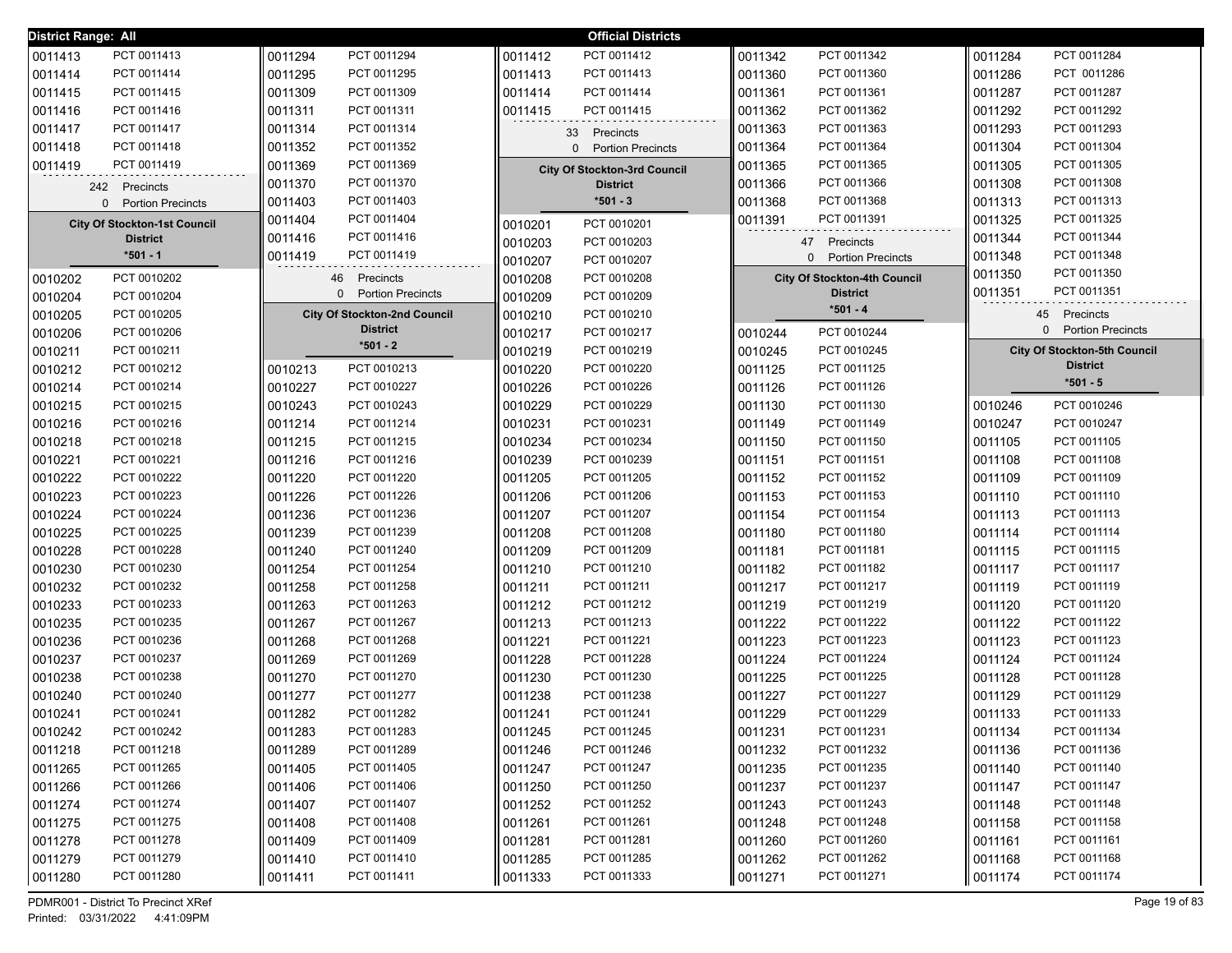| <b>District Range: All</b>          |                                     | <b>Official Districts</b>           |                                     |                                     |
|-------------------------------------|-------------------------------------|-------------------------------------|-------------------------------------|-------------------------------------|
| 0011413                             | 0011294                             | PCT 0011412                         | PCT 0011342                         | 0011284                             |
| PCT 0011413                         | PCT 0011294                         | 0011412                             | 0011342                             | PCT 0011284                         |
| 0011414                             | 0011295                             | 0011413                             | 0011360                             | 0011286                             |
| PCT 0011414                         | PCT 0011295                         | PCT 0011413                         | PCT 0011360                         | PCT 0011286                         |
| PCT 0011415                         | 0011309                             | 0011414                             | 0011361                             | 0011287                             |
| 0011415                             | PCT 0011309                         | PCT 0011414                         | PCT 0011361                         | PCT 0011287                         |
| 0011416                             | 0011311                             | 0011415                             | PCT 0011362                         | 0011292                             |
| PCT 0011416                         | PCT 0011311                         | PCT 0011415                         | 0011362                             | PCT 0011292                         |
| 0011417                             | 0011314                             | Precincts                           | 0011363                             | 0011293                             |
| PCT 0011417                         | PCT 0011314                         | 33                                  | PCT 0011363                         | PCT 0011293                         |
| 0011418                             | PCT 0011352                         | 0 Portion Precincts                 | PCT 0011364                         | 0011304                             |
| PCT 0011418                         | 0011352                             |                                     | 0011364                             | PCT 0011304                         |
| 0011419                             | PCT 0011369                         | <b>City Of Stockton-3rd Council</b> | PCT 0011365                         | 0011305                             |
| PCT 0011419                         | 0011369                             |                                     | 0011365                             | PCT 0011305                         |
| 242 Precincts                       | PCT 0011370<br>0011370              | <b>District</b>                     | PCT 0011366<br>0011366              | 0011308<br>PCT 0011308              |
| 0 Portion Precincts                 | PCT 0011403<br>0011403              | $*501 - 3$                          | PCT 0011368<br>0011368              | 0011313<br>PCT 0011313              |
| <b>City Of Stockton-1st Council</b> | PCT 0011404                         | PCT 0010201                         | PCT 0011391                         | PCT 0011325                         |
|                                     | 0011404                             | 0010201                             | 0011391                             | 0011325                             |
| <b>District</b>                     | PCT 0011416<br>0011416              | 0010203<br>PCT 0010203              | 47 Precincts                        | PCT 0011344<br>0011344              |
| $*501 - 1$                          | PCT 0011419                         | 0010207                             | <b>Portion Precincts</b>            | PCT 0011348                         |
|                                     | 0011419                             | PCT 0010207                         | 0                                   | 0011348                             |
| PCT 0010202                         | Precincts                           | 0010208                             | <b>City Of Stockton-4th Council</b> | PCT 0011350                         |
| 0010202                             | 46                                  | PCT 0010208                         |                                     | 0011350                             |
| 0010204                             | <b>Portion Precincts</b>            | 0010209                             | <b>District</b>                     | 0011351                             |
| PCT 0010204                         | $\Omega$                            | PCT 0010209                         |                                     | PCT 0011351                         |
| 0010205<br>PCT 0010205              | <b>City Of Stockton-2nd Council</b> | 0010210<br>PCT 0010210              | $*501 - 4$                          | 45 Precincts                        |
| 0010206<br>PCT 0010206              | <b>District</b>                     | 0010217<br>PCT 0010217              | PCT 0010244<br>0010244              | 0 Portion Precincts                 |
| 0010211<br>PCT 0010211              | $*501 - 2$                          | 0010219<br>PCT 0010219              | 0010245<br>PCT 0010245              | <b>City Of Stockton-5th Council</b> |
| 0010212                             | PCT 0010213                         | 0010220                             | PCT 0011125                         | <b>District</b>                     |
| PCT 0010212                         | 0010213                             | PCT 0010220                         | 0011125                             |                                     |
| PCT 0010214                         | PCT 0010227                         | PCT 0010226                         | PCT 0011126                         | $*501 - 5$                          |
| 0010214                             | 0010227                             | 0010226                             | 0011126                             |                                     |
| PCT 0010215                         | PCT 0010243                         | PCT 0010229                         | PCT 0011130                         | PCT 0010246                         |
| 0010215                             | 0010243                             | 0010229                             | 0011130                             | 0010246                             |
| 0010216                             | PCT 0011214                         | 0010231                             | PCT 0011149                         | 0010247                             |
| PCT 0010216                         | 0011214                             | PCT 0010231                         | 0011149                             | PCT 0010247                         |
| 0010218                             | PCT 0011215                         | 0010234                             | PCT 0011150                         | PCT 0011105                         |
| PCT 0010218                         | 0011215                             | PCT 0010234                         | 0011150                             | 0011105                             |
| PCT 0010221                         | PCT 0011216                         | 0010239                             | PCT 0011151                         | PCT 0011108                         |
| 0010221                             | 0011216                             | PCT 0010239                         | 0011151                             | 0011108                             |
| PCT 0010222                         | PCT 0011220                         | 0011205                             | PCT 0011152                         | PCT 0011109                         |
| 0010222                             | 0011220                             | PCT 0011205                         | 0011152                             | 0011109                             |
| 0010223                             | 0011226                             | 0011206                             | PCT 0011153                         | PCT 0011110                         |
| PCT 0010223                         | PCT 0011226                         | PCT 0011206                         | 0011153                             | 0011110                             |
| 0010224                             | 0011236                             | 0011207                             | PCT 0011154                         | PCT 0011113                         |
| PCT 0010224                         | PCT 0011236                         | PCT 0011207                         | 0011154                             | 0011113                             |
| 0010225                             | PCT 0011239                         | PCT 0011208                         | PCT 0011180                         | PCT 0011114                         |
| PCT 0010225                         | 0011239                             | 0011208                             | 0011180                             | 0011114                             |
| 0010228                             | 0011240                             | 0011209                             | PCT 0011181                         | PCT 0011115                         |
| PCT 0010228                         | PCT 0011240                         | PCT 0011209                         | 0011181                             | 0011115                             |
| 0010230                             | 0011254                             | 0011210                             | PCT 0011182                         | PCT 0011117                         |
| PCT 0010230                         | PCT 0011254                         | PCT 0011210                         | 0011182                             | 0011117                             |
| 0010232                             | 0011258                             | 0011211                             | PCT 0011217                         | 0011119                             |
| PCT 0010232                         | PCT 0011258                         | PCT 0011211                         | 0011217                             | PCT 0011119                         |
| 0010233                             | 0011263                             | 0011212                             | 0011219                             | 0011120                             |
| PCT 0010233                         | PCT 0011263                         | PCT 0011212                         | PCT 0011219                         | PCT 0011120                         |
| 0010235                             | 0011267                             | 0011213                             | PCT 0011222                         | PCT 0011122                         |
| PCT 0010235                         | PCT 0011267                         | PCT 0011213                         | 0011222                             | 0011122                             |
| 0010236                             | 0011268                             | 0011221                             | PCT 0011223                         | PCT 0011123                         |
| PCT 0010236                         | PCT 0011268                         | PCT 0011221                         | 0011223                             | 0011123                             |
| 0010237                             | PCT 0011269                         | 0011228                             | PCT 0011224                         | PCT 0011124                         |
| PCT 0010237                         | 0011269                             | PCT 0011228                         | 0011224                             | 0011124                             |
| 0010238                             | PCT 0011270                         | PCT 0011230                         | PCT 0011225                         | PCT 0011128                         |
| PCT 0010238                         | 0011270                             | 0011230                             | 0011225                             | 0011128                             |
| 0010240                             | PCT 0011277                         | PCT 0011238                         | PCT 0011227                         | PCT 0011129                         |
| PCT 0010240                         | 0011277                             | 0011238                             | 0011227                             | 0011129                             |
| 0010241                             | PCT 0011282                         | 0011241                             | PCT 0011229                         | PCT 0011133                         |
| PCT 0010241                         | 0011282                             | PCT 0011241                         | 0011229                             | 0011133                             |
| PCT 0010242                         | PCT 0011283                         | PCT 0011245                         | PCT 0011231                         | PCT 0011134                         |
| 0010242                             | 0011283                             | 0011245                             | 0011231                             | 0011134                             |
| 0011218                             | PCT 0011289                         | 0011246                             | PCT 0011232                         | PCT 0011136                         |
| PCT 0011218                         | 0011289                             | PCT 0011246                         | 0011232                             | 0011136                             |
| 0011265                             | PCT 0011405                         | 0011247                             | PCT 0011235                         | 0011140                             |
| PCT 0011265                         | 0011405                             | PCT 0011247                         | 0011235                             | PCT 0011140                         |
| 0011266                             | PCT 0011406                         | 0011250                             | PCT 0011237                         | PCT 0011147                         |
| PCT 0011266                         | 0011406                             | PCT 0011250                         | 0011237                             | 0011147                             |
| 0011274                             | PCT 0011407                         | 0011252                             | PCT 0011243                         | 0011148                             |
| PCT 0011274                         | 0011407                             | PCT 0011252                         | 0011243                             | PCT 0011148                         |
| 0011275                             | PCT 0011408                         | PCT 0011261                         | PCT 0011248                         | PCT 0011158                         |
| PCT 0011275                         | 0011408                             | 0011261                             | 0011248                             | 0011158                             |
| 0011278                             | PCT 0011409                         | 0011281                             | PCT 0011260                         | 0011161                             |
| PCT 0011278                         | 0011409                             | PCT 0011281                         | 0011260                             | PCT 0011161                         |
| 0011279                             | 0011410                             | 0011285                             | PCT 0011262                         | 0011168                             |
| PCT 0011279                         | PCT 0011410                         | PCT 0011285                         | 0011262                             | PCT 0011168                         |
| 0011280                             | 0011411                             | 0011333                             | 0011271                             | 0011174                             |
| PCT 0011280                         | PCT 0011411                         | PCT 0011333                         | PCT 0011271                         | PCT 0011174                         |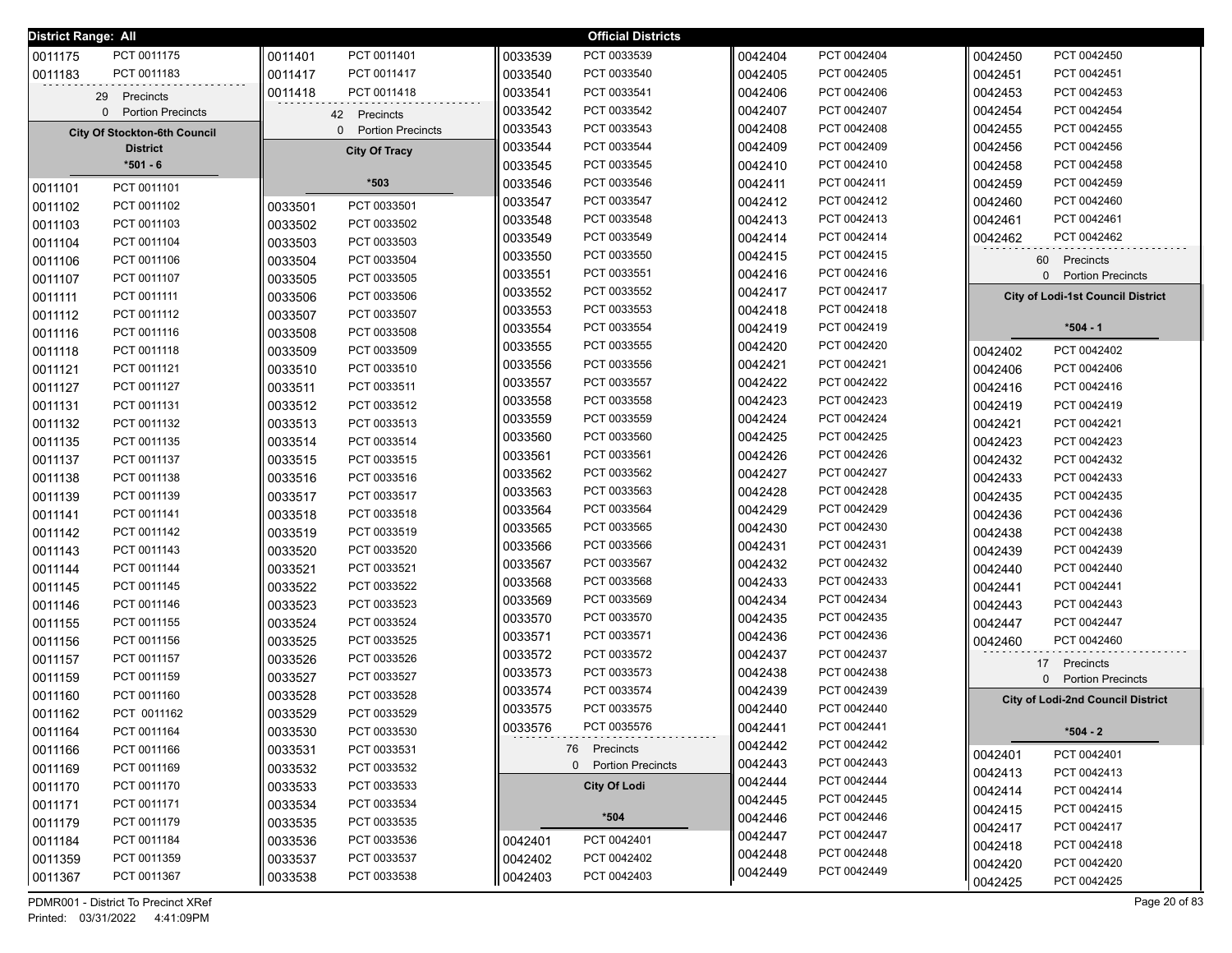| District Range: All |                                     |                        |         | <b>Official Districts</b> |         |             |                                          |
|---------------------|-------------------------------------|------------------------|---------|---------------------------|---------|-------------|------------------------------------------|
| 0011175             | PCT 0011175                         | PCT 0011401<br>0011401 | 0033539 | PCT 0033539               | 0042404 | PCT 0042404 | PCT 0042450<br>0042450                   |
| 0011183             | PCT 0011183                         | 0011417<br>PCT 0011417 | 0033540 | PCT 0033540               | 0042405 | PCT 0042405 | 0042451<br>PCT 0042451                   |
|                     | 29 Precincts                        | PCT 0011418<br>0011418 | 0033541 | PCT 0033541               | 0042406 | PCT 0042406 | 0042453<br>PCT 0042453                   |
|                     | 0 Portion Precincts                 | 42 Precincts           | 0033542 | PCT 0033542               | 0042407 | PCT 0042407 | 0042454<br>PCT 0042454                   |
|                     | <b>City Of Stockton-6th Council</b> | 0 Portion Precincts    | 0033543 | PCT 0033543               | 0042408 | PCT 0042408 | 0042455<br>PCT 0042455                   |
|                     | <b>District</b>                     | <b>City Of Tracy</b>   | 0033544 | PCT 0033544               | 0042409 | PCT 0042409 | 0042456<br>PCT 0042456                   |
|                     | $*501 - 6$                          |                        | 0033545 | PCT 0033545               | 0042410 | PCT 0042410 | 0042458<br>PCT 0042458                   |
| 0011101             | PCT 0011101                         | *503                   | 0033546 | PCT 0033546               | 0042411 | PCT 0042411 | 0042459<br>PCT 0042459                   |
| 0011102             | PCT 0011102                         | PCT 0033501<br>0033501 | 0033547 | PCT 0033547               | 0042412 | PCT 0042412 | PCT 0042460<br>0042460                   |
| 0011103             | PCT 0011103                         | PCT 0033502<br>0033502 | 0033548 | PCT 0033548               | 0042413 | PCT 0042413 | PCT 0042461<br>0042461                   |
| 0011104             | PCT 0011104                         | PCT 0033503<br>0033503 | 0033549 | PCT 0033549               | 0042414 | PCT 0042414 | 0042462<br>PCT 0042462                   |
| 0011106             | PCT 0011106                         | 0033504<br>PCT 0033504 | 0033550 | PCT 0033550               | 0042415 | PCT 0042415 | 60 Precincts                             |
| 0011107             | PCT 0011107                         | PCT 0033505<br>0033505 | 0033551 | PCT 0033551               | 0042416 | PCT 0042416 | 0 Portion Precincts                      |
| 0011111             | PCT 0011111                         | PCT 0033506<br>0033506 | 0033552 | PCT 0033552               | 0042417 | PCT 0042417 | <b>City of Lodi-1st Council District</b> |
| 0011112             | PCT 0011112                         | PCT 0033507<br>0033507 | 0033553 | PCT 0033553               | 0042418 | PCT 0042418 |                                          |
| 0011116             | PCT 0011116                         | 0033508<br>PCT 0033508 | 0033554 | PCT 0033554               | 0042419 | PCT 0042419 | $*504 - 1$                               |
| 0011118             | PCT 0011118                         | 0033509<br>PCT 0033509 | 0033555 | PCT 0033555               | 0042420 | PCT 0042420 | PCT 0042402<br>0042402                   |
| 0011121             | PCT 0011121                         | PCT 0033510<br>0033510 | 0033556 | PCT 0033556               | 0042421 | PCT 0042421 | 0042406<br>PCT 0042406                   |
| 0011127             | PCT 0011127                         | PCT 0033511<br>0033511 | 0033557 | PCT 0033557               | 0042422 | PCT 0042422 | PCT 0042416<br>0042416                   |
| 0011131             | PCT 0011131                         | PCT 0033512<br>0033512 | 0033558 | PCT 0033558               | 0042423 | PCT 0042423 | PCT 0042419<br>0042419                   |
| 0011132             | PCT 0011132                         | PCT 0033513<br>0033513 | 0033559 | PCT 0033559               | 0042424 | PCT 0042424 | PCT 0042421<br>0042421                   |
| 0011135             | PCT 0011135                         | PCT 0033514<br>0033514 | 0033560 | PCT 0033560               | 0042425 | PCT 0042425 | 0042423<br>PCT 0042423                   |
| 0011137             | PCT 0011137                         | PCT 0033515<br>0033515 | 0033561 | PCT 0033561               | 0042426 | PCT 0042426 | PCT 0042432<br>0042432                   |
| 0011138             | PCT 0011138                         | PCT 0033516<br>0033516 | 0033562 | PCT 0033562               | 0042427 | PCT 0042427 | PCT 0042433<br>0042433                   |
| 0011139             | PCT 0011139                         | 0033517<br>PCT 0033517 | 0033563 | PCT 0033563               | 0042428 | PCT 0042428 | 0042435<br>PCT 0042435                   |
| 0011141             | PCT 0011141                         | 0033518<br>PCT 0033518 | 0033564 | PCT 0033564               | 0042429 | PCT 0042429 | 0042436<br>PCT 0042436                   |
| 0011142             | PCT 0011142                         | PCT 0033519<br>0033519 | 0033565 | PCT 0033565               | 0042430 | PCT 0042430 | 0042438<br>PCT 0042438                   |
| 0011143             | PCT 0011143                         | PCT 0033520<br>0033520 | 0033566 | PCT 0033566               | 0042431 | PCT 0042431 | 0042439<br>PCT 0042439                   |
| 0011144             | PCT 0011144                         | PCT 0033521<br>0033521 | 0033567 | PCT 0033567               | 0042432 | PCT 0042432 | 0042440<br>PCT 0042440                   |
| 0011145             | PCT 0011145                         | PCT 0033522<br>0033522 | 0033568 | PCT 0033568               | 0042433 | PCT 0042433 | 0042441<br>PCT 0042441                   |
| 0011146             | PCT 0011146                         | PCT 0033523<br>0033523 | 0033569 | PCT 0033569               | 0042434 | PCT 0042434 | 0042443<br>PCT 0042443                   |
| 0011155             | PCT 0011155                         | PCT 0033524<br>0033524 | 0033570 | PCT 0033570               | 0042435 | PCT 0042435 | 0042447<br>PCT 0042447                   |
| 0011156             | PCT 0011156                         | 0033525<br>PCT 0033525 | 0033571 | PCT 0033571               | 0042436 | PCT 0042436 | 0042460<br>PCT 0042460                   |
| 0011157             | PCT 0011157                         | PCT 0033526<br>0033526 | 0033572 | PCT 0033572               | 0042437 | PCT 0042437 | 17 Precincts                             |
| 0011159             | PCT 0011159                         | PCT 0033527<br>0033527 | 0033573 | PCT 0033573               | 0042438 | PCT 0042438 | 0 Portion Precincts                      |
| 0011160             | PCT 0011160                         | PCT 0033528<br>0033528 | 0033574 | PCT 0033574               | 0042439 | PCT 0042439 | <b>City of Lodi-2nd Council District</b> |
| 0011162             | PCT 0011162                         | PCT 0033529<br>0033529 | 0033575 | PCT 0033575               | 0042440 | PCT 0042440 |                                          |
| 0011164             | PCT 0011164                         | PCT 0033530<br>0033530 | 0033576 | PCT 0035576               | 0042441 | PCT 0042441 | $*504 - 2$                               |
| 0011166             | PCT 0011166                         | PCT 0033531<br>0033531 |         | 76 Precincts              | 0042442 | PCT 0042442 | 0042401<br>PCT 0042401                   |
| 0011169             | PCT 0011169                         | PCT 0033532<br>0033532 |         | 0 Portion Precincts       | 0042443 | PCT 0042443 | 0042413<br>PCT 0042413                   |
| 0011170             | PCT 0011170                         | 0033533<br>PCT 0033533 |         | <b>City Of Lodi</b>       | 0042444 | PCT 0042444 | 0042414<br>PCT 0042414                   |
| 0011171             | PCT 0011171                         | 0033534<br>PCT 0033534 |         |                           | 0042445 | PCT 0042445 | 0042415<br>PCT 0042415                   |
| 0011179             | PCT 0011179                         | PCT 0033535<br>0033535 |         | $*504$                    | 0042446 | PCT 0042446 | 0042417<br>PCT 0042417                   |
| 0011184             | PCT 0011184                         | PCT 0033536<br>0033536 | 0042401 | PCT 0042401               | 0042447 | PCT 0042447 | 0042418<br>PCT 0042418                   |
| 0011359             | PCT 0011359                         | PCT 0033537<br>0033537 | 0042402 | PCT 0042402               | 0042448 | PCT 0042448 | PCT 0042420<br>0042420                   |
| 0011367             | PCT 0011367                         | 0033538<br>PCT 0033538 | 0042403 | PCT 0042403               | 0042449 | PCT 0042449 | PCT 0042425<br>0042425                   |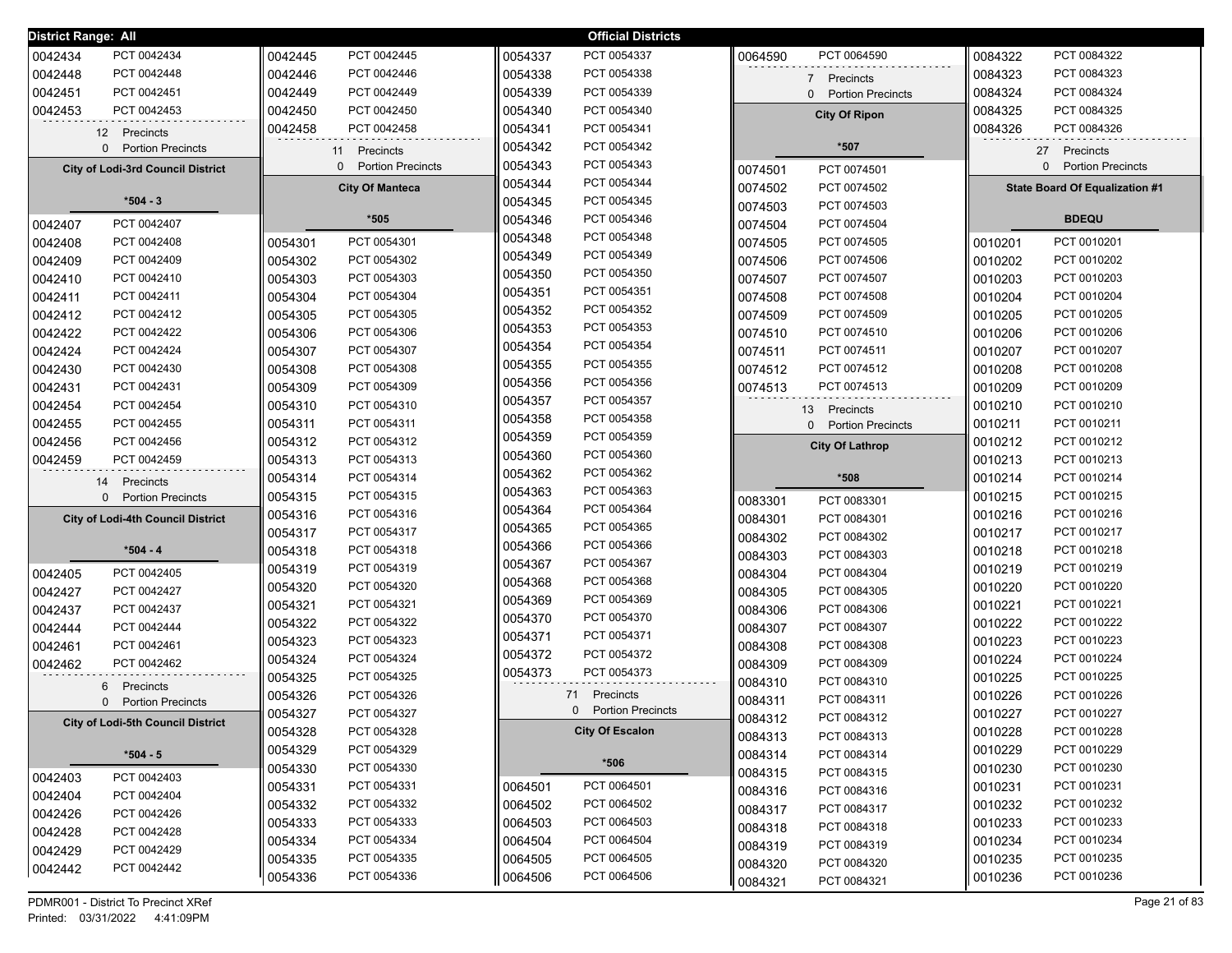| District Range: All |                                          |         |                                      |         | <b>Official Districts</b> |         |                                      |         |                                          |
|---------------------|------------------------------------------|---------|--------------------------------------|---------|---------------------------|---------|--------------------------------------|---------|------------------------------------------|
| 0042434             | PCT 0042434                              | 0042445 | PCT 0042445                          | 0054337 | PCT 0054337               | 0064590 | PCT 0064590                          | 0084322 | PCT 0084322                              |
| 0042448             | PCT 0042448                              | 0042446 | PCT 0042446                          | 0054338 | PCT 0054338               |         | 7 Precincts                          | 0084323 | PCT 0084323                              |
| 0042451             | PCT 0042451                              | 0042449 | PCT 0042449                          | 0054339 | PCT 0054339               |         | 0 Portion Precincts                  | 0084324 | PCT 0084324                              |
| 0042453             | PCT 0042453                              | 0042450 | PCT 0042450                          | 0054340 | PCT 0054340               |         | <b>City Of Ripon</b>                 | 0084325 | PCT 0084325                              |
|                     | 12 Precincts                             | 0042458 | PCT 0042458                          | 0054341 | PCT 0054341               |         |                                      | 0084326 | PCT 0084326                              |
|                     | 0 Portion Precincts                      |         | 11 Precincts                         | 0054342 | PCT 0054342               |         | *507                                 |         | 27 Precincts                             |
|                     | <b>City of Lodi-3rd Council District</b> |         | <b>Portion Precincts</b><br>$\Omega$ | 0054343 | PCT 0054343               | 0074501 | PCT 0074501                          |         | <b>Portion Precincts</b><br>$\mathbf{0}$ |
|                     |                                          |         | <b>City Of Manteca</b>               | 0054344 | PCT 0054344               | 0074502 | PCT 0074502                          |         | State Board Of Equalization #1           |
|                     | $*504 - 3$                               |         |                                      | 0054345 | PCT 0054345               | 0074503 | PCT 0074503                          |         |                                          |
| 0042407             | PCT 0042407                              |         | $*505$                               | 0054346 | PCT 0054346               | 0074504 | PCT 0074504                          |         | <b>BDEQU</b>                             |
| 0042408             | PCT 0042408                              | 0054301 | PCT 0054301                          | 0054348 | PCT 0054348               | 0074505 | PCT 0074505                          | 0010201 | PCT 0010201                              |
| 0042409             | PCT 0042409                              | 0054302 | PCT 0054302                          | 0054349 | PCT 0054349               | 0074506 | PCT 0074506                          | 0010202 | PCT 0010202                              |
| 0042410             | PCT 0042410                              | 0054303 | PCT 0054303                          | 0054350 | PCT 0054350               | 0074507 | PCT 0074507                          | 0010203 | PCT 0010203                              |
| 0042411             | PCT 0042411                              | 0054304 | PCT 0054304                          | 0054351 | PCT 0054351               | 0074508 | PCT 0074508                          | 0010204 | PCT 0010204                              |
| 0042412             | PCT 0042412                              | 0054305 | PCT 0054305                          | 0054352 | PCT 0054352               | 0074509 | PCT 0074509                          | 0010205 | PCT 0010205                              |
| 0042422             | PCT 0042422                              | 0054306 | PCT 0054306                          | 0054353 | PCT 0054353               | 0074510 | PCT 0074510                          | 0010206 | PCT 0010206                              |
| 0042424             | PCT 0042424                              | 0054307 | PCT 0054307                          | 0054354 | PCT 0054354               | 0074511 | PCT 0074511                          | 0010207 | PCT 0010207                              |
| 0042430             | PCT 0042430                              | 0054308 | PCT 0054308                          | 0054355 | PCT 0054355               | 0074512 | PCT 0074512                          | 0010208 | PCT 0010208                              |
| 0042431             | PCT 0042431                              | 0054309 | PCT 0054309                          | 0054356 | PCT 0054356               | 0074513 | PCT 0074513                          | 0010209 | PCT 0010209                              |
| 0042454             | PCT 0042454                              | 0054310 | PCT 0054310                          | 0054357 | PCT 0054357               |         | 13 Precincts                         | 0010210 | PCT 0010210                              |
| 0042455             | PCT 0042455                              | 0054311 | PCT 0054311                          | 0054358 | PCT 0054358               |         | <b>Portion Precincts</b><br>$\Omega$ | 0010211 | PCT 0010211                              |
| 0042456             | PCT 0042456                              | 0054312 | PCT 0054312                          | 0054359 | PCT 0054359               |         | <b>City Of Lathrop</b>               | 0010212 | PCT 0010212                              |
| 0042459             | PCT 0042459                              | 0054313 | PCT 0054313                          | 0054360 | PCT 0054360               |         |                                      | 0010213 | PCT 0010213                              |
|                     | 14<br>Precincts                          | 0054314 | PCT 0054314                          | 0054362 | PCT 0054362               |         | *508                                 | 0010214 | PCT 0010214                              |
|                     | 0 Portion Precincts                      | 0054315 | PCT 0054315                          | 0054363 | PCT 0054363               | 0083301 | PCT 0083301                          | 0010215 | PCT 0010215                              |
|                     | <b>City of Lodi-4th Council District</b> | 0054316 | PCT 0054316                          | 0054364 | PCT 0054364               | 0084301 | PCT 0084301                          | 0010216 | PCT 0010216                              |
|                     |                                          | 0054317 | PCT 0054317                          | 0054365 | PCT 0054365               | 0084302 | PCT 0084302                          | 0010217 | PCT 0010217                              |
|                     | *504 - 4                                 | 0054318 | PCT 0054318                          | 0054366 | PCT 0054366               | 0084303 | PCT 0084303                          | 0010218 | PCT 0010218                              |
| 0042405             | PCT 0042405                              | 0054319 | PCT 0054319                          | 0054367 | PCT 0054367               | 0084304 | PCT 0084304                          | 0010219 | PCT 0010219                              |
| 0042427             | PCT 0042427                              | 0054320 | PCT 0054320                          | 0054368 | PCT 0054368               | 0084305 | PCT 0084305                          | 0010220 | PCT 0010220                              |
| 0042437             | PCT 0042437                              | 0054321 | PCT 0054321                          | 0054369 | PCT 0054369               | 0084306 | PCT 0084306                          | 0010221 | PCT 0010221                              |
| 0042444             | PCT 0042444                              | 0054322 | PCT 0054322                          | 0054370 | PCT 0054370               | 0084307 | PCT 0084307                          | 0010222 | PCT 0010222                              |
| 0042461             | PCT 0042461                              | 0054323 | PCT 0054323                          | 0054371 | PCT 0054371               | 0084308 | PCT 0084308                          | 0010223 | PCT 0010223                              |
| 0042462             | PCT 0042462                              | 0054324 | PCT 0054324                          | 0054372 | PCT 0054372               | 0084309 | PCT 0084309                          | 0010224 | PCT 0010224                              |
|                     | 6 Precincts                              | 0054325 | PCT 0054325                          | 0054373 | PCT 0054373               | 0084310 | PCT 0084310                          | 0010225 | PCT 0010225                              |
|                     | 0 Portion Precincts                      | 0054326 | PCT 0054326                          |         | 71 Precincts              | 0084311 | PCT 0084311                          | 0010226 | PCT 0010226                              |
|                     | <b>City of Lodi-5th Council District</b> | 0054327 | PCT 0054327                          |         | 0 Portion Precincts       | 0084312 | PCT 0084312                          | 0010227 | PCT 0010227                              |
|                     |                                          | 0054328 | PCT 0054328                          |         | <b>City Of Escalon</b>    | 0084313 | PCT 0084313                          | 0010228 | PCT 0010228                              |
|                     | $*504 - 5$                               | 0054329 | PCT 0054329                          |         | $*506$                    | 0084314 | PCT 0084314                          | 0010229 | PCT 0010229                              |
| 0042403             | PCT 0042403                              | 0054330 | PCT 0054330                          |         |                           | 0084315 | PCT 0084315                          | 0010230 | PCT 0010230                              |
| 0042404             | PCT 0042404                              | 0054331 | PCT 0054331                          | 0064501 | PCT 0064501               | 0084316 | PCT 0084316                          | 0010231 | PCT 0010231                              |
| 0042426             | PCT 0042426                              | 0054332 | PCT 0054332                          | 0064502 | PCT 0064502               | 0084317 | PCT 0084317                          | 0010232 | PCT 0010232                              |
| 0042428             | PCT 0042428                              | 0054333 | PCT 0054333                          | 0064503 | PCT 0064503               | 0084318 | PCT 0084318                          | 0010233 | PCT 0010233                              |
| 0042429             | PCT 0042429                              | 0054334 | PCT 0054334                          | 0064504 | PCT 0064504               | 0084319 | PCT 0084319                          | 0010234 | PCT 0010234                              |
| 0042442             | PCT 0042442                              | 0054335 | PCT 0054335                          | 0064505 | PCT 0064505               | 0084320 | PCT 0084320                          | 0010235 | PCT 0010235                              |
|                     |                                          | 0054336 | PCT 0054336                          | 0064506 | PCT 0064506               | 0084321 | PCT 0084321                          | 0010236 | PCT 0010236                              |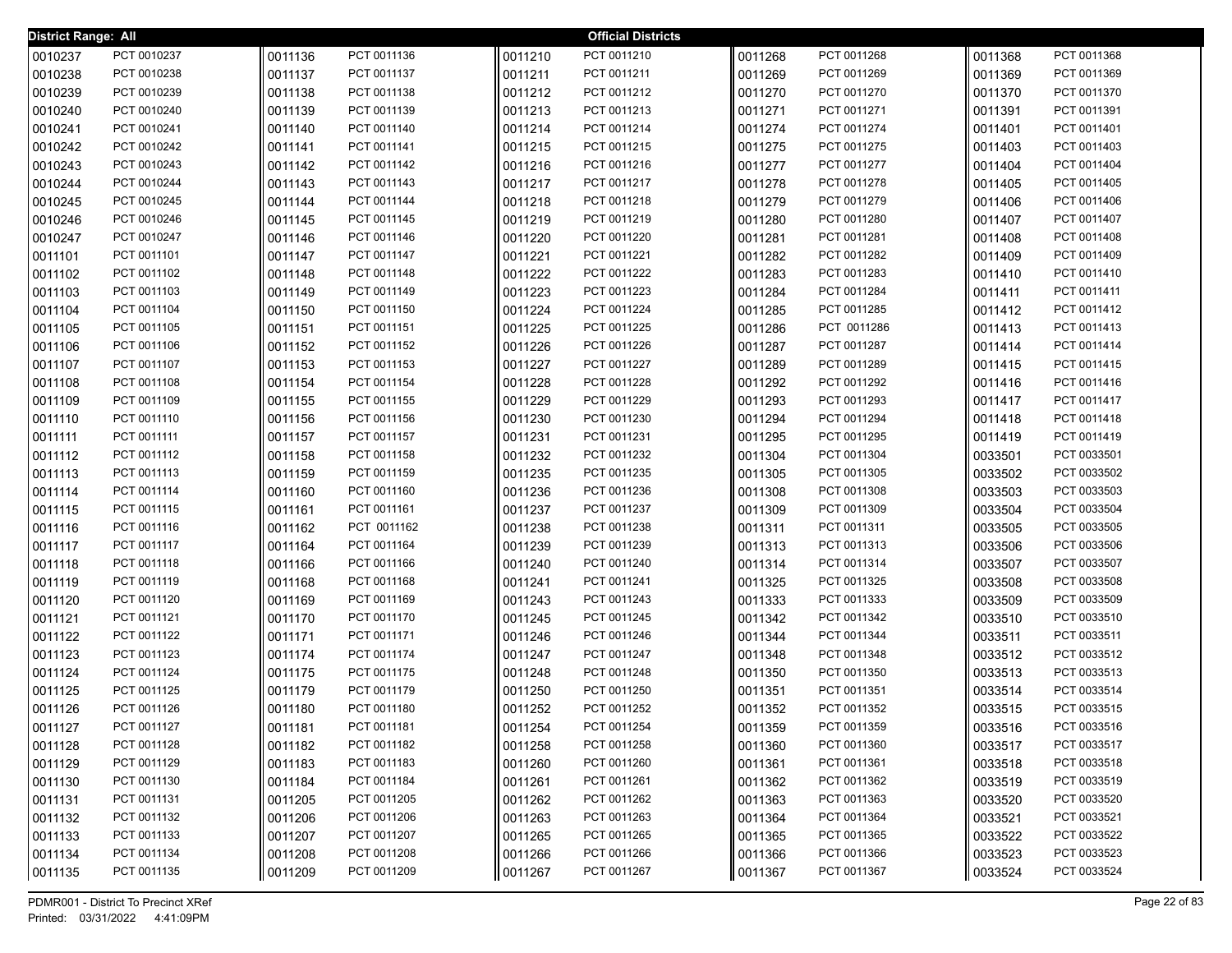| <b>District Range: All</b> |                            |                    |                            |                    | <b>Official Districts</b>  |                    |                            |                    |                            |
|----------------------------|----------------------------|--------------------|----------------------------|--------------------|----------------------------|--------------------|----------------------------|--------------------|----------------------------|
| 0010237                    | PCT 0010237                | 0011136            | PCT 0011136                | 0011210            | PCT 0011210                | 0011268            | PCT 0011268                | 0011368            | PCT 0011368                |
| 0010238                    | PCT 0010238                | 0011137            | PCT 0011137                | 0011211            | PCT 0011211                | 0011269            | PCT 0011269                | 0011369            | PCT 0011369                |
| 0010239                    | PCT 0010239                | 0011138            | PCT 0011138                | 0011212            | PCT 0011212                | 0011270            | PCT 0011270                | 0011370            | PCT 0011370                |
| 0010240                    | PCT 0010240                | 0011139            | PCT 0011139                | 0011213            | PCT 0011213                | 0011271            | PCT 0011271                | 0011391            | PCT 0011391                |
| 0010241                    | PCT 0010241                | 0011140            | PCT 0011140                | 0011214            | PCT 0011214                | 0011274            | PCT 0011274                | 0011401            | PCT 0011401                |
| 0010242                    | PCT 0010242                | 0011141            | PCT 0011141                | 0011215            | PCT 0011215                | 0011275            | PCT 0011275                | 0011403            | PCT 0011403                |
| 0010243                    | PCT 0010243                | 0011142            | PCT 0011142                | 0011216            | PCT 0011216                | 0011277            | PCT 0011277                | 0011404            | PCT 0011404                |
| 0010244                    | PCT 0010244                | 0011143            | PCT 0011143                | 0011217            | PCT 0011217                | 0011278            | PCT 0011278                | 0011405            | PCT 0011405                |
| 0010245                    | PCT 0010245                | 0011144            | PCT 0011144                | 0011218            | PCT 0011218                | 0011279            | PCT 0011279                | 0011406            | PCT 0011406                |
| 0010246                    | PCT 0010246                | 0011145            | PCT 0011145                | 0011219            | PCT 0011219                | 0011280            | PCT 0011280                | 0011407            | PCT 0011407                |
| 0010247                    | PCT 0010247                | 0011146            | PCT 0011146                | 0011220            | PCT 0011220                | 0011281            | PCT 0011281                | 0011408            | PCT 0011408                |
| 0011101                    | PCT 0011101                | 0011147            | PCT 0011147                | 0011221            | PCT 0011221                | 0011282            | PCT 0011282                | 0011409            | PCT 0011409                |
| 0011102                    | PCT 0011102                | 0011148            | PCT 0011148                | 0011222            | PCT 0011222                | 0011283            | PCT 0011283                | 0011410            | PCT 0011410                |
| 0011103                    | PCT 0011103                | 0011149            | PCT 0011149                | 0011223            | PCT 0011223                | 0011284            | PCT 0011284                | 0011411            | PCT 0011411                |
| 0011104                    | PCT 0011104                | 0011150            | PCT 0011150                | 0011224            | PCT 0011224                | 0011285            | PCT 0011285                | 0011412            | PCT 0011412                |
| 0011105                    | PCT 0011105                | 0011151            | PCT 0011151                | 0011225            | PCT 0011225                | 0011286            | PCT 0011286                | 0011413            | PCT 0011413                |
| 0011106                    | PCT 0011106                | 0011152            | PCT 0011152                | 0011226            | PCT 0011226                | 0011287            | PCT 0011287                | 0011414            | PCT 0011414                |
| 0011107                    | PCT 0011107                | 0011153            | PCT 0011153                | 0011227            | PCT 0011227                | 0011289            | PCT 0011289                | 0011415            | PCT 0011415                |
| 0011108                    | PCT 0011108                | 0011154            | PCT 0011154                | 0011228            | PCT 0011228                | 0011292            | PCT 0011292                | 0011416            | PCT 0011416                |
| 0011109                    | PCT 0011109                | 0011155            | PCT 0011155                | 0011229            | PCT 0011229                | 0011293            | PCT 0011293                | 0011417            | PCT 0011417                |
| 0011110                    | PCT 0011110                | 0011156            | PCT 0011156                | 0011230            | PCT 0011230                | 0011294            | PCT 0011294                | 0011418            | PCT 0011418                |
| 0011111                    | PCT 0011111                | 0011157            | PCT 0011157                | 0011231            | PCT 0011231                | 0011295            | PCT 0011295                | 0011419            | PCT 0011419                |
| 0011112                    | PCT 0011112                | 0011158            | PCT 0011158                | 0011232            | PCT 0011232                | 0011304            | PCT 0011304                | 0033501            | PCT 0033501                |
| 0011113                    | PCT 0011113                | 0011159            | PCT 0011159                | 0011235            | PCT 0011235                | 0011305            | PCT 0011305                | 0033502            | PCT 0033502                |
| 0011114                    | PCT 0011114                | 0011160            | PCT 0011160                | 0011236            | PCT 0011236                | 0011308            | PCT 0011308                | 0033503            | PCT 0033503                |
| 0011115                    | PCT 0011115                | 0011161            | PCT 0011161                | 0011237            | PCT 0011237                | 0011309            | PCT 0011309                | 0033504            | PCT 0033504                |
| 0011116                    | PCT 0011116<br>PCT 0011117 | 0011162            | PCT 0011162<br>PCT 0011164 | 0011238            | PCT 0011238<br>PCT 0011239 | 0011311            | PCT 0011311<br>PCT 0011313 | 0033505            | PCT 0033505<br>PCT 0033506 |
| 0011117                    | PCT 0011118                | 0011164            | PCT 0011166                | 0011239<br>0011240 | PCT 0011240                | 0011313            | PCT 0011314                | 0033506            | PCT 0033507                |
| 0011118<br>0011119         | PCT 0011119                | 0011166<br>0011168 | PCT 0011168                | 0011241            | PCT 0011241                | 0011314<br>0011325 | PCT 0011325                | 0033507<br>0033508 | PCT 0033508                |
| 0011120                    | PCT 0011120                | 0011169            | PCT 0011169                | 0011243            | PCT 0011243                | 0011333            | PCT 0011333                | 0033509            | PCT 0033509                |
| 0011121                    | PCT 0011121                | 0011170            | PCT 0011170                | 0011245            | PCT 0011245                | 0011342            | PCT 0011342                | 0033510            | PCT 0033510                |
| 0011122                    | PCT 0011122                | 0011171            | PCT 0011171                | 0011246            | PCT 0011246                | 0011344            | PCT 0011344                | 0033511            | PCT 0033511                |
| 0011123                    | PCT 0011123                | 0011174            | PCT 0011174                | 0011247            | PCT 0011247                | 0011348            | PCT 0011348                | 0033512            | PCT 0033512                |
| 0011124                    | PCT 0011124                | 0011175            | PCT 0011175                | 0011248            | PCT 0011248                | 0011350            | PCT 0011350                | 0033513            | PCT 0033513                |
| 0011125                    | PCT 0011125                | 0011179            | PCT 0011179                | 0011250            | PCT 0011250                | 0011351            | PCT 0011351                | 0033514            | PCT 0033514                |
| 0011126                    | PCT 0011126                | 0011180            | PCT 0011180                | 0011252            | PCT 0011252                | 0011352            | PCT 0011352                | 0033515            | PCT 0033515                |
| 0011127                    | PCT 0011127                | 0011181            | PCT 0011181                | 0011254            | PCT 0011254                | 0011359            | PCT 0011359                | 0033516            | PCT 0033516                |
| 0011128                    | PCT 0011128                | 0011182            | PCT 0011182                | 0011258            | PCT 0011258                | 0011360            | PCT 0011360                | 0033517            | PCT 0033517                |
| 0011129                    | PCT 0011129                | 0011183            | PCT 0011183                | 0011260            | PCT 0011260                | 0011361            | PCT 0011361                | 0033518            | PCT 0033518                |
| 0011130                    | PCT 0011130                | 0011184            | PCT 0011184                | 0011261            | PCT 0011261                | 0011362            | PCT 0011362                | 0033519            | PCT 0033519                |
| 0011131                    | PCT 0011131                | 0011205            | PCT 0011205                | 0011262            | PCT 0011262                | 0011363            | PCT 0011363                | 0033520            | PCT 0033520                |
| 0011132                    | PCT 0011132                | 0011206            | PCT 0011206                | 0011263            | PCT 0011263                | 0011364            | PCT 0011364                | 0033521            | PCT 0033521                |
| 0011133                    | PCT 0011133                | 0011207            | PCT 0011207                | 0011265            | PCT 0011265                | 0011365            | PCT 0011365                | 0033522            | PCT 0033522                |
| 0011134                    | PCT 0011134                | 0011208            | PCT 0011208                | 0011266            | PCT 0011266                | 0011366            | PCT 0011366                | 0033523            | PCT 0033523                |
| 0011135                    | PCT 0011135                | 0011209            | PCT 0011209                | 0011267            | PCT 0011267                | 0011367            | PCT 0011367                | 0033524            | PCT 0033524                |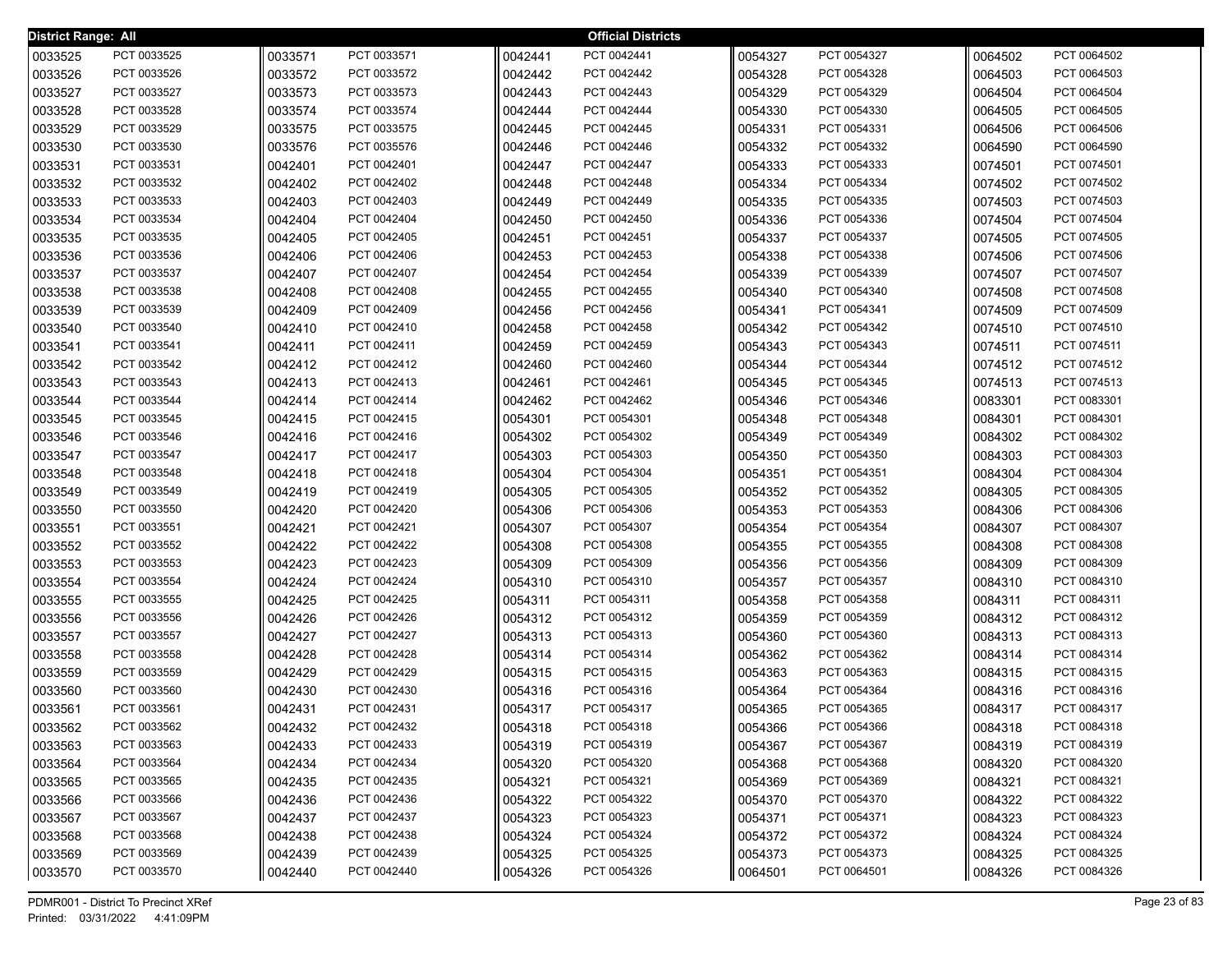| <b>District Range: All</b> |             |         |             |         | <b>Official Districts</b> |         |             |         |             |
|----------------------------|-------------|---------|-------------|---------|---------------------------|---------|-------------|---------|-------------|
| 0033525                    | PCT 0033525 | 0033571 | PCT 0033571 | 0042441 | PCT 0042441               | 0054327 | PCT 0054327 | 0064502 | PCT 0064502 |
| 0033526                    | PCT 0033526 | 0033572 | PCT 0033572 | 0042442 | PCT 0042442               | 0054328 | PCT 0054328 | 0064503 | PCT 0064503 |
| 0033527                    | PCT 0033527 | 0033573 | PCT 0033573 | 0042443 | PCT 0042443               | 0054329 | PCT 0054329 | 0064504 | PCT 0064504 |
| 0033528                    | PCT 0033528 | 0033574 | PCT 0033574 | 0042444 | PCT 0042444               | 0054330 | PCT 0054330 | 0064505 | PCT 0064505 |
| 0033529                    | PCT 0033529 | 0033575 | PCT 0033575 | 0042445 | PCT 0042445               | 0054331 | PCT 0054331 | 0064506 | PCT 0064506 |
| 0033530                    | PCT 0033530 | 0033576 | PCT 0035576 | 0042446 | PCT 0042446               | 0054332 | PCT 0054332 | 0064590 | PCT 0064590 |
| 0033531                    | PCT 0033531 | 0042401 | PCT 0042401 | 0042447 | PCT 0042447               | 0054333 | PCT 0054333 | 0074501 | PCT 0074501 |
| 0033532                    | PCT 0033532 | 0042402 | PCT 0042402 | 0042448 | PCT 0042448               | 0054334 | PCT 0054334 | 0074502 | PCT 0074502 |
| 0033533                    | PCT 0033533 | 0042403 | PCT 0042403 | 0042449 | PCT 0042449               | 0054335 | PCT 0054335 | 0074503 | PCT 0074503 |
| 0033534                    | PCT 0033534 | 0042404 | PCT 0042404 | 0042450 | PCT 0042450               | 0054336 | PCT 0054336 | 0074504 | PCT 0074504 |
| 0033535                    | PCT 0033535 | 0042405 | PCT 0042405 | 0042451 | PCT 0042451               | 0054337 | PCT 0054337 | 0074505 | PCT 0074505 |
| 0033536                    | PCT 0033536 | 0042406 | PCT 0042406 | 0042453 | PCT 0042453               | 0054338 | PCT 0054338 | 0074506 | PCT 0074506 |
| 0033537                    | PCT 0033537 | 0042407 | PCT 0042407 | 0042454 | PCT 0042454               | 0054339 | PCT 0054339 | 0074507 | PCT 0074507 |
| 0033538                    | PCT 0033538 | 0042408 | PCT 0042408 | 0042455 | PCT 0042455               | 0054340 | PCT 0054340 | 0074508 | PCT 0074508 |
| 0033539                    | PCT 0033539 | 0042409 | PCT 0042409 | 0042456 | PCT 0042456               | 0054341 | PCT 0054341 | 0074509 | PCT 0074509 |
| 0033540                    | PCT 0033540 | 0042410 | PCT 0042410 | 0042458 | PCT 0042458               | 0054342 | PCT 0054342 | 0074510 | PCT 0074510 |
| 0033541                    | PCT 0033541 | 0042411 | PCT 0042411 | 0042459 | PCT 0042459               | 0054343 | PCT 0054343 | 0074511 | PCT 0074511 |
| 0033542                    | PCT 0033542 | 0042412 | PCT 0042412 | 0042460 | PCT 0042460               | 0054344 | PCT 0054344 | 0074512 | PCT 0074512 |
| 0033543                    | PCT 0033543 | 0042413 | PCT 0042413 | 0042461 | PCT 0042461               | 0054345 | PCT 0054345 | 0074513 | PCT 0074513 |
| 0033544                    | PCT 0033544 | 0042414 | PCT 0042414 | 0042462 | PCT 0042462               | 0054346 | PCT 0054346 | 0083301 | PCT 0083301 |
| 0033545                    | PCT 0033545 | 0042415 | PCT 0042415 | 0054301 | PCT 0054301               | 0054348 | PCT 0054348 | 0084301 | PCT 0084301 |
| 0033546                    | PCT 0033546 | 0042416 | PCT 0042416 | 0054302 | PCT 0054302               | 0054349 | PCT 0054349 | 0084302 | PCT 0084302 |
| 0033547                    | PCT 0033547 | 0042417 | PCT 0042417 | 0054303 | PCT 0054303               | 0054350 | PCT 0054350 | 0084303 | PCT 0084303 |
| 0033548                    | PCT 0033548 | 0042418 | PCT 0042418 | 0054304 | PCT 0054304               | 0054351 | PCT 0054351 | 0084304 | PCT 0084304 |
| 0033549                    | PCT 0033549 | 0042419 | PCT 0042419 | 0054305 | PCT 0054305               | 0054352 | PCT 0054352 | 0084305 | PCT 0084305 |
| 0033550                    | PCT 0033550 | 0042420 | PCT 0042420 | 0054306 | PCT 0054306               | 0054353 | PCT 0054353 | 0084306 | PCT 0084306 |
| 0033551                    | PCT 0033551 | 0042421 | PCT 0042421 | 0054307 | PCT 0054307               | 0054354 | PCT 0054354 | 0084307 | PCT 0084307 |
| 0033552                    | PCT 0033552 | 0042422 | PCT 0042422 | 0054308 | PCT 0054308               | 0054355 | PCT 0054355 | 0084308 | PCT 0084308 |
| 0033553                    | PCT 0033553 | 0042423 | PCT 0042423 | 0054309 | PCT 0054309               | 0054356 | PCT 0054356 | 0084309 | PCT 0084309 |
| 0033554                    | PCT 0033554 | 0042424 | PCT 0042424 | 0054310 | PCT 0054310               | 0054357 | PCT 0054357 | 0084310 | PCT 0084310 |
| 0033555                    | PCT 0033555 | 0042425 | PCT 0042425 | 0054311 | PCT 0054311               | 0054358 | PCT 0054358 | 0084311 | PCT 0084311 |
| 0033556                    | PCT 0033556 | 0042426 | PCT 0042426 | 0054312 | PCT 0054312               | 0054359 | PCT 0054359 | 0084312 | PCT 0084312 |
| 0033557                    | PCT 0033557 | 0042427 | PCT 0042427 | 0054313 | PCT 0054313               | 0054360 | PCT 0054360 | 0084313 | PCT 0084313 |
| 0033558                    | PCT 0033558 | 0042428 | PCT 0042428 | 0054314 | PCT 0054314               | 0054362 | PCT 0054362 | 0084314 | PCT 0084314 |
| 0033559                    | PCT 0033559 | 0042429 | PCT 0042429 | 0054315 | PCT 0054315               | 0054363 | PCT 0054363 | 0084315 | PCT 0084315 |
| 0033560                    | PCT 0033560 | 0042430 | PCT 0042430 | 0054316 | PCT 0054316               | 0054364 | PCT 0054364 | 0084316 | PCT 0084316 |
| 0033561                    | PCT 0033561 | 0042431 | PCT 0042431 | 0054317 | PCT 0054317               | 0054365 | PCT 0054365 | 0084317 | PCT 0084317 |
| 0033562                    | PCT 0033562 | 0042432 | PCT 0042432 | 0054318 | PCT 0054318               | 0054366 | PCT 0054366 | 0084318 | PCT 0084318 |
| 0033563                    | PCT 0033563 | 0042433 | PCT 0042433 | 0054319 | PCT 0054319               | 0054367 | PCT 0054367 | 0084319 | PCT 0084319 |
| 0033564                    | PCT 0033564 | 0042434 | PCT 0042434 | 0054320 | PCT 0054320               | 0054368 | PCT 0054368 | 0084320 | PCT 0084320 |
| 0033565                    | PCT 0033565 | 0042435 | PCT 0042435 | 0054321 | PCT 0054321               | 0054369 | PCT 0054369 | 0084321 | PCT 0084321 |
| 0033566                    | PCT 0033566 | 0042436 | PCT 0042436 | 0054322 | PCT 0054322               | 0054370 | PCT 0054370 | 0084322 | PCT 0084322 |
| 0033567                    | PCT 0033567 | 0042437 | PCT 0042437 | 0054323 | PCT 0054323               | 0054371 | PCT 0054371 | 0084323 | PCT 0084323 |
| 0033568                    | PCT 0033568 | 0042438 | PCT 0042438 | 0054324 | PCT 0054324               | 0054372 | PCT 0054372 | 0084324 | PCT 0084324 |
| 0033569                    | PCT 0033569 | 0042439 | PCT 0042439 | 0054325 | PCT 0054325               | 0054373 | PCT 0054373 | 0084325 | PCT 0084325 |
| 0033570                    | PCT 0033570 | 0042440 | PCT 0042440 | 0054326 | PCT 0054326               | 0064501 | PCT 0064501 | 0084326 | PCT 0084326 |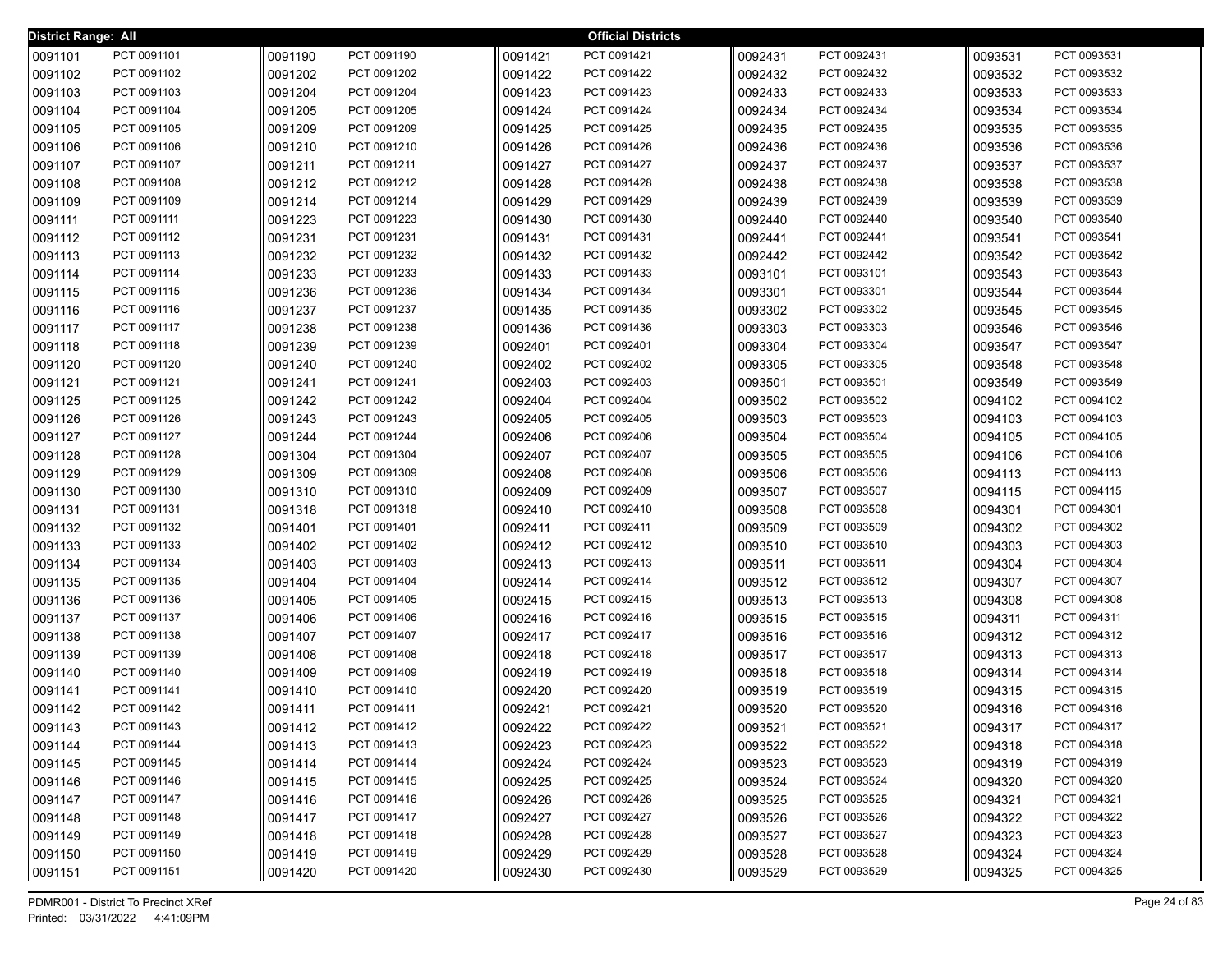| <b>District Range: All</b> |             |         |             |         | <b>Official Districts</b> |         |             |         |             |
|----------------------------|-------------|---------|-------------|---------|---------------------------|---------|-------------|---------|-------------|
| 0091101                    | PCT 0091101 | 0091190 | PCT 0091190 | 0091421 | PCT 0091421               | 0092431 | PCT 0092431 | 0093531 | PCT 0093531 |
| 0091102                    | PCT 0091102 | 0091202 | PCT 0091202 | 0091422 | PCT 0091422               | 0092432 | PCT 0092432 | 0093532 | PCT 0093532 |
| 0091103                    | PCT 0091103 | 0091204 | PCT 0091204 | 0091423 | PCT 0091423               | 0092433 | PCT 0092433 | 0093533 | PCT 0093533 |
| 0091104                    | PCT 0091104 | 0091205 | PCT 0091205 | 0091424 | PCT 0091424               | 0092434 | PCT 0092434 | 0093534 | PCT 0093534 |
| 0091105                    | PCT 0091105 | 0091209 | PCT 0091209 | 0091425 | PCT 0091425               | 0092435 | PCT 0092435 | 0093535 | PCT 0093535 |
| 0091106                    | PCT 0091106 | 0091210 | PCT 0091210 | 0091426 | PCT 0091426               | 0092436 | PCT 0092436 | 0093536 | PCT 0093536 |
| 0091107                    | PCT 0091107 | 0091211 | PCT 0091211 | 0091427 | PCT 0091427               | 0092437 | PCT 0092437 | 0093537 | PCT 0093537 |
| 0091108                    | PCT 0091108 | 0091212 | PCT 0091212 | 0091428 | PCT 0091428               | 0092438 | PCT 0092438 | 0093538 | PCT 0093538 |
| 0091109                    | PCT 0091109 | 0091214 | PCT 0091214 | 0091429 | PCT 0091429               | 0092439 | PCT 0092439 | 0093539 | PCT 0093539 |
| 0091111                    | PCT 0091111 | 0091223 | PCT 0091223 | 0091430 | PCT 0091430               | 0092440 | PCT 0092440 | 0093540 | PCT 0093540 |
| 0091112                    | PCT 0091112 | 0091231 | PCT 0091231 | 0091431 | PCT 0091431               | 0092441 | PCT 0092441 | 0093541 | PCT 0093541 |
| 0091113                    | PCT 0091113 | 0091232 | PCT 0091232 | 0091432 | PCT 0091432               | 0092442 | PCT 0092442 | 0093542 | PCT 0093542 |
| 0091114                    | PCT 0091114 | 0091233 | PCT 0091233 | 0091433 | PCT 0091433               | 0093101 | PCT 0093101 | 0093543 | PCT 0093543 |
| 0091115                    | PCT 0091115 | 0091236 | PCT 0091236 | 0091434 | PCT 0091434               | 0093301 | PCT 0093301 | 0093544 | PCT 0093544 |
| 0091116                    | PCT 0091116 | 0091237 | PCT 0091237 | 0091435 | PCT 0091435               | 0093302 | PCT 0093302 | 0093545 | PCT 0093545 |
| 0091117                    | PCT 0091117 | 0091238 | PCT 0091238 | 0091436 | PCT 0091436               | 0093303 | PCT 0093303 | 0093546 | PCT 0093546 |
| 0091118                    | PCT 0091118 | 0091239 | PCT 0091239 | 0092401 | PCT 0092401               | 0093304 | PCT 0093304 | 0093547 | PCT 0093547 |
| 0091120                    | PCT 0091120 | 0091240 | PCT 0091240 | 0092402 | PCT 0092402               | 0093305 | PCT 0093305 | 0093548 | PCT 0093548 |
| 0091121                    | PCT 0091121 | 0091241 | PCT 0091241 | 0092403 | PCT 0092403               | 0093501 | PCT 0093501 | 0093549 | PCT 0093549 |
| 0091125                    | PCT 0091125 | 0091242 | PCT 0091242 | 0092404 | PCT 0092404               | 0093502 | PCT 0093502 | 0094102 | PCT 0094102 |
| 0091126                    | PCT 0091126 | 0091243 | PCT 0091243 | 0092405 | PCT 0092405               | 0093503 | PCT 0093503 | 0094103 | PCT 0094103 |
| 0091127                    | PCT 0091127 | 0091244 | PCT 0091244 | 0092406 | PCT 0092406               | 0093504 | PCT 0093504 | 0094105 | PCT 0094105 |
| 0091128                    | PCT 0091128 | 0091304 | PCT 0091304 | 0092407 | PCT 0092407               | 0093505 | PCT 0093505 | 0094106 | PCT 0094106 |
| 0091129                    | PCT 0091129 | 0091309 | PCT 0091309 | 0092408 | PCT 0092408               | 0093506 | PCT 0093506 | 0094113 | PCT 0094113 |
| 0091130                    | PCT 0091130 | 0091310 | PCT 0091310 | 0092409 | PCT 0092409               | 0093507 | PCT 0093507 | 0094115 | PCT 0094115 |
| 0091131                    | PCT 0091131 | 0091318 | PCT 0091318 | 0092410 | PCT 0092410               | 0093508 | PCT 0093508 | 0094301 | PCT 0094301 |
| 0091132                    | PCT 0091132 | 0091401 | PCT 0091401 | 0092411 | PCT 0092411               | 0093509 | PCT 0093509 | 0094302 | PCT 0094302 |
| 0091133                    | PCT 0091133 | 0091402 | PCT 0091402 | 0092412 | PCT 0092412               | 0093510 | PCT 0093510 | 0094303 | PCT 0094303 |
| 0091134                    | PCT 0091134 | 0091403 | PCT 0091403 | 0092413 | PCT 0092413               | 0093511 | PCT 0093511 | 0094304 | PCT 0094304 |
| 0091135                    | PCT 0091135 | 0091404 | PCT 0091404 | 0092414 | PCT 0092414               | 0093512 | PCT 0093512 | 0094307 | PCT 0094307 |
| 0091136                    | PCT 0091136 | 0091405 | PCT 0091405 | 0092415 | PCT 0092415               | 0093513 | PCT 0093513 | 0094308 | PCT 0094308 |
| 0091137                    | PCT 0091137 | 0091406 | PCT 0091406 | 0092416 | PCT 0092416               | 0093515 | PCT 0093515 | 0094311 | PCT 0094311 |
| 0091138                    | PCT 0091138 | 0091407 | PCT 0091407 | 0092417 | PCT 0092417               | 0093516 | PCT 0093516 | 0094312 | PCT 0094312 |
| 0091139                    | PCT 0091139 | 0091408 | PCT 0091408 | 0092418 | PCT 0092418               | 0093517 | PCT 0093517 | 0094313 | PCT 0094313 |
| 0091140                    | PCT 0091140 | 0091409 | PCT 0091409 | 0092419 | PCT 0092419               | 0093518 | PCT 0093518 | 0094314 | PCT 0094314 |
| 0091141                    | PCT 0091141 | 0091410 | PCT 0091410 | 0092420 | PCT 0092420               | 0093519 | PCT 0093519 | 0094315 | PCT 0094315 |
| 0091142                    | PCT 0091142 | 0091411 | PCT 0091411 | 0092421 | PCT 0092421               | 0093520 | PCT 0093520 | 0094316 | PCT 0094316 |
| 0091143                    | PCT 0091143 | 0091412 | PCT 0091412 | 0092422 | PCT 0092422               | 0093521 | PCT 0093521 | 0094317 | PCT 0094317 |
| 0091144                    | PCT 0091144 | 0091413 | PCT 0091413 | 0092423 | PCT 0092423               | 0093522 | PCT 0093522 | 0094318 | PCT 0094318 |
| 0091145                    | PCT 0091145 | 0091414 | PCT 0091414 | 0092424 | PCT 0092424               | 0093523 | PCT 0093523 | 0094319 | PCT 0094319 |
| 0091146                    | PCT 0091146 | 0091415 | PCT 0091415 | 0092425 | PCT 0092425               | 0093524 | PCT 0093524 | 0094320 | PCT 0094320 |
| 0091147                    | PCT 0091147 | 0091416 | PCT 0091416 | 0092426 | PCT 0092426               | 0093525 | PCT 0093525 | 0094321 | PCT 0094321 |
| 0091148                    | PCT 0091148 | 0091417 | PCT 0091417 | 0092427 | PCT 0092427               | 0093526 | PCT 0093526 | 0094322 | PCT 0094322 |
| 0091149                    | PCT 0091149 | 0091418 | PCT 0091418 | 0092428 | PCT 0092428               | 0093527 | PCT 0093527 | 0094323 | PCT 0094323 |
| 0091150                    | PCT 0091150 | 0091419 | PCT 0091419 | 0092429 | PCT 0092429               | 0093528 | PCT 0093528 | 0094324 | PCT 0094324 |
| 0091151                    | PCT 0091151 | 0091420 | PCT 0091420 | 0092430 | PCT 0092430               | 0093529 | PCT 0093529 | 0094325 | PCT 0094325 |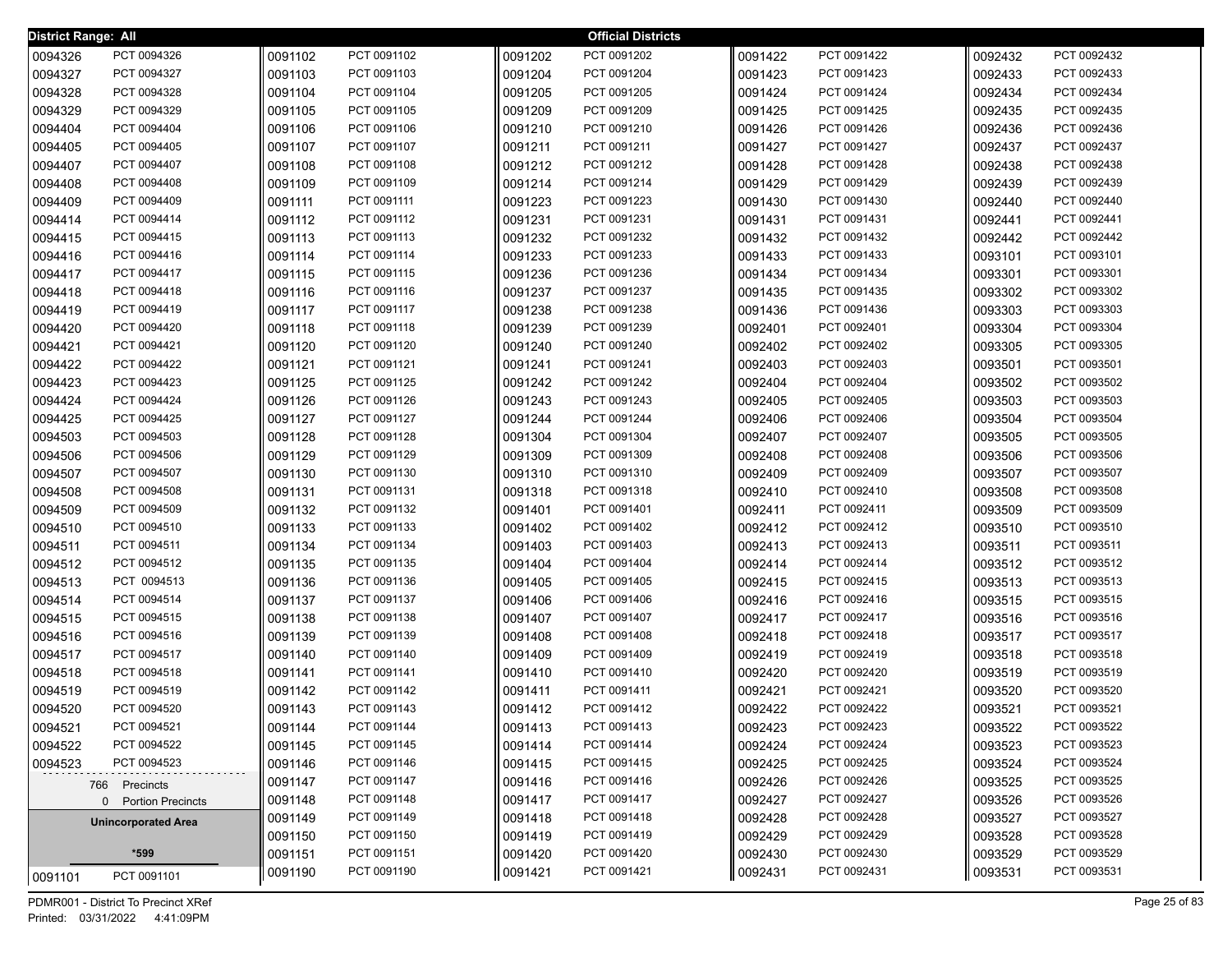| <b>District Range: All</b> |                            |                    |                            |                    | <b>Official Districts</b>  |                    |                            |                    |                            |
|----------------------------|----------------------------|--------------------|----------------------------|--------------------|----------------------------|--------------------|----------------------------|--------------------|----------------------------|
| 0094326                    | PCT 0094326                | 0091102            | PCT 0091102                | 0091202            | PCT 0091202                | 0091422            | PCT 0091422                | 0092432            | PCT 0092432                |
| 0094327                    | PCT 0094327                | 0091103            | PCT 0091103                | 0091204            | PCT 0091204                | 0091423            | PCT 0091423                | 0092433            | PCT 0092433                |
| 0094328                    | PCT 0094328                | 0091104            | PCT 0091104                | 0091205            | PCT 0091205                | 0091424            | PCT 0091424                | 0092434            | PCT 0092434                |
| 0094329                    | PCT 0094329                | 0091105            | PCT 0091105                | 0091209            | PCT 0091209                | 0091425            | PCT 0091425                | 0092435            | PCT 0092435                |
| 0094404                    | PCT 0094404                | 0091106            | PCT 0091106                | 0091210            | PCT 0091210                | 0091426            | PCT 0091426                | 0092436            | PCT 0092436                |
| 0094405                    | PCT 0094405                | 0091107            | PCT 0091107                | 0091211            | PCT 0091211                | 0091427            | PCT 0091427                | 0092437            | PCT 0092437                |
| 0094407                    | PCT 0094407                | 0091108            | PCT 0091108                | 0091212            | PCT 0091212                | 0091428            | PCT 0091428                | 0092438            | PCT 0092438                |
| 0094408                    | PCT 0094408                | 0091109            | PCT 0091109                | 0091214            | PCT 0091214                | 0091429            | PCT 0091429                | 0092439            | PCT 0092439                |
| 0094409                    | PCT 0094409                | 0091111            | PCT 0091111                | 0091223            | PCT 0091223                | 0091430            | PCT 0091430                | 0092440            | PCT 0092440                |
| 0094414                    | PCT 0094414                | 0091112            | PCT 0091112                | 0091231            | PCT 0091231                | 0091431            | PCT 0091431                | 0092441            | PCT 0092441                |
| 0094415                    | PCT 0094415                | 0091113            | PCT 0091113                | 0091232            | PCT 0091232                | 0091432            | PCT 0091432                | 0092442            | PCT 0092442                |
| 0094416                    | PCT 0094416                | 0091114            | PCT 0091114                | 0091233            | PCT 0091233                | 0091433            | PCT 0091433                | 0093101            | PCT 0093101                |
| 0094417                    | PCT 0094417                | 0091115            | PCT 0091115                | 0091236            | PCT 0091236                | 0091434            | PCT 0091434                | 0093301            | PCT 0093301                |
| 0094418                    | PCT 0094418                | 0091116            | PCT 0091116                | 0091237            | PCT 0091237                | 0091435            | PCT 0091435                | 0093302            | PCT 0093302                |
| 0094419                    | PCT 0094419                | 0091117            | PCT 0091117                | 0091238            | PCT 0091238                | 0091436            | PCT 0091436                | 0093303            | PCT 0093303                |
| 0094420                    | PCT 0094420                | 0091118            | PCT 0091118                | 0091239            | PCT 0091239                | 0092401            | PCT 0092401                | 0093304            | PCT 0093304                |
| 0094421                    | PCT 0094421                | 0091120            | PCT 0091120                | 0091240            | PCT 0091240                | 0092402            | PCT 0092402                | 0093305            | PCT 0093305                |
| 0094422                    | PCT 0094422                | 0091121            | PCT 0091121                | 0091241            | PCT 0091241                | 0092403            | PCT 0092403                | 0093501            | PCT 0093501                |
| 0094423                    | PCT 0094423                | 0091125            | PCT 0091125                | 0091242            | PCT 0091242                | 0092404            | PCT 0092404                | 0093502            | PCT 0093502                |
| 0094424                    | PCT 0094424                | 0091126            | PCT 0091126                | 0091243            | PCT 0091243                | 0092405            | PCT 0092405                | 0093503            | PCT 0093503                |
| 0094425                    | PCT 0094425                | 0091127            | PCT 0091127                | 0091244            | PCT 0091244                | 0092406            | PCT 0092406                | 0093504            | PCT 0093504                |
| 0094503                    | PCT 0094503                | 0091128            | PCT 0091128                | 0091304            | PCT 0091304                | 0092407            | PCT 0092407                | 0093505            | PCT 0093505                |
| 0094506                    | PCT 0094506                | 0091129            | PCT 0091129                | 0091309            | PCT 0091309                | 0092408            | PCT 0092408                | 0093506            | PCT 0093506                |
| 0094507                    | PCT 0094507                | 0091130            | PCT 0091130                | 0091310            | PCT 0091310                | 0092409            | PCT 0092409                | 0093507            | PCT 0093507                |
| 0094508                    | PCT 0094508                | 0091131            | PCT 0091131                | 0091318            | PCT 0091318                | 0092410            | PCT 0092410                | 0093508            | PCT 0093508                |
| 0094509                    | PCT 0094509                | 0091132            | PCT 0091132                | 0091401            | PCT 0091401                | 0092411            | PCT 0092411                | 0093509            | PCT 0093509                |
| 0094510                    | PCT 0094510                | 0091133            | PCT 0091133                | 0091402            | PCT 0091402                | 0092412            | PCT 0092412                | 0093510            | PCT 0093510                |
| 0094511                    | PCT 0094511                | 0091134            | PCT 0091134                | 0091403            | PCT 0091403                | 0092413            | PCT 0092413                | 0093511            | PCT 0093511                |
| 0094512                    | PCT 0094512                | 0091135            | PCT 0091135                | 0091404            | PCT 0091404                | 0092414            | PCT 0092414                | 0093512            | PCT 0093512                |
| 0094513                    | PCT 0094513                | 0091136            | PCT 0091136                | 0091405            | PCT 0091405                | 0092415            | PCT 0092415                | 0093513            | PCT 0093513                |
| 0094514                    | PCT 0094514                | 0091137            | PCT 0091137                | 0091406            | PCT 0091406                | 0092416            | PCT 0092416                | 0093515            | PCT 0093515                |
| 0094515                    | PCT 0094515<br>PCT 0094516 | 0091138<br>0091139 | PCT 0091138<br>PCT 0091139 | 0091407            | PCT 0091407<br>PCT 0091408 | 0092417            | PCT 0092417<br>PCT 0092418 | 0093516            | PCT 0093516<br>PCT 0093517 |
| 0094516<br>0094517         | PCT 0094517                | 0091140            | PCT 0091140                | 0091408<br>0091409 | PCT 0091409                | 0092418<br>0092419 | PCT 0092419                | 0093517<br>0093518 | PCT 0093518                |
| 0094518                    | PCT 0094518                | 0091141            | PCT 0091141                | 0091410            | PCT 0091410                | 0092420            | PCT 0092420                | 0093519            | PCT 0093519                |
| 0094519                    | PCT 0094519                | 0091142            | PCT 0091142                | 0091411            | PCT 0091411                | 0092421            | PCT 0092421                | 0093520            | PCT 0093520                |
| 0094520                    | PCT 0094520                | 0091143            | PCT 0091143                | 0091412            | PCT 0091412                | 0092422            | PCT 0092422                | 0093521            | PCT 0093521                |
| 0094521                    | PCT 0094521                | 0091144            | PCT 0091144                | 0091413            | PCT 0091413                | 0092423            | PCT 0092423                | 0093522            | PCT 0093522                |
| 0094522                    | PCT 0094522                | 0091145            | PCT 0091145                | 0091414            | PCT 0091414                | 0092424            | PCT 0092424                | 0093523            | PCT 0093523                |
| 0094523                    | PCT 0094523                | 0091146            | PCT 0091146                | 0091415            | PCT 0091415                | 0092425            | PCT 0092425                | 0093524            | PCT 0093524                |
|                            |                            | 0091147            | PCT 0091147                | 0091416            | PCT 0091416                | 0092426            | PCT 0092426                | 0093525            | PCT 0093525                |
|                            | 766 Precincts              | 0091148            | PCT 0091148                | 0091417            | PCT 0091417                | 0092427            | PCT 0092427                | 0093526            | PCT 0093526                |
|                            | 0 Portion Precincts        | 0091149            | PCT 0091149                | 0091418            | PCT 0091418                | 0092428            | PCT 0092428                | 0093527            | PCT 0093527                |
|                            | <b>Unincorporated Area</b> | 0091150            | PCT 0091150                | 0091419            | PCT 0091419                | 0092429            | PCT 0092429                | 0093528            | PCT 0093528                |
|                            | *599                       | 0091151            | PCT 0091151                | 0091420            | PCT 0091420                | 0092430            | PCT 0092430                | 0093529            | PCT 0093529                |
|                            |                            | 0091190            | PCT 0091190                | 0091421            | PCT 0091421                | 0092431            | PCT 0092431                | ∥0093531           | PCT 0093531                |
| 0091101                    | PCT 0091101                |                    |                            |                    |                            |                    |                            |                    |                            |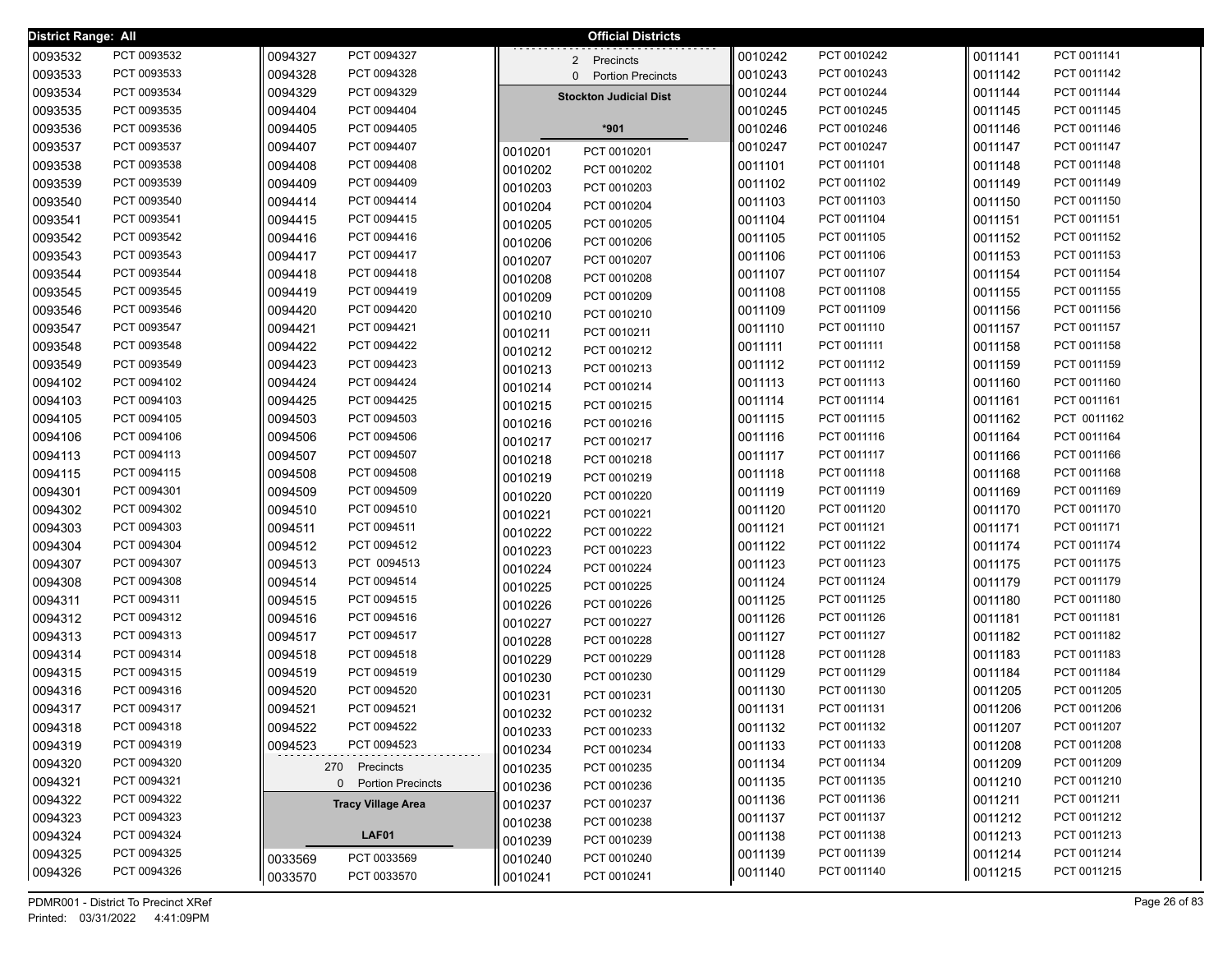| District Range: All |                            |                                                  |         | <b>Official Districts</b>            |                    |                            |                    |                            |
|---------------------|----------------------------|--------------------------------------------------|---------|--------------------------------------|--------------------|----------------------------|--------------------|----------------------------|
| 0093532             | PCT 0093532                | 0094327<br>PCT 0094327                           |         | $\overline{2}$<br>Precincts          | 0010242            | PCT 0010242                | 0011141            | PCT 0011141                |
| 0093533             | PCT 0093533                | PCT 0094328<br>0094328                           |         | <b>Portion Precincts</b><br>$\Omega$ | 0010243            | PCT 0010243                | 0011142            | PCT 0011142                |
| 0093534             | PCT 0093534                | 0094329<br>PCT 0094329                           |         | <b>Stockton Judicial Dist</b>        | 0010244            | PCT 0010244                | 0011144            | PCT 0011144                |
| 0093535             | PCT 0093535                | 0094404<br>PCT 0094404                           |         |                                      | 0010245            | PCT 0010245                | 0011145            | PCT 0011145                |
| 0093536             | PCT 0093536                | PCT 0094405<br>0094405                           |         | *901                                 | 0010246            | PCT 0010246                | 0011146            | PCT 0011146                |
| 0093537             | PCT 0093537                | 0094407<br>PCT 0094407                           | 0010201 | PCT 0010201                          | 0010247            | PCT 0010247                | 0011147            | PCT 0011147                |
| 0093538             | PCT 0093538                | 0094408<br>PCT 0094408                           | 0010202 | PCT 0010202                          | 0011101            | PCT 0011101                | 0011148            | PCT 0011148                |
| 0093539             | PCT 0093539                | PCT 0094409<br>0094409                           | 0010203 | PCT 0010203                          | 0011102            | PCT 0011102                | 0011149            | PCT 0011149                |
| 0093540             | PCT 0093540                | PCT 0094414<br>0094414                           | 0010204 | PCT 0010204                          | 0011103            | PCT 0011103                | 0011150            | PCT 0011150                |
| 0093541             | PCT 0093541                | PCT 0094415<br>0094415                           | 0010205 | PCT 0010205                          | 0011104            | PCT 0011104                | 0011151            | PCT 0011151                |
| 0093542             | PCT 0093542                | PCT 0094416<br>0094416                           | 0010206 | PCT 0010206                          | 0011105            | PCT 0011105                | 0011152            | PCT 0011152                |
| 0093543             | PCT 0093543                | PCT 0094417<br>0094417                           | 0010207 | PCT 0010207                          | 0011106            | PCT 0011106                | 0011153            | PCT 0011153                |
| 0093544             | PCT 0093544                | PCT 0094418<br>0094418                           | 0010208 | PCT 0010208                          | 0011107            | PCT 0011107                | 0011154            | PCT 0011154                |
| 0093545             | PCT 0093545                | PCT 0094419<br>0094419                           | 0010209 | PCT 0010209                          | 0011108            | PCT 0011108                | 0011155            | PCT 0011155                |
| 0093546             | PCT 0093546                | PCT 0094420<br>0094420                           | 0010210 | PCT 0010210                          | 0011109            | PCT 0011109                | 0011156            | PCT 0011156                |
| 0093547             | PCT 0093547                | 0094421<br>PCT 0094421                           | 0010211 | PCT 0010211                          | 0011110            | PCT 0011110                | 0011157            | PCT 0011157                |
| 0093548             | PCT 0093548                | 0094422<br>PCT 0094422                           | 0010212 | PCT 0010212                          | 0011111            | PCT 0011111                | 0011158            | PCT 0011158                |
| 0093549             | PCT 0093549                | PCT 0094423<br>0094423                           | 0010213 | PCT 0010213                          | 0011112            | PCT 0011112                | 0011159            | PCT 0011159                |
| 0094102             | PCT 0094102                | 0094424<br>PCT 0094424                           | 0010214 | PCT 0010214                          | 0011113            | PCT 0011113                | 0011160            | PCT 0011160                |
| 0094103             | PCT 0094103                | 0094425<br>PCT 0094425                           | 0010215 | PCT 0010215                          | 0011114            | PCT 0011114                | 0011161            | PCT 0011161                |
| 0094105             | PCT 0094105                | PCT 0094503<br>0094503                           | 0010216 | PCT 0010216                          | 0011115            | PCT 0011115                | 0011162            | PCT 0011162                |
| 0094106             | PCT 0094106                | 0094506<br>PCT 0094506                           | 0010217 | PCT 0010217                          | 0011116            | PCT 0011116                | 0011164            | PCT 0011164                |
| 0094113             | PCT 0094113                | PCT 0094507<br>0094507                           | 0010218 | PCT 0010218                          | 0011117            | PCT 0011117                | 0011166            | PCT 0011166                |
| 0094115             | PCT 0094115                | PCT 0094508<br>0094508                           | 0010219 | PCT 0010219                          | 0011118            | PCT 0011118                | 0011168            | PCT 0011168                |
| 0094301             | PCT 0094301                | PCT 0094509<br>0094509                           | 0010220 | PCT 0010220                          | 0011119            | PCT 0011119                | 0011169            | PCT 0011169                |
| 0094302             | PCT 0094302                | PCT 0094510<br>0094510                           | 0010221 | PCT 0010221                          | 0011120            | PCT 0011120                | 0011170            | PCT 0011170                |
| 0094303             | PCT 0094303                | PCT 0094511<br>0094511                           | 0010222 | PCT 0010222                          | 0011121            | PCT 0011121                | 0011171            | PCT 0011171                |
| 0094304             | PCT 0094304                | PCT 0094512<br>0094512                           | 0010223 | PCT 0010223                          | 0011122            | PCT 0011122                | 0011174            | PCT 0011174                |
| 0094307             | PCT 0094307                | PCT 0094513<br>0094513                           | 0010224 | PCT 0010224                          | 0011123            | PCT 0011123                | 0011175            | PCT 0011175                |
| 0094308             | PCT 0094308                | PCT 0094514<br>0094514                           | 0010225 | PCT 0010225                          | 0011124            | PCT 0011124                | 0011179            | PCT 0011179                |
| 0094311             | PCT 0094311                | PCT 0094515<br>0094515                           | 0010226 | PCT 0010226                          | 0011125            | PCT 0011125                | 0011180            | PCT 0011180                |
| 0094312             | PCT 0094312                | PCT 0094516<br>0094516                           | 0010227 | PCT 0010227                          | 0011126            | PCT 0011126                | 0011181            | PCT 0011181                |
| 0094313             | PCT 0094313                | PCT 0094517<br>0094517                           | 0010228 | PCT 0010228                          | 0011127            | PCT 0011127<br>PCT 0011128 | 0011182            | PCT 0011182                |
| 0094314             | PCT 0094314<br>PCT 0094315 | PCT 0094518<br>0094518<br>PCT 0094519            | 0010229 | PCT 0010229                          | 0011128            | PCT 0011129                | 0011183            | PCT 0011183<br>PCT 0011184 |
| 0094315             | PCT 0094316                | 0094519<br>PCT 0094520                           | 0010230 | PCT 0010230                          | 0011129            | PCT 0011130                | 0011184            | PCT 0011205                |
| 0094316<br>0094317  | PCT 0094317                | 0094520<br>0094521<br>PCT 0094521                | 0010231 | PCT 0010231                          | 0011130<br>0011131 | PCT 0011131                | 0011205<br>0011206 | PCT 0011206                |
|                     |                            |                                                  | 0010232 | PCT 0010232                          |                    |                            |                    |                            |
| 0094318<br>0094319  | PCT 0094318<br>PCT 0094319 | 0094522<br>PCT 0094522<br>PCT 0094523<br>0094523 | 0010233 | PCT 0010233                          | 0011132<br>0011133 | PCT 0011132<br>PCT 0011133 | 0011207<br>0011208 | PCT 0011207<br>PCT 0011208 |
| 0094320             | PCT 0094320                |                                                  | 0010234 | PCT 0010234                          | 0011134            | PCT 0011134                | 0011209            | PCT 0011209                |
| 0094321             | PCT 0094321                | 270 Precincts                                    | 0010235 | PCT 0010235                          | 0011135            | PCT 0011135                | 0011210            | PCT 0011210                |
| 0094322             | PCT 0094322                | 0 Portion Precincts                              | 0010236 | PCT 0010236                          | 0011136            | PCT 0011136                | 0011211            | PCT 0011211                |
| 0094323             | PCT 0094323                | <b>Tracy Village Area</b>                        | 0010237 | PCT 0010237                          | 0011137            | PCT 0011137                | 0011212            | PCT 0011212                |
| 0094324             | PCT 0094324                | LAF01                                            | 0010238 | PCT 0010238                          | 0011138            | PCT 0011138                | 0011213            | PCT 0011213                |
| 0094325             | PCT 0094325                |                                                  | 0010239 | PCT 0010239                          | 0011139            | PCT 0011139                | 0011214            | PCT 0011214                |
| 0094326             | PCT 0094326                | PCT 0033569<br>0033569                           | 0010240 | PCT 0010240                          | 0011140            | PCT 0011140                | 0011215            | PCT 0011215                |
|                     |                            | PCT 0033570<br>0033570                           | 0010241 | PCT 0010241                          |                    |                            |                    |                            |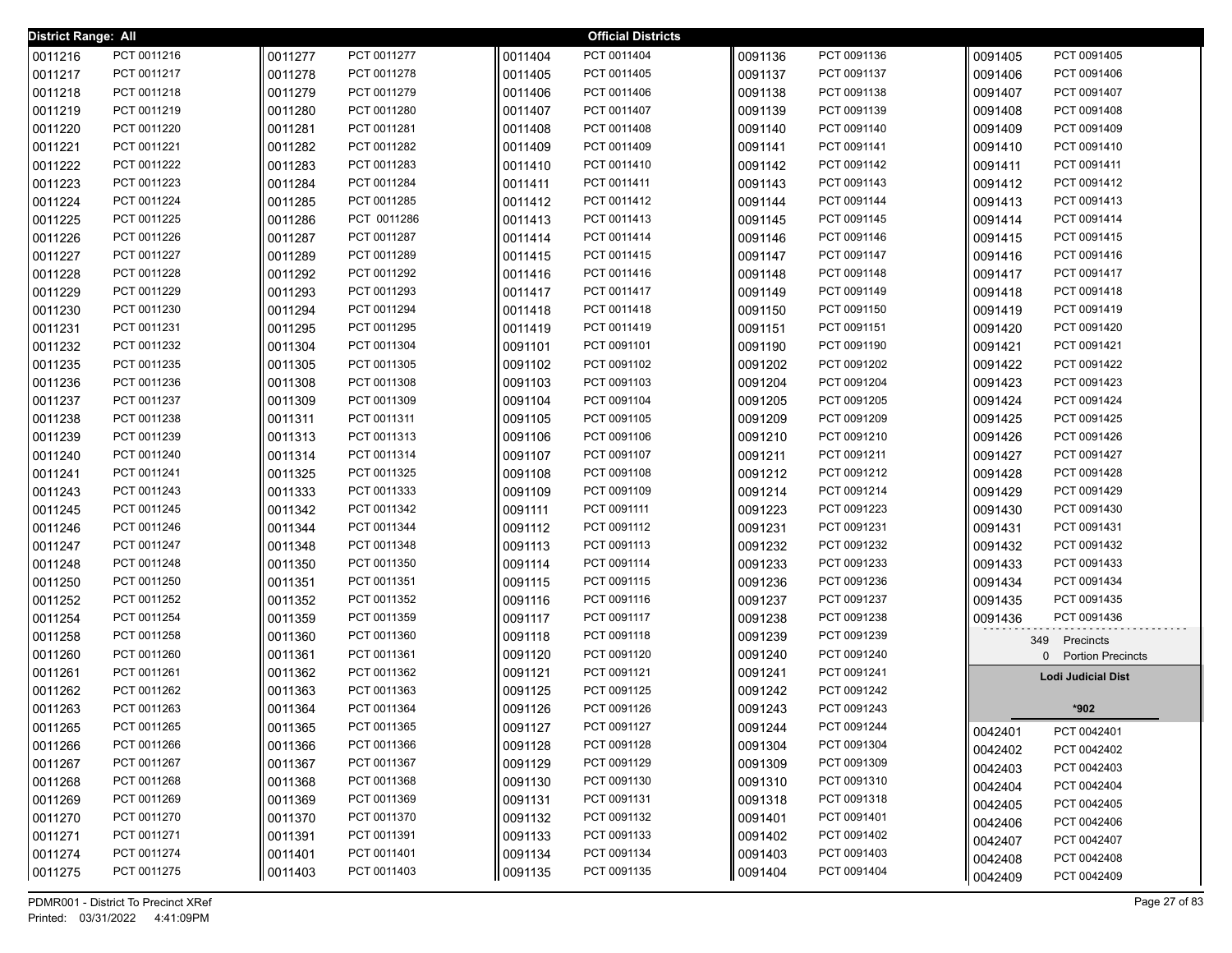| District Range: All |             |         |             |         | <b>Official Districts</b> |         |             |         |                           |
|---------------------|-------------|---------|-------------|---------|---------------------------|---------|-------------|---------|---------------------------|
| 0011216             | PCT 0011216 | 0011277 | PCT 0011277 | 0011404 | PCT 0011404               | 0091136 | PCT 0091136 | 0091405 | PCT 0091405               |
| 0011217             | PCT 0011217 | 0011278 | PCT 0011278 | 0011405 | PCT 0011405               | 0091137 | PCT 0091137 | 0091406 | PCT 0091406               |
| 0011218             | PCT 0011218 | 0011279 | PCT 0011279 | 0011406 | PCT 0011406               | 0091138 | PCT 0091138 | 0091407 | PCT 0091407               |
| 0011219             | PCT 0011219 | 0011280 | PCT 0011280 | 0011407 | PCT 0011407               | 0091139 | PCT 0091139 | 0091408 | PCT 0091408               |
| 0011220             | PCT 0011220 | 0011281 | PCT 0011281 | 0011408 | PCT 0011408               | 0091140 | PCT 0091140 | 0091409 | PCT 0091409               |
| 0011221             | PCT 0011221 | 0011282 | PCT 0011282 | 0011409 | PCT 0011409               | 0091141 | PCT 0091141 | 0091410 | PCT 0091410               |
| 0011222             | PCT 0011222 | 0011283 | PCT 0011283 | 0011410 | PCT 0011410               | 0091142 | PCT 0091142 | 0091411 | PCT 0091411               |
| 0011223             | PCT 0011223 | 0011284 | PCT 0011284 | 0011411 | PCT 0011411               | 0091143 | PCT 0091143 | 0091412 | PCT 0091412               |
| 0011224             | PCT 0011224 | 0011285 | PCT 0011285 | 0011412 | PCT 0011412               | 0091144 | PCT 0091144 | 0091413 | PCT 0091413               |
| 0011225             | PCT 0011225 | 0011286 | PCT 0011286 | 0011413 | PCT 0011413               | 0091145 | PCT 0091145 | 0091414 | PCT 0091414               |
| 0011226             | PCT 0011226 | 0011287 | PCT 0011287 | 0011414 | PCT 0011414               | 0091146 | PCT 0091146 | 0091415 | PCT 0091415               |
| 0011227             | PCT 0011227 | 0011289 | PCT 0011289 | 0011415 | PCT 0011415               | 0091147 | PCT 0091147 | 0091416 | PCT 0091416               |
| 0011228             | PCT 0011228 | 0011292 | PCT 0011292 | 0011416 | PCT 0011416               | 0091148 | PCT 0091148 | 0091417 | PCT 0091417               |
| 0011229             | PCT 0011229 | 0011293 | PCT 0011293 | 0011417 | PCT 0011417               | 0091149 | PCT 0091149 | 0091418 | PCT 0091418               |
| 0011230             | PCT 0011230 | 0011294 | PCT 0011294 | 0011418 | PCT 0011418               | 0091150 | PCT 0091150 | 0091419 | PCT 0091419               |
| 0011231             | PCT 0011231 | 0011295 | PCT 0011295 | 0011419 | PCT 0011419               | 0091151 | PCT 0091151 | 0091420 | PCT 0091420               |
| 0011232             | PCT 0011232 | 0011304 | PCT 0011304 | 0091101 | PCT 0091101               | 0091190 | PCT 0091190 | 0091421 | PCT 0091421               |
| 0011235             | PCT 0011235 | 0011305 | PCT 0011305 | 0091102 | PCT 0091102               | 0091202 | PCT 0091202 | 0091422 | PCT 0091422               |
| 0011236             | PCT 0011236 | 0011308 | PCT 0011308 | 0091103 | PCT 0091103               | 0091204 | PCT 0091204 | 0091423 | PCT 0091423               |
| 0011237             | PCT 0011237 | 0011309 | PCT 0011309 | 0091104 | PCT 0091104               | 0091205 | PCT 0091205 | 0091424 | PCT 0091424               |
| 0011238             | PCT 0011238 | 0011311 | PCT 0011311 | 0091105 | PCT 0091105               | 0091209 | PCT 0091209 | 0091425 | PCT 0091425               |
| 0011239             | PCT 0011239 | 0011313 | PCT 0011313 | 0091106 | PCT 0091106               | 0091210 | PCT 0091210 | 0091426 | PCT 0091426               |
| 0011240             | PCT 0011240 | 0011314 | PCT 0011314 | 0091107 | PCT 0091107               | 0091211 | PCT 0091211 | 0091427 | PCT 0091427               |
| 0011241             | PCT 0011241 | 0011325 | PCT 0011325 | 0091108 | PCT 0091108               | 0091212 | PCT 0091212 | 0091428 | PCT 0091428               |
| 0011243             | PCT 0011243 | 0011333 | PCT 0011333 | 0091109 | PCT 0091109               | 0091214 | PCT 0091214 | 0091429 | PCT 0091429               |
| 0011245             | PCT 0011245 | 0011342 | PCT 0011342 | 0091111 | PCT 0091111               | 0091223 | PCT 0091223 | 0091430 | PCT 0091430               |
| 0011246             | PCT 0011246 | 0011344 | PCT 0011344 | 0091112 | PCT 0091112               | 0091231 | PCT 0091231 | 0091431 | PCT 0091431               |
| 0011247             | PCT 0011247 | 0011348 | PCT 0011348 | 0091113 | PCT 0091113               | 0091232 | PCT 0091232 | 0091432 | PCT 0091432               |
| 0011248             | PCT 0011248 | 0011350 | PCT 0011350 | 0091114 | PCT 0091114               | 0091233 | PCT 0091233 | 0091433 | PCT 0091433               |
| 0011250             | PCT 0011250 | 0011351 | PCT 0011351 | 0091115 | PCT 0091115               | 0091236 | PCT 0091236 | 0091434 | PCT 0091434               |
| 0011252             | PCT 0011252 | 0011352 | PCT 0011352 | 0091116 | PCT 0091116               | 0091237 | PCT 0091237 | 0091435 | PCT 0091435               |
| 0011254             | PCT 0011254 | 0011359 | PCT 0011359 | 0091117 | PCT 0091117               | 0091238 | PCT 0091238 | 0091436 | PCT 0091436               |
| 0011258             | PCT 0011258 | 0011360 | PCT 0011360 | 0091118 | PCT 0091118               | 0091239 | PCT 0091239 |         | 349 Precincts             |
| 0011260             | PCT 0011260 | 0011361 | PCT 0011361 | 0091120 | PCT 0091120               | 0091240 | PCT 0091240 |         | 0 Portion Precincts       |
| 0011261             | PCT 0011261 | 0011362 | PCT 0011362 | 0091121 | PCT 0091121               | 0091241 | PCT 0091241 |         | <b>Lodi Judicial Dist</b> |
| 0011262             | PCT 0011262 | 0011363 | PCT 0011363 | 0091125 | PCT 0091125               | 0091242 | PCT 0091242 |         |                           |
| 0011263             | PCT 0011263 | 0011364 | PCT 0011364 | 0091126 | PCT 0091126               | 0091243 | PCT 0091243 |         | *902                      |
| 0011265             | PCT 0011265 | 0011365 | PCT 0011365 | 0091127 | PCT 0091127               | 0091244 | PCT 0091244 | 0042401 | PCT 0042401               |
| 0011266             | PCT 0011266 | 0011366 | PCT 0011366 | 0091128 | PCT 0091128               | 0091304 | PCT 0091304 | 0042402 | PCT 0042402               |
| 0011267             | PCT 0011267 | 0011367 | PCT 0011367 | 0091129 | PCT 0091129               | 0091309 | PCT 0091309 | 0042403 | PCT 0042403               |
| 0011268             | PCT 0011268 | 0011368 | PCT 0011368 | 0091130 | PCT 0091130               | 0091310 | PCT 0091310 | 0042404 | PCT 0042404               |
| 0011269             | PCT 0011269 | 0011369 | PCT 0011369 | 0091131 | PCT 0091131               | 0091318 | PCT 0091318 | 0042405 | PCT 0042405               |
| 0011270             | PCT 0011270 | 0011370 | PCT 0011370 | 0091132 | PCT 0091132               | 0091401 | PCT 0091401 | 0042406 | PCT 0042406               |
| 0011271             | PCT 0011271 | 0011391 | PCT 0011391 | 0091133 | PCT 0091133               | 0091402 | PCT 0091402 | 0042407 | PCT 0042407               |
| 0011274             | PCT 0011274 | 0011401 | PCT 0011401 | 0091134 | PCT 0091134               | 0091403 | PCT 0091403 | 0042408 | PCT 0042408               |
| 0011275             | PCT 0011275 | 0011403 | PCT 0011403 | 0091135 | PCT 0091135               | 0091404 | PCT 0091404 | 0042409 | PCT 0042409               |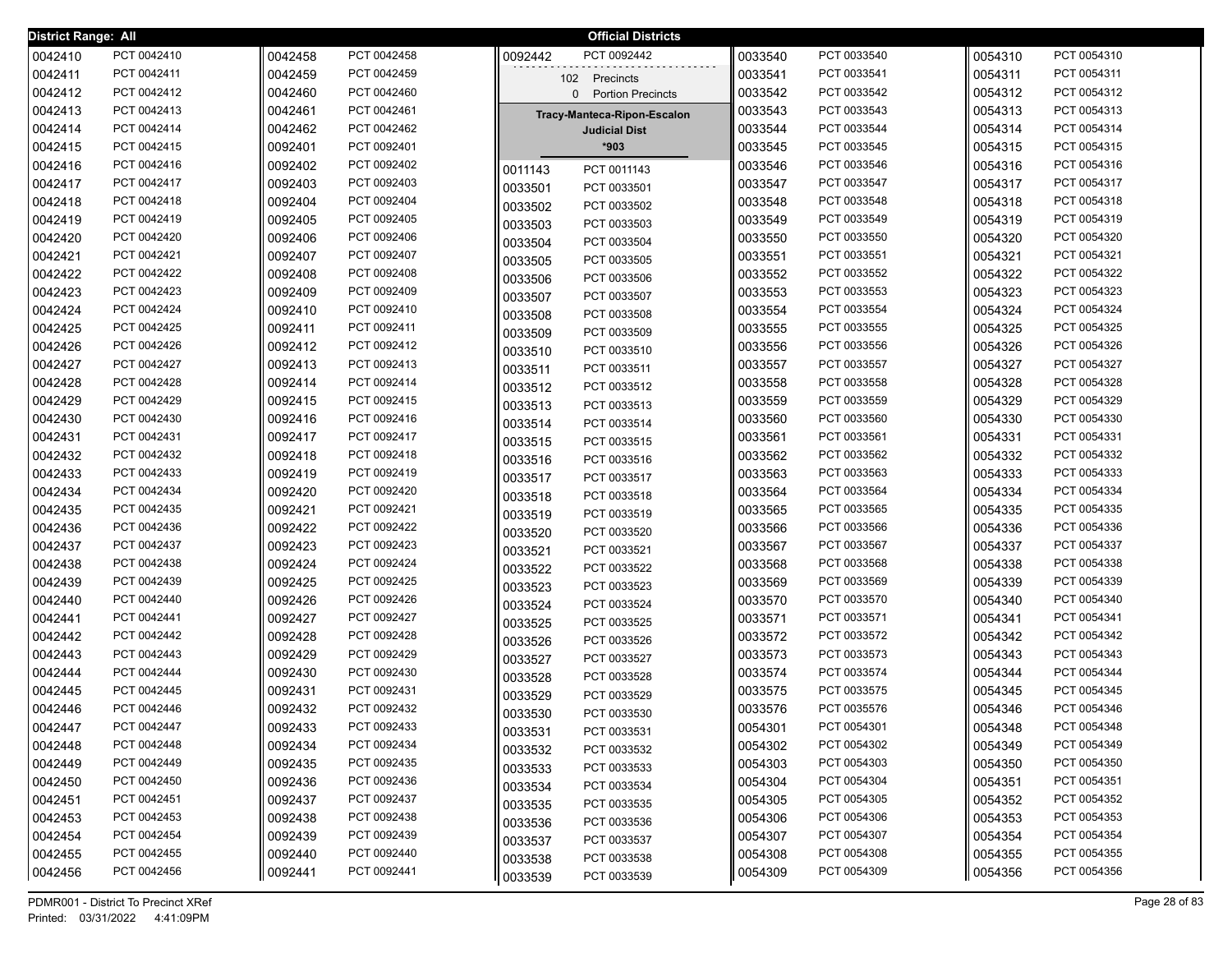| District Range: All |                            |                    |                            |                    | <b>Official Districts</b>   |                    |                            |                    |                            |
|---------------------|----------------------------|--------------------|----------------------------|--------------------|-----------------------------|--------------------|----------------------------|--------------------|----------------------------|
| 0042410             | PCT 0042410                | 0042458            | PCT 0042458                | 0092442            | PCT 0092442                 | 0033540            | PCT 0033540                | 0054310            | PCT 0054310                |
| 0042411             | PCT 0042411                | 0042459            | PCT 0042459                |                    | 102 Precincts               | 0033541            | PCT 0033541                | 0054311            | PCT 0054311                |
| 0042412             | PCT 0042412                | 0042460            | PCT 0042460                |                    | 0 Portion Precincts         | 0033542            | PCT 0033542                | 0054312            | PCT 0054312                |
| 0042413             | PCT 0042413                | 0042461            | PCT 0042461                |                    | Tracy-Manteca-Ripon-Escalon | 0033543            | PCT 0033543                | 0054313            | PCT 0054313                |
| 0042414             | PCT 0042414                | 0042462            | PCT 0042462                |                    | <b>Judicial Dist</b>        | 0033544            | PCT 0033544                | 0054314            | PCT 0054314                |
| 0042415             | PCT 0042415                | 0092401            | PCT 0092401                |                    | *903                        | 0033545            | PCT 0033545                | 0054315            | PCT 0054315                |
| 0042416             | PCT 0042416                | 0092402            | PCT 0092402                | 0011143            | PCT 0011143                 | 0033546            | PCT 0033546                | 0054316            | PCT 0054316                |
| 0042417             | PCT 0042417                | 0092403            | PCT 0092403                | 0033501            | PCT 0033501                 | 0033547            | PCT 0033547                | 0054317            | PCT 0054317                |
| 0042418             | PCT 0042418                | 0092404            | PCT 0092404                | 0033502            | PCT 0033502                 | 0033548            | PCT 0033548                | 0054318            | PCT 0054318                |
| 0042419             | PCT 0042419                | 0092405            | PCT 0092405                | 0033503            | PCT 0033503                 | 0033549            | PCT 0033549                | 0054319            | PCT 0054319                |
| 0042420             | PCT 0042420                | 0092406            | PCT 0092406                | 0033504            | PCT 0033504                 | 0033550            | PCT 0033550                | 0054320            | PCT 0054320                |
| 0042421             | PCT 0042421                | 0092407            | PCT 0092407                | 0033505            | PCT 0033505                 | 0033551            | PCT 0033551                | 0054321            | PCT 0054321                |
| 0042422             | PCT 0042422                | 0092408            | PCT 0092408                | 0033506            | PCT 0033506                 | 0033552            | PCT 0033552                | 0054322            | PCT 0054322                |
| 0042423             | PCT 0042423                | 0092409            | PCT 0092409                | 0033507            | PCT 0033507                 | 0033553            | PCT 0033553                | 0054323            | PCT 0054323                |
| 0042424             | PCT 0042424                | 0092410            | PCT 0092410                | 0033508            | PCT 0033508                 | 0033554            | PCT 0033554                | 0054324            | PCT 0054324                |
| 0042425             | PCT 0042425                | 0092411            | PCT 0092411                | 0033509            | PCT 0033509                 | 0033555            | PCT 0033555                | 0054325            | PCT 0054325                |
| 0042426             | PCT 0042426                | 0092412            | PCT 0092412                | 0033510            | PCT 0033510                 | 0033556            | PCT 0033556                | 0054326            | PCT 0054326                |
| 0042427             | PCT 0042427                | 0092413            | PCT 0092413                | 0033511            | PCT 0033511                 | 0033557            | PCT 0033557                | 0054327            | PCT 0054327                |
| 0042428             | PCT 0042428                | 0092414            | PCT 0092414                | 0033512            | PCT 0033512                 | 0033558            | PCT 0033558                | 0054328            | PCT 0054328                |
| 0042429             | PCT 0042429                | 0092415            | PCT 0092415                | 0033513            | PCT 0033513                 | 0033559            | PCT 0033559                | 0054329            | PCT 0054329                |
| 0042430             | PCT 0042430                | 0092416            | PCT 0092416                | 0033514            | PCT 0033514                 | 0033560            | PCT 0033560                | 0054330            | PCT 0054330                |
| 0042431             | PCT 0042431                | 0092417            | PCT 0092417                | 0033515            | PCT 0033515                 | 0033561            | PCT 0033561                | 0054331            | PCT 0054331                |
| 0042432             | PCT 0042432                | 0092418            | PCT 0092418                | 0033516            | PCT 0033516                 | 0033562            | PCT 0033562                | 0054332            | PCT 0054332                |
| 0042433             | PCT 0042433                | 0092419            | PCT 0092419                | 0033517            | PCT 0033517                 | 0033563            | PCT 0033563                | 0054333            | PCT 0054333                |
| 0042434             | PCT 0042434                | 0092420            | PCT 0092420                | 0033518            | PCT 0033518                 | 0033564            | PCT 0033564                | 0054334            | PCT 0054334                |
| 0042435             | PCT 0042435                | 0092421            | PCT 0092421                | 0033519            | PCT 0033519                 | 0033565            | PCT 0033565                | 0054335            | PCT 0054335                |
| 0042436             | PCT 0042436                | 0092422            | PCT 0092422                | 0033520            | PCT 0033520                 | 0033566            | PCT 0033566                | 0054336            | PCT 0054336                |
| 0042437             | PCT 0042437                | 0092423            | PCT 0092423                | 0033521            | PCT 0033521                 | 0033567            | PCT 0033567                | 0054337            | PCT 0054337                |
| 0042438             | PCT 0042438                | 0092424            | PCT 0092424                | 0033522            | PCT 0033522                 | 0033568            | PCT 0033568                | 0054338            | PCT 0054338                |
| 0042439             | PCT 0042439<br>PCT 0042440 | 0092425<br>0092426 | PCT 0092425<br>PCT 0092426 | 0033523            | PCT 0033523                 | 0033569            | PCT 0033569<br>PCT 0033570 | 0054339<br>0054340 | PCT 0054339<br>PCT 0054340 |
| 0042440<br>0042441  | PCT 0042441                | 0092427            | PCT 0092427                | 0033524            | PCT 0033524                 | 0033570<br>0033571 | PCT 0033571                | 0054341            | PCT 0054341                |
| 0042442             | PCT 0042442                | 0092428            | PCT 0092428                | 0033525            | PCT 0033525                 | 0033572            | PCT 0033572                | 0054342            | PCT 0054342                |
| 0042443             | PCT 0042443                | 0092429            | PCT 0092429                | 0033526            | PCT 0033526                 | 0033573            | PCT 0033573                | 0054343            | PCT 0054343                |
| 0042444             | PCT 0042444                | 0092430            | PCT 0092430                | 0033527            | PCT 0033527                 | 0033574            | PCT 0033574                | 0054344            | PCT 0054344                |
| 0042445             | PCT 0042445                | 0092431            | PCT 0092431                | 0033528            | PCT 0033528                 | 0033575            | PCT 0033575                | 0054345            | PCT 0054345                |
| 0042446             | PCT 0042446                | 0092432            | PCT 0092432                | 0033529            | PCT 0033529                 | 0033576            | PCT 0035576                | 0054346            | PCT 0054346                |
| 0042447             | PCT 0042447                | 0092433            | PCT 0092433                | 0033530            | PCT 0033530                 | 0054301            | PCT 0054301                | 0054348            | PCT 0054348                |
| 0042448             | PCT 0042448                | 0092434            | PCT 0092434                | 0033531            | PCT 0033531                 | 0054302            | PCT 0054302                | 0054349            | PCT 0054349                |
| 0042449             | PCT 0042449                | 0092435            | PCT 0092435                | 0033532            | PCT 0033532<br>PCT 0033533  | 0054303            | PCT 0054303                | 0054350            | PCT 0054350                |
| 0042450             | PCT 0042450                | 0092436            | PCT 0092436                | 0033533            | PCT 0033534                 | 0054304            | PCT 0054304                | 0054351            | PCT 0054351                |
| 0042451             | PCT 0042451                | 0092437            | PCT 0092437                | 0033534<br>0033535 | PCT 0033535                 | 0054305            | PCT 0054305                | 0054352            | PCT 0054352                |
| 0042453             | PCT 0042453                | 0092438            | PCT 0092438                | 0033536            | PCT 0033536                 | 0054306            | PCT 0054306                | 0054353            | PCT 0054353                |
| 0042454             | PCT 0042454                | 0092439            | PCT 0092439                | 0033537            | PCT 0033537                 | 0054307            | PCT 0054307                | 0054354            | PCT 0054354                |
| 0042455             | PCT 0042455                | 0092440            | PCT 0092440                | 0033538            | PCT 0033538                 | 0054308            | PCT 0054308                | 0054355            | PCT 0054355                |
| 0042456             | PCT 0042456                | 0092441            | PCT 0092441                | 0033539            | PCT 0033539                 | 0054309            | PCT 0054309                | 0054356            | PCT 0054356                |
|                     |                            |                    |                            |                    |                             |                    |                            |                    |                            |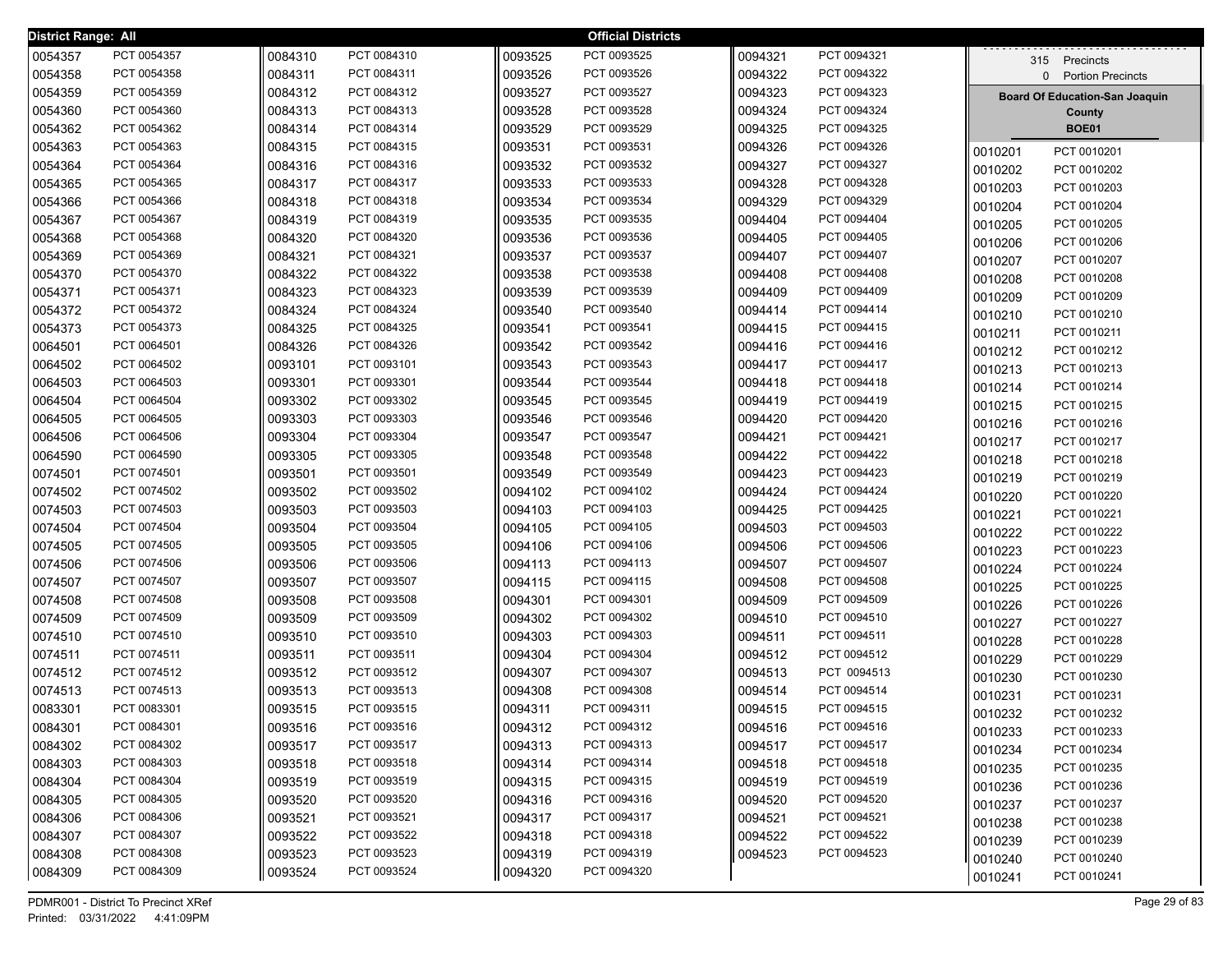| <b>District Range: All</b> |             |         |             |         | <b>Official Districts</b> |         |             |                                       |  |
|----------------------------|-------------|---------|-------------|---------|---------------------------|---------|-------------|---------------------------------------|--|
| 0054357                    | PCT 0054357 | 0084310 | PCT 0084310 | 0093525 | PCT 0093525               | 0094321 | PCT 0094321 | 315 Precincts                         |  |
| 0054358                    | PCT 0054358 | 0084311 | PCT 0084311 | 0093526 | PCT 0093526               | 0094322 | PCT 0094322 | 0 Portion Precincts                   |  |
| 0054359                    | PCT 0054359 | 0084312 | PCT 0084312 | 0093527 | PCT 0093527               | 0094323 | PCT 0094323 | <b>Board Of Education-San Joaquin</b> |  |
| 0054360                    | PCT 0054360 | 0084313 | PCT 0084313 | 0093528 | PCT 0093528               | 0094324 | PCT 0094324 | County                                |  |
| 0054362                    | PCT 0054362 | 0084314 | PCT 0084314 | 0093529 | PCT 0093529               | 0094325 | PCT 0094325 | <b>BOE01</b>                          |  |
| 0054363                    | PCT 0054363 | 0084315 | PCT 0084315 | 0093531 | PCT 0093531               | 0094326 | PCT 0094326 | PCT 0010201<br>0010201                |  |
| 0054364                    | PCT 0054364 | 0084316 | PCT 0084316 | 0093532 | PCT 0093532               | 0094327 | PCT 0094327 | PCT 0010202<br>0010202                |  |
| 0054365                    | PCT 0054365 | 0084317 | PCT 0084317 | 0093533 | PCT 0093533               | 0094328 | PCT 0094328 | PCT 0010203<br>0010203                |  |
| 0054366                    | PCT 0054366 | 0084318 | PCT 0084318 | 0093534 | PCT 0093534               | 0094329 | PCT 0094329 | PCT 0010204<br>0010204                |  |
| 0054367                    | PCT 0054367 | 0084319 | PCT 0084319 | 0093535 | PCT 0093535               | 0094404 | PCT 0094404 | 0010205<br>PCT 0010205                |  |
| 0054368                    | PCT 0054368 | 0084320 | PCT 0084320 | 0093536 | PCT 0093536               | 0094405 | PCT 0094405 | 0010206<br>PCT 0010206                |  |
| 0054369                    | PCT 0054369 | 0084321 | PCT 0084321 | 0093537 | PCT 0093537               | 0094407 | PCT 0094407 | 0010207<br>PCT 0010207                |  |
| 0054370                    | PCT 0054370 | 0084322 | PCT 0084322 | 0093538 | PCT 0093538               | 0094408 | PCT 0094408 | 0010208<br>PCT 0010208                |  |
| 0054371                    | PCT 0054371 | 0084323 | PCT 0084323 | 0093539 | PCT 0093539               | 0094409 | PCT 0094409 | 0010209<br>PCT 0010209                |  |
| 0054372                    | PCT 0054372 | 0084324 | PCT 0084324 | 0093540 | PCT 0093540               | 0094414 | PCT 0094414 | 0010210<br>PCT 0010210                |  |
| 0054373                    | PCT 0054373 | 0084325 | PCT 0084325 | 0093541 | PCT 0093541               | 0094415 | PCT 0094415 | 0010211<br>PCT 0010211                |  |
| 0064501                    | PCT 0064501 | 0084326 | PCT 0084326 | 0093542 | PCT 0093542               | 0094416 | PCT 0094416 | 0010212<br>PCT 0010212                |  |
| 0064502                    | PCT 0064502 | 0093101 | PCT 0093101 | 0093543 | PCT 0093543               | 0094417 | PCT 0094417 | 0010213<br>PCT 0010213                |  |
| 0064503                    | PCT 0064503 | 0093301 | PCT 0093301 | 0093544 | PCT 0093544               | 0094418 | PCT 0094418 | 0010214<br>PCT 0010214                |  |
| 0064504                    | PCT 0064504 | 0093302 | PCT 0093302 | 0093545 | PCT 0093545               | 0094419 | PCT 0094419 | 0010215<br>PCT 0010215                |  |
| 0064505                    | PCT 0064505 | 0093303 | PCT 0093303 | 0093546 | PCT 0093546               | 0094420 | PCT 0094420 | PCT 0010216<br>0010216                |  |
| 0064506                    | PCT 0064506 | 0093304 | PCT 0093304 | 0093547 | PCT 0093547               | 0094421 | PCT 0094421 | PCT 0010217<br>0010217                |  |
| 0064590                    | PCT 0064590 | 0093305 | PCT 0093305 | 0093548 | PCT 0093548               | 0094422 | PCT 0094422 | PCT 0010218<br>0010218                |  |
| 0074501                    | PCT 0074501 | 0093501 | PCT 0093501 | 0093549 | PCT 0093549               | 0094423 | PCT 0094423 | PCT 0010219<br>0010219                |  |
| 0074502                    | PCT 0074502 | 0093502 | PCT 0093502 | 0094102 | PCT 0094102               | 0094424 | PCT 0094424 | 0010220<br>PCT 0010220                |  |
| 0074503                    | PCT 0074503 | 0093503 | PCT 0093503 | 0094103 | PCT 0094103               | 0094425 | PCT 0094425 | 0010221<br>PCT 0010221                |  |
| 0074504                    | PCT 0074504 | 0093504 | PCT 0093504 | 0094105 | PCT 0094105               | 0094503 | PCT 0094503 | 0010222<br>PCT 0010222                |  |
| 0074505                    | PCT 0074505 | 0093505 | PCT 0093505 | 0094106 | PCT 0094106               | 0094506 | PCT 0094506 | 0010223<br>PCT 0010223                |  |
| 0074506                    | PCT 0074506 | 0093506 | PCT 0093506 | 0094113 | PCT 0094113               | 0094507 | PCT 0094507 | 0010224<br>PCT 0010224                |  |
| 0074507                    | PCT 0074507 | 0093507 | PCT 0093507 | 0094115 | PCT 0094115               | 0094508 | PCT 0094508 | 0010225<br>PCT 0010225                |  |
| 0074508                    | PCT 0074508 | 0093508 | PCT 0093508 | 0094301 | PCT 0094301               | 0094509 | PCT 0094509 | 0010226<br>PCT 0010226                |  |
| 0074509                    | PCT 0074509 | 0093509 | PCT 0093509 | 0094302 | PCT 0094302               | 0094510 | PCT 0094510 | 0010227<br>PCT 0010227                |  |
| 0074510                    | PCT 0074510 | 0093510 | PCT 0093510 | 0094303 | PCT 0094303               | 0094511 | PCT 0094511 | 0010228<br>PCT 0010228                |  |
| 0074511                    | PCT 0074511 | 0093511 | PCT 0093511 | 0094304 | PCT 0094304               | 0094512 | PCT 0094512 | PCT 0010229<br>0010229                |  |
| 0074512                    | PCT 0074512 | 0093512 | PCT 0093512 | 0094307 | PCT 0094307               | 0094513 | PCT 0094513 | PCT 0010230<br>0010230                |  |
| 0074513                    | PCT 0074513 | 0093513 | PCT 0093513 | 0094308 | PCT 0094308               | 0094514 | PCT 0094514 | 0010231<br>PCT 0010231                |  |
| 0083301                    | PCT 0083301 | 0093515 | PCT 0093515 | 0094311 | PCT 0094311               | 0094515 | PCT 0094515 | 0010232<br>PCT 0010232                |  |
| 0084301                    | PCT 0084301 | 0093516 | PCT 0093516 | 0094312 | PCT 0094312               | 0094516 | PCT 0094516 | PCT 0010233<br>0010233                |  |
| 0084302                    | PCT 0084302 | 0093517 | PCT 0093517 | 0094313 | PCT 0094313               | 0094517 | PCT 0094517 | PCT 0010234<br>0010234                |  |
| 0084303                    | PCT 0084303 | 0093518 | PCT 0093518 | 0094314 | PCT 0094314               | 0094518 | PCT 0094518 | 0010235<br>PCT 0010235                |  |
| 0084304                    | PCT 0084304 | 0093519 | PCT 0093519 | 0094315 | PCT 0094315               | 0094519 | PCT 0094519 | 0010236<br>PCT 0010236                |  |
| 0084305                    | PCT 0084305 | 0093520 | PCT 0093520 | 0094316 | PCT 0094316               | 0094520 | PCT 0094520 | 0010237<br>PCT 0010237                |  |
| 0084306                    | PCT 0084306 | 0093521 | PCT 0093521 | 0094317 | PCT 0094317               | 0094521 | PCT 0094521 | 0010238<br>PCT 0010238                |  |
| 0084307                    | PCT 0084307 | 0093522 | PCT 0093522 | 0094318 | PCT 0094318               | 0094522 | PCT 0094522 | 0010239<br>PCT 0010239                |  |
| 0084308                    | PCT 0084308 | 0093523 | PCT 0093523 | 0094319 | PCT 0094319               | 0094523 | PCT 0094523 | 0010240<br>PCT 0010240                |  |
| 0084309                    | PCT 0084309 | 0093524 | PCT 0093524 | 0094320 | PCT 0094320               |         |             | PCT 0010241<br>0010241                |  |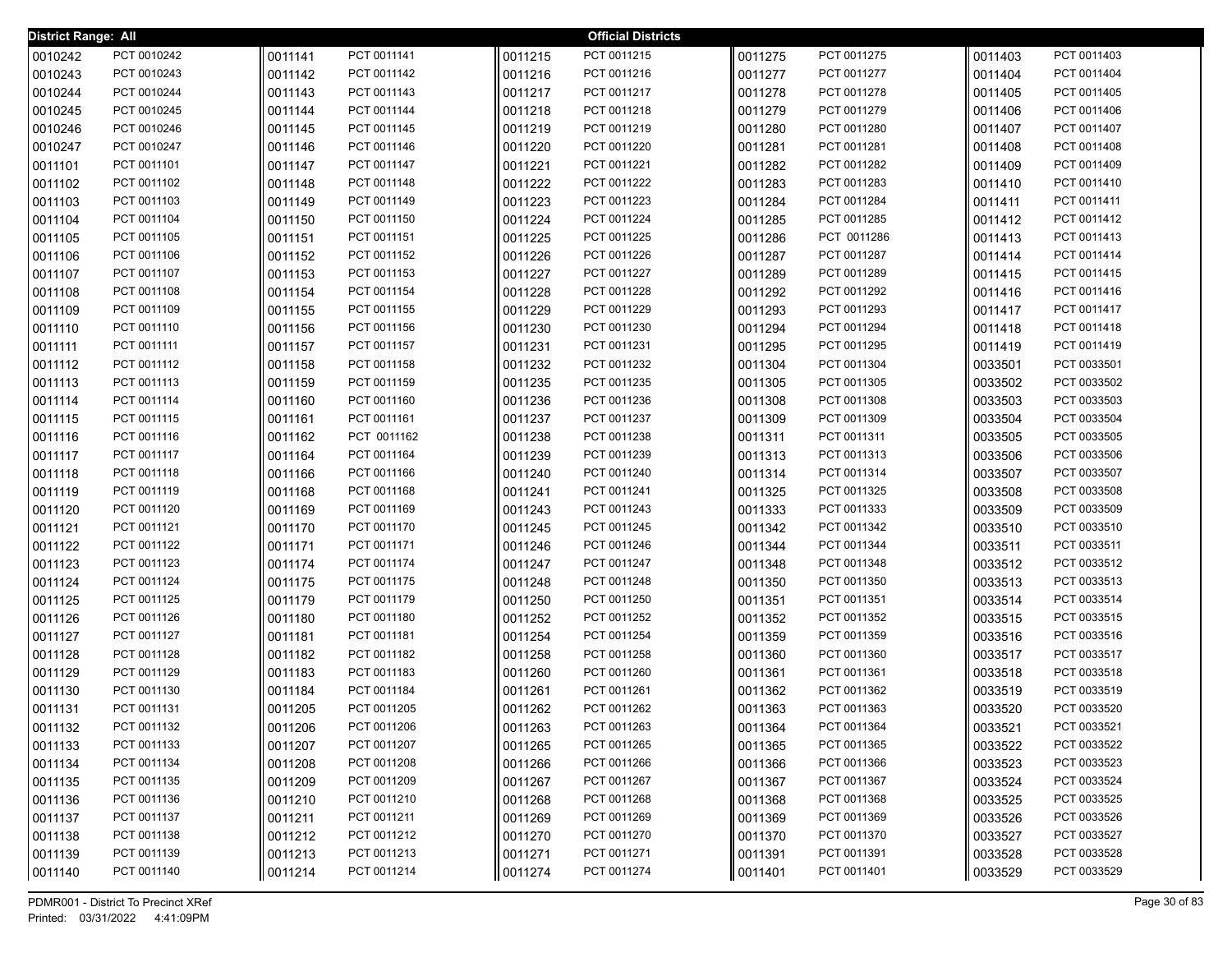| <b>District Range: All</b> |             |         |             |         | <b>Official Districts</b> |         |             |         |                            |
|----------------------------|-------------|---------|-------------|---------|---------------------------|---------|-------------|---------|----------------------------|
| 0010242                    | PCT 0010242 | 0011141 | PCT 0011141 | 0011215 | PCT 0011215               | 0011275 | PCT 0011275 | 0011403 | PCT 0011403                |
| 0010243                    | PCT 0010243 | 0011142 | PCT 0011142 | 0011216 | PCT 0011216               | 0011277 | PCT 0011277 | 0011404 | PCT 0011404                |
| 0010244                    | PCT 0010244 | 0011143 | PCT 0011143 | 0011217 | PCT 0011217               | 0011278 | PCT 0011278 | 0011405 | PCT 0011405                |
| 0010245                    | PCT 0010245 | 0011144 | PCT 0011144 | 0011218 | PCT 0011218               | 0011279 | PCT 0011279 | 0011406 | PCT 0011406                |
| 0010246                    | PCT 0010246 | 0011145 | PCT 0011145 | 0011219 | PCT 0011219               | 0011280 | PCT 0011280 | 0011407 | PCT 0011407                |
| 0010247                    | PCT 0010247 | 0011146 | PCT 0011146 | 0011220 | PCT 0011220               | 0011281 | PCT 0011281 | 0011408 | PCT 0011408                |
| 0011101                    | PCT 0011101 | 0011147 | PCT 0011147 | 0011221 | PCT 0011221               | 0011282 | PCT 0011282 | 0011409 | PCT 0011409                |
| 0011102                    | PCT 0011102 | 0011148 | PCT 0011148 | 0011222 | PCT 0011222               | 0011283 | PCT 0011283 | 0011410 | PCT 0011410                |
| 0011103                    | PCT 0011103 | 0011149 | PCT 0011149 | 0011223 | PCT 0011223               | 0011284 | PCT 0011284 | 0011411 | PCT 0011411                |
| 0011104                    | PCT 0011104 | 0011150 | PCT 0011150 | 0011224 | PCT 0011224               | 0011285 | PCT 0011285 | 0011412 | PCT 0011412                |
| 0011105                    | PCT 0011105 | 0011151 | PCT 0011151 | 0011225 | PCT 0011225               | 0011286 | PCT 0011286 | 0011413 | PCT 0011413                |
| 0011106                    | PCT 0011106 | 0011152 | PCT 0011152 | 0011226 | PCT 0011226               | 0011287 | PCT 0011287 | 0011414 | PCT 0011414                |
| 0011107                    | PCT 0011107 | 0011153 | PCT 0011153 | 0011227 | PCT 0011227               | 0011289 | PCT 0011289 | 0011415 | PCT 0011415                |
| 0011108                    | PCT 0011108 | 0011154 | PCT 0011154 | 0011228 | PCT 0011228               | 0011292 | PCT 0011292 | 0011416 | PCT 0011416                |
| 0011109                    | PCT 0011109 | 0011155 | PCT 0011155 | 0011229 | PCT 0011229               | 0011293 | PCT 0011293 | 0011417 | PCT 0011417                |
| 0011110                    | PCT 0011110 | 0011156 | PCT 0011156 | 0011230 | PCT 0011230               | 0011294 | PCT 0011294 | 0011418 | PCT 0011418                |
| 0011111                    | PCT 0011111 | 0011157 | PCT 0011157 | 0011231 | PCT 0011231               | 0011295 | PCT 0011295 | 0011419 | PCT 0011419                |
| 0011112                    | PCT 0011112 | 0011158 | PCT 0011158 | 0011232 | PCT 0011232               | 0011304 | PCT 0011304 | 0033501 | PCT 0033501                |
| 0011113                    | PCT 0011113 | 0011159 | PCT 0011159 | 0011235 | PCT 0011235               | 0011305 | PCT 0011305 | 0033502 | PCT 0033502                |
| 0011114                    | PCT 0011114 | 0011160 | PCT 0011160 | 0011236 | PCT 0011236               | 0011308 | PCT 0011308 | 0033503 | PCT 0033503                |
| 0011115                    | PCT 0011115 | 0011161 | PCT 0011161 | 0011237 | PCT 0011237               | 0011309 | PCT 0011309 | 0033504 | PCT 0033504                |
| 0011116                    | PCT 0011116 | 0011162 | PCT 0011162 | 0011238 | PCT 0011238               | 0011311 | PCT 0011311 | 0033505 | PCT 0033505                |
| 0011117                    | PCT 0011117 | 0011164 | PCT 0011164 | 0011239 | PCT 0011239               | 0011313 | PCT 0011313 | 0033506 | PCT 0033506                |
| 0011118                    | PCT 0011118 | 0011166 | PCT 0011166 | 0011240 | PCT 0011240               | 0011314 | PCT 0011314 | 0033507 | PCT 0033507                |
| 0011119                    | PCT 0011119 | 0011168 | PCT 0011168 | 0011241 | PCT 0011241               | 0011325 | PCT 0011325 | 0033508 | PCT 0033508                |
| 0011120                    | PCT 0011120 | 0011169 | PCT 0011169 | 0011243 | PCT 0011243               | 0011333 | PCT 0011333 | 0033509 | PCT 0033509                |
| 0011121                    | PCT 0011121 | 0011170 | PCT 0011170 | 0011245 | PCT 0011245               | 0011342 | PCT 0011342 | 0033510 | PCT 0033510                |
| 0011122                    | PCT 0011122 | 0011171 | PCT 0011171 | 0011246 | PCT 0011246               | 0011344 | PCT 0011344 | 0033511 | PCT 0033511                |
| 0011123                    | PCT 0011123 | 0011174 | PCT 0011174 | 0011247 | PCT 0011247               | 0011348 | PCT 0011348 | 0033512 | PCT 0033512                |
| 0011124                    | PCT 0011124 | 0011175 | PCT 0011175 | 0011248 | PCT 0011248               | 0011350 | PCT 0011350 | 0033513 | PCT 0033513                |
| 0011125                    | PCT 0011125 | 0011179 | PCT 0011179 | 0011250 | PCT 0011250               | 0011351 | PCT 0011351 | 0033514 | PCT 0033514                |
| 0011126                    | PCT 0011126 | 0011180 | PCT 0011180 | 0011252 | PCT 0011252               | 0011352 | PCT 0011352 | 0033515 | PCT 0033515                |
| 0011127                    | PCT 0011127 | 0011181 | PCT 0011181 | 0011254 | PCT 0011254               | 0011359 | PCT 0011359 | 0033516 | PCT 0033516                |
| 0011128                    | PCT 0011128 | 0011182 | PCT 0011182 | 0011258 | PCT 0011258               | 0011360 | PCT 0011360 | 0033517 | PCT 0033517                |
| 0011129                    | PCT 0011129 | 0011183 | PCT 0011183 | 0011260 | PCT 0011260               | 0011361 | PCT 0011361 | 0033518 | PCT 0033518                |
| 0011130                    | PCT 0011130 | 0011184 | PCT 0011184 | 0011261 | PCT 0011261               | 0011362 | PCT 0011362 | 0033519 | PCT 0033519                |
| 0011131                    | PCT 0011131 | 0011205 | PCT 0011205 | 0011262 | PCT 0011262               | 0011363 | PCT 0011363 | 0033520 | PCT 0033520                |
| 0011132                    | PCT 0011132 | 0011206 | PCT 0011206 | 0011263 | PCT 0011263               | 0011364 | PCT 0011364 | 0033521 | PCT 0033521                |
| 0011133                    | PCT 0011133 | 0011207 | PCT 0011207 | 0011265 | PCT 0011265               | 0011365 | PCT 0011365 | 0033522 | PCT 0033522                |
| 0011134                    | PCT 0011134 | 0011208 | PCT 0011208 | 0011266 | PCT 0011266               | 0011366 | PCT 0011366 | 0033523 | PCT 0033523                |
| 0011135                    | PCT 0011135 | 0011209 | PCT 0011209 | 0011267 | PCT 0011267               | 0011367 | PCT 0011367 | 0033524 | PCT 0033524<br>PCT 0033525 |
| 0011136                    | PCT 0011136 | 0011210 | PCT 0011210 | 0011268 | PCT 0011268               | 0011368 | PCT 0011368 | 0033525 |                            |
| 0011137                    | PCT 0011137 | 0011211 | PCT 0011211 | 0011269 | PCT 0011269               | 0011369 | PCT 0011369 | 0033526 | PCT 0033526                |
| 0011138                    | PCT 0011138 | 0011212 | PCT 0011212 | 0011270 | PCT 0011270               | 0011370 | PCT 0011370 | 0033527 | PCT 0033527                |
| 0011139                    | PCT 0011139 | 0011213 | PCT 0011213 | 0011271 | PCT 0011271               | 0011391 | PCT 0011391 | 0033528 | PCT 0033528                |
| 0011140                    | PCT 0011140 | 0011214 | PCT 0011214 | 0011274 | PCT 0011274               | 0011401 | PCT 0011401 | 0033529 | PCT 0033529                |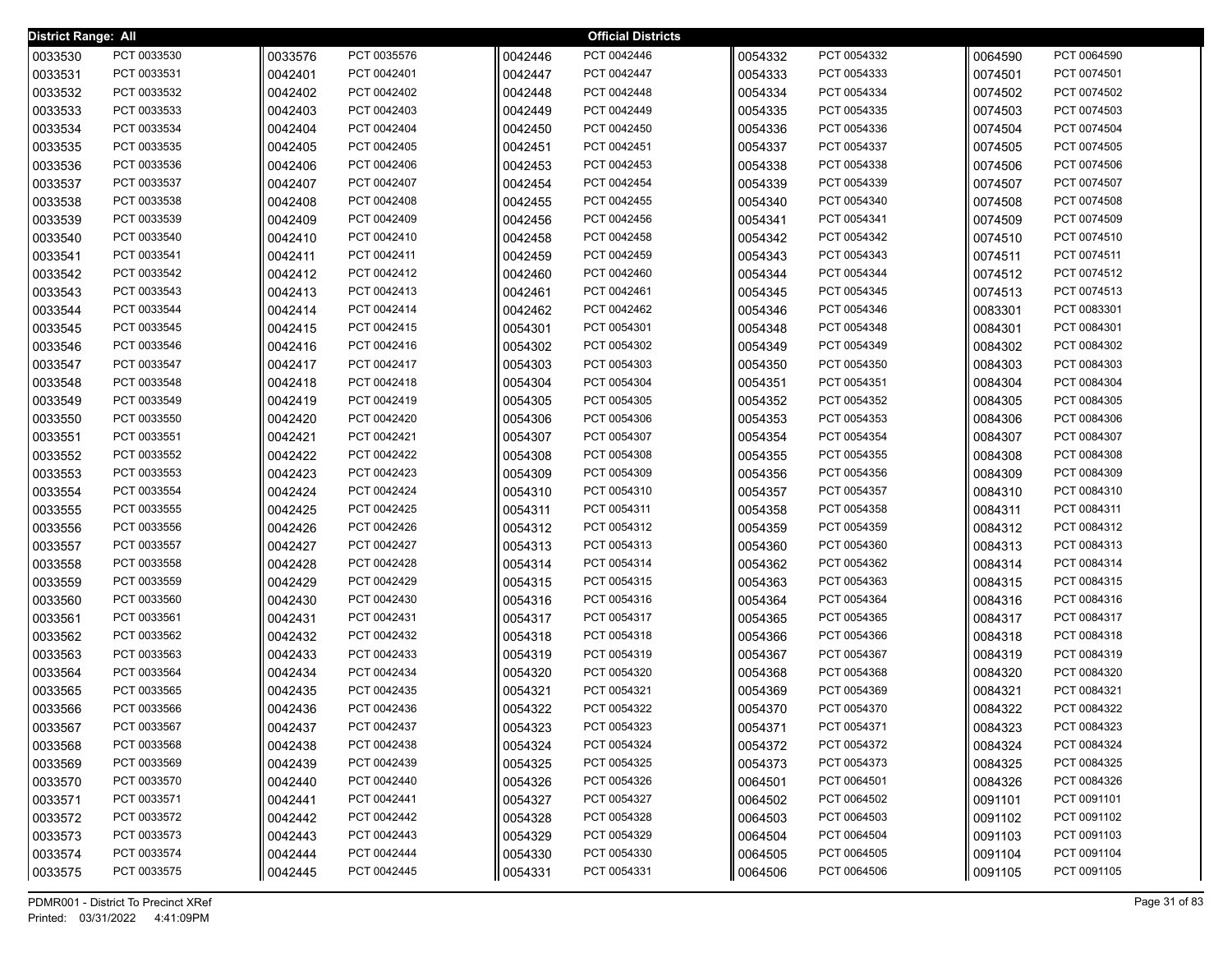| District Range: All |             |         |             |         | <b>Official Districts</b> |         |             |         |             |
|---------------------|-------------|---------|-------------|---------|---------------------------|---------|-------------|---------|-------------|
| 0033530             | PCT 0033530 | 0033576 | PCT 0035576 | 0042446 | PCT 0042446               | 0054332 | PCT 0054332 | 0064590 | PCT 0064590 |
| 0033531             | PCT 0033531 | 0042401 | PCT 0042401 | 0042447 | PCT 0042447               | 0054333 | PCT 0054333 | 0074501 | PCT 0074501 |
| 0033532             | PCT 0033532 | 0042402 | PCT 0042402 | 0042448 | PCT 0042448               | 0054334 | PCT 0054334 | 0074502 | PCT 0074502 |
| 0033533             | PCT 0033533 | 0042403 | PCT 0042403 | 0042449 | PCT 0042449               | 0054335 | PCT 0054335 | 0074503 | PCT 0074503 |
| 0033534             | PCT 0033534 | 0042404 | PCT 0042404 | 0042450 | PCT 0042450               | 0054336 | PCT 0054336 | 0074504 | PCT 0074504 |
| 0033535             | PCT 0033535 | 0042405 | PCT 0042405 | 0042451 | PCT 0042451               | 0054337 | PCT 0054337 | 0074505 | PCT 0074505 |
| 0033536             | PCT 0033536 | 0042406 | PCT 0042406 | 0042453 | PCT 0042453               | 0054338 | PCT 0054338 | 0074506 | PCT 0074506 |
| 0033537             | PCT 0033537 | 0042407 | PCT 0042407 | 0042454 | PCT 0042454               | 0054339 | PCT 0054339 | 0074507 | PCT 0074507 |
| 0033538             | PCT 0033538 | 0042408 | PCT 0042408 | 0042455 | PCT 0042455               | 0054340 | PCT 0054340 | 0074508 | PCT 0074508 |
| 0033539             | PCT 0033539 | 0042409 | PCT 0042409 | 0042456 | PCT 0042456               | 0054341 | PCT 0054341 | 0074509 | PCT 0074509 |
| 0033540             | PCT 0033540 | 0042410 | PCT 0042410 | 0042458 | PCT 0042458               | 0054342 | PCT 0054342 | 0074510 | PCT 0074510 |
| 0033541             | PCT 0033541 | 0042411 | PCT 0042411 | 0042459 | PCT 0042459               | 0054343 | PCT 0054343 | 0074511 | PCT 0074511 |
| 0033542             | PCT 0033542 | 0042412 | PCT 0042412 | 0042460 | PCT 0042460               | 0054344 | PCT 0054344 | 0074512 | PCT 0074512 |
| 0033543             | PCT 0033543 | 0042413 | PCT 0042413 | 0042461 | PCT 0042461               | 0054345 | PCT 0054345 | 0074513 | PCT 0074513 |
| 0033544             | PCT 0033544 | 0042414 | PCT 0042414 | 0042462 | PCT 0042462               | 0054346 | PCT 0054346 | 0083301 | PCT 0083301 |
| 0033545             | PCT 0033545 | 0042415 | PCT 0042415 | 0054301 | PCT 0054301               | 0054348 | PCT 0054348 | 0084301 | PCT 0084301 |
| 0033546             | PCT 0033546 | 0042416 | PCT 0042416 | 0054302 | PCT 0054302               | 0054349 | PCT 0054349 | 0084302 | PCT 0084302 |
| 0033547             | PCT 0033547 | 0042417 | PCT 0042417 | 0054303 | PCT 0054303               | 0054350 | PCT 0054350 | 0084303 | PCT 0084303 |
| 0033548             | PCT 0033548 | 0042418 | PCT 0042418 | 0054304 | PCT 0054304               | 0054351 | PCT 0054351 | 0084304 | PCT 0084304 |
| 0033549             | PCT 0033549 | 0042419 | PCT 0042419 | 0054305 | PCT 0054305               | 0054352 | PCT 0054352 | 0084305 | PCT 0084305 |
| 0033550             | PCT 0033550 | 0042420 | PCT 0042420 | 0054306 | PCT 0054306               | 0054353 | PCT 0054353 | 0084306 | PCT 0084306 |
| 0033551             | PCT 0033551 | 0042421 | PCT 0042421 | 0054307 | PCT 0054307               | 0054354 | PCT 0054354 | 0084307 | PCT 0084307 |
| 0033552             | PCT 0033552 | 0042422 | PCT 0042422 | 0054308 | PCT 0054308               | 0054355 | PCT 0054355 | 0084308 | PCT 0084308 |
| 0033553             | PCT 0033553 | 0042423 | PCT 0042423 | 0054309 | PCT 0054309               | 0054356 | PCT 0054356 | 0084309 | PCT 0084309 |
| 0033554             | PCT 0033554 | 0042424 | PCT 0042424 | 0054310 | PCT 0054310               | 0054357 | PCT 0054357 | 0084310 | PCT 0084310 |
| 0033555             | PCT 0033555 | 0042425 | PCT 0042425 | 0054311 | PCT 0054311               | 0054358 | PCT 0054358 | 0084311 | PCT 0084311 |
| 0033556             | PCT 0033556 | 0042426 | PCT 0042426 | 0054312 | PCT 0054312               | 0054359 | PCT 0054359 | 0084312 | PCT 0084312 |
| 0033557             | PCT 0033557 | 0042427 | PCT 0042427 | 0054313 | PCT 0054313               | 0054360 | PCT 0054360 | 0084313 | PCT 0084313 |
| 0033558             | PCT 0033558 | 0042428 | PCT 0042428 | 0054314 | PCT 0054314               | 0054362 | PCT 0054362 | 0084314 | PCT 0084314 |
| 0033559             | PCT 0033559 | 0042429 | PCT 0042429 | 0054315 | PCT 0054315               | 0054363 | PCT 0054363 | 0084315 | PCT 0084315 |
| 0033560             | PCT 0033560 | 0042430 | PCT 0042430 | 0054316 | PCT 0054316               | 0054364 | PCT 0054364 | 0084316 | PCT 0084316 |
| 0033561             | PCT 0033561 | 0042431 | PCT 0042431 | 0054317 | PCT 0054317               | 0054365 | PCT 0054365 | 0084317 | PCT 0084317 |
| 0033562             | PCT 0033562 | 0042432 | PCT 0042432 | 0054318 | PCT 0054318               | 0054366 | PCT 0054366 | 0084318 | PCT 0084318 |
| 0033563             | PCT 0033563 | 0042433 | PCT 0042433 | 0054319 | PCT 0054319               | 0054367 | PCT 0054367 | 0084319 | PCT 0084319 |
| 0033564             | PCT 0033564 | 0042434 | PCT 0042434 | 0054320 | PCT 0054320               | 0054368 | PCT 0054368 | 0084320 | PCT 0084320 |
| 0033565             | PCT 0033565 | 0042435 | PCT 0042435 | 0054321 | PCT 0054321               | 0054369 | PCT 0054369 | 0084321 | PCT 0084321 |
| 0033566             | PCT 0033566 | 0042436 | PCT 0042436 | 0054322 | PCT 0054322               | 0054370 | PCT 0054370 | 0084322 | PCT 0084322 |
| 0033567             | PCT 0033567 | 0042437 | PCT 0042437 | 0054323 | PCT 0054323               | 0054371 | PCT 0054371 | 0084323 | PCT 0084323 |
| 0033568             | PCT 0033568 | 0042438 | PCT 0042438 | 0054324 | PCT 0054324               | 0054372 | PCT 0054372 | 0084324 | PCT 0084324 |
| 0033569             | PCT 0033569 | 0042439 | PCT 0042439 | 0054325 | PCT 0054325               | 0054373 | PCT 0054373 | 0084325 | PCT 0084325 |
| 0033570             | PCT 0033570 | 0042440 | PCT 0042440 | 0054326 | PCT 0054326               | 0064501 | PCT 0064501 | 0084326 | PCT 0084326 |
| 0033571             | PCT 0033571 | 0042441 | PCT 0042441 | 0054327 | PCT 0054327               | 0064502 | PCT 0064502 | 0091101 | PCT 0091101 |
| 0033572             | PCT 0033572 | 0042442 | PCT 0042442 | 0054328 | PCT 0054328               | 0064503 | PCT 0064503 | 0091102 | PCT 0091102 |
| 0033573             | PCT 0033573 | 0042443 | PCT 0042443 | 0054329 | PCT 0054329               | 0064504 | PCT 0064504 | 0091103 | PCT 0091103 |
| 0033574             | PCT 0033574 | 0042444 | PCT 0042444 | 0054330 | PCT 0054330               | 0064505 | PCT 0064505 | 0091104 | PCT 0091104 |
| 0033575             | PCT 0033575 | 0042445 | PCT 0042445 | 0054331 | PCT 0054331               | 0064506 | PCT 0064506 | 0091105 | PCT 0091105 |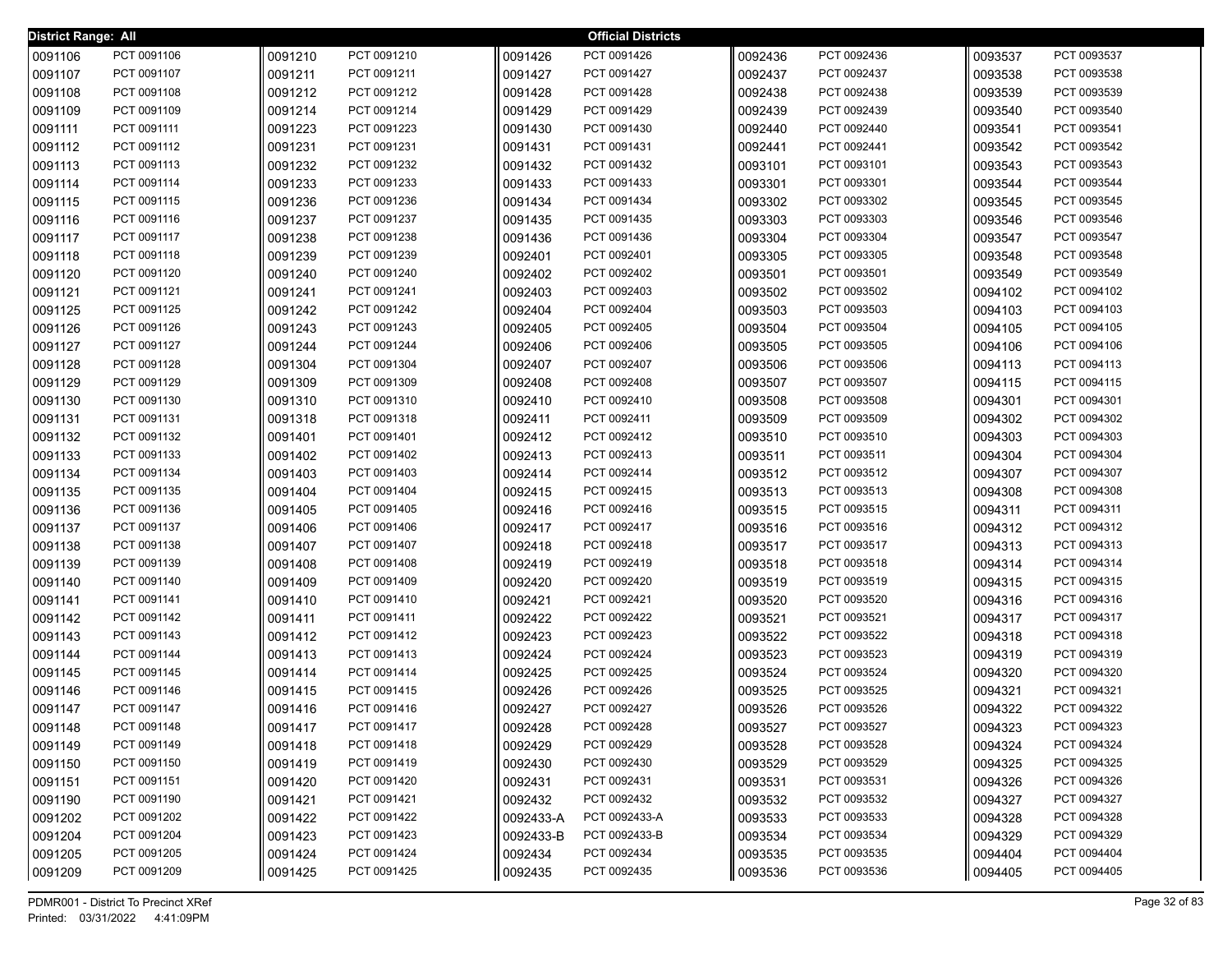| <b>District Range: All</b> |             |         |             |           | <b>Official Districts</b> |         |             |         |             |
|----------------------------|-------------|---------|-------------|-----------|---------------------------|---------|-------------|---------|-------------|
| 0091106                    | PCT 0091106 | 0091210 | PCT 0091210 | 0091426   | PCT 0091426               | 0092436 | PCT 0092436 | 0093537 | PCT 0093537 |
| 0091107                    | PCT 0091107 | 0091211 | PCT 0091211 | 0091427   | PCT 0091427               | 0092437 | PCT 0092437 | 0093538 | PCT 0093538 |
| 0091108                    | PCT 0091108 | 0091212 | PCT 0091212 | 0091428   | PCT 0091428               | 0092438 | PCT 0092438 | 0093539 | PCT 0093539 |
| 0091109                    | PCT 0091109 | 0091214 | PCT 0091214 | 0091429   | PCT 0091429               | 0092439 | PCT 0092439 | 0093540 | PCT 0093540 |
| 0091111                    | PCT 0091111 | 0091223 | PCT 0091223 | 0091430   | PCT 0091430               | 0092440 | PCT 0092440 | 0093541 | PCT 0093541 |
| 0091112                    | PCT 0091112 | 0091231 | PCT 0091231 | 0091431   | PCT 0091431               | 0092441 | PCT 0092441 | 0093542 | PCT 0093542 |
| 0091113                    | PCT 0091113 | 0091232 | PCT 0091232 | 0091432   | PCT 0091432               | 0093101 | PCT 0093101 | 0093543 | PCT 0093543 |
| 0091114                    | PCT 0091114 | 0091233 | PCT 0091233 | 0091433   | PCT 0091433               | 0093301 | PCT 0093301 | 0093544 | PCT 0093544 |
| 0091115                    | PCT 0091115 | 0091236 | PCT 0091236 | 0091434   | PCT 0091434               | 0093302 | PCT 0093302 | 0093545 | PCT 0093545 |
| 0091116                    | PCT 0091116 | 0091237 | PCT 0091237 | 0091435   | PCT 0091435               | 0093303 | PCT 0093303 | 0093546 | PCT 0093546 |
| 0091117                    | PCT 0091117 | 0091238 | PCT 0091238 | 0091436   | PCT 0091436               | 0093304 | PCT 0093304 | 0093547 | PCT 0093547 |
| 0091118                    | PCT 0091118 | 0091239 | PCT 0091239 | 0092401   | PCT 0092401               | 0093305 | PCT 0093305 | 0093548 | PCT 0093548 |
| 0091120                    | PCT 0091120 | 0091240 | PCT 0091240 | 0092402   | PCT 0092402               | 0093501 | PCT 0093501 | 0093549 | PCT 0093549 |
| 0091121                    | PCT 0091121 | 0091241 | PCT 0091241 | 0092403   | PCT 0092403               | 0093502 | PCT 0093502 | 0094102 | PCT 0094102 |
| 0091125                    | PCT 0091125 | 0091242 | PCT 0091242 | 0092404   | PCT 0092404               | 0093503 | PCT 0093503 | 0094103 | PCT 0094103 |
| 0091126                    | PCT 0091126 | 0091243 | PCT 0091243 | 0092405   | PCT 0092405               | 0093504 | PCT 0093504 | 0094105 | PCT 0094105 |
| 0091127                    | PCT 0091127 | 0091244 | PCT 0091244 | 0092406   | PCT 0092406               | 0093505 | PCT 0093505 | 0094106 | PCT 0094106 |
| 0091128                    | PCT 0091128 | 0091304 | PCT 0091304 | 0092407   | PCT 0092407               | 0093506 | PCT 0093506 | 0094113 | PCT 0094113 |
| 0091129                    | PCT 0091129 | 0091309 | PCT 0091309 | 0092408   | PCT 0092408               | 0093507 | PCT 0093507 | 0094115 | PCT 0094115 |
| 0091130                    | PCT 0091130 | 0091310 | PCT 0091310 | 0092410   | PCT 0092410               | 0093508 | PCT 0093508 | 0094301 | PCT 0094301 |
| 0091131                    | PCT 0091131 | 0091318 | PCT 0091318 | 0092411   | PCT 0092411               | 0093509 | PCT 0093509 | 0094302 | PCT 0094302 |
| 0091132                    | PCT 0091132 | 0091401 | PCT 0091401 | 0092412   | PCT 0092412               | 0093510 | PCT 0093510 | 0094303 | PCT 0094303 |
| 0091133                    | PCT 0091133 | 0091402 | PCT 0091402 | 0092413   | PCT 0092413               | 0093511 | PCT 0093511 | 0094304 | PCT 0094304 |
| 0091134                    | PCT 0091134 | 0091403 | PCT 0091403 | 0092414   | PCT 0092414               | 0093512 | PCT 0093512 | 0094307 | PCT 0094307 |
| 0091135                    | PCT 0091135 | 0091404 | PCT 0091404 | 0092415   | PCT 0092415               | 0093513 | PCT 0093513 | 0094308 | PCT 0094308 |
| 0091136                    | PCT 0091136 | 0091405 | PCT 0091405 | 0092416   | PCT 0092416               | 0093515 | PCT 0093515 | 0094311 | PCT 0094311 |
| 0091137                    | PCT 0091137 | 0091406 | PCT 0091406 | 0092417   | PCT 0092417               | 0093516 | PCT 0093516 | 0094312 | PCT 0094312 |
| 0091138                    | PCT 0091138 | 0091407 | PCT 0091407 | 0092418   | PCT 0092418               | 0093517 | PCT 0093517 | 0094313 | PCT 0094313 |
| 0091139                    | PCT 0091139 | 0091408 | PCT 0091408 | 0092419   | PCT 0092419               | 0093518 | PCT 0093518 | 0094314 | PCT 0094314 |
| 0091140                    | PCT 0091140 | 0091409 | PCT 0091409 | 0092420   | PCT 0092420               | 0093519 | PCT 0093519 | 0094315 | PCT 0094315 |
| 0091141                    | PCT 0091141 | 0091410 | PCT 0091410 | 0092421   | PCT 0092421               | 0093520 | PCT 0093520 | 0094316 | PCT 0094316 |
| 0091142                    | PCT 0091142 | 0091411 | PCT 0091411 | 0092422   | PCT 0092422               | 0093521 | PCT 0093521 | 0094317 | PCT 0094317 |
| 0091143                    | PCT 0091143 | 0091412 | PCT 0091412 | 0092423   | PCT 0092423               | 0093522 | PCT 0093522 | 0094318 | PCT 0094318 |
| 0091144                    | PCT 0091144 | 0091413 | PCT 0091413 | 0092424   | PCT 0092424               | 0093523 | PCT 0093523 | 0094319 | PCT 0094319 |
| 0091145                    | PCT 0091145 | 0091414 | PCT 0091414 | 0092425   | PCT 0092425               | 0093524 | PCT 0093524 | 0094320 | PCT 0094320 |
| 0091146                    | PCT 0091146 | 0091415 | PCT 0091415 | 0092426   | PCT 0092426               | 0093525 | PCT 0093525 | 0094321 | PCT 0094321 |
| 0091147                    | PCT 0091147 | 0091416 | PCT 0091416 | 0092427   | PCT 0092427               | 0093526 | PCT 0093526 | 0094322 | PCT 0094322 |
| 0091148                    | PCT 0091148 | 0091417 | PCT 0091417 | 0092428   | PCT 0092428               | 0093527 | PCT 0093527 | 0094323 | PCT 0094323 |
| 0091149                    | PCT 0091149 | 0091418 | PCT 0091418 | 0092429   | PCT 0092429               | 0093528 | PCT 0093528 | 0094324 | PCT 0094324 |
| 0091150                    | PCT 0091150 | 0091419 | PCT 0091419 | 0092430   | PCT 0092430               | 0093529 | PCT 0093529 | 0094325 | PCT 0094325 |
| 0091151                    | PCT 0091151 | 0091420 | PCT 0091420 | 0092431   | PCT 0092431               | 0093531 | PCT 0093531 | 0094326 | PCT 0094326 |
| 0091190                    | PCT 0091190 | 0091421 | PCT 0091421 | 0092432   | PCT 0092432               | 0093532 | PCT 0093532 | 0094327 | PCT 0094327 |
| 0091202                    | PCT 0091202 | 0091422 | PCT 0091422 | 0092433-A | PCT 0092433-A             | 0093533 | PCT 0093533 | 0094328 | PCT 0094328 |
| 0091204                    | PCT 0091204 | 0091423 | PCT 0091423 | 0092433-B | PCT 0092433-B             | 0093534 | PCT 0093534 | 0094329 | PCT 0094329 |
| 0091205                    | PCT 0091205 | 0091424 | PCT 0091424 | 0092434   | PCT 0092434               | 0093535 | PCT 0093535 | 0094404 | PCT 0094404 |
| 0091209                    | PCT 0091209 | 0091425 | PCT 0091425 | 0092435   | PCT 0092435               | 0093536 | PCT 0093536 | 0094405 | PCT 0094405 |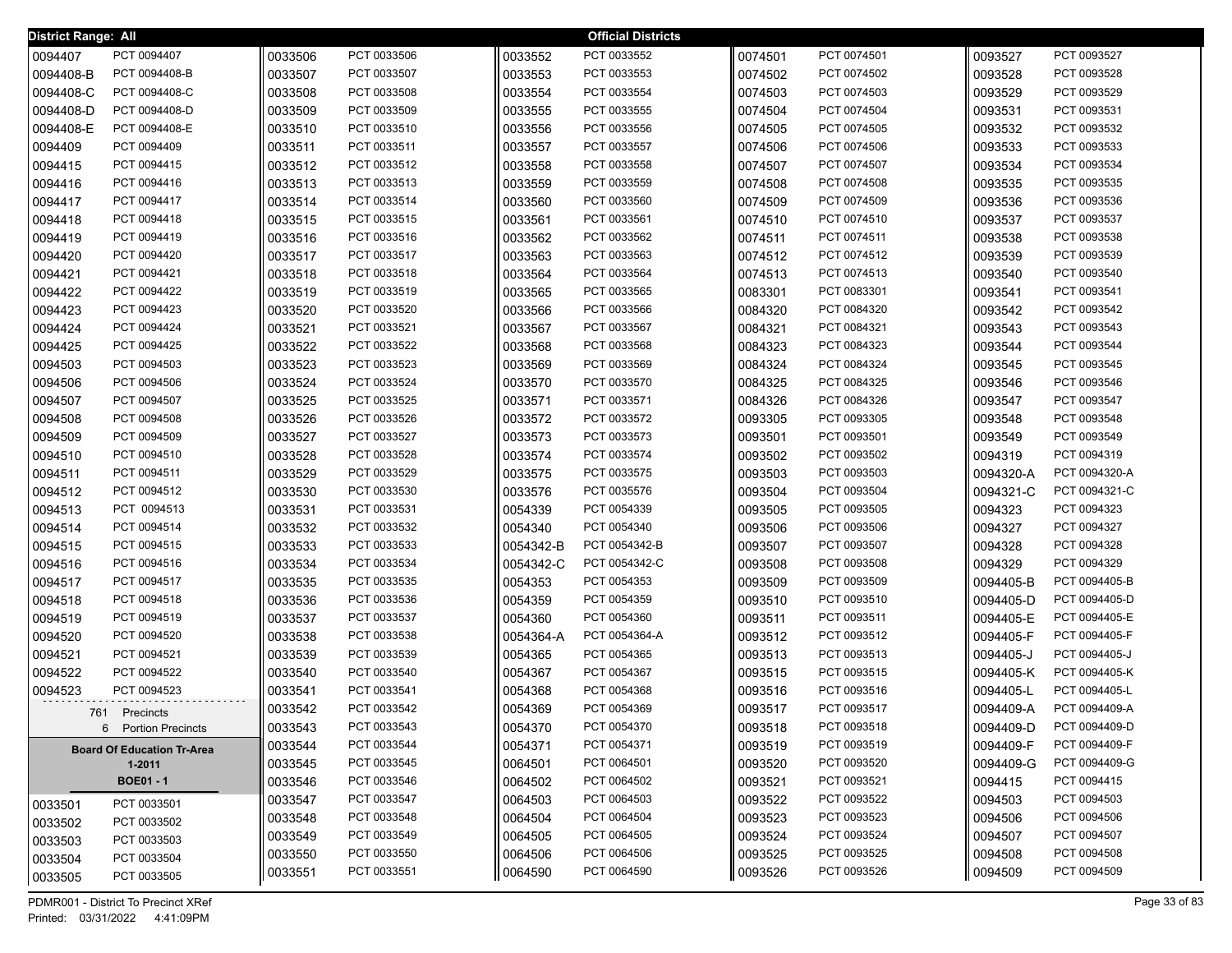| District Range: All |                                   |         |             |           | <b>Official Districts</b> |         |             |           |               |
|---------------------|-----------------------------------|---------|-------------|-----------|---------------------------|---------|-------------|-----------|---------------|
| 0094407             | PCT 0094407                       | 0033506 | PCT 0033506 | 0033552   | PCT 0033552               | 0074501 | PCT 0074501 | 0093527   | PCT 0093527   |
| 0094408-B           | PCT 0094408-B                     | 0033507 | PCT 0033507 | 0033553   | PCT 0033553               | 0074502 | PCT 0074502 | 0093528   | PCT 0093528   |
| 0094408-C           | PCT 0094408-C                     | 0033508 | PCT 0033508 | 0033554   | PCT 0033554               | 0074503 | PCT 0074503 | 0093529   | PCT 0093529   |
| 0094408-D           | PCT 0094408-D                     | 0033509 | PCT 0033509 | 0033555   | PCT 0033555               | 0074504 | PCT 0074504 | 0093531   | PCT 0093531   |
| 0094408-E           | PCT 0094408-E                     | 0033510 | PCT 0033510 | 0033556   | PCT 0033556               | 0074505 | PCT 0074505 | 0093532   | PCT 0093532   |
| 0094409             | PCT 0094409                       | 0033511 | PCT 0033511 | 0033557   | PCT 0033557               | 0074506 | PCT 0074506 | 0093533   | PCT 0093533   |
| 0094415             | PCT 0094415                       | 0033512 | PCT 0033512 | 0033558   | PCT 0033558               | 0074507 | PCT 0074507 | 0093534   | PCT 0093534   |
| 0094416             | PCT 0094416                       | 0033513 | PCT 0033513 | 0033559   | PCT 0033559               | 0074508 | PCT 0074508 | 0093535   | PCT 0093535   |
| 0094417             | PCT 0094417                       | 0033514 | PCT 0033514 | 0033560   | PCT 0033560               | 0074509 | PCT 0074509 | 0093536   | PCT 0093536   |
| 0094418             | PCT 0094418                       | 0033515 | PCT 0033515 | 0033561   | PCT 0033561               | 0074510 | PCT 0074510 | 0093537   | PCT 0093537   |
| 0094419             | PCT 0094419                       | 0033516 | PCT 0033516 | 0033562   | PCT 0033562               | 0074511 | PCT 0074511 | 0093538   | PCT 0093538   |
| 0094420             | PCT 0094420                       | 0033517 | PCT 0033517 | 0033563   | PCT 0033563               | 0074512 | PCT 0074512 | 0093539   | PCT 0093539   |
| 0094421             | PCT 0094421                       | 0033518 | PCT 0033518 | 0033564   | PCT 0033564               | 0074513 | PCT 0074513 | 0093540   | PCT 0093540   |
| 0094422             | PCT 0094422                       | 0033519 | PCT 0033519 | 0033565   | PCT 0033565               | 0083301 | PCT 0083301 | 0093541   | PCT 0093541   |
| 0094423             | PCT 0094423                       | 0033520 | PCT 0033520 | 0033566   | PCT 0033566               | 0084320 | PCT 0084320 | 0093542   | PCT 0093542   |
| 0094424             | PCT 0094424                       | 0033521 | PCT 0033521 | 0033567   | PCT 0033567               | 0084321 | PCT 0084321 | 0093543   | PCT 0093543   |
| 0094425             | PCT 0094425                       | 0033522 | PCT 0033522 | 0033568   | PCT 0033568               | 0084323 | PCT 0084323 | 0093544   | PCT 0093544   |
| 0094503             | PCT 0094503                       | 0033523 | PCT 0033523 | 0033569   | PCT 0033569               | 0084324 | PCT 0084324 | 0093545   | PCT 0093545   |
| 0094506             | PCT 0094506                       | 0033524 | PCT 0033524 | 0033570   | PCT 0033570               | 0084325 | PCT 0084325 | 0093546   | PCT 0093546   |
| 0094507             | PCT 0094507                       | 0033525 | PCT 0033525 | 0033571   | PCT 0033571               | 0084326 | PCT 0084326 | 0093547   | PCT 0093547   |
| 0094508             | PCT 0094508                       | 0033526 | PCT 0033526 | 0033572   | PCT 0033572               | 0093305 | PCT 0093305 | 0093548   | PCT 0093548   |
| 0094509             | PCT 0094509                       | 0033527 | PCT 0033527 | 0033573   | PCT 0033573               | 0093501 | PCT 0093501 | 0093549   | PCT 0093549   |
| 0094510             | PCT 0094510                       | 0033528 | PCT 0033528 | 0033574   | PCT 0033574               | 0093502 | PCT 0093502 | 0094319   | PCT 0094319   |
| 0094511             | PCT 0094511                       | 0033529 | PCT 0033529 | 0033575   | PCT 0033575               | 0093503 | PCT 0093503 | 0094320-A | PCT 0094320-A |
| 0094512             | PCT 0094512                       | 0033530 | PCT 0033530 | 0033576   | PCT 0035576               | 0093504 | PCT 0093504 | 0094321-C | PCT 0094321-C |
| 0094513             | PCT 0094513                       | 0033531 | PCT 0033531 | 0054339   | PCT 0054339               | 0093505 | PCT 0093505 | 0094323   | PCT 0094323   |
| 0094514             | PCT 0094514                       | 0033532 | PCT 0033532 | 0054340   | PCT 0054340               | 0093506 | PCT 0093506 | 0094327   | PCT 0094327   |
| 0094515             | PCT 0094515                       | 0033533 | PCT 0033533 | 0054342-B | PCT 0054342-B             | 0093507 | PCT 0093507 | 0094328   | PCT 0094328   |
| 0094516             | PCT 0094516                       | 0033534 | PCT 0033534 | 0054342-C | PCT 0054342-C             | 0093508 | PCT 0093508 | 0094329   | PCT 0094329   |
| 0094517             | PCT 0094517                       | 0033535 | PCT 0033535 | 0054353   | PCT 0054353               | 0093509 | PCT 0093509 | 0094405-B | PCT 0094405-B |
| 0094518             | PCT 0094518                       | 0033536 | PCT 0033536 | 0054359   | PCT 0054359               | 0093510 | PCT 0093510 | 0094405-D | PCT 0094405-D |
| 0094519             | PCT 0094519                       | 0033537 | PCT 0033537 | 0054360   | PCT 0054360               | 0093511 | PCT 0093511 | 0094405-E | PCT 0094405-E |
| 0094520             | PCT 0094520                       | 0033538 | PCT 0033538 | 0054364-A | PCT 0054364-A             | 0093512 | PCT 0093512 | 0094405-F | PCT 0094405-F |
| 0094521             | PCT 0094521                       | 0033539 | PCT 0033539 | 0054365   | PCT 0054365               | 0093513 | PCT 0093513 | 0094405-J | PCT 0094405-J |
| 0094522             | PCT 0094522                       | 0033540 | PCT 0033540 | 0054367   | PCT 0054367               | 0093515 | PCT 0093515 | 0094405-K | PCT 0094405-K |
| 0094523             | PCT 0094523                       | 0033541 | PCT 0033541 | 0054368   | PCT 0054368               | 0093516 | PCT 0093516 | 0094405-L | PCT 0094405-L |
|                     | 761 Precincts                     | 0033542 | PCT 0033542 | 0054369   | PCT 0054369               | 0093517 | PCT 0093517 | 0094409-A | PCT 0094409-A |
|                     | 6 Portion Precincts               | 0033543 | PCT 0033543 | 0054370   | PCT 0054370               | 0093518 | PCT 0093518 | 0094409-D | PCT 0094409-D |
|                     | <b>Board Of Education Tr-Area</b> | 0033544 | PCT 0033544 | 0054371   | PCT 0054371               | 0093519 | PCT 0093519 | 0094409-F | PCT 0094409-F |
|                     | 1-2011                            | 0033545 | PCT 0033545 | 0064501   | PCT 0064501               | 0093520 | PCT 0093520 | 0094409-G | PCT 0094409-G |
|                     | <b>BOE01 - 1</b>                  | 0033546 | PCT 0033546 | 0064502   | PCT 0064502               | 0093521 | PCT 0093521 | 0094415   | PCT 0094415   |
| 0033501             | PCT 0033501                       | 0033547 | PCT 0033547 | 0064503   | PCT 0064503               | 0093522 | PCT 0093522 | 0094503   | PCT 0094503   |
| 0033502             | PCT 0033502                       | 0033548 | PCT 0033548 | 0064504   | PCT 0064504               | 0093523 | PCT 0093523 | 0094506   | PCT 0094506   |
| 0033503             | PCT 0033503                       | 0033549 | PCT 0033549 | 0064505   | PCT 0064505               | 0093524 | PCT 0093524 | 0094507   | PCT 0094507   |
| 0033504             | PCT 0033504                       | 0033550 | PCT 0033550 | 0064506   | PCT 0064506               | 0093525 | PCT 0093525 | 0094508   | PCT 0094508   |
| 0033505             | PCT 0033505                       | 0033551 | PCT 0033551 | 0064590   | PCT 0064590               | 0093526 | PCT 0093526 | 0094509   | PCT 0094509   |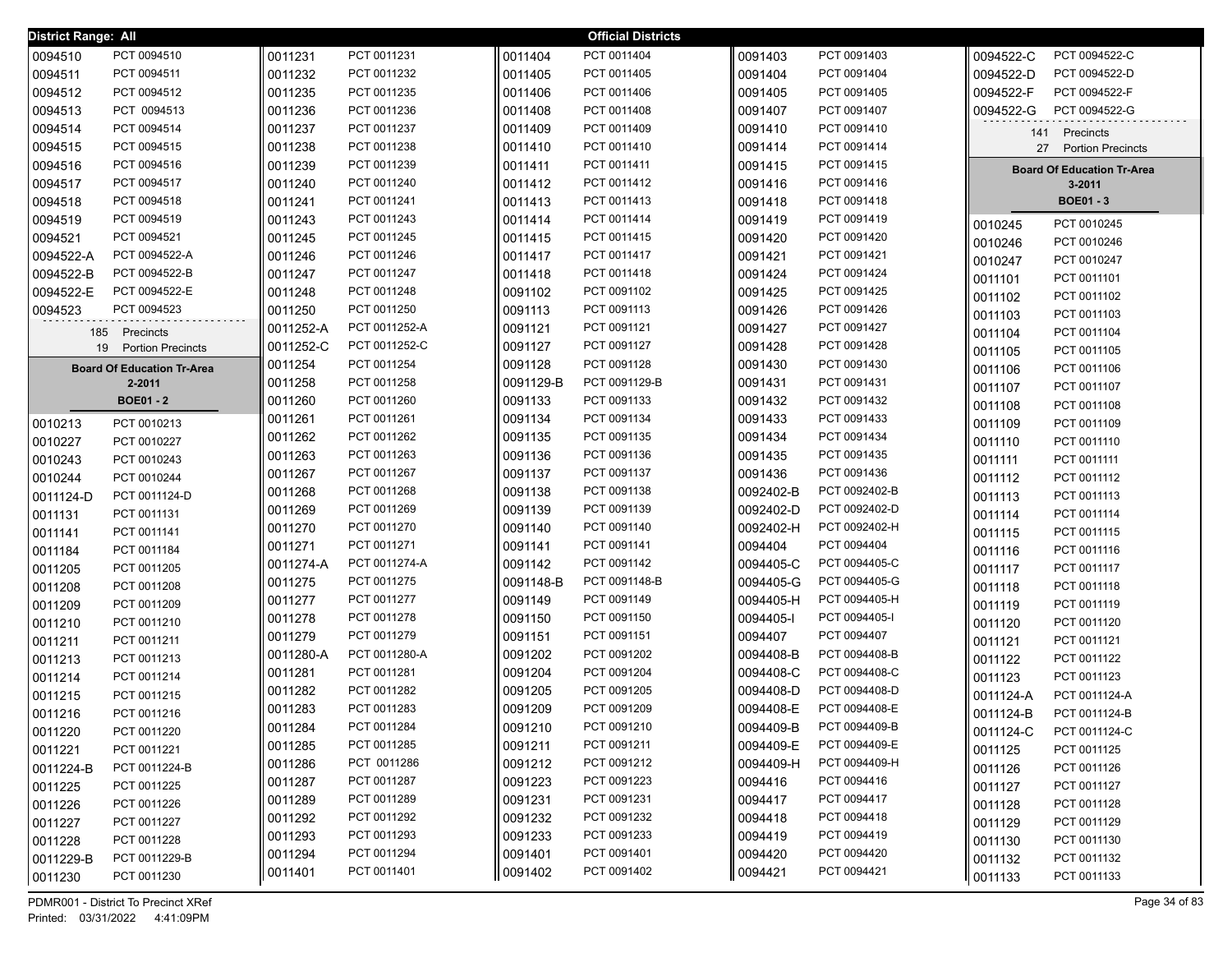| <b>District Range: All</b> |                                             |           |               |           | <b>Official Districts</b> |           |               |                    |                                   |
|----------------------------|---------------------------------------------|-----------|---------------|-----------|---------------------------|-----------|---------------|--------------------|-----------------------------------|
| 0094510                    | PCT 0094510                                 | 0011231   | PCT 0011231   | 0011404   | PCT 0011404               | 0091403   | PCT 0091403   | 0094522-C          | PCT 0094522-C                     |
| 0094511                    | PCT 0094511                                 | 0011232   | PCT 0011232   | 0011405   | PCT 0011405               | 0091404   | PCT 0091404   | 0094522-D          | PCT 0094522-D                     |
| 0094512                    | PCT 0094512                                 | 0011235   | PCT 0011235   | 0011406   | PCT 0011406               | 0091405   | PCT 0091405   | 0094522-F          | PCT 0094522-F                     |
| 0094513                    | PCT 0094513                                 | 0011236   | PCT 0011236   | 0011408   | PCT 0011408               | 0091407   | PCT 0091407   | 0094522-G          | PCT 0094522-G                     |
| 0094514                    | PCT 0094514                                 | 0011237   | PCT 0011237   | 0011409   | PCT 0011409               | 0091410   | PCT 0091410   | 141                | Precincts                         |
| 0094515                    | PCT 0094515                                 | 0011238   | PCT 0011238   | 0011410   | PCT 0011410               | 0091414   | PCT 0091414   | 27                 | <b>Portion Precincts</b>          |
| 0094516                    | PCT 0094516                                 | 0011239   | PCT 0011239   | 0011411   | PCT 0011411               | 0091415   | PCT 0091415   |                    | <b>Board Of Education Tr-Area</b> |
| 0094517                    | PCT 0094517                                 | 0011240   | PCT 0011240   | 0011412   | PCT 0011412               | 0091416   | PCT 0091416   |                    | $3 - 2011$                        |
| 0094518                    | PCT 0094518                                 | 0011241   | PCT 0011241   | 0011413   | PCT 0011413               | 0091418   | PCT 0091418   |                    | <b>BOE01-3</b>                    |
| 0094519                    | PCT 0094519                                 | 0011243   | PCT 0011243   | 0011414   | PCT 0011414               | 0091419   | PCT 0091419   |                    | PCT 0010245                       |
| 0094521                    | PCT 0094521                                 | 0011245   | PCT 0011245   | 0011415   | PCT 0011415               | 0091420   | PCT 0091420   | 0010245            | PCT 0010246                       |
| 0094522-A                  | PCT 0094522-A                               | 0011246   | PCT 0011246   | 0011417   | PCT 0011417               | 0091421   | PCT 0091421   | 0010246<br>0010247 | PCT 0010247                       |
| 0094522-B                  | PCT 0094522-B                               | 0011247   | PCT 0011247   | 0011418   | PCT 0011418               | 0091424   | PCT 0091424   |                    | PCT 0011101                       |
| 0094522-E                  | PCT 0094522-E                               | 0011248   | PCT 0011248   | 0091102   | PCT 0091102               | 0091425   | PCT 0091425   | 0011101            |                                   |
| 0094523                    | PCT 0094523                                 | 0011250   | PCT 0011250   | 0091113   | PCT 0091113               | 0091426   | PCT 0091426   | 0011102            | PCT 0011102                       |
| 185                        |                                             | 0011252-A | PCT 0011252-A | 0091121   | PCT 0091121               | 0091427   | PCT 0091427   | 0011103            | PCT 0011103                       |
| 19                         | Precincts<br><b>Portion Precincts</b>       | 0011252-C | PCT 0011252-C | 0091127   | PCT 0091127               | 0091428   | PCT 0091428   | 0011104            | PCT 0011104                       |
|                            |                                             | 0011254   | PCT 0011254   | 0091128   | PCT 0091128               | 0091430   | PCT 0091430   | 0011105            | PCT 0011105                       |
|                            | <b>Board Of Education Tr-Area</b><br>2-2011 | 0011258   | PCT 0011258   | 0091129-B | PCT 0091129-B             | 0091431   | PCT 0091431   | 0011106            | PCT 0011106                       |
|                            | <b>BOE01 - 2</b>                            | 0011260   | PCT 0011260   | 0091133   | PCT 0091133               | 0091432   | PCT 0091432   | 0011107            | PCT 0011107<br>PCT 0011108        |
|                            |                                             | 0011261   | PCT 0011261   | 0091134   | PCT 0091134               | 0091433   | PCT 0091433   | 0011108            |                                   |
| 0010213                    | PCT 0010213                                 | 0011262   | PCT 0011262   | 0091135   | PCT 0091135               | 0091434   | PCT 0091434   | 0011109            | PCT 0011109                       |
| 0010227                    | PCT 0010227<br>PCT 0010243                  | 0011263   | PCT 0011263   | 0091136   | PCT 0091136               | 0091435   | PCT 0091435   | 0011110            | PCT 0011110                       |
| 0010243                    |                                             | 0011267   | PCT 0011267   | 0091137   | PCT 0091137               | 0091436   | PCT 0091436   | 0011111            | PCT 0011111                       |
| 0010244                    | PCT 0010244                                 | 0011268   | PCT 0011268   | 0091138   | PCT 0091138               | 0092402-B | PCT 0092402-B | 0011112            | PCT 0011112                       |
| 0011124-D                  | PCT 0011124-D                               | 0011269   | PCT 0011269   | 0091139   | PCT 0091139               | 0092402-D | PCT 0092402-D | 0011113            | PCT 0011113                       |
| 0011131                    | PCT 0011131                                 | 0011270   | PCT 0011270   | 0091140   | PCT 0091140               | 0092402-H | PCT 0092402-H | 0011114            | PCT 0011114                       |
| 0011141                    | PCT 0011141                                 | 0011271   | PCT 0011271   | 0091141   | PCT 0091141               | 0094404   | PCT 0094404   | 0011115            | PCT 0011115                       |
| 0011184                    | PCT 0011184                                 | 0011274-A | PCT 0011274-A | 0091142   | PCT 0091142               | 0094405-C | PCT 0094405-C | 0011116            | PCT 0011116                       |
| 0011205                    | PCT 0011205                                 | 0011275   | PCT 0011275   | 0091148-B | PCT 0091148-B             | 0094405-G | PCT 0094405-G | 0011117            | PCT 0011117                       |
| 0011208                    | PCT 0011208                                 | 0011277   | PCT 0011277   | 0091149   | PCT 0091149               | 0094405-H | PCT 0094405-H | 0011118            | PCT 0011118                       |
| 0011209                    | PCT 0011209                                 | 0011278   | PCT 0011278   | 0091150   | PCT 0091150               | 0094405-1 | PCT 0094405-I | 0011119            | PCT 0011119                       |
| 0011210                    | PCT 0011210                                 | 0011279   | PCT 0011279   | 0091151   | PCT 0091151               | 0094407   | PCT 0094407   | 0011120            | PCT 0011120                       |
| 0011211                    | PCT 0011211<br>PCT 0011213                  | 0011280-A | PCT 0011280-A | 0091202   | PCT 0091202               | 0094408-B | PCT 0094408-B | 0011121            | PCT 0011121<br>PCT 0011122        |
| 0011213                    | PCT 0011214                                 | 0011281   | PCT 0011281   | 0091204   | PCT 0091204               | 0094408-C | PCT 0094408-C | 0011122            | PCT 0011123                       |
| 0011214                    | PCT 0011215                                 | 0011282   | PCT 0011282   | 0091205   | PCT 0091205               | 0094408-D | PCT 0094408-D | 0011123            | PCT 0011124-A                     |
| 0011215                    | PCT 0011216                                 | 0011283   | PCT 0011283   | 0091209   | PCT 0091209               | 0094408-E | PCT 0094408-E | 0011124-A          | PCT 0011124-B                     |
| 0011216                    | PCT 0011220                                 | 0011284   | PCT 0011284   | 0091210   | PCT 0091210               | 0094409-B | PCT 0094409-B | 0011124-B          | PCT 0011124-C                     |
| 0011220                    | PCT 0011221                                 | 0011285   | PCT 0011285   | 0091211   | PCT 0091211               | 0094409-E | PCT 0094409-E | 0011124-C          | PCT 0011125                       |
| 0011221                    |                                             | 0011286   | PCT 0011286   | 0091212   | PCT 0091212               | 0094409-H | PCT 0094409-H | 0011125            |                                   |
| 0011224-B                  | PCT 0011224-B                               | 0011287   | PCT 0011287   | 0091223   | PCT 0091223               | 0094416   | PCT 0094416   | 0011126            | PCT 0011126                       |
| 0011225                    | PCT 0011225                                 | 0011289   | PCT 0011289   | 0091231   | PCT 0091231               | 0094417   | PCT 0094417   | 0011127            | PCT 0011127                       |
| 0011226                    | PCT 0011226                                 | 0011292   | PCT 0011292   | 0091232   | PCT 0091232               | 0094418   | PCT 0094418   | 0011128            | PCT 0011128                       |
| 0011227                    | PCT 0011227                                 | 0011293   | PCT 0011293   | 0091233   | PCT 0091233               | 0094419   | PCT 0094419   | 0011129            | PCT 0011129<br>PCT 0011130        |
| 0011228                    | PCT 0011228                                 | 0011294   | PCT 0011294   | 0091401   | PCT 0091401               | 0094420   | PCT 0094420   | 0011130            |                                   |
| 0011229-B                  | PCT 0011229-B                               | 0011401   | PCT 0011401   | 0091402   | PCT 0091402               | 0094421   | PCT 0094421   | 0011132            | PCT 0011132                       |
| 0011230                    | PCT 0011230                                 |           |               |           |                           |           |               | 0011133            | PCT 0011133                       |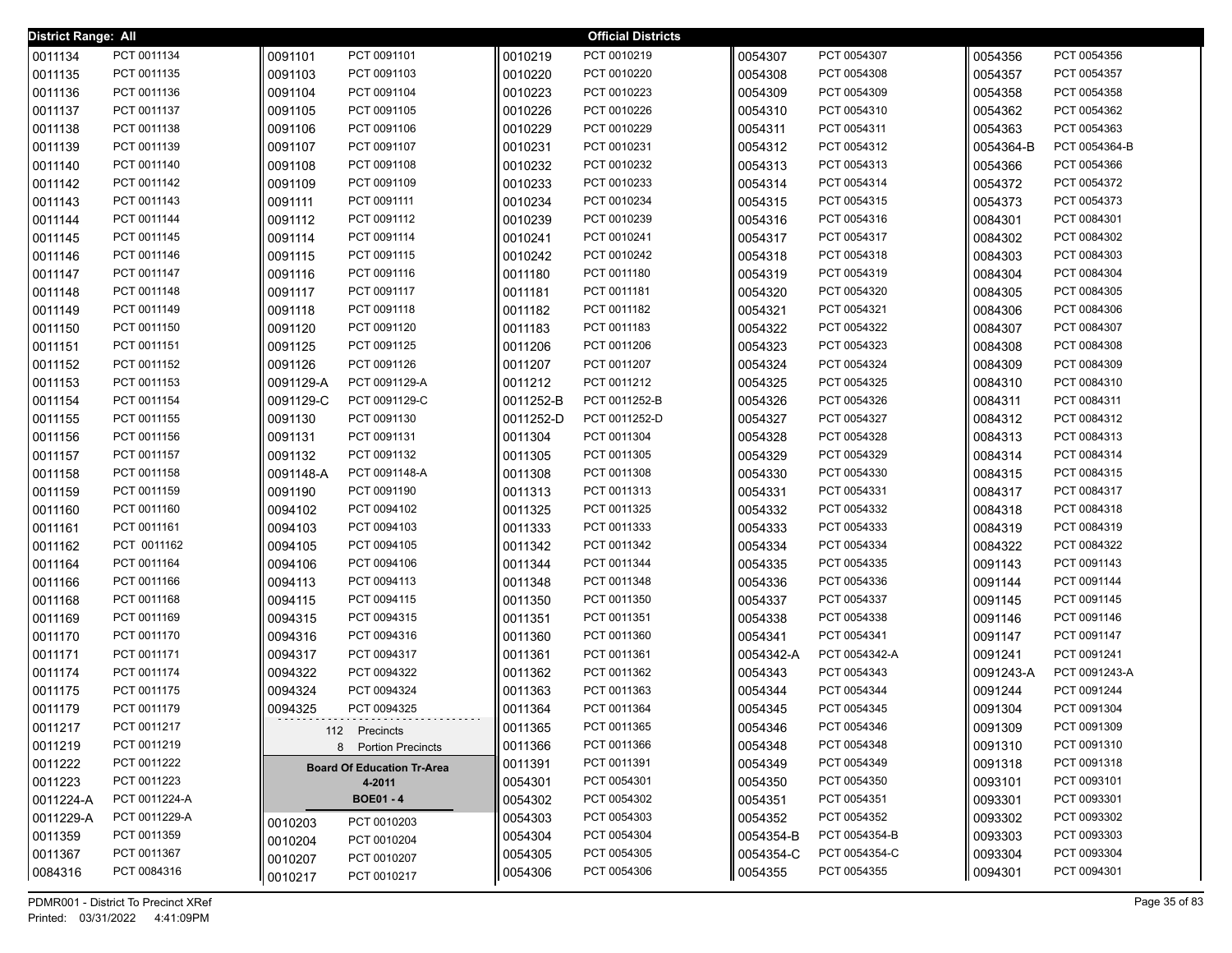| <b>District Range: All</b> |                            |                    |                                   |                    | <b>Official Districts</b>  |                    |                              |                      |                              |
|----------------------------|----------------------------|--------------------|-----------------------------------|--------------------|----------------------------|--------------------|------------------------------|----------------------|------------------------------|
| 0011134                    | PCT 0011134                | 0091101            | PCT 0091101                       | 0010219            | PCT 0010219                | 0054307            | PCT 0054307                  | 0054356              | PCT 0054356                  |
| 0011135                    | PCT 0011135                | 0091103            | PCT 0091103                       | 0010220            | PCT 0010220                | 0054308            | PCT 0054308                  | 0054357              | PCT 0054357                  |
| 0011136                    | PCT 0011136                | 0091104            | PCT 0091104                       | 0010223            | PCT 0010223                | 0054309            | PCT 0054309                  | 0054358              | PCT 0054358                  |
| 0011137                    | PCT 0011137                | 0091105            | PCT 0091105                       | 0010226            | PCT 0010226                | 0054310            | PCT 0054310                  | 0054362              | PCT 0054362                  |
| 0011138                    | PCT 0011138                | 0091106            | PCT 0091106                       | 0010229            | PCT 0010229                | 0054311            | PCT 0054311                  | 0054363              | PCT 0054363                  |
| 0011139                    | PCT 0011139                | 0091107            | PCT 0091107                       | 0010231            | PCT 0010231                | 0054312            | PCT 0054312                  | 0054364-B            | PCT 0054364-B                |
| 0011140                    | PCT 0011140                | 0091108            | PCT 0091108                       | 0010232            | PCT 0010232                | 0054313            | PCT 0054313                  | 0054366              | PCT 0054366                  |
| 0011142                    | PCT 0011142                | 0091109            | PCT 0091109                       | 0010233            | PCT 0010233                | 0054314            | PCT 0054314                  | 0054372              | PCT 0054372                  |
| 0011143                    | PCT 0011143                | 0091111            | PCT 0091111                       | 0010234            | PCT 0010234                | 0054315            | PCT 0054315                  | 0054373              | PCT 0054373                  |
| 0011144                    | PCT 0011144                | 0091112            | PCT 0091112                       | 0010239            | PCT 0010239                | 0054316            | PCT 0054316                  | 0084301              | PCT 0084301                  |
| 0011145                    | PCT 0011145                | 0091114            | PCT 0091114                       | 0010241            | PCT 0010241                | 0054317            | PCT 0054317                  | 0084302              | PCT 0084302                  |
| 0011146                    | PCT 0011146                | 0091115            | PCT 0091115                       | 0010242            | PCT 0010242                | 0054318            | PCT 0054318                  | 0084303              | PCT 0084303                  |
| 0011147                    | PCT 0011147                | 0091116            | PCT 0091116                       | 0011180            | PCT 0011180                | 0054319            | PCT 0054319                  | 0084304              | PCT 0084304                  |
| 0011148                    | PCT 0011148                | 0091117            | PCT 0091117                       | 0011181            | PCT 0011181                | 0054320            | PCT 0054320                  | 0084305              | PCT 0084305                  |
| 0011149                    | PCT 0011149                | 0091118            | PCT 0091118                       | 0011182            | PCT 0011182                | 0054321            | PCT 0054321                  | 0084306              | PCT 0084306                  |
| 0011150                    | PCT 0011150                | 0091120            | PCT 0091120                       | 0011183            | PCT 0011183                | 0054322            | PCT 0054322                  | 0084307              | PCT 0084307                  |
| 0011151                    | PCT 0011151                | 0091125            | PCT 0091125                       | 0011206            | PCT 0011206                | 0054323            | PCT 0054323                  | 0084308              | PCT 0084308                  |
| 0011152                    | PCT 0011152                | 0091126            | PCT 0091126                       | 0011207            | PCT 0011207                | 0054324            | PCT 0054324                  | 0084309              | PCT 0084309                  |
| 0011153                    | PCT 0011153                | 0091129-A          | PCT 0091129-A                     | 0011212            | PCT 0011212                | 0054325            | PCT 0054325                  | 0084310              | PCT 0084310                  |
| 0011154                    | PCT 0011154                | 0091129-C          | PCT 0091129-C                     | 0011252-B          | PCT 0011252-B              | 0054326            | PCT 0054326                  | 0084311              | PCT 0084311                  |
| 0011155                    | PCT 0011155                | 0091130            | PCT 0091130                       | 0011252-D          | PCT 0011252-D              | 0054327            | PCT 0054327                  | 0084312              | PCT 0084312                  |
| 0011156                    | PCT 0011156                | 0091131            | PCT 0091131                       | 0011304            | PCT 0011304                | 0054328            | PCT 0054328                  | 0084313              | PCT 0084313                  |
| 0011157                    | PCT 0011157                | 0091132            | PCT 0091132                       | 0011305            | PCT 0011305                | 0054329            | PCT 0054329                  | 0084314              | PCT 0084314                  |
| 0011158                    | PCT 0011158                | 0091148-A          | PCT 0091148-A                     | 0011308            | PCT 0011308                | 0054330            | PCT 0054330                  | 0084315              | PCT 0084315                  |
| 0011159                    | PCT 0011159                | 0091190            | PCT 0091190                       | 0011313            | PCT 0011313                | 0054331            | PCT 0054331                  | 0084317              | PCT 0084317                  |
| 0011160                    | PCT 0011160                | 0094102            | PCT 0094102                       | 0011325            | PCT 0011325                | 0054332            | PCT 0054332                  | 0084318              | PCT 0084318                  |
| 0011161                    | PCT 0011161                | 0094103            | PCT 0094103                       | 0011333            | PCT 0011333                | 0054333            | PCT 0054333                  | 0084319              | PCT 0084319                  |
| 0011162                    | PCT 0011162                | 0094105            | PCT 0094105                       | 0011342            | PCT 0011342                | 0054334            | PCT 0054334                  | 0084322              | PCT 0084322                  |
| 0011164                    | PCT 0011164                | 0094106            | PCT 0094106                       | 0011344            | PCT 0011344                | 0054335            | PCT 0054335                  | 0091143              | PCT 0091143                  |
| 0011166                    | PCT 0011166                | 0094113            | PCT 0094113                       | 0011348            | PCT 0011348                | 0054336            | PCT 0054336                  | 0091144              | PCT 0091144                  |
| 0011168                    | PCT 0011168                | 0094115            | PCT 0094115                       | 0011350            | PCT 0011350                | 0054337            | PCT 0054337                  | 0091145              | PCT 0091145                  |
| 0011169                    | PCT 0011169                | 0094315            | PCT 0094315                       | 0011351            | PCT 0011351                | 0054338            | PCT 0054338                  | 0091146              | PCT 0091146                  |
| 0011170                    | PCT 0011170                | 0094316            | PCT 0094316<br>PCT 0094317        | 0011360            | PCT 0011360                | 0054341            | PCT 0054341<br>PCT 0054342-A | 0091147              | PCT 0091147                  |
| 0011171                    | PCT 0011171                | 0094317            | PCT 0094322                       | 0011361            | PCT 0011361<br>PCT 0011362 | 0054342-A          | PCT 0054343                  | 0091241              | PCT 0091241<br>PCT 0091243-A |
| 0011174<br>0011175         | PCT 0011174<br>PCT 0011175 | 0094322<br>0094324 | PCT 0094324                       | 0011362<br>0011363 | PCT 0011363                | 0054343<br>0054344 | PCT 0054344                  | 0091243-A<br>0091244 | PCT 0091244                  |
| 0011179                    | PCT 0011179                | 0094325            | PCT 0094325                       | 0011364            | PCT 0011364                | 0054345            | PCT 0054345                  | 0091304              | PCT 0091304                  |
| 0011217                    | PCT 0011217                |                    |                                   |                    | PCT 0011365                | 0054346            | PCT 0054346                  |                      | PCT 0091309                  |
| 0011219                    | PCT 0011219                |                    | 112 Precincts                     | 0011365<br>0011366 | PCT 0011366                | 0054348            | PCT 0054348                  | 0091309<br>0091310   | PCT 0091310                  |
| 0011222                    | PCT 0011222                |                    | 8 Portion Precincts               | 0011391            | PCT 0011391                | 0054349            | PCT 0054349                  | 0091318              | PCT 0091318                  |
| 0011223                    | PCT 0011223                |                    | <b>Board Of Education Tr-Area</b> |                    | PCT 0054301                | 0054350            | PCT 0054350                  | 0093101              | PCT 0093101                  |
| 0011224-A                  | PCT 0011224-A              |                    | 4-2011<br><b>BOE01-4</b>          | 0054301<br>0054302 | PCT 0054302                | 0054351            | PCT 0054351                  | 0093301              | PCT 0093301                  |
| 0011229-A                  | PCT 0011229-A              |                    |                                   | 0054303            | PCT 0054303                | 0054352            | PCT 0054352                  | 0093302              | PCT 0093302                  |
| 0011359                    | PCT 0011359                | 0010203            | PCT 0010203                       | 0054304            | PCT 0054304                | 0054354-B          | PCT 0054354-B                | 0093303              | PCT 0093303                  |
| 0011367                    | PCT 0011367                | 0010204            | PCT 0010204                       | 0054305            | PCT 0054305                | 0054354-C          | PCT 0054354-C                | 0093304              | PCT 0093304                  |
| 0084316                    | PCT 0084316                | 0010207            | PCT 0010207                       | 0054306            | PCT 0054306                | 0054355            | PCT 0054355                  | 0094301              | PCT 0094301                  |
|                            |                            | 0010217            | PCT 0010217                       |                    |                            |                    |                              |                      |                              |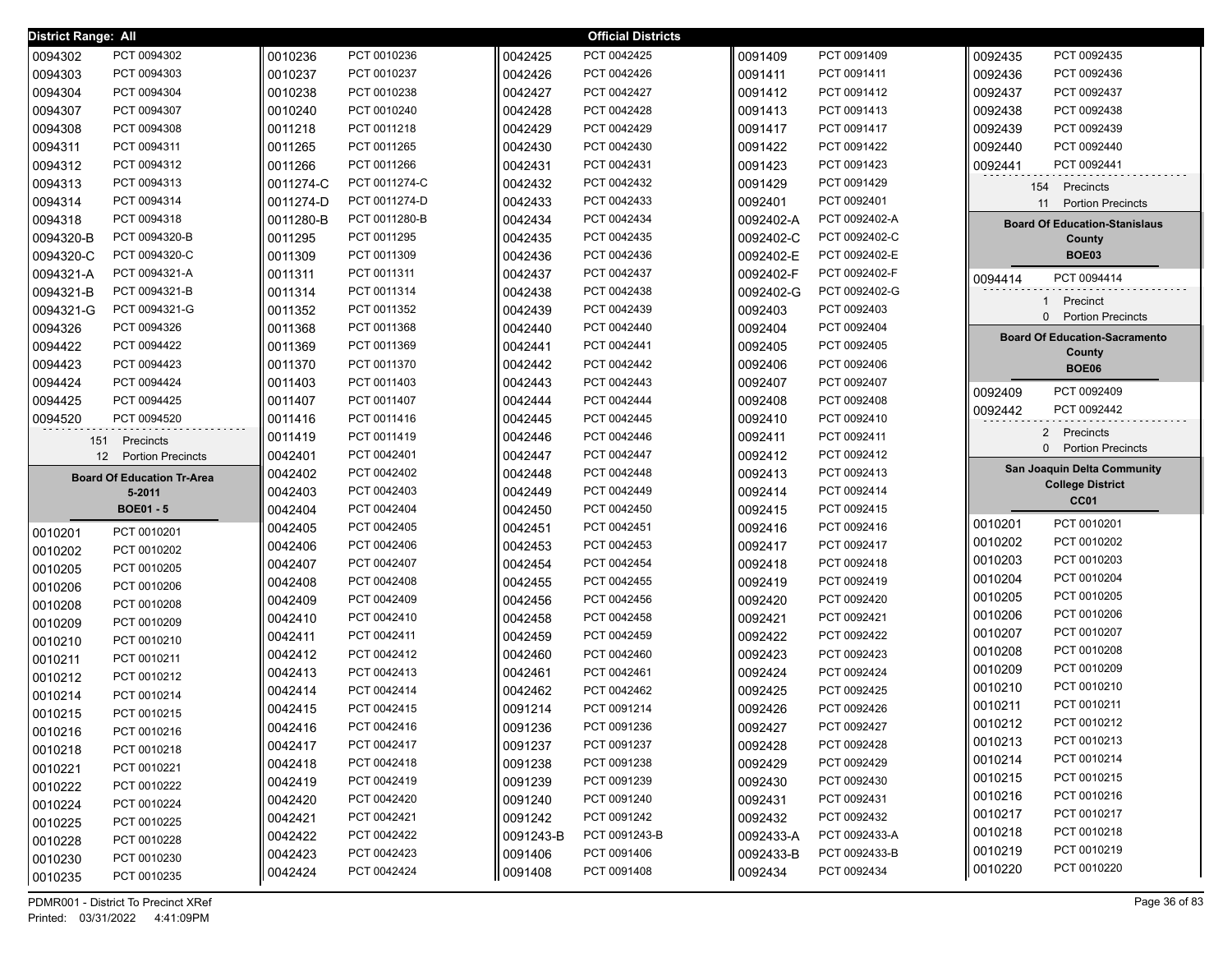| <b>District Range: All</b> |                                   |                    |               |                    | <b>Official Districts</b> |                    |               |                                      |
|----------------------------|-----------------------------------|--------------------|---------------|--------------------|---------------------------|--------------------|---------------|--------------------------------------|
| 0094302                    | PCT 0094302                       | 0010236            | PCT 0010236   | 0042425            | PCT 0042425               | 0091409            | PCT 0091409   | PCT 0092435<br>0092435               |
| 0094303                    | PCT 0094303                       | 0010237            | PCT 0010237   | 0042426            | PCT 0042426               | 0091411            | PCT 0091411   | 0092436<br>PCT 0092436               |
| 0094304                    | PCT 0094304                       | 0010238            | PCT 0010238   | 0042427            | PCT 0042427               | 0091412            | PCT 0091412   | PCT 0092437<br>0092437               |
| 0094307                    | PCT 0094307                       | 0010240            | PCT 0010240   | 0042428            | PCT 0042428               | 0091413            | PCT 0091413   | PCT 0092438<br>0092438               |
| 0094308                    | PCT 0094308                       | 0011218            | PCT 0011218   | 0042429            | PCT 0042429               | 0091417            | PCT 0091417   | 0092439<br>PCT 0092439               |
| 0094311                    | PCT 0094311                       | 0011265            | PCT 0011265   | 0042430            | PCT 0042430               | 0091422            | PCT 0091422   | 0092440<br>PCT 0092440               |
| 0094312                    | PCT 0094312                       | 0011266            | PCT 0011266   | 0042431            | PCT 0042431               | 0091423            | PCT 0091423   | 0092441<br>PCT 0092441               |
| 0094313                    | PCT 0094313                       | 0011274-C          | PCT 0011274-C | 0042432            | PCT 0042432               | 0091429            | PCT 0091429   | Precincts<br>154                     |
| 0094314                    | PCT 0094314                       | 0011274-D          | PCT 0011274-D | 0042433            | PCT 0042433               | 0092401            | PCT 0092401   | 11 Portion Precincts                 |
| 0094318                    | PCT 0094318                       | 0011280-B          | PCT 0011280-B | 0042434            | PCT 0042434               | 0092402-A          | PCT 0092402-A | <b>Board Of Education-Stanislaus</b> |
| 0094320-B                  | PCT 0094320-B                     | 0011295            | PCT 0011295   | 0042435            | PCT 0042435               | 0092402-C          | PCT 0092402-C | County                               |
| 0094320-C                  | PCT 0094320-C                     | 0011309            | PCT 0011309   | 0042436            | PCT 0042436               | 0092402-E          | PCT 0092402-E | <b>BOE03</b>                         |
| 0094321-A                  | PCT 0094321-A                     | 0011311            | PCT 0011311   | 0042437            | PCT 0042437               | 0092402-F          | PCT 0092402-F | PCT 0094414<br>0094414               |
| 0094321-B                  | PCT 0094321-B                     | 0011314            | PCT 0011314   | 0042438            | PCT 0042438               | 0092402-G          | PCT 0092402-G |                                      |
| 0094321-G                  | PCT 0094321-G                     | 0011352            | PCT 0011352   | 0042439            | PCT 0042439               | 0092403            | PCT 0092403   | Precinct<br>1                        |
| 0094326                    | PCT 0094326                       | 0011368            | PCT 0011368   | 0042440            | PCT 0042440               | 0092404            | PCT 0092404   | <b>Portion Precincts</b><br>$\Omega$ |
| 0094422                    | PCT 0094422                       | 0011369            | PCT 0011369   | 0042441            | PCT 0042441               | 0092405            | PCT 0092405   | <b>Board Of Education-Sacramento</b> |
| 0094423                    | PCT 0094423                       | 0011370            | PCT 0011370   | 0042442            | PCT 0042442               | 0092406            | PCT 0092406   | County<br><b>BOE06</b>               |
| 0094424                    | PCT 0094424                       | 0011403            | PCT 0011403   | 0042443            | PCT 0042443               | 0092407            | PCT 0092407   |                                      |
| 0094425                    | PCT 0094425                       | 0011407            | PCT 0011407   | 0042444            | PCT 0042444               | 0092408            | PCT 0092408   | PCT 0092409<br>0092409               |
| 0094520                    | PCT 0094520                       | 0011416            | PCT 0011416   | 0042445            | PCT 0042445               | 0092410            | PCT 0092410   | PCT 0092442<br>0092442               |
| 151                        | Precincts                         | 0011419            | PCT 0011419   | 0042446            | PCT 0042446               | 0092411            | PCT 0092411   | 2 Precincts                          |
|                            |                                   |                    |               |                    |                           |                    |               | 0 Portion Precincts                  |
|                            |                                   |                    | PCT 0042401   |                    | PCT 0042447               |                    | PCT 0092412   |                                      |
|                            | 12 Portion Precincts              | 0042401            | PCT 0042402   | 0042447            | PCT 0042448               | 0092412            | PCT 0092413   | San Joaquin Delta Community          |
|                            | <b>Board Of Education Tr-Area</b> | 0042402            | PCT 0042403   | 0042448<br>0042449 | PCT 0042449               | 0092413            | PCT 0092414   | <b>College District</b>              |
|                            | 5-2011<br><b>BOE01-5</b>          | 0042403<br>0042404 | PCT 0042404   | 0042450            | PCT 0042450               | 0092414<br>0092415 | PCT 0092415   | CC <sub>01</sub>                     |
|                            |                                   | 0042405            | PCT 0042405   | 0042451            | PCT 0042451               | 0092416            | PCT 0092416   | PCT 0010201<br>0010201               |
| 0010201                    | PCT 0010201                       | 0042406            | PCT 0042406   | 0042453            | PCT 0042453               | 0092417            | PCT 0092417   | PCT 0010202<br>0010202               |
| 0010202                    | PCT 0010202                       | 0042407            | PCT 0042407   | 0042454            | PCT 0042454               | 0092418            | PCT 0092418   | PCT 0010203<br>0010203               |
| 0010205                    | PCT 0010205                       | 0042408            | PCT 0042408   | 0042455            | PCT 0042455               | 0092419            | PCT 0092419   | PCT 0010204<br>0010204               |
| 0010206                    | PCT 0010206                       | 0042409            | PCT 0042409   | 0042456            | PCT 0042456               | 0092420            | PCT 0092420   | PCT 0010205<br>0010205               |
| 0010208                    | PCT 0010208                       | 0042410            | PCT 0042410   | 0042458            | PCT 0042458               | 0092421            | PCT 0092421   | PCT 0010206<br>0010206               |
| 0010209                    | PCT 0010209                       | 0042411            | PCT 0042411   | 0042459            | PCT 0042459               | 0092422            | PCT 0092422   | 0010207<br>PCT 0010207               |
| 0010210                    | PCT 0010210                       | 0042412            | PCT 0042412   | 0042460            | PCT 0042460               | 0092423            | PCT 0092423   | PCT 0010208<br>0010208               |
| 0010211                    | PCT 0010211                       | 0042413            | PCT 0042413   | 0042461            | PCT 0042461               | 0092424            | PCT 0092424   | 0010209<br>PCT 0010209               |
| 0010212                    | PCT 0010212                       | 0042414            | PCT 0042414   | 0042462            | PCT 0042462               | 0092425            | PCT 0092425   | PCT 0010210<br>0010210               |
| 0010214                    | PCT 0010214                       | 0042415            | PCT 0042415   | 0091214            | PCT 0091214               | 0092426            | PCT 0092426   | 0010211<br>PCT 0010211               |
| 0010215                    | PCT 0010215                       | 0042416            | PCT 0042416   | 0091236            | PCT 0091236               | 0092427            | PCT 0092427   | PCT 0010212<br>0010212               |
| 0010216                    | PCT 0010216                       | 0042417            | PCT 0042417   | 0091237            | PCT 0091237               | 0092428            | PCT 0092428   | 0010213<br>PCT 0010213               |
| 0010218                    | PCT 0010218                       | 0042418            | PCT 0042418   | 0091238            | PCT 0091238               | 0092429            | PCT 0092429   | 0010214<br>PCT 0010214               |
| 0010221                    | PCT 0010221                       | 0042419            | PCT 0042419   | 0091239            | PCT 0091239               | 0092430            | PCT 0092430   | 0010215<br>PCT 0010215               |
| 0010222                    | PCT 0010222                       | 0042420            | PCT 0042420   | 0091240            | PCT 0091240               | 0092431            | PCT 0092431   | PCT 0010216<br>0010216               |
| 0010224                    | PCT 0010224                       | 0042421            | PCT 0042421   | 0091242            | PCT 0091242               | 0092432            | PCT 0092432   | PCT 0010217<br>0010217               |
| 0010225                    | PCT 0010225                       | 0042422            | PCT 0042422   | 0091243-B          | PCT 0091243-B             | 0092433-A          | PCT 0092433-A | PCT 0010218<br>0010218               |
| 0010228                    | PCT 0010228                       | 0042423            | PCT 0042423   | 0091406            | PCT 0091406               | 0092433-B          | PCT 0092433-B | PCT 0010219<br>0010219               |
| 0010230<br>0010235         | PCT 0010230<br>PCT 0010235        | 0042424            | PCT 0042424   | 0091408            | PCT 0091408               | 0092434            | PCT 0092434   | PCT 0010220<br>0010220               |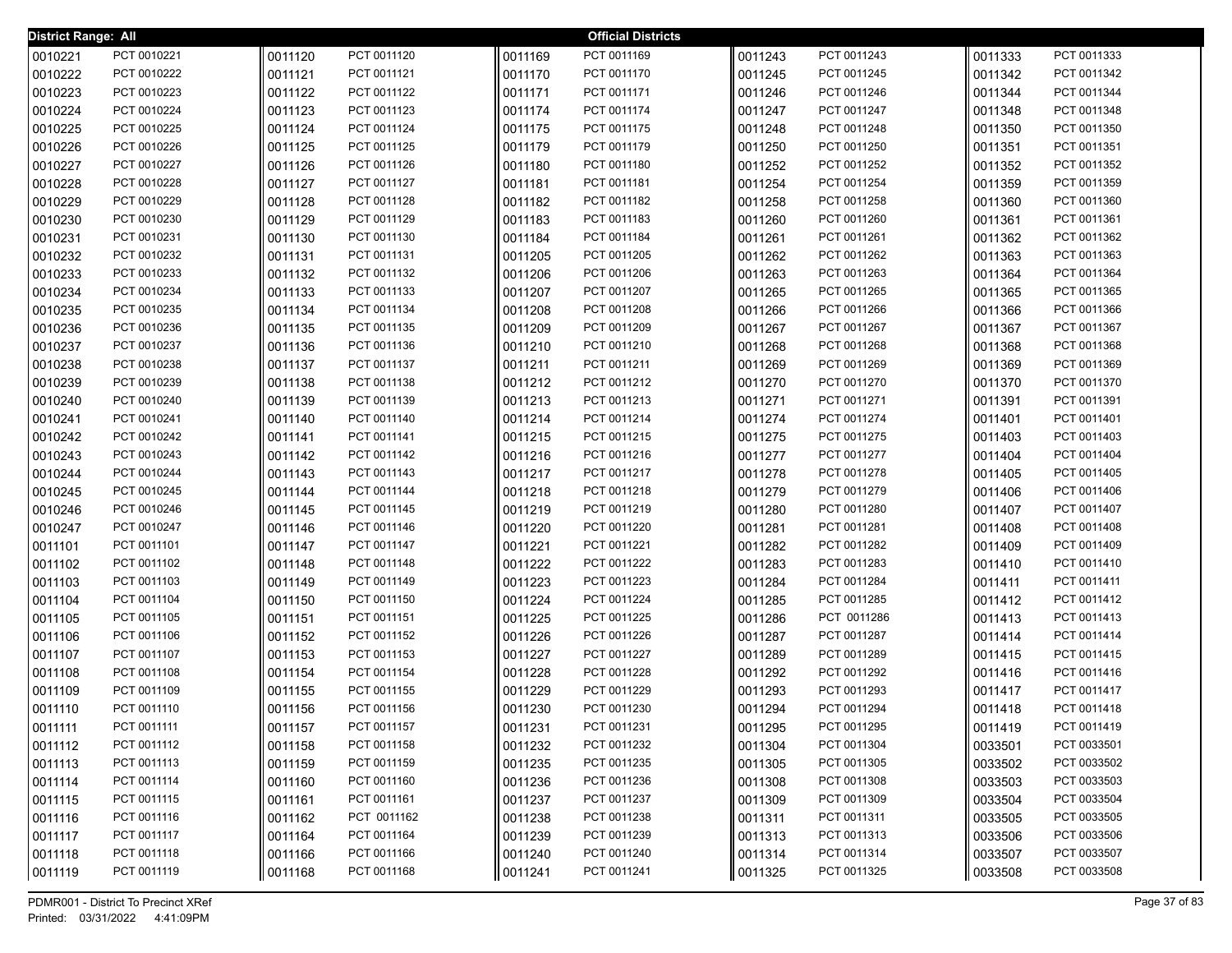| <b>District Range: All</b> |                            |                    |                            |                    | <b>Official Districts</b>  |                    |                            |                    |                            |
|----------------------------|----------------------------|--------------------|----------------------------|--------------------|----------------------------|--------------------|----------------------------|--------------------|----------------------------|
| 0010221                    | PCT 0010221                | 0011120            | PCT 0011120                | 0011169            | PCT 0011169                | 0011243            | PCT 0011243                | 0011333            | PCT 0011333                |
| 0010222                    | PCT 0010222                | 0011121            | PCT 0011121                | 0011170            | PCT 0011170                | 0011245            | PCT 0011245                | 0011342            | PCT 0011342                |
| 0010223                    | PCT 0010223                | 0011122            | PCT 0011122                | 0011171            | PCT 0011171                | 0011246            | PCT 0011246                | 0011344            | PCT 0011344                |
| 0010224                    | PCT 0010224                | 0011123            | PCT 0011123                | 0011174            | PCT 0011174                | 0011247            | PCT 0011247                | 0011348            | PCT 0011348                |
| 0010225                    | PCT 0010225                | 0011124            | PCT 0011124                | 0011175            | PCT 0011175                | 0011248            | PCT 0011248                | 0011350            | PCT 0011350                |
| 0010226                    | PCT 0010226                | 0011125            | PCT 0011125                | 0011179            | PCT 0011179                | 0011250            | PCT 0011250                | 0011351            | PCT 0011351                |
| 0010227                    | PCT 0010227                | 0011126            | PCT 0011126                | 0011180            | PCT 0011180                | 0011252            | PCT 0011252                | 0011352            | PCT 0011352                |
| 0010228                    | PCT 0010228                | 0011127            | PCT 0011127                | 0011181            | PCT 0011181                | 0011254            | PCT 0011254                | 0011359            | PCT 0011359                |
| 0010229                    | PCT 0010229                | 0011128            | PCT 0011128                | 0011182            | PCT 0011182                | 0011258            | PCT 0011258                | 0011360            | PCT 0011360                |
| 0010230                    | PCT 0010230                | 0011129            | PCT 0011129                | 0011183            | PCT 0011183                | 0011260            | PCT 0011260                | 0011361            | PCT 0011361                |
| 0010231                    | PCT 0010231                | 0011130            | PCT 0011130                | 0011184            | PCT 0011184                | 0011261            | PCT 0011261                | 0011362            | PCT 0011362                |
| 0010232                    | PCT 0010232                | 0011131            | PCT 0011131                | 0011205            | PCT 0011205                | 0011262            | PCT 0011262                | 0011363            | PCT 0011363                |
| 0010233                    | PCT 0010233                | 0011132            | PCT 0011132                | 0011206            | PCT 0011206                | 0011263            | PCT 0011263                | 0011364            | PCT 0011364                |
| 0010234                    | PCT 0010234                | 0011133            | PCT 0011133                | 0011207            | PCT 0011207                | 0011265            | PCT 0011265                | 0011365            | PCT 0011365                |
| 0010235                    | PCT 0010235                | 0011134            | PCT 0011134                | 0011208            | PCT 0011208                | 0011266            | PCT 0011266                | 0011366            | PCT 0011366                |
| 0010236                    | PCT 0010236                | 0011135            | PCT 0011135                | 0011209            | PCT 0011209                | 0011267            | PCT 0011267                | 0011367            | PCT 0011367                |
| 0010237                    | PCT 0010237                | 0011136            | PCT 0011136                | 0011210            | PCT 0011210                | 0011268            | PCT 0011268                | 0011368            | PCT 0011368                |
| 0010238                    | PCT 0010238                | 0011137            | PCT 0011137                | 0011211            | PCT 0011211                | 0011269            | PCT 0011269                | 0011369            | PCT 0011369                |
| 0010239                    | PCT 0010239                | 0011138            | PCT 0011138                | 0011212            | PCT 0011212                | 0011270            | PCT 0011270                | 0011370            | PCT 0011370                |
| 0010240                    | PCT 0010240                | 0011139            | PCT 0011139                | 0011213            | PCT 0011213                | 0011271            | PCT 0011271                | 0011391            | PCT 0011391                |
| 0010241                    | PCT 0010241                | 0011140            | PCT 0011140                | 0011214            | PCT 0011214                | 0011274            | PCT 0011274                | 0011401            | PCT 0011401                |
| 0010242                    | PCT 0010242                | 0011141            | PCT 0011141                | 0011215            | PCT 0011215                | 0011275            | PCT 0011275                | 0011403            | PCT 0011403                |
| 0010243                    | PCT 0010243                | 0011142            | PCT 0011142                | 0011216            | PCT 0011216                | 0011277            | PCT 0011277                | 0011404            | PCT 0011404                |
| 0010244                    | PCT 0010244                | 0011143            | PCT 0011143                | 0011217            | PCT 0011217                | 0011278            | PCT 0011278                | 0011405            | PCT 0011405                |
| 0010245                    | PCT 0010245<br>PCT 0010246 | 0011144            | PCT 0011144<br>PCT 0011145 | 0011218            | PCT 0011218<br>PCT 0011219 | 0011279            | PCT 0011279<br>PCT 0011280 | 0011406            | PCT 0011406<br>PCT 0011407 |
| 0010246                    | PCT 0010247                | 0011145            | PCT 0011146                | 0011219            | PCT 0011220                | 0011280            | PCT 0011281                | 0011407            | PCT 0011408                |
| 0010247<br>0011101         | PCT 0011101                | 0011146<br>0011147 | PCT 0011147                | 0011220<br>0011221 | PCT 0011221                | 0011281<br>0011282 | PCT 0011282                | 0011408<br>0011409 | PCT 0011409                |
| 0011102                    | PCT 0011102                | 0011148            | PCT 0011148                | 0011222            | PCT 0011222                | 0011283            | PCT 0011283                | 0011410            | PCT 0011410                |
| 0011103                    | PCT 0011103                | 0011149            | PCT 0011149                | 0011223            | PCT 0011223                | 0011284            | PCT 0011284                | 0011411            | PCT 0011411                |
| 0011104                    | PCT 0011104                | 0011150            | PCT 0011150                | 0011224            | PCT 0011224                | 0011285            | PCT 0011285                | 0011412            | PCT 0011412                |
| 0011105                    | PCT 0011105                | 0011151            | PCT 0011151                | 0011225            | PCT 0011225                | 0011286            | PCT 0011286                | 0011413            | PCT 0011413                |
| 0011106                    | PCT 0011106                | 0011152            | PCT 0011152                | 0011226            | PCT 0011226                | 0011287            | PCT 0011287                | 0011414            | PCT 0011414                |
| 0011107                    | PCT 0011107                | 0011153            | PCT 0011153                | 0011227            | PCT 0011227                | 0011289            | PCT 0011289                | 0011415            | PCT 0011415                |
| 0011108                    | PCT 0011108                | 0011154            | PCT 0011154                | 0011228            | PCT 0011228                | 0011292            | PCT 0011292                | 0011416            | PCT 0011416                |
| 0011109                    | PCT 0011109                | 0011155            | PCT 0011155                | 0011229            | PCT 0011229                | 0011293            | PCT 0011293                | 0011417            | PCT 0011417                |
| 0011110                    | PCT 0011110                | 0011156            | PCT 0011156                | 0011230            | PCT 0011230                | 0011294            | PCT 0011294                | 0011418            | PCT 0011418                |
| 0011111                    | PCT 0011111                | 0011157            | PCT 0011157                | 0011231            | PCT 0011231                | 0011295            | PCT 0011295                | 0011419            | PCT 0011419                |
| 0011112                    | PCT 0011112                | 0011158            | PCT 0011158                | 0011232            | PCT 0011232                | 0011304            | PCT 0011304                | 0033501            | PCT 0033501                |
| 0011113                    | PCT 0011113                | 0011159            | PCT 0011159                | 0011235            | PCT 0011235                | 0011305            | PCT 0011305                | 0033502            | PCT 0033502                |
| 0011114                    | PCT 0011114                | 0011160            | PCT 0011160                | 0011236            | PCT 0011236                | 0011308            | PCT 0011308                | 0033503            | PCT 0033503                |
| 0011115                    | PCT 0011115                | 0011161            | PCT 0011161                | 0011237            | PCT 0011237                | 0011309            | PCT 0011309                | 0033504            | PCT 0033504                |
| 0011116                    | PCT 0011116                | 0011162            | PCT 0011162                | 0011238            | PCT 0011238                | 0011311            | PCT 0011311                | 0033505            | PCT 0033505                |
| 0011117                    | PCT 0011117                | 0011164            | PCT 0011164                | 0011239            | PCT 0011239                | 0011313            | PCT 0011313                | 0033506            | PCT 0033506                |
| 0011118                    | PCT 0011118                | 0011166            | PCT 0011166                | 0011240            | PCT 0011240                | 0011314            | PCT 0011314                | 0033507            | PCT 0033507                |
| 0011119                    | PCT 0011119                | 0011168            | PCT 0011168                | 0011241            | PCT 0011241                | 0011325            | PCT 0011325                | 0033508            | PCT 0033508                |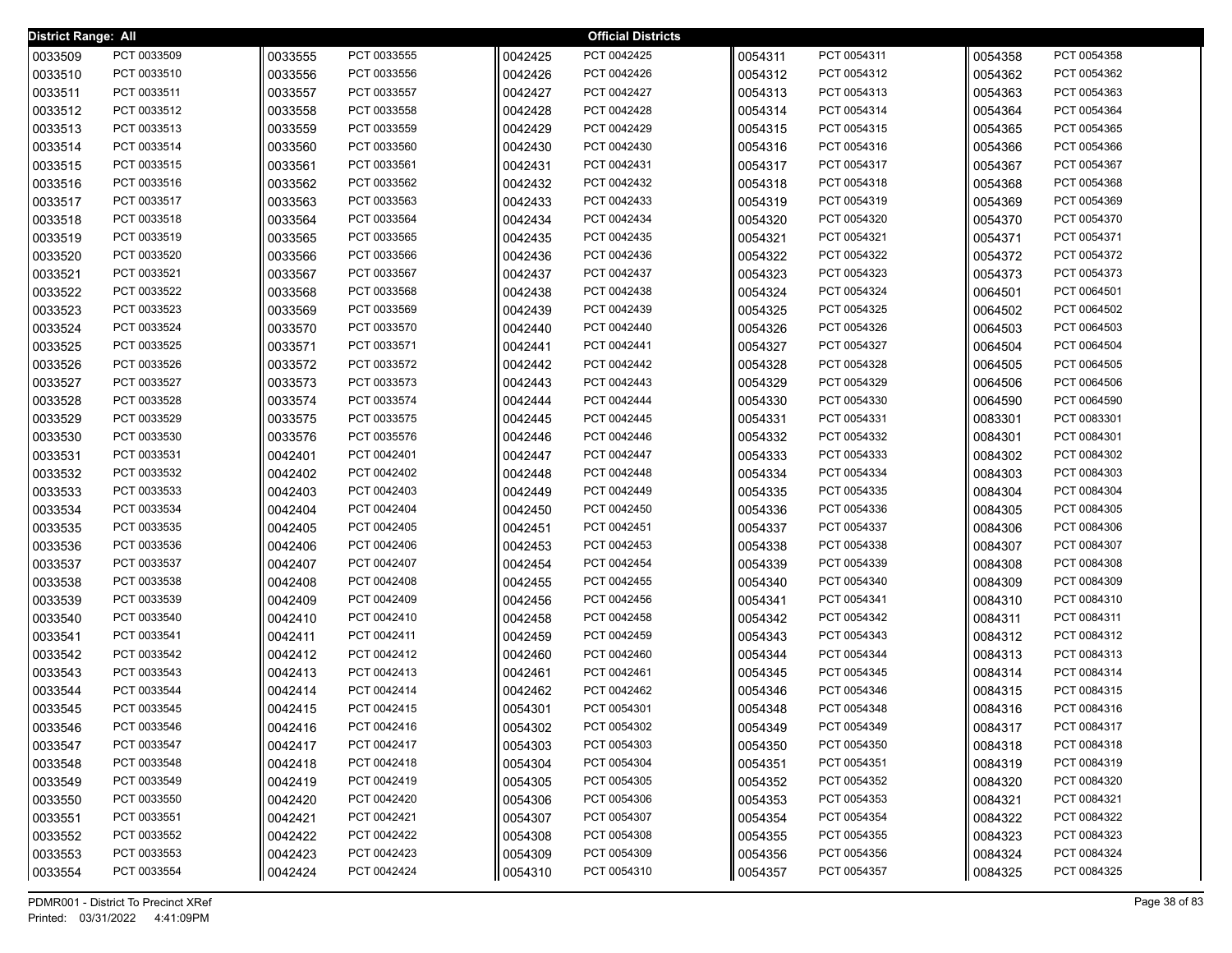| District Range: All |                            |                    |                            |                    | <b>Official Districts</b>  |                    |                            |                    |                            |
|---------------------|----------------------------|--------------------|----------------------------|--------------------|----------------------------|--------------------|----------------------------|--------------------|----------------------------|
| 0033509             | PCT 0033509                | 0033555            | PCT 0033555                | 0042425            | PCT 0042425                | 0054311            | PCT 0054311                | 0054358            | PCT 0054358                |
| 0033510             | PCT 0033510                | 0033556            | PCT 0033556                | 0042426            | PCT 0042426                | 0054312            | PCT 0054312                | 0054362            | PCT 0054362                |
| 0033511             | PCT 0033511                | 0033557            | PCT 0033557                | 0042427            | PCT 0042427                | 0054313            | PCT 0054313                | 0054363            | PCT 0054363                |
| 0033512             | PCT 0033512                | 0033558            | PCT 0033558                | 0042428            | PCT 0042428                | 0054314            | PCT 0054314                | 0054364            | PCT 0054364                |
| 0033513             | PCT 0033513                | 0033559            | PCT 0033559                | 0042429            | PCT 0042429                | 0054315            | PCT 0054315                | 0054365            | PCT 0054365                |
| 0033514             | PCT 0033514                | 0033560            | PCT 0033560                | 0042430            | PCT 0042430                | 0054316            | PCT 0054316                | 0054366            | PCT 0054366                |
| 0033515             | PCT 0033515                | 0033561            | PCT 0033561                | 0042431            | PCT 0042431                | 0054317            | PCT 0054317                | 0054367            | PCT 0054367                |
| 0033516             | PCT 0033516                | 0033562            | PCT 0033562                | 0042432            | PCT 0042432                | 0054318            | PCT 0054318                | 0054368            | PCT 0054368                |
| 0033517             | PCT 0033517                | 0033563            | PCT 0033563                | 0042433            | PCT 0042433                | 0054319            | PCT 0054319                | 0054369            | PCT 0054369                |
| 0033518             | PCT 0033518                | 0033564            | PCT 0033564                | 0042434            | PCT 0042434                | 0054320            | PCT 0054320                | 0054370            | PCT 0054370                |
| 0033519             | PCT 0033519                | 0033565            | PCT 0033565                | 0042435            | PCT 0042435                | 0054321            | PCT 0054321                | 0054371            | PCT 0054371                |
| 0033520             | PCT 0033520                | 0033566            | PCT 0033566                | 0042436            | PCT 0042436                | 0054322            | PCT 0054322                | 0054372            | PCT 0054372                |
| 0033521             | PCT 0033521                | 0033567            | PCT 0033567                | 0042437            | PCT 0042437                | 0054323            | PCT 0054323                | 0054373            | PCT 0054373                |
| 0033522             | PCT 0033522                | 0033568            | PCT 0033568                | 0042438            | PCT 0042438                | 0054324            | PCT 0054324                | 0064501            | PCT 0064501                |
| 0033523             | PCT 0033523                | 0033569            | PCT 0033569                | 0042439            | PCT 0042439                | 0054325            | PCT 0054325                | 0064502            | PCT 0064502                |
| 0033524             | PCT 0033524                | 0033570            | PCT 0033570                | 0042440            | PCT 0042440                | 0054326            | PCT 0054326                | 0064503            | PCT 0064503                |
| 0033525             | PCT 0033525                | 0033571            | PCT 0033571                | 0042441            | PCT 0042441                | 0054327            | PCT 0054327                | 0064504            | PCT 0064504                |
| 0033526             | PCT 0033526                | 0033572            | PCT 0033572                | 0042442            | PCT 0042442                | 0054328            | PCT 0054328                | 0064505            | PCT 0064505                |
| 0033527             | PCT 0033527                | 0033573            | PCT 0033573                | 0042443            | PCT 0042443                | 0054329            | PCT 0054329                | 0064506            | PCT 0064506                |
| 0033528             | PCT 0033528                | 0033574            | PCT 0033574                | 0042444            | PCT 0042444                | 0054330            | PCT 0054330                | 0064590            | PCT 0064590                |
| 0033529             | PCT 0033529                | 0033575            | PCT 0033575                | 0042445            | PCT 0042445                | 0054331            | PCT 0054331                | 0083301            | PCT 0083301                |
| 0033530             | PCT 0033530                | 0033576            | PCT 0035576                | 0042446            | PCT 0042446                | 0054332            | PCT 0054332                | 0084301            | PCT 0084301                |
| 0033531             | PCT 0033531                | 0042401            | PCT 0042401                | 0042447            | PCT 0042447                | 0054333            | PCT 0054333                | 0084302            | PCT 0084302                |
| 0033532             | PCT 0033532                | 0042402            | PCT 0042402                | 0042448            | PCT 0042448                | 0054334            | PCT 0054334                | 0084303            | PCT 0084303                |
| 0033533             | PCT 0033533<br>PCT 0033534 | 0042403            | PCT 0042403<br>PCT 0042404 | 0042449            | PCT 0042449<br>PCT 0042450 | 0054335            | PCT 0054335<br>PCT 0054336 | 0084304            | PCT 0084304<br>PCT 0084305 |
| 0033534             | PCT 0033535                | 0042404            | PCT 0042405                | 0042450            | PCT 0042451                | 0054336            | PCT 0054337                | 0084305            | PCT 0084306                |
| 0033535<br>0033536  | PCT 0033536                | 0042405<br>0042406 | PCT 0042406                | 0042451<br>0042453 | PCT 0042453                | 0054337<br>0054338 | PCT 0054338                | 0084306<br>0084307 | PCT 0084307                |
| 0033537             | PCT 0033537                | 0042407            | PCT 0042407                | 0042454            | PCT 0042454                | 0054339            | PCT 0054339                | 0084308            | PCT 0084308                |
| 0033538             | PCT 0033538                | 0042408            | PCT 0042408                | 0042455            | PCT 0042455                | 0054340            | PCT 0054340                | 0084309            | PCT 0084309                |
| 0033539             | PCT 0033539                | 0042409            | PCT 0042409                | 0042456            | PCT 0042456                | 0054341            | PCT 0054341                | 0084310            | PCT 0084310                |
| 0033540             | PCT 0033540                | 0042410            | PCT 0042410                | 0042458            | PCT 0042458                | 0054342            | PCT 0054342                | 0084311            | PCT 0084311                |
| 0033541             | PCT 0033541                | 0042411            | PCT 0042411                | 0042459            | PCT 0042459                | 0054343            | PCT 0054343                | 0084312            | PCT 0084312                |
| 0033542             | PCT 0033542                | 0042412            | PCT 0042412                | 0042460            | PCT 0042460                | 0054344            | PCT 0054344                | 0084313            | PCT 0084313                |
| 0033543             | PCT 0033543                | 0042413            | PCT 0042413                | 0042461            | PCT 0042461                | 0054345            | PCT 0054345                | 0084314            | PCT 0084314                |
| 0033544             | PCT 0033544                | 0042414            | PCT 0042414                | 0042462            | PCT 0042462                | 0054346            | PCT 0054346                | 0084315            | PCT 0084315                |
| 0033545             | PCT 0033545                | 0042415            | PCT 0042415                | 0054301            | PCT 0054301                | 0054348            | PCT 0054348                | 0084316            | PCT 0084316                |
| 0033546             | PCT 0033546                | 0042416            | PCT 0042416                | 0054302            | PCT 0054302                | 0054349            | PCT 0054349                | 0084317            | PCT 0084317                |
| 0033547             | PCT 0033547                | 0042417            | PCT 0042417                | 0054303            | PCT 0054303                | 0054350            | PCT 0054350                | 0084318            | PCT 0084318                |
| 0033548             | PCT 0033548                | 0042418            | PCT 0042418                | 0054304            | PCT 0054304                | 0054351            | PCT 0054351                | 0084319            | PCT 0084319                |
| 0033549             | PCT 0033549                | 0042419            | PCT 0042419                | 0054305            | PCT 0054305                | 0054352            | PCT 0054352                | 0084320            | PCT 0084320                |
| 0033550             | PCT 0033550                | 0042420            | PCT 0042420                | 0054306            | PCT 0054306                | 0054353            | PCT 0054353                | 0084321            | PCT 0084321                |
| 0033551             | PCT 0033551                | 0042421            | PCT 0042421                | 0054307            | PCT 0054307                | 0054354            | PCT 0054354                | 0084322            | PCT 0084322                |
| 0033552             | PCT 0033552                | 0042422            | PCT 0042422                | 0054308            | PCT 0054308                | 0054355            | PCT 0054355                | 0084323            | PCT 0084323                |
| 0033553             | PCT 0033553                | 0042423            | PCT 0042423                | 0054309            | PCT 0054309                | 0054356            | PCT 0054356                | 0084324            | PCT 0084324                |
| 0033554             | PCT 0033554                | 0042424            | PCT 0042424                | 0054310            | PCT 0054310                | 0054357            | PCT 0054357                | 0084325            | PCT 0084325                |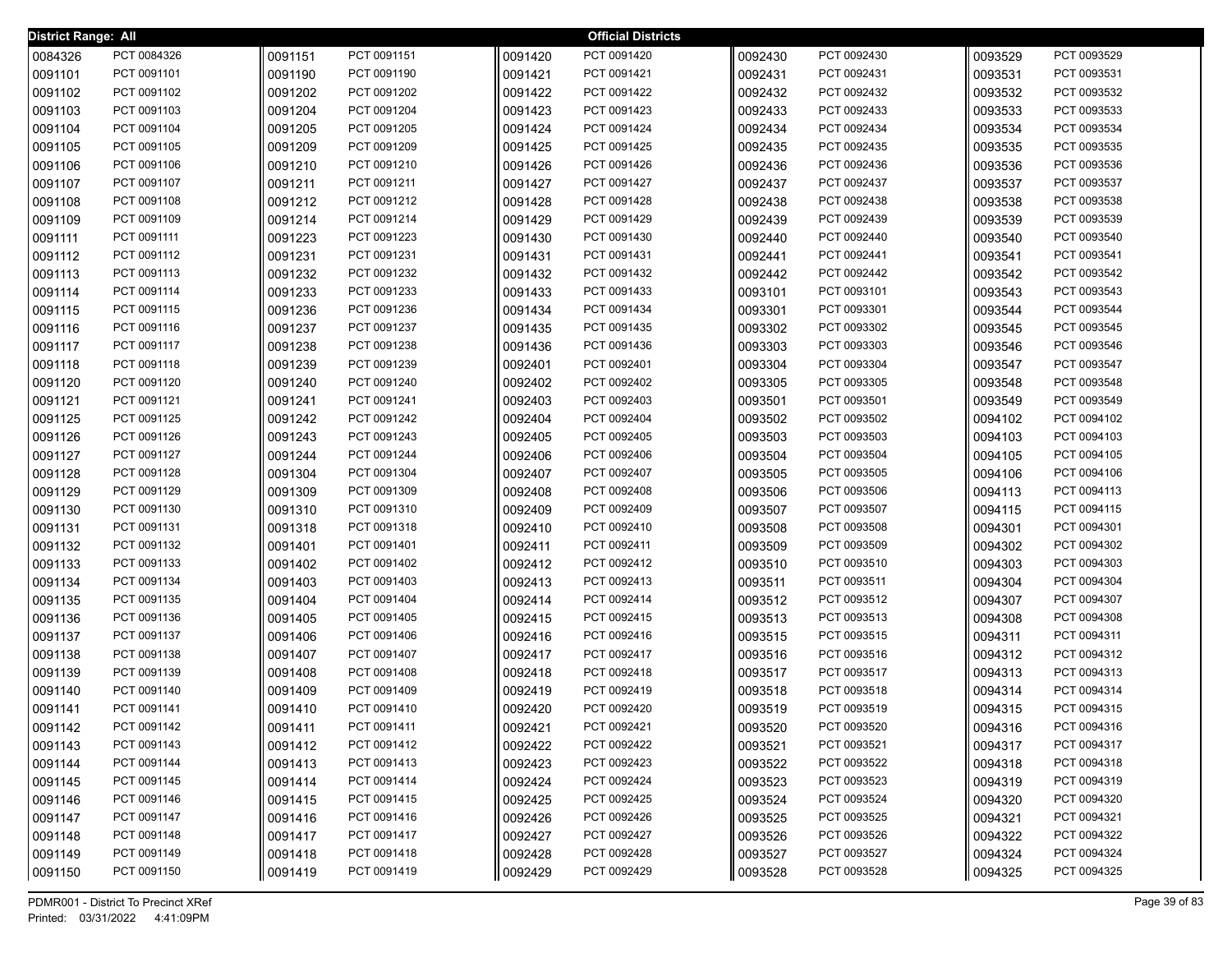| <b>District Range: All</b> |                            |                    |                            |                    | <b>Official Districts</b>  |                    |                            |                    |                            |
|----------------------------|----------------------------|--------------------|----------------------------|--------------------|----------------------------|--------------------|----------------------------|--------------------|----------------------------|
| 0084326                    | PCT 0084326                | 0091151            | PCT 0091151                | 0091420            | PCT 0091420                | 0092430            | PCT 0092430                | 0093529            | PCT 0093529                |
| 0091101                    | PCT 0091101                | 0091190            | PCT 0091190                | 0091421            | PCT 0091421                | 0092431            | PCT 0092431                | 0093531            | PCT 0093531                |
| 0091102                    | PCT 0091102                | 0091202            | PCT 0091202                | 0091422            | PCT 0091422                | 0092432            | PCT 0092432                | 0093532            | PCT 0093532                |
| 0091103                    | PCT 0091103                | 0091204            | PCT 0091204                | 0091423            | PCT 0091423                | 0092433            | PCT 0092433                | 0093533            | PCT 0093533                |
| 0091104                    | PCT 0091104                | 0091205            | PCT 0091205                | 0091424            | PCT 0091424                | 0092434            | PCT 0092434                | 0093534            | PCT 0093534                |
| 0091105                    | PCT 0091105                | 0091209            | PCT 0091209                | 0091425            | PCT 0091425                | 0092435            | PCT 0092435                | 0093535            | PCT 0093535                |
| 0091106                    | PCT 0091106                | 0091210            | PCT 0091210                | 0091426            | PCT 0091426                | 0092436            | PCT 0092436                | 0093536            | PCT 0093536                |
| 0091107                    | PCT 0091107                | 0091211            | PCT 0091211                | 0091427            | PCT 0091427                | 0092437            | PCT 0092437                | 0093537            | PCT 0093537                |
| 0091108                    | PCT 0091108                | 0091212            | PCT 0091212                | 0091428            | PCT 0091428                | 0092438            | PCT 0092438                | 0093538            | PCT 0093538                |
| 0091109                    | PCT 0091109                | 0091214            | PCT 0091214                | 0091429            | PCT 0091429                | 0092439            | PCT 0092439                | 0093539            | PCT 0093539                |
| 0091111                    | PCT 0091111                | 0091223            | PCT 0091223                | 0091430            | PCT 0091430                | 0092440            | PCT 0092440                | 0093540            | PCT 0093540                |
| 0091112                    | PCT 0091112                | 0091231            | PCT 0091231                | 0091431            | PCT 0091431                | 0092441            | PCT 0092441                | 0093541            | PCT 0093541                |
| 0091113                    | PCT 0091113                | 0091232            | PCT 0091232                | 0091432            | PCT 0091432                | 0092442            | PCT 0092442                | 0093542            | PCT 0093542                |
| 0091114                    | PCT 0091114                | 0091233            | PCT 0091233                | 0091433            | PCT 0091433                | 0093101            | PCT 0093101                | 0093543            | PCT 0093543                |
| 0091115                    | PCT 0091115                | 0091236            | PCT 0091236                | 0091434            | PCT 0091434                | 0093301            | PCT 0093301                | 0093544            | PCT 0093544                |
| 0091116                    | PCT 0091116                | 0091237            | PCT 0091237                | 0091435            | PCT 0091435                | 0093302            | PCT 0093302                | 0093545            | PCT 0093545                |
| 0091117                    | PCT 0091117                | 0091238            | PCT 0091238                | 0091436            | PCT 0091436                | 0093303            | PCT 0093303                | 0093546            | PCT 0093546                |
| 0091118                    | PCT 0091118                | 0091239            | PCT 0091239                | 0092401            | PCT 0092401                | 0093304            | PCT 0093304                | 0093547            | PCT 0093547                |
| 0091120                    | PCT 0091120                | 0091240            | PCT 0091240                | 0092402            | PCT 0092402                | 0093305            | PCT 0093305                | 0093548            | PCT 0093548                |
| 0091121                    | PCT 0091121                | 0091241            | PCT 0091241                | 0092403            | PCT 0092403                | 0093501            | PCT 0093501                | 0093549            | PCT 0093549                |
| 0091125                    | PCT 0091125                | 0091242            | PCT 0091242                | 0092404            | PCT 0092404                | 0093502            | PCT 0093502                | 0094102            | PCT 0094102                |
| 0091126                    | PCT 0091126                | 0091243            | PCT 0091243                | 0092405            | PCT 0092405                | 0093503            | PCT 0093503                | 0094103            | PCT 0094103                |
| 0091127                    | PCT 0091127                | 0091244            | PCT 0091244                | 0092406            | PCT 0092406                | 0093504            | PCT 0093504                | 0094105            | PCT 0094105                |
| 0091128                    | PCT 0091128<br>PCT 0091129 | 0091304            | PCT 0091304<br>PCT 0091309 | 0092407            | PCT 0092407<br>PCT 0092408 | 0093505            | PCT 0093505<br>PCT 0093506 | 0094106            | PCT 0094106<br>PCT 0094113 |
| 0091129<br>0091130         | PCT 0091130                | 0091309<br>0091310 | PCT 0091310                | 0092408<br>0092409 | PCT 0092409                | 0093506<br>0093507 | PCT 0093507                | 0094113<br>0094115 | PCT 0094115                |
| 0091131                    | PCT 0091131                | 0091318            | PCT 0091318                | 0092410            | PCT 0092410                | 0093508            | PCT 0093508                | 0094301            | PCT 0094301                |
| 0091132                    | PCT 0091132                | 0091401            | PCT 0091401                | 0092411            | PCT 0092411                | 0093509            | PCT 0093509                | 0094302            | PCT 0094302                |
| 0091133                    | PCT 0091133                | 0091402            | PCT 0091402                | 0092412            | PCT 0092412                | 0093510            | PCT 0093510                | 0094303            | PCT 0094303                |
| 0091134                    | PCT 0091134                | 0091403            | PCT 0091403                | 0092413            | PCT 0092413                | 0093511            | PCT 0093511                | 0094304            | PCT 0094304                |
| 0091135                    | PCT 0091135                | 0091404            | PCT 0091404                | 0092414            | PCT 0092414                | 0093512            | PCT 0093512                | 0094307            | PCT 0094307                |
| 0091136                    | PCT 0091136                | 0091405            | PCT 0091405                | 0092415            | PCT 0092415                | 0093513            | PCT 0093513                | 0094308            | PCT 0094308                |
| 0091137                    | PCT 0091137                | 0091406            | PCT 0091406                | 0092416            | PCT 0092416                | 0093515            | PCT 0093515                | 0094311            | PCT 0094311                |
| 0091138                    | PCT 0091138                | 0091407            | PCT 0091407                | 0092417            | PCT 0092417                | 0093516            | PCT 0093516                | 0094312            | PCT 0094312                |
| 0091139                    | PCT 0091139                | 0091408            | PCT 0091408                | 0092418            | PCT 0092418                | 0093517            | PCT 0093517                | 0094313            | PCT 0094313                |
| 0091140                    | PCT 0091140                | 0091409            | PCT 0091409                | 0092419            | PCT 0092419                | 0093518            | PCT 0093518                | 0094314            | PCT 0094314                |
| 0091141                    | PCT 0091141                | 0091410            | PCT 0091410                | 0092420            | PCT 0092420                | 0093519            | PCT 0093519                | 0094315            | PCT 0094315                |
| 0091142                    | PCT 0091142                | 0091411            | PCT 0091411                | 0092421            | PCT 0092421                | 0093520            | PCT 0093520                | 0094316            | PCT 0094316                |
| 0091143                    | PCT 0091143                | 0091412            | PCT 0091412                | 0092422            | PCT 0092422                | 0093521            | PCT 0093521                | 0094317            | PCT 0094317                |
| 0091144                    | PCT 0091144                | 0091413            | PCT 0091413                | 0092423            | PCT 0092423                | 0093522            | PCT 0093522                | 0094318            | PCT 0094318                |
| 0091145                    | PCT 0091145                | 0091414            | PCT 0091414                | 0092424            | PCT 0092424                | 0093523            | PCT 0093523                | 0094319            | PCT 0094319                |
| 0091146                    | PCT 0091146                | 0091415            | PCT 0091415                | 0092425            | PCT 0092425                | 0093524            | PCT 0093524                | 0094320            | PCT 0094320                |
| 0091147                    | PCT 0091147                | 0091416            | PCT 0091416                | 0092426            | PCT 0092426                | 0093525            | PCT 0093525                | 0094321            | PCT 0094321                |
| 0091148                    | PCT 0091148                | 0091417            | PCT 0091417                | 0092427            | PCT 0092427                | 0093526            | PCT 0093526                | 0094322            | PCT 0094322                |
| 0091149                    | PCT 0091149                | 0091418            | PCT 0091418                | 0092428            | PCT 0092428                | 0093527            | PCT 0093527                | 0094324            | PCT 0094324                |
| 0091150                    | PCT 0091150                | 0091419            | PCT 0091419                | 0092429            | PCT 0092429                | 0093528            | PCT 0093528                | 0094325            | PCT 0094325                |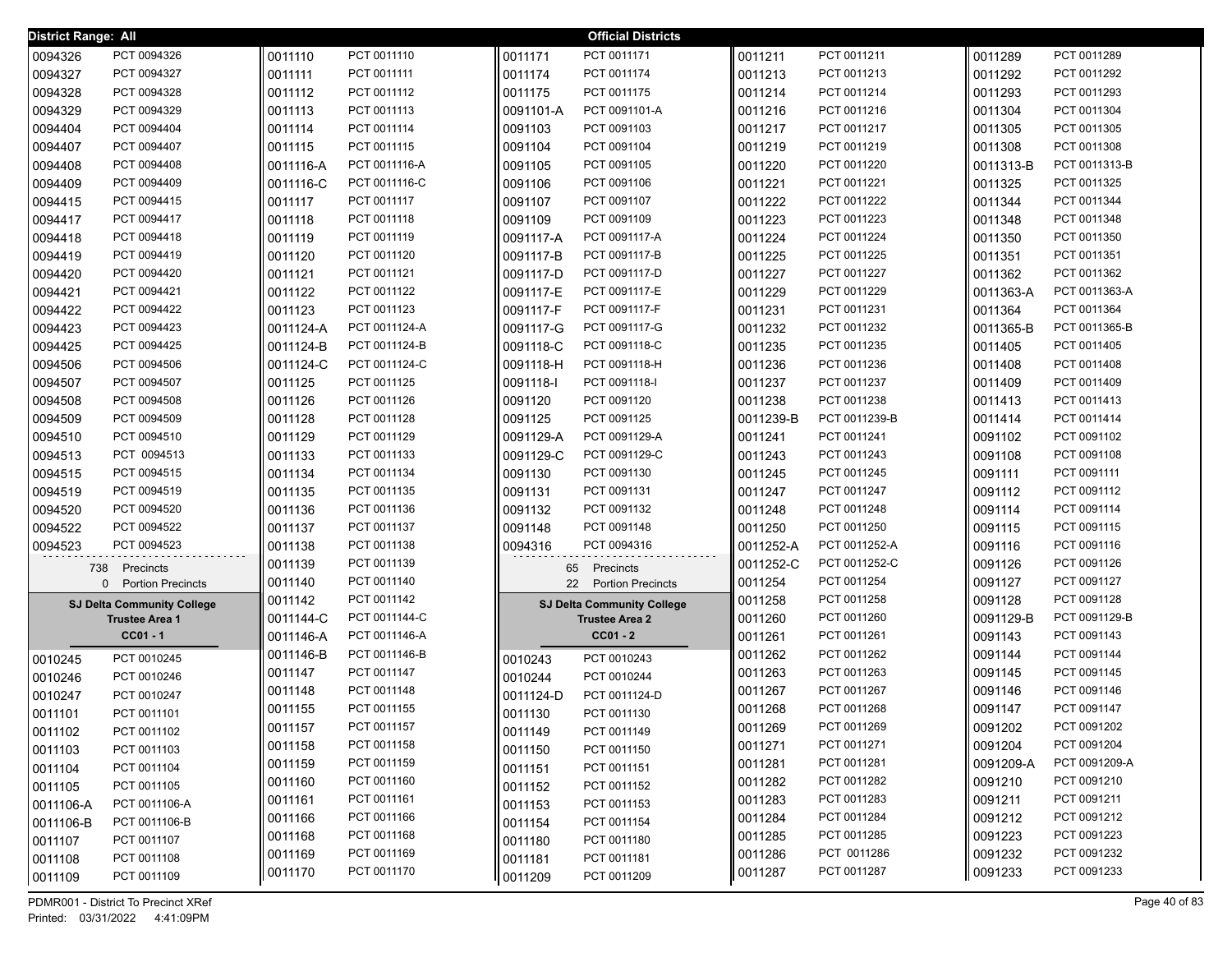| District Range: All |                                   |           |               |           | <b>Official Districts</b>         |           |               |           |               |
|---------------------|-----------------------------------|-----------|---------------|-----------|-----------------------------------|-----------|---------------|-----------|---------------|
| 0094326             | PCT 0094326                       | 0011110   | PCT 0011110   | 0011171   | PCT 0011171                       | 0011211   | PCT 0011211   | 0011289   | PCT 0011289   |
| 0094327             | PCT 0094327                       | 0011111   | PCT 0011111   | 0011174   | PCT 0011174                       | 0011213   | PCT 0011213   | 0011292   | PCT 0011292   |
| 0094328             | PCT 0094328                       | 0011112   | PCT 0011112   | 0011175   | PCT 0011175                       | 0011214   | PCT 0011214   | 0011293   | PCT 0011293   |
| 0094329             | PCT 0094329                       | 0011113   | PCT 0011113   | 0091101-A | PCT 0091101-A                     | 0011216   | PCT 0011216   | 0011304   | PCT 0011304   |
| 0094404             | PCT 0094404                       | 0011114   | PCT 0011114   | 0091103   | PCT 0091103                       | 0011217   | PCT 0011217   | 0011305   | PCT 0011305   |
| 0094407             | PCT 0094407                       | 0011115   | PCT 0011115   | 0091104   | PCT 0091104                       | 0011219   | PCT 0011219   | 0011308   | PCT 0011308   |
| 0094408             | PCT 0094408                       | 0011116-A | PCT 0011116-A | 0091105   | PCT 0091105                       | 0011220   | PCT 0011220   | 0011313-B | PCT 0011313-B |
| 0094409             | PCT 0094409                       | 0011116-C | PCT 0011116-C | 0091106   | PCT 0091106                       | 0011221   | PCT 0011221   | 0011325   | PCT 0011325   |
| 0094415             | PCT 0094415                       | 0011117   | PCT 0011117   | 0091107   | PCT 0091107                       | 0011222   | PCT 0011222   | 0011344   | PCT 0011344   |
| 0094417             | PCT 0094417                       | 0011118   | PCT 0011118   | 0091109   | PCT 0091109                       | 0011223   | PCT 0011223   | 0011348   | PCT 0011348   |
| 0094418             | PCT 0094418                       | 0011119   | PCT 0011119   | 0091117-A | PCT 0091117-A                     | 0011224   | PCT 0011224   | 0011350   | PCT 0011350   |
| 0094419             | PCT 0094419                       | 0011120   | PCT 0011120   | 0091117-B | PCT 0091117-B                     | 0011225   | PCT 0011225   | 0011351   | PCT 0011351   |
| 0094420             | PCT 0094420                       | 0011121   | PCT 0011121   | 0091117-D | PCT 0091117-D                     | 0011227   | PCT 0011227   | 0011362   | PCT 0011362   |
| 0094421             | PCT 0094421                       | 0011122   | PCT 0011122   | 0091117-E | PCT 0091117-E                     | 0011229   | PCT 0011229   | 0011363-A | PCT 0011363-A |
| 0094422             | PCT 0094422                       | 0011123   | PCT 0011123   | 0091117-F | PCT 0091117-F                     | 0011231   | PCT 0011231   | 0011364   | PCT 0011364   |
| 0094423             | PCT 0094423                       | 0011124-A | PCT 0011124-A | 0091117-G | PCT 0091117-G                     | 0011232   | PCT 0011232   | 0011365-B | PCT 0011365-B |
| 0094425             | PCT 0094425                       | 0011124-B | PCT 0011124-B | 0091118-C | PCT 0091118-C                     | 0011235   | PCT 0011235   | 0011405   | PCT 0011405   |
| 0094506             | PCT 0094506                       | 0011124-C | PCT 0011124-C | 0091118-H | PCT 0091118-H                     | 0011236   | PCT 0011236   | 0011408   | PCT 0011408   |
| 0094507             | PCT 0094507                       | 0011125   | PCT 0011125   | 0091118-I | PCT 0091118-I                     | 0011237   | PCT 0011237   | 0011409   | PCT 0011409   |
| 0094508             | PCT 0094508                       | 0011126   | PCT 0011126   | 0091120   | PCT 0091120                       | 0011238   | PCT 0011238   | 0011413   | PCT 0011413   |
| 0094509             | PCT 0094509                       | 0011128   | PCT 0011128   | 0091125   | PCT 0091125                       | 0011239-B | PCT 0011239-B | 0011414   | PCT 0011414   |
| 0094510             | PCT 0094510                       | 0011129   | PCT 0011129   | 0091129-A | PCT 0091129-A                     | 0011241   | PCT 0011241   | 0091102   | PCT 0091102   |
| 0094513             | PCT 0094513                       | 0011133   | PCT 0011133   | 0091129-C | PCT 0091129-C                     | 0011243   | PCT 0011243   | 0091108   | PCT 0091108   |
| 0094515             | PCT 0094515                       | 0011134   | PCT 0011134   | 0091130   | PCT 0091130                       | 0011245   | PCT 0011245   | 0091111   | PCT 0091111   |
| 0094519             | PCT 0094519                       | 0011135   | PCT 0011135   | 0091131   | PCT 0091131                       | 0011247   | PCT 0011247   | 0091112   | PCT 0091112   |
| 0094520             | PCT 0094520                       | 0011136   | PCT 0011136   | 0091132   | PCT 0091132                       | 0011248   | PCT 0011248   | 0091114   | PCT 0091114   |
| 0094522             | PCT 0094522                       | 0011137   | PCT 0011137   | 0091148   | PCT 0091148                       | 0011250   | PCT 0011250   | 0091115   | PCT 0091115   |
| 0094523             | PCT 0094523                       | 0011138   | PCT 0011138   | 0094316   | PCT 0094316                       | 0011252-A | PCT 0011252-A | 0091116   | PCT 0091116   |
| 738                 | Precincts                         | 0011139   | PCT 0011139   | 65        | Precincts                         | 0011252-C | PCT 0011252-C | 0091126   | PCT 0091126   |
|                     | 0 Portion Precincts               | 0011140   | PCT 0011140   | 22        | <b>Portion Precincts</b>          | 0011254   | PCT 0011254   | 0091127   | PCT 0091127   |
|                     | <b>SJ Delta Community College</b> | 0011142   | PCT 0011142   |           | <b>SJ Delta Community College</b> | 0011258   | PCT 0011258   | 0091128   | PCT 0091128   |
|                     | <b>Trustee Area 1</b>             | 0011144-C | PCT 0011144-C |           | <b>Trustee Area 2</b>             | 0011260   | PCT 0011260   | 0091129-B | PCT 0091129-B |
|                     | $CC01 - 1$                        | 0011146-A | PCT 0011146-A |           | $CC01 - 2$                        | 0011261   | PCT 0011261   | 0091143   | PCT 0091143   |
| 0010245             | PCT 0010245                       | 0011146-B | PCT 0011146-B | 0010243   | PCT 0010243                       | 0011262   | PCT 0011262   | 0091144   | PCT 0091144   |
| 0010246             | PCT 0010246                       | 0011147   | PCT 0011147   | 0010244   | PCT 0010244                       | 0011263   | PCT 0011263   | 0091145   | PCT 0091145   |
| 0010247             | PCT 0010247                       | 0011148   | PCT 0011148   | 0011124-D | PCT 0011124-D                     | 0011267   | PCT 0011267   | 0091146   | PCT 0091146   |
| 0011101             | PCT 0011101                       | 0011155   | PCT 0011155   | 0011130   | PCT 0011130                       | 0011268   | PCT 0011268   | 0091147   | PCT 0091147   |
| 0011102             | PCT 0011102                       | 0011157   | PCT 0011157   | 0011149   | PCT 0011149                       | 0011269   | PCT 0011269   | 0091202   | PCT 0091202   |
| 0011103             | PCT 0011103                       | 0011158   | PCT 0011158   | 0011150   | PCT 0011150                       | 0011271   | PCT 0011271   | 0091204   | PCT 0091204   |
| 0011104             | PCT 0011104                       | 0011159   | PCT 0011159   | 0011151   | PCT 0011151                       | 0011281   | PCT 0011281   | 0091209-A | PCT 0091209-A |
| 0011105             | PCT 0011105                       | 0011160   | PCT 0011160   | 0011152   | PCT 0011152                       | 0011282   | PCT 0011282   | 0091210   | PCT 0091210   |
| 0011106-A           | PCT 0011106-A                     | 0011161   | PCT 0011161   | 0011153   | PCT 0011153                       | 0011283   | PCT 0011283   | 0091211   | PCT 0091211   |
| 0011106-B           | PCT 0011106-B                     | 0011166   | PCT 0011166   | 0011154   | PCT 0011154                       | 0011284   | PCT 0011284   | 0091212   | PCT 0091212   |
| 0011107             | PCT 0011107                       | 0011168   | PCT 0011168   | 0011180   | PCT 0011180                       | 0011285   | PCT 0011285   | 0091223   | PCT 0091223   |
| 0011108             | PCT 0011108                       | 0011169   | PCT 0011169   | 0011181   | PCT 0011181                       | 0011286   | PCT 0011286   | 0091232   | PCT 0091232   |
| 0011109             | PCT 0011109                       | 0011170   | PCT 0011170   | 0011209   | PCT 0011209                       | 0011287   | PCT 0011287   | 0091233   | PCT 0091233   |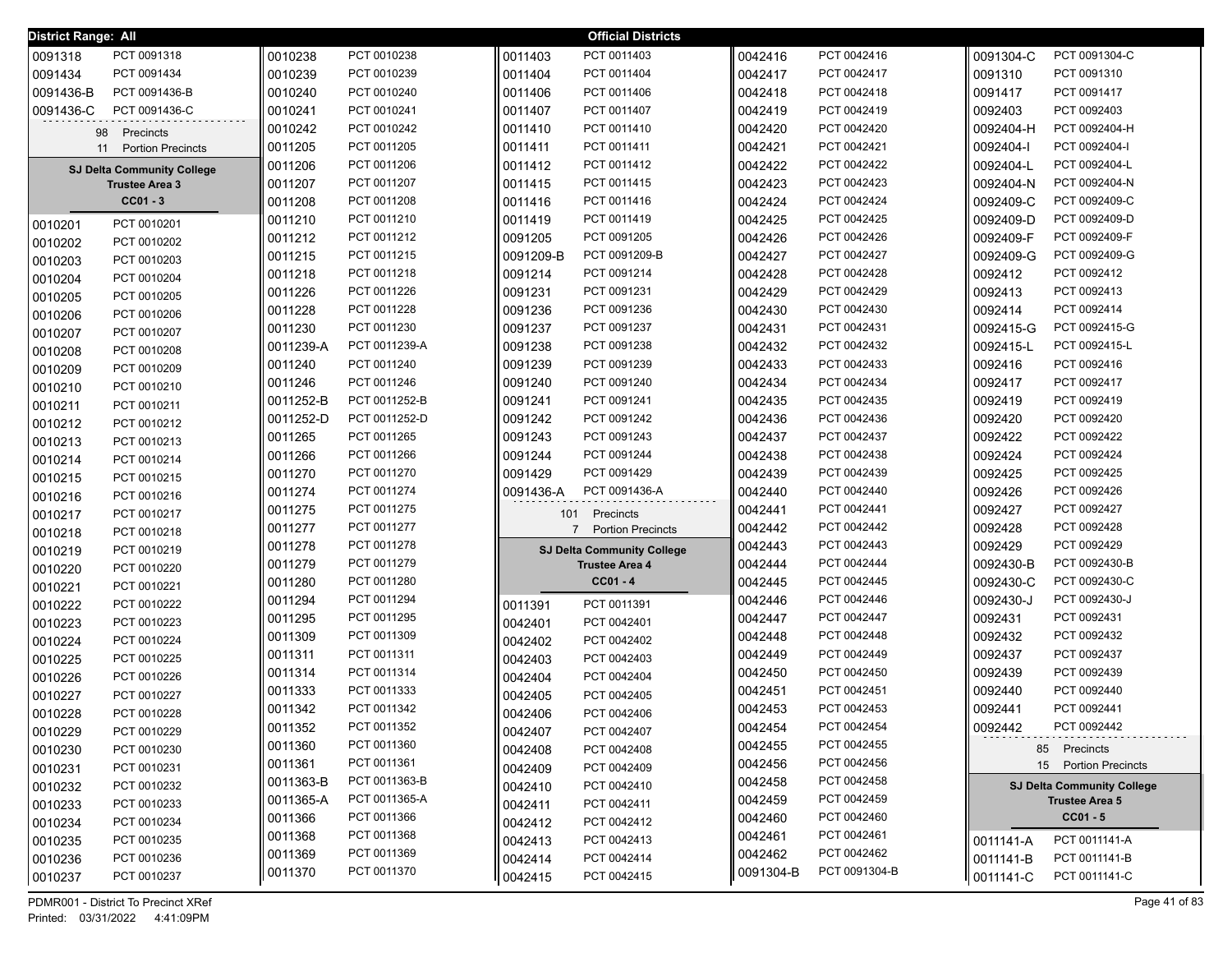| 0091318<br>PCT 0091318<br>0010238<br>PCT 0010238<br>0011403<br>PCT 0011403<br>0042416<br>PCT 0042416<br>0091304-C<br>PCT 0091304-C<br>0091434<br>PCT 0091434<br>0010239<br>PCT 0010239<br>PCT 0011404<br>0042417<br>PCT 0042417<br>0091310<br>PCT 0091310<br>0011404<br>PCT 0042418<br>0091436-B<br>PCT 0091436-B<br>0010240<br>PCT 0010240<br>0011406<br>PCT 0011406<br>0042418<br>0091417<br>PCT 0091417<br>PCT 0091436-C<br>PCT 0010241<br>PCT 0042419<br>PCT 0092403<br>0091436-C<br>0010241<br>0011407<br>PCT 0011407<br>0042419<br>0092403<br>0010242<br>PCT 0010242<br>PCT 0042420<br>0092404-H<br>PCT 0092404-H<br>0011410<br>PCT 0011410<br>0042420<br>Precincts<br>98<br>0011205<br>PCT 0011205<br>PCT 0011411<br>PCT 0042421<br>0092404-l<br>PCT 0092404-I<br>0011411<br>0042421<br><b>Portion Precincts</b><br>11<br>PCT 0042422<br>PCT 0092404-L<br>0011206<br>PCT 0011206<br>0011412<br>PCT 0011412<br>0042422<br>0092404-L<br><b>SJ Delta Community College</b><br>PCT 0011207<br>PCT 0011415<br>PCT 0042423<br>PCT 0092404-N<br>0011207<br>0011415<br>0042423<br>0092404-N<br><b>Trustee Area 3</b><br>$CC01 - 3$<br>PCT 0011208<br>PCT 0011416<br>PCT 0042424<br>PCT 0092409-C<br>0011208<br>0042424<br>0092409-C<br>0011416<br>PCT 0011210<br>PCT 0042425<br>PCT 0092409-D<br>0011210<br>PCT 0011419<br>0042425<br>0092409-D<br>0011419<br>PCT 0010201<br>0010201<br>PCT 0042426<br>PCT 0092409-F<br>0011212<br>PCT 0011212<br>0091205<br>PCT 0091205<br>0042426<br>0092409-F<br>0010202<br>PCT 0010202<br>PCT 0011215<br>PCT 0091209-B<br>PCT 0042427<br>PCT 0092409-G<br>0042427<br>0092409-G<br>0011215<br>0091209-B<br>0010203<br>PCT 0010203<br>PCT 0011218<br>PCT 0091214<br>PCT 0042428<br>PCT 0092412<br>0042428<br>0092412<br>0011218<br>0091214<br>0010204<br>PCT 0010204<br>0011226<br>PCT 0011226<br>0091231<br>PCT 0091231<br>0042429<br>PCT 0042429<br>0092413<br>PCT 0092413<br>0010205<br>PCT 0010205<br>0011228<br>PCT 0011228<br>PCT 0091236<br>0042430<br>PCT 0042430<br>0092414<br>PCT 0092414<br>0091236<br>0010206<br>PCT 0010206<br>PCT 0011230<br>PCT 0091237<br>PCT 0042431<br>PCT 0092415-G<br>0011230<br>0091237<br>0042431<br>0092415-G<br>0010207<br>PCT 0010207<br>PCT 0011239-A<br>PCT 0091238<br>PCT 0042432<br>0092415-L<br>PCT 0092415-L<br>0011239-A<br>0091238<br>0042432<br>0010208<br>PCT 0010208<br>PCT 0011240<br>PCT 0091239<br>0042433<br>PCT 0042433<br>0092416<br>PCT 0092416<br>0011240<br>0091239<br>0010209<br>PCT 0010209<br>PCT 0011246<br>0042434<br>PCT 0042434<br>0092417<br>PCT 0092417<br>0011246<br>0091240<br>PCT 0091240<br>0010210<br>PCT 0010210<br>PCT 0092419<br>0011252-B<br>PCT 0011252-B<br>0091241<br>PCT 0091241<br>0042435<br>PCT 0042435<br>0092419<br>0010211<br>PCT 0010211<br>PCT 0011252-D<br>PCT 0042436<br>PCT 0092420<br>0011252-D<br>0091242<br>PCT 0091242<br>0042436<br>0092420<br>PCT 0010212<br>0010212<br>PCT 0011265<br>PCT 0042437<br>0092422<br>PCT 0092422<br>0011265<br>0091243<br>PCT 0091243<br>0042437<br>PCT 0010213<br>0010213<br>PCT 0091244<br>PCT 0042438<br>PCT 0092424<br>0011266<br>PCT 0011266<br>0042438<br>0092424<br>0091244<br>PCT 0010214<br>0010214<br>PCT 0091429<br>PCT 0092425<br>PCT 0011270<br>PCT 0042439<br>0092425<br>0011270<br>0091429<br>0042439<br>PCT 0010215<br>0010215<br>PCT 0011274<br>PCT 0091436-A<br>PCT 0042440<br>PCT 0092426<br>0011274<br>0091436-A<br>0042440<br>0092426<br>0010216<br>PCT 0010216<br>PCT 0042441<br>PCT 0092427<br>PCT 0011275<br>0011275<br>0042441<br>0092427<br>0010217<br>PCT 0010217<br>101<br>Precincts<br>PCT 0042442<br>PCT 0092428<br>0011277<br>PCT 0011277<br>0042442<br>0092428<br><b>Portion Precincts</b><br>$7^{\circ}$<br>0010218<br>PCT 0010218<br>PCT 0092429<br>PCT 0011278<br>PCT 0042443<br>0092429<br>0011278<br>0042443<br>0010219<br>PCT 0010219<br><b>SJ Delta Community College</b><br>PCT 0042444<br>0092430-B<br>PCT 0092430-B<br>0011279<br>PCT 0011279<br>0042444<br><b>Trustee Area 4</b><br>0010220<br>PCT 0010220<br>PCT 0011280<br>$CC01 - 4$<br>PCT 0042445<br>0092430-C<br>PCT 0092430-C<br>0011280<br>0042445<br>0010221<br>PCT 0010221<br>0011294<br>PCT 0011294<br>0042446<br>PCT 0042446<br>0092430-J<br>PCT 0092430-J<br>0010222<br>PCT 0010222<br>PCT 0011391<br>0011391<br>PCT 0011295<br>0042447<br>PCT 0042447<br>0092431<br>PCT 0092431<br>0011295<br>0010223<br>PCT 0042401<br>PCT 0010223<br>0042401<br>PCT 0011309<br>PCT 0042448<br>0092432<br>PCT 0092432<br>0011309<br>0042448<br>PCT 0042402<br>0010224<br>PCT 0010224<br>0042402<br>PCT 0011311<br>PCT 0042449<br>0092437<br>PCT 0092437<br>0011311<br>0042449<br>PCT 0010225<br>PCT 0042403<br>0010225<br>0042403<br>PCT 0011314<br>PCT 0042450<br>0092439<br>PCT 0092439<br>0011314<br>0042450<br>PCT 0010226<br>PCT 0042404<br>0010226<br>0042404<br>PCT 0011333<br>PCT 0042451<br>0092440<br>PCT 0092440<br>0011333<br>0042451<br>PCT 0042405<br>0010227<br>PCT 0010227<br>0042405<br>PCT 0092441<br>0011342<br>PCT 0011342<br>0042453<br>PCT 0042453<br>0092441<br>0010228<br>PCT 0010228<br>0042406<br>PCT 0042406<br>0011352<br>PCT 0011352<br>0042454<br>PCT 0042454<br>0092442<br>PCT 0092442<br>PCT 0010229<br>PCT 0042407<br>0010229<br>0042407<br>PCT 0011360<br>PCT 0042455<br>0011360<br>0042455<br>PCT 0042408<br>0010230<br>PCT 0010230<br>85 Precincts<br>0042408<br>PCT 0011361<br>PCT 0042456<br>0011361<br>0042456<br>15 Portion Precincts<br>0010231<br>PCT 0010231<br>0042409<br>PCT 0042409<br>PCT 0011363-B<br>PCT 0042458<br>0011363-B<br>0042458<br>0010232<br>PCT 0010232<br>0042410<br>PCT 0042410<br><b>SJ Delta Community College</b><br>PCT 0011365-A<br>PCT 0042459<br>0011365-A<br>0042459<br><b>Trustee Area 5</b><br>0010233<br>PCT 0010233<br>PCT 0042411<br>0042411<br>$CC01 - 5$<br>PCT 0011366<br>PCT 0042460<br>0011366<br>0042460<br>0010234<br>PCT 0010234<br>PCT 0042412<br>0042412<br>0011368<br>PCT 0011368<br>0042461<br>PCT 0042461<br>0010235<br>PCT 0010235<br>PCT 0042413<br>0042413<br>PCT 0011141-A<br>0011141-A<br>0011369<br>PCT 0011369<br>0042462<br>PCT 0042462<br>0010236<br>PCT 0010236<br>PCT 0042414<br>PCT 0011141-B<br>0042414<br>0011141-B<br>PCT 0091304-B<br>0011370<br>PCT 0011370<br>0091304-B<br>0010237<br>PCT 0042415<br>0011141-C<br>PCT 0011141-C<br>PCT 0010237<br>0042415 | <b>District Range: All</b> |  |  | <b>Official Districts</b> |  |  |
|--------------------------------------------------------------------------------------------------------------------------------------------------------------------------------------------------------------------------------------------------------------------------------------------------------------------------------------------------------------------------------------------------------------------------------------------------------------------------------------------------------------------------------------------------------------------------------------------------------------------------------------------------------------------------------------------------------------------------------------------------------------------------------------------------------------------------------------------------------------------------------------------------------------------------------------------------------------------------------------------------------------------------------------------------------------------------------------------------------------------------------------------------------------------------------------------------------------------------------------------------------------------------------------------------------------------------------------------------------------------------------------------------------------------------------------------------------------------------------------------------------------------------------------------------------------------------------------------------------------------------------------------------------------------------------------------------------------------------------------------------------------------------------------------------------------------------------------------------------------------------------------------------------------------------------------------------------------------------------------------------------------------------------------------------------------------------------------------------------------------------------------------------------------------------------------------------------------------------------------------------------------------------------------------------------------------------------------------------------------------------------------------------------------------------------------------------------------------------------------------------------------------------------------------------------------------------------------------------------------------------------------------------------------------------------------------------------------------------------------------------------------------------------------------------------------------------------------------------------------------------------------------------------------------------------------------------------------------------------------------------------------------------------------------------------------------------------------------------------------------------------------------------------------------------------------------------------------------------------------------------------------------------------------------------------------------------------------------------------------------------------------------------------------------------------------------------------------------------------------------------------------------------------------------------------------------------------------------------------------------------------------------------------------------------------------------------------------------------------------------------------------------------------------------------------------------------------------------------------------------------------------------------------------------------------------------------------------------------------------------------------------------------------------------------------------------------------------------------------------------------------------------------------------------------------------------------------------------------------------------------------------------------------------------------------------------------------------------------------------------------------------------------------------------------------------------------------------------------------------------------------------------------------------------------------------------------------------------------------------------------------------------------------------------------------------------------------------------------------------------------------------------------------------------------------------------------------------------------------------------------------------------------------------------------------------------------------------------------------------------------------------------------------------------------------------------------------------------------------------------------------------------------------------------------------------------------------------------------------------------------------------------------------------------------------------------------------------------------------------------------------------------------------------------------------------------------------------------------------------------------------------------------------------------------------------------------------------------------------------------------------------------------------------------------------------------------------------------------------------------------------------------------------------------------------------------------------------------------------------------------------------------------------------------------------------------------------------------------------------------------------------------------------------------------------------------------------------------------------------------------------------------------------------------------------------------------------------------------------------------------------------------------------------------------------------------------------|----------------------------|--|--|---------------------------|--|--|
|                                                                                                                                                                                                                                                                                                                                                                                                                                                                                                                                                                                                                                                                                                                                                                                                                                                                                                                                                                                                                                                                                                                                                                                                                                                                                                                                                                                                                                                                                                                                                                                                                                                                                                                                                                                                                                                                                                                                                                                                                                                                                                                                                                                                                                                                                                                                                                                                                                                                                                                                                                                                                                                                                                                                                                                                                                                                                                                                                                                                                                                                                                                                                                                                                                                                                                                                                                                                                                                                                                                                                                                                                                                                                                                                                                                                                                                                                                                                                                                                                                                                                                                                                                                                                                                                                                                                                                                                                                                                                                                                                                                                                                                                                                                                                                                                                                                                                                                                                                                                                                                                                                                                                                                                                                                                                                                                                                                                                                                                                                                                                                                                                                                                                                                                                                                                                                                                                                                                                                                                                                                                                                                                                                                                                                                                                                                                |                            |  |  |                           |  |  |
|                                                                                                                                                                                                                                                                                                                                                                                                                                                                                                                                                                                                                                                                                                                                                                                                                                                                                                                                                                                                                                                                                                                                                                                                                                                                                                                                                                                                                                                                                                                                                                                                                                                                                                                                                                                                                                                                                                                                                                                                                                                                                                                                                                                                                                                                                                                                                                                                                                                                                                                                                                                                                                                                                                                                                                                                                                                                                                                                                                                                                                                                                                                                                                                                                                                                                                                                                                                                                                                                                                                                                                                                                                                                                                                                                                                                                                                                                                                                                                                                                                                                                                                                                                                                                                                                                                                                                                                                                                                                                                                                                                                                                                                                                                                                                                                                                                                                                                                                                                                                                                                                                                                                                                                                                                                                                                                                                                                                                                                                                                                                                                                                                                                                                                                                                                                                                                                                                                                                                                                                                                                                                                                                                                                                                                                                                                                                |                            |  |  |                           |  |  |
|                                                                                                                                                                                                                                                                                                                                                                                                                                                                                                                                                                                                                                                                                                                                                                                                                                                                                                                                                                                                                                                                                                                                                                                                                                                                                                                                                                                                                                                                                                                                                                                                                                                                                                                                                                                                                                                                                                                                                                                                                                                                                                                                                                                                                                                                                                                                                                                                                                                                                                                                                                                                                                                                                                                                                                                                                                                                                                                                                                                                                                                                                                                                                                                                                                                                                                                                                                                                                                                                                                                                                                                                                                                                                                                                                                                                                                                                                                                                                                                                                                                                                                                                                                                                                                                                                                                                                                                                                                                                                                                                                                                                                                                                                                                                                                                                                                                                                                                                                                                                                                                                                                                                                                                                                                                                                                                                                                                                                                                                                                                                                                                                                                                                                                                                                                                                                                                                                                                                                                                                                                                                                                                                                                                                                                                                                                                                |                            |  |  |                           |  |  |
|                                                                                                                                                                                                                                                                                                                                                                                                                                                                                                                                                                                                                                                                                                                                                                                                                                                                                                                                                                                                                                                                                                                                                                                                                                                                                                                                                                                                                                                                                                                                                                                                                                                                                                                                                                                                                                                                                                                                                                                                                                                                                                                                                                                                                                                                                                                                                                                                                                                                                                                                                                                                                                                                                                                                                                                                                                                                                                                                                                                                                                                                                                                                                                                                                                                                                                                                                                                                                                                                                                                                                                                                                                                                                                                                                                                                                                                                                                                                                                                                                                                                                                                                                                                                                                                                                                                                                                                                                                                                                                                                                                                                                                                                                                                                                                                                                                                                                                                                                                                                                                                                                                                                                                                                                                                                                                                                                                                                                                                                                                                                                                                                                                                                                                                                                                                                                                                                                                                                                                                                                                                                                                                                                                                                                                                                                                                                |                            |  |  |                           |  |  |
|                                                                                                                                                                                                                                                                                                                                                                                                                                                                                                                                                                                                                                                                                                                                                                                                                                                                                                                                                                                                                                                                                                                                                                                                                                                                                                                                                                                                                                                                                                                                                                                                                                                                                                                                                                                                                                                                                                                                                                                                                                                                                                                                                                                                                                                                                                                                                                                                                                                                                                                                                                                                                                                                                                                                                                                                                                                                                                                                                                                                                                                                                                                                                                                                                                                                                                                                                                                                                                                                                                                                                                                                                                                                                                                                                                                                                                                                                                                                                                                                                                                                                                                                                                                                                                                                                                                                                                                                                                                                                                                                                                                                                                                                                                                                                                                                                                                                                                                                                                                                                                                                                                                                                                                                                                                                                                                                                                                                                                                                                                                                                                                                                                                                                                                                                                                                                                                                                                                                                                                                                                                                                                                                                                                                                                                                                                                                |                            |  |  |                           |  |  |
|                                                                                                                                                                                                                                                                                                                                                                                                                                                                                                                                                                                                                                                                                                                                                                                                                                                                                                                                                                                                                                                                                                                                                                                                                                                                                                                                                                                                                                                                                                                                                                                                                                                                                                                                                                                                                                                                                                                                                                                                                                                                                                                                                                                                                                                                                                                                                                                                                                                                                                                                                                                                                                                                                                                                                                                                                                                                                                                                                                                                                                                                                                                                                                                                                                                                                                                                                                                                                                                                                                                                                                                                                                                                                                                                                                                                                                                                                                                                                                                                                                                                                                                                                                                                                                                                                                                                                                                                                                                                                                                                                                                                                                                                                                                                                                                                                                                                                                                                                                                                                                                                                                                                                                                                                                                                                                                                                                                                                                                                                                                                                                                                                                                                                                                                                                                                                                                                                                                                                                                                                                                                                                                                                                                                                                                                                                                                |                            |  |  |                           |  |  |
|                                                                                                                                                                                                                                                                                                                                                                                                                                                                                                                                                                                                                                                                                                                                                                                                                                                                                                                                                                                                                                                                                                                                                                                                                                                                                                                                                                                                                                                                                                                                                                                                                                                                                                                                                                                                                                                                                                                                                                                                                                                                                                                                                                                                                                                                                                                                                                                                                                                                                                                                                                                                                                                                                                                                                                                                                                                                                                                                                                                                                                                                                                                                                                                                                                                                                                                                                                                                                                                                                                                                                                                                                                                                                                                                                                                                                                                                                                                                                                                                                                                                                                                                                                                                                                                                                                                                                                                                                                                                                                                                                                                                                                                                                                                                                                                                                                                                                                                                                                                                                                                                                                                                                                                                                                                                                                                                                                                                                                                                                                                                                                                                                                                                                                                                                                                                                                                                                                                                                                                                                                                                                                                                                                                                                                                                                                                                |                            |  |  |                           |  |  |
|                                                                                                                                                                                                                                                                                                                                                                                                                                                                                                                                                                                                                                                                                                                                                                                                                                                                                                                                                                                                                                                                                                                                                                                                                                                                                                                                                                                                                                                                                                                                                                                                                                                                                                                                                                                                                                                                                                                                                                                                                                                                                                                                                                                                                                                                                                                                                                                                                                                                                                                                                                                                                                                                                                                                                                                                                                                                                                                                                                                                                                                                                                                                                                                                                                                                                                                                                                                                                                                                                                                                                                                                                                                                                                                                                                                                                                                                                                                                                                                                                                                                                                                                                                                                                                                                                                                                                                                                                                                                                                                                                                                                                                                                                                                                                                                                                                                                                                                                                                                                                                                                                                                                                                                                                                                                                                                                                                                                                                                                                                                                                                                                                                                                                                                                                                                                                                                                                                                                                                                                                                                                                                                                                                                                                                                                                                                                |                            |  |  |                           |  |  |
|                                                                                                                                                                                                                                                                                                                                                                                                                                                                                                                                                                                                                                                                                                                                                                                                                                                                                                                                                                                                                                                                                                                                                                                                                                                                                                                                                                                                                                                                                                                                                                                                                                                                                                                                                                                                                                                                                                                                                                                                                                                                                                                                                                                                                                                                                                                                                                                                                                                                                                                                                                                                                                                                                                                                                                                                                                                                                                                                                                                                                                                                                                                                                                                                                                                                                                                                                                                                                                                                                                                                                                                                                                                                                                                                                                                                                                                                                                                                                                                                                                                                                                                                                                                                                                                                                                                                                                                                                                                                                                                                                                                                                                                                                                                                                                                                                                                                                                                                                                                                                                                                                                                                                                                                                                                                                                                                                                                                                                                                                                                                                                                                                                                                                                                                                                                                                                                                                                                                                                                                                                                                                                                                                                                                                                                                                                                                |                            |  |  |                           |  |  |
|                                                                                                                                                                                                                                                                                                                                                                                                                                                                                                                                                                                                                                                                                                                                                                                                                                                                                                                                                                                                                                                                                                                                                                                                                                                                                                                                                                                                                                                                                                                                                                                                                                                                                                                                                                                                                                                                                                                                                                                                                                                                                                                                                                                                                                                                                                                                                                                                                                                                                                                                                                                                                                                                                                                                                                                                                                                                                                                                                                                                                                                                                                                                                                                                                                                                                                                                                                                                                                                                                                                                                                                                                                                                                                                                                                                                                                                                                                                                                                                                                                                                                                                                                                                                                                                                                                                                                                                                                                                                                                                                                                                                                                                                                                                                                                                                                                                                                                                                                                                                                                                                                                                                                                                                                                                                                                                                                                                                                                                                                                                                                                                                                                                                                                                                                                                                                                                                                                                                                                                                                                                                                                                                                                                                                                                                                                                                |                            |  |  |                           |  |  |
|                                                                                                                                                                                                                                                                                                                                                                                                                                                                                                                                                                                                                                                                                                                                                                                                                                                                                                                                                                                                                                                                                                                                                                                                                                                                                                                                                                                                                                                                                                                                                                                                                                                                                                                                                                                                                                                                                                                                                                                                                                                                                                                                                                                                                                                                                                                                                                                                                                                                                                                                                                                                                                                                                                                                                                                                                                                                                                                                                                                                                                                                                                                                                                                                                                                                                                                                                                                                                                                                                                                                                                                                                                                                                                                                                                                                                                                                                                                                                                                                                                                                                                                                                                                                                                                                                                                                                                                                                                                                                                                                                                                                                                                                                                                                                                                                                                                                                                                                                                                                                                                                                                                                                                                                                                                                                                                                                                                                                                                                                                                                                                                                                                                                                                                                                                                                                                                                                                                                                                                                                                                                                                                                                                                                                                                                                                                                |                            |  |  |                           |  |  |
|                                                                                                                                                                                                                                                                                                                                                                                                                                                                                                                                                                                                                                                                                                                                                                                                                                                                                                                                                                                                                                                                                                                                                                                                                                                                                                                                                                                                                                                                                                                                                                                                                                                                                                                                                                                                                                                                                                                                                                                                                                                                                                                                                                                                                                                                                                                                                                                                                                                                                                                                                                                                                                                                                                                                                                                                                                                                                                                                                                                                                                                                                                                                                                                                                                                                                                                                                                                                                                                                                                                                                                                                                                                                                                                                                                                                                                                                                                                                                                                                                                                                                                                                                                                                                                                                                                                                                                                                                                                                                                                                                                                                                                                                                                                                                                                                                                                                                                                                                                                                                                                                                                                                                                                                                                                                                                                                                                                                                                                                                                                                                                                                                                                                                                                                                                                                                                                                                                                                                                                                                                                                                                                                                                                                                                                                                                                                |                            |  |  |                           |  |  |
|                                                                                                                                                                                                                                                                                                                                                                                                                                                                                                                                                                                                                                                                                                                                                                                                                                                                                                                                                                                                                                                                                                                                                                                                                                                                                                                                                                                                                                                                                                                                                                                                                                                                                                                                                                                                                                                                                                                                                                                                                                                                                                                                                                                                                                                                                                                                                                                                                                                                                                                                                                                                                                                                                                                                                                                                                                                                                                                                                                                                                                                                                                                                                                                                                                                                                                                                                                                                                                                                                                                                                                                                                                                                                                                                                                                                                                                                                                                                                                                                                                                                                                                                                                                                                                                                                                                                                                                                                                                                                                                                                                                                                                                                                                                                                                                                                                                                                                                                                                                                                                                                                                                                                                                                                                                                                                                                                                                                                                                                                                                                                                                                                                                                                                                                                                                                                                                                                                                                                                                                                                                                                                                                                                                                                                                                                                                                |                            |  |  |                           |  |  |
|                                                                                                                                                                                                                                                                                                                                                                                                                                                                                                                                                                                                                                                                                                                                                                                                                                                                                                                                                                                                                                                                                                                                                                                                                                                                                                                                                                                                                                                                                                                                                                                                                                                                                                                                                                                                                                                                                                                                                                                                                                                                                                                                                                                                                                                                                                                                                                                                                                                                                                                                                                                                                                                                                                                                                                                                                                                                                                                                                                                                                                                                                                                                                                                                                                                                                                                                                                                                                                                                                                                                                                                                                                                                                                                                                                                                                                                                                                                                                                                                                                                                                                                                                                                                                                                                                                                                                                                                                                                                                                                                                                                                                                                                                                                                                                                                                                                                                                                                                                                                                                                                                                                                                                                                                                                                                                                                                                                                                                                                                                                                                                                                                                                                                                                                                                                                                                                                                                                                                                                                                                                                                                                                                                                                                                                                                                                                |                            |  |  |                           |  |  |
|                                                                                                                                                                                                                                                                                                                                                                                                                                                                                                                                                                                                                                                                                                                                                                                                                                                                                                                                                                                                                                                                                                                                                                                                                                                                                                                                                                                                                                                                                                                                                                                                                                                                                                                                                                                                                                                                                                                                                                                                                                                                                                                                                                                                                                                                                                                                                                                                                                                                                                                                                                                                                                                                                                                                                                                                                                                                                                                                                                                                                                                                                                                                                                                                                                                                                                                                                                                                                                                                                                                                                                                                                                                                                                                                                                                                                                                                                                                                                                                                                                                                                                                                                                                                                                                                                                                                                                                                                                                                                                                                                                                                                                                                                                                                                                                                                                                                                                                                                                                                                                                                                                                                                                                                                                                                                                                                                                                                                                                                                                                                                                                                                                                                                                                                                                                                                                                                                                                                                                                                                                                                                                                                                                                                                                                                                                                                |                            |  |  |                           |  |  |
|                                                                                                                                                                                                                                                                                                                                                                                                                                                                                                                                                                                                                                                                                                                                                                                                                                                                                                                                                                                                                                                                                                                                                                                                                                                                                                                                                                                                                                                                                                                                                                                                                                                                                                                                                                                                                                                                                                                                                                                                                                                                                                                                                                                                                                                                                                                                                                                                                                                                                                                                                                                                                                                                                                                                                                                                                                                                                                                                                                                                                                                                                                                                                                                                                                                                                                                                                                                                                                                                                                                                                                                                                                                                                                                                                                                                                                                                                                                                                                                                                                                                                                                                                                                                                                                                                                                                                                                                                                                                                                                                                                                                                                                                                                                                                                                                                                                                                                                                                                                                                                                                                                                                                                                                                                                                                                                                                                                                                                                                                                                                                                                                                                                                                                                                                                                                                                                                                                                                                                                                                                                                                                                                                                                                                                                                                                                                |                            |  |  |                           |  |  |
|                                                                                                                                                                                                                                                                                                                                                                                                                                                                                                                                                                                                                                                                                                                                                                                                                                                                                                                                                                                                                                                                                                                                                                                                                                                                                                                                                                                                                                                                                                                                                                                                                                                                                                                                                                                                                                                                                                                                                                                                                                                                                                                                                                                                                                                                                                                                                                                                                                                                                                                                                                                                                                                                                                                                                                                                                                                                                                                                                                                                                                                                                                                                                                                                                                                                                                                                                                                                                                                                                                                                                                                                                                                                                                                                                                                                                                                                                                                                                                                                                                                                                                                                                                                                                                                                                                                                                                                                                                                                                                                                                                                                                                                                                                                                                                                                                                                                                                                                                                                                                                                                                                                                                                                                                                                                                                                                                                                                                                                                                                                                                                                                                                                                                                                                                                                                                                                                                                                                                                                                                                                                                                                                                                                                                                                                                                                                |                            |  |  |                           |  |  |
|                                                                                                                                                                                                                                                                                                                                                                                                                                                                                                                                                                                                                                                                                                                                                                                                                                                                                                                                                                                                                                                                                                                                                                                                                                                                                                                                                                                                                                                                                                                                                                                                                                                                                                                                                                                                                                                                                                                                                                                                                                                                                                                                                                                                                                                                                                                                                                                                                                                                                                                                                                                                                                                                                                                                                                                                                                                                                                                                                                                                                                                                                                                                                                                                                                                                                                                                                                                                                                                                                                                                                                                                                                                                                                                                                                                                                                                                                                                                                                                                                                                                                                                                                                                                                                                                                                                                                                                                                                                                                                                                                                                                                                                                                                                                                                                                                                                                                                                                                                                                                                                                                                                                                                                                                                                                                                                                                                                                                                                                                                                                                                                                                                                                                                                                                                                                                                                                                                                                                                                                                                                                                                                                                                                                                                                                                                                                |                            |  |  |                           |  |  |
|                                                                                                                                                                                                                                                                                                                                                                                                                                                                                                                                                                                                                                                                                                                                                                                                                                                                                                                                                                                                                                                                                                                                                                                                                                                                                                                                                                                                                                                                                                                                                                                                                                                                                                                                                                                                                                                                                                                                                                                                                                                                                                                                                                                                                                                                                                                                                                                                                                                                                                                                                                                                                                                                                                                                                                                                                                                                                                                                                                                                                                                                                                                                                                                                                                                                                                                                                                                                                                                                                                                                                                                                                                                                                                                                                                                                                                                                                                                                                                                                                                                                                                                                                                                                                                                                                                                                                                                                                                                                                                                                                                                                                                                                                                                                                                                                                                                                                                                                                                                                                                                                                                                                                                                                                                                                                                                                                                                                                                                                                                                                                                                                                                                                                                                                                                                                                                                                                                                                                                                                                                                                                                                                                                                                                                                                                                                                |                            |  |  |                           |  |  |
|                                                                                                                                                                                                                                                                                                                                                                                                                                                                                                                                                                                                                                                                                                                                                                                                                                                                                                                                                                                                                                                                                                                                                                                                                                                                                                                                                                                                                                                                                                                                                                                                                                                                                                                                                                                                                                                                                                                                                                                                                                                                                                                                                                                                                                                                                                                                                                                                                                                                                                                                                                                                                                                                                                                                                                                                                                                                                                                                                                                                                                                                                                                                                                                                                                                                                                                                                                                                                                                                                                                                                                                                                                                                                                                                                                                                                                                                                                                                                                                                                                                                                                                                                                                                                                                                                                                                                                                                                                                                                                                                                                                                                                                                                                                                                                                                                                                                                                                                                                                                                                                                                                                                                                                                                                                                                                                                                                                                                                                                                                                                                                                                                                                                                                                                                                                                                                                                                                                                                                                                                                                                                                                                                                                                                                                                                                                                |                            |  |  |                           |  |  |
|                                                                                                                                                                                                                                                                                                                                                                                                                                                                                                                                                                                                                                                                                                                                                                                                                                                                                                                                                                                                                                                                                                                                                                                                                                                                                                                                                                                                                                                                                                                                                                                                                                                                                                                                                                                                                                                                                                                                                                                                                                                                                                                                                                                                                                                                                                                                                                                                                                                                                                                                                                                                                                                                                                                                                                                                                                                                                                                                                                                                                                                                                                                                                                                                                                                                                                                                                                                                                                                                                                                                                                                                                                                                                                                                                                                                                                                                                                                                                                                                                                                                                                                                                                                                                                                                                                                                                                                                                                                                                                                                                                                                                                                                                                                                                                                                                                                                                                                                                                                                                                                                                                                                                                                                                                                                                                                                                                                                                                                                                                                                                                                                                                                                                                                                                                                                                                                                                                                                                                                                                                                                                                                                                                                                                                                                                                                                |                            |  |  |                           |  |  |
|                                                                                                                                                                                                                                                                                                                                                                                                                                                                                                                                                                                                                                                                                                                                                                                                                                                                                                                                                                                                                                                                                                                                                                                                                                                                                                                                                                                                                                                                                                                                                                                                                                                                                                                                                                                                                                                                                                                                                                                                                                                                                                                                                                                                                                                                                                                                                                                                                                                                                                                                                                                                                                                                                                                                                                                                                                                                                                                                                                                                                                                                                                                                                                                                                                                                                                                                                                                                                                                                                                                                                                                                                                                                                                                                                                                                                                                                                                                                                                                                                                                                                                                                                                                                                                                                                                                                                                                                                                                                                                                                                                                                                                                                                                                                                                                                                                                                                                                                                                                                                                                                                                                                                                                                                                                                                                                                                                                                                                                                                                                                                                                                                                                                                                                                                                                                                                                                                                                                                                                                                                                                                                                                                                                                                                                                                                                                |                            |  |  |                           |  |  |
|                                                                                                                                                                                                                                                                                                                                                                                                                                                                                                                                                                                                                                                                                                                                                                                                                                                                                                                                                                                                                                                                                                                                                                                                                                                                                                                                                                                                                                                                                                                                                                                                                                                                                                                                                                                                                                                                                                                                                                                                                                                                                                                                                                                                                                                                                                                                                                                                                                                                                                                                                                                                                                                                                                                                                                                                                                                                                                                                                                                                                                                                                                                                                                                                                                                                                                                                                                                                                                                                                                                                                                                                                                                                                                                                                                                                                                                                                                                                                                                                                                                                                                                                                                                                                                                                                                                                                                                                                                                                                                                                                                                                                                                                                                                                                                                                                                                                                                                                                                                                                                                                                                                                                                                                                                                                                                                                                                                                                                                                                                                                                                                                                                                                                                                                                                                                                                                                                                                                                                                                                                                                                                                                                                                                                                                                                                                                |                            |  |  |                           |  |  |
|                                                                                                                                                                                                                                                                                                                                                                                                                                                                                                                                                                                                                                                                                                                                                                                                                                                                                                                                                                                                                                                                                                                                                                                                                                                                                                                                                                                                                                                                                                                                                                                                                                                                                                                                                                                                                                                                                                                                                                                                                                                                                                                                                                                                                                                                                                                                                                                                                                                                                                                                                                                                                                                                                                                                                                                                                                                                                                                                                                                                                                                                                                                                                                                                                                                                                                                                                                                                                                                                                                                                                                                                                                                                                                                                                                                                                                                                                                                                                                                                                                                                                                                                                                                                                                                                                                                                                                                                                                                                                                                                                                                                                                                                                                                                                                                                                                                                                                                                                                                                                                                                                                                                                                                                                                                                                                                                                                                                                                                                                                                                                                                                                                                                                                                                                                                                                                                                                                                                                                                                                                                                                                                                                                                                                                                                                                                                |                            |  |  |                           |  |  |
|                                                                                                                                                                                                                                                                                                                                                                                                                                                                                                                                                                                                                                                                                                                                                                                                                                                                                                                                                                                                                                                                                                                                                                                                                                                                                                                                                                                                                                                                                                                                                                                                                                                                                                                                                                                                                                                                                                                                                                                                                                                                                                                                                                                                                                                                                                                                                                                                                                                                                                                                                                                                                                                                                                                                                                                                                                                                                                                                                                                                                                                                                                                                                                                                                                                                                                                                                                                                                                                                                                                                                                                                                                                                                                                                                                                                                                                                                                                                                                                                                                                                                                                                                                                                                                                                                                                                                                                                                                                                                                                                                                                                                                                                                                                                                                                                                                                                                                                                                                                                                                                                                                                                                                                                                                                                                                                                                                                                                                                                                                                                                                                                                                                                                                                                                                                                                                                                                                                                                                                                                                                                                                                                                                                                                                                                                                                                |                            |  |  |                           |  |  |
|                                                                                                                                                                                                                                                                                                                                                                                                                                                                                                                                                                                                                                                                                                                                                                                                                                                                                                                                                                                                                                                                                                                                                                                                                                                                                                                                                                                                                                                                                                                                                                                                                                                                                                                                                                                                                                                                                                                                                                                                                                                                                                                                                                                                                                                                                                                                                                                                                                                                                                                                                                                                                                                                                                                                                                                                                                                                                                                                                                                                                                                                                                                                                                                                                                                                                                                                                                                                                                                                                                                                                                                                                                                                                                                                                                                                                                                                                                                                                                                                                                                                                                                                                                                                                                                                                                                                                                                                                                                                                                                                                                                                                                                                                                                                                                                                                                                                                                                                                                                                                                                                                                                                                                                                                                                                                                                                                                                                                                                                                                                                                                                                                                                                                                                                                                                                                                                                                                                                                                                                                                                                                                                                                                                                                                                                                                                                |                            |  |  |                           |  |  |
|                                                                                                                                                                                                                                                                                                                                                                                                                                                                                                                                                                                                                                                                                                                                                                                                                                                                                                                                                                                                                                                                                                                                                                                                                                                                                                                                                                                                                                                                                                                                                                                                                                                                                                                                                                                                                                                                                                                                                                                                                                                                                                                                                                                                                                                                                                                                                                                                                                                                                                                                                                                                                                                                                                                                                                                                                                                                                                                                                                                                                                                                                                                                                                                                                                                                                                                                                                                                                                                                                                                                                                                                                                                                                                                                                                                                                                                                                                                                                                                                                                                                                                                                                                                                                                                                                                                                                                                                                                                                                                                                                                                                                                                                                                                                                                                                                                                                                                                                                                                                                                                                                                                                                                                                                                                                                                                                                                                                                                                                                                                                                                                                                                                                                                                                                                                                                                                                                                                                                                                                                                                                                                                                                                                                                                                                                                                                |                            |  |  |                           |  |  |
|                                                                                                                                                                                                                                                                                                                                                                                                                                                                                                                                                                                                                                                                                                                                                                                                                                                                                                                                                                                                                                                                                                                                                                                                                                                                                                                                                                                                                                                                                                                                                                                                                                                                                                                                                                                                                                                                                                                                                                                                                                                                                                                                                                                                                                                                                                                                                                                                                                                                                                                                                                                                                                                                                                                                                                                                                                                                                                                                                                                                                                                                                                                                                                                                                                                                                                                                                                                                                                                                                                                                                                                                                                                                                                                                                                                                                                                                                                                                                                                                                                                                                                                                                                                                                                                                                                                                                                                                                                                                                                                                                                                                                                                                                                                                                                                                                                                                                                                                                                                                                                                                                                                                                                                                                                                                                                                                                                                                                                                                                                                                                                                                                                                                                                                                                                                                                                                                                                                                                                                                                                                                                                                                                                                                                                                                                                                                |                            |  |  |                           |  |  |
|                                                                                                                                                                                                                                                                                                                                                                                                                                                                                                                                                                                                                                                                                                                                                                                                                                                                                                                                                                                                                                                                                                                                                                                                                                                                                                                                                                                                                                                                                                                                                                                                                                                                                                                                                                                                                                                                                                                                                                                                                                                                                                                                                                                                                                                                                                                                                                                                                                                                                                                                                                                                                                                                                                                                                                                                                                                                                                                                                                                                                                                                                                                                                                                                                                                                                                                                                                                                                                                                                                                                                                                                                                                                                                                                                                                                                                                                                                                                                                                                                                                                                                                                                                                                                                                                                                                                                                                                                                                                                                                                                                                                                                                                                                                                                                                                                                                                                                                                                                                                                                                                                                                                                                                                                                                                                                                                                                                                                                                                                                                                                                                                                                                                                                                                                                                                                                                                                                                                                                                                                                                                                                                                                                                                                                                                                                                                |                            |  |  |                           |  |  |
|                                                                                                                                                                                                                                                                                                                                                                                                                                                                                                                                                                                                                                                                                                                                                                                                                                                                                                                                                                                                                                                                                                                                                                                                                                                                                                                                                                                                                                                                                                                                                                                                                                                                                                                                                                                                                                                                                                                                                                                                                                                                                                                                                                                                                                                                                                                                                                                                                                                                                                                                                                                                                                                                                                                                                                                                                                                                                                                                                                                                                                                                                                                                                                                                                                                                                                                                                                                                                                                                                                                                                                                                                                                                                                                                                                                                                                                                                                                                                                                                                                                                                                                                                                                                                                                                                                                                                                                                                                                                                                                                                                                                                                                                                                                                                                                                                                                                                                                                                                                                                                                                                                                                                                                                                                                                                                                                                                                                                                                                                                                                                                                                                                                                                                                                                                                                                                                                                                                                                                                                                                                                                                                                                                                                                                                                                                                                |                            |  |  |                           |  |  |
|                                                                                                                                                                                                                                                                                                                                                                                                                                                                                                                                                                                                                                                                                                                                                                                                                                                                                                                                                                                                                                                                                                                                                                                                                                                                                                                                                                                                                                                                                                                                                                                                                                                                                                                                                                                                                                                                                                                                                                                                                                                                                                                                                                                                                                                                                                                                                                                                                                                                                                                                                                                                                                                                                                                                                                                                                                                                                                                                                                                                                                                                                                                                                                                                                                                                                                                                                                                                                                                                                                                                                                                                                                                                                                                                                                                                                                                                                                                                                                                                                                                                                                                                                                                                                                                                                                                                                                                                                                                                                                                                                                                                                                                                                                                                                                                                                                                                                                                                                                                                                                                                                                                                                                                                                                                                                                                                                                                                                                                                                                                                                                                                                                                                                                                                                                                                                                                                                                                                                                                                                                                                                                                                                                                                                                                                                                                                |                            |  |  |                           |  |  |
|                                                                                                                                                                                                                                                                                                                                                                                                                                                                                                                                                                                                                                                                                                                                                                                                                                                                                                                                                                                                                                                                                                                                                                                                                                                                                                                                                                                                                                                                                                                                                                                                                                                                                                                                                                                                                                                                                                                                                                                                                                                                                                                                                                                                                                                                                                                                                                                                                                                                                                                                                                                                                                                                                                                                                                                                                                                                                                                                                                                                                                                                                                                                                                                                                                                                                                                                                                                                                                                                                                                                                                                                                                                                                                                                                                                                                                                                                                                                                                                                                                                                                                                                                                                                                                                                                                                                                                                                                                                                                                                                                                                                                                                                                                                                                                                                                                                                                                                                                                                                                                                                                                                                                                                                                                                                                                                                                                                                                                                                                                                                                                                                                                                                                                                                                                                                                                                                                                                                                                                                                                                                                                                                                                                                                                                                                                                                |                            |  |  |                           |  |  |
|                                                                                                                                                                                                                                                                                                                                                                                                                                                                                                                                                                                                                                                                                                                                                                                                                                                                                                                                                                                                                                                                                                                                                                                                                                                                                                                                                                                                                                                                                                                                                                                                                                                                                                                                                                                                                                                                                                                                                                                                                                                                                                                                                                                                                                                                                                                                                                                                                                                                                                                                                                                                                                                                                                                                                                                                                                                                                                                                                                                                                                                                                                                                                                                                                                                                                                                                                                                                                                                                                                                                                                                                                                                                                                                                                                                                                                                                                                                                                                                                                                                                                                                                                                                                                                                                                                                                                                                                                                                                                                                                                                                                                                                                                                                                                                                                                                                                                                                                                                                                                                                                                                                                                                                                                                                                                                                                                                                                                                                                                                                                                                                                                                                                                                                                                                                                                                                                                                                                                                                                                                                                                                                                                                                                                                                                                                                                |                            |  |  |                           |  |  |
|                                                                                                                                                                                                                                                                                                                                                                                                                                                                                                                                                                                                                                                                                                                                                                                                                                                                                                                                                                                                                                                                                                                                                                                                                                                                                                                                                                                                                                                                                                                                                                                                                                                                                                                                                                                                                                                                                                                                                                                                                                                                                                                                                                                                                                                                                                                                                                                                                                                                                                                                                                                                                                                                                                                                                                                                                                                                                                                                                                                                                                                                                                                                                                                                                                                                                                                                                                                                                                                                                                                                                                                                                                                                                                                                                                                                                                                                                                                                                                                                                                                                                                                                                                                                                                                                                                                                                                                                                                                                                                                                                                                                                                                                                                                                                                                                                                                                                                                                                                                                                                                                                                                                                                                                                                                                                                                                                                                                                                                                                                                                                                                                                                                                                                                                                                                                                                                                                                                                                                                                                                                                                                                                                                                                                                                                                                                                |                            |  |  |                           |  |  |
|                                                                                                                                                                                                                                                                                                                                                                                                                                                                                                                                                                                                                                                                                                                                                                                                                                                                                                                                                                                                                                                                                                                                                                                                                                                                                                                                                                                                                                                                                                                                                                                                                                                                                                                                                                                                                                                                                                                                                                                                                                                                                                                                                                                                                                                                                                                                                                                                                                                                                                                                                                                                                                                                                                                                                                                                                                                                                                                                                                                                                                                                                                                                                                                                                                                                                                                                                                                                                                                                                                                                                                                                                                                                                                                                                                                                                                                                                                                                                                                                                                                                                                                                                                                                                                                                                                                                                                                                                                                                                                                                                                                                                                                                                                                                                                                                                                                                                                                                                                                                                                                                                                                                                                                                                                                                                                                                                                                                                                                                                                                                                                                                                                                                                                                                                                                                                                                                                                                                                                                                                                                                                                                                                                                                                                                                                                                                |                            |  |  |                           |  |  |
|                                                                                                                                                                                                                                                                                                                                                                                                                                                                                                                                                                                                                                                                                                                                                                                                                                                                                                                                                                                                                                                                                                                                                                                                                                                                                                                                                                                                                                                                                                                                                                                                                                                                                                                                                                                                                                                                                                                                                                                                                                                                                                                                                                                                                                                                                                                                                                                                                                                                                                                                                                                                                                                                                                                                                                                                                                                                                                                                                                                                                                                                                                                                                                                                                                                                                                                                                                                                                                                                                                                                                                                                                                                                                                                                                                                                                                                                                                                                                                                                                                                                                                                                                                                                                                                                                                                                                                                                                                                                                                                                                                                                                                                                                                                                                                                                                                                                                                                                                                                                                                                                                                                                                                                                                                                                                                                                                                                                                                                                                                                                                                                                                                                                                                                                                                                                                                                                                                                                                                                                                                                                                                                                                                                                                                                                                                                                |                            |  |  |                           |  |  |
|                                                                                                                                                                                                                                                                                                                                                                                                                                                                                                                                                                                                                                                                                                                                                                                                                                                                                                                                                                                                                                                                                                                                                                                                                                                                                                                                                                                                                                                                                                                                                                                                                                                                                                                                                                                                                                                                                                                                                                                                                                                                                                                                                                                                                                                                                                                                                                                                                                                                                                                                                                                                                                                                                                                                                                                                                                                                                                                                                                                                                                                                                                                                                                                                                                                                                                                                                                                                                                                                                                                                                                                                                                                                                                                                                                                                                                                                                                                                                                                                                                                                                                                                                                                                                                                                                                                                                                                                                                                                                                                                                                                                                                                                                                                                                                                                                                                                                                                                                                                                                                                                                                                                                                                                                                                                                                                                                                                                                                                                                                                                                                                                                                                                                                                                                                                                                                                                                                                                                                                                                                                                                                                                                                                                                                                                                                                                |                            |  |  |                           |  |  |
|                                                                                                                                                                                                                                                                                                                                                                                                                                                                                                                                                                                                                                                                                                                                                                                                                                                                                                                                                                                                                                                                                                                                                                                                                                                                                                                                                                                                                                                                                                                                                                                                                                                                                                                                                                                                                                                                                                                                                                                                                                                                                                                                                                                                                                                                                                                                                                                                                                                                                                                                                                                                                                                                                                                                                                                                                                                                                                                                                                                                                                                                                                                                                                                                                                                                                                                                                                                                                                                                                                                                                                                                                                                                                                                                                                                                                                                                                                                                                                                                                                                                                                                                                                                                                                                                                                                                                                                                                                                                                                                                                                                                                                                                                                                                                                                                                                                                                                                                                                                                                                                                                                                                                                                                                                                                                                                                                                                                                                                                                                                                                                                                                                                                                                                                                                                                                                                                                                                                                                                                                                                                                                                                                                                                                                                                                                                                |                            |  |  |                           |  |  |
|                                                                                                                                                                                                                                                                                                                                                                                                                                                                                                                                                                                                                                                                                                                                                                                                                                                                                                                                                                                                                                                                                                                                                                                                                                                                                                                                                                                                                                                                                                                                                                                                                                                                                                                                                                                                                                                                                                                                                                                                                                                                                                                                                                                                                                                                                                                                                                                                                                                                                                                                                                                                                                                                                                                                                                                                                                                                                                                                                                                                                                                                                                                                                                                                                                                                                                                                                                                                                                                                                                                                                                                                                                                                                                                                                                                                                                                                                                                                                                                                                                                                                                                                                                                                                                                                                                                                                                                                                                                                                                                                                                                                                                                                                                                                                                                                                                                                                                                                                                                                                                                                                                                                                                                                                                                                                                                                                                                                                                                                                                                                                                                                                                                                                                                                                                                                                                                                                                                                                                                                                                                                                                                                                                                                                                                                                                                                |                            |  |  |                           |  |  |
|                                                                                                                                                                                                                                                                                                                                                                                                                                                                                                                                                                                                                                                                                                                                                                                                                                                                                                                                                                                                                                                                                                                                                                                                                                                                                                                                                                                                                                                                                                                                                                                                                                                                                                                                                                                                                                                                                                                                                                                                                                                                                                                                                                                                                                                                                                                                                                                                                                                                                                                                                                                                                                                                                                                                                                                                                                                                                                                                                                                                                                                                                                                                                                                                                                                                                                                                                                                                                                                                                                                                                                                                                                                                                                                                                                                                                                                                                                                                                                                                                                                                                                                                                                                                                                                                                                                                                                                                                                                                                                                                                                                                                                                                                                                                                                                                                                                                                                                                                                                                                                                                                                                                                                                                                                                                                                                                                                                                                                                                                                                                                                                                                                                                                                                                                                                                                                                                                                                                                                                                                                                                                                                                                                                                                                                                                                                                |                            |  |  |                           |  |  |
|                                                                                                                                                                                                                                                                                                                                                                                                                                                                                                                                                                                                                                                                                                                                                                                                                                                                                                                                                                                                                                                                                                                                                                                                                                                                                                                                                                                                                                                                                                                                                                                                                                                                                                                                                                                                                                                                                                                                                                                                                                                                                                                                                                                                                                                                                                                                                                                                                                                                                                                                                                                                                                                                                                                                                                                                                                                                                                                                                                                                                                                                                                                                                                                                                                                                                                                                                                                                                                                                                                                                                                                                                                                                                                                                                                                                                                                                                                                                                                                                                                                                                                                                                                                                                                                                                                                                                                                                                                                                                                                                                                                                                                                                                                                                                                                                                                                                                                                                                                                                                                                                                                                                                                                                                                                                                                                                                                                                                                                                                                                                                                                                                                                                                                                                                                                                                                                                                                                                                                                                                                                                                                                                                                                                                                                                                                                                |                            |  |  |                           |  |  |
|                                                                                                                                                                                                                                                                                                                                                                                                                                                                                                                                                                                                                                                                                                                                                                                                                                                                                                                                                                                                                                                                                                                                                                                                                                                                                                                                                                                                                                                                                                                                                                                                                                                                                                                                                                                                                                                                                                                                                                                                                                                                                                                                                                                                                                                                                                                                                                                                                                                                                                                                                                                                                                                                                                                                                                                                                                                                                                                                                                                                                                                                                                                                                                                                                                                                                                                                                                                                                                                                                                                                                                                                                                                                                                                                                                                                                                                                                                                                                                                                                                                                                                                                                                                                                                                                                                                                                                                                                                                                                                                                                                                                                                                                                                                                                                                                                                                                                                                                                                                                                                                                                                                                                                                                                                                                                                                                                                                                                                                                                                                                                                                                                                                                                                                                                                                                                                                                                                                                                                                                                                                                                                                                                                                                                                                                                                                                |                            |  |  |                           |  |  |
|                                                                                                                                                                                                                                                                                                                                                                                                                                                                                                                                                                                                                                                                                                                                                                                                                                                                                                                                                                                                                                                                                                                                                                                                                                                                                                                                                                                                                                                                                                                                                                                                                                                                                                                                                                                                                                                                                                                                                                                                                                                                                                                                                                                                                                                                                                                                                                                                                                                                                                                                                                                                                                                                                                                                                                                                                                                                                                                                                                                                                                                                                                                                                                                                                                                                                                                                                                                                                                                                                                                                                                                                                                                                                                                                                                                                                                                                                                                                                                                                                                                                                                                                                                                                                                                                                                                                                                                                                                                                                                                                                                                                                                                                                                                                                                                                                                                                                                                                                                                                                                                                                                                                                                                                                                                                                                                                                                                                                                                                                                                                                                                                                                                                                                                                                                                                                                                                                                                                                                                                                                                                                                                                                                                                                                                                                                                                |                            |  |  |                           |  |  |
|                                                                                                                                                                                                                                                                                                                                                                                                                                                                                                                                                                                                                                                                                                                                                                                                                                                                                                                                                                                                                                                                                                                                                                                                                                                                                                                                                                                                                                                                                                                                                                                                                                                                                                                                                                                                                                                                                                                                                                                                                                                                                                                                                                                                                                                                                                                                                                                                                                                                                                                                                                                                                                                                                                                                                                                                                                                                                                                                                                                                                                                                                                                                                                                                                                                                                                                                                                                                                                                                                                                                                                                                                                                                                                                                                                                                                                                                                                                                                                                                                                                                                                                                                                                                                                                                                                                                                                                                                                                                                                                                                                                                                                                                                                                                                                                                                                                                                                                                                                                                                                                                                                                                                                                                                                                                                                                                                                                                                                                                                                                                                                                                                                                                                                                                                                                                                                                                                                                                                                                                                                                                                                                                                                                                                                                                                                                                |                            |  |  |                           |  |  |
|                                                                                                                                                                                                                                                                                                                                                                                                                                                                                                                                                                                                                                                                                                                                                                                                                                                                                                                                                                                                                                                                                                                                                                                                                                                                                                                                                                                                                                                                                                                                                                                                                                                                                                                                                                                                                                                                                                                                                                                                                                                                                                                                                                                                                                                                                                                                                                                                                                                                                                                                                                                                                                                                                                                                                                                                                                                                                                                                                                                                                                                                                                                                                                                                                                                                                                                                                                                                                                                                                                                                                                                                                                                                                                                                                                                                                                                                                                                                                                                                                                                                                                                                                                                                                                                                                                                                                                                                                                                                                                                                                                                                                                                                                                                                                                                                                                                                                                                                                                                                                                                                                                                                                                                                                                                                                                                                                                                                                                                                                                                                                                                                                                                                                                                                                                                                                                                                                                                                                                                                                                                                                                                                                                                                                                                                                                                                |                            |  |  |                           |  |  |
|                                                                                                                                                                                                                                                                                                                                                                                                                                                                                                                                                                                                                                                                                                                                                                                                                                                                                                                                                                                                                                                                                                                                                                                                                                                                                                                                                                                                                                                                                                                                                                                                                                                                                                                                                                                                                                                                                                                                                                                                                                                                                                                                                                                                                                                                                                                                                                                                                                                                                                                                                                                                                                                                                                                                                                                                                                                                                                                                                                                                                                                                                                                                                                                                                                                                                                                                                                                                                                                                                                                                                                                                                                                                                                                                                                                                                                                                                                                                                                                                                                                                                                                                                                                                                                                                                                                                                                                                                                                                                                                                                                                                                                                                                                                                                                                                                                                                                                                                                                                                                                                                                                                                                                                                                                                                                                                                                                                                                                                                                                                                                                                                                                                                                                                                                                                                                                                                                                                                                                                                                                                                                                                                                                                                                                                                                                                                |                            |  |  |                           |  |  |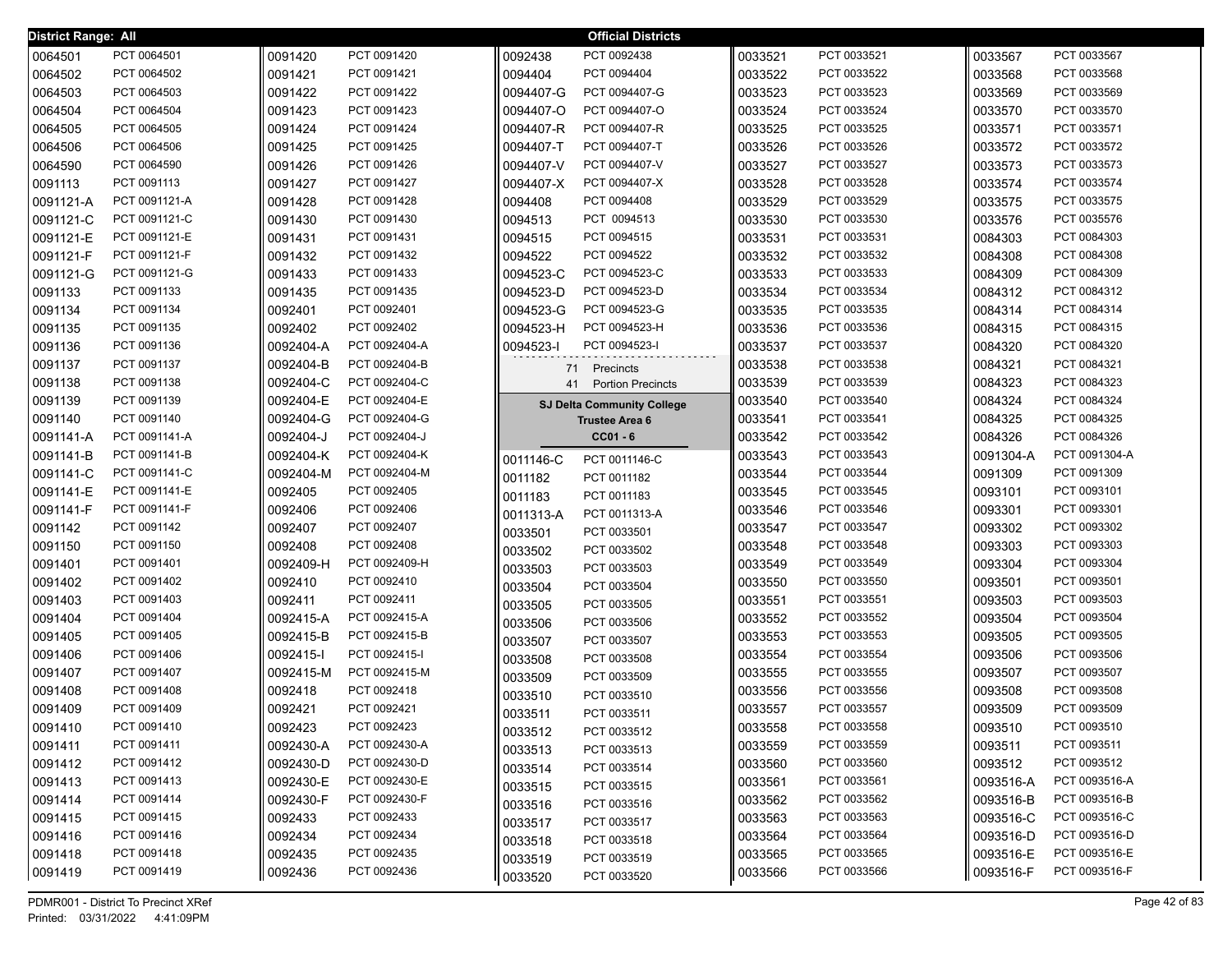| District Range: All |               |           |               |           | <b>Official Districts</b>         |         |             |           |               |
|---------------------|---------------|-----------|---------------|-----------|-----------------------------------|---------|-------------|-----------|---------------|
| 0064501             | PCT 0064501   | 0091420   | PCT 0091420   | 0092438   | PCT 0092438                       | 0033521 | PCT 0033521 | 0033567   | PCT 0033567   |
| 0064502             | PCT 0064502   | 0091421   | PCT 0091421   | 0094404   | PCT 0094404                       | 0033522 | PCT 0033522 | 0033568   | PCT 0033568   |
| 0064503             | PCT 0064503   | 0091422   | PCT 0091422   | 0094407-G | PCT 0094407-G                     | 0033523 | PCT 0033523 | 0033569   | PCT 0033569   |
| 0064504             | PCT 0064504   | 0091423   | PCT 0091423   | 0094407-O | PCT 0094407-O                     | 0033524 | PCT 0033524 | 0033570   | PCT 0033570   |
| 0064505             | PCT 0064505   | 0091424   | PCT 0091424   | 0094407-R | PCT 0094407-R                     | 0033525 | PCT 0033525 | 0033571   | PCT 0033571   |
| 0064506             | PCT 0064506   | 0091425   | PCT 0091425   | 0094407-T | PCT 0094407-T                     | 0033526 | PCT 0033526 | 0033572   | PCT 0033572   |
| 0064590             | PCT 0064590   | 0091426   | PCT 0091426   | 0094407-V | PCT 0094407-V                     | 0033527 | PCT 0033527 | 0033573   | PCT 0033573   |
| 0091113             | PCT 0091113   | 0091427   | PCT 0091427   | 0094407-X | PCT 0094407-X                     | 0033528 | PCT 0033528 | 0033574   | PCT 0033574   |
| 0091121-A           | PCT 0091121-A | 0091428   | PCT 0091428   | 0094408   | PCT 0094408                       | 0033529 | PCT 0033529 | 0033575   | PCT 0033575   |
| 0091121-C           | PCT 0091121-C | 0091430   | PCT 0091430   | 0094513   | PCT 0094513                       | 0033530 | PCT 0033530 | 0033576   | PCT 0035576   |
| 0091121-E           | PCT 0091121-E | 0091431   | PCT 0091431   | 0094515   | PCT 0094515                       | 0033531 | PCT 0033531 | 0084303   | PCT 0084303   |
| 0091121-F           | PCT 0091121-F | 0091432   | PCT 0091432   | 0094522   | PCT 0094522                       | 0033532 | PCT 0033532 | 0084308   | PCT 0084308   |
| 0091121-G           | PCT 0091121-G | 0091433   | PCT 0091433   | 0094523-C | PCT 0094523-C                     | 0033533 | PCT 0033533 | 0084309   | PCT 0084309   |
| 0091133             | PCT 0091133   | 0091435   | PCT 0091435   | 0094523-D | PCT 0094523-D                     | 0033534 | PCT 0033534 | 0084312   | PCT 0084312   |
| 0091134             | PCT 0091134   | 0092401   | PCT 0092401   | 0094523-G | PCT 0094523-G                     | 0033535 | PCT 0033535 | 0084314   | PCT 0084314   |
| 0091135             | PCT 0091135   | 0092402   | PCT 0092402   | 0094523-H | PCT 0094523-H                     | 0033536 | PCT 0033536 | 0084315   | PCT 0084315   |
| 0091136             | PCT 0091136   | 0092404-A | PCT 0092404-A | 0094523-I | PCT 0094523-I                     | 0033537 | PCT 0033537 | 0084320   | PCT 0084320   |
| 0091137             | PCT 0091137   | 0092404-B | PCT 0092404-B | 71        | Precincts                         | 0033538 | PCT 0033538 | 0084321   | PCT 0084321   |
| 0091138             | PCT 0091138   | 0092404-C | PCT 0092404-C | 41        | <b>Portion Precincts</b>          | 0033539 | PCT 0033539 | 0084323   | PCT 0084323   |
| 0091139             | PCT 0091139   | 0092404-E | PCT 0092404-E |           | <b>SJ Delta Community College</b> | 0033540 | PCT 0033540 | 0084324   | PCT 0084324   |
| 0091140             | PCT 0091140   | 0092404-G | PCT 0092404-G |           | <b>Trustee Area 6</b>             | 0033541 | PCT 0033541 | 0084325   | PCT 0084325   |
| 0091141-A           | PCT 0091141-A | 0092404-J | PCT 0092404-J |           | $CC01 - 6$                        | 0033542 | PCT 0033542 | 0084326   | PCT 0084326   |
| 0091141-B           | PCT 0091141-B | 0092404-K | PCT 0092404-K | 0011146-C | PCT 0011146-C                     | 0033543 | PCT 0033543 | 0091304-A | PCT 0091304-A |
| 0091141-C           | PCT 0091141-C | 0092404-M | PCT 0092404-M | 0011182   | PCT 0011182                       | 0033544 | PCT 0033544 | 0091309   | PCT 0091309   |
| 0091141-E           | PCT 0091141-E | 0092405   | PCT 0092405   | 0011183   | PCT 0011183                       | 0033545 | PCT 0033545 | 0093101   | PCT 0093101   |
| 0091141-F           | PCT 0091141-F | 0092406   | PCT 0092406   | 0011313-A | PCT 0011313-A                     | 0033546 | PCT 0033546 | 0093301   | PCT 0093301   |
| 0091142             | PCT 0091142   | 0092407   | PCT 0092407   | 0033501   | PCT 0033501                       | 0033547 | PCT 0033547 | 0093302   | PCT 0093302   |
| 0091150             | PCT 0091150   | 0092408   | PCT 0092408   | 0033502   | PCT 0033502                       | 0033548 | PCT 0033548 | 0093303   | PCT 0093303   |
| 0091401             | PCT 0091401   | 0092409-H | PCT 0092409-H | 0033503   | PCT 0033503                       | 0033549 | PCT 0033549 | 0093304   | PCT 0093304   |
| 0091402             | PCT 0091402   | 0092410   | PCT 0092410   | 0033504   | PCT 0033504                       | 0033550 | PCT 0033550 | 0093501   | PCT 0093501   |
| 0091403             | PCT 0091403   | 0092411   | PCT 0092411   | 0033505   | PCT 0033505                       | 0033551 | PCT 0033551 | 0093503   | PCT 0093503   |
| 0091404             | PCT 0091404   | 0092415-A | PCT 0092415-A | 0033506   | PCT 0033506                       | 0033552 | PCT 0033552 | 0093504   | PCT 0093504   |
| 0091405             | PCT 0091405   | 0092415-B | PCT 0092415-B | 0033507   | PCT 0033507                       | 0033553 | PCT 0033553 | 0093505   | PCT 0093505   |
| 0091406             | PCT 0091406   | 0092415-I | PCT 0092415-I | 0033508   | PCT 0033508                       | 0033554 | PCT 0033554 | 0093506   | PCT 0093506   |
| 0091407             | PCT 0091407   | 0092415-M | PCT 0092415-M | 0033509   | PCT 0033509                       | 0033555 | PCT 0033555 | 0093507   | PCT 0093507   |
| 0091408             | PCT 0091408   | 0092418   | PCT 0092418   | 0033510   | PCT 0033510                       | 0033556 | PCT 0033556 | 0093508   | PCT 0093508   |
| 0091409             | PCT 0091409   | 0092421   | PCT 0092421   | 0033511   | PCT 0033511                       | 0033557 | PCT 0033557 | 0093509   | PCT 0093509   |
| 0091410             | PCT 0091410   | 0092423   | PCT 0092423   | 0033512   | PCT 0033512                       | 0033558 | PCT 0033558 | 0093510   | PCT 0093510   |
| 0091411             | PCT 0091411   | 0092430-A | PCT 0092430-A | 0033513   | PCT 0033513                       | 0033559 | PCT 0033559 | 0093511   | PCT 0093511   |
| 0091412             | PCT 0091412   | 0092430-D | PCT 0092430-D | 0033514   | PCT 0033514                       | 0033560 | PCT 0033560 | 0093512   | PCT 0093512   |
| 0091413             | PCT 0091413   | 0092430-E | PCT 0092430-E | 0033515   | PCT 0033515                       | 0033561 | PCT 0033561 | 0093516-A | PCT 0093516-A |
| 0091414             | PCT 0091414   | 0092430-F | PCT 0092430-F | 0033516   | PCT 0033516                       | 0033562 | PCT 0033562 | 0093516-B | PCT 0093516-B |
| 0091415             | PCT 0091415   | 0092433   | PCT 0092433   | 0033517   | PCT 0033517                       | 0033563 | PCT 0033563 | 0093516-C | PCT 0093516-C |
| 0091416             | PCT 0091416   | 0092434   | PCT 0092434   | 0033518   | PCT 0033518                       | 0033564 | PCT 0033564 | 0093516-D | PCT 0093516-D |
| 0091418             | PCT 0091418   | 0092435   | PCT 0092435   | 0033519   | PCT 0033519                       | 0033565 | PCT 0033565 | 0093516-E | PCT 0093516-E |
| 0091419             | PCT 0091419   | 0092436   | PCT 0092436   | 0033520   | PCT 0033520                       | 0033566 | PCT 0033566 | 0093516-F | PCT 0093516-F |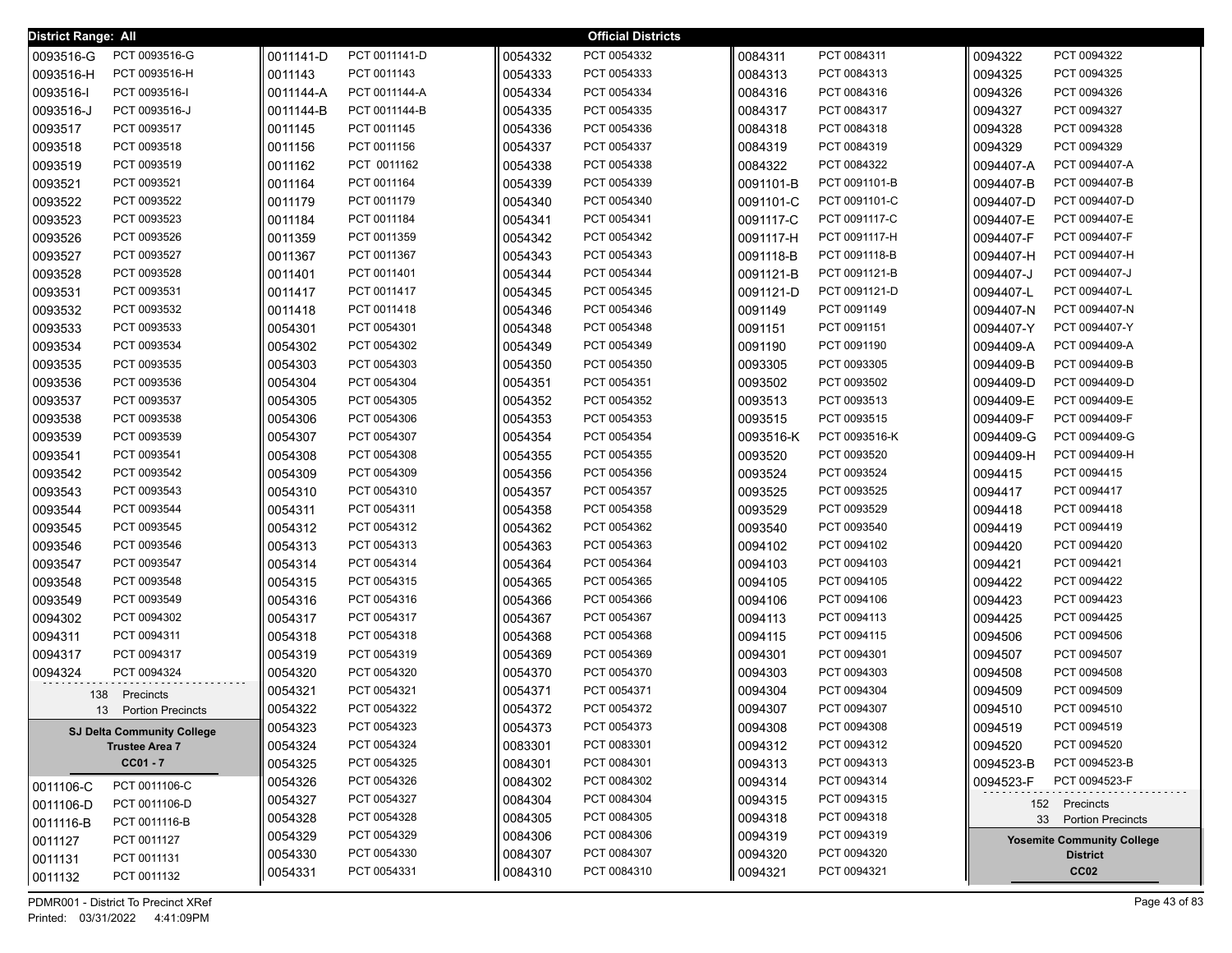| District Range: All |                                   |           |               |         | <b>Official Districts</b> |           |               |           |                                   |
|---------------------|-----------------------------------|-----------|---------------|---------|---------------------------|-----------|---------------|-----------|-----------------------------------|
| 0093516-G           | PCT 0093516-G                     | 0011141-D | PCT 0011141-D | 0054332 | PCT 0054332               | 0084311   | PCT 0084311   | 0094322   | PCT 0094322                       |
| 0093516-H           | PCT 0093516-H                     | 0011143   | PCT 0011143   | 0054333 | PCT 0054333               | 0084313   | PCT 0084313   | 0094325   | PCT 0094325                       |
| 0093516-I           | PCT 0093516-I                     | 0011144-A | PCT 0011144-A | 0054334 | PCT 0054334               | 0084316   | PCT 0084316   | 0094326   | PCT 0094326                       |
| 0093516-J           | PCT 0093516-J                     | 0011144-B | PCT 0011144-B | 0054335 | PCT 0054335               | 0084317   | PCT 0084317   | 0094327   | PCT 0094327                       |
| 0093517             | PCT 0093517                       | 0011145   | PCT 0011145   | 0054336 | PCT 0054336               | 0084318   | PCT 0084318   | 0094328   | PCT 0094328                       |
| 0093518             | PCT 0093518                       | 0011156   | PCT 0011156   | 0054337 | PCT 0054337               | 0084319   | PCT 0084319   | 0094329   | PCT 0094329                       |
| 0093519             | PCT 0093519                       | 0011162   | PCT 0011162   | 0054338 | PCT 0054338               | 0084322   | PCT 0084322   | 0094407-A | PCT 0094407-A                     |
| 0093521             | PCT 0093521                       | 0011164   | PCT 0011164   | 0054339 | PCT 0054339               | 0091101-B | PCT 0091101-B | 0094407-B | PCT 0094407-B                     |
| 0093522             | PCT 0093522                       | 0011179   | PCT 0011179   | 0054340 | PCT 0054340               | 0091101-C | PCT 0091101-C | 0094407-D | PCT 0094407-D                     |
| 0093523             | PCT 0093523                       | 0011184   | PCT 0011184   | 0054341 | PCT 0054341               | 0091117-C | PCT 0091117-C | 0094407-E | PCT 0094407-E                     |
| 0093526             | PCT 0093526                       | 0011359   | PCT 0011359   | 0054342 | PCT 0054342               | 0091117-H | PCT 0091117-H | 0094407-F | PCT 0094407-F                     |
| 0093527             | PCT 0093527                       | 0011367   | PCT 0011367   | 0054343 | PCT 0054343               | 0091118-B | PCT 0091118-B | 0094407-H | PCT 0094407-H                     |
| 0093528             | PCT 0093528                       | 0011401   | PCT 0011401   | 0054344 | PCT 0054344               | 0091121-B | PCT 0091121-B | 0094407-J | PCT 0094407-J                     |
| 0093531             | PCT 0093531                       | 0011417   | PCT 0011417   | 0054345 | PCT 0054345               | 0091121-D | PCT 0091121-D | 0094407-L | PCT 0094407-L                     |
| 0093532             | PCT 0093532                       | 0011418   | PCT 0011418   | 0054346 | PCT 0054346               | 0091149   | PCT 0091149   | 0094407-N | PCT 0094407-N                     |
| 0093533             | PCT 0093533                       | 0054301   | PCT 0054301   | 0054348 | PCT 0054348               | 0091151   | PCT 0091151   | 0094407-Y | PCT 0094407-Y                     |
| 0093534             | PCT 0093534                       | 0054302   | PCT 0054302   | 0054349 | PCT 0054349               | 0091190   | PCT 0091190   | 0094409-A | PCT 0094409-A                     |
| 0093535             | PCT 0093535                       | 0054303   | PCT 0054303   | 0054350 | PCT 0054350               | 0093305   | PCT 0093305   | 0094409-B | PCT 0094409-B                     |
| 0093536             | PCT 0093536                       | 0054304   | PCT 0054304   | 0054351 | PCT 0054351               | 0093502   | PCT 0093502   | 0094409-D | PCT 0094409-D                     |
| 0093537             | PCT 0093537                       | 0054305   | PCT 0054305   | 0054352 | PCT 0054352               | 0093513   | PCT 0093513   | 0094409-E | PCT 0094409-E                     |
| 0093538             | PCT 0093538                       | 0054306   | PCT 0054306   | 0054353 | PCT 0054353               | 0093515   | PCT 0093515   | 0094409-F | PCT 0094409-F                     |
| 0093539             | PCT 0093539                       | 0054307   | PCT 0054307   | 0054354 | PCT 0054354               | 0093516-K | PCT 0093516-K | 0094409-G | PCT 0094409-G                     |
| 0093541             | PCT 0093541                       | 0054308   | PCT 0054308   | 0054355 | PCT 0054355               | 0093520   | PCT 0093520   | 0094409-H | PCT 0094409-H                     |
| 0093542             | PCT 0093542                       | 0054309   | PCT 0054309   | 0054356 | PCT 0054356               | 0093524   | PCT 0093524   | 0094415   | PCT 0094415                       |
| 0093543             | PCT 0093543                       | 0054310   | PCT 0054310   | 0054357 | PCT 0054357               | 0093525   | PCT 0093525   | 0094417   | PCT 0094417                       |
| 0093544             | PCT 0093544                       | 0054311   | PCT 0054311   | 0054358 | PCT 0054358               | 0093529   | PCT 0093529   | 0094418   | PCT 0094418                       |
| 0093545             | PCT 0093545                       | 0054312   | PCT 0054312   | 0054362 | PCT 0054362               | 0093540   | PCT 0093540   | 0094419   | PCT 0094419                       |
| 0093546             | PCT 0093546                       | 0054313   | PCT 0054313   | 0054363 | PCT 0054363               | 0094102   | PCT 0094102   | 0094420   | PCT 0094420                       |
| 0093547             | PCT 0093547                       | 0054314   | PCT 0054314   | 0054364 | PCT 0054364               | 0094103   | PCT 0094103   | 0094421   | PCT 0094421                       |
| 0093548             | PCT 0093548                       | 0054315   | PCT 0054315   | 0054365 | PCT 0054365               | 0094105   | PCT 0094105   | 0094422   | PCT 0094422                       |
| 0093549             | PCT 0093549                       | 0054316   | PCT 0054316   | 0054366 | PCT 0054366               | 0094106   | PCT 0094106   | 0094423   | PCT 0094423                       |
| 0094302             | PCT 0094302                       | 0054317   | PCT 0054317   | 0054367 | PCT 0054367               | 0094113   | PCT 0094113   | 0094425   | PCT 0094425                       |
| 0094311             | PCT 0094311                       | 0054318   | PCT 0054318   | 0054368 | PCT 0054368               | 0094115   | PCT 0094115   | 0094506   | PCT 0094506                       |
| 0094317             | PCT 0094317                       | 0054319   | PCT 0054319   | 0054369 | PCT 0054369               | 0094301   | PCT 0094301   | 0094507   | PCT 0094507                       |
| 0094324             | PCT 0094324                       | 0054320   | PCT 0054320   | 0054370 | PCT 0054370               | 0094303   | PCT 0094303   | 0094508   | PCT 0094508                       |
| 138                 | Precincts                         | 0054321   | PCT 0054321   | 0054371 | PCT 0054371               | 0094304   | PCT 0094304   | 0094509   | PCT 0094509                       |
| 13                  | <b>Portion Precincts</b>          | 0054322   | PCT 0054322   | 0054372 | PCT 0054372               | 0094307   | PCT 0094307   | 0094510   | PCT 0094510                       |
|                     | <b>SJ Delta Community College</b> | 0054323   | PCT 0054323   | 0054373 | PCT 0054373               | 0094308   | PCT 0094308   | 0094519   | PCT 0094519                       |
|                     | <b>Trustee Area 7</b>             | 0054324   | PCT 0054324   | 0083301 | PCT 0083301               | 0094312   | PCT 0094312   | 0094520   | PCT 0094520                       |
|                     | $CC01 - 7$                        | 0054325   | PCT 0054325   | 0084301 | PCT 0084301               | 0094313   | PCT 0094313   | 0094523-B | PCT 0094523-B                     |
| 0011106-C           | PCT 0011106-C                     | 0054326   | PCT 0054326   | 0084302 | PCT 0084302               | 0094314   | PCT 0094314   | 0094523-F | PCT 0094523-F                     |
| 0011106-D           | PCT 0011106-D                     | 0054327   | PCT 0054327   | 0084304 | PCT 0084304               | 0094315   | PCT 0094315   |           | 152 Precincts                     |
| 0011116-B           | PCT 0011116-B                     | 0054328   | PCT 0054328   | 0084305 | PCT 0084305               | 0094318   | PCT 0094318   |           | 33 Portion Precincts              |
| 0011127             | PCT 0011127                       | 0054329   | PCT 0054329   | 0084306 | PCT 0084306               | 0094319   | PCT 0094319   |           | <b>Yosemite Community College</b> |
| 0011131             | PCT 0011131                       | 0054330   | PCT 0054330   | 0084307 | PCT 0084307               | 0094320   | PCT 0094320   |           | <b>District</b>                   |
| 0011132             | PCT 0011132                       | 0054331   | PCT 0054331   | 0084310 | PCT 0084310               | 0094321   | PCT 0094321   |           | CC <sub>02</sub>                  |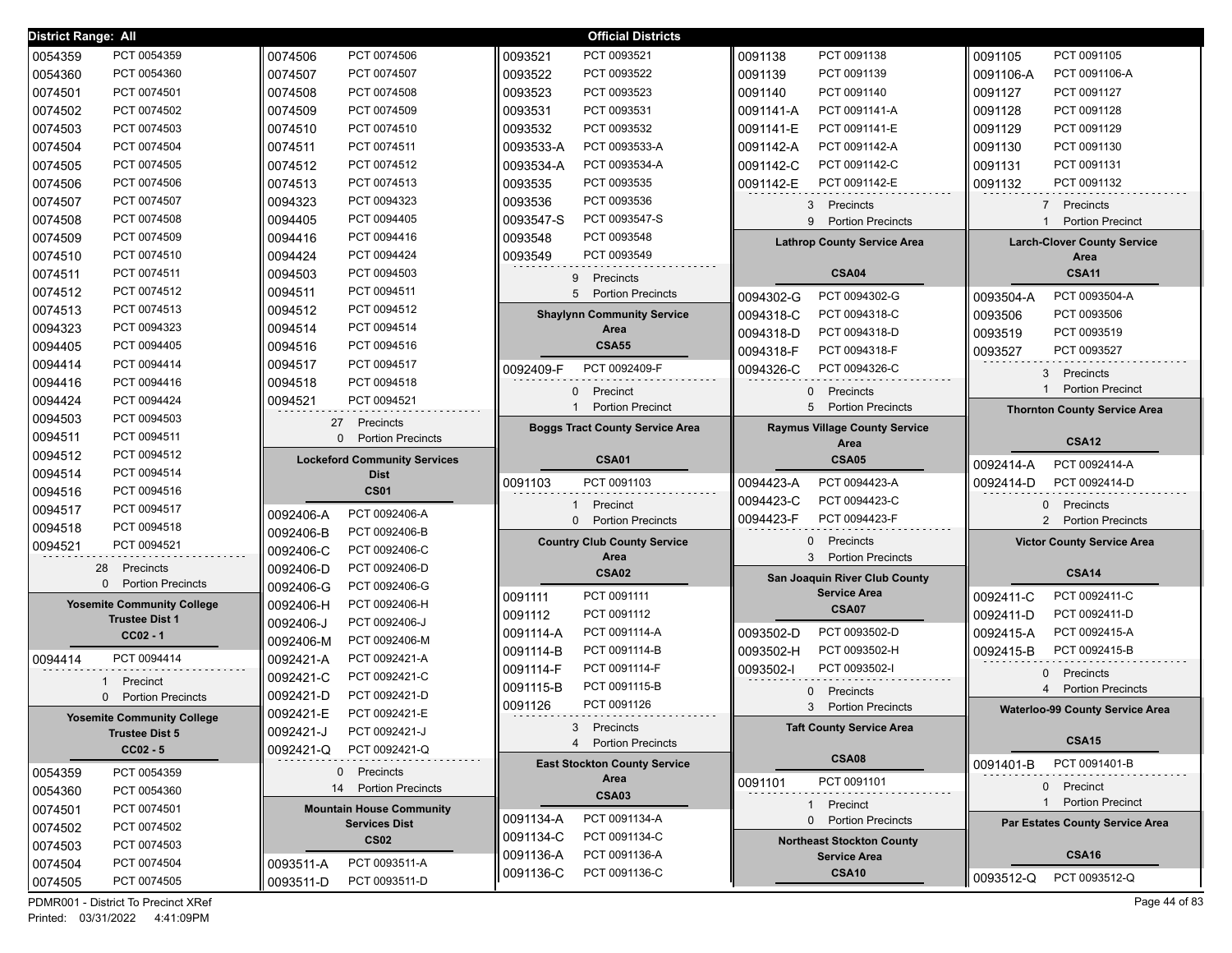| District Range: All                                        |                                         | <b>Official Districts</b>                                |                                              |                                                        |
|------------------------------------------------------------|-----------------------------------------|----------------------------------------------------------|----------------------------------------------|--------------------------------------------------------|
| PCT 0054359<br>0054359                                     | PCT 0074506<br>0074506                  | 0093521<br>PCT 0093521                                   | PCT 0091138<br>0091138                       | PCT 0091105<br>0091105                                 |
| 0054360<br>PCT 0054360                                     | 0074507<br>PCT 0074507                  | 0093522<br>PCT 0093522                                   | 0091139<br>PCT 0091139                       | 0091106-A<br>PCT 0091106-A                             |
| 0074501<br>PCT 0074501                                     | PCT 0074508<br>0074508                  | 0093523<br>PCT 0093523                                   | PCT 0091140<br>0091140                       | PCT 0091127<br>0091127                                 |
| 0074502<br>PCT 0074502                                     | PCT 0074509<br>0074509                  | 0093531<br>PCT 0093531                                   | PCT 0091141-A<br>0091141-A                   | PCT 0091128<br>0091128                                 |
| 0074503<br>PCT 0074503                                     | 0074510<br>PCT 0074510                  | 0093532<br>PCT 0093532                                   | PCT 0091141-E<br>0091141-E                   | 0091129<br>PCT 0091129                                 |
| 0074504<br>PCT 0074504                                     | 0074511<br>PCT 0074511                  | 0093533-A<br>PCT 0093533-A                               | PCT 0091142-A<br>0091142-A                   | 0091130<br>PCT 0091130                                 |
| 0074505<br>PCT 0074505                                     | PCT 0074512<br>0074512                  | 0093534-A<br>PCT 0093534-A                               | PCT 0091142-C<br>0091142-C                   | PCT 0091131<br>0091131                                 |
| PCT 0074506<br>0074506                                     | PCT 0074513<br>0074513                  | PCT 0093535<br>0093535                                   | PCT 0091142-E<br>0091142-E                   | PCT 0091132<br>0091132                                 |
| PCT 0074507<br>0074507                                     | PCT 0094323<br>0094323                  | PCT 0093536<br>0093536                                   | 3 Precincts                                  | 7 Precincts                                            |
| PCT 0074508<br>0074508                                     | PCT 0094405<br>0094405                  | PCT 0093547-S<br>0093547-S                               | 9<br><b>Portion Precincts</b>                | $\mathbf{1}$<br><b>Portion Precinct</b>                |
| PCT 0074509<br>0074509                                     | PCT 0094416<br>0094416                  | PCT 0093548<br>0093548                                   | <b>Lathrop County Service Area</b>           | <b>Larch-Clover County Service</b>                     |
| PCT 0074510<br>0074510                                     | PCT 0094424<br>0094424                  | PCT 0093549<br>0093549                                   |                                              | Area                                                   |
| PCT 0074511<br>0074511                                     | PCT 0094503<br>0094503                  | 9<br>Precincts                                           | CSA04                                        | <b>CSA11</b>                                           |
| 0074512<br>PCT 0074512                                     | PCT 0094511<br>0094511                  | 5<br><b>Portion Precincts</b>                            | PCT 0094302-G<br>0094302-G                   | PCT 0093504-A<br>0093504-A                             |
| 0074513<br>PCT 0074513                                     | PCT 0094512<br>0094512                  | <b>Shaylynn Community Service</b>                        | 0094318-C<br>PCT 0094318-C                   | 0093506<br>PCT 0093506                                 |
| 0094323<br>PCT 0094323                                     | PCT 0094514<br>0094514                  | Area                                                     | PCT 0094318-D<br>0094318-D                   | 0093519<br>PCT 0093519                                 |
| 0094405<br>PCT 0094405                                     | PCT 0094516<br>0094516                  | <b>CSA55</b>                                             | PCT 0094318-F<br>0094318-F                   | 0093527<br>PCT 0093527                                 |
| 0094414<br>PCT 0094414                                     | PCT 0094517<br>0094517                  | 0092409-F<br>PCT 0092409-F                               | 0094326-C<br>PCT 0094326-C                   |                                                        |
| 0094416<br>PCT 0094416                                     | PCT 0094518<br>0094518                  |                                                          |                                              | 3 Precincts<br><b>Portion Precinct</b><br>$\mathbf{1}$ |
| 0094424<br>PCT 0094424                                     | 0094521<br>PCT 0094521                  | 0 Precinct<br>$\mathbf{1}$<br><b>Portion Precinct</b>    | 0 Precincts<br>5<br><b>Portion Precincts</b> |                                                        |
| 0094503<br>PCT 0094503                                     | Precincts<br>27                         |                                                          | <b>Raymus Village County Service</b>         | <b>Thornton County Service Area</b>                    |
| 0094511<br>PCT 0094511                                     | $\Omega$<br><b>Portion Precincts</b>    | <b>Boggs Tract County Service Area</b>                   | Area                                         | <b>CSA12</b>                                           |
| PCT 0094512<br>0094512                                     | <b>Lockeford Community Services</b>     | <b>CSA01</b>                                             | <b>CSA05</b>                                 |                                                        |
|                                                            |                                         |                                                          |                                              |                                                        |
| PCT 0094514<br>0094514                                     | <b>Dist</b>                             |                                                          |                                              | PCT 0092414-A<br>0092414-A                             |
| PCT 0094516<br>0094516                                     | <b>CS01</b>                             | PCT 0091103<br>0091103                                   | PCT 0094423-A<br>0094423-A                   | 0092414-D<br>PCT 0092414-D                             |
| PCT 0094517<br>0094517                                     | PCT 0092406-A<br>0092406-A              | 1 Precinct                                               | PCT 0094423-C<br>0094423-C                   | 0 Precincts                                            |
| PCT 0094518<br>0094518                                     | 0092406-B<br>PCT 0092406-B              | 0 Portion Precincts                                      | 0094423-F<br>PCT 0094423-F                   | 2 Portion Precincts                                    |
| PCT 0094521<br>0094521                                     | 0092406-C<br>PCT 0092406-C              | <b>Country Club County Service</b>                       | Precincts<br>$\mathbf{0}$                    | <b>Victor County Service Area</b>                      |
| 28<br>Precincts                                            | PCT 0092406-D<br>0092406-D              | Area                                                     | 3<br><b>Portion Precincts</b>                |                                                        |
| $\Omega$<br><b>Portion Precincts</b>                       | PCT 0092406-G<br>0092406-G              | <b>CSA02</b>                                             | San Joaquin River Club County                | <b>CSA14</b>                                           |
| <b>Yosemite Community College</b>                          | PCT 0092406-H                           | PCT 0091111<br>0091111                                   | <b>Service Area</b>                          | PCT 0092411-C<br>0092411-C                             |
| <b>Trustee Dist 1</b>                                      | 0092406-H<br>PCT 0092406-J<br>0092406-J | PCT 0091112<br>0091112                                   | <b>CSA07</b>                                 | PCT 0092411-D<br>0092411-D                             |
| $CC02 - 1$                                                 | PCT 0092406-M<br>0092406-M              | 0091114-A<br>PCT 0091114-A                               | PCT 0093502-D<br>0093502-D                   | 0092415-A<br>PCT 0092415-A                             |
| PCT 0094414<br>0094414                                     | PCT 0092421-A<br>0092421-A              | PCT 0091114-B<br>0091114-B                               | 0093502-H<br>PCT 0093502-H                   | 0092415-B<br>PCT 0092415-B                             |
|                                                            | PCT 0092421-C<br>0092421-C              | 0091114-F<br>PCT 0091114-F                               | PCT 0093502-I<br>0093502-I                   | 0 Precincts                                            |
| Precinct<br><b>Portion Precincts</b>                       | PCT 0092421-D<br>0092421-D              | PCT 0091115-B<br>0091115-B                               | Precincts<br>$\mathbf{0}$                    | 4 Portion Precincts                                    |
|                                                            | PCT 0092421-E<br>0092421-E              | 0091126<br>PCT 0091126                                   | 3<br><b>Portion Precincts</b>                | <b>Waterloo-99 County Service Area</b>                 |
| <b>Yosemite Community College</b><br><b>Trustee Dist 5</b> | PCT 0092421-J<br>0092421-J              | 3<br>Precincts                                           | <b>Taft County Service Area</b>              |                                                        |
| $CC02 - 5$                                                 | PCT 0092421-Q<br>0092421-Q              | 4 Portion Precincts                                      |                                              | <b>CSA15</b>                                           |
| PCT 0054359                                                | 0 Precincts                             | <b>East Stockton County Service</b>                      | <b>CSA08</b>                                 | PCT 0091401-B<br>0091401-B                             |
| 0054359<br>PCT 0054360                                     | 14<br><b>Portion Precincts</b>          | Area                                                     | PCT 0091101<br>0091101                       | 0 Precinct                                             |
| 0054360<br>PCT 0074501                                     | <b>Mountain House Community</b>         | <b>CSA03</b>                                             | 1 Precinct                                   | 1 Portion Precinct                                     |
| 0074501<br>0074502<br>PCT 0074502                          | <b>Services Dist</b>                    | PCT 0091134-A<br>0091134-A                               | <b>Portion Precincts</b><br>$\mathbf{0}$     | Par Estates County Service Area                        |
| 0074503<br>PCT 0074503                                     | <b>CS02</b>                             | 0091134-C<br>PCT 0091134-C                               | <b>Northeast Stockton County</b>             |                                                        |
| PCT 0074504<br>0074504                                     | PCT 0093511-A<br>0093511-A              | 0091136-A<br>PCT 0091136-A<br>0091136-C<br>PCT 0091136-C | <b>Service Area</b><br><b>CSA10</b>          | <b>CSA16</b>                                           |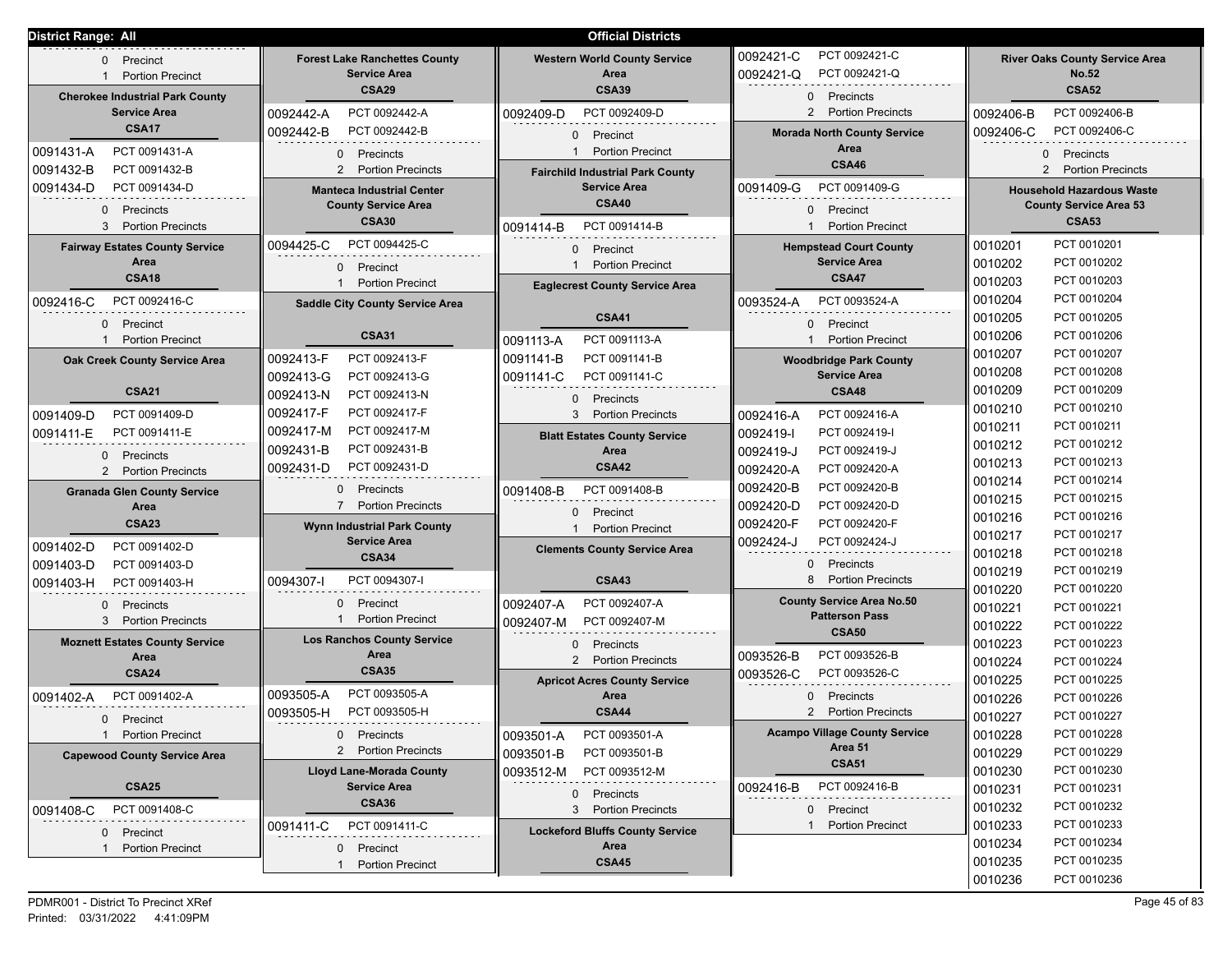| <b>District Range: All</b>                                                                      |                                                                                                                                                                                                                         | <b>Official Districts</b>                                                                                  |                                                                                                                      |                                                                                                      |  |
|-------------------------------------------------------------------------------------------------|-------------------------------------------------------------------------------------------------------------------------------------------------------------------------------------------------------------------------|------------------------------------------------------------------------------------------------------------|----------------------------------------------------------------------------------------------------------------------|------------------------------------------------------------------------------------------------------|--|
| 0 Precinct<br><b>Portion Precinct</b><br>$\mathbf{1}$<br><b>Cherokee Industrial Park County</b> | <b>Forest Lake Ranchettes County</b><br><b>Service Area</b><br><b>CSA29</b>                                                                                                                                             | <b>Western World County Service</b><br>Area<br><b>CSA39</b>                                                | PCT 0092421-C<br>0092421-C<br>0092421-Q<br>PCT 0092421-Q<br>0 Precincts                                              | <b>River Oaks County Service Area</b><br><b>No.52</b><br><b>CSA52</b>                                |  |
| <b>Service Area</b><br><b>CSA17</b>                                                             | PCT 0092442-A<br>0092442-A<br>0092442-B<br>PCT 0092442-B                                                                                                                                                                | PCT 0092409-D<br>0092409-D<br>0 Precinct                                                                   | 2 Portion Precincts<br><b>Morada North County Service</b>                                                            | PCT 0092406-B<br>0092406-B<br>PCT 0092406-C<br>0092406-C                                             |  |
| PCT 0091431-A<br>0091431-A<br>0091432-B<br>PCT 0091432-B                                        | 0 Precincts<br>$\overline{2}$<br><b>Portion Precincts</b>                                                                                                                                                               | <b>Portion Precinct</b><br><b>Fairchild Industrial Park County</b>                                         | Area<br><b>CSA46</b>                                                                                                 | 0 Precincts<br><b>Portion Precincts</b><br>$\mathbf{2}$                                              |  |
| PCT 0091434-D<br>0091434-D<br>0 Precincts                                                       | <b>Manteca Industrial Center</b><br><b>County Service Area</b><br><b>CSA30</b>                                                                                                                                          | <b>Service Area</b><br><b>CSA40</b>                                                                        | PCT 0091409-G<br>0091409-G<br>Precinct<br>$\Omega$<br><b>Portion Precinct</b>                                        | <b>Household Hazardous Waste</b><br><b>County Service Area 53</b><br><b>CSA53</b>                    |  |
| 3 Portion Precincts<br><b>Fairway Estates County Service</b><br>Area<br><b>CSA18</b>            | PCT 0091414-B<br>0091414-B<br>PCT 0094425-C<br>0094425-C<br><b>Hempstead Court County</b><br>0 Precinct<br><b>Portion Precinct</b><br>Precinct<br>0<br><b>Portion Precinct</b><br><b>Eaglecrest County Service Area</b> |                                                                                                            |                                                                                                                      | PCT 0010201<br>0010201<br>0010202<br>PCT 0010202<br>PCT 0010203<br>0010203                           |  |
| PCT 0092416-C<br>0092416-C<br>0 Precinct<br>1 Portion Precinct                                  | <b>Saddle City County Service Area</b><br><b>CSA31</b>                                                                                                                                                                  | <b>CSA41</b><br>PCT 0091113-A<br>0091113-A                                                                 | 0093524-A<br>PCT 0093524-A<br>Precinct<br>$\Omega$<br><b>Portion Precinct</b>                                        | PCT 0010204<br>0010204<br>0010205<br>PCT 0010205<br>0010206<br>PCT 0010206                           |  |
| Oak Creek County Service Area<br><b>CSA21</b>                                                   | PCT 0092413-F<br>0092413-F<br>PCT 0092413-G<br>0092413-G<br>0092413-N<br>PCT 0092413-N                                                                                                                                  | 0091141-B<br>PCT 0091141-B<br>PCT 0091141-C<br>0091141-C<br>0 Precincts                                    | <b>Woodbridge Park County</b><br><b>Service Area</b><br><b>CSA48</b>                                                 | PCT 0010207<br>0010207<br>0010208<br>PCT 0010208<br>0010209<br>PCT 0010209                           |  |
| 0091409-D<br>PCT 0091409-D<br>0091411-E<br>PCT 0091411-E<br>0 Precincts<br>2 Portion Precincts  | PCT 0092417-F<br>0092417-F<br>PCT 0092417-M<br>0092417-M<br>PCT 0092431-B<br>0092431-B<br>PCT 0092431-D<br>0092431-D                                                                                                    | 3 Portion Precincts<br><b>Blatt Estates County Service</b><br>Area<br><b>CSA42</b>                         | PCT 0092416-A<br>0092416-A<br>PCT 0092419-I<br>0092419-I<br>PCT 0092419-J<br>0092419-J<br>PCT 0092420-A<br>0092420-A | 0010210<br>PCT 0010210<br>0010211<br>PCT 0010211<br>PCT 0010212<br>0010212<br>PCT 0010213<br>0010213 |  |
| <b>Granada Glen County Service</b><br>Area<br><b>CSA23</b>                                      | Precincts<br>$\mathbf{0}$<br>$\overline{7}$<br><b>Portion Precincts</b><br><b>Wynn Industrial Park County</b>                                                                                                           | PCT 0091408-B<br>0091408-B<br>Precinct<br>$\Omega$<br><b>Portion Precinct</b>                              | 0092420-B<br>PCT 0092420-B<br>0092420-D<br>PCT 0092420-D<br>PCT 0092420-F<br>0092420-F                               | PCT 0010214<br>0010214<br>PCT 0010215<br>0010215<br>PCT 0010216<br>0010216<br>PCT 0010217<br>0010217 |  |
| PCT 0091402-D<br>0091402-D<br>PCT 0091403-D<br>0091403-D<br>0091403-H<br>PCT 0091403-H          | <b>Service Area</b><br><b>CSA34</b><br>PCT 0094307-I<br>0094307-I                                                                                                                                                       | <b>Clements County Service Area</b><br><b>CSA43</b>                                                        | PCT 0092424-J<br>0092424-J<br>$\Omega$<br>Precincts<br><b>Portion Precincts</b>                                      | PCT 0010218<br>0010218<br>PCT 0010219<br>0010219<br>PCT 0010220<br>0010220                           |  |
| $\Omega$<br>Precincts<br>3 Portion Precincts                                                    | 0<br>Precinct<br><b>Portion Precinct</b>                                                                                                                                                                                | PCT 0092407-A<br>0092407-A<br>PCT 0092407-M<br>0092407-M                                                   | <b>County Service Area No.50</b><br><b>Patterson Pass</b><br><b>CSA50</b>                                            | 0010221<br>PCT 0010221<br>0010222<br>PCT 0010222                                                     |  |
| <b>Moznett Estates County Service</b><br>Area<br><b>CSA24</b>                                   | <b>Los Ranchos County Service</b><br>Area<br><b>CSA35</b>                                                                                                                                                               | Precincts<br>$\Omega$<br>$\overline{2}$<br><b>Portion Precincts</b><br><b>Apricot Acres County Service</b> | 0093526-B<br>PCT 0093526-B<br>PCT 0093526-C<br>0093526-C                                                             | PCT 0010223<br>0010223<br>PCT 0010224<br>0010224<br>0010225<br>PCT 0010225                           |  |
| PCT 0091402-A<br>0091402-A<br>Precinct<br>$\mathbf{0}$                                          | PCT 0093505-A<br>0093505-A<br>0093505-H<br>PCT 0093505-H                                                                                                                                                                | Area<br><b>CSA44</b>                                                                                       | Precincts<br>$\Omega$<br><b>Portion Precincts</b><br>$\overline{2}$                                                  | PCT 0010226<br>0010226<br>0010227<br>PCT 0010227                                                     |  |
| 1 Portion Precinct<br><b>Capewood County Service Area</b>                                       | 0 Precincts<br>2 Portion Precincts<br><b>Lloyd Lane-Morada County</b>                                                                                                                                                   | 0093501-A<br>PCT 0093501-A<br>0093501-B<br>PCT 0093501-B<br>0093512-M<br>PCT 0093512-M                     | <b>Acampo Village County Service</b><br>Area 51<br><b>CSA51</b>                                                      | PCT 0010228<br>0010228<br>PCT 0010229<br>0010229<br>PCT 0010230<br>0010230                           |  |
| <b>CSA25</b><br>PCT 0091408-C<br>0091408-C                                                      | <b>Service Area</b><br><b>CSA36</b>                                                                                                                                                                                     | Precincts<br>$\mathbf{0}$<br>3 <sup>1</sup><br><b>Portion Precincts</b>                                    | PCT 0092416-B<br>0092416-B<br>0 Precinct                                                                             | PCT 0010231<br>0010231<br>PCT 0010232<br>0010232                                                     |  |
| 0 Precinct<br><b>Portion Precinct</b>                                                           | PCT 0091411-C<br>0091411-C<br>0 Precinct<br><b>Portion Precinct</b>                                                                                                                                                     | <b>Lockeford Bluffs County Service</b><br>Area<br><b>CSA45</b>                                             | <b>Portion Precinct</b>                                                                                              | PCT 0010233<br>0010233<br>PCT 0010234<br>0010234<br>PCT 0010235<br>0010235<br>0010236<br>PCT 0010236 |  |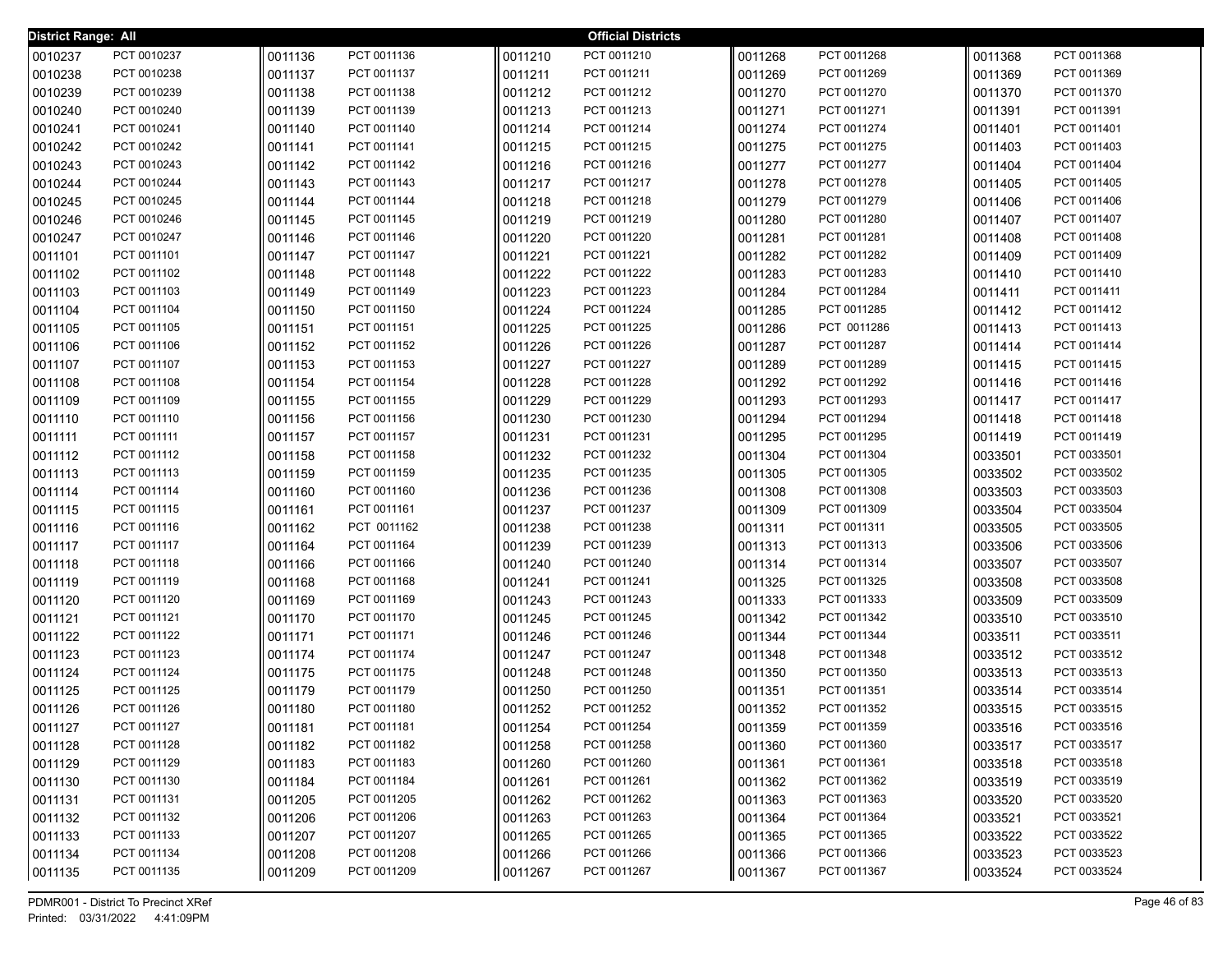| <b>District Range: All</b> |                            |                    |                            |                    | <b>Official Districts</b>  |                    |                            |                    |                            |
|----------------------------|----------------------------|--------------------|----------------------------|--------------------|----------------------------|--------------------|----------------------------|--------------------|----------------------------|
| 0010237                    | PCT 0010237                | 0011136            | PCT 0011136                | 0011210            | PCT 0011210                | 0011268            | PCT 0011268                | 0011368            | PCT 0011368                |
| 0010238                    | PCT 0010238                | 0011137            | PCT 0011137                | 0011211            | PCT 0011211                | 0011269            | PCT 0011269                | 0011369            | PCT 0011369                |
| 0010239                    | PCT 0010239                | 0011138            | PCT 0011138                | 0011212            | PCT 0011212                | 0011270            | PCT 0011270                | 0011370            | PCT 0011370                |
| 0010240                    | PCT 0010240                | 0011139            | PCT 0011139                | 0011213            | PCT 0011213                | 0011271            | PCT 0011271                | 0011391            | PCT 0011391                |
| 0010241                    | PCT 0010241                | 0011140            | PCT 0011140                | 0011214            | PCT 0011214                | 0011274            | PCT 0011274                | 0011401            | PCT 0011401                |
| 0010242                    | PCT 0010242                | 0011141            | PCT 0011141                | 0011215            | PCT 0011215                | 0011275            | PCT 0011275                | 0011403            | PCT 0011403                |
| 0010243                    | PCT 0010243                | 0011142            | PCT 0011142                | 0011216            | PCT 0011216                | 0011277            | PCT 0011277                | 0011404            | PCT 0011404                |
| 0010244                    | PCT 0010244                | 0011143            | PCT 0011143                | 0011217            | PCT 0011217                | 0011278            | PCT 0011278                | 0011405            | PCT 0011405                |
| 0010245                    | PCT 0010245                | 0011144            | PCT 0011144                | 0011218            | PCT 0011218                | 0011279            | PCT 0011279                | 0011406            | PCT 0011406                |
| 0010246                    | PCT 0010246                | 0011145            | PCT 0011145                | 0011219            | PCT 0011219                | 0011280            | PCT 0011280                | 0011407            | PCT 0011407                |
| 0010247                    | PCT 0010247                | 0011146            | PCT 0011146                | 0011220            | PCT 0011220                | 0011281            | PCT 0011281                | 0011408            | PCT 0011408                |
| 0011101                    | PCT 0011101                | 0011147            | PCT 0011147                | 0011221            | PCT 0011221                | 0011282            | PCT 0011282                | 0011409            | PCT 0011409                |
| 0011102                    | PCT 0011102                | 0011148            | PCT 0011148                | 0011222            | PCT 0011222                | 0011283            | PCT 0011283                | 0011410            | PCT 0011410                |
| 0011103                    | PCT 0011103                | 0011149            | PCT 0011149                | 0011223            | PCT 0011223                | 0011284            | PCT 0011284                | 0011411            | PCT 0011411                |
| 0011104                    | PCT 0011104                | 0011150            | PCT 0011150                | 0011224            | PCT 0011224                | 0011285            | PCT 0011285                | 0011412            | PCT 0011412                |
| 0011105                    | PCT 0011105                | 0011151            | PCT 0011151                | 0011225            | PCT 0011225                | 0011286            | PCT 0011286                | 0011413            | PCT 0011413                |
| 0011106                    | PCT 0011106                | 0011152            | PCT 0011152                | 0011226            | PCT 0011226                | 0011287            | PCT 0011287                | 0011414            | PCT 0011414                |
| 0011107                    | PCT 0011107                | 0011153            | PCT 0011153                | 0011227            | PCT 0011227                | 0011289            | PCT 0011289                | 0011415            | PCT 0011415                |
| 0011108                    | PCT 0011108                | 0011154            | PCT 0011154                | 0011228            | PCT 0011228                | 0011292            | PCT 0011292                | 0011416            | PCT 0011416                |
| 0011109                    | PCT 0011109                | 0011155            | PCT 0011155                | 0011229            | PCT 0011229                | 0011293            | PCT 0011293                | 0011417            | PCT 0011417                |
| 0011110                    | PCT 0011110                | 0011156            | PCT 0011156                | 0011230            | PCT 0011230                | 0011294            | PCT 0011294                | 0011418            | PCT 0011418                |
| 0011111                    | PCT 0011111                | 0011157            | PCT 0011157                | 0011231            | PCT 0011231                | 0011295            | PCT 0011295                | 0011419            | PCT 0011419                |
| 0011112                    | PCT 0011112                | 0011158            | PCT 0011158                | 0011232            | PCT 0011232                | 0011304            | PCT 0011304                | 0033501            | PCT 0033501                |
| 0011113                    | PCT 0011113                | 0011159            | PCT 0011159                | 0011235            | PCT 0011235                | 0011305            | PCT 0011305                | 0033502            | PCT 0033502                |
| 0011114                    | PCT 0011114                | 0011160            | PCT 0011160                | 0011236            | PCT 0011236                | 0011308            | PCT 0011308                | 0033503            | PCT 0033503                |
| 0011115                    | PCT 0011115                | 0011161            | PCT 0011161                | 0011237            | PCT 0011237                | 0011309            | PCT 0011309                | 0033504            | PCT 0033504                |
| 0011116                    | PCT 0011116<br>PCT 0011117 | 0011162            | PCT 0011162<br>PCT 0011164 | 0011238            | PCT 0011238<br>PCT 0011239 | 0011311            | PCT 0011311<br>PCT 0011313 | 0033505            | PCT 0033505<br>PCT 0033506 |
| 0011117                    | PCT 0011118                | 0011164            | PCT 0011166                | 0011239<br>0011240 | PCT 0011240                | 0011313            | PCT 0011314                | 0033506            | PCT 0033507                |
| 0011118<br>0011119         | PCT 0011119                | 0011166<br>0011168 | PCT 0011168                | 0011241            | PCT 0011241                | 0011314<br>0011325 | PCT 0011325                | 0033507<br>0033508 | PCT 0033508                |
| 0011120                    | PCT 0011120                | 0011169            | PCT 0011169                | 0011243            | PCT 0011243                | 0011333            | PCT 0011333                | 0033509            | PCT 0033509                |
| 0011121                    | PCT 0011121                | 0011170            | PCT 0011170                | 0011245            | PCT 0011245                | 0011342            | PCT 0011342                | 0033510            | PCT 0033510                |
| 0011122                    | PCT 0011122                | 0011171            | PCT 0011171                | 0011246            | PCT 0011246                | 0011344            | PCT 0011344                | 0033511            | PCT 0033511                |
| 0011123                    | PCT 0011123                | 0011174            | PCT 0011174                | 0011247            | PCT 0011247                | 0011348            | PCT 0011348                | 0033512            | PCT 0033512                |
| 0011124                    | PCT 0011124                | 0011175            | PCT 0011175                | 0011248            | PCT 0011248                | 0011350            | PCT 0011350                | 0033513            | PCT 0033513                |
| 0011125                    | PCT 0011125                | 0011179            | PCT 0011179                | 0011250            | PCT 0011250                | 0011351            | PCT 0011351                | 0033514            | PCT 0033514                |
| 0011126                    | PCT 0011126                | 0011180            | PCT 0011180                | 0011252            | PCT 0011252                | 0011352            | PCT 0011352                | 0033515            | PCT 0033515                |
| 0011127                    | PCT 0011127                | 0011181            | PCT 0011181                | 0011254            | PCT 0011254                | 0011359            | PCT 0011359                | 0033516            | PCT 0033516                |
| 0011128                    | PCT 0011128                | 0011182            | PCT 0011182                | 0011258            | PCT 0011258                | 0011360            | PCT 0011360                | 0033517            | PCT 0033517                |
| 0011129                    | PCT 0011129                | 0011183            | PCT 0011183                | 0011260            | PCT 0011260                | 0011361            | PCT 0011361                | 0033518            | PCT 0033518                |
| 0011130                    | PCT 0011130                | 0011184            | PCT 0011184                | 0011261            | PCT 0011261                | 0011362            | PCT 0011362                | 0033519            | PCT 0033519                |
| 0011131                    | PCT 0011131                | 0011205            | PCT 0011205                | 0011262            | PCT 0011262                | 0011363            | PCT 0011363                | 0033520            | PCT 0033520                |
| 0011132                    | PCT 0011132                | 0011206            | PCT 0011206                | 0011263            | PCT 0011263                | 0011364            | PCT 0011364                | 0033521            | PCT 0033521                |
| 0011133                    | PCT 0011133                | 0011207            | PCT 0011207                | 0011265            | PCT 0011265                | 0011365            | PCT 0011365                | 0033522            | PCT 0033522                |
| 0011134                    | PCT 0011134                | 0011208            | PCT 0011208                | 0011266            | PCT 0011266                | 0011366            | PCT 0011366                | 0033523            | PCT 0033523                |
| 0011135                    | PCT 0011135                | 0011209            | PCT 0011209                | 0011267            | PCT 0011267                | 0011367            | PCT 0011367                | 0033524            | PCT 0033524                |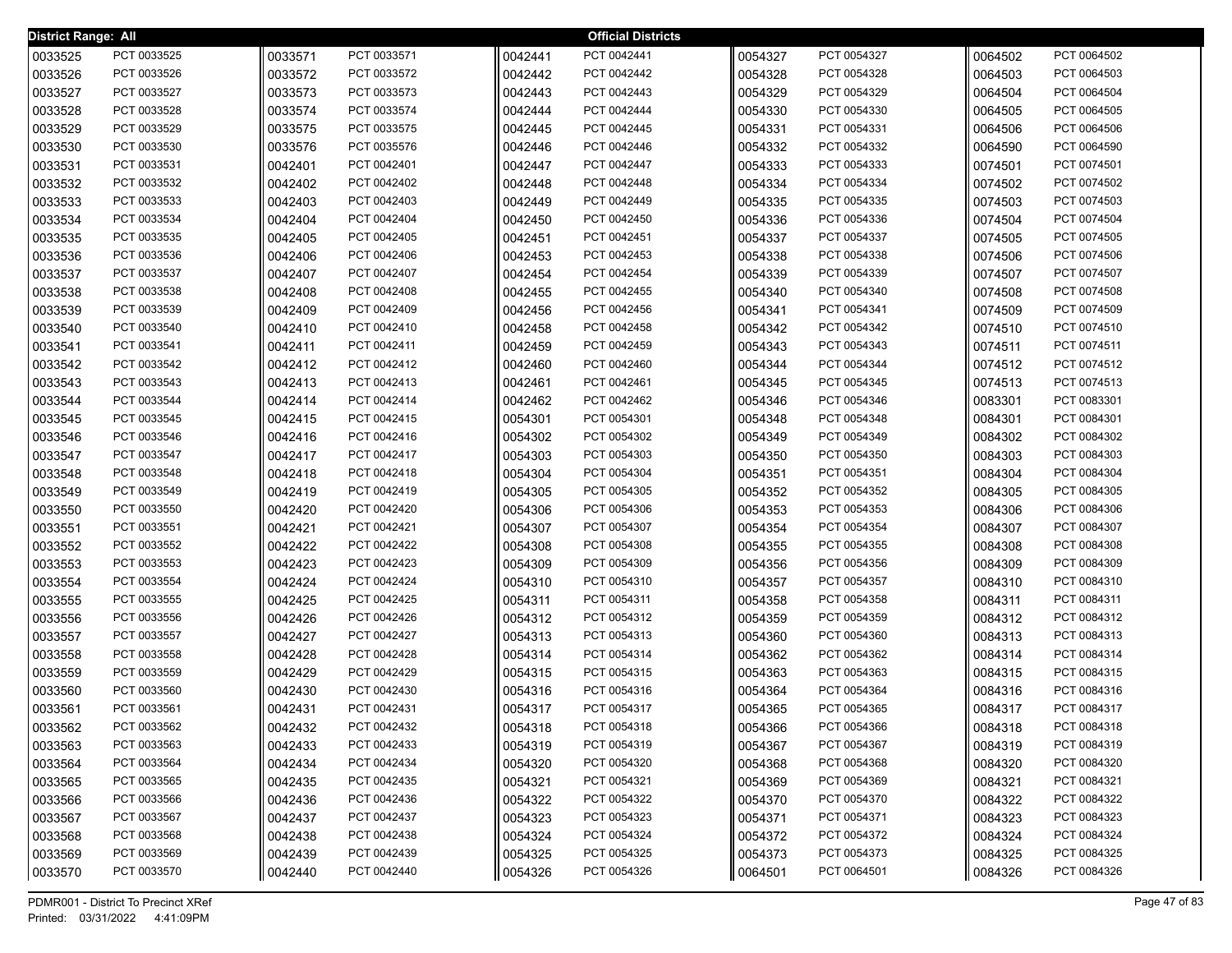| <b>District Range: All</b> |             |         |             |         | <b>Official Districts</b> |         |             |         |             |
|----------------------------|-------------|---------|-------------|---------|---------------------------|---------|-------------|---------|-------------|
| 0033525                    | PCT 0033525 | 0033571 | PCT 0033571 | 0042441 | PCT 0042441               | 0054327 | PCT 0054327 | 0064502 | PCT 0064502 |
| 0033526                    | PCT 0033526 | 0033572 | PCT 0033572 | 0042442 | PCT 0042442               | 0054328 | PCT 0054328 | 0064503 | PCT 0064503 |
| 0033527                    | PCT 0033527 | 0033573 | PCT 0033573 | 0042443 | PCT 0042443               | 0054329 | PCT 0054329 | 0064504 | PCT 0064504 |
| 0033528                    | PCT 0033528 | 0033574 | PCT 0033574 | 0042444 | PCT 0042444               | 0054330 | PCT 0054330 | 0064505 | PCT 0064505 |
| 0033529                    | PCT 0033529 | 0033575 | PCT 0033575 | 0042445 | PCT 0042445               | 0054331 | PCT 0054331 | 0064506 | PCT 0064506 |
| 0033530                    | PCT 0033530 | 0033576 | PCT 0035576 | 0042446 | PCT 0042446               | 0054332 | PCT 0054332 | 0064590 | PCT 0064590 |
| 0033531                    | PCT 0033531 | 0042401 | PCT 0042401 | 0042447 | PCT 0042447               | 0054333 | PCT 0054333 | 0074501 | PCT 0074501 |
| 0033532                    | PCT 0033532 | 0042402 | PCT 0042402 | 0042448 | PCT 0042448               | 0054334 | PCT 0054334 | 0074502 | PCT 0074502 |
| 0033533                    | PCT 0033533 | 0042403 | PCT 0042403 | 0042449 | PCT 0042449               | 0054335 | PCT 0054335 | 0074503 | PCT 0074503 |
| 0033534                    | PCT 0033534 | 0042404 | PCT 0042404 | 0042450 | PCT 0042450               | 0054336 | PCT 0054336 | 0074504 | PCT 0074504 |
| 0033535                    | PCT 0033535 | 0042405 | PCT 0042405 | 0042451 | PCT 0042451               | 0054337 | PCT 0054337 | 0074505 | PCT 0074505 |
| 0033536                    | PCT 0033536 | 0042406 | PCT 0042406 | 0042453 | PCT 0042453               | 0054338 | PCT 0054338 | 0074506 | PCT 0074506 |
| 0033537                    | PCT 0033537 | 0042407 | PCT 0042407 | 0042454 | PCT 0042454               | 0054339 | PCT 0054339 | 0074507 | PCT 0074507 |
| 0033538                    | PCT 0033538 | 0042408 | PCT 0042408 | 0042455 | PCT 0042455               | 0054340 | PCT 0054340 | 0074508 | PCT 0074508 |
| 0033539                    | PCT 0033539 | 0042409 | PCT 0042409 | 0042456 | PCT 0042456               | 0054341 | PCT 0054341 | 0074509 | PCT 0074509 |
| 0033540                    | PCT 0033540 | 0042410 | PCT 0042410 | 0042458 | PCT 0042458               | 0054342 | PCT 0054342 | 0074510 | PCT 0074510 |
| 0033541                    | PCT 0033541 | 0042411 | PCT 0042411 | 0042459 | PCT 0042459               | 0054343 | PCT 0054343 | 0074511 | PCT 0074511 |
| 0033542                    | PCT 0033542 | 0042412 | PCT 0042412 | 0042460 | PCT 0042460               | 0054344 | PCT 0054344 | 0074512 | PCT 0074512 |
| 0033543                    | PCT 0033543 | 0042413 | PCT 0042413 | 0042461 | PCT 0042461               | 0054345 | PCT 0054345 | 0074513 | PCT 0074513 |
| 0033544                    | PCT 0033544 | 0042414 | PCT 0042414 | 0042462 | PCT 0042462               | 0054346 | PCT 0054346 | 0083301 | PCT 0083301 |
| 0033545                    | PCT 0033545 | 0042415 | PCT 0042415 | 0054301 | PCT 0054301               | 0054348 | PCT 0054348 | 0084301 | PCT 0084301 |
| 0033546                    | PCT 0033546 | 0042416 | PCT 0042416 | 0054302 | PCT 0054302               | 0054349 | PCT 0054349 | 0084302 | PCT 0084302 |
| 0033547                    | PCT 0033547 | 0042417 | PCT 0042417 | 0054303 | PCT 0054303               | 0054350 | PCT 0054350 | 0084303 | PCT 0084303 |
| 0033548                    | PCT 0033548 | 0042418 | PCT 0042418 | 0054304 | PCT 0054304               | 0054351 | PCT 0054351 | 0084304 | PCT 0084304 |
| 0033549                    | PCT 0033549 | 0042419 | PCT 0042419 | 0054305 | PCT 0054305               | 0054352 | PCT 0054352 | 0084305 | PCT 0084305 |
| 0033550                    | PCT 0033550 | 0042420 | PCT 0042420 | 0054306 | PCT 0054306               | 0054353 | PCT 0054353 | 0084306 | PCT 0084306 |
| 0033551                    | PCT 0033551 | 0042421 | PCT 0042421 | 0054307 | PCT 0054307               | 0054354 | PCT 0054354 | 0084307 | PCT 0084307 |
| 0033552                    | PCT 0033552 | 0042422 | PCT 0042422 | 0054308 | PCT 0054308               | 0054355 | PCT 0054355 | 0084308 | PCT 0084308 |
| 0033553                    | PCT 0033553 | 0042423 | PCT 0042423 | 0054309 | PCT 0054309               | 0054356 | PCT 0054356 | 0084309 | PCT 0084309 |
| 0033554                    | PCT 0033554 | 0042424 | PCT 0042424 | 0054310 | PCT 0054310               | 0054357 | PCT 0054357 | 0084310 | PCT 0084310 |
| 0033555                    | PCT 0033555 | 0042425 | PCT 0042425 | 0054311 | PCT 0054311               | 0054358 | PCT 0054358 | 0084311 | PCT 0084311 |
| 0033556                    | PCT 0033556 | 0042426 | PCT 0042426 | 0054312 | PCT 0054312               | 0054359 | PCT 0054359 | 0084312 | PCT 0084312 |
| 0033557                    | PCT 0033557 | 0042427 | PCT 0042427 | 0054313 | PCT 0054313               | 0054360 | PCT 0054360 | 0084313 | PCT 0084313 |
| 0033558                    | PCT 0033558 | 0042428 | PCT 0042428 | 0054314 | PCT 0054314               | 0054362 | PCT 0054362 | 0084314 | PCT 0084314 |
| 0033559                    | PCT 0033559 | 0042429 | PCT 0042429 | 0054315 | PCT 0054315               | 0054363 | PCT 0054363 | 0084315 | PCT 0084315 |
| 0033560                    | PCT 0033560 | 0042430 | PCT 0042430 | 0054316 | PCT 0054316               | 0054364 | PCT 0054364 | 0084316 | PCT 0084316 |
| 0033561                    | PCT 0033561 | 0042431 | PCT 0042431 | 0054317 | PCT 0054317               | 0054365 | PCT 0054365 | 0084317 | PCT 0084317 |
| 0033562                    | PCT 0033562 | 0042432 | PCT 0042432 | 0054318 | PCT 0054318               | 0054366 | PCT 0054366 | 0084318 | PCT 0084318 |
| 0033563                    | PCT 0033563 | 0042433 | PCT 0042433 | 0054319 | PCT 0054319               | 0054367 | PCT 0054367 | 0084319 | PCT 0084319 |
| 0033564                    | PCT 0033564 | 0042434 | PCT 0042434 | 0054320 | PCT 0054320               | 0054368 | PCT 0054368 | 0084320 | PCT 0084320 |
| 0033565                    | PCT 0033565 | 0042435 | PCT 0042435 | 0054321 | PCT 0054321               | 0054369 | PCT 0054369 | 0084321 | PCT 0084321 |
| 0033566                    | PCT 0033566 | 0042436 | PCT 0042436 | 0054322 | PCT 0054322               | 0054370 | PCT 0054370 | 0084322 | PCT 0084322 |
| 0033567                    | PCT 0033567 | 0042437 | PCT 0042437 | 0054323 | PCT 0054323               | 0054371 | PCT 0054371 | 0084323 | PCT 0084323 |
| 0033568                    | PCT 0033568 | 0042438 | PCT 0042438 | 0054324 | PCT 0054324               | 0054372 | PCT 0054372 | 0084324 | PCT 0084324 |
| 0033569                    | PCT 0033569 | 0042439 | PCT 0042439 | 0054325 | PCT 0054325               | 0054373 | PCT 0054373 | 0084325 | PCT 0084325 |
| 0033570                    | PCT 0033570 | 0042440 | PCT 0042440 | 0054326 | PCT 0054326               | 0064501 | PCT 0064501 | 0084326 | PCT 0084326 |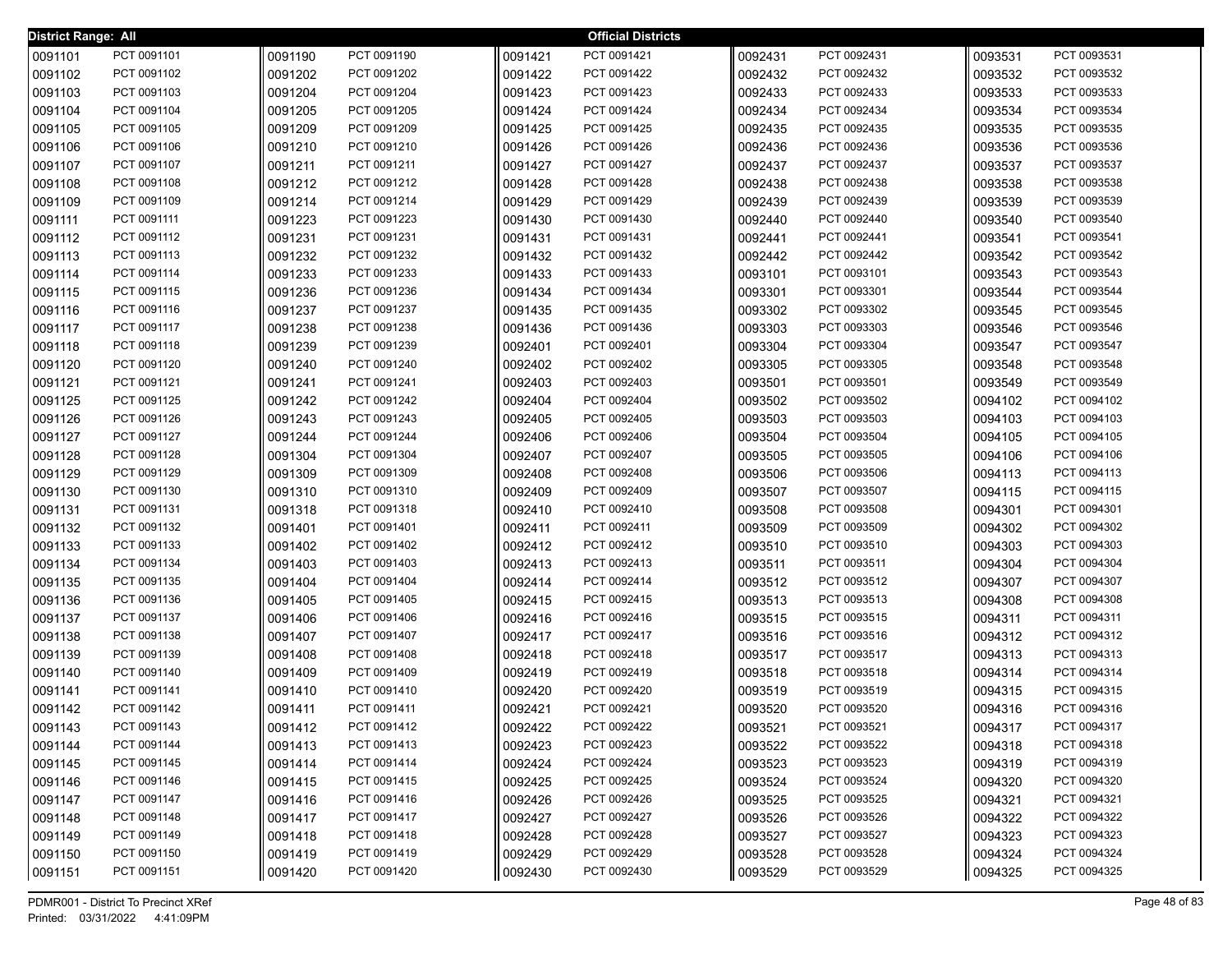| <b>District Range: All</b> |             |         |             |         | <b>Official Districts</b> |         |             |         |             |
|----------------------------|-------------|---------|-------------|---------|---------------------------|---------|-------------|---------|-------------|
| 0091101                    | PCT 0091101 | 0091190 | PCT 0091190 | 0091421 | PCT 0091421               | 0092431 | PCT 0092431 | 0093531 | PCT 0093531 |
| 0091102                    | PCT 0091102 | 0091202 | PCT 0091202 | 0091422 | PCT 0091422               | 0092432 | PCT 0092432 | 0093532 | PCT 0093532 |
| 0091103                    | PCT 0091103 | 0091204 | PCT 0091204 | 0091423 | PCT 0091423               | 0092433 | PCT 0092433 | 0093533 | PCT 0093533 |
| 0091104                    | PCT 0091104 | 0091205 | PCT 0091205 | 0091424 | PCT 0091424               | 0092434 | PCT 0092434 | 0093534 | PCT 0093534 |
| 0091105                    | PCT 0091105 | 0091209 | PCT 0091209 | 0091425 | PCT 0091425               | 0092435 | PCT 0092435 | 0093535 | PCT 0093535 |
| 0091106                    | PCT 0091106 | 0091210 | PCT 0091210 | 0091426 | PCT 0091426               | 0092436 | PCT 0092436 | 0093536 | PCT 0093536 |
| 0091107                    | PCT 0091107 | 0091211 | PCT 0091211 | 0091427 | PCT 0091427               | 0092437 | PCT 0092437 | 0093537 | PCT 0093537 |
| 0091108                    | PCT 0091108 | 0091212 | PCT 0091212 | 0091428 | PCT 0091428               | 0092438 | PCT 0092438 | 0093538 | PCT 0093538 |
| 0091109                    | PCT 0091109 | 0091214 | PCT 0091214 | 0091429 | PCT 0091429               | 0092439 | PCT 0092439 | 0093539 | PCT 0093539 |
| 0091111                    | PCT 0091111 | 0091223 | PCT 0091223 | 0091430 | PCT 0091430               | 0092440 | PCT 0092440 | 0093540 | PCT 0093540 |
| 0091112                    | PCT 0091112 | 0091231 | PCT 0091231 | 0091431 | PCT 0091431               | 0092441 | PCT 0092441 | 0093541 | PCT 0093541 |
| 0091113                    | PCT 0091113 | 0091232 | PCT 0091232 | 0091432 | PCT 0091432               | 0092442 | PCT 0092442 | 0093542 | PCT 0093542 |
| 0091114                    | PCT 0091114 | 0091233 | PCT 0091233 | 0091433 | PCT 0091433               | 0093101 | PCT 0093101 | 0093543 | PCT 0093543 |
| 0091115                    | PCT 0091115 | 0091236 | PCT 0091236 | 0091434 | PCT 0091434               | 0093301 | PCT 0093301 | 0093544 | PCT 0093544 |
| 0091116                    | PCT 0091116 | 0091237 | PCT 0091237 | 0091435 | PCT 0091435               | 0093302 | PCT 0093302 | 0093545 | PCT 0093545 |
| 0091117                    | PCT 0091117 | 0091238 | PCT 0091238 | 0091436 | PCT 0091436               | 0093303 | PCT 0093303 | 0093546 | PCT 0093546 |
| 0091118                    | PCT 0091118 | 0091239 | PCT 0091239 | 0092401 | PCT 0092401               | 0093304 | PCT 0093304 | 0093547 | PCT 0093547 |
| 0091120                    | PCT 0091120 | 0091240 | PCT 0091240 | 0092402 | PCT 0092402               | 0093305 | PCT 0093305 | 0093548 | PCT 0093548 |
| 0091121                    | PCT 0091121 | 0091241 | PCT 0091241 | 0092403 | PCT 0092403               | 0093501 | PCT 0093501 | 0093549 | PCT 0093549 |
| 0091125                    | PCT 0091125 | 0091242 | PCT 0091242 | 0092404 | PCT 0092404               | 0093502 | PCT 0093502 | 0094102 | PCT 0094102 |
| 0091126                    | PCT 0091126 | 0091243 | PCT 0091243 | 0092405 | PCT 0092405               | 0093503 | PCT 0093503 | 0094103 | PCT 0094103 |
| 0091127                    | PCT 0091127 | 0091244 | PCT 0091244 | 0092406 | PCT 0092406               | 0093504 | PCT 0093504 | 0094105 | PCT 0094105 |
| 0091128                    | PCT 0091128 | 0091304 | PCT 0091304 | 0092407 | PCT 0092407               | 0093505 | PCT 0093505 | 0094106 | PCT 0094106 |
| 0091129                    | PCT 0091129 | 0091309 | PCT 0091309 | 0092408 | PCT 0092408               | 0093506 | PCT 0093506 | 0094113 | PCT 0094113 |
| 0091130                    | PCT 0091130 | 0091310 | PCT 0091310 | 0092409 | PCT 0092409               | 0093507 | PCT 0093507 | 0094115 | PCT 0094115 |
| 0091131                    | PCT 0091131 | 0091318 | PCT 0091318 | 0092410 | PCT 0092410               | 0093508 | PCT 0093508 | 0094301 | PCT 0094301 |
| 0091132                    | PCT 0091132 | 0091401 | PCT 0091401 | 0092411 | PCT 0092411               | 0093509 | PCT 0093509 | 0094302 | PCT 0094302 |
| 0091133                    | PCT 0091133 | 0091402 | PCT 0091402 | 0092412 | PCT 0092412               | 0093510 | PCT 0093510 | 0094303 | PCT 0094303 |
| 0091134                    | PCT 0091134 | 0091403 | PCT 0091403 | 0092413 | PCT 0092413               | 0093511 | PCT 0093511 | 0094304 | PCT 0094304 |
| 0091135                    | PCT 0091135 | 0091404 | PCT 0091404 | 0092414 | PCT 0092414               | 0093512 | PCT 0093512 | 0094307 | PCT 0094307 |
| 0091136                    | PCT 0091136 | 0091405 | PCT 0091405 | 0092415 | PCT 0092415               | 0093513 | PCT 0093513 | 0094308 | PCT 0094308 |
| 0091137                    | PCT 0091137 | 0091406 | PCT 0091406 | 0092416 | PCT 0092416               | 0093515 | PCT 0093515 | 0094311 | PCT 0094311 |
| 0091138                    | PCT 0091138 | 0091407 | PCT 0091407 | 0092417 | PCT 0092417               | 0093516 | PCT 0093516 | 0094312 | PCT 0094312 |
| 0091139                    | PCT 0091139 | 0091408 | PCT 0091408 | 0092418 | PCT 0092418               | 0093517 | PCT 0093517 | 0094313 | PCT 0094313 |
| 0091140                    | PCT 0091140 | 0091409 | PCT 0091409 | 0092419 | PCT 0092419               | 0093518 | PCT 0093518 | 0094314 | PCT 0094314 |
| 0091141                    | PCT 0091141 | 0091410 | PCT 0091410 | 0092420 | PCT 0092420               | 0093519 | PCT 0093519 | 0094315 | PCT 0094315 |
| 0091142                    | PCT 0091142 | 0091411 | PCT 0091411 | 0092421 | PCT 0092421               | 0093520 | PCT 0093520 | 0094316 | PCT 0094316 |
| 0091143                    | PCT 0091143 | 0091412 | PCT 0091412 | 0092422 | PCT 0092422               | 0093521 | PCT 0093521 | 0094317 | PCT 0094317 |
| 0091144                    | PCT 0091144 | 0091413 | PCT 0091413 | 0092423 | PCT 0092423               | 0093522 | PCT 0093522 | 0094318 | PCT 0094318 |
| 0091145                    | PCT 0091145 | 0091414 | PCT 0091414 | 0092424 | PCT 0092424               | 0093523 | PCT 0093523 | 0094319 | PCT 0094319 |
| 0091146                    | PCT 0091146 | 0091415 | PCT 0091415 | 0092425 | PCT 0092425               | 0093524 | PCT 0093524 | 0094320 | PCT 0094320 |
| 0091147                    | PCT 0091147 | 0091416 | PCT 0091416 | 0092426 | PCT 0092426               | 0093525 | PCT 0093525 | 0094321 | PCT 0094321 |
| 0091148                    | PCT 0091148 | 0091417 | PCT 0091417 | 0092427 | PCT 0092427               | 0093526 | PCT 0093526 | 0094322 | PCT 0094322 |
| 0091149                    | PCT 0091149 | 0091418 | PCT 0091418 | 0092428 | PCT 0092428               | 0093527 | PCT 0093527 | 0094323 | PCT 0094323 |
| 0091150                    | PCT 0091150 | 0091419 | PCT 0091419 | 0092429 | PCT 0092429               | 0093528 | PCT 0093528 | 0094324 | PCT 0094324 |
| 0091151                    | PCT 0091151 | 0091420 | PCT 0091420 | 0092430 | PCT 0092430               | 0093529 | PCT 0093529 | 0094325 | PCT 0094325 |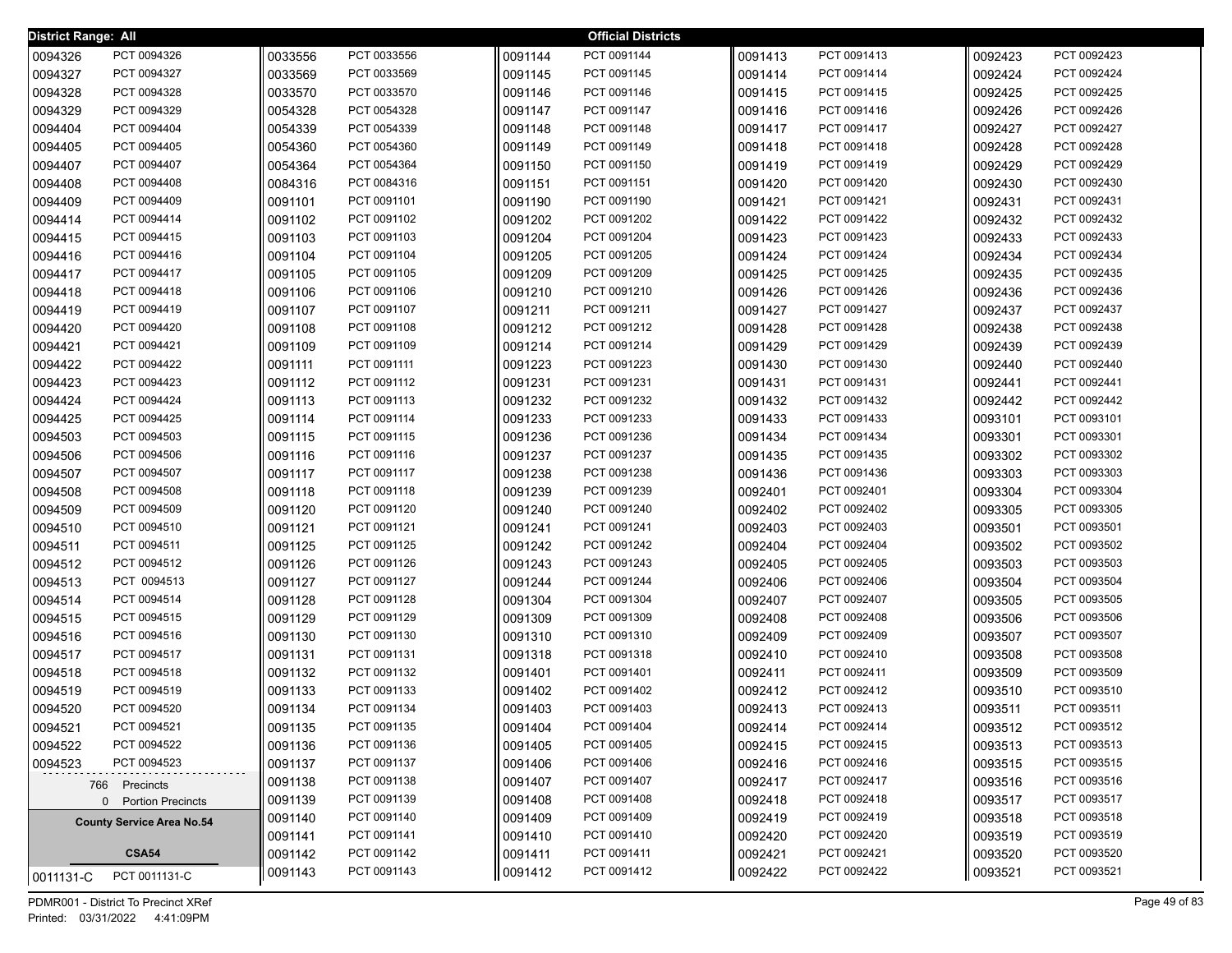| <b>District Range: All</b> |                                      |                    |                            |                    | <b>Official Districts</b>  |                    |                            |                    |                            |
|----------------------------|--------------------------------------|--------------------|----------------------------|--------------------|----------------------------|--------------------|----------------------------|--------------------|----------------------------|
| 0094326                    | PCT 0094326                          | 0033556            | PCT 0033556                | 0091144            | PCT 0091144                | 0091413            | PCT 0091413                | 0092423            | PCT 0092423                |
| 0094327                    | PCT 0094327                          | 0033569            | PCT 0033569                | 0091145            | PCT 0091145                | 0091414            | PCT 0091414                | 0092424            | PCT 0092424                |
| 0094328                    | PCT 0094328                          | 0033570            | PCT 0033570                | 0091146            | PCT 0091146                | 0091415            | PCT 0091415                | 0092425            | PCT 0092425                |
| 0094329                    | PCT 0094329                          | 0054328            | PCT 0054328                | 0091147            | PCT 0091147                | 0091416            | PCT 0091416                | 0092426            | PCT 0092426                |
| 0094404                    | PCT 0094404                          | 0054339            | PCT 0054339                | 0091148            | PCT 0091148                | 0091417            | PCT 0091417                | 0092427            | PCT 0092427                |
| 0094405                    | PCT 0094405                          | 0054360            | PCT 0054360                | 0091149            | PCT 0091149                | 0091418            | PCT 0091418                | 0092428            | PCT 0092428                |
| 0094407                    | PCT 0094407                          | 0054364            | PCT 0054364                | 0091150            | PCT 0091150                | 0091419            | PCT 0091419                | 0092429            | PCT 0092429                |
| 0094408                    | PCT 0094408                          | 0084316            | PCT 0084316                | 0091151            | PCT 0091151                | 0091420            | PCT 0091420                | 0092430            | PCT 0092430                |
| 0094409                    | PCT 0094409                          | 0091101            | PCT 0091101                | 0091190            | PCT 0091190                | 0091421            | PCT 0091421                | 0092431            | PCT 0092431                |
| 0094414                    | PCT 0094414                          | 0091102            | PCT 0091102                | 0091202            | PCT 0091202                | 0091422            | PCT 0091422                | 0092432            | PCT 0092432                |
| 0094415                    | PCT 0094415                          | 0091103            | PCT 0091103                | 0091204            | PCT 0091204                | 0091423            | PCT 0091423                | 0092433            | PCT 0092433                |
| 0094416                    | PCT 0094416                          | 0091104            | PCT 0091104                | 0091205            | PCT 0091205                | 0091424            | PCT 0091424                | 0092434            | PCT 0092434                |
| 0094417                    | PCT 0094417                          | 0091105            | PCT 0091105                | 0091209            | PCT 0091209                | 0091425            | PCT 0091425                | 0092435            | PCT 0092435                |
| 0094418                    | PCT 0094418                          | 0091106            | PCT 0091106                | 0091210            | PCT 0091210                | 0091426            | PCT 0091426                | 0092436            | PCT 0092436                |
| 0094419                    | PCT 0094419                          | 0091107            | PCT 0091107                | 0091211            | PCT 0091211                | 0091427            | PCT 0091427                | 0092437            | PCT 0092437                |
| 0094420                    | PCT 0094420                          | 0091108            | PCT 0091108                | 0091212            | PCT 0091212                | 0091428            | PCT 0091428                | 0092438            | PCT 0092438                |
| 0094421                    | PCT 0094421                          | 0091109            | PCT 0091109                | 0091214            | PCT 0091214                | 0091429            | PCT 0091429                | 0092439            | PCT 0092439                |
| 0094422                    | PCT 0094422                          | 0091111            | PCT 0091111                | 0091223            | PCT 0091223                | 0091430            | PCT 0091430                | 0092440            | PCT 0092440                |
| 0094423                    | PCT 0094423                          | 0091112            | PCT 0091112                | 0091231            | PCT 0091231                | 0091431            | PCT 0091431                | 0092441            | PCT 0092441                |
| 0094424                    | PCT 0094424                          | 0091113            | PCT 0091113                | 0091232            | PCT 0091232                | 0091432            | PCT 0091432                | 0092442            | PCT 0092442                |
| 0094425                    | PCT 0094425                          | 0091114            | PCT 0091114                | 0091233            | PCT 0091233                | 0091433            | PCT 0091433                | 0093101            | PCT 0093101                |
| 0094503                    | PCT 0094503                          | 0091115            | PCT 0091115                | 0091236            | PCT 0091236                | 0091434            | PCT 0091434                | 0093301            | PCT 0093301                |
| 0094506                    | PCT 0094506                          | 0091116            | PCT 0091116                | 0091237            | PCT 0091237                | 0091435            | PCT 0091435                | 0093302            | PCT 0093302                |
| 0094507                    | PCT 0094507                          | 0091117            | PCT 0091117                | 0091238            | PCT 0091238                | 0091436            | PCT 0091436                | 0093303            | PCT 0093303                |
| 0094508                    | PCT 0094508                          | 0091118            | PCT 0091118                | 0091239            | PCT 0091239                | 0092401            | PCT 0092401                | 0093304            | PCT 0093304                |
| 0094509                    | PCT 0094509                          | 0091120            | PCT 0091120                | 0091240            | PCT 0091240                | 0092402            | PCT 0092402                | 0093305            | PCT 0093305                |
| 0094510                    | PCT 0094510                          | 0091121            | PCT 0091121                | 0091241            | PCT 0091241                | 0092403            | PCT 0092403                | 0093501            | PCT 0093501                |
| 0094511                    | PCT 0094511                          | 0091125            | PCT 0091125                | 0091242            | PCT 0091242                | 0092404            | PCT 0092404                | 0093502            | PCT 0093502                |
| 0094512                    | PCT 0094512                          | 0091126            | PCT 0091126                | 0091243            | PCT 0091243                | 0092405            | PCT 0092405                | 0093503            | PCT 0093503                |
| 0094513                    | PCT 0094513                          | 0091127            | PCT 0091127                | 0091244            | PCT 0091244<br>PCT 0091304 | 0092406            | PCT 0092406                | 0093504            | PCT 0093504                |
| 0094514<br>0094515         | PCT 0094514<br>PCT 0094515           | 0091128<br>0091129 | PCT 0091128<br>PCT 0091129 | 0091304<br>0091309 | PCT 0091309                | 0092407<br>0092408 | PCT 0092407<br>PCT 0092408 | 0093505<br>0093506 | PCT 0093505<br>PCT 0093506 |
| 0094516                    | PCT 0094516                          | 0091130            | PCT 0091130                | 0091310            | PCT 0091310                | 0092409            | PCT 0092409                | 0093507            | PCT 0093507                |
| 0094517                    | PCT 0094517                          | 0091131            | PCT 0091131                | 0091318            | PCT 0091318                | 0092410            | PCT 0092410                | 0093508            | PCT 0093508                |
| 0094518                    | PCT 0094518                          | 0091132            | PCT 0091132                | 0091401            | PCT 0091401                | 0092411            | PCT 0092411                | 0093509            | PCT 0093509                |
| 0094519                    | PCT 0094519                          | 0091133            | PCT 0091133                | 0091402            | PCT 0091402                | 0092412            | PCT 0092412                | 0093510            | PCT 0093510                |
| 0094520                    | PCT 0094520                          | 0091134            | PCT 0091134                | 0091403            | PCT 0091403                | 0092413            | PCT 0092413                | 0093511            | PCT 0093511                |
| 0094521                    | PCT 0094521                          | 0091135            | PCT 0091135                | 0091404            | PCT 0091404                | 0092414            | PCT 0092414                | 0093512            | PCT 0093512                |
| 0094522                    | PCT 0094522                          | 0091136            | PCT 0091136                | 0091405            | PCT 0091405                | 0092415            | PCT 0092415                | 0093513            | PCT 0093513                |
| 0094523                    | PCT 0094523                          | 0091137            | PCT 0091137                | 0091406            | PCT 0091406                | 0092416            | PCT 0092416                | 0093515            | PCT 0093515                |
|                            |                                      | 0091138            | PCT 0091138                | 0091407            | PCT 0091407                | 0092417            | PCT 0092417                | 0093516            | PCT 0093516                |
|                            | 766 Precincts<br>0 Portion Precincts | 0091139            | PCT 0091139                | 0091408            | PCT 0091408                | 0092418            | PCT 0092418                | 0093517            | PCT 0093517                |
|                            | <b>County Service Area No.54</b>     | 0091140            | PCT 0091140                | 0091409            | PCT 0091409                | 0092419            | PCT 0092419                | 0093518            | PCT 0093518                |
|                            |                                      | 0091141            | PCT 0091141                | 0091410            | PCT 0091410                | 0092420            | PCT 0092420                | 0093519            | PCT 0093519                |
|                            | <b>CSA54</b>                         | 0091142            | PCT 0091142                | 0091411            | PCT 0091411                | 0092421            | PCT 0092421                | 0093520            | PCT 0093520                |
|                            | PCT 0011131-C                        | 0091143            | PCT 0091143                | 0091412            | PCT 0091412                | 0092422            | PCT 0092422                | 0093521            | PCT 0093521                |
| 0011131-C                  |                                      |                    |                            |                    |                            |                    |                            |                    |                            |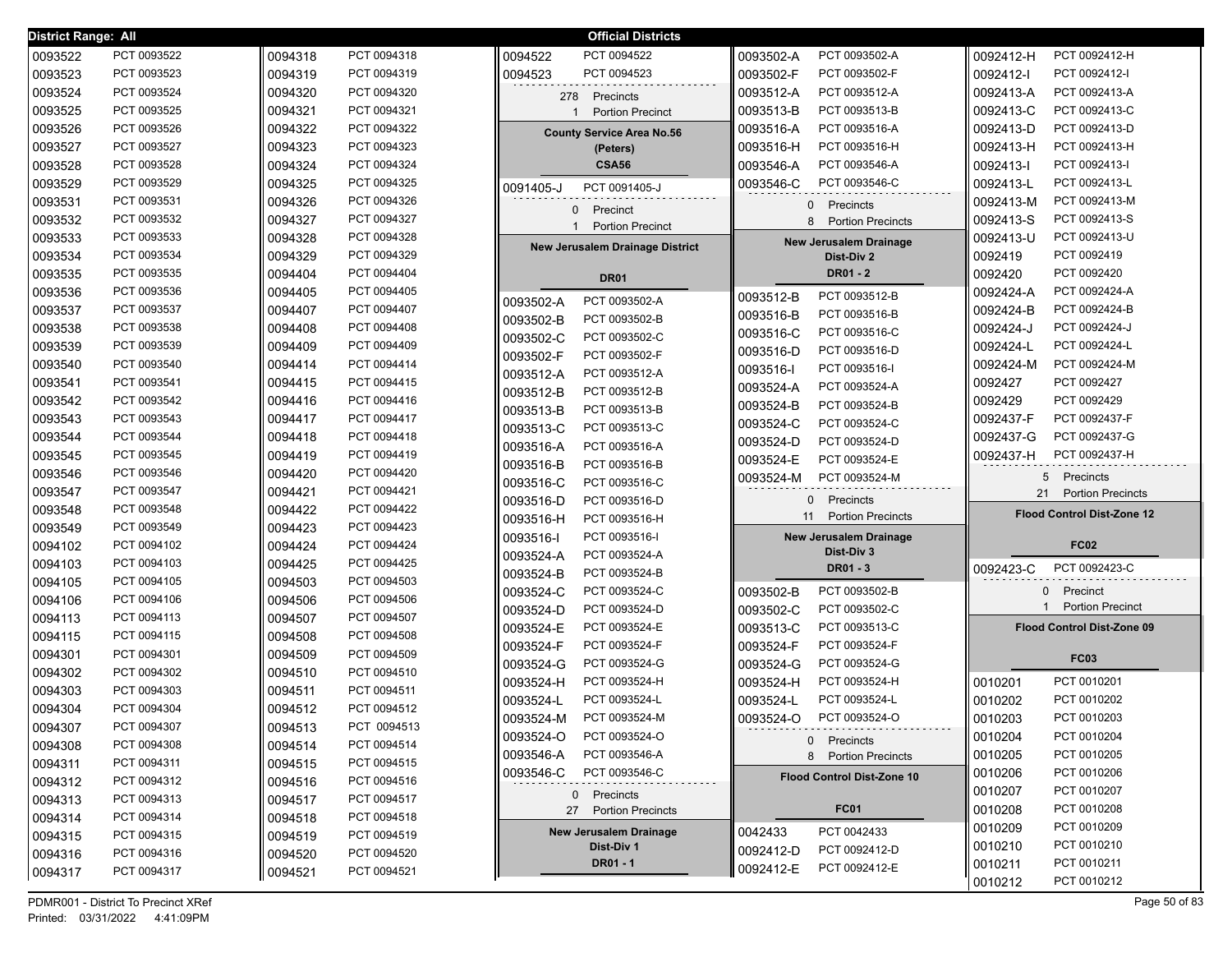| District Range: All |                            |                    |                            | <b>Official Districts</b>                   |                                       |                                   |
|---------------------|----------------------------|--------------------|----------------------------|---------------------------------------------|---------------------------------------|-----------------------------------|
| 0093522             | PCT 0093522                | 0094318            | PCT 0094318                | 0094522<br>PCT 0094522                      | PCT 0093502-A<br>0093502-A            | PCT 0092412-H<br>0092412-H        |
| 0093523             | PCT 0093523                | 0094319            | PCT 0094319                | 0094523<br>PCT 0094523                      | PCT 0093502-F<br>0093502-F            | PCT 0092412-I<br>0092412-l        |
| 0093524             | PCT 0093524                | 0094320            | PCT 0094320                | 278 Precincts                               | PCT 0093512-A<br>0093512-A            | 0092413-A<br>PCT 0092413-A        |
| 0093525             | PCT 0093525                | 0094321            | PCT 0094321                | <b>Portion Precinct</b>                     | PCT 0093513-B<br>0093513-B            | 0092413-C<br>PCT 0092413-C        |
| 0093526             | PCT 0093526                | 0094322            | PCT 0094322                | <b>County Service Area No.56</b>            | 0093516-A<br>PCT 0093516-A            | 0092413-D<br>PCT 0092413-D        |
| 0093527             | PCT 0093527                | 0094323            | PCT 0094323                | (Peters)                                    | PCT 0093516-H<br>0093516-H            | 0092413-H<br>PCT 0092413-H        |
| 0093528             | PCT 0093528                | 0094324            | PCT 0094324                | <b>CSA56</b>                                | 0093546-A<br>PCT 0093546-A            | 0092413-1<br>PCT 0092413-I        |
| 0093529             | PCT 0093529                | 0094325            | PCT 0094325                | PCT 0091405-J<br>0091405-J                  | PCT 0093546-C<br>0093546-C            | PCT 0092413-L<br>0092413-L        |
| 0093531             | PCT 0093531                | 0094326            | PCT 0094326                | 0 Precinct                                  | Precincts<br>$\Omega$                 | PCT 0092413-M<br>0092413-M        |
| 0093532             | PCT 0093532                | 0094327            | PCT 0094327                | <b>Portion Precinct</b>                     | 8<br><b>Portion Precincts</b>         | PCT 0092413-S<br>0092413-S        |
| 0093533             | PCT 0093533                | 0094328            | PCT 0094328                | <b>New Jerusalem Drainage District</b>      | <b>New Jerusalem Drainage</b>         | PCT 0092413-U<br>0092413-U        |
| 0093534             | PCT 0093534                | 0094329            | PCT 0094329                |                                             | Dist-Div 2                            | PCT 0092419<br>0092419            |
| 0093535             | PCT 0093535                | 0094404            | PCT 0094404                | <b>DR01</b>                                 | DR01 - 2                              | PCT 0092420<br>0092420            |
| 0093536             | PCT 0093536                | 0094405            | PCT 0094405                | PCT 0093502-A<br>0093502-A                  | PCT 0093512-B<br>0093512-B            | PCT 0092424-A<br>0092424-A        |
| 0093537             | PCT 0093537                | 0094407            | PCT 0094407                | PCT 0093502-B<br>0093502-B                  | PCT 0093516-B<br>0093516-B            | PCT 0092424-B<br>0092424-B        |
| 0093538             | PCT 0093538                | 0094408            | PCT 0094408                | PCT 0093502-C<br>0093502-C                  | 0093516-C<br>PCT 0093516-C            | 0092424-J<br>PCT 0092424-J        |
| 0093539             | PCT 0093539                | 0094409            | PCT 0094409                | PCT 0093502-F<br>0093502-F                  | PCT 0093516-D<br>0093516-D            | PCT 0092424-L<br>0092424-L        |
| 0093540             | PCT 0093540                | 0094414            | PCT 0094414                | PCT 0093512-A<br>0093512-A                  | PCT 0093516-I<br>0093516-I            | PCT 0092424-M<br>0092424-M        |
| 0093541             | PCT 0093541                | 0094415            | PCT 0094415                | PCT 0093512-B<br>0093512-B                  | PCT 0093524-A<br>0093524-A            | PCT 0092427<br>0092427            |
| 0093542             | PCT 0093542                | 0094416            | PCT 0094416                | PCT 0093513-B<br>0093513-B                  | PCT 0093524-B<br>0093524-B            | 0092429<br>PCT 0092429            |
| 0093543             | PCT 0093543                | 0094417            | PCT 0094417                | 0093513-C<br>PCT 0093513-C                  | PCT 0093524-C<br>0093524-C            | PCT 0092437-F<br>0092437-F        |
| 0093544             | PCT 0093544                | 0094418            | PCT 0094418                | PCT 0093516-A<br>0093516-A                  | PCT 0093524-D<br>0093524-D            | 0092437-G<br>PCT 0092437-G        |
| 0093545             | PCT 0093545                | 0094419            | PCT 0094419                |                                             |                                       | PCT 0092437-H<br>0092437-H        |
|                     |                            |                    |                            |                                             | PCT 0093524-E<br>0093524-E            |                                   |
| 0093546             | PCT 0093546                | 0094420            | PCT 0094420                | PCT 0093516-B<br>0093516-B                  | PCT 0093524-M<br>0093524-M            | Precincts<br>5                    |
| 0093547             | PCT 0093547                | 0094421            | PCT 0094421                | 0093516-C<br>PCT 0093516-C<br>PCT 0093516-D | Precincts<br>$\mathbf{0}$             | 21<br><b>Portion Precincts</b>    |
| 0093548             | PCT 0093548                | 0094422            | PCT 0094422                | 0093516-D<br>PCT 0093516-H                  | <b>Portion Precincts</b><br>11        | <b>Flood Control Dist-Zone 12</b> |
| 0093549             | PCT 0093549                | 0094423            | PCT 0094423                | 0093516-H<br>0093516-I<br>PCT 0093516-I     | <b>New Jerusalem Drainage</b>         |                                   |
| 0094102             | PCT 0094102                | 0094424            | PCT 0094424                | 0093524-A<br>PCT 0093524-A                  | Dist-Div 3                            | <b>FC02</b>                       |
| 0094103             | PCT 0094103                | 0094425            | PCT 0094425                | 0093524-B<br>PCT 0093524-B                  | <b>DR01 - 3</b>                       | 0092423-C<br>PCT 0092423-C        |
| 0094105             | PCT 0094105                | 0094503            | PCT 0094503                | PCT 0093524-C<br>0093524-C                  | PCT 0093502-B<br>0093502-B            | 0 Precinct                        |
| 0094106             | PCT 0094106                | 0094506            | PCT 0094506                | PCT 0093524-D<br>0093524-D                  | 0093502-C<br>PCT 0093502-C            | <b>Portion Precinct</b>           |
| 0094113             | PCT 0094113                | 0094507            | PCT 0094507                | PCT 0093524-E<br>0093524-E                  | PCT 0093513-C<br>0093513-C            | Flood Control Dist-Zone 09        |
| 0094115             | PCT 0094115                | 0094508            | PCT 0094508                | PCT 0093524-F<br>0093524-F                  | PCT 0093524-F<br>0093524-F            |                                   |
| 0094301             | PCT 0094301                | 0094509            | PCT 0094509                | PCT 0093524-G<br>0093524-G                  | PCT 0093524-G<br>0093524-G            | <b>FC03</b>                       |
| 0094302             | PCT 0094302                | 0094510            | PCT 0094510                | 0093524-H<br>PCT 0093524-H                  | PCT 0093524-H<br>0093524-H            | PCT 0010201<br>0010201            |
| 0094303             | PCT 0094303                | 0094511            | PCT 0094511                | PCT 0093524-L<br>0093524-L                  | PCT 0093524-L<br>0093524-L            | 0010202<br>PCT 0010202            |
| 0094304             | PCT 0094304                | 0094512            | PCT 0094512                | 0093524-M<br>PCT 0093524-M                  | 0093524-O<br>PCT 0093524-O            | 0010203<br>PCT 0010203            |
| 0094307             | PCT 0094307                | 0094513            | PCT 0094513                | 0093524-O<br>PCT 0093524-O                  | .<br>0 Precincts                      | PCT 0010204<br>0010204            |
| 0094308             | PCT 0094308                | 0094514            | PCT 0094514                | 0093546-A<br>PCT 0093546-A                  | 8 Portion Precincts                   | PCT 0010205<br>0010205            |
| 0094311             | PCT 0094311                | 0094515            | PCT 0094515                | 0093546-C<br>PCT 0093546-C                  |                                       | 0010206<br>PCT 0010206            |
| 0094312             | PCT 0094312                | 0094516            | PCT 0094516                | 0 Precincts                                 | <b>Flood Control Dist-Zone 10</b>     | 0010207<br>PCT 0010207            |
| 0094313             | PCT 0094313                | 0094517            | PCT 0094517                | 27 Portion Precincts                        | <b>FC01</b>                           | 0010208<br>PCT 0010208            |
| 0094314             | PCT 0094314                | 0094518            | PCT 0094518                | <b>New Jerusalem Drainage</b>               | PCT 0042433                           | 0010209<br>PCT 0010209            |
| 0094315             | PCT 0094315                | 0094519            | PCT 0094519                | Dist-Div 1                                  | 0042433<br>PCT 0092412-D<br>0092412-D | 0010210<br>PCT 0010210            |
| 0094316<br>0094317  | PCT 0094316<br>PCT 0094317 | 0094520<br>0094521 | PCT 0094520<br>PCT 0094521 | DR01 - 1                                    | PCT 0092412-E<br>0092412-E            | PCT 0010211<br>0010211            |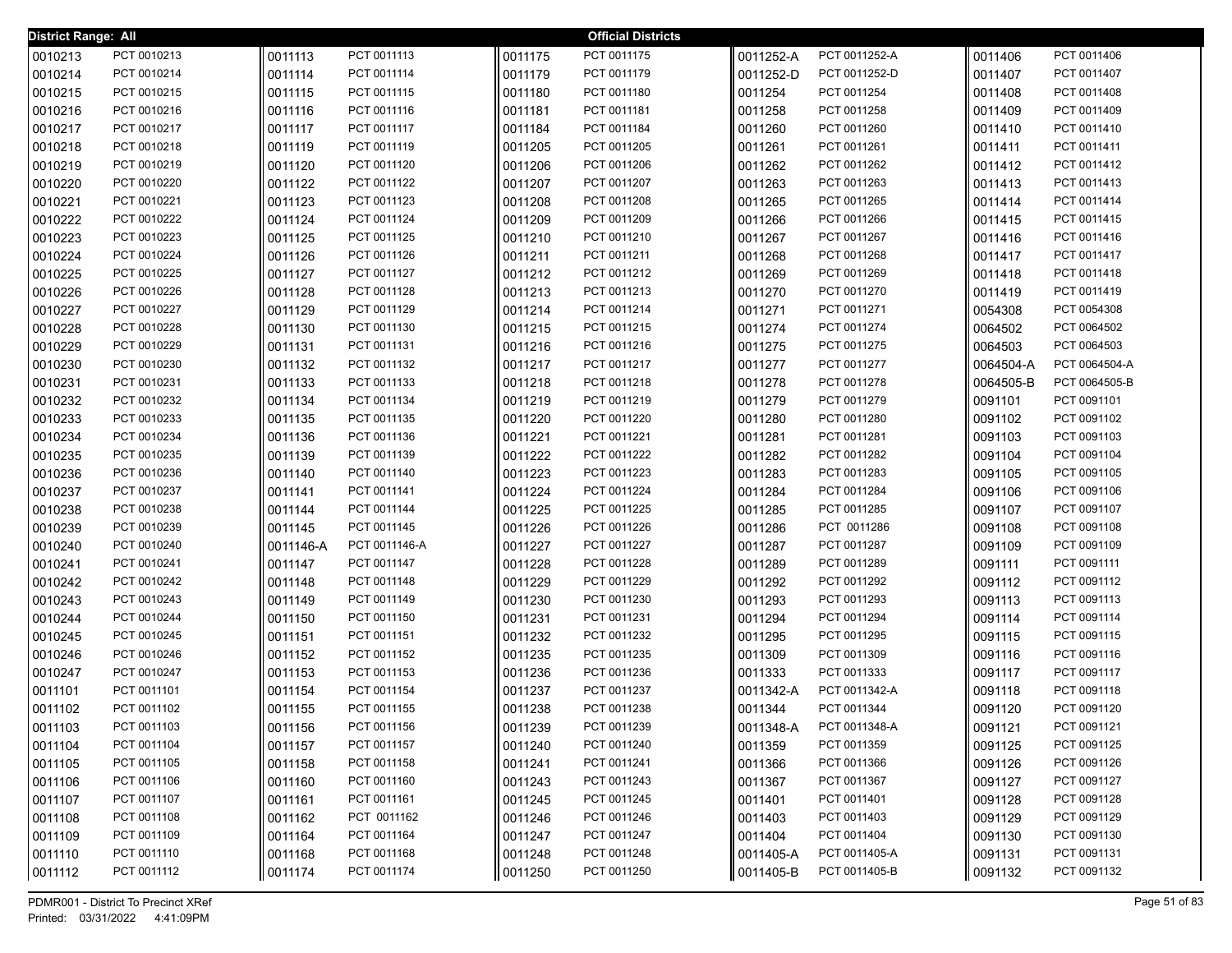| <b>District Range: All</b> |             |           |               |         | <b>Official Districts</b> |           |               |           |               |
|----------------------------|-------------|-----------|---------------|---------|---------------------------|-----------|---------------|-----------|---------------|
| 0010213                    | PCT 0010213 | 0011113   | PCT 0011113   | 0011175 | PCT 0011175               | 0011252-A | PCT 0011252-A | 0011406   | PCT 0011406   |
| 0010214                    | PCT 0010214 | 0011114   | PCT 0011114   | 0011179 | PCT 0011179               | 0011252-D | PCT 0011252-D | 0011407   | PCT 0011407   |
| 0010215                    | PCT 0010215 | 0011115   | PCT 0011115   | 0011180 | PCT 0011180               | 0011254   | PCT 0011254   | 0011408   | PCT 0011408   |
| 0010216                    | PCT 0010216 | 0011116   | PCT 0011116   | 0011181 | PCT 0011181               | 0011258   | PCT 0011258   | 0011409   | PCT 0011409   |
| 0010217                    | PCT 0010217 | 0011117   | PCT 0011117   | 0011184 | PCT 0011184               | 0011260   | PCT 0011260   | 0011410   | PCT 0011410   |
| 0010218                    | PCT 0010218 | 0011119   | PCT 0011119   | 0011205 | PCT 0011205               | 0011261   | PCT 0011261   | 0011411   | PCT 0011411   |
| 0010219                    | PCT 0010219 | 0011120   | PCT 0011120   | 0011206 | PCT 0011206               | 0011262   | PCT 0011262   | 0011412   | PCT 0011412   |
| 0010220                    | PCT 0010220 | 0011122   | PCT 0011122   | 0011207 | PCT 0011207               | 0011263   | PCT 0011263   | 0011413   | PCT 0011413   |
| 0010221                    | PCT 0010221 | 0011123   | PCT 0011123   | 0011208 | PCT 0011208               | 0011265   | PCT 0011265   | 0011414   | PCT 0011414   |
| 0010222                    | PCT 0010222 | 0011124   | PCT 0011124   | 0011209 | PCT 0011209               | 0011266   | PCT 0011266   | 0011415   | PCT 0011415   |
| 0010223                    | PCT 0010223 | 0011125   | PCT 0011125   | 0011210 | PCT 0011210               | 0011267   | PCT 0011267   | 0011416   | PCT 0011416   |
| 0010224                    | PCT 0010224 | 0011126   | PCT 0011126   | 0011211 | PCT 0011211               | 0011268   | PCT 0011268   | 0011417   | PCT 0011417   |
| 0010225                    | PCT 0010225 | 0011127   | PCT 0011127   | 0011212 | PCT 0011212               | 0011269   | PCT 0011269   | 0011418   | PCT 0011418   |
| 0010226                    | PCT 0010226 | 0011128   | PCT 0011128   | 0011213 | PCT 0011213               | 0011270   | PCT 0011270   | 0011419   | PCT 0011419   |
| 0010227                    | PCT 0010227 | 0011129   | PCT 0011129   | 0011214 | PCT 0011214               | 0011271   | PCT 0011271   | 0054308   | PCT 0054308   |
| 0010228                    | PCT 0010228 | 0011130   | PCT 0011130   | 0011215 | PCT 0011215               | 0011274   | PCT 0011274   | 0064502   | PCT 0064502   |
| 0010229                    | PCT 0010229 | 0011131   | PCT 0011131   | 0011216 | PCT 0011216               | 0011275   | PCT 0011275   | 0064503   | PCT 0064503   |
| 0010230                    | PCT 0010230 | 0011132   | PCT 0011132   | 0011217 | PCT 0011217               | 0011277   | PCT 0011277   | 0064504-A | PCT 0064504-A |
| 0010231                    | PCT 0010231 | 0011133   | PCT 0011133   | 0011218 | PCT 0011218               | 0011278   | PCT 0011278   | 0064505-B | PCT 0064505-B |
| 0010232                    | PCT 0010232 | 0011134   | PCT 0011134   | 0011219 | PCT 0011219               | 0011279   | PCT 0011279   | 0091101   | PCT 0091101   |
| 0010233                    | PCT 0010233 | 0011135   | PCT 0011135   | 0011220 | PCT 0011220               | 0011280   | PCT 0011280   | 0091102   | PCT 0091102   |
| 0010234                    | PCT 0010234 | 0011136   | PCT 0011136   | 0011221 | PCT 0011221               | 0011281   | PCT 0011281   | 0091103   | PCT 0091103   |
| 0010235                    | PCT 0010235 | 0011139   | PCT 0011139   | 0011222 | PCT 0011222               | 0011282   | PCT 0011282   | 0091104   | PCT 0091104   |
| 0010236                    | PCT 0010236 | 0011140   | PCT 0011140   | 0011223 | PCT 0011223               | 0011283   | PCT 0011283   | 0091105   | PCT 0091105   |
| 0010237                    | PCT 0010237 | 0011141   | PCT 0011141   | 0011224 | PCT 0011224               | 0011284   | PCT 0011284   | 0091106   | PCT 0091106   |
| 0010238                    | PCT 0010238 | 0011144   | PCT 0011144   | 0011225 | PCT 0011225               | 0011285   | PCT 0011285   | 0091107   | PCT 0091107   |
| 0010239                    | PCT 0010239 | 0011145   | PCT 0011145   | 0011226 | PCT 0011226               | 0011286   | PCT 0011286   | 0091108   | PCT 0091108   |
| 0010240                    | PCT 0010240 | 0011146-A | PCT 0011146-A | 0011227 | PCT 0011227               | 0011287   | PCT 0011287   | 0091109   | PCT 0091109   |
| 0010241                    | PCT 0010241 | 0011147   | PCT 0011147   | 0011228 | PCT 0011228               | 0011289   | PCT 0011289   | 0091111   | PCT 0091111   |
| 0010242                    | PCT 0010242 | 0011148   | PCT 0011148   | 0011229 | PCT 0011229               | 0011292   | PCT 0011292   | 0091112   | PCT 0091112   |
| 0010243                    | PCT 0010243 | 0011149   | PCT 0011149   | 0011230 | PCT 0011230               | 0011293   | PCT 0011293   | 0091113   | PCT 0091113   |
| 0010244                    | PCT 0010244 | 0011150   | PCT 0011150   | 0011231 | PCT 0011231               | 0011294   | PCT 0011294   | 0091114   | PCT 0091114   |
| 0010245                    | PCT 0010245 | 0011151   | PCT 0011151   | 0011232 | PCT 0011232               | 0011295   | PCT 0011295   | 0091115   | PCT 0091115   |
| 0010246                    | PCT 0010246 | 0011152   | PCT 0011152   | 0011235 | PCT 0011235               | 0011309   | PCT 0011309   | 0091116   | PCT 0091116   |
| 0010247                    | PCT 0010247 | 0011153   | PCT 0011153   | 0011236 | PCT 0011236               | 0011333   | PCT 0011333   | 0091117   | PCT 0091117   |
| 0011101                    | PCT 0011101 | 0011154   | PCT 0011154   | 0011237 | PCT 0011237               | 0011342-A | PCT 0011342-A | 0091118   | PCT 0091118   |
| 0011102                    | PCT 0011102 | 0011155   | PCT 0011155   | 0011238 | PCT 0011238               | 0011344   | PCT 0011344   | 0091120   | PCT 0091120   |
| 0011103                    | PCT 0011103 | 0011156   | PCT 0011156   | 0011239 | PCT 0011239               | 0011348-A | PCT 0011348-A | 0091121   | PCT 0091121   |
| 0011104                    | PCT 0011104 | 0011157   | PCT 0011157   | 0011240 | PCT 0011240               | 0011359   | PCT 0011359   | 0091125   | PCT 0091125   |
| 0011105                    | PCT 0011105 | 0011158   | PCT 0011158   | 0011241 | PCT 0011241               | 0011366   | PCT 0011366   | 0091126   | PCT 0091126   |
| 0011106                    | PCT 0011106 | 0011160   | PCT 0011160   | 0011243 | PCT 0011243               | 0011367   | PCT 0011367   | 0091127   | PCT 0091127   |
| 0011107                    | PCT 0011107 | 0011161   | PCT 0011161   | 0011245 | PCT 0011245               | 0011401   | PCT 0011401   | 0091128   | PCT 0091128   |
| 0011108                    | PCT 0011108 | 0011162   | PCT 0011162   | 0011246 | PCT 0011246               | 0011403   | PCT 0011403   | 0091129   | PCT 0091129   |
| 0011109                    | PCT 0011109 | 0011164   | PCT 0011164   | 0011247 | PCT 0011247               | 0011404   | PCT 0011404   | 0091130   | PCT 0091130   |
| 0011110                    | PCT 0011110 | 0011168   | PCT 0011168   | 0011248 | PCT 0011248               | 0011405-A | PCT 0011405-A | 0091131   | PCT 0091131   |
| 0011112                    | PCT 0011112 | 0011174   | PCT 0011174   | 0011250 | PCT 0011250               | 0011405-B | PCT 0011405-B | 0091132   | PCT 0091132   |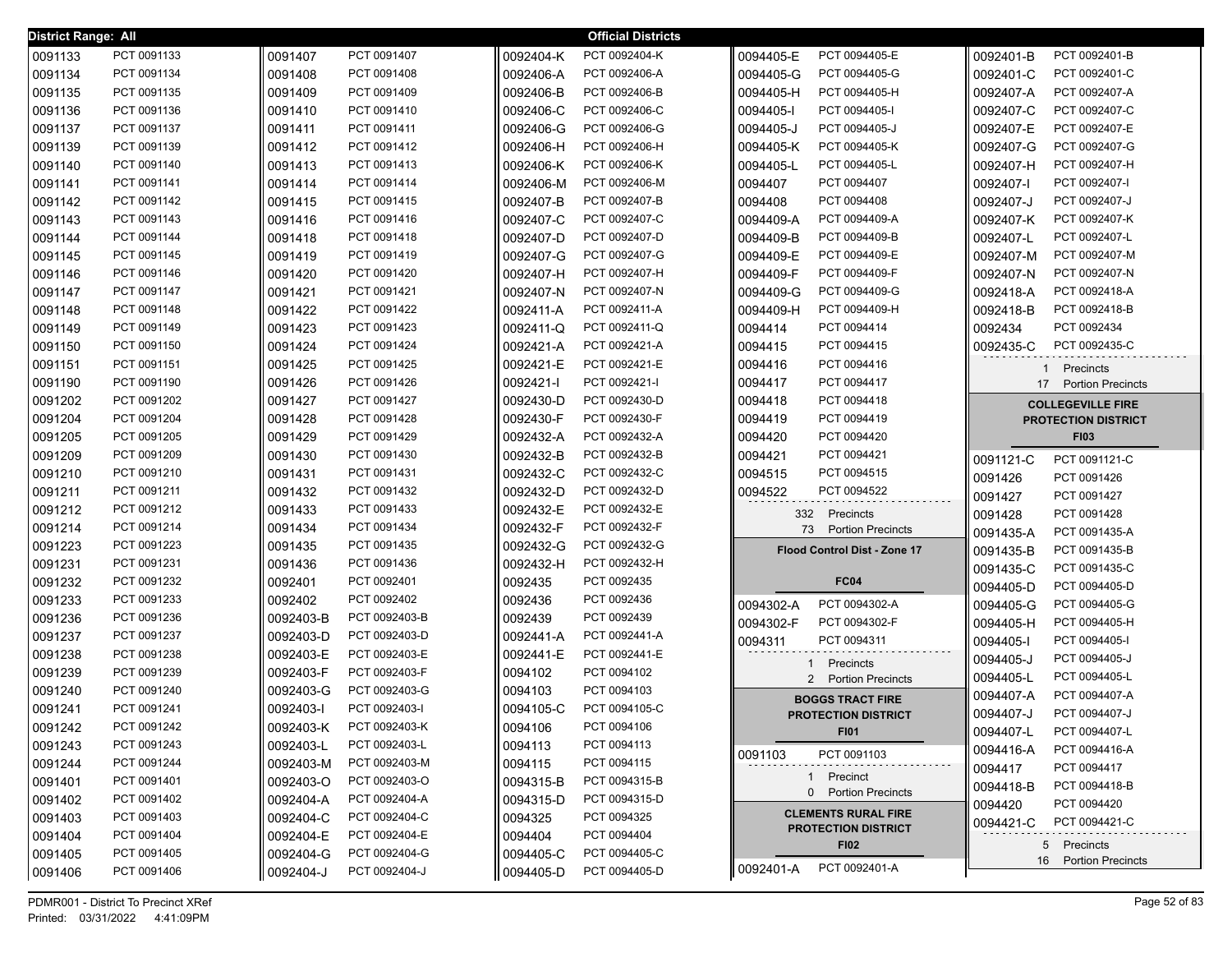| <b>District Range: All</b> |                            |                        |                                |           | <b>Official Districts</b>      |           |                              |           |                            |
|----------------------------|----------------------------|------------------------|--------------------------------|-----------|--------------------------------|-----------|------------------------------|-----------|----------------------------|
| 0091133                    | PCT 0091133                | 0091407                | PCT 0091407                    | 0092404-K | PCT 0092404-K                  | 0094405-E | PCT 0094405-E                | 0092401-B | PCT 0092401-B              |
| 0091134                    | PCT 0091134                | 0091408                | PCT 0091408                    | 0092406-A | PCT 0092406-A                  | 0094405-G | PCT 0094405-G                | 0092401-C | PCT 0092401-C              |
| 0091135                    | PCT 0091135                | 0091409                | PCT 0091409                    | 0092406-B | PCT 0092406-B                  | 0094405-H | PCT 0094405-H                | 0092407-A | PCT 0092407-A              |
| 0091136                    | PCT 0091136                | 0091410                | PCT 0091410                    | 0092406-C | PCT 0092406-C                  | 0094405-I | PCT 0094405-I                | 0092407-C | PCT 0092407-C              |
| 0091137                    | PCT 0091137                | 0091411                | PCT 0091411                    | 0092406-G | PCT 0092406-G                  | 0094405-J | PCT 0094405-J                | 0092407-E | PCT 0092407-E              |
| 0091139                    | PCT 0091139                | 0091412                | PCT 0091412                    | 0092406-H | PCT 0092406-H                  | 0094405-K | PCT 0094405-K                | 0092407-G | PCT 0092407-G              |
| 0091140                    | PCT 0091140                | 0091413                | PCT 0091413                    | 0092406-K | PCT 0092406-K                  | 0094405-L | PCT 0094405-L                | 0092407-H | PCT 0092407-H              |
| 0091141                    | PCT 0091141                | 0091414                | PCT 0091414                    | 0092406-M | PCT 0092406-M                  | 0094407   | PCT 0094407                  | 0092407-l | PCT 0092407-I              |
| 0091142                    | PCT 0091142                | 0091415                | PCT 0091415                    | 0092407-B | PCT 0092407-B                  | 0094408   | PCT 0094408                  | 0092407-J | PCT 0092407-J              |
| 0091143                    | PCT 0091143                | 0091416                | PCT 0091416                    | 0092407-C | PCT 0092407-C                  | 0094409-A | PCT 0094409-A                | 0092407-K | PCT 0092407-K              |
| 0091144                    | PCT 0091144                | 0091418                | PCT 0091418                    | 0092407-D | PCT 0092407-D                  | 0094409-B | PCT 0094409-B                | 0092407-L | PCT 0092407-L              |
| 0091145                    | PCT 0091145                | 0091419                | PCT 0091419                    | 0092407-G | PCT 0092407-G                  | 0094409-E | PCT 0094409-E                | 0092407-M | PCT 0092407-M              |
| 0091146                    | PCT 0091146                | 0091420                | PCT 0091420                    | 0092407-H | PCT 0092407-H                  | 0094409-F | PCT 0094409-F                | 0092407-N | PCT 0092407-N              |
| 0091147                    | PCT 0091147                | 0091421                | PCT 0091421                    | 0092407-N | PCT 0092407-N                  | 0094409-G | PCT 0094409-G                | 0092418-A | PCT 0092418-A              |
| 0091148                    | PCT 0091148                | 0091422                | PCT 0091422                    | 0092411-A | PCT 0092411-A                  | 0094409-H | PCT 0094409-H                | 0092418-B | PCT 0092418-B              |
| 0091149                    | PCT 0091149                | 0091423                | PCT 0091423                    | 0092411-Q | PCT 0092411-Q                  | 0094414   | PCT 0094414                  | 0092434   | PCT 0092434                |
| 0091150                    | PCT 0091150                | 0091424                | PCT 0091424                    | 0092421-A | PCT 0092421-A                  | 0094415   | PCT 0094415                  | 0092435-C | PCT 0092435-C              |
| 0091151                    | PCT 0091151                | 0091425                | PCT 0091425                    | 0092421-E | PCT 0092421-E                  | 0094416   | PCT 0094416                  | 1         | Precincts                  |
| 0091190                    | PCT 0091190                | 0091426                | PCT 0091426                    | 0092421-l | PCT 0092421-I                  | 0094417   | PCT 0094417                  | 17        | <b>Portion Precincts</b>   |
| 0091202                    | PCT 0091202                | 0091427                | PCT 0091427                    | 0092430-D | PCT 0092430-D                  | 0094418   | PCT 0094418                  |           | <b>COLLEGEVILLE FIRE</b>   |
| 0091204                    | PCT 0091204                | 0091428                | PCT 0091428                    | 0092430-F | PCT 0092430-F                  | 0094419   | PCT 0094419                  |           | <b>PROTECTION DISTRICT</b> |
| 0091205                    | PCT 0091205                | 0091429                | PCT 0091429                    | 0092432-A | PCT 0092432-A                  | 0094420   | PCT 0094420                  |           | <b>FI03</b>                |
| 0091209                    | PCT 0091209                | 0091430                | PCT 0091430                    | 0092432-B | PCT 0092432-B                  | 0094421   | PCT 0094421                  | 0091121-C | PCT 0091121-C              |
| 0091210                    | PCT 0091210                | 0091431                | PCT 0091431                    | 0092432-C | PCT 0092432-C                  | 0094515   | PCT 0094515                  | 0091426   | PCT 0091426                |
| 0091211                    | PCT 0091211                | 0091432                | PCT 0091432                    | 0092432-D | PCT 0092432-D                  | 0094522   | PCT 0094522                  | 0091427   | PCT 0091427                |
| 0091212                    | PCT 0091212                | 0091433                | PCT 0091433                    | 0092432-E | PCT 0092432-E                  |           | 332 Precincts                | 0091428   | PCT 0091428                |
| 0091214                    | PCT 0091214                | 0091434                | PCT 0091434                    | 0092432-F | PCT 0092432-F                  | 73        | <b>Portion Precincts</b>     | 0091435-A | PCT 0091435-A              |
| 0091223                    | PCT 0091223                | 0091435                | PCT 0091435                    | 0092432-G | PCT 0092432-G                  |           | Flood Control Dist - Zone 17 | 0091435-B | PCT 0091435-B              |
| 0091231                    | PCT 0091231                | 0091436                | PCT 0091436                    | 0092432-H | PCT 0092432-H                  |           |                              | 0091435-C | PCT 0091435-C              |
| 0091232                    | PCT 0091232                | 0092401                | PCT 0092401                    | 0092435   | PCT 0092435                    |           | <b>FC04</b>                  | 0094405-D | PCT 0094405-D              |
| 0091233                    | PCT 0091233                | 0092402                | PCT 0092402                    | 0092436   | PCT 0092436                    | 0094302-A | PCT 0094302-A                | 0094405-G | PCT 0094405-G              |
| 0091236                    | PCT 0091236                | 0092403-B              | PCT 0092403-B                  | 0092439   | PCT 0092439                    | 0094302-F | PCT 0094302-F                | 0094405-H | PCT 0094405-H              |
| 0091237                    | PCT 0091237                | 0092403-D              | PCT 0092403-D                  | 0092441-A | PCT 0092441-A                  | 0094311   | PCT 0094311                  | 0094405-  | PCT 0094405-I              |
| 0091238                    | PCT 0091238                | 0092403-E              | PCT 0092403-E                  | 0092441-E | PCT 0092441-E                  |           | 1 Precincts                  | 0094405-J | PCT 0094405-J              |
| 0091239                    | PCT 0091239                | 0092403-F              | PCT 0092403-F                  | 0094102   | PCT 0094102                    | 2         | <b>Portion Precincts</b>     | 0094405-L | PCT 0094405-L              |
| 0091240                    | PCT 0091240                | 0092403-G              | PCT 0092403-G                  | 0094103   | PCT 0094103                    |           | <b>BOGGS TRACT FIRE</b>      | 0094407-A | PCT 0094407-A              |
| 0091241                    | PCT 0091241                | 0092403-l              | PCT 0092403-I                  | 0094105-C | PCT 0094105-C                  |           | <b>PROTECTION DISTRICT</b>   | 0094407-J | PCT 0094407-J              |
| 0091242                    | PCT 0091242                | 0092403-K              | PCT 0092403-K                  | 0094106   | PCT 0094106                    |           | FI01                         | 0094407-L | PCT 0094407-L              |
| 0091243                    | PCT 0091243                | 0092403-L              | PCT 0092403-L                  | 0094113   | PCT 0094113                    | 0091103   | PCT 0091103                  | 0094416-A | PCT 0094416-A              |
| 0091244                    | PCT 0091244<br>PCT 0091401 | 0092403-M              | PCT 0092403-M                  | 0094115   | PCT 0094115                    |           | 1 Precinct                   | 0094417   | PCT 0094417                |
| 0091401                    | PCT 0091402                | 0092403-O              | PCT 0092403-O                  | 0094315-B | PCT 0094315-B<br>PCT 0094315-D |           | 0 Portion Precincts          | 0094418-B | PCT 0094418-B              |
| 0091402                    |                            | 0092404-A              | PCT 0092404-A                  | 0094315-D |                                |           | <b>CLEMENTS RURAL FIRE</b>   | 0094420   | PCT 0094420                |
| 0091403                    | PCT 0091403                | 0092404-C              | PCT 0092404-C                  | 0094325   | PCT 0094325                    |           | <b>PROTECTION DISTRICT</b>   | 0094421-C | PCT 0094421-C              |
| 0091404                    | PCT 0091404<br>PCT 0091405 | 0092404-E              | PCT 0092404-E                  | 0094404   | PCT 0094404<br>PCT 0094405-C   |           | <b>FI02</b>                  |           | 5 Precincts                |
| 0091405                    | PCT 0091406                | 0092404-G<br>0092404-J | PCT 0092404-G<br>PCT 0092404-J | 0094405-C | PCT 0094405-D                  | 0092401-A | PCT 0092401-A                | 16        | <b>Portion Precincts</b>   |
| 0091406                    |                            |                        |                                | 0094405-D |                                |           |                              |           |                            |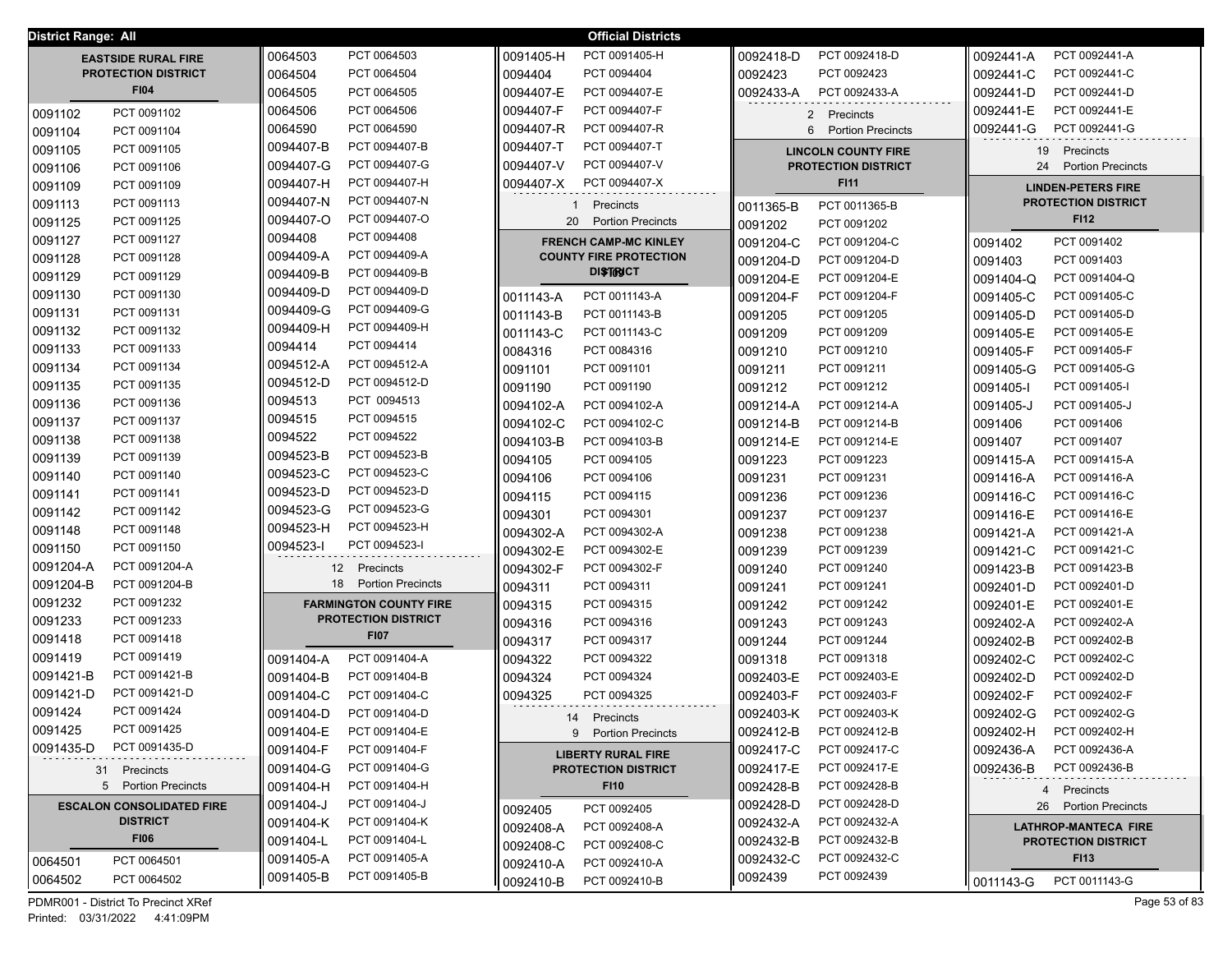|           | <b>District Range: All</b><br><b>Official Districts</b> |                                           |                                |                                             |                                |  |  |  |
|-----------|---------------------------------------------------------|-------------------------------------------|--------------------------------|---------------------------------------------|--------------------------------|--|--|--|
|           | <b>EASTSIDE RURAL FIRE</b>                              | PCT 0064503<br>0064503                    | PCT 0091405-H<br>0091405-H     | 0092418-D<br>PCT 0092418-D                  | PCT 0092441-A<br>0092441-A     |  |  |  |
|           | <b>PROTECTION DISTRICT</b>                              | 0064504<br>PCT 0064504                    | 0094404<br>PCT 0094404         | PCT 0092423<br>0092423                      | PCT 0092441-C<br>0092441-C     |  |  |  |
|           | <b>FI04</b>                                             | 0064505<br>PCT 0064505                    | 0094407-E<br>PCT 0094407-E     | PCT 0092433-A<br>0092433-A                  | PCT 0092441-D<br>0092441-D     |  |  |  |
| 0091102   | PCT 0091102                                             | 0064506<br>PCT 0064506                    | PCT 0094407-F<br>0094407-F     | 2 Precincts                                 | PCT 0092441-E<br>0092441-E     |  |  |  |
| 0091104   | PCT 0091104                                             | PCT 0064590<br>0064590                    | 0094407-R<br>PCT 0094407-R     | 6 Portion Precincts                         | 0092441-G<br>PCT 0092441-G     |  |  |  |
| 0091105   | PCT 0091105                                             | 0094407-B<br>PCT 0094407-B                | 0094407-T<br>PCT 0094407-T     | <b>LINCOLN COUNTY FIRE</b>                  | 19<br>Precincts                |  |  |  |
| 0091106   | PCT 0091106                                             | 0094407-G<br>PCT 0094407-G                | 0094407-V<br>PCT 0094407-V     | <b>PROTECTION DISTRICT</b>                  | 24<br><b>Portion Precincts</b> |  |  |  |
| 0091109   | PCT 0091109                                             | PCT 0094407-H<br>0094407-H                | PCT 0094407-X<br>0094407-X     | <b>FI11</b>                                 | <b>LINDEN-PETERS FIRE</b>      |  |  |  |
| 0091113   | PCT 0091113                                             | PCT 0094407-N<br>0094407-N                | 1 Precincts                    | PCT 0011365-B<br>0011365-B                  | <b>PROTECTION DISTRICT</b>     |  |  |  |
| 0091125   | PCT 0091125                                             | PCT 0094407-O<br>0094407-O                | 20<br><b>Portion Precincts</b> | 0091202<br>PCT 0091202                      | <b>FI12</b>                    |  |  |  |
| 0091127   | PCT 0091127                                             | PCT 0094408<br>0094408                    | <b>FRENCH CAMP-MC KINLEY</b>   | PCT 0091204-C<br>0091204-C                  | PCT 0091402<br>0091402         |  |  |  |
| 0091128   | PCT 0091128                                             | PCT 0094409-A<br>0094409-A                | <b>COUNTY FIRE PROTECTION</b>  | PCT 0091204-D<br>0091204-D                  | 0091403<br>PCT 0091403         |  |  |  |
| 0091129   | PCT 0091129                                             | PCT 0094409-B<br>0094409-B                | <b>DISTIRICT</b>               | PCT 0091204-E<br>0091204-E                  | PCT 0091404-Q<br>0091404-Q     |  |  |  |
| 0091130   | PCT 0091130                                             | PCT 0094409-D<br>0094409-D                | 0011143-A<br>PCT 0011143-A     | PCT 0091204-F<br>0091204-F                  | PCT 0091405-C<br>0091405-C     |  |  |  |
| 0091131   | PCT 0091131                                             | PCT 0094409-G<br>0094409-G                | PCT 0011143-B<br>0011143-B     | 0091205<br>PCT 0091205                      | 0091405-D<br>PCT 0091405-D     |  |  |  |
| 0091132   | PCT 0091132                                             | PCT 0094409-H<br>0094409-H                | PCT 0011143-C<br>0011143-C     | 0091209<br>PCT 0091209                      | PCT 0091405-E<br>0091405-E     |  |  |  |
| 0091133   | PCT 0091133                                             | PCT 0094414<br>0094414                    | PCT 0084316<br>0084316         | PCT 0091210<br>0091210                      | PCT 0091405-F<br>0091405-F     |  |  |  |
| 0091134   | PCT 0091134                                             | PCT 0094512-A<br>0094512-A                | 0091101<br>PCT 0091101         | 0091211<br>PCT 0091211                      | 0091405-G<br>PCT 0091405-G     |  |  |  |
| 0091135   | PCT 0091135                                             | PCT 0094512-D<br>0094512-D                | 0091190<br>PCT 0091190         | PCT 0091212<br>0091212                      | PCT 0091405-I<br>0091405-I     |  |  |  |
| 0091136   | PCT 0091136                                             | PCT 0094513<br>0094513                    | 0094102-A<br>PCT 0094102-A     | PCT 0091214-A<br>0091214-A                  | PCT 0091405-J<br>0091405-J     |  |  |  |
| 0091137   | PCT 0091137                                             | PCT 0094515<br>0094515                    | PCT 0094102-C<br>0094102-C     | PCT 0091214-B<br>0091214-B                  | PCT 0091406<br>0091406         |  |  |  |
| 0091138   | PCT 0091138                                             | PCT 0094522<br>0094522                    | 0094103-B<br>PCT 0094103-B     | PCT 0091214-E<br>0091214-E                  | PCT 0091407<br>0091407         |  |  |  |
| 0091139   | PCT 0091139                                             | PCT 0094523-B<br>0094523-B                | PCT 0094105<br>0094105         | PCT 0091223<br>0091223                      | PCT 0091415-A<br>0091415-A     |  |  |  |
| 0091140   | PCT 0091140                                             | PCT 0094523-C<br>0094523-C                | PCT 0094106<br>0094106         | PCT 0091231<br>0091231                      | PCT 0091416-A<br>0091416-A     |  |  |  |
| 0091141   | PCT 0091141                                             | PCT 0094523-D<br>0094523-D                | 0094115<br>PCT 0094115         | PCT 0091236<br>0091236                      | PCT 0091416-C<br>0091416-C     |  |  |  |
| 0091142   | PCT 0091142                                             | PCT 0094523-G<br>0094523-G                | 0094301<br>PCT 0094301         | PCT 0091237<br>0091237                      | PCT 0091416-E<br>0091416-E     |  |  |  |
| 0091148   | PCT 0091148                                             | PCT 0094523-H<br>0094523-H                | 0094302-A<br>PCT 0094302-A     | 0091238<br>PCT 0091238                      | 0091421-A<br>PCT 0091421-A     |  |  |  |
| 0091150   | PCT 0091150                                             | PCT 0094523-I<br>0094523-I                | 0094302-E<br>PCT 0094302-E     | 0091239<br>PCT 0091239                      | 0091421-C<br>PCT 0091421-C     |  |  |  |
| 0091204-A | PCT 0091204-A                                           | 12<br>Precincts                           | 0094302-F<br>PCT 0094302-F     | 0091240<br>PCT 0091240                      | 0091423-B<br>PCT 0091423-B     |  |  |  |
| 0091204-B | PCT 0091204-B                                           | 18<br><b>Portion Precincts</b>            | 0094311<br>PCT 0094311         | 0091241<br>PCT 0091241                      | PCT 0092401-D<br>0092401-D     |  |  |  |
| 0091232   | PCT 0091232                                             | <b>FARMINGTON COUNTY FIRE</b>             | 0094315<br>PCT 0094315         | 0091242<br>PCT 0091242                      | PCT 0092401-E<br>0092401-E     |  |  |  |
| 0091233   | PCT 0091233                                             | <b>PROTECTION DISTRICT</b><br><b>FI07</b> | 0094316<br>PCT 0094316         | 0091243<br>PCT 0091243                      | PCT 0092402-A<br>0092402-A     |  |  |  |
| 0091418   | PCT 0091418                                             |                                           | 0094317<br>PCT 0094317         | 0091244<br>PCT 0091244                      | PCT 0092402-B<br>0092402-B     |  |  |  |
| 0091419   | PCT 0091419                                             | PCT 0091404-A<br>0091404-A                | PCT 0094322<br>0094322         | PCT 0091318<br>0091318                      | PCT 0092402-C<br>0092402-C     |  |  |  |
| 0091421-B | PCT 0091421-B                                           | 0091404-B<br>PCT 0091404-B                | PCT 0094324<br>0094324         | PCT 0092403-E<br>0092403-E                  | PCT 0092402-D<br>0092402-D     |  |  |  |
| 0091421-D | PCT 0091421-D                                           | PCT 0091404-C<br>0091404-C                | PCT 0094325<br>0094325         | PCT 0092403-F<br>0092403-F                  | PCT 0092402-F<br>0092402-F     |  |  |  |
| 0091424   | PCT 0091424                                             | PCT 0091404-D<br>0091404-D                | 14 Precincts                   | PCT 0092403-K<br>0092403-K                  | PCT 0092402-G<br>0092402-G     |  |  |  |
| 0091425   | PCT 0091425<br>0091435-D PCT 0091435-D                  | PCT 0091404-E<br>0091404-E                | 9 Portion Precincts            | PCT 0092412-B<br>0092412-B                  | PCT 0092402-H<br>0092402-H     |  |  |  |
|           |                                                         | 0091404-F<br>PCT 0091404-F                | <b>LIBERTY RURAL FIRE</b>      | PCT 0092417-C<br>0092417-C                  | 0092436-A<br>PCT 0092436-A     |  |  |  |
|           | 31 Precincts                                            | 0091404-G<br>PCT 0091404-G                | <b>PROTECTION DISTRICT</b>     | 0092417-E<br>PCT 0092417-E                  | 0092436-B<br>PCT 0092436-B     |  |  |  |
|           | 5 Portion Precincts                                     | 0091404-H<br>PCT 0091404-H                | <b>FI10</b>                    | 0092428-B<br>PCT 0092428-B                  | 4 Precincts                    |  |  |  |
|           | <b>ESCALON CONSOLIDATED FIRE</b><br><b>DISTRICT</b>     | 0091404-J<br>PCT 0091404-J                | PCT 0092405<br>0092405         | 0092428-D<br>PCT 0092428-D                  | 26 Portion Precincts           |  |  |  |
|           | <b>FI06</b>                                             | 0091404-K<br>PCT 0091404-K<br>0091404-L   | PCT 0092408-A<br>0092408-A     | 0092432-A<br>PCT 0092432-A<br>PCT 0092432-B | <b>LATHROP-MANTECA FIRE</b>    |  |  |  |
|           |                                                         | PCT 0091404-L<br>PCT 0091405-A            | PCT 0092408-C<br>0092408-C     | 0092432-B<br>PCT 0092432-C                  | <b>PROTECTION DISTRICT</b>     |  |  |  |
| 0064501   | PCT 0064501                                             | 0091405-A<br>PCT 0091405-B                | PCT 0092410-A<br>0092410-A     | 0092432-C                                   | <b>FI13</b>                    |  |  |  |
| 0064502   | PCT 0064502                                             | 0091405-B                                 | PCT 0092410-B<br>0092410-B     | 0092439<br>PCT 0092439                      | PCT 0011143-G<br>0011143-G     |  |  |  |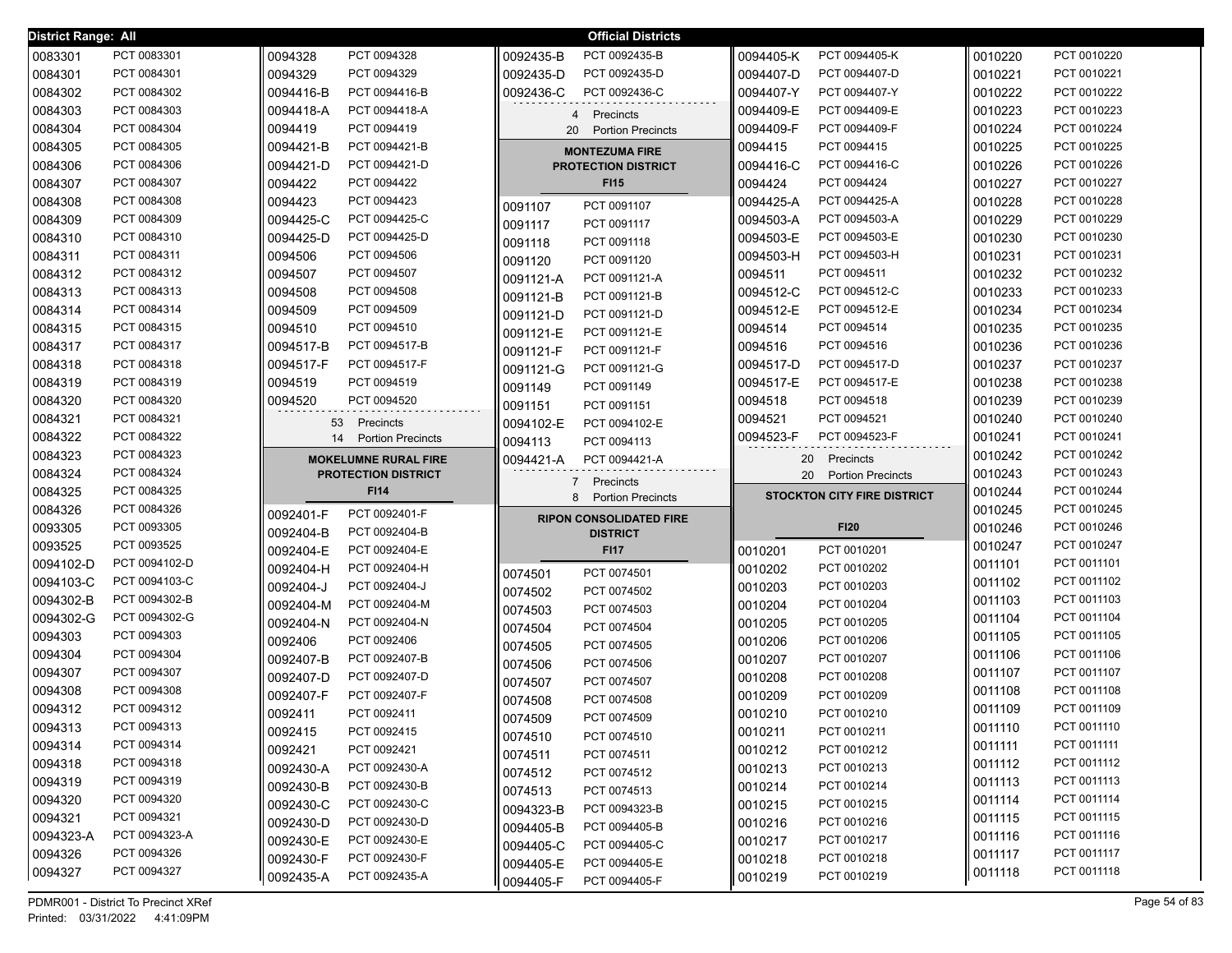| <b>District Range: All</b> |                            |                                | <b>Official Districts</b>                         |                                    |                    |                            |
|----------------------------|----------------------------|--------------------------------|---------------------------------------------------|------------------------------------|--------------------|----------------------------|
| 0083301                    | PCT 0083301                | 0094328<br>PCT 0094328         | 0092435-B<br>PCT 0092435-B                        | PCT 0094405-K<br>0094405-K         | 0010220            | PCT 0010220                |
| 0084301                    | PCT 0084301                | PCT 0094329<br>0094329         | PCT 0092435-D<br>0092435-D                        | PCT 0094407-D<br>0094407-D         | 0010221            | PCT 0010221                |
| 0084302                    | PCT 0084302                | 0094416-B<br>PCT 0094416-B     | 0092436-C<br>PCT 0092436-C                        | 0094407-Y<br>PCT 0094407-Y         | 0010222            | PCT 0010222                |
| 0084303                    | PCT 0084303                | PCT 0094418-A<br>0094418-A     | 4<br>Precincts                                    | 0094409-E<br>PCT 0094409-E         | 0010223            | PCT 0010223                |
| 0084304                    | PCT 0084304                | 0094419<br>PCT 0094419         | 20<br><b>Portion Precincts</b>                    | 0094409-F<br>PCT 0094409-F         | 0010224            | PCT 0010224                |
| 0084305                    | PCT 0084305                | 0094421-B<br>PCT 0094421-B     | <b>MONTEZUMA FIRE</b>                             | 0094415<br>PCT 0094415             | 0010225            | PCT 0010225                |
| 0084306                    | PCT 0084306                | 0094421-D<br>PCT 0094421-D     | <b>PROTECTION DISTRICT</b>                        | 0094416-C<br>PCT 0094416-C         | 0010226            | PCT 0010226                |
| 0084307                    | PCT 0084307                | PCT 0094422<br>0094422         | <b>FI15</b>                                       | PCT 0094424<br>0094424             | 0010227            | PCT 0010227                |
| 0084308                    | PCT 0084308                | PCT 0094423<br>0094423         | PCT 0091107<br>0091107                            | PCT 0094425-A<br>0094425-A         | 0010228            | PCT 0010228                |
| 0084309                    | PCT 0084309                | PCT 0094425-C<br>0094425-C     | PCT 0091117<br>0091117                            | PCT 0094503-A<br>0094503-A         | 0010229            | PCT 0010229                |
| 0084310                    | PCT 0084310                | PCT 0094425-D<br>0094425-D     | PCT 0091118<br>0091118                            | PCT 0094503-E<br>0094503-E         | 0010230            | PCT 0010230                |
| 0084311                    | PCT 0084311                | PCT 0094506<br>0094506         | 0091120<br>PCT 0091120                            | PCT 0094503-H<br>0094503-H         | 0010231            | PCT 0010231                |
| 0084312                    | PCT 0084312                | PCT 0094507<br>0094507         | 0091121-A<br>PCT 0091121-A                        | PCT 0094511<br>0094511             | 0010232            | PCT 0010232                |
| 0084313                    | PCT 0084313                | PCT 0094508<br>0094508         | PCT 0091121-B<br>0091121-B                        | PCT 0094512-C<br>0094512-C         | 0010233            | PCT 0010233                |
| 0084314                    | PCT 0084314                | PCT 0094509<br>0094509         | 0091121-D<br>PCT 0091121-D                        | PCT 0094512-E<br>0094512-E         | 0010234            | PCT 0010234                |
| 0084315                    | PCT 0084315                | PCT 0094510<br>0094510         | 0091121-E<br>PCT 0091121-E                        | PCT 0094514<br>0094514             | 0010235            | PCT 0010235                |
| 0084317                    | PCT 0084317                | PCT 0094517-B<br>0094517-B     | PCT 0091121-F<br>0091121-F                        | PCT 0094516<br>0094516             | 0010236            | PCT 0010236                |
| 0084318                    | PCT 0084318                | PCT 0094517-F<br>0094517-F     | 0091121-G<br>PCT 0091121-G                        | PCT 0094517-D<br>0094517-D         | 0010237            | PCT 0010237                |
| 0084319                    | PCT 0084319                | 0094519<br>PCT 0094519         | PCT 0091149<br>0091149                            | 0094517-E<br>PCT 0094517-E         | 0010238            | PCT 0010238                |
| 0084320                    | PCT 0084320                | 0094520<br>PCT 0094520         | PCT 0091151<br>0091151                            | PCT 0094518<br>0094518             | 0010239            | PCT 0010239                |
| 0084321                    | PCT 0084321                | 53 Precincts                   | PCT 0094102-E<br>0094102-E                        | PCT 0094521<br>0094521             | 0010240            | PCT 0010240                |
| 0084322                    | PCT 0084322                | <b>Portion Precincts</b><br>14 | PCT 0094113<br>0094113                            | 0094523-F<br>PCT 0094523-F         | 0010241            | PCT 0010241                |
|                            |                            |                                |                                                   |                                    |                    |                            |
| 0084323                    | PCT 0084323                | <b>MOKELUMNE RURAL FIRE</b>    | PCT 0094421-A                                     | Precincts<br>20                    | 0010242            | PCT 0010242                |
| 0084324                    | PCT 0084324                | <b>PROTECTION DISTRICT</b>     | 0094421-A                                         | <b>Portion Precincts</b><br>20     | 0010243            | PCT 0010243                |
| 0084325                    | PCT 0084325                | <b>FI14</b>                    | $\overline{7}$<br>Precincts                       | <b>STOCKTON CITY FIRE DISTRICT</b> | 0010244            | PCT 0010244                |
| 0084326                    | PCT 0084326                | 0092401-F<br>PCT 0092401-F     | 8<br><b>Portion Precincts</b>                     |                                    | 0010245            | PCT 0010245                |
| 0093305                    | PCT 0093305                | PCT 0092404-B<br>0092404-B     | <b>RIPON CONSOLIDATED FIRE</b><br><b>DISTRICT</b> | <b>FI20</b>                        | 0010246            | PCT 0010246                |
| 0093525                    | PCT 0093525                | PCT 0092404-E<br>0092404-E     | <b>FI17</b>                                       | 0010201<br>PCT 0010201             | 0010247            | PCT 0010247                |
| 0094102-D                  | PCT 0094102-D              | 0092404-H<br>PCT 0092404-H     |                                                   | 0010202<br>PCT 0010202             | 0011101            | PCT 0011101                |
| 0094103-C                  | PCT 0094103-C              | 0092404-J<br>PCT 0092404-J     | 0074501<br>PCT 0074501                            | PCT 0010203<br>0010203             | 0011102            | PCT 0011102                |
| 0094302-B                  | PCT 0094302-B              | 0092404-M<br>PCT 0092404-M     | PCT 0074502<br>0074502                            | PCT 0010204<br>0010204             | 0011103            | PCT 0011103                |
| 0094302-G                  | PCT 0094302-G              | 0092404-N<br>PCT 0092404-N     | PCT 0074503<br>0074503                            | 0010205<br>PCT 0010205             | 0011104            | PCT 0011104                |
| 0094303                    | PCT 0094303                | 0092406<br>PCT 0092406         | PCT 0074504<br>0074504                            | PCT 0010206<br>0010206             | 0011105            | PCT 0011105                |
| 0094304                    | PCT 0094304                | PCT 0092407-B<br>0092407-B     | PCT 0074505<br>0074505                            | PCT 0010207<br>0010207             | 0011106            | PCT 0011106                |
| 0094307                    | PCT 0094307                | PCT 0092407-D<br>0092407-D     | PCT 0074506<br>0074506                            | PCT 0010208<br>0010208             | 0011107            | PCT 0011107                |
| 0094308                    | PCT 0094308                | PCT 0092407-F<br>0092407-F     | PCT 0074507<br>0074507                            | PCT 0010209<br>0010209             | 0011108            | PCT 0011108                |
| 0094312                    | PCT 0094312                | PCT 0092411<br>0092411         | 0074508<br>PCT 0074508                            | 0010210<br>PCT 0010210             | 0011109            | PCT 0011109                |
| 0094313                    | PCT 0094313                | PCT 0092415<br>0092415         | 0074509<br>PCT 0074509                            | PCT 0010211<br>0010211             | 0011110            | PCT 0011110                |
| 0094314                    | PCT 0094314                | PCT 0092421<br>0092421         | 0074510<br>PCT 0074510                            | PCT 0010212<br>0010212             | 0011111            | PCT 0011111                |
| 0094318                    | PCT 0094318                | PCT 0092430-A<br>0092430-A     | 0074511<br>PCT 0074511                            | 0010213<br>PCT 0010213             | 0011112            | PCT 0011112                |
| 0094319                    | PCT 0094319                | 0092430-B<br>PCT 0092430-B     | 0074512<br>PCT 0074512                            | PCT 0010214<br>0010214             | 0011113            | PCT 0011113                |
| 0094320                    | PCT 0094320                | 0092430-C<br>PCT 0092430-C     | 0074513<br>PCT 0074513                            | PCT 0010215<br>0010215             | 0011114            | PCT 0011114                |
| 0094321                    | PCT 0094321                | 0092430-D<br>PCT 0092430-D     | 0094323-B<br>PCT 0094323-B                        | PCT 0010216<br>0010216             | 0011115            | PCT 0011115                |
| 0094323-A                  | PCT 0094323-A              | 0092430-E<br>PCT 0092430-E     | PCT 0094405-B<br>0094405-B<br>PCT 0094405-C       | PCT 0010217<br>0010217             | 0011116            | PCT 0011116                |
| 0094326<br>0094327         | PCT 0094326<br>PCT 0094327 | 0092430-F<br>PCT 0092430-F     | 0094405-C<br>0094405-E<br>PCT 0094405-E           | PCT 0010218<br>0010218             | 0011117<br>0011118 | PCT 0011117<br>PCT 0011118 |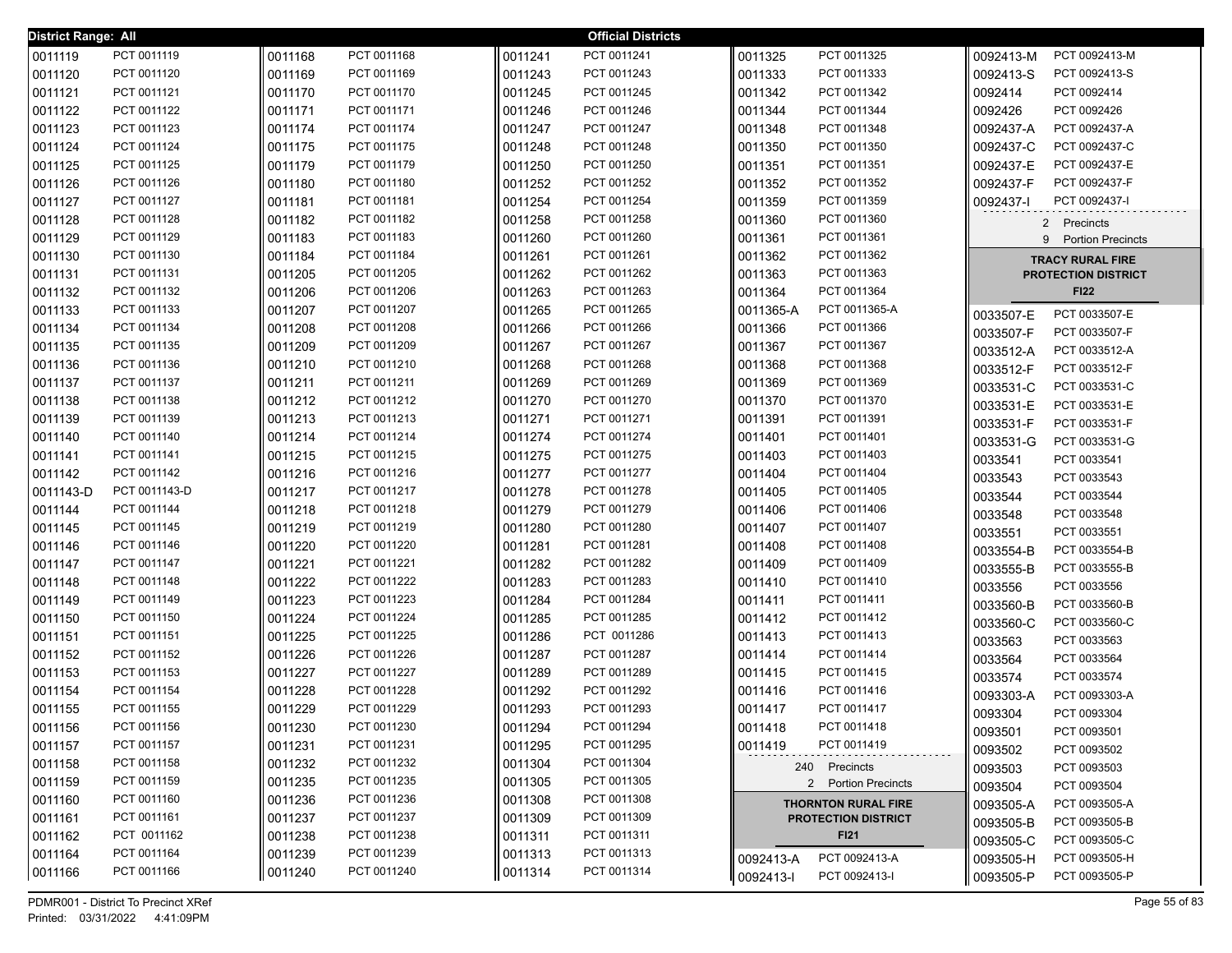| <b>District Range: All</b> |               |         |             |         | <b>Official Districts</b> |           |                            |           |                            |
|----------------------------|---------------|---------|-------------|---------|---------------------------|-----------|----------------------------|-----------|----------------------------|
| 0011119                    | PCT 0011119   | 0011168 | PCT 0011168 | 0011241 | PCT 0011241               | 0011325   | PCT 0011325                | 0092413-M | PCT 0092413-M              |
| 0011120                    | PCT 0011120   | 0011169 | PCT 0011169 | 0011243 | PCT 0011243               | 0011333   | PCT 0011333                | 0092413-S | PCT 0092413-S              |
| 0011121                    | PCT 0011121   | 0011170 | PCT 0011170 | 0011245 | PCT 0011245               | 0011342   | PCT 0011342                | 0092414   | PCT 0092414                |
| 0011122                    | PCT 0011122   | 0011171 | PCT 0011171 | 0011246 | PCT 0011246               | 0011344   | PCT 0011344                | 0092426   | PCT 0092426                |
| 0011123                    | PCT 0011123   | 0011174 | PCT 0011174 | 0011247 | PCT 0011247               | 0011348   | PCT 0011348                | 0092437-A | PCT 0092437-A              |
| 0011124                    | PCT 0011124   | 0011175 | PCT 0011175 | 0011248 | PCT 0011248               | 0011350   | PCT 0011350                | 0092437-C | PCT 0092437-C              |
| 0011125                    | PCT 0011125   | 0011179 | PCT 0011179 | 0011250 | PCT 0011250               | 0011351   | PCT 0011351                | 0092437-E | PCT 0092437-E              |
| 0011126                    | PCT 0011126   | 0011180 | PCT 0011180 | 0011252 | PCT 0011252               | 0011352   | PCT 0011352                | 0092437-F | PCT 0092437-F              |
| 0011127                    | PCT 0011127   | 0011181 | PCT 0011181 | 0011254 | PCT 0011254               | 0011359   | PCT 0011359                | 0092437-1 | PCT 0092437-I              |
| 0011128                    | PCT 0011128   | 0011182 | PCT 0011182 | 0011258 | PCT 0011258               | 0011360   | PCT 0011360                |           | 2 Precincts                |
| 0011129                    | PCT 0011129   | 0011183 | PCT 0011183 | 0011260 | PCT 0011260               | 0011361   | PCT 0011361                |           | 9 Portion Precincts        |
| 0011130                    | PCT 0011130   | 0011184 | PCT 0011184 | 0011261 | PCT 0011261               | 0011362   | PCT 0011362                |           | <b>TRACY RURAL FIRE</b>    |
| 0011131                    | PCT 0011131   | 0011205 | PCT 0011205 | 0011262 | PCT 0011262               | 0011363   | PCT 0011363                |           | <b>PROTECTION DISTRICT</b> |
| 0011132                    | PCT 0011132   | 0011206 | PCT 0011206 | 0011263 | PCT 0011263               | 0011364   | PCT 0011364                |           | <b>FI22</b>                |
| 0011133                    | PCT 0011133   | 0011207 | PCT 0011207 | 0011265 | PCT 0011265               | 0011365-A | PCT 0011365-A              | 0033507-E | PCT 0033507-E              |
| 0011134                    | PCT 0011134   | 0011208 | PCT 0011208 | 0011266 | PCT 0011266               | 0011366   | PCT 0011366                | 0033507-F | PCT 0033507-F              |
| 0011135                    | PCT 0011135   | 0011209 | PCT 0011209 | 0011267 | PCT 0011267               | 0011367   | PCT 0011367                | 0033512-A | PCT 0033512-A              |
| 0011136                    | PCT 0011136   | 0011210 | PCT 0011210 | 0011268 | PCT 0011268               | 0011368   | PCT 0011368                | 0033512-F | PCT 0033512-F              |
| 0011137                    | PCT 0011137   | 0011211 | PCT 0011211 | 0011269 | PCT 0011269               | 0011369   | PCT 0011369                | 0033531-C | PCT 0033531-C              |
| 0011138                    | PCT 0011138   | 0011212 | PCT 0011212 | 0011270 | PCT 0011270               | 0011370   | PCT 0011370                | 0033531-E | PCT 0033531-E              |
| 0011139                    | PCT 0011139   | 0011213 | PCT 0011213 | 0011271 | PCT 0011271               | 0011391   | PCT 0011391                | 0033531-F | PCT 0033531-F              |
| 0011140                    | PCT 0011140   | 0011214 | PCT 0011214 | 0011274 | PCT 0011274               | 0011401   | PCT 0011401                | 0033531-G | PCT 0033531-G              |
| 0011141                    | PCT 0011141   | 0011215 | PCT 0011215 | 0011275 | PCT 0011275               | 0011403   | PCT 0011403                | 0033541   | PCT 0033541                |
| 0011142                    | PCT 0011142   | 0011216 | PCT 0011216 | 0011277 | PCT 0011277               | 0011404   | PCT 0011404                | 0033543   | PCT 0033543                |
| 0011143-D                  | PCT 0011143-D | 0011217 | PCT 0011217 | 0011278 | PCT 0011278               | 0011405   | PCT 0011405                | 0033544   | PCT 0033544                |
| 0011144                    | PCT 0011144   | 0011218 | PCT 0011218 | 0011279 | PCT 0011279               | 0011406   | PCT 0011406                | 0033548   | PCT 0033548                |
| 0011145                    | PCT 0011145   | 0011219 | PCT 0011219 | 0011280 | PCT 0011280               | 0011407   | PCT 0011407                | 0033551   | PCT 0033551                |
| 0011146                    | PCT 0011146   | 0011220 | PCT 0011220 | 0011281 | PCT 0011281               | 0011408   | PCT 0011408                | 0033554-B | PCT 0033554-B              |
| 0011147                    | PCT 0011147   | 0011221 | PCT 0011221 | 0011282 | PCT 0011282               | 0011409   | PCT 0011409                | 0033555-B | PCT 0033555-B              |
| 0011148                    | PCT 0011148   | 0011222 | PCT 0011222 | 0011283 | PCT 0011283               | 0011410   | PCT 0011410                | 0033556   | PCT 0033556                |
| 0011149                    | PCT 0011149   | 0011223 | PCT 0011223 | 0011284 | PCT 0011284               | 0011411   | PCT 0011411                | 0033560-B | PCT 0033560-B              |
| 0011150                    | PCT 0011150   | 0011224 | PCT 0011224 | 0011285 | PCT 0011285               | 0011412   | PCT 0011412                | 0033560-C | PCT 0033560-C              |
| 0011151                    | PCT 0011151   | 0011225 | PCT 0011225 | 0011286 | PCT 0011286               | 0011413   | PCT 0011413                | 0033563   | PCT 0033563                |
| 0011152                    | PCT 0011152   | 0011226 | PCT 0011226 | 0011287 | PCT 0011287               | 0011414   | PCT 0011414                | 0033564   | PCT 0033564                |
| 0011153                    | PCT 0011153   | 0011227 | PCT 0011227 | 0011289 | PCT 0011289               | 0011415   | PCT 0011415                | 0033574   | PCT 0033574                |
| 0011154                    | PCT 0011154   | 0011228 | PCT 0011228 | 0011292 | PCT 0011292               | 0011416   | PCT 0011416                | 0093303-A | PCT 0093303-A              |
| 0011155                    | PCT 0011155   | 0011229 | PCT 0011229 | 0011293 | PCT 0011293               | 0011417   | PCT 0011417                | 0093304   | PCT 0093304                |
| 0011156                    | PCT 0011156   | 0011230 | PCT 0011230 | 0011294 | PCT 0011294               | 0011418   | PCT 0011418                | 0093501   | PCT 0093501                |
| 0011157                    | PCT 0011157   | 0011231 | PCT 0011231 | 0011295 | PCT 0011295               | 0011419   | PCT 0011419                | 0093502   | PCT 0093502                |
| 0011158                    | PCT 0011158   | 0011232 | PCT 0011232 | 0011304 | PCT 0011304               |           | 240 Precincts              | 0093503   | PCT 0093503                |
| 0011159                    | PCT 0011159   | 0011235 | PCT 0011235 | 0011305 | PCT 0011305               |           | 2 Portion Precincts        | 0093504   | PCT 0093504                |
| 0011160                    | PCT 0011160   | 0011236 | PCT 0011236 | 0011308 | PCT 0011308               |           | <b>THORNTON RURAL FIRE</b> | 0093505-A | PCT 0093505-A              |
| 0011161                    | PCT 0011161   | 0011237 | PCT 0011237 | 0011309 | PCT 0011309               |           | <b>PROTECTION DISTRICT</b> | 0093505-B | PCT 0093505-B              |
| 0011162                    | PCT 0011162   | 0011238 | PCT 0011238 | 0011311 | PCT 0011311               |           | <b>FI21</b>                | 0093505-C | PCT 0093505-C              |
| 0011164                    | PCT 0011164   | 0011239 | PCT 0011239 | 0011313 | PCT 0011313               | 0092413-A | PCT 0092413-A              | 0093505-H | PCT 0093505-H              |
| 0011166                    | PCT 0011166   | 0011240 | PCT 0011240 | 0011314 | PCT 0011314               | 0092413-I | PCT 0092413-I              | 0093505-P | PCT 0093505-P              |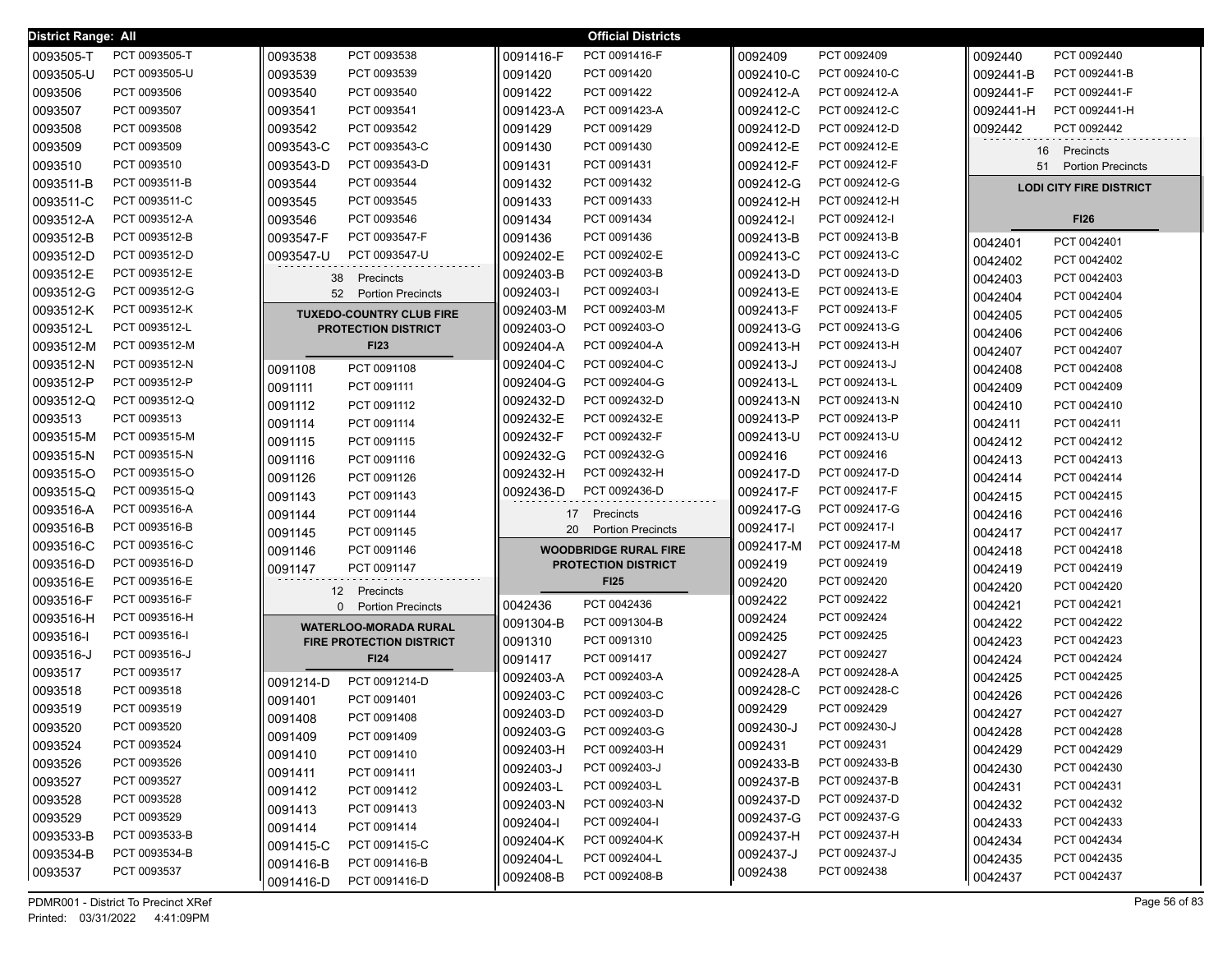| <b>District Range: All</b> |               |                                          |           | <b>Official Districts</b>    |           |               |           |                                |
|----------------------------|---------------|------------------------------------------|-----------|------------------------------|-----------|---------------|-----------|--------------------------------|
| 0093505-T                  | PCT 0093505-T | 0093538<br>PCT 0093538                   | 0091416-F | PCT 0091416-F                | 0092409   | PCT 0092409   | 0092440   | PCT 0092440                    |
| 0093505-U                  | PCT 0093505-U | PCT 0093539<br>0093539                   | 0091420   | PCT 0091420                  | 0092410-C | PCT 0092410-C | 0092441-B | PCT 0092441-B                  |
| 0093506                    | PCT 0093506   | PCT 0093540<br>0093540                   | 0091422   | PCT 0091422                  | 0092412-A | PCT 0092412-A | 0092441-F | PCT 0092441-F                  |
| 0093507                    | PCT 0093507   | PCT 0093541<br>0093541                   | 0091423-A | PCT 0091423-A                | 0092412-C | PCT 0092412-C | 0092441-H | PCT 0092441-H                  |
| 0093508                    | PCT 0093508   | PCT 0093542<br>0093542                   | 0091429   | PCT 0091429                  | 0092412-D | PCT 0092412-D | 0092442   | PCT 0092442                    |
| 0093509                    | PCT 0093509   | PCT 0093543-C<br>0093543-C               | 0091430   | PCT 0091430                  | 0092412-E | PCT 0092412-E | 16        | Precincts                      |
| 0093510                    | PCT 0093510   | 0093543-D<br>PCT 0093543-D               | 0091431   | PCT 0091431                  | 0092412-F | PCT 0092412-F | 51        | <b>Portion Precincts</b>       |
| 0093511-B                  | PCT 0093511-B | PCT 0093544<br>0093544                   | 0091432   | PCT 0091432                  | 0092412-G | PCT 0092412-G |           | <b>LODI CITY FIRE DISTRICT</b> |
| 0093511-C                  | PCT 0093511-C | PCT 0093545<br>0093545                   | 0091433   | PCT 0091433                  | 0092412-H | PCT 0092412-H |           |                                |
| 0093512-A                  | PCT 0093512-A | PCT 0093546<br>0093546                   | 0091434   | PCT 0091434                  | 0092412-I | PCT 0092412-I |           | <b>FI26</b>                    |
| 0093512-B                  | PCT 0093512-B | PCT 0093547-F<br>0093547-F               | 0091436   | PCT 0091436                  | 0092413-B | PCT 0092413-B | 0042401   | PCT 0042401                    |
| 0093512-D                  | PCT 0093512-D | PCT 0093547-U<br>0093547-U               | 0092402-E | PCT 0092402-E                | 0092413-C | PCT 0092413-C | 0042402   | PCT 0042402                    |
| 0093512-E                  | PCT 0093512-E | Precincts<br>38                          | 0092403-B | PCT 0092403-B                | 0092413-D | PCT 0092413-D | 0042403   | PCT 0042403                    |
| 0093512-G                  | PCT 0093512-G | 52<br><b>Portion Precincts</b>           | 0092403-I | PCT 0092403-I                | 0092413-E | PCT 0092413-E | 0042404   | PCT 0042404                    |
| 0093512-K                  | PCT 0093512-K | <b>TUXEDO-COUNTRY CLUB FIRE</b>          | 0092403-M | PCT 0092403-M                | 0092413-F | PCT 0092413-F | 0042405   | PCT 0042405                    |
| 0093512-L                  | PCT 0093512-L | <b>PROTECTION DISTRICT</b>               | 0092403-O | PCT 0092403-O                | 0092413-G | PCT 0092413-G | 0042406   | PCT 0042406                    |
| 0093512-M                  | PCT 0093512-M | <b>FI23</b>                              | 0092404-A | PCT 0092404-A                | 0092413-H | PCT 0092413-H | 0042407   | PCT 0042407                    |
| 0093512-N                  | PCT 0093512-N | PCT 0091108<br>0091108                   | 0092404-C | PCT 0092404-C                | 0092413-J | PCT 0092413-J | 0042408   | PCT 0042408                    |
| 0093512-P                  | PCT 0093512-P | 0091111<br>PCT 0091111                   | 0092404-G | PCT 0092404-G                | 0092413-L | PCT 0092413-L | 0042409   | PCT 0042409                    |
| 0093512-Q                  | PCT 0093512-Q | 0091112<br>PCT 0091112                   | 0092432-D | PCT 0092432-D                | 0092413-N | PCT 0092413-N | 0042410   | PCT 0042410                    |
| 0093513                    | PCT 0093513   | PCT 0091114<br>0091114                   | 0092432-E | PCT 0092432-E                | 0092413-P | PCT 0092413-P | 0042411   | PCT 0042411                    |
| 0093515-M                  | PCT 0093515-M | 0091115<br>PCT 0091115                   | 0092432-F | PCT 0092432-F                | 0092413-U | PCT 0092413-U | 0042412   | PCT 0042412                    |
| 0093515-N                  | PCT 0093515-N | 0091116<br>PCT 0091116                   | 0092432-G | PCT 0092432-G                | 0092416   | PCT 0092416   | 0042413   | PCT 0042413                    |
| 0093515-O                  | PCT 0093515-O | PCT 0091126<br>0091126                   | 0092432-H | PCT 0092432-H                | 0092417-D | PCT 0092417-D | 0042414   | PCT 0042414                    |
| 0093515-Q                  | PCT 0093515-Q | 0091143<br>PCT 0091143                   | 0092436-D | PCT 0092436-D                | 0092417-F | PCT 0092417-F | 0042415   | PCT 0042415                    |
| 0093516-A                  | PCT 0093516-A | 0091144<br>PCT 0091144                   |           | 17 Precincts                 | 0092417-G | PCT 0092417-G | 0042416   | PCT 0042416                    |
| 0093516-B                  | PCT 0093516-B | 0091145<br>PCT 0091145                   | 20        | <b>Portion Precincts</b>     | 0092417-I | PCT 0092417-I | 0042417   | PCT 0042417                    |
| 0093516-C                  | PCT 0093516-C | 0091146<br>PCT 0091146                   |           | <b>WOODBRIDGE RURAL FIRE</b> | 0092417-M | PCT 0092417-M | 0042418   | PCT 0042418                    |
| 0093516-D                  | PCT 0093516-D | 0091147<br>PCT 0091147                   |           | <b>PROTECTION DISTRICT</b>   | 0092419   | PCT 0092419   | 0042419   | PCT 0042419                    |
| 0093516-E                  | PCT 0093516-E | 12 Precincts                             |           | <b>FI25</b>                  | 0092420   | PCT 0092420   | 0042420   | PCT 0042420                    |
| 0093516-F                  | PCT 0093516-F | <b>Portion Precincts</b><br>$\mathbf{0}$ | 0042436   | PCT 0042436                  | 0092422   | PCT 0092422   | 0042421   | PCT 0042421                    |
| 0093516-H                  | PCT 0093516-H | <b>WATERLOO-MORADA RURAL</b>             | 0091304-B | PCT 0091304-B                | 0092424   | PCT 0092424   | 0042422   | PCT 0042422                    |
| 0093516-I                  | PCT 0093516-I | <b>FIRE PROTECTION DISTRICT</b>          | 0091310   | PCT 0091310                  | 0092425   | PCT 0092425   | 0042423   | PCT 0042423                    |
| 0093516-J                  | PCT 0093516-J | <b>FI24</b>                              | 0091417   | PCT 0091417                  | 0092427   | PCT 0092427   | 0042424   | PCT 0042424                    |
| 0093517                    | PCT 0093517   | PCT 0091214-D<br>0091214-D               | 0092403-A | PCT 0092403-A                | 0092428-A | PCT 0092428-A | 0042425   | PCT 0042425                    |
| 0093518                    | PCT 0093518   | PCT 0091401<br>0091401                   | 0092403-C | PCT 0092403-C                | 0092428-C | PCT 0092428-C | 0042426   | PCT 0042426                    |
| 0093519                    | PCT 0093519   | 0091408<br>PCT 0091408                   | 0092403-D | PCT 0092403-D                | 0092429   | PCT 0092429   | 0042427   | PCT 0042427                    |
| 0093520                    | PCT 0093520   | 0091409<br>PCT 0091409                   | 0092403-G | PCT 0092403-G                | 0092430-J | PCT 0092430-J | 0042428   | PCT 0042428                    |
| 0093524                    | PCT 0093524   | PCT 0091410<br>0091410                   | 0092403-H | PCT 0092403-H                | 0092431   | PCT 0092431   | 0042429   | PCT 0042429                    |
| 0093526                    | PCT 0093526   | PCT 0091411<br>0091411                   | 0092403-J | PCT 0092403-J                | 0092433-B | PCT 0092433-B | 0042430   | PCT 0042430                    |
| 0093527                    | PCT 0093527   | PCT 0091412<br>0091412                   | 0092403-L | PCT 0092403-L                | 0092437-B | PCT 0092437-B | 0042431   | PCT 0042431                    |
| 0093528                    | PCT 0093528   | PCT 0091413<br>0091413                   | 0092403-N | PCT 0092403-N                | 0092437-D | PCT 0092437-D | 0042432   | PCT 0042432                    |
| 0093529                    | PCT 0093529   | PCT 0091414<br>0091414                   | 0092404-I | PCT 0092404-I                | 0092437-G | PCT 0092437-G | 0042433   | PCT 0042433                    |
| 0093533-B                  | PCT 0093533-B | PCT 0091415-C<br>0091415-C               | 0092404-K | PCT 0092404-K                | 0092437-H | PCT 0092437-H | 0042434   | PCT 0042434                    |
| 0093534-B                  | PCT 0093534-B | PCT 0091416-B<br>0091416-B               | 0092404-L | PCT 0092404-L                | 0092437-J | PCT 0092437-J | 0042435   | PCT 0042435                    |
| 0093537                    | PCT 0093537   | PCT 0091416-D<br>0091416-D               | 0092408-B | PCT 0092408-B                | 0092438   | PCT 0092438   | Ⅱ 0042437 | PCT 0042437                    |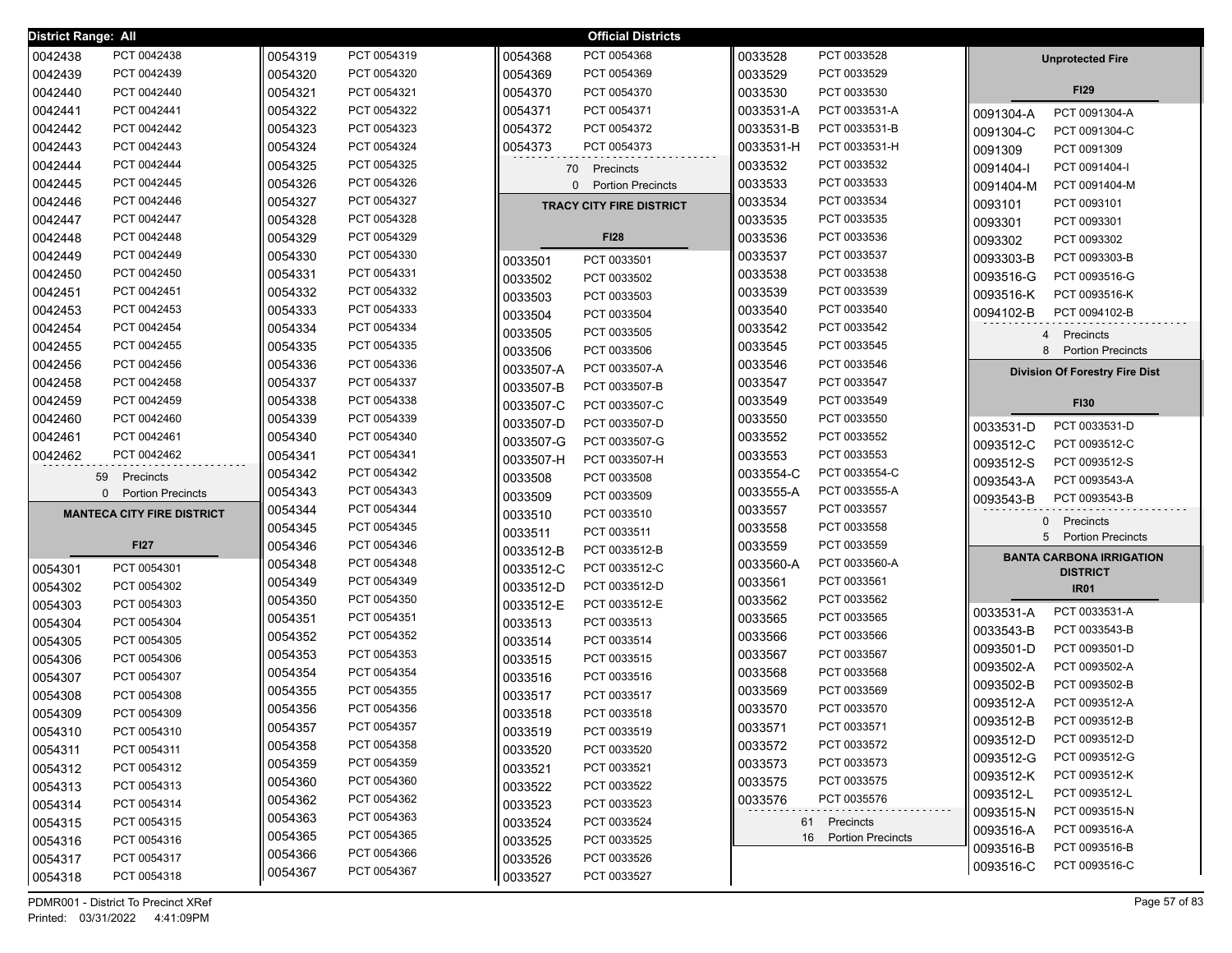| <b>District Range: All</b> |                                      |         |             |           | <b>Official Districts</b>       |           |                      |           |                                       |
|----------------------------|--------------------------------------|---------|-------------|-----------|---------------------------------|-----------|----------------------|-----------|---------------------------------------|
| 0042438                    | PCT 0042438                          | 0054319 | PCT 0054319 | 0054368   | PCT 0054368                     | 0033528   | PCT 0033528          |           | <b>Unprotected Fire</b>               |
| 0042439                    | PCT 0042439                          | 0054320 | PCT 0054320 | 0054369   | PCT 0054369                     | 0033529   | PCT 0033529          |           |                                       |
| 0042440                    | PCT 0042440                          | 0054321 | PCT 0054321 | 0054370   | PCT 0054370                     | 0033530   | PCT 0033530          |           | <b>FI29</b>                           |
| 0042441                    | PCT 0042441                          | 0054322 | PCT 0054322 | 0054371   | PCT 0054371                     | 0033531-A | PCT 0033531-A        | 0091304-A | PCT 0091304-A                         |
| 0042442                    | PCT 0042442                          | 0054323 | PCT 0054323 | 0054372   | PCT 0054372                     | 0033531-B | PCT 0033531-B        | 0091304-C | PCT 0091304-C                         |
| 0042443                    | PCT 0042443                          | 0054324 | PCT 0054324 | 0054373   | PCT 0054373                     | 0033531-H | PCT 0033531-H        | 0091309   | PCT 0091309                           |
| 0042444                    | PCT 0042444                          | 0054325 | PCT 0054325 |           | 70 Precincts                    | 0033532   | PCT 0033532          | 0091404-l | PCT 0091404-I                         |
| 0042445                    | PCT 0042445                          | 0054326 | PCT 0054326 |           | 0 Portion Precincts             | 0033533   | PCT 0033533          | 0091404-M | PCT 0091404-M                         |
| 0042446                    | PCT 0042446                          | 0054327 | PCT 0054327 |           | <b>TRACY CITY FIRE DISTRICT</b> | 0033534   | PCT 0033534          | 0093101   | PCT 0093101                           |
| 0042447                    | PCT 0042447                          | 0054328 | PCT 0054328 |           |                                 | 0033535   | PCT 0033535          | 0093301   | PCT 0093301                           |
| 0042448                    | PCT 0042448                          | 0054329 | PCT 0054329 |           | <b>FI28</b>                     | 0033536   | PCT 0033536          | 0093302   | PCT 0093302                           |
| 0042449                    | PCT 0042449                          | 0054330 | PCT 0054330 | 0033501   | PCT 0033501                     | 0033537   | PCT 0033537          | 0093303-B | PCT 0093303-B                         |
| 0042450                    | PCT 0042450                          | 0054331 | PCT 0054331 | 0033502   | PCT 0033502                     | 0033538   | PCT 0033538          | 0093516-G | PCT 0093516-G                         |
| 0042451                    | PCT 0042451                          | 0054332 | PCT 0054332 | 0033503   | PCT 0033503                     | 0033539   | PCT 0033539          | 0093516-K | PCT 0093516-K                         |
| 0042453                    | PCT 0042453                          | 0054333 | PCT 0054333 | 0033504   | PCT 0033504                     | 0033540   | PCT 0033540          | 0094102-B | PCT 0094102-B                         |
| 0042454                    | PCT 0042454                          | 0054334 | PCT 0054334 | 0033505   | PCT 0033505                     | 0033542   | PCT 0033542          |           | Precincts<br>4                        |
| 0042455                    | PCT 0042455                          | 0054335 | PCT 0054335 | 0033506   | PCT 0033506                     | 0033545   | PCT 0033545          |           | 8 Portion Precincts                   |
| 0042456                    | PCT 0042456                          | 0054336 | PCT 0054336 | 0033507-A | PCT 0033507-A                   | 0033546   | PCT 0033546          |           | <b>Division Of Forestry Fire Dist</b> |
| 0042458                    | PCT 0042458                          | 0054337 | PCT 0054337 | 0033507-B | PCT 0033507-B                   | 0033547   | PCT 0033547          |           |                                       |
| 0042459                    | PCT 0042459                          | 0054338 | PCT 0054338 | 0033507-C | PCT 0033507-C                   | 0033549   | PCT 0033549          |           | <b>FI30</b>                           |
| 0042460                    | PCT 0042460                          | 0054339 | PCT 0054339 | 0033507-D | PCT 0033507-D                   | 0033550   | PCT 0033550          | 0033531-D | PCT 0033531-D                         |
| 0042461                    | PCT 0042461                          | 0054340 | PCT 0054340 | 0033507-G | PCT 0033507-G                   | 0033552   | PCT 0033552          | 0093512-C | PCT 0093512-C                         |
| 0042462                    | PCT 0042462                          | 0054341 | PCT 0054341 | 0033507-H | PCT 0033507-H                   | 0033553   | PCT 0033553          | 0093512-S | PCT 0093512-S                         |
|                            | 59 Precincts                         | 0054342 | PCT 0054342 | 0033508   | PCT 0033508                     | 0033554-C | PCT 0033554-C        | 0093543-A | PCT 0093543-A                         |
|                            | <b>Portion Precincts</b><br>$\Omega$ | 0054343 | PCT 0054343 | 0033509   | PCT 0033509                     | 0033555-A | PCT 0033555-A        | 0093543-B | PCT 0093543-B                         |
|                            | <b>MANTECA CITY FIRE DISTRICT</b>    | 0054344 | PCT 0054344 | 0033510   | PCT 0033510                     | 0033557   | PCT 0033557          |           |                                       |
|                            |                                      | 0054345 | PCT 0054345 | 0033511   | PCT 0033511                     | 0033558   | PCT 0033558          |           | 0 Precincts<br>5 Portion Precincts    |
|                            | <b>FI27</b>                          | 0054346 | PCT 0054346 | 0033512-B | PCT 0033512-B                   | 0033559   | PCT 0033559          |           | <b>BANTA CARBONA IRRIGATION</b>       |
| 0054301                    | PCT 0054301                          | 0054348 | PCT 0054348 | 0033512-C | PCT 0033512-C                   | 0033560-A | PCT 0033560-A        |           | <b>DISTRICT</b>                       |
| 0054302                    | PCT 0054302                          | 0054349 | PCT 0054349 | 0033512-D | PCT 0033512-D                   | 0033561   | PCT 0033561          |           | <b>IR01</b>                           |
| 0054303                    | PCT 0054303                          | 0054350 | PCT 0054350 | 0033512-E | PCT 0033512-E                   | 0033562   | PCT 0033562          | 0033531-A | PCT 0033531-A                         |
| 0054304                    | PCT 0054304                          | 0054351 | PCT 0054351 | 0033513   | PCT 0033513                     | 0033565   | PCT 0033565          | 0033543-B | PCT 0033543-B                         |
| 0054305                    | PCT 0054305                          | 0054352 | PCT 0054352 | 0033514   | PCT 0033514                     | 0033566   | PCT 0033566          | 0093501-D | PCT 0093501-D                         |
| 0054306                    | PCT 0054306                          | 0054353 | PCT 0054353 | 0033515   | PCT 0033515                     | 0033567   | PCT 0033567          | 0093502-A | PCT 0093502-A                         |
| 0054307                    | PCT 0054307                          | 0054354 | PCT 0054354 | 0033516   | PCT 0033516                     | 0033568   | PCT 0033568          | 0093502-B | PCT 0093502-B                         |
| 0054308                    | PCT 0054308                          | 0054355 | PCT 0054355 | 0033517   | PCT 0033517                     | 0033569   | PCT 0033569          | 0093512-A | PCT 0093512-A                         |
| 0054309                    | PCT 0054309                          | 0054356 | PCT 0054356 | 0033518   | PCT 0033518                     | 0033570   | PCT 0033570          | 0093512-B | PCT 0093512-B                         |
| 0054310                    | PCT 0054310                          | 0054357 | PCT 0054357 | 0033519   | PCT 0033519                     | 0033571   | PCT 0033571          | 0093512-D | PCT 0093512-D                         |
| 0054311                    | PCT 0054311                          | 0054358 | PCT 0054358 | 0033520   | PCT 0033520                     | 0033572   | PCT 0033572          | 0093512-G | PCT 0093512-G                         |
| 0054312                    | PCT 0054312                          | 0054359 | PCT 0054359 | 0033521   | PCT 0033521                     | 0033573   | PCT 0033573          | 0093512-K | PCT 0093512-K                         |
| 0054313                    | PCT 0054313                          | 0054360 | PCT 0054360 | 0033522   | PCT 0033522                     | 0033575   | PCT 0033575          | 0093512-L | PCT 0093512-L                         |
| 0054314                    | PCT 0054314                          | 0054362 | PCT 0054362 | 0033523   | PCT 0033523                     | 0033576   | PCT 0035576          | 0093515-N | PCT 0093515-N                         |
| 0054315                    | PCT 0054315                          | 0054363 | PCT 0054363 | 0033524   | PCT 0033524                     |           | 61 Precincts         | 0093516-A | PCT 0093516-A                         |
| 0054316                    | PCT 0054316                          | 0054365 | PCT 0054365 | 0033525   | PCT 0033525                     |           | 16 Portion Precincts | 0093516-B | PCT 0093516-B                         |
| 0054317                    | PCT 0054317                          | 0054366 | PCT 0054366 | 0033526   | PCT 0033526                     |           |                      | 0093516-C | PCT 0093516-C                         |
| 0054318                    | PCT 0054318                          | 0054367 | PCT 0054367 | 0033527   | PCT 0033527                     |           |                      |           |                                       |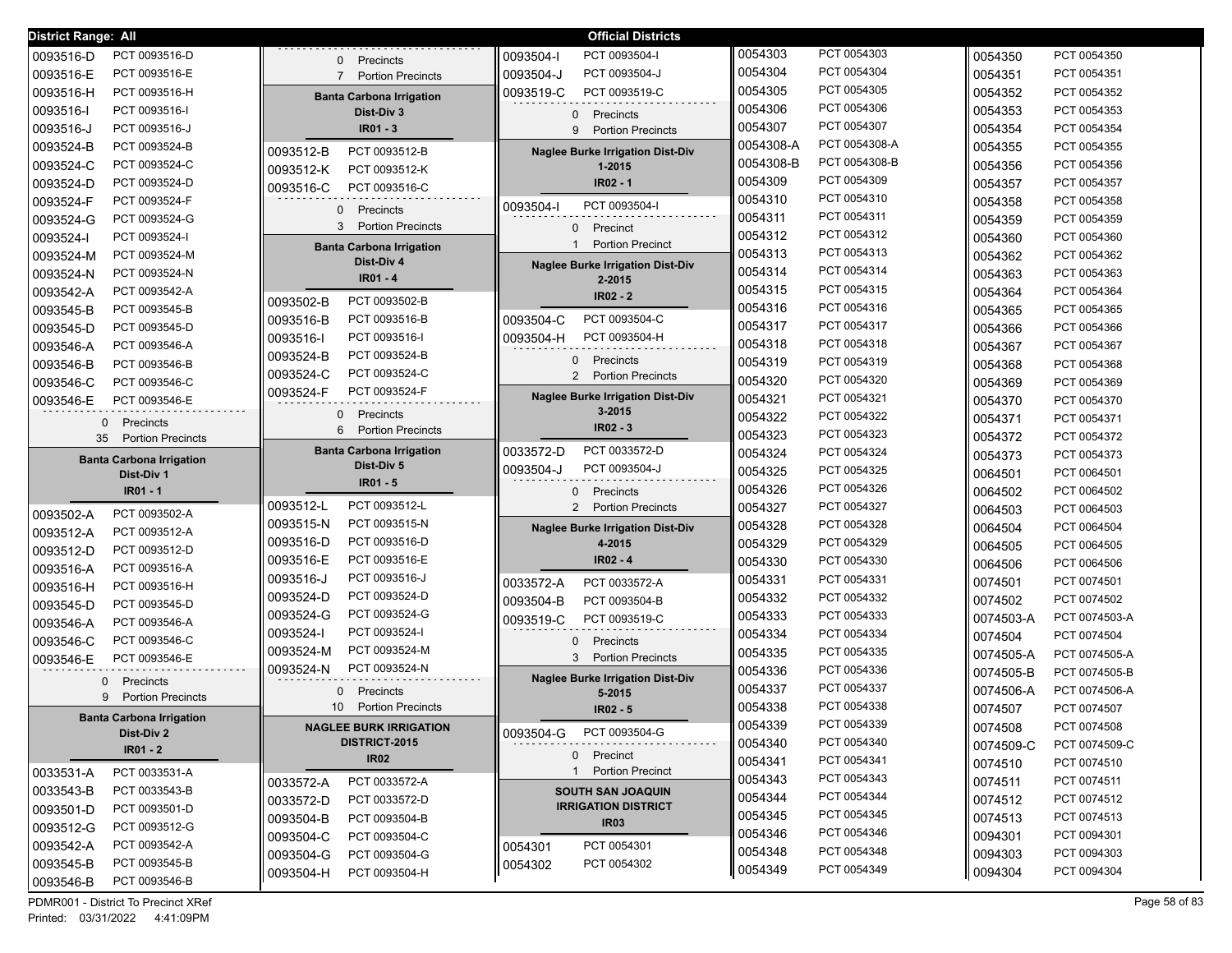| <b>District Range: All</b>                               |                                                            | <b>Official Districts</b>                                |           |               |           |               |
|----------------------------------------------------------|------------------------------------------------------------|----------------------------------------------------------|-----------|---------------|-----------|---------------|
| PCT 0093516-D<br>0093516-D                               | .<br>Precincts<br>$\mathbf{0}$                             | 0093504-l<br>PCT 0093504-I                               | 0054303   | PCT 0054303   | 0054350   | PCT 0054350   |
| 0093516-E<br>PCT 0093516-E                               | <b>Portion Precincts</b><br>$7^{\circ}$                    | PCT 0093504-J<br>0093504-J                               | 0054304   | PCT 0054304   | 0054351   | PCT 0054351   |
| 0093516-H<br>PCT 0093516-H                               | <b>Banta Carbona Irrigation</b>                            | 0093519-C<br>PCT 0093519-C                               | 0054305   | PCT 0054305   | 0054352   | PCT 0054352   |
| 0093516-l<br>PCT 0093516-I                               | Dist-Div 3                                                 | 0 Precincts                                              | 0054306   | PCT 0054306   | 0054353   | PCT 0054353   |
| 0093516-J<br>PCT 0093516-J                               | $IR01 - 3$                                                 | <b>Portion Precincts</b><br>9                            | 0054307   | PCT 0054307   | 0054354   | PCT 0054354   |
| PCT 0093524-B<br>0093524-B                               | PCT 0093512-B<br>0093512-B                                 | <b>Naglee Burke Irrigation Dist-Div</b>                  | 0054308-A | PCT 0054308-A | 0054355   | PCT 0054355   |
| PCT 0093524-C<br>0093524-C                               | PCT 0093512-K<br>0093512-K                                 | 1-2015                                                   | 0054308-B | PCT 0054308-B | 0054356   | PCT 0054356   |
| PCT 0093524-D<br>0093524-D                               | PCT 0093516-C<br>0093516-C                                 | IR02 - 1                                                 | 0054309   | PCT 0054309   | 0054357   | PCT 0054357   |
| PCT 0093524-F<br>0093524-F                               |                                                            | PCT 0093504-I<br>0093504-I                               | 0054310   | PCT 0054310   | 0054358   | PCT 0054358   |
| PCT 0093524-G<br>0093524-G                               | $\mathbf{0}$<br>Precincts<br>3<br><b>Portion Precincts</b> |                                                          | 0054311   | PCT 0054311   | 0054359   | PCT 0054359   |
| PCT 0093524-I<br>0093524-I                               |                                                            | Precinct<br>0<br><b>Portion Precinct</b><br>$\mathbf{1}$ | 0054312   | PCT 0054312   | 0054360   | PCT 0054360   |
| PCT 0093524-M<br>0093524-M                               | <b>Banta Carbona Irrigation</b><br>Dist-Div 4              |                                                          | 0054313   | PCT 0054313   | 0054362   | PCT 0054362   |
| PCT 0093524-N<br>0093524-N                               | $IR01 - 4$                                                 | <b>Naglee Burke Irrigation Dist-Div</b><br>2-2015        | 0054314   | PCT 0054314   | 0054363   | PCT 0054363   |
| 0093542-A<br>PCT 0093542-A                               |                                                            | $IR02 - 2$                                               | 0054315   | PCT 0054315   | 0054364   | PCT 0054364   |
| 0093545-B<br>PCT 0093545-B                               | PCT 0093502-B<br>0093502-B                                 |                                                          | 0054316   | PCT 0054316   | 0054365   | PCT 0054365   |
| 0093545-D<br>PCT 0093545-D                               | PCT 0093516-B<br>0093516-B                                 | PCT 0093504-C<br>0093504-C                               | 0054317   | PCT 0054317   | 0054366   | PCT 0054366   |
| 0093546-A<br>PCT 0093546-A                               | PCT 0093516-I<br>0093516-I                                 | PCT 0093504-H<br>0093504-H                               | 0054318   | PCT 0054318   | 0054367   | PCT 0054367   |
| 0093546-B<br>PCT 0093546-B                               | PCT 0093524-B<br>0093524-B                                 | Precincts<br>0                                           | 0054319   | PCT 0054319   | 0054368   | PCT 0054368   |
| 0093546-C<br>PCT 0093546-C                               | PCT 0093524-C<br>0093524-C                                 | $\overline{2}$<br><b>Portion Precincts</b>               | 0054320   | PCT 0054320   | 0054369   | PCT 0054369   |
| 0093546-E<br>PCT 0093546-E                               | PCT 0093524-F<br>0093524-F                                 | <b>Naglee Burke Irrigation Dist-Div</b>                  | 0054321   | PCT 0054321   | 0054370   | PCT 0054370   |
| Precincts<br>$\Omega$                                    | Precincts<br>$\mathbf{0}$                                  | 3-2015                                                   | 0054322   | PCT 0054322   | 0054371   | PCT 0054371   |
| 35<br><b>Portion Precincts</b>                           | 6<br><b>Portion Precincts</b>                              | $IR02 - 3$                                               | 0054323   | PCT 0054323   | 0054372   | PCT 0054372   |
| <b>Banta Carbona Irrigation</b>                          | <b>Banta Carbona Irrigation</b>                            | 0033572-D<br>PCT 0033572-D                               | 0054324   | PCT 0054324   | 0054373   | PCT 0054373   |
|                                                          |                                                            |                                                          |           |               |           |               |
| Dist-Div 1                                               | Dist-Div 5                                                 | PCT 0093504-J<br>0093504-J                               | 0054325   | PCT 0054325   | 0064501   | PCT 0064501   |
| IR01 - 1                                                 | $IR01 - 5$                                                 | 0 Precincts                                              | 0054326   | PCT 0054326   | 0064502   | PCT 0064502   |
|                                                          | 0093512-L<br>PCT 0093512-L                                 | $\overline{2}$<br><b>Portion Precincts</b>               | 0054327   | PCT 0054327   | 0064503   | PCT 0064503   |
| PCT 0093502-A<br>0093502-A                               | PCT 0093515-N<br>0093515-N                                 | <b>Naglee Burke Irrigation Dist-Div</b>                  | 0054328   | PCT 0054328   | 0064504   | PCT 0064504   |
| 0093512-A<br>PCT 0093512-A                               | 0093516-D<br>PCT 0093516-D                                 | 4-2015                                                   | 0054329   | PCT 0054329   | 0064505   | PCT 0064505   |
| 0093512-D<br>PCT 0093512-D                               | PCT 0093516-E<br>0093516-E                                 | IR02 - 4                                                 | 0054330   | PCT 0054330   | 0064506   | PCT 0064506   |
| 0093516-A<br>PCT 0093516-A<br>PCT 0093516-H              | PCT 0093516-J<br>0093516-J                                 | PCT 0033572-A<br>0033572-A                               | 0054331   | PCT 0054331   | 0074501   | PCT 0074501   |
| 0093516-H                                                | PCT 0093524-D<br>0093524-D                                 | PCT 0093504-B<br>0093504-B                               | 0054332   | PCT 0054332   | 0074502   | PCT 0074502   |
| 0093545-D<br>PCT 0093545-D                               | PCT 0093524-G<br>0093524-G                                 | 0093519-C<br>PCT 0093519-C                               | 0054333   | PCT 0054333   | 0074503-A | PCT 0074503-A |
| 0093546-A<br>PCT 0093546-A<br>PCT 0093546-C              | 0093524-I<br>PCT 0093524-I                                 |                                                          | 0054334   | PCT 0054334   | 0074504   | PCT 0074504   |
| 0093546-C                                                | 0093524-M<br>PCT 0093524-M                                 | 0<br>Precincts<br>3<br><b>Portion Precincts</b>          | 0054335   | PCT 0054335   | 0074505-A | PCT 0074505-A |
| PCT 0093546-E<br>0093546-E                               | 0093524-N<br>PCT 0093524-N                                 |                                                          | 0054336   | PCT 0054336   | 0074505-B | PCT 0074505-B |
| Precincts<br>$\Omega$                                    | Precincts<br>0                                             | <b>Naglee Burke Irrigation Dist-Div</b><br>5-2015        | 0054337   | PCT 0054337   | 0074506-A | PCT 0074506-A |
| <b>Portion Precincts</b><br>9                            | 10 <sup>°</sup><br><b>Portion Precincts</b>                | $IR02 - 5$                                               | 0054338   | PCT 0054338   | 0074507   | PCT 0074507   |
| <b>Banta Carbona Irrigation</b>                          | <b>NAGLEE BURK IRRIGATION</b>                              |                                                          | 0054339   | PCT 0054339   | 0074508   | PCT 0074508   |
| Dist-Div 2                                               | DISTRICT-2015                                              | 0093504-G PCT 0093504-G                                  | 0054340   | PCT 0054340   | 0074509-C | PCT 0074509-C |
| $IR01 - 2$                                               | <b>IR02</b>                                                | 0 Precinct                                               | 0054341   | PCT 0054341   | 0074510   | PCT 0074510   |
| 0033531-A<br>PCT 0033531-A                               | PCT 0033572-A<br>0033572-A                                 | 1 Portion Precinct                                       | 0054343   | PCT 0054343   | 0074511   | PCT 0074511   |
| PCT 0033543-B<br>0033543-B                               | PCT 0033572-D<br>0033572-D                                 | <b>SOUTH SAN JOAQUIN</b>                                 | 0054344   | PCT 0054344   | 0074512   | PCT 0074512   |
| 0093501-D<br>PCT 0093501-D                               | PCT 0093504-B<br>0093504-B                                 | <b>IRRIGATION DISTRICT</b><br><b>IR03</b>                | 0054345   | PCT 0054345   | 0074513   | PCT 0074513   |
| 0093512-G<br>PCT 0093512-G                               | 0093504-C<br>PCT 0093504-C                                 |                                                          | 0054346   | PCT 0054346   | 0094301   | PCT 0094301   |
| 0093542-A<br>PCT 0093542-A                               | 0093504-G<br>PCT 0093504-G                                 | PCT 0054301<br>0054301                                   | 0054348   | PCT 0054348   | 0094303   | PCT 0094303   |
| PCT 0093545-B<br>0093545-B<br>PCT 0093546-B<br>0093546-B | 0093504-H<br>PCT 0093504-H                                 | PCT 0054302<br>0054302                                   | 0054349   | PCT 0054349   | 0094304   | PCT 0094304   |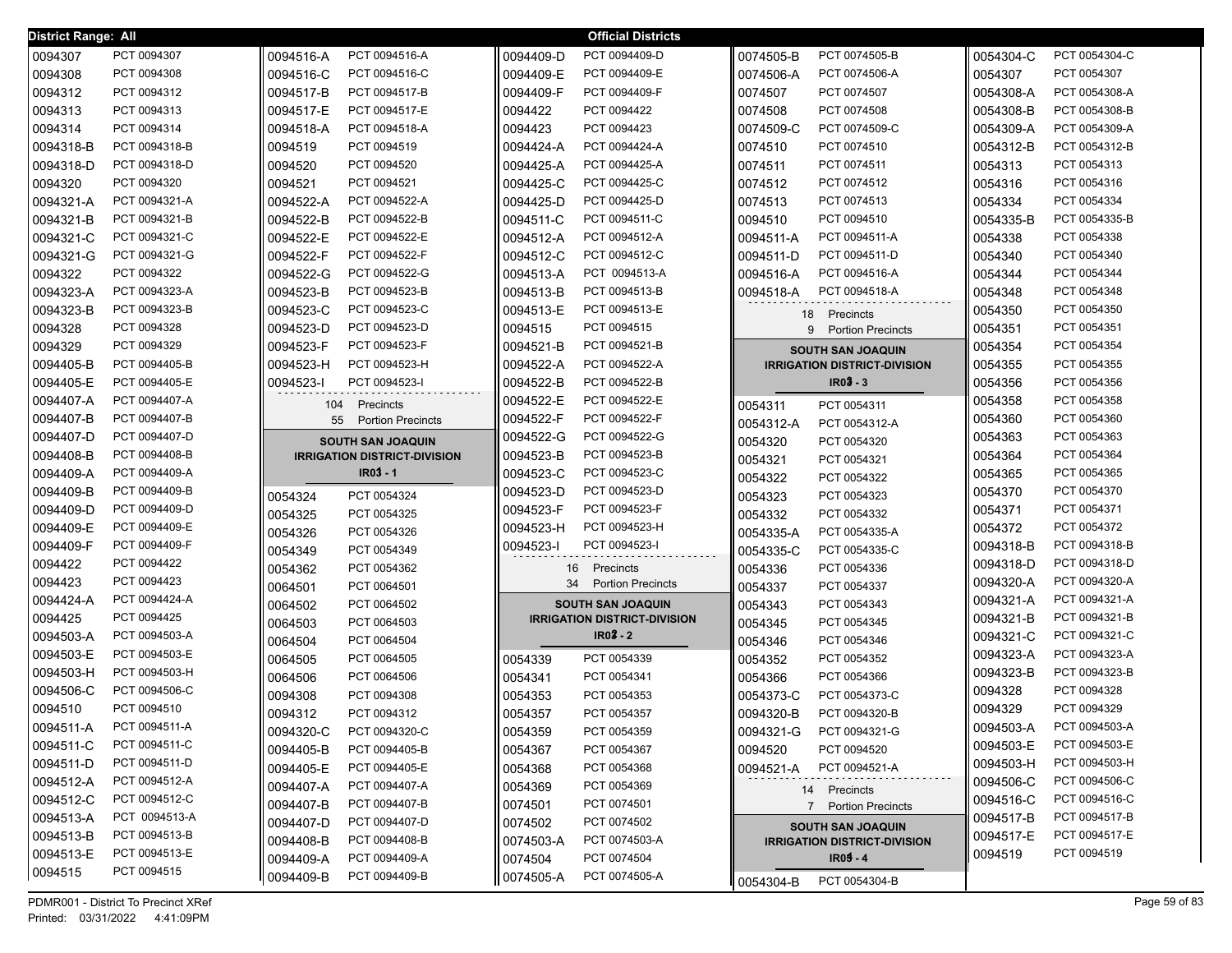| District Range: All |               |                                     | <b>Official Districts</b>           |                                            |           |               |
|---------------------|---------------|-------------------------------------|-------------------------------------|--------------------------------------------|-----------|---------------|
| 0094307             | PCT 0094307   | PCT 0094516-A<br>0094516-A          | 0094409-D<br>PCT 0094409-D          | PCT 0074505-B<br>0074505-B                 | 0054304-C | PCT 0054304-C |
| 0094308             | PCT 0094308   | 0094516-C<br>PCT 0094516-C          | PCT 0094409-E<br>0094409-E          | PCT 0074506-A<br>0074506-A                 | 0054307   | PCT 0054307   |
| 0094312             | PCT 0094312   | 0094517-B<br>PCT 0094517-B          | 0094409-F<br>PCT 0094409-F          | 0074507<br>PCT 0074507                     | 0054308-A | PCT 0054308-A |
| 0094313             | PCT 0094313   | 0094517-E<br>PCT 0094517-E          | 0094422<br>PCT 0094422              | PCT 0074508<br>0074508                     | 0054308-B | PCT 0054308-B |
| 0094314             | PCT 0094314   | 0094518-A<br>PCT 0094518-A          | PCT 0094423<br>0094423              | PCT 0074509-C<br>0074509-C                 | 0054309-A | PCT 0054309-A |
| 0094318-B           | PCT 0094318-B | 0094519<br>PCT 0094519              | 0094424-A<br>PCT 0094424-A          | 0074510<br>PCT 0074510                     | 0054312-B | PCT 0054312-B |
| 0094318-D           | PCT 0094318-D | 0094520<br>PCT 0094520              | 0094425-A<br>PCT 0094425-A          | 0074511<br>PCT 0074511                     | 0054313   | PCT 0054313   |
| 0094320             | PCT 0094320   | PCT 0094521<br>0094521              | PCT 0094425-C<br>0094425-C          | PCT 0074512<br>0074512                     | 0054316   | PCT 0054316   |
| 0094321-A           | PCT 0094321-A | PCT 0094522-A<br>0094522-A          | PCT 0094425-D<br>0094425-D          | PCT 0074513<br>0074513                     | 0054334   | PCT 0054334   |
| 0094321-B           | PCT 0094321-B | PCT 0094522-B<br>0094522-B          | PCT 0094511-C<br>0094511-C          | 0094510<br>PCT 0094510                     | 0054335-B | PCT 0054335-B |
| 0094321-C           | PCT 0094321-C | PCT 0094522-E<br>0094522-E          | PCT 0094512-A<br>0094512-A          | PCT 0094511-A<br>0094511-A                 | 0054338   | PCT 0054338   |
| 0094321-G           | PCT 0094321-G | PCT 0094522-F<br>0094522-F          | PCT 0094512-C<br>0094512-C          | PCT 0094511-D<br>0094511-D                 | 0054340   | PCT 0054340   |
| 0094322             | PCT 0094322   | PCT 0094522-G<br>0094522-G          | PCT 0094513-A<br>0094513-A          | PCT 0094516-A<br>0094516-A                 | 0054344   | PCT 0054344   |
| 0094323-A           | PCT 0094323-A | PCT 0094523-B<br>0094523-B          | 0094513-B<br>PCT 0094513-B          | 0094518-A<br>PCT 0094518-A                 | 0054348   | PCT 0054348   |
| 0094323-B           | PCT 0094323-B | 0094523-C<br>PCT 0094523-C          | 0094513-E<br>PCT 0094513-E          | 18<br>Precincts                            | 0054350   | PCT 0054350   |
| 0094328             | PCT 0094328   | 0094523-D<br>PCT 0094523-D          | 0094515<br>PCT 0094515              | 9<br><b>Portion Precincts</b>              | 0054351   | PCT 0054351   |
| 0094329             | PCT 0094329   | 0094523-F<br>PCT 0094523-F          | 0094521-B<br>PCT 0094521-B          | <b>SOUTH SAN JOAQUIN</b>                   | 0054354   | PCT 0054354   |
| 0094405-B           | PCT 0094405-B | 0094523-H<br>PCT 0094523-H          | 0094522-A<br>PCT 0094522-A          | <b>IRRIGATION DISTRICT-DIVISION</b>        | 0054355   | PCT 0054355   |
| 0094405-E           | PCT 0094405-E | 0094523-<br>PCT 0094523-I           | 0094522-B<br>PCT 0094522-B          | $IR03 - 3$                                 | 0054356   | PCT 0054356   |
| 0094407-A           | PCT 0094407-A | Precincts<br>104                    | 0094522-E<br>PCT 0094522-E          | PCT 0054311<br>0054311                     | 0054358   | PCT 0054358   |
| 0094407-B           | PCT 0094407-B | 55<br><b>Portion Precincts</b>      | PCT 0094522-F<br>0094522-F          | PCT 0054312-A<br>0054312-A                 | 0054360   | PCT 0054360   |
| 0094407-D           | PCT 0094407-D | <b>SOUTH SAN JOAQUIN</b>            | PCT 0094522-G<br>0094522-G          | PCT 0054320<br>0054320                     | 0054363   | PCT 0054363   |
| 0094408-B           | PCT 0094408-B | <b>IRRIGATION DISTRICT-DIVISION</b> | PCT 0094523-B<br>0094523-B          | PCT 0054321<br>0054321                     | 0054364   | PCT 0054364   |
| 0094409-A           | PCT 0094409-A | $IR03 - 1$                          | PCT 0094523-C<br>0094523-C          | PCT 0054322<br>0054322                     | 0054365   | PCT 0054365   |
| 0094409-B           | PCT 0094409-B | 0054324<br>PCT 0054324              | PCT 0094523-D<br>0094523-D          | 0054323<br>PCT 0054323                     | 0054370   | PCT 0054370   |
| 0094409-D           | PCT 0094409-D | 0054325<br>PCT 0054325              | PCT 0094523-F<br>0094523-F          | 0054332<br>PCT 0054332                     | 0054371   | PCT 0054371   |
| 0094409-E           | PCT 0094409-E | 0054326<br>PCT 0054326              | PCT 0094523-H<br>0094523-H          | PCT 0054335-A<br>0054335-A                 | 0054372   | PCT 0054372   |
| 0094409-F           | PCT 0094409-F | 0054349<br>PCT 0054349              | PCT 0094523-I<br>0094523-I          | 0054335-C<br>PCT 0054335-C                 | 0094318-B | PCT 0094318-B |
| 0094422             | PCT 0094422   | 0054362<br>PCT 0054362              | 16<br>Precincts                     | 0054336<br>PCT 0054336                     | 0094318-D | PCT 0094318-D |
| 0094423             | PCT 0094423   | PCT 0064501<br>0064501              | 34<br><b>Portion Precincts</b>      | 0054337<br>PCT 0054337                     | 0094320-A | PCT 0094320-A |
| 0094424-A           | PCT 0094424-A | PCT 0064502<br>0064502              | <b>SOUTH SAN JOAQUIN</b>            | 0054343<br>PCT 0054343                     | 0094321-A | PCT 0094321-A |
| 0094425             | PCT 0094425   | 0064503<br>PCT 0064503              | <b>IRRIGATION DISTRICT-DIVISION</b> | 0054345<br>PCT 0054345                     | 0094321-B | PCT 0094321-B |
| 0094503-A           | PCT 0094503-A | 0064504<br>PCT 0064504              | $IR02 - 2$                          | 0054346<br>PCT 0054346                     | 0094321-C | PCT 0094321-C |
| 0094503-E           | PCT 0094503-E | PCT 0064505<br>0064505              | PCT 0054339<br>0054339              | PCT 0054352<br>0054352                     | 0094323-A | PCT 0094323-A |
| 0094503-H           | PCT 0094503-H | PCT 0064506<br>0064506              | PCT 0054341<br>0054341              | PCT 0054366<br>0054366                     | 0094323-B | PCT 0094323-B |
| 0094506-C           | PCT 0094506-C | PCT 0094308<br>0094308              | PCT 0054353<br>0054353              | PCT 0054373-C<br>0054373-C                 | 0094328   | PCT 0094328   |
| 0094510             | PCT 0094510   | PCT 0094312<br>0094312              | PCT 0054357<br>0054357              | 0094320-B<br>PCT 0094320-B                 | 0094329   | PCT 0094329   |
| 0094511-A           | PCT 0094511-A | 0094320-C<br>PCT 0094320-C          | PCT 0054359<br>0054359              | 0094321-G<br>PCT 0094321-G                 | 0094503-A | PCT 0094503-A |
| 0094511-C           | PCT 0094511-C | PCT 0094405-B<br>0094405-B          | PCT 0054367<br>0054367              | PCT 0094520<br>0094520                     | 0094503-E | PCT 0094503-E |
| 0094511-D           | PCT 0094511-D | 0094405-E<br>PCT 0094405-E          | 0054368<br>PCT 0054368              | 0094521-A<br>PCT 0094521-A                 | 0094503-H | PCT 0094503-H |
| 0094512-A           | PCT 0094512-A | 0094407-A<br>PCT 0094407-A          | 0054369<br>PCT 0054369              | 14 Precincts                               | 0094506-C | PCT 0094506-C |
| 0094512-C           | PCT 0094512-C | 0094407-B<br>PCT 0094407-B          | 0074501<br>PCT 0074501              | <b>Portion Precincts</b><br>$7\phantom{.}$ | 0094516-C | PCT 0094516-C |
| 0094513-A           | PCT 0094513-A | 0094407-D<br>PCT 0094407-D          | 0074502<br>PCT 0074502              | <b>SOUTH SAN JOAQUIN</b>                   | 0094517-B | PCT 0094517-B |
| 0094513-B           | PCT 0094513-B | 0094408-B<br>PCT 0094408-B          | 0074503-A<br>PCT 0074503-A          | <b>IRRIGATION DISTRICT-DIVISION</b>        | 0094517-E | PCT 0094517-E |
| 0094513-E           | PCT 0094513-E | 0094409-A<br>PCT 0094409-A          | 0074504<br>PCT 0074504              | $IR04 - 4$                                 | 0094519   | PCT 0094519   |
| 0094515             | PCT 0094515   | 0094409-B<br>PCT 0094409-B          | 0074505-A<br>PCT 0074505-A          | PCT 0054304-B<br>0054304-B                 |           |               |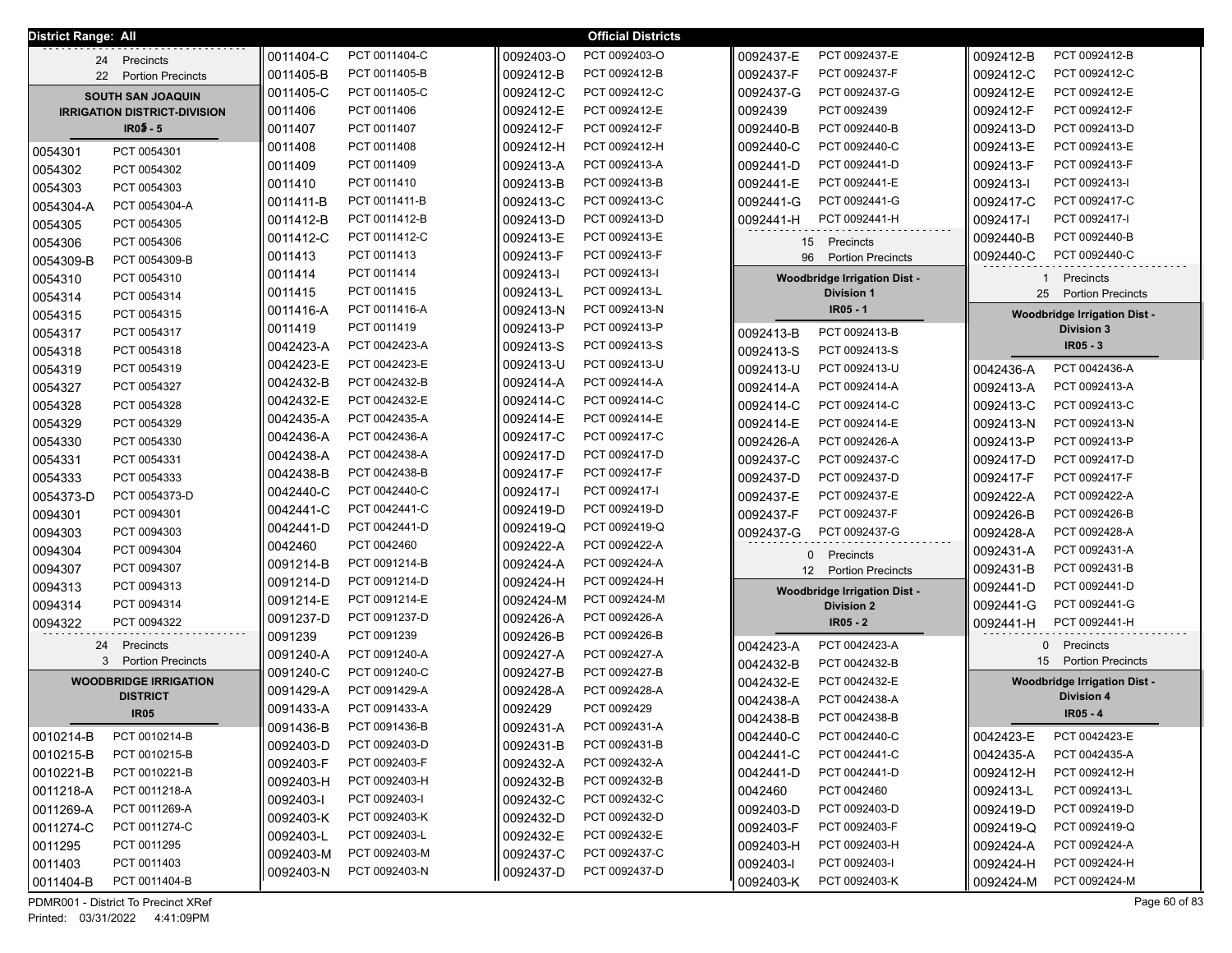| District Range: All<br><b>Official Districts</b> |                                     |                        |               |           |               |                                |                                     |           |                                     |
|--------------------------------------------------|-------------------------------------|------------------------|---------------|-----------|---------------|--------------------------------|-------------------------------------|-----------|-------------------------------------|
| 24                                               | Precincts                           | 0011404-C              | PCT 0011404-C | 0092403-O | PCT 0092403-O | 0092437-E                      | PCT 0092437-E                       | 0092412-B | PCT 0092412-B                       |
|                                                  | 22 Portion Precincts                | 0011405-B              | PCT 0011405-B | 0092412-B | PCT 0092412-B | 0092437-F                      | PCT 0092437-F                       | 0092412-C | PCT 0092412-C                       |
|                                                  | <b>SOUTH SAN JOAQUIN</b>            | 0011405-C              | PCT 0011405-C | 0092412-C | PCT 0092412-C | 0092437-G                      | PCT 0092437-G                       | 0092412-E | PCT 0092412-E                       |
|                                                  | <b>IRRIGATION DISTRICT-DIVISION</b> | 0011406                | PCT 0011406   | 0092412-E | PCT 0092412-E | 0092439                        | PCT 0092439                         | 0092412-F | PCT 0092412-F                       |
|                                                  | $IR05 - 5$                          | 0011407                | PCT 0011407   | 0092412-F | PCT 0092412-F | 0092440-B                      | PCT 0092440-B                       | 0092413-D | PCT 0092413-D                       |
|                                                  |                                     | 0011408                | PCT 0011408   | 0092412-H | PCT 0092412-H | 0092440-C                      | PCT 0092440-C                       | 0092413-E | PCT 0092413-E                       |
| 0054301                                          | PCT 0054301                         | 0011409                | PCT 0011409   | 0092413-A | PCT 0092413-A | 0092441-D                      | PCT 0092441-D                       | 0092413-F | PCT 0092413-F                       |
| 0054302                                          | PCT 0054302                         | 0011410                | PCT 0011410   | 0092413-B | PCT 0092413-B | 0092441-E                      | PCT 0092441-E                       | 0092413-1 | PCT 0092413-I                       |
| 0054303                                          | PCT 0054303                         | 0011411-B              | PCT 0011411-B | 0092413-C | PCT 0092413-C | 0092441-G                      | PCT 0092441-G                       | 0092417-C | PCT 0092417-C                       |
| 0054304-A                                        | PCT 0054304-A                       | 0011412-B              | PCT 0011412-B | 0092413-D | PCT 0092413-D | 0092441-H                      | PCT 0092441-H                       | 0092417-I | PCT 0092417-I                       |
| 0054305                                          | PCT 0054305                         | 0011412-C              | PCT 0011412-C | 0092413-E | PCT 0092413-E |                                |                                     | 0092440-B | PCT 0092440-B                       |
| 0054306                                          | PCT 0054306                         | 0011413                | PCT 0011413   | 0092413-F | PCT 0092413-F | 15                             | Precincts                           | 0092440-C | PCT 0092440-C                       |
| 0054309-B                                        | PCT 0054309-B                       |                        | PCT 0011414   | 0092413-1 | PCT 0092413-I | 96<br><b>Portion Precincts</b> |                                     |           |                                     |
| 0054310                                          | PCT 0054310                         | 0011414                |               |           |               |                                | <b>Woodbridge Irrigation Dist -</b> | -1        | Precincts                           |
| 0054314                                          | PCT 0054314                         | 0011415                | PCT 0011415   | 0092413-L | PCT 0092413-L |                                | <b>Division 1</b>                   | 25        | <b>Portion Precincts</b>            |
| 0054315                                          | PCT 0054315                         | 0011416-A              | PCT 0011416-A | 0092413-N | PCT 0092413-N |                                | IR05 - 1                            |           | <b>Woodbridge Irrigation Dist -</b> |
| 0054317                                          | PCT 0054317                         | 0011419                | PCT 0011419   | 0092413-P | PCT 0092413-P | 0092413-B                      | PCT 0092413-B                       |           | <b>Division 3</b>                   |
| 0054318                                          | PCT 0054318                         | 0042423-A<br>0042423-E | PCT 0042423-A | 0092413-S | PCT 0092413-S | 0092413-S                      | PCT 0092413-S                       |           | $IR05 - 3$                          |
| 0054319                                          | PCT 0054319                         |                        | PCT 0042423-E | 0092413-U | PCT 0092413-U | 0092413-U                      | PCT 0092413-U                       | 0042436-A | PCT 0042436-A                       |
| 0054327                                          | PCT 0054327                         | 0042432-B              | PCT 0042432-B | 0092414-A | PCT 0092414-A | 0092414-A                      | PCT 0092414-A                       | 0092413-A | PCT 0092413-A                       |
| 0054328                                          | PCT 0054328                         | 0042432-E              | PCT 0042432-E | 0092414-C | PCT 0092414-C | 0092414-C                      | PCT 0092414-C                       | 0092413-C | PCT 0092413-C                       |
| 0054329                                          | PCT 0054329                         | 0042435-A              | PCT 0042435-A | 0092414-E | PCT 0092414-E | 0092414-E                      | PCT 0092414-E                       | 0092413-N | PCT 0092413-N                       |
| 0054330                                          | PCT 0054330                         | 0042436-A              | PCT 0042436-A | 0092417-C | PCT 0092417-C | 0092426-A                      | PCT 0092426-A                       | 0092413-P | PCT 0092413-P                       |
| 0054331                                          | PCT 0054331                         | 0042438-A              | PCT 0042438-A | 0092417-D | PCT 0092417-D | 0092437-C                      | PCT 0092437-C                       | 0092417-D | PCT 0092417-D                       |
| 0054333                                          | PCT 0054333                         | 0042438-B              | PCT 0042438-B | 0092417-F | PCT 0092417-F | 0092437-D                      | PCT 0092437-D                       | 0092417-F | PCT 0092417-F                       |
| 0054373-D                                        | PCT 0054373-D                       | 0042440-C              | PCT 0042440-C | 0092417-I | PCT 0092417-I | 0092437-E                      | PCT 0092437-E                       | 0092422-A | PCT 0092422-A                       |
| 0094301                                          | PCT 0094301                         | 0042441-C              | PCT 0042441-C | 0092419-D | PCT 0092419-D | 0092437-F                      | PCT 0092437-F                       | 0092426-B | PCT 0092426-B                       |
| 0094303                                          | PCT 0094303                         | 0042441-D              | PCT 0042441-D | 0092419-Q | PCT 0092419-Q | 0092437-G                      | PCT 0092437-G                       | 0092428-A | PCT 0092428-A                       |
| 0094304                                          | PCT 0094304                         | 0042460                | PCT 0042460   | 0092422-A | PCT 0092422-A | $\mathbf{0}$                   | Precincts                           | 0092431-A | PCT 0092431-A                       |
| 0094307                                          | PCT 0094307                         | 0091214-B              | PCT 0091214-B | 0092424-A | PCT 0092424-A | 12                             | <b>Portion Precincts</b>            | 0092431-B | PCT 0092431-B                       |
| 0094313                                          | PCT 0094313                         | 0091214-D              | PCT 0091214-D | 0092424-H | PCT 0092424-H |                                | <b>Woodbridge Irrigation Dist -</b> | 0092441-D | PCT 0092441-D                       |
| 0094314                                          | PCT 0094314                         | 0091214-E              | PCT 0091214-E | 0092424-M | PCT 0092424-M |                                | <b>Division 2</b>                   | 0092441-G | PCT 0092441-G                       |
| 0094322                                          | PCT 0094322                         | 0091237-D              | PCT 0091237-D | 0092426-A | PCT 0092426-A |                                | $IR05 - 2$                          | 0092441-H | PCT 0092441-H                       |
| 24                                               | Precincts                           | 0091239                | PCT 0091239   | 0092426-B | PCT 0092426-B | 0042423-A                      | PCT 0042423-A                       |           | 0 Precincts                         |
|                                                  | <b>Portion Precincts</b><br>3       | 0091240-A              | PCT 0091240-A | 0092427-A | PCT 0092427-A | 0042432-B                      | PCT 0042432-B                       |           | 15 Portion Precincts                |
|                                                  | <b>WOODBRIDGE IRRIGATION</b>        | 0091240-C              | PCT 0091240-C | 0092427-B | PCT 0092427-B | 0042432-E                      | PCT 0042432-E                       |           | <b>Woodbridge Irrigation Dist -</b> |
|                                                  | <b>DISTRICT</b>                     | 0091429-A              | PCT 0091429-A | 0092428-A | PCT 0092428-A | 0042438-A                      | PCT 0042438-A                       |           | <b>Division 4</b>                   |
|                                                  | <b>IR05</b>                         | 0091433-A              | PCT 0091433-A | 0092429   | PCT 0092429   | 0042438-B                      | PCT 0042438-B                       |           | IR05 - 4                            |
| 0010214-B                                        | PCT 0010214-B                       | 0091436-B              | PCT 0091436-B | 0092431-A | PCT 0092431-A | 0042440-C                      | PCT 0042440-C                       | 0042423-E | PCT 0042423-E                       |
| 0010215-B                                        | PCT 0010215-B                       | 0092403-D              | PCT 0092403-D | 0092431-B | PCT 0092431-B |                                | PCT 0042441-C                       | 0042435-A | PCT 0042435-A                       |
|                                                  |                                     | 0092403-F              | PCT 0092403-F | 0092432-A | PCT 0092432-A | 0042441-C                      | PCT 0042441-D                       |           | PCT 0092412-H                       |
| 0010221-B                                        | PCT 0010221-B                       | 0092403-H              | PCT 0092403-H | 0092432-B | PCT 0092432-B | 0042441-D                      |                                     | 0092412-H |                                     |
| 0011218-A                                        | PCT 0011218-A                       | 0092403-I              | PCT 0092403-I | 0092432-C | PCT 0092432-C | 0042460                        | PCT 0042460                         | 0092413-L | PCT 0092413-L                       |
| 0011269-A                                        | PCT 0011269-A                       | 0092403-K              | PCT 0092403-K | 0092432-D | PCT 0092432-D | 0092403-D                      | PCT 0092403-D                       | 0092419-D | PCT 0092419-D                       |
| 0011274-C                                        | PCT 0011274-C                       | 0092403-L              | PCT 0092403-L | 0092432-E | PCT 0092432-E | 0092403-F                      | PCT 0092403-F                       | 0092419-Q | PCT 0092419-Q                       |
| 0011295                                          | PCT 0011295                         | 0092403-M              | PCT 0092403-M | 0092437-C | PCT 0092437-C | 0092403-H                      | PCT 0092403-H                       | 0092424-A | PCT 0092424-A                       |
| 0011403                                          | PCT 0011403                         | 0092403-N              | PCT 0092403-N | 0092437-D | PCT 0092437-D | 0092403-I                      | PCT 0092403-I                       | 0092424-H | PCT 0092424-H                       |
| 0011404-B                                        | PCT 0011404-B                       |                        |               |           |               | 0092403-K                      | PCT 0092403-K                       | 0092424-M | PCT 0092424-M                       |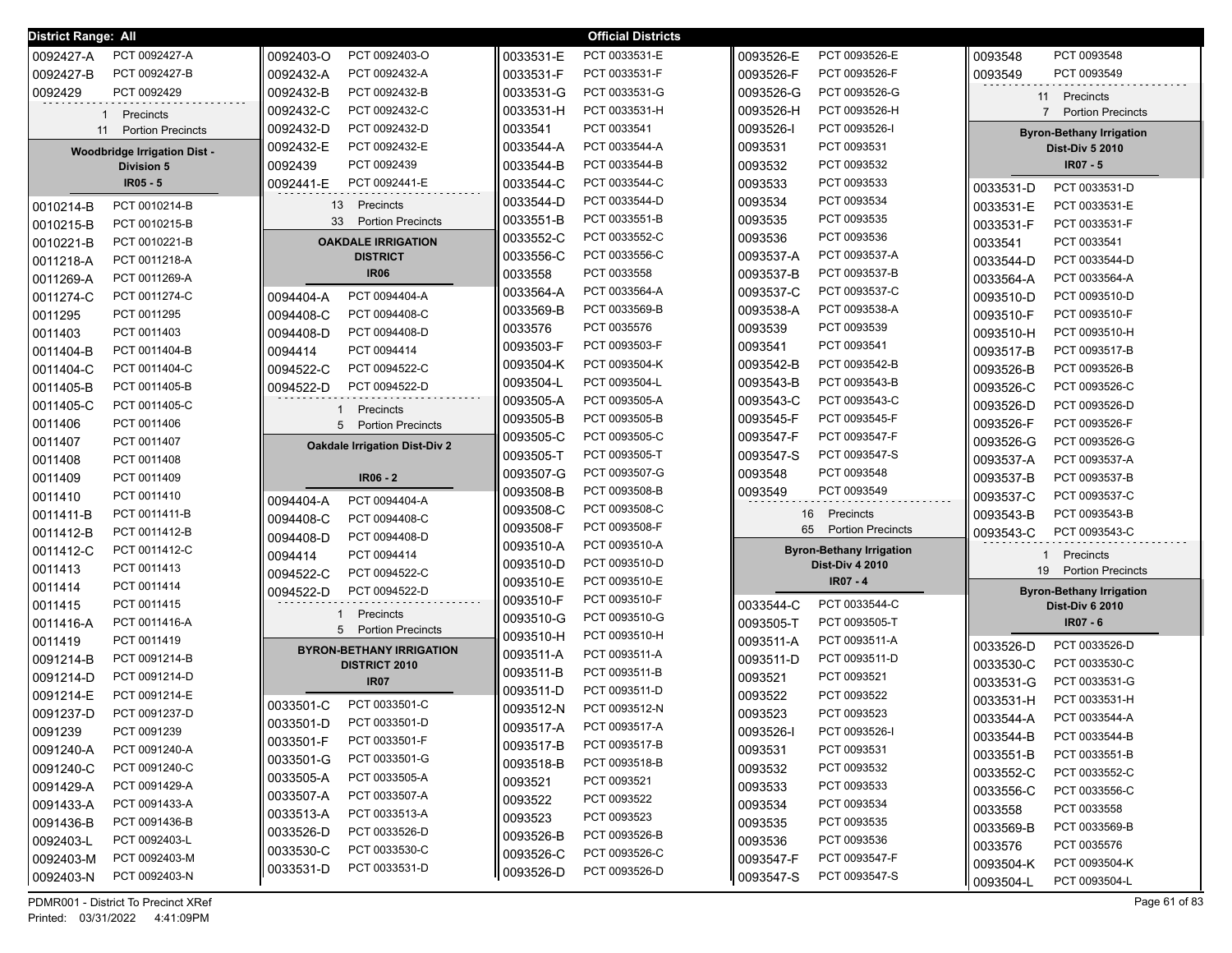| <b>District Range: All</b> |                                     |                                      |                        | <b>Official Districts</b>      |                        |                                 |                                 |
|----------------------------|-------------------------------------|--------------------------------------|------------------------|--------------------------------|------------------------|---------------------------------|---------------------------------|
| 0092427-A                  | PCT 0092427-A                       | PCT 0092403-O<br>0092403-O           | 0033531-E              | PCT 0033531-E                  | 0093526-E              | PCT 0093526-E                   | 0093548<br>PCT 0093548          |
| 0092427-B                  | PCT 0092427-B                       | 0092432-A<br>PCT 0092432-A           | 0033531-F              | PCT 0033531-F                  | 0093526-F              | PCT 0093526-F                   | 0093549<br>PCT 0093549          |
| 0092429                    | PCT 0092429                         | 0092432-B<br>PCT 0092432-B           | 0033531-G              | PCT 0033531-G                  | 0093526-G              | PCT 0093526-G                   | 11 Precincts                    |
|                            | Precincts                           | 0092432-C<br>PCT 0092432-C           | 0033531-H              | PCT 0033531-H                  | 0093526-H              | PCT 0093526-H                   | 7 Portion Precincts             |
|                            | 11 Portion Precincts                | PCT 0092432-D<br>0092432-D           | 0033541                | PCT 0033541                    | 0093526-I              | PCT 0093526-I                   | <b>Byron-Bethany Irrigation</b> |
|                            | <b>Woodbridge Irrigation Dist -</b> | 0092432-E<br>PCT 0092432-E           | 0033544-A              | PCT 0033544-A                  | 0093531<br>PCT 0093531 |                                 | <b>Dist-Div 5 2010</b>          |
|                            | <b>Division 5</b>                   | PCT 0092439<br>0092439               | 0033544-B              | PCT 0033544-B                  | 0093532                | PCT 0093532                     | IR07 - 5                        |
|                            | $IR05 - 5$                          | PCT 0092441-E<br>0092441-E           | 0033544-C              | PCT 0033544-C                  | 0093533                | PCT 0093533                     | PCT 0033531-D<br>0033531-D      |
| 0010214-B                  | PCT 0010214-B                       | 13 Precincts                         | 0033544-D              | PCT 0033544-D                  | 0093534                | PCT 0093534                     | PCT 0033531-E<br>0033531-E      |
| 0010215-B                  | PCT 0010215-B                       | 33<br><b>Portion Precincts</b>       | 0033551-B              | PCT 0033551-B                  | 0093535                | PCT 0093535                     | 0033531-F<br>PCT 0033531-F      |
| 0010221-B                  | PCT 0010221-B                       | <b>OAKDALE IRRIGATION</b>            | 0033552-C              | PCT 0033552-C                  | 0093536                | PCT 0093536                     | 0033541<br>PCT 0033541          |
| 0011218-A                  | PCT 0011218-A                       | <b>DISTRICT</b>                      | 0033556-C              | PCT 0033556-C                  | 0093537-A              | PCT 0093537-A                   | 0033544-D<br>PCT 0033544-D      |
| 0011269-A                  | PCT 0011269-A                       | <b>IR06</b>                          | 0033558                | PCT 0033558                    | 0093537-B              | PCT 0093537-B                   | 0033564-A<br>PCT 0033564-A      |
| 0011274-C                  | PCT 0011274-C                       | PCT 0094404-A<br>0094404-A           | 0033564-A              | PCT 0033564-A                  | 0093537-C              | PCT 0093537-C                   | 0093510-D<br>PCT 0093510-D      |
| 0011295                    | PCT 0011295                         | 0094408-C<br>PCT 0094408-C           | 0033569-B              | PCT 0033569-B                  | 0093538-A              | PCT 0093538-A                   | 0093510-F<br>PCT 0093510-F      |
| 0011403                    | PCT 0011403                         | 0094408-D<br>PCT 0094408-D           | 0033576                | PCT 0035576                    | 0093539                | PCT 0093539                     | 0093510-H<br>PCT 0093510-H      |
| 0011404-B                  | PCT 0011404-B                       | 0094414<br>PCT 0094414               | 0093503-F              | PCT 0093503-F                  | 0093541                | PCT 0093541                     | 0093517-B<br>PCT 0093517-B      |
| 0011404-C                  | PCT 0011404-C                       | 0094522-C<br>PCT 0094522-C           | 0093504-K              | PCT 0093504-K                  | 0093542-B              | PCT 0093542-B                   | 0093526-B<br>PCT 0093526-B      |
| 0011405-B                  | PCT 0011405-B                       | PCT 0094522-D<br>0094522-D           | 0093504-L              | PCT 0093504-L                  | 0093543-B              | PCT 0093543-B                   | 0093526-C<br>PCT 0093526-C      |
| 0011405-C                  | PCT 0011405-C                       | Precincts                            | 0093505-A              | PCT 0093505-A                  | 0093543-C              | PCT 0093543-C                   | PCT 0093526-D<br>0093526-D      |
| 0011406                    | PCT 0011406                         | 5<br><b>Portion Precincts</b>        | 0093505-B              | PCT 0093505-B                  | 0093545-F              | PCT 0093545-F                   | PCT 0093526-F<br>0093526-F      |
| 0011407                    | PCT 0011407                         | <b>Oakdale Irrigation Dist-Div 2</b> | 0093505-C              | PCT 0093505-C                  | 0093547-F              | PCT 0093547-F                   | PCT 0093526-G<br>0093526-G      |
| 0011408                    | PCT 0011408                         |                                      | 0093505-T              | PCT 0093505-T                  | 0093547-S              | PCT 0093547-S                   | 0093537-A<br>PCT 0093537-A      |
| 0011409                    | PCT 0011409                         | $IR06 - 2$                           | 0093507-G              | PCT 0093507-G                  | 0093548                | PCT 0093548                     | PCT 0093537-B<br>0093537-B      |
| 0011410                    | PCT 0011410                         | 0094404-A<br>PCT 0094404-A           | 0093508-B              | PCT 0093508-B                  | 0093549                | PCT 0093549                     | 0093537-C<br>PCT 0093537-C      |
| 0011411-B                  | PCT 0011411-B                       | 0094408-C<br>PCT 0094408-C           | 0093508-C              | PCT 0093508-C                  | 16                     | Precincts                       | 0093543-B<br>PCT 0093543-B      |
| 0011412-B                  | PCT 0011412-B                       | 0094408-D<br>PCT 0094408-D           | 0093508-F              | PCT 0093508-F                  | 65                     | <b>Portion Precincts</b>        | 0093543-C<br>PCT 0093543-C      |
| 0011412-C                  | PCT 0011412-C                       | 0094414<br>PCT 0094414               | 0093510-A              | PCT 0093510-A                  |                        | <b>Byron-Bethany Irrigation</b> | Precincts<br>1                  |
| 0011413                    | PCT 0011413                         | 0094522-C<br>PCT 0094522-C           | 0093510-D              | PCT 0093510-D                  |                        | <b>Dist-Div 4 2010</b>          | 19 Portion Precincts            |
| 0011414                    | PCT 0011414                         | PCT 0094522-D<br>0094522-D           | 0093510-E              | PCT 0093510-E                  |                        | IR07 - 4                        | <b>Byron-Bethany Irrigation</b> |
| 0011415                    | PCT 0011415                         | Precincts                            | 0093510-F              | PCT 0093510-F                  | 0033544-C              | PCT 0033544-C                   | <b>Dist-Div 6 2010</b>          |
| 0011416-A                  | PCT 0011416-A                       | <b>Portion Precincts</b><br>5        | 0093510-G              | PCT 0093510-G                  | 0093505-T              | PCT 0093505-T                   | <b>IR07 - 6</b>                 |
| 0011419                    | PCT 0011419                         | <b>BYRON-BETHANY IRRIGATION</b>      | 0093510-H              | PCT 0093510-H                  | 0093511-A              | PCT 0093511-A                   | PCT 0033526-D<br>0033526-D      |
| 0091214-B                  | PCT 0091214-B                       | <b>DISTRICT 2010</b>                 | 0093511-A<br>0093511-B | PCT 0093511-A<br>PCT 0093511-B | 0093511-D              | PCT 0093511-D                   | PCT 0033530-C<br>0033530-C      |
| 0091214-D                  | PCT 0091214-D                       | <b>IR07</b>                          | 0093511-D              | PCT 0093511-D                  | 0093521                | PCT 0093521                     | PCT 0033531-G<br>0033531-G      |
| 0091214-E                  | PCT 0091214-E                       | PCT 0033501-C<br>0033501-C           | 0093512-N              | PCT 0093512-N                  | 0093522                | PCT 0093522                     | 0033531-H<br>PCT 0033531-H      |
| 0091237-D                  | PCT 0091237-D                       | 0033501-D<br>PCT 0033501-D           |                        | PCT 0093517-A                  | 0093523                | PCT 0093523                     | 0033544-A<br>PCT 0033544-A      |
| 0091239                    | PCT 0091239                         | 0033501-F<br>PCT 0033501-F           | 0093517-A<br>0093517-B | PCT 0093517-B                  | 0093526-I              | PCT 0093526-I                   | 0033544-B<br>PCT 0033544-B      |
| 0091240-A                  | PCT 0091240-A                       | 0033501-G<br>PCT 0033501-G           | 0093518-B              | PCT 0093518-B                  | 0093531                | PCT 0093531                     | 0033551-B<br>PCT 0033551-B      |
| 0091240-C                  | PCT 0091240-C                       | 0033505-A<br>PCT 0033505-A           | 0093521                | PCT 0093521                    | 0093532                | PCT 0093532                     | 0033552-C<br>PCT 0033552-C      |
| 0091429-A                  | PCT 0091429-A                       | PCT 0033507-A<br>0033507-A           | 0093522                | PCT 0093522                    | 0093533                | PCT 0093533                     | 0033556-C<br>PCT 0033556-C      |
| 0091433-A                  | PCT 0091433-A                       | PCT 0033513-A<br>0033513-A           | 0093523                | PCT 0093523                    | 0093534                | PCT 0093534                     | 0033558<br>PCT 0033558          |
| 0091436-B                  | PCT 0091436-B                       | PCT 0033526-D<br>0033526-D           | 0093526-B              | PCT 0093526-B                  | 0093535                | PCT 0093535                     | 0033569-B<br>PCT 0033569-B      |
| 0092403-L                  | PCT 0092403-L                       | PCT 0033530-C<br>0033530-C           | 0093526-C              | PCT 0093526-C                  | 0093536                | PCT 0093536                     | 0033576<br>PCT 0035576          |
| 0092403-M                  | PCT 0092403-M                       | PCT 0033531-D<br>0033531-D           | 0093526-D              | PCT 0093526-D                  | 0093547-F              | PCT 0093547-F                   | 0093504-K<br>PCT 0093504-K      |
| 0092403-N                  | PCT 0092403-N                       |                                      |                        |                                | 0093547-S              | PCT 0093547-S                   | PCT 0093504-L<br>0093504-L      |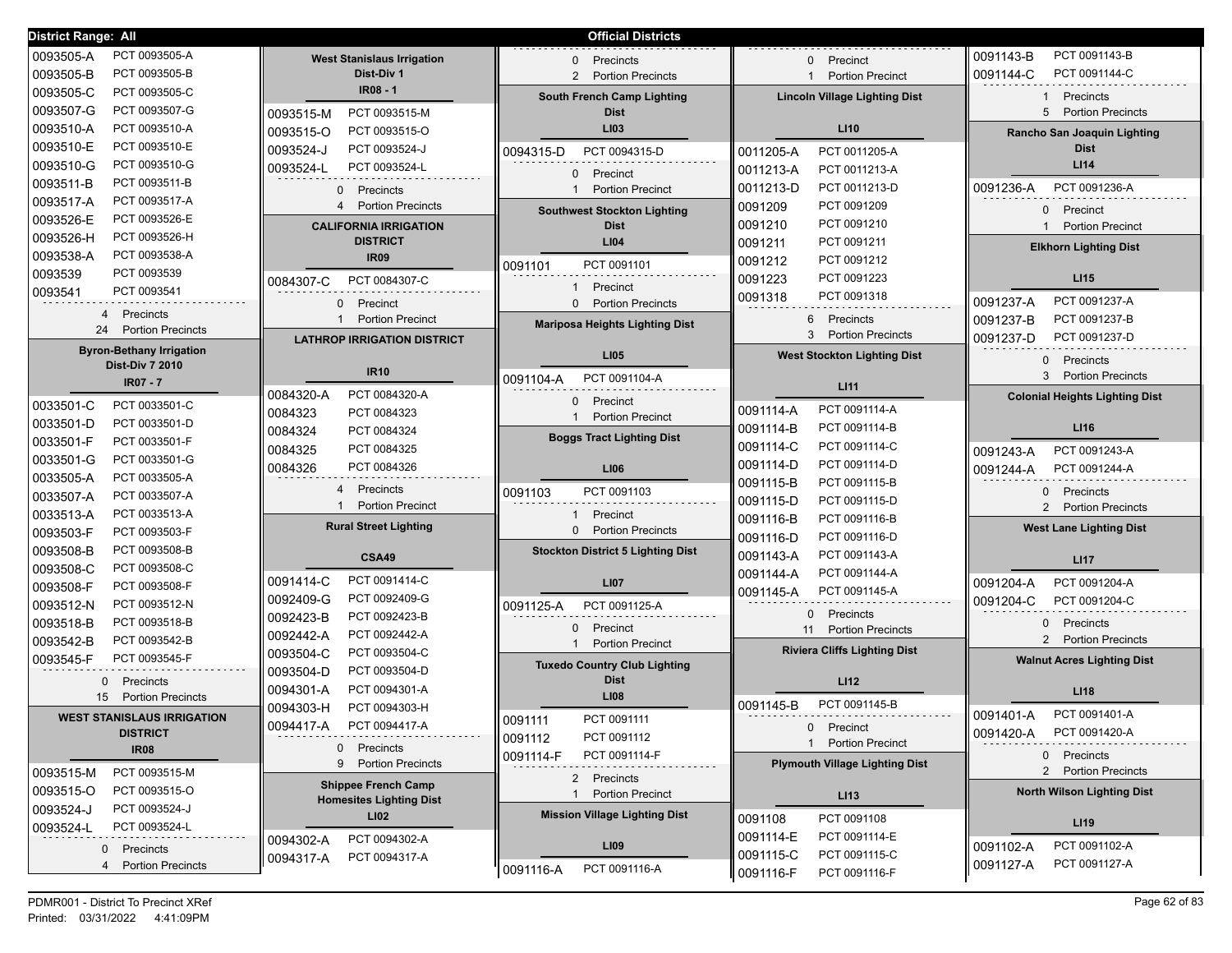| District Range: All                                       |                                                        | <b>Official Districts</b>                         |                                         |                                         |
|-----------------------------------------------------------|--------------------------------------------------------|---------------------------------------------------|-----------------------------------------|-----------------------------------------|
| PCT 0093505-A<br>0093505-A                                | <b>West Stanislaus Irrigation</b>                      | Precincts<br>0                                    | Precinct<br>$\Omega$                    | PCT 0091143-B<br>0091143-B              |
| 0093505-B<br>PCT 0093505-B                                | Dist-Div 1                                             | <b>Portion Precincts</b><br>$\mathbf{2}^{\prime}$ | <b>Portion Precinct</b><br>$\mathbf 1$  | PCT 0091144-C<br>0091144-C              |
| PCT 0093505-C<br>0093505-C                                | IR08 - 1                                               | <b>South French Camp Lighting</b>                 | <b>Lincoln Village Lighting Dist</b>    | Precincts<br>$\mathbf{1}$               |
| 0093507-G<br>PCT 0093507-G                                | PCT 0093515-M<br>0093515-M                             | <b>Dist</b>                                       |                                         | 5 Portion Precincts                     |
| 0093510-A<br>PCT 0093510-A                                | 0093515-O<br>PCT 0093515-O                             | LI03                                              | LI10                                    | Rancho San Joaquin Lighting             |
| 0093510-E<br>PCT 0093510-E                                | PCT 0093524-J<br>0093524-J                             | PCT 0094315-D                                     | PCT 0011205-A                           | <b>Dist</b>                             |
| 0093510-G<br>PCT 0093510-G                                | 0093524-L<br>PCT 0093524-L                             | 0094315-D                                         | 0011205-A<br>PCT 0011213-A              | LI14                                    |
| PCT 0093511-B<br>0093511-B                                |                                                        | 0 Precinct                                        | 0011213-A<br>PCT 0011213-D              | PCT 0091236-A                           |
| PCT 0093517-A<br>0093517-A                                | $\Omega$<br>Precincts<br><b>Portion Precincts</b><br>4 | <b>Portion Precinct</b><br>$\mathbf{1}$           | 0011213-D<br>PCT 0091209                | 0091236-A                               |
| PCT 0093526-E<br>0093526-E                                |                                                        | <b>Southwest Stockton Lighting</b>                | 0091209                                 | 0 Precinct                              |
| PCT 0093526-H<br>0093526-H                                | <b>CALIFORNIA IRRIGATION</b>                           | <b>Dist</b>                                       | PCT 0091210<br>0091210                  | <b>Portion Precinct</b><br>$\mathbf{1}$ |
| PCT 0093538-A<br>0093538-A                                | <b>DISTRICT</b><br><b>IR09</b>                         | LI04                                              | 0091211<br>PCT 0091211                  | <b>Elkhorn Lighting Dist</b>            |
| PCT 0093539<br>0093539                                    |                                                        | PCT 0091101<br>0091101                            | PCT 0091212<br>0091212                  |                                         |
| 0093541<br>PCT 0093541                                    | PCT 0084307-C<br>0084307-C                             | Precinct<br>$\blacksquare$                        | 0091223<br>PCT 0091223                  | LI15                                    |
| 4                                                         | Precinct<br>$\Omega$                                   | 0 Portion Precincts                               | PCT 0091318<br>0091318                  | PCT 0091237-A<br>0091237-A              |
| Precincts<br>24<br><b>Portion Precincts</b>               | <b>Portion Precinct</b><br>$\mathbf{1}$                | <b>Mariposa Heights Lighting Dist</b>             | 6<br>Precincts                          | PCT 0091237-B<br>0091237-B              |
|                                                           | <b>LATHROP IRRIGATION DISTRICT</b>                     |                                                   | 3<br><b>Portion Precincts</b>           | PCT 0091237-D<br>0091237-D              |
| <b>Byron-Bethany Irrigation</b><br><b>Dist-Div 7 2010</b> |                                                        | LI05                                              | <b>West Stockton Lighting Dist</b>      | Precincts<br>$\Omega$                   |
| <b>IR07 - 7</b>                                           | <b>IR10</b>                                            | PCT 0091104-A<br>0091104-A                        |                                         | 3 Portion Precincts                     |
|                                                           | PCT 0084320-A<br>0084320-A                             | 0 Precinct                                        | LI11                                    | <b>Colonial Heights Lighting Dist</b>   |
| PCT 0033501-C<br>0033501-C                                | PCT 0084323<br>0084323                                 | <b>Portion Precinct</b>                           | PCT 0091114-A<br>0091114-A              |                                         |
| PCT 0033501-D<br>0033501-D                                | PCT 0084324<br>0084324                                 | <b>Boggs Tract Lighting Dist</b>                  | PCT 0091114-B<br>0091114-B              | LI16                                    |
| PCT 0033501-F<br>0033501-F                                | PCT 0084325<br>0084325                                 |                                                   | PCT 0091114-C<br>0091114-C              | PCT 0091243-A<br>0091243-A              |
| PCT 0033501-G<br>0033501-G                                | PCT 0084326<br>0084326                                 | LI06                                              | PCT 0091114-D<br>0091114-D              | PCT 0091244-A<br>0091244-A              |
| 0033505-A<br>PCT 0033505-A                                | Precincts<br>4                                         |                                                   | PCT 0091115-B<br>0091115-B              |                                         |
| 0033507-A<br>PCT 0033507-A                                | <b>Portion Precinct</b>                                | PCT 0091103<br>0091103                            | PCT 0091115-D<br>0091115-D              | 0 Precincts<br>2 Portion Precincts      |
| 0033513-A<br>PCT 0033513-A                                | <b>Rural Street Lighting</b>                           | 1 Precinct                                        | PCT 0091116-B<br>0091116-B              |                                         |
| 0093503-F<br>PCT 0093503-F                                |                                                        | 0 Portion Precincts                               | PCT 0091116-D<br>0091116-D              | <b>West Lane Lighting Dist</b>          |
| 0093508-B<br>PCT 0093508-B                                | <b>CSA49</b>                                           | <b>Stockton District 5 Lighting Dist</b>          | 0091143-A<br>PCT 0091143-A              | <b>LI17</b>                             |
| 0093508-C<br>PCT 0093508-C                                | PCT 0091414-C<br>0091414-C                             |                                                   | PCT 0091144-A<br>0091144-A              |                                         |
| 0093508-F<br>PCT 0093508-F                                | PCT 0092409-G                                          | <b>LI07</b>                                       | PCT 0091145-A<br>0091145-A              | 0091204-A<br>PCT 0091204-A              |
| 0093512-N<br>PCT 0093512-N                                | 0092409-G<br>PCT 0092423-B                             | PCT 0091125-A<br>0091125-A                        | Precincts<br>$\mathbf{0}$               | PCT 0091204-C<br>0091204-C              |
| 0093518-B<br>PCT 0093518-B                                | 0092423-B<br>PCT 0092442-A                             | 0 Precinct                                        | 11<br><b>Portion Precincts</b>          | Precincts<br>$\mathbf{0}$               |
| 0093542-B<br>PCT 0093542-B                                | 0092442-A                                              | 1 Portion Precinct                                | <b>Riviera Cliffs Lighting Dist</b>     | 2 Portion Precincts                     |
| PCT 0093545-F<br>0093545-F                                | PCT 0093504-C<br>0093504-C                             | <b>Tuxedo Country Club Lighting</b>               |                                         | <b>Walnut Acres Lighting Dist</b>       |
| 0 Precincts                                               | PCT 0093504-D<br>0093504-D                             | <b>Dist</b>                                       | LI12                                    |                                         |
| <b>Portion Precincts</b><br>15                            | PCT 0094301-A<br>0094301-A                             | <b>LI08</b>                                       | PCT 0091145-B<br>0091145-B              | <b>LI18</b>                             |
| <b>WEST STANISLAUS IRRIGATION</b>                         | PCT 0094303-H<br>0094303-H                             | 0091111<br>PCT 0091111                            |                                         | PCT 0091401-A<br>0091401-A              |
| <b>DISTRICT</b>                                           | PCT 0094417-A<br>0094417-A                             | 0091112<br>PCT 0091112                            | 0 Precinct                              | PCT 0091420-A<br>0091420-A              |
| <b>IR08</b>                                               | 0 Precincts                                            | PCT 0091114-F<br>0091114-F                        | <b>Portion Precinct</b><br>$\mathbf{1}$ | 0 Precincts                             |
| PCT 0093515-M<br>0093515-M                                | <b>Portion Precincts</b><br>9                          |                                                   | <b>Plymouth Village Lighting Dist</b>   | 2 Portion Precincts                     |
| 0093515-O<br>PCT 0093515-O                                | <b>Shippee French Camp</b>                             | 2 Precincts<br>1 Portion Precinct                 | LI13                                    | <b>North Wilson Lighting Dist</b>       |
| 0093524-J<br>PCT 0093524-J                                | <b>Homesites Lighting Dist</b>                         |                                                   |                                         |                                         |
| 0093524-L<br>PCT 0093524-L                                | LI <sub>02</sub>                                       | <b>Mission Village Lighting Dist</b>              | PCT 0091108<br>0091108                  | LI19                                    |
|                                                           | PCT 0094302-A<br>0094302-A                             | LI09                                              | 0091114-E<br>PCT 0091114-E              | PCT 0091102-A<br>0091102-A              |
| 0 Precincts<br><b>Portion Precincts</b>                   | PCT 0094317-A<br>0094317-A                             |                                                   | PCT 0091115-C<br>0091115-C              | PCT 0091127-A<br>0091127-A              |
|                                                           |                                                        | PCT 0091116-A<br>0091116-A                        | PCT 0091116-F<br>0091116-F              |                                         |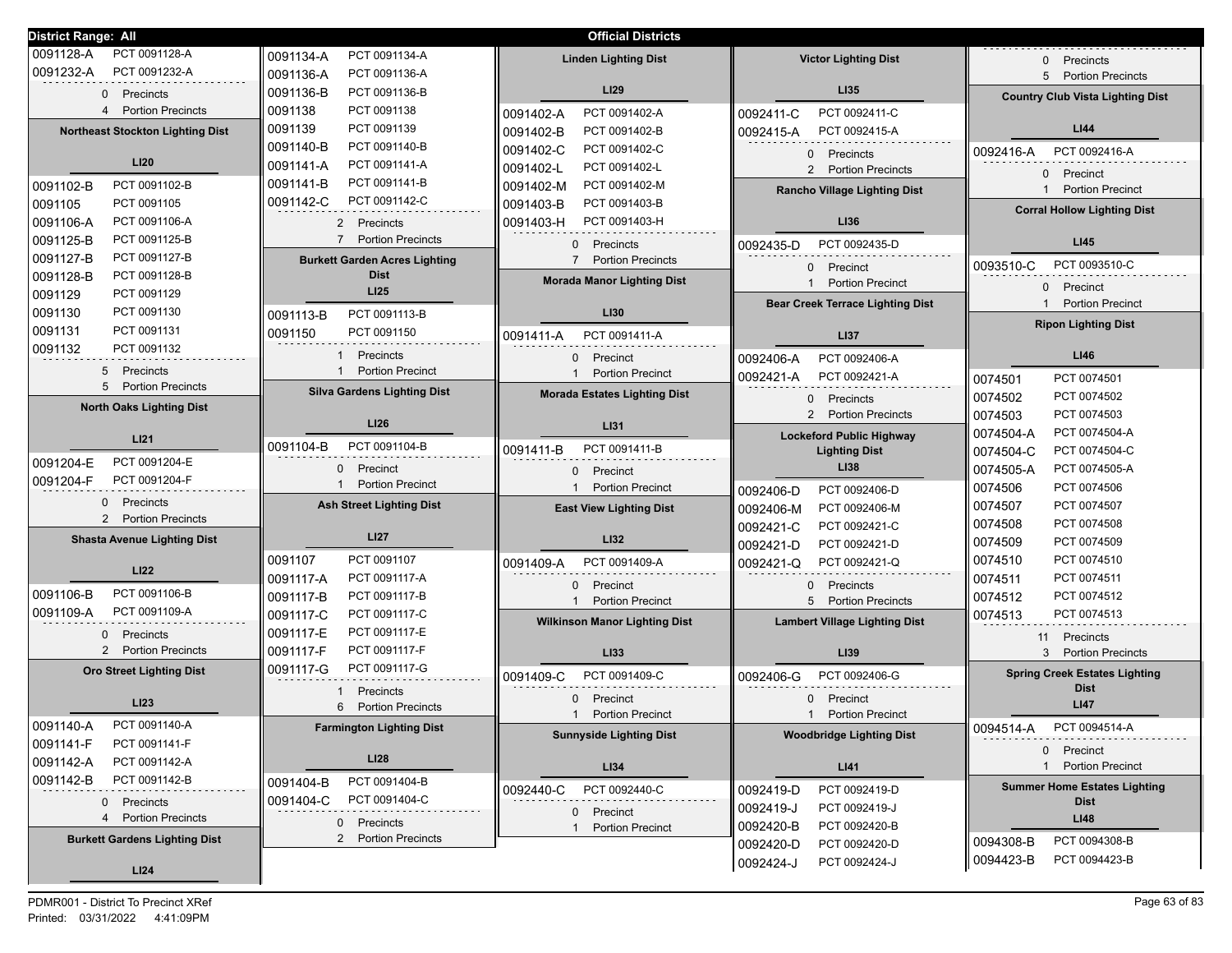| <b>District Range: All</b>                 |                                                              | <b>Official Districts</b>            |                                                                     |                                                     |
|--------------------------------------------|--------------------------------------------------------------|--------------------------------------|---------------------------------------------------------------------|-----------------------------------------------------|
| PCT 0091128-A<br>0091128-A                 | PCT 0091134-A<br>0091134-A                                   | <b>Linden Lighting Dist</b>          | <b>Victor Lighting Dist</b>                                         | Precincts                                           |
| 0091232-A<br>PCT 0091232-A                 | 0091136-A<br>PCT 0091136-A                                   |                                      |                                                                     | 5 Portion Precincts                                 |
| 0 Precincts                                | PCT 0091136-B<br>0091136-B                                   | <b>LI29</b>                          | LI35                                                                | <b>Country Club Vista Lighting Dist</b>             |
| <b>Portion Precincts</b>                   | 0091138<br>PCT 0091138                                       | PCT 0091402-A<br>0091402-A           | PCT 0092411-C<br>0092411-C                                          |                                                     |
| <b>Northeast Stockton Lighting Dist</b>    | 0091139<br>PCT 0091139                                       | 0091402-B<br>PCT 0091402-B           | 0092415-A<br>PCT 0092415-A                                          | LI44                                                |
|                                            | PCT 0091140-B<br>0091140-B                                   | 0091402-C<br>PCT 0091402-C           |                                                                     | PCT 0092416-A                                       |
| LI20                                       | PCT 0091141-A<br>0091141-A                                   | 0091402-L<br>PCT 0091402-L           | Precincts<br>$\Omega$<br>$\overline{2}$<br><b>Portion Precincts</b> | 0092416-A                                           |
| PCT 0091102-B<br>0091102-B                 | PCT 0091141-B<br>0091141-B                                   | 0091402-M<br>PCT 0091402-M           |                                                                     | Precinct<br>$\Omega$                                |
| 0091105<br>PCT 0091105                     | PCT 0091142-C<br>0091142-C                                   | 0091403-B<br>PCT 0091403-B           | <b>Rancho Village Lighting Dist</b>                                 | <b>Portion Precinct</b><br>$\mathbf{1}$             |
| 0091106-A<br>PCT 0091106-A                 |                                                              | 0091403-H<br>PCT 0091403-H           | LI36                                                                | <b>Corral Hollow Lighting Dist</b>                  |
| 0091125-B<br>PCT 0091125-B                 | Precincts<br>2<br>$\overline{7}$<br><b>Portion Precincts</b> |                                      |                                                                     |                                                     |
| 0091127-B<br>PCT 0091127-B                 |                                                              | 0 Precincts                          | PCT 0092435-D<br>0092435-D                                          | LI45                                                |
| 0091128-B<br>PCT 0091128-B                 | <b>Burkett Garden Acres Lighting</b><br><b>Dist</b>          | 7 Portion Precincts                  | $\mathbf{0}$<br>Precinct                                            | PCT 0093510-C<br>0093510-C                          |
| 0091129<br>PCT 0091129                     | LI25                                                         | <b>Morada Manor Lighting Dist</b>    | <b>Portion Precinct</b><br>$\mathbf{1}$                             | Precinct<br>$\mathbf{0}$                            |
| 0091130<br>PCT 0091130                     |                                                              | LI30                                 | <b>Bear Creek Terrace Lighting Dist</b>                             | <b>Portion Precinct</b><br>$\mathbf{1}$             |
| 0091131<br>PCT 0091131                     | PCT 0091113-B<br>0091113-B                                   |                                      |                                                                     | <b>Ripon Lighting Dist</b>                          |
| PCT 0091132<br>0091132                     | 0091150<br>PCT 0091150                                       | PCT 0091411-A<br>0091411-A           | LI37                                                                |                                                     |
|                                            | Precincts                                                    | 0 Precinct                           | PCT 0092406-A<br>0092406-A                                          | <b>LI46</b>                                         |
| Precincts<br>5                             | <b>Portion Precinct</b>                                      | 1 Portion Precinct                   | PCT 0092421-A<br>0092421-A                                          | 0074501<br>PCT 0074501                              |
| 5<br><b>Portion Precincts</b>              | <b>Silva Gardens Lighting Dist</b>                           | <b>Morada Estates Lighting Dist</b>  | $\mathbf{0}$<br>Precincts                                           | 0074502<br>PCT 0074502                              |
| <b>North Oaks Lighting Dist</b>            |                                                              |                                      | 2<br><b>Portion Precincts</b>                                       | 0074503<br>PCT 0074503                              |
| LI <sub>21</sub>                           | LI26                                                         | LI31                                 | <b>Lockeford Public Highway</b>                                     | PCT 0074504-A<br>0074504-A                          |
|                                            | 0091104-B<br>PCT 0091104-B                                   | PCT 0091411-B<br>0091411-B           | <b>Lighting Dist</b>                                                | PCT 0074504-C<br>0074504-C                          |
| PCT 0091204-E<br>0091204-E                 | Precinct<br>$\Omega$                                         | Precinct<br>$\mathbf{0}$             | LI38                                                                | 0074505-A<br>PCT 0074505-A                          |
| 0091204-F<br>PCT 0091204-F                 | <b>Portion Precinct</b>                                      | <b>Portion Precinct</b>              | PCT 0092406-D<br>0092406-D                                          | PCT 0074506<br>0074506                              |
| Precincts<br>0                             | <b>Ash Street Lighting Dist</b>                              | <b>East View Lighting Dist</b>       | PCT 0092406-M<br>0092406-M                                          | PCT 0074507<br>0074507                              |
| 2 Portion Precincts                        |                                                              |                                      | PCT 0092421-C<br>0092421-C                                          | PCT 0074508<br>0074508                              |
| <b>Shasta Avenue Lighting Dist</b>         | <b>LI27</b>                                                  | LI32                                 | PCT 0092421-D<br>0092421-D                                          | PCT 0074509<br>0074509                              |
|                                            | PCT 0091107<br>0091107                                       | PCT 0091409-A<br>0091409-A           | PCT 0092421-Q<br>0092421-Q                                          | PCT 0074510<br>0074510                              |
| LI22                                       | PCT 0091117-A<br>0091117-A                                   |                                      |                                                                     | PCT 0074511<br>0074511                              |
| PCT 0091106-B<br>0091106-B                 | PCT 0091117-B<br>0091117-B                                   | 0 Precinct                           | $\mathbf{0}$<br>Precincts<br>5                                      | PCT 0074512<br>0074512                              |
| 0091109-A<br>PCT 0091109-A                 | PCT 0091117-C<br>0091117-C                                   | <b>Portion Precinct</b><br>1         | <b>Portion Precincts</b>                                            | PCT 0074513<br>0074513                              |
| Precincts<br>0                             | 0091117-E<br>PCT 0091117-E                                   | <b>Wilkinson Manor Lighting Dist</b> | <b>Lambert Village Lighting Dist</b>                                |                                                     |
| $\overline{2}$<br><b>Portion Precincts</b> | 0091117-F<br>PCT 0091117-F                                   | LI33                                 | LI39                                                                | 11 Precincts<br>3 Portion Precincts                 |
| <b>Oro Street Lighting Dist</b>            | PCT 0091117-G<br>0091117-G                                   |                                      |                                                                     |                                                     |
|                                            |                                                              | 0091409-C<br>PCT 0091409-C           | PCT 0092406-G<br>0092406-G                                          | <b>Spring Creek Estates Lighting</b><br><b>Dist</b> |
| <b>LI23</b>                                | Precincts<br><b>Portion Precincts</b><br>6                   | Precinct<br>$\mathbf{0}$             | Precinct<br>$\Omega$                                                | LI47                                                |
| PCT 0091140-A                              |                                                              | <b>Portion Precinct</b>              | <b>Portion Precinct</b>                                             |                                                     |
| 0091140-A<br>PCT 0091141-F<br>0091141-F    | <b>Farmington Lighting Dist</b>                              | <b>Sunnyside Lighting Dist</b>       | <b>Woodbridge Lighting Dist</b>                                     | 0094514-A<br>PCT 0094514-A                          |
| PCT 0091142-A                              | <b>LI28</b>                                                  |                                      |                                                                     | 0 Precinct                                          |
| 0091142-A<br>PCT 0091142-B                 |                                                              | LI34                                 | LI41                                                                | 1 Portion Precinct                                  |
| 0091142-B                                  | PCT 0091404-B<br>0091404-B                                   | PCT 0092440-C<br>0092440-C           | PCT 0092419-D<br>0092419-D                                          | <b>Summer Home Estates Lighting</b>                 |
| 0 Precincts                                | PCT 0091404-C<br>0091404-C                                   | 0 Precinct                           | PCT 0092419-J<br>0092419-J                                          | <b>Dist</b>                                         |
| <b>Portion Precincts</b><br>4              | 0 Precincts                                                  | 1 Portion Precinct                   | PCT 0092420-B<br>0092420-B                                          | <b>LI48</b>                                         |
| <b>Burkett Gardens Lighting Dist</b>       | <b>Portion Precincts</b><br>$\overline{2}$                   |                                      | PCT 0092420-D<br>0092420-D                                          | PCT 0094308-B<br>0094308-B                          |
|                                            |                                                              |                                      | PCT 0092424-J<br>0092424-J                                          | PCT 0094423-B<br>0094423-B                          |
| LI24                                       |                                                              |                                      |                                                                     |                                                     |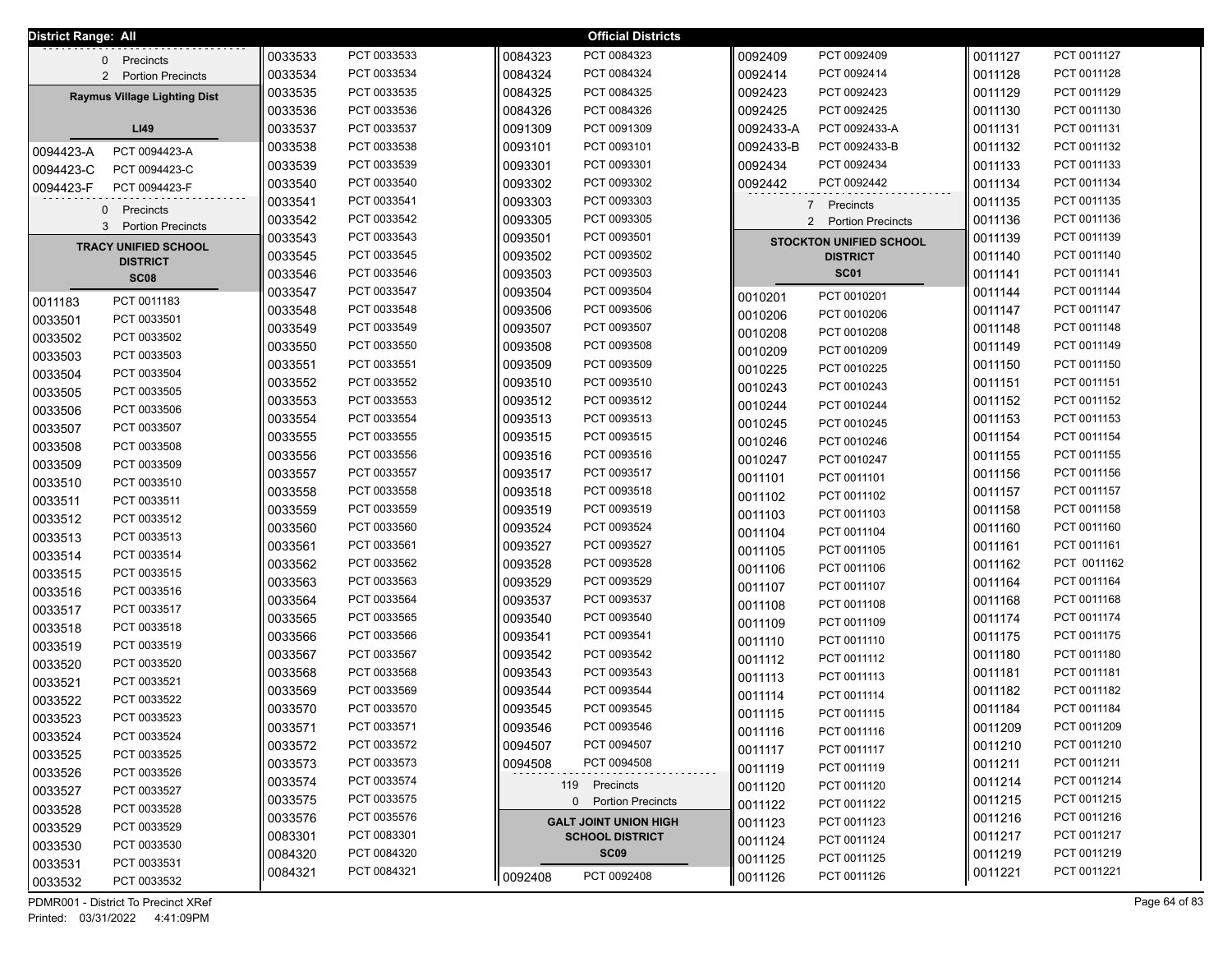| <b>District Range: All</b> |                                                |         |             |         | <b>Official Districts</b>    |           |                                            |         |             |
|----------------------------|------------------------------------------------|---------|-------------|---------|------------------------------|-----------|--------------------------------------------|---------|-------------|
|                            | 0 Precincts                                    | 0033533 | PCT 0033533 | 0084323 | PCT 0084323                  | 0092409   | PCT 0092409                                | 0011127 | PCT 0011127 |
|                            | 2 Portion Precincts                            | 0033534 | PCT 0033534 | 0084324 | PCT 0084324                  | 0092414   | PCT 0092414                                | 0011128 | PCT 0011128 |
|                            | <b>Raymus Village Lighting Dist</b>            | 0033535 | PCT 0033535 | 0084325 | PCT 0084325                  | 0092423   | PCT 0092423                                | 0011129 | PCT 0011129 |
|                            |                                                | 0033536 | PCT 0033536 | 0084326 | PCT 0084326                  | 0092425   | PCT 0092425                                | 0011130 | PCT 0011130 |
|                            | LI49                                           | 0033537 | PCT 0033537 | 0091309 | PCT 0091309                  | 0092433-A | PCT 0092433-A                              | 0011131 | PCT 0011131 |
| 0094423-A                  | PCT 0094423-A                                  | 0033538 | PCT 0033538 | 0093101 | PCT 0093101                  | 0092433-B | PCT 0092433-B                              | 0011132 | PCT 0011132 |
| 0094423-C                  | PCT 0094423-C                                  | 0033539 | PCT 0033539 | 0093301 | PCT 0093301                  | 0092434   | PCT 0092434                                | 0011133 | PCT 0011133 |
| 0094423-F                  | PCT 0094423-F                                  | 0033540 | PCT 0033540 | 0093302 | PCT 0093302                  | 0092442   | PCT 0092442                                | 0011134 | PCT 0011134 |
|                            |                                                | 0033541 | PCT 0033541 | 0093303 | PCT 0093303                  |           | 7 Precincts                                | 0011135 | PCT 0011135 |
| $\mathbf{0}$<br>3          | Precincts<br><b>Portion Precincts</b>          | 0033542 | PCT 0033542 | 0093305 | PCT 0093305                  |           | $\overline{2}$<br><b>Portion Precincts</b> | 0011136 | PCT 0011136 |
|                            |                                                | 0033543 | PCT 0033543 | 0093501 | PCT 0093501                  |           | <b>STOCKTON UNIFIED SCHOOL</b>             | 0011139 | PCT 0011139 |
|                            | <b>TRACY UNIFIED SCHOOL</b><br><b>DISTRICT</b> | 0033545 | PCT 0033545 | 0093502 | PCT 0093502                  |           | <b>DISTRICT</b>                            | 0011140 | PCT 0011140 |
|                            | <b>SC08</b>                                    | 0033546 | PCT 0033546 | 0093503 | PCT 0093503                  |           | <b>SC01</b>                                | 0011141 | PCT 0011141 |
|                            |                                                | 0033547 | PCT 0033547 | 0093504 | PCT 0093504                  | 0010201   | PCT 0010201                                | 0011144 | PCT 0011144 |
| 0011183                    | PCT 0011183                                    | 0033548 | PCT 0033548 | 0093506 | PCT 0093506                  | 0010206   | PCT 0010206                                | 0011147 | PCT 0011147 |
| 0033501                    | PCT 0033501                                    | 0033549 | PCT 0033549 | 0093507 | PCT 0093507                  | 0010208   | PCT 0010208                                | 0011148 | PCT 0011148 |
| 0033502                    | PCT 0033502                                    | 0033550 | PCT 0033550 | 0093508 | PCT 0093508                  | 0010209   | PCT 0010209                                | 0011149 | PCT 0011149 |
| 0033503                    | PCT 0033503                                    | 0033551 | PCT 0033551 | 0093509 | PCT 0093509                  | 0010225   | PCT 0010225                                | 0011150 | PCT 0011150 |
| 0033504                    | PCT 0033504                                    | 0033552 | PCT 0033552 | 0093510 | PCT 0093510                  | 0010243   | PCT 0010243                                | 0011151 | PCT 0011151 |
| 0033505                    | PCT 0033505                                    | 0033553 | PCT 0033553 | 0093512 | PCT 0093512                  | 0010244   | PCT 0010244                                | 0011152 | PCT 0011152 |
| 0033506                    | PCT 0033506                                    | 0033554 | PCT 0033554 | 0093513 | PCT 0093513                  | 0010245   | PCT 0010245                                | 0011153 | PCT 0011153 |
| 0033507                    | PCT 0033507                                    | 0033555 | PCT 0033555 | 0093515 | PCT 0093515                  | 0010246   | PCT 0010246                                | 0011154 | PCT 0011154 |
| 0033508                    | PCT 0033508                                    | 0033556 | PCT 0033556 | 0093516 | PCT 0093516                  | 0010247   | PCT 0010247                                | 0011155 | PCT 0011155 |
| 0033509                    | PCT 0033509                                    | 0033557 | PCT 0033557 | 0093517 | PCT 0093517                  | 0011101   | PCT 0011101                                | 0011156 | PCT 0011156 |
| 0033510                    | PCT 0033510                                    | 0033558 | PCT 0033558 | 0093518 | PCT 0093518                  | 0011102   | PCT 0011102                                | 0011157 | PCT 0011157 |
| 0033511                    | PCT 0033511                                    | 0033559 | PCT 0033559 | 0093519 | PCT 0093519                  | 0011103   | PCT 0011103                                | 0011158 | PCT 0011158 |
| 0033512                    | PCT 0033512                                    | 0033560 | PCT 0033560 | 0093524 | PCT 0093524                  | 0011104   | PCT 0011104                                | 0011160 | PCT 0011160 |
| 0033513                    | PCT 0033513                                    | 0033561 | PCT 0033561 | 0093527 | PCT 0093527                  | 0011105   | PCT 0011105                                | 0011161 | PCT 0011161 |
| 0033514                    | PCT 0033514                                    | 0033562 | PCT 0033562 | 0093528 | PCT 0093528                  | 0011106   | PCT 0011106                                | 0011162 | PCT 0011162 |
| 0033515                    | PCT 0033515                                    | 0033563 | PCT 0033563 | 0093529 | PCT 0093529                  | 0011107   | PCT 0011107                                | 0011164 | PCT 0011164 |
| 0033516                    | PCT 0033516                                    | 0033564 | PCT 0033564 | 0093537 | PCT 0093537                  | 0011108   | PCT 0011108                                | 0011168 | PCT 0011168 |
| 0033517                    | PCT 0033517                                    | 0033565 | PCT 0033565 | 0093540 | PCT 0093540                  | 0011109   | PCT 0011109                                | 0011174 | PCT 0011174 |
| 0033518                    | PCT 0033518                                    | 0033566 | PCT 0033566 | 0093541 | PCT 0093541                  | 0011110   | PCT 0011110                                | 0011175 | PCT 0011175 |
| 0033519                    | PCT 0033519                                    | 0033567 | PCT 0033567 | 0093542 | PCT 0093542                  | 0011112   | PCT 0011112                                | 0011180 | PCT 0011180 |
| 0033520                    | PCT 0033520                                    | 0033568 | PCT 0033568 | 0093543 | PCT 0093543                  | 0011113   | PCT 0011113                                | 0011181 | PCT 0011181 |
| 0033521                    | PCT 0033521                                    | 0033569 | PCT 0033569 | 0093544 | PCT 0093544                  | 0011114   | PCT 0011114                                | 0011182 | PCT 0011182 |
| 0033522                    | PCT 0033522                                    | 0033570 | PCT 0033570 | 0093545 | PCT 0093545                  | 0011115   | PCT 0011115                                | 0011184 | PCT 0011184 |
| 0033523                    | PCT 0033523                                    | 0033571 | PCT 0033571 | 0093546 | PCT 0093546                  | 0011116   | PCT 0011116                                | 0011209 | PCT 0011209 |
| 0033524                    | PCT 0033524                                    | 0033572 | PCT 0033572 | 0094507 | PCT 0094507                  | 0011117   | PCT 0011117                                | 0011210 | PCT 0011210 |
| 0033525                    | PCT 0033525                                    | 0033573 | PCT 0033573 | 0094508 | PCT 0094508                  | 0011119   | PCT 0011119                                | 0011211 | PCT 0011211 |
| 0033526                    | PCT 0033526                                    | 0033574 | PCT 0033574 |         | 119 Precincts                | 0011120   | PCT 0011120                                | 0011214 | PCT 0011214 |
| 0033527                    | PCT 0033527                                    | 0033575 | PCT 0033575 |         | 0 Portion Precincts          | 0011122   | PCT 0011122                                | 0011215 | PCT 0011215 |
| 0033528                    | PCT 0033528                                    | 0033576 | PCT 0035576 |         | <b>GALT JOINT UNION HIGH</b> | 0011123   | PCT 0011123                                | 0011216 | PCT 0011216 |
| 0033529                    | PCT 0033529                                    | 0083301 | PCT 0083301 |         | <b>SCHOOL DISTRICT</b>       | 0011124   | PCT 0011124                                | 0011217 | PCT 0011217 |
| 0033530                    | PCT 0033530                                    | 0084320 | PCT 0084320 |         | SC <sub>09</sub>             | 0011125   | PCT 0011125                                | 0011219 | PCT 0011219 |
| 0033531                    | PCT 0033531                                    | 0084321 | PCT 0084321 | 0092408 | PCT 0092408                  | 0011126   | PCT 0011126                                | 0011221 | PCT 0011221 |
| 0033532                    | PCT 0033532                                    |         |             |         |                              |           |                                            |         |             |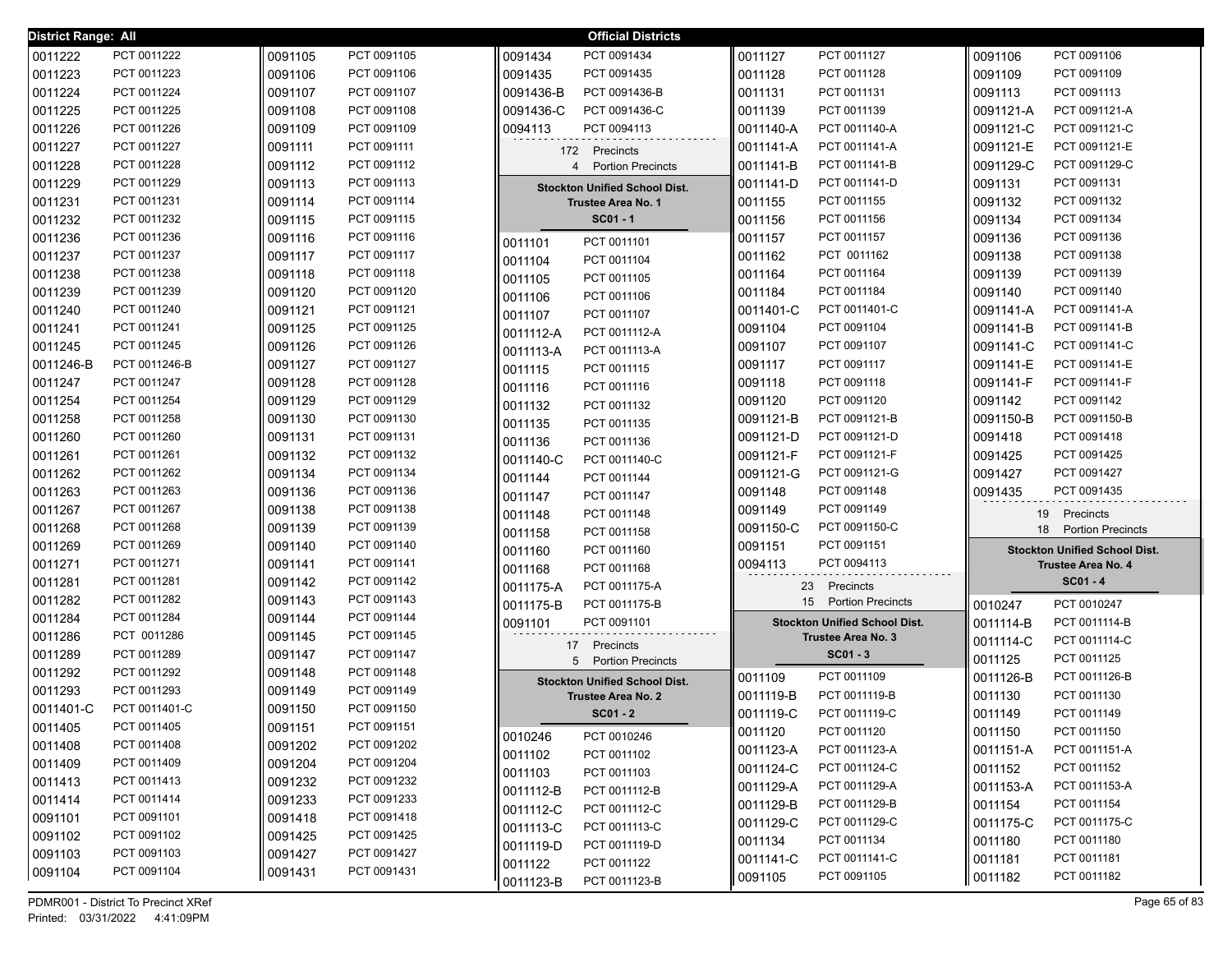| <b>District Range: All</b> |                            |                    |                            |           | <b>Official Districts</b>            |                 |                                      |                    |                                      |
|----------------------------|----------------------------|--------------------|----------------------------|-----------|--------------------------------------|-----------------|--------------------------------------|--------------------|--------------------------------------|
| 0011222                    | PCT 0011222                | 0091105            | PCT 0091105                | 0091434   | PCT 0091434                          | 0011127         | PCT 0011127                          | 0091106            | PCT 0091106                          |
| 0011223                    | PCT 0011223                | 0091106            | PCT 0091106                | 0091435   | PCT 0091435                          | 0011128         | PCT 0011128                          | 0091109            | PCT 0091109                          |
| 0011224                    | PCT 0011224                | 0091107            | PCT 0091107                | 0091436-B | PCT 0091436-B                        | 0011131         | PCT 0011131                          | 0091113            | PCT 0091113                          |
| 0011225                    | PCT 0011225                | 0091108            | PCT 0091108                | 0091436-C | PCT 0091436-C                        | 0011139         | PCT 0011139                          | 0091121-A          | PCT 0091121-A                        |
| 0011226                    | PCT 0011226                | 0091109            | PCT 0091109                | 0094113   | PCT 0094113                          | 0011140-A       | PCT 0011140-A                        | 0091121-C          | PCT 0091121-C                        |
| 0011227                    | PCT 0011227                | 0091111            | PCT 0091111                |           | 172 Precincts                        | 0011141-A       | PCT 0011141-A                        | 0091121-E          | PCT 0091121-E                        |
| 0011228                    | PCT 0011228                | 0091112            | PCT 0091112                |           | 4 Portion Precincts                  | 0011141-B       | PCT 0011141-B                        | 0091129-C          | PCT 0091129-C                        |
| 0011229                    | PCT 0011229                | 0091113            | PCT 0091113                |           | <b>Stockton Unified School Dist.</b> | 0011141-D       | PCT 0011141-D                        | 0091131            | PCT 0091131                          |
| 0011231                    | PCT 0011231                | 0091114            | PCT 0091114                |           | <b>Trustee Area No. 1</b>            | 0011155         | PCT 0011155                          | 0091132            | PCT 0091132                          |
| 0011232                    | PCT 0011232                | 0091115            | PCT 0091115                |           | $SC01 - 1$                           | 0011156         | PCT 0011156                          | 0091134            | PCT 0091134                          |
| 0011236                    | PCT 0011236                | 0091116            | PCT 0091116                | 0011101   | PCT 0011101                          | 0011157         | PCT 0011157                          | 0091136            | PCT 0091136                          |
| 0011237                    | PCT 0011237                | 0091117            | PCT 0091117                | 0011104   | PCT 0011104                          | 0011162         | PCT 0011162                          | 0091138            | PCT 0091138                          |
| 0011238                    | PCT 0011238                | 0091118            | PCT 0091118                | 0011105   | PCT 0011105                          | 0011164         | PCT 0011164                          | 0091139            | PCT 0091139                          |
| 0011239                    | PCT 0011239                | 0091120            | PCT 0091120                | 0011106   | PCT 0011106                          | 0011184         | PCT 0011184                          | 0091140            | PCT 0091140                          |
| 0011240                    | PCT 0011240                | 0091121            | PCT 0091121                | 0011107   | PCT 0011107                          | 0011401-C       | PCT 0011401-C                        | 0091141-A          | PCT 0091141-A                        |
| 0011241                    | PCT 0011241                | 0091125            | PCT 0091125                | 0011112-A | PCT 0011112-A                        | 0091104         | PCT 0091104                          | 0091141-B          | PCT 0091141-B                        |
| 0011245                    | PCT 0011245                | 0091126            | PCT 0091126                | 0011113-A | PCT 0011113-A                        | 0091107         | PCT 0091107                          | 0091141-C          | PCT 0091141-C                        |
| 0011246-B                  | PCT 0011246-B              | 0091127            | PCT 0091127                | 0011115   | PCT 0011115                          | 0091117         | PCT 0091117                          | 0091141-E          | PCT 0091141-E                        |
| 0011247                    | PCT 0011247                | 0091128            | PCT 0091128                | 0011116   | PCT 0011116                          | 0091118         | PCT 0091118                          | 0091141-F          | PCT 0091141-F                        |
| 0011254                    | PCT 0011254                | 0091129            | PCT 0091129                | 0011132   | PCT 0011132                          | 0091120         | PCT 0091120                          | 0091142            | PCT 0091142                          |
| 0011258                    | PCT 0011258                | 0091130            | PCT 0091130                | 0011135   | PCT 0011135                          | 0091121-B       | PCT 0091121-B                        | 0091150-B          | PCT 0091150-B                        |
| 0011260                    | PCT 0011260                | 0091131            | PCT 0091131                | 0011136   | PCT 0011136                          | 0091121-D       | PCT 0091121-D                        | 0091418            | PCT 0091418                          |
| 0011261                    | PCT 0011261                | 0091132            | PCT 0091132                | 0011140-C | PCT 0011140-C                        | 0091121-F       | PCT 0091121-F                        | 0091425            | PCT 0091425                          |
| 0011262                    | PCT 0011262                | 0091134            | PCT 0091134                | 0011144   | PCT 0011144                          | 0091121-G       | PCT 0091121-G                        | 0091427            | PCT 0091427                          |
| 0011263                    | PCT 0011263                | 0091136            | PCT 0091136                | 0011147   | PCT 0011147                          | 0091148         | PCT 0091148                          | 0091435            | PCT 0091435                          |
| 0011267                    | PCT 0011267                | 0091138            | PCT 0091138                | 0011148   | PCT 0011148                          | 0091149         | PCT 0091149                          | 19                 | Precincts                            |
| 0011268                    | PCT 0011268                | 0091139            | PCT 0091139                | 0011158   | PCT 0011158                          | 0091150-C       | PCT 0091150-C                        | 18                 | <b>Portion Precincts</b>             |
| 0011269                    | PCT 0011269                | 0091140            | PCT 0091140                | 0011160   | PCT 0011160                          | 0091151         | PCT 0091151                          |                    | <b>Stockton Unified School Dist.</b> |
| 0011271                    | PCT 0011271                | 0091141            | PCT 0091141                | 0011168   | PCT 0011168                          | 0094113         | PCT 0094113                          |                    | <b>Trustee Area No. 4</b>            |
| 0011281                    | PCT 0011281                | 0091142            | PCT 0091142                | 0011175-A | PCT 0011175-A                        | 23              | Precincts                            |                    | $SC01 - 4$                           |
| 0011282                    | PCT 0011282                | 0091143            | PCT 0091143                | 0011175-B | PCT 0011175-B                        | 15 <sub>1</sub> | <b>Portion Precincts</b>             | 0010247            | PCT 0010247                          |
| 0011284                    | PCT 0011284                | 0091144            | PCT 0091144                | 0091101   | PCT 0091101                          |                 | <b>Stockton Unified School Dist.</b> | 0011114-B          | PCT 0011114-B                        |
| 0011286                    | PCT 0011286                | 0091145            | PCT 0091145                |           | 17 Precincts                         |                 | <b>Trustee Area No. 3</b>            | 0011114-C          | PCT 0011114-C                        |
| 0011289                    | PCT 0011289                | 0091147            | PCT 0091147                | 5         | <b>Portion Precincts</b>             |                 | $SC01 - 3$                           | 0011125            | PCT 0011125                          |
| 0011292                    | PCT 0011292                | 0091148            | PCT 0091148                |           | <b>Stockton Unified School Dist.</b> | 0011109         | PCT 0011109                          | 0011126-B          | PCT 0011126-B                        |
| 0011293                    | PCT 0011293                | 0091149            | PCT 0091149                |           | <b>Trustee Area No. 2</b>            | 0011119-B       | PCT 0011119-B                        | 0011130            | PCT 0011130                          |
| 0011401-C                  | PCT 0011401-C              | 0091150            | PCT 0091150                |           | $SC01 - 2$                           | 0011119-C       | PCT 0011119-C                        | 0011149            | PCT 0011149                          |
| 0011405                    | PCT 0011405                | 0091151            | PCT 0091151                | 0010246   | PCT 0010246                          | 0011120         | PCT 0011120                          | 0011150            | PCT 0011150                          |
| 0011408                    | PCT 0011408                | 0091202            | PCT 0091202                | 0011102   | PCT 0011102                          | 0011123-A       | PCT 0011123-A                        | 0011151-A          | PCT 0011151-A                        |
| 0011409                    | PCT 0011409                | 0091204            | PCT 0091204                | 0011103   | PCT 0011103                          | 0011124-C       | PCT 0011124-C                        | 0011152            | PCT 0011152                          |
| 0011413                    | PCT 0011413                | 0091232            | PCT 0091232                | 0011112-B | PCT 0011112-B                        | 0011129-A       | PCT 0011129-A                        | 0011153-A          | PCT 0011153-A                        |
| 0011414                    | PCT 0011414                | 0091233            | PCT 0091233                | 0011112-C | PCT 0011112-C                        | 0011129-B       | PCT 0011129-B                        | 0011154            | PCT 0011154                          |
| 0091101                    | PCT 0091101                | 0091418            | PCT 0091418                | 0011113-C | PCT 0011113-C                        | 0011129-C       | PCT 0011129-C                        | 0011175-C          | PCT 0011175-C                        |
| 0091102                    | PCT 0091102                | 0091425            | PCT 0091425                | 0011119-D | PCT 0011119-D                        | 0011134         | PCT 0011134                          | 0011180            | PCT 0011180                          |
|                            |                            |                    |                            |           |                                      |                 |                                      |                    |                                      |
| 0091103<br>0091104         | PCT 0091103<br>PCT 0091104 | 0091427<br>0091431 | PCT 0091427<br>PCT 0091431 | 0011122   | PCT 0011122                          | 0011141-C       | PCT 0011141-C                        | 0011181<br>0011182 | PCT 0011181                          |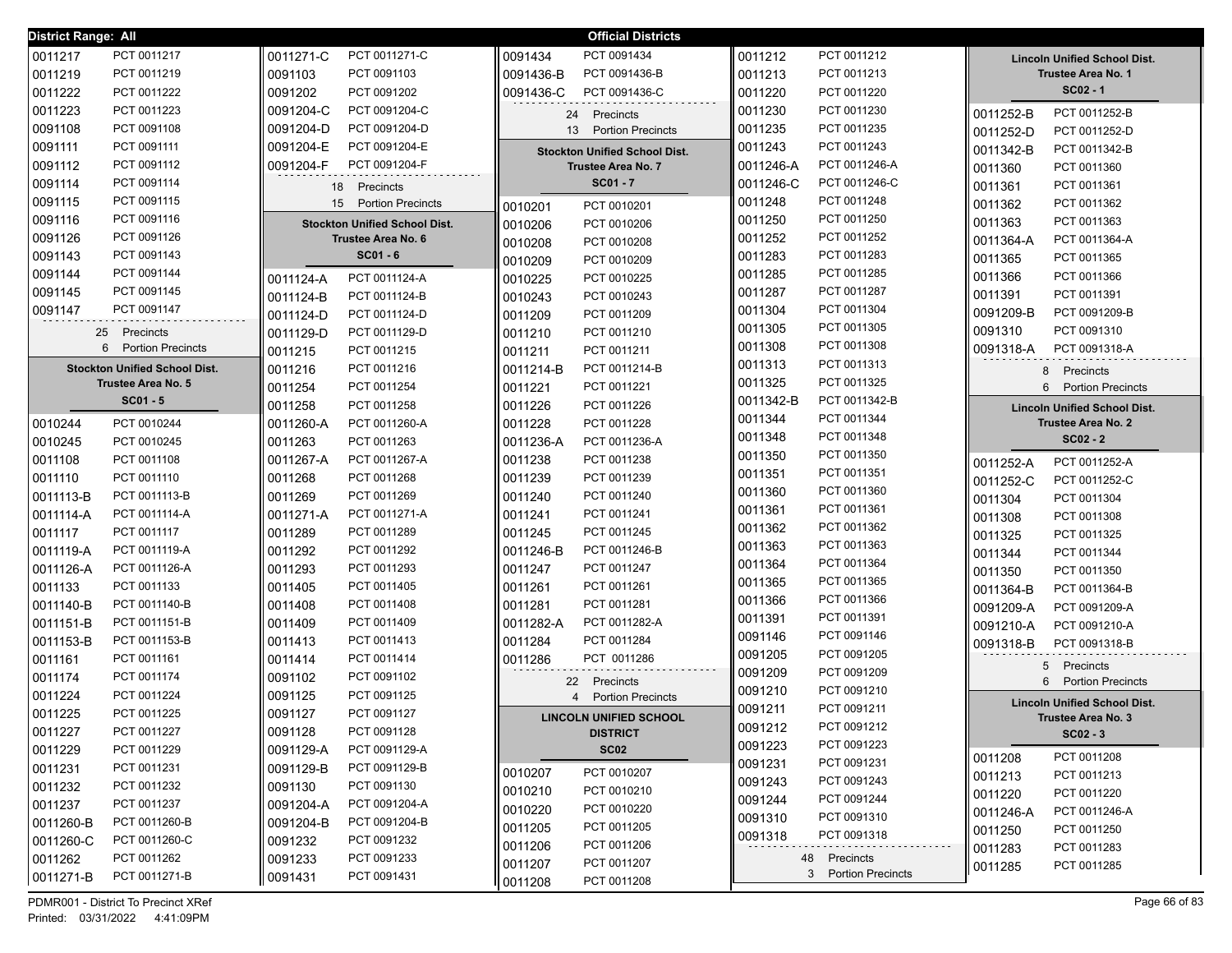| <b>District Range: All</b> |                                      |           |                                      |           | <b>Official Districts</b>            |           |                               |           |                                     |
|----------------------------|--------------------------------------|-----------|--------------------------------------|-----------|--------------------------------------|-----------|-------------------------------|-----------|-------------------------------------|
| 0011217                    | PCT 0011217                          | 0011271-C | PCT 0011271-C                        | 0091434   | PCT 0091434                          | 0011212   | PCT 0011212                   |           | <b>Lincoln Unified School Dist.</b> |
| 0011219                    | PCT 0011219                          | 0091103   | PCT 0091103                          | 0091436-B | PCT 0091436-B                        | 0011213   | PCT 0011213                   |           | <b>Trustee Area No. 1</b>           |
| 0011222                    | PCT 0011222                          | 0091202   | PCT 0091202                          | 0091436-C | PCT 0091436-C                        | 0011220   | PCT 0011220                   |           | $SC02 - 1$                          |
| 0011223                    | PCT 0011223                          | 0091204-C | PCT 0091204-C                        | 24        | Precincts                            | 0011230   | PCT 0011230                   | 0011252-B | PCT 0011252-B                       |
| 0091108                    | PCT 0091108                          | 0091204-D | PCT 0091204-D                        |           | 13 Portion Precincts                 | 0011235   | PCT 0011235                   | 0011252-D | PCT 0011252-D                       |
| 0091111                    | PCT 0091111                          | 0091204-E | PCT 0091204-E                        |           | <b>Stockton Unified School Dist.</b> | 0011243   | PCT 0011243                   | 0011342-B | PCT 0011342-B                       |
| 0091112                    | PCT 0091112                          | 0091204-F | PCT 0091204-F                        |           | <b>Trustee Area No. 7</b>            | 0011246-A | PCT 0011246-A                 | 0011360   | PCT 0011360                         |
| 0091114                    | PCT 0091114                          |           | 18 Precincts                         |           | $SC01 - 7$                           | 0011246-C | PCT 0011246-C                 | 0011361   | PCT 0011361                         |
| 0091115                    | PCT 0091115                          | 15        | <b>Portion Precincts</b>             | 0010201   | PCT 0010201                          | 0011248   | PCT 0011248                   | 0011362   | PCT 0011362                         |
| 0091116                    | PCT 0091116                          |           | <b>Stockton Unified School Dist.</b> | 0010206   | PCT 0010206                          | 0011250   | PCT 0011250                   | 0011363   | PCT 0011363                         |
| 0091126                    | PCT 0091126                          |           | Trustee Area No. 6                   | 0010208   | PCT 0010208                          | 0011252   | PCT 0011252                   | 0011364-A | PCT 0011364-A                       |
| 0091143                    | PCT 0091143                          |           | $SC01 - 6$                           | 0010209   | PCT 0010209                          | 0011283   | PCT 0011283                   | 0011365   | PCT 0011365                         |
| 0091144                    | PCT 0091144                          | 0011124-A | PCT 0011124-A                        | 0010225   | PCT 0010225                          | 0011285   | PCT 0011285                   | 0011366   | PCT 0011366                         |
| 0091145                    | PCT 0091145                          | 0011124-B | PCT 0011124-B                        | 0010243   | PCT 0010243                          | 0011287   | PCT 0011287                   | 0011391   | PCT 0011391                         |
| 0091147                    | PCT 0091147                          | 0011124-D | PCT 0011124-D                        | 0011209   | PCT 0011209                          | 0011304   | PCT 0011304                   | 0091209-B | PCT 0091209-B                       |
|                            | 25<br>Precincts                      | 0011129-D | PCT 0011129-D                        | 0011210   | PCT 0011210                          | 0011305   | PCT 0011305                   | 0091310   | PCT 0091310                         |
|                            | 6 Portion Precincts                  | 0011215   | PCT 0011215                          | 0011211   | PCT 0011211                          | 0011308   | PCT 0011308                   | 0091318-A | PCT 0091318-A                       |
|                            | <b>Stockton Unified School Dist.</b> | 0011216   | PCT 0011216                          | 0011214-B | PCT 0011214-B                        | 0011313   | PCT 0011313                   | 8         | Precincts                           |
|                            | <b>Trustee Area No. 5</b>            | 0011254   | PCT 0011254                          | 0011221   | PCT 0011221                          | 0011325   | PCT 0011325                   | 6         | <b>Portion Precincts</b>            |
|                            | $SC01 - 5$                           | 0011258   | PCT 0011258                          | 0011226   | PCT 0011226                          | 0011342-B | PCT 0011342-B                 |           | <b>Lincoln Unified School Dist.</b> |
| 0010244                    | PCT 0010244                          | 0011260-A | PCT 0011260-A                        | 0011228   | PCT 0011228                          | 0011344   | PCT 0011344                   |           | <b>Trustee Area No. 2</b>           |
| 0010245                    | PCT 0010245                          | 0011263   | PCT 0011263                          | 0011236-A | PCT 0011236-A                        | 0011348   | PCT 0011348                   |           | $SC02 - 2$                          |
| 0011108                    | PCT 0011108                          | 0011267-A | PCT 0011267-A                        | 0011238   | PCT 0011238                          | 0011350   | PCT 0011350                   | 0011252-A | PCT 0011252-A                       |
| 0011110                    | PCT 0011110                          | 0011268   | PCT 0011268                          | 0011239   | PCT 0011239                          | 0011351   | PCT 0011351                   | 0011252-C | PCT 0011252-C                       |
| 0011113-B                  | PCT 0011113-B                        | 0011269   | PCT 0011269                          | 0011240   | PCT 0011240                          | 0011360   | PCT 0011360                   | 0011304   | PCT 0011304                         |
| 0011114-A                  | PCT 0011114-A                        | 0011271-A | PCT 0011271-A                        | 0011241   | PCT 0011241                          | 0011361   | PCT 0011361                   | 0011308   | PCT 0011308                         |
| 0011117                    | PCT 0011117                          | 0011289   | PCT 0011289                          | 0011245   | PCT 0011245                          | 0011362   | PCT 0011362                   | 0011325   | PCT 0011325                         |
| 0011119-A                  | PCT 0011119-A                        | 0011292   | PCT 0011292                          | 0011246-B | PCT 0011246-B                        | 0011363   | PCT 0011363                   | 0011344   | PCT 0011344                         |
| 0011126-A                  | PCT 0011126-A                        | 0011293   | PCT 0011293                          | 0011247   | PCT 0011247                          | 0011364   | PCT 0011364                   | 0011350   | PCT 0011350                         |
| 0011133                    | PCT 0011133                          | 0011405   | PCT 0011405                          | 0011261   | PCT 0011261                          | 0011365   | PCT 0011365                   | 0011364-B | PCT 0011364-B                       |
| 0011140-B                  | PCT 0011140-B                        | 0011408   | PCT 0011408                          | 0011281   | PCT 0011281                          | 0011366   | PCT 0011366                   | 0091209-A | PCT 0091209-A                       |
| 0011151-B                  | PCT 0011151-B                        | 0011409   | PCT 0011409                          | 0011282-A | PCT 0011282-A                        | 0011391   | PCT 0011391                   | 0091210-A | PCT 0091210-A                       |
| 0011153-B                  | PCT 0011153-B                        | 0011413   | PCT 0011413                          | 0011284   | PCT 0011284                          | 0091146   | PCT 0091146                   | 0091318-B | PCT 0091318-B                       |
| 0011161                    | PCT 0011161                          | 0011414   | PCT 0011414                          | 0011286   | PCT 0011286                          | 0091205   | PCT 0091205                   | 5         | Precincts                           |
| 0011174                    | PCT 0011174                          | 0091102   | PCT 0091102                          |           | 22 Precincts                         | 0091209   | PCT 0091209                   | 6.        | <b>Portion Precincts</b>            |
| 0011224                    | PCT 0011224                          | 0091125   | PCT 0091125                          |           | 4 Portion Precincts                  | 0091210   | PCT 0091210                   |           | <b>Lincoln Unified School Dist.</b> |
| 0011225                    | PCT 0011225                          | 0091127   | PCT 0091127                          |           | <b>LINCOLN UNIFIED SCHOOL</b>        | 0091211   | PCT 0091211                   |           | <b>Trustee Area No. 3</b>           |
| 0011227                    | PCT 0011227                          | 0091128   | PCT 0091128                          |           | <b>DISTRICT</b>                      | 0091212   | PCT 0091212                   |           | $SC02 - 3$                          |
| 0011229                    | PCT 0011229                          | 0091129-A | PCT 0091129-A                        |           | <b>SC02</b>                          | 0091223   | PCT 0091223                   | 0011208   | PCT 0011208                         |
| 0011231                    | PCT 0011231                          | 0091129-B | PCT 0091129-B                        | 0010207   | PCT 0010207                          | 0091231   | PCT 0091231                   | 0011213   | PCT 0011213                         |
| 0011232                    | PCT 0011232                          | 0091130   | PCT 0091130                          | 0010210   | PCT 0010210                          | 0091243   | PCT 0091243                   | 0011220   | PCT 0011220                         |
| 0011237                    | PCT 0011237                          | 0091204-A | PCT 0091204-A                        | 0010220   | PCT 0010220                          | 0091244   | PCT 0091244                   | 0011246-A | PCT 0011246-A                       |
| 0011260-B                  | PCT 0011260-B                        | 0091204-B | PCT 0091204-B                        | 0011205   | PCT 0011205                          | 0091310   | PCT 0091310                   | 0011250   | PCT 0011250                         |
| 0011260-C                  | PCT 0011260-C                        | 0091232   | PCT 0091232                          | 0011206   | PCT 0011206                          | 0091318   | PCT 0091318                   | 0011283   | PCT 0011283                         |
| 0011262                    | PCT 0011262                          | 0091233   | PCT 0091233                          | 0011207   | PCT 0011207                          | 48        | Precincts                     | 0011285   | PCT 0011285                         |
| 0011271-B                  | PCT 0011271-B                        | 0091431   | PCT 0091431                          | 0011208   | PCT 0011208                          |           | 3<br><b>Portion Precincts</b> |           |                                     |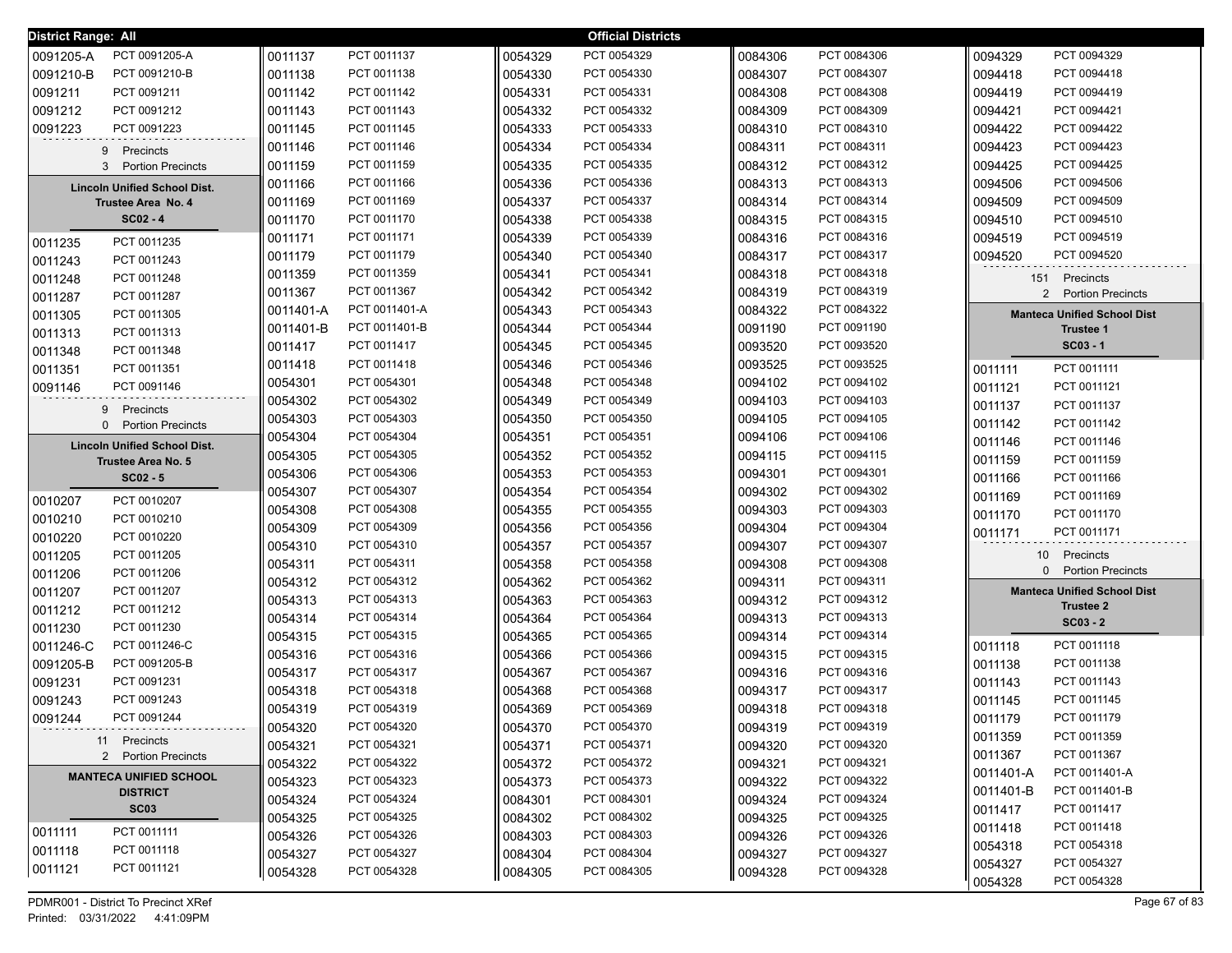| District Range: All                                              |           |               |         | <b>Official Districts</b> |         |             |                                                        |
|------------------------------------------------------------------|-----------|---------------|---------|---------------------------|---------|-------------|--------------------------------------------------------|
| 0091205-A<br>PCT 0091205-A                                       | 0011137   | PCT 0011137   | 0054329 | PCT 0054329               | 0084306 | PCT 0084306 | 0094329<br>PCT 0094329                                 |
| 0091210-B<br>PCT 0091210-B                                       | 0011138   | PCT 0011138   | 0054330 | PCT 0054330               | 0084307 | PCT 0084307 | PCT 0094418<br>0094418                                 |
| 0091211<br>PCT 0091211                                           | 0011142   | PCT 0011142   | 0054331 | PCT 0054331               | 0084308 | PCT 0084308 | PCT 0094419<br>0094419                                 |
| 0091212<br>PCT 0091212                                           | 0011143   | PCT 0011143   | 0054332 | PCT 0054332               | 0084309 | PCT 0084309 | 0094421<br>PCT 0094421                                 |
| 0091223<br>PCT 0091223                                           | 0011145   | PCT 0011145   | 0054333 | PCT 0054333               | 0084310 | PCT 0084310 | 0094422<br>PCT 0094422                                 |
| 9<br>Precincts                                                   | 0011146   | PCT 0011146   | 0054334 | PCT 0054334               | 0084311 | PCT 0084311 | 0094423<br>PCT 0094423                                 |
| 3 Portion Precincts                                              | 0011159   | PCT 0011159   | 0054335 | PCT 0054335               | 0084312 | PCT 0084312 | 0094425<br>PCT 0094425                                 |
| <b>Lincoln Unified School Dist.</b>                              | 0011166   | PCT 0011166   | 0054336 | PCT 0054336               | 0084313 | PCT 0084313 | PCT 0094506<br>0094506                                 |
| Trustee Area No. 4                                               | 0011169   | PCT 0011169   | 0054337 | PCT 0054337               | 0084314 | PCT 0084314 | PCT 0094509<br>0094509                                 |
| $SC02 - 4$                                                       | 0011170   | PCT 0011170   | 0054338 | PCT 0054338               | 0084315 | PCT 0084315 | PCT 0094510<br>0094510                                 |
| PCT 0011235<br>0011235                                           | 0011171   | PCT 0011171   | 0054339 | PCT 0054339               | 0084316 | PCT 0084316 | PCT 0094519<br>0094519                                 |
| 0011243<br>PCT 0011243                                           | 0011179   | PCT 0011179   | 0054340 | PCT 0054340               | 0084317 | PCT 0084317 | PCT 0094520<br>0094520                                 |
| 0011248<br>PCT 0011248                                           | 0011359   | PCT 0011359   | 0054341 | PCT 0054341               | 0084318 | PCT 0084318 | 151 Precincts                                          |
| 0011287<br>PCT 0011287                                           | 0011367   | PCT 0011367   | 0054342 | PCT 0054342               | 0084319 | PCT 0084319 | 2 Portion Precincts                                    |
| 0011305<br>PCT 0011305                                           | 0011401-A | PCT 0011401-A | 0054343 | PCT 0054343               | 0084322 | PCT 0084322 | <b>Manteca Unified School Dist</b>                     |
| 0011313<br>PCT 0011313                                           | 0011401-B | PCT 0011401-B | 0054344 | PCT 0054344               | 0091190 | PCT 0091190 | <b>Trustee 1</b>                                       |
| 0011348<br>PCT 0011348                                           | 0011417   | PCT 0011417   | 0054345 | PCT 0054345               | 0093520 | PCT 0093520 | $SC03 - 1$                                             |
| 0011351<br>PCT 0011351                                           | 0011418   | PCT 0011418   | 0054346 | PCT 0054346               | 0093525 | PCT 0093525 | PCT 0011111<br>0011111                                 |
| 0091146<br>PCT 0091146                                           | 0054301   | PCT 0054301   | 0054348 | PCT 0054348               | 0094102 | PCT 0094102 | PCT 0011121<br>0011121                                 |
|                                                                  | 0054302   | PCT 0054302   | 0054349 | PCT 0054349               | 0094103 | PCT 0094103 | PCT 0011137<br>0011137                                 |
| 9 Precincts<br><b>Portion Precincts</b><br>0                     | 0054303   | PCT 0054303   | 0054350 | PCT 0054350               | 0094105 | PCT 0094105 | PCT 0011142<br>0011142                                 |
|                                                                  | 0054304   | PCT 0054304   | 0054351 | PCT 0054351               | 0094106 | PCT 0094106 | PCT 0011146<br>0011146                                 |
| <b>Lincoln Unified School Dist.</b><br><b>Trustee Area No. 5</b> | 0054305   | PCT 0054305   | 0054352 | PCT 0054352               | 0094115 | PCT 0094115 | PCT 0011159<br>0011159                                 |
| $SC02 - 5$                                                       | 0054306   | PCT 0054306   | 0054353 | PCT 0054353               | 0094301 | PCT 0094301 | PCT 0011166<br>0011166                                 |
|                                                                  | 0054307   | PCT 0054307   | 0054354 | PCT 0054354               | 0094302 | PCT 0094302 | 0011169<br>PCT 0011169                                 |
| PCT 0010207<br>0010207                                           | 0054308   | PCT 0054308   | 0054355 | PCT 0054355               | 0094303 | PCT 0094303 | 0011170<br>PCT 0011170                                 |
| 0010210<br>PCT 0010210                                           | 0054309   | PCT 0054309   | 0054356 | PCT 0054356               | 0094304 | PCT 0094304 | PCT 0011171<br>0011171                                 |
| 0010220<br>PCT 0010220                                           | 0054310   | PCT 0054310   | 0054357 | PCT 0054357               | 0094307 | PCT 0094307 |                                                        |
| 0011205<br>PCT 0011205                                           | 0054311   | PCT 0054311   | 0054358 | PCT 0054358               | 0094308 | PCT 0094308 | 10<br>Precincts<br>0 Portion Precincts                 |
| 0011206<br>PCT 0011206                                           | 0054312   | PCT 0054312   | 0054362 | PCT 0054362               | 0094311 | PCT 0094311 |                                                        |
| 0011207<br>PCT 0011207                                           | 0054313   | PCT 0054313   | 0054363 | PCT 0054363               | 0094312 | PCT 0094312 | <b>Manteca Unified School Dist</b><br><b>Trustee 2</b> |
| 0011212<br>PCT 0011212                                           | 0054314   | PCT 0054314   | 0054364 | PCT 0054364               | 0094313 | PCT 0094313 | $SC03 - 2$                                             |
| 0011230<br>PCT 0011230                                           | 0054315   | PCT 0054315   | 0054365 | PCT 0054365               | 0094314 | PCT 0094314 |                                                        |
| 0011246-C<br>PCT 0011246-C                                       | 0054316   | PCT 0054316   | 0054366 | PCT 0054366               | 0094315 | PCT 0094315 | PCT 0011118<br>0011118                                 |
| 0091205-B<br>PCT 0091205-B                                       | 0054317   | PCT 0054317   | 0054367 | PCT 0054367               | 0094316 | PCT 0094316 | PCT 0011138<br>0011138                                 |
| 0091231<br>PCT 0091231                                           | 0054318   | PCT 0054318   | 0054368 | PCT 0054368               | 0094317 | PCT 0094317 | PCT 0011143<br>0011143                                 |
| 0091243<br>PCT 0091243                                           | 0054319   | PCT 0054319   | 0054369 | PCT 0054369               | 0094318 | PCT 0094318 | PCT 0011145<br>0011145                                 |
| 0091244<br>PCT 0091244<br>----------------------------------     | 0054320   | PCT 0054320   | 0054370 | PCT 0054370               | 0094319 | PCT 0094319 | 0011179<br>PCT 0011179                                 |
| 11 Precincts                                                     | 0054321   | PCT 0054321   | 0054371 | PCT 0054371               | 0094320 | PCT 0094320 | PCT 0011359<br>0011359                                 |
| 2 Portion Precincts                                              | 0054322   | PCT 0054322   | 0054372 | PCT 0054372               | 0094321 | PCT 0094321 | 0011367<br>PCT 0011367                                 |
| <b>MANTECA UNIFIED SCHOOL</b>                                    | 0054323   | PCT 0054323   | 0054373 | PCT 0054373               | 0094322 | PCT 0094322 | 0011401-A<br>PCT 0011401-A                             |
| <b>DISTRICT</b>                                                  | 0054324   | PCT 0054324   | 0084301 | PCT 0084301               | 0094324 | PCT 0094324 | 0011401-B<br>PCT 0011401-B                             |
| SC <sub>03</sub>                                                 | 0054325   | PCT 0054325   | 0084302 | PCT 0084302               | 0094325 | PCT 0094325 | PCT 0011417<br>0011417                                 |
| PCT 0011111<br>0011111                                           | 0054326   | PCT 0054326   | 0084303 | PCT 0084303               | 0094326 | PCT 0094326 | PCT 0011418<br>0011418                                 |
| PCT 0011118<br>0011118                                           | 0054327   | PCT 0054327   | 0084304 | PCT 0084304               | 0094327 | PCT 0094327 | 0054318<br>PCT 0054318                                 |
| 0011121<br>PCT 0011121                                           | 0054328   | PCT 0054328   | 0084305 | PCT 0084305               | 0094328 | PCT 0094328 | PCT 0054327<br>0054327<br>PCT 0054328<br>0054328       |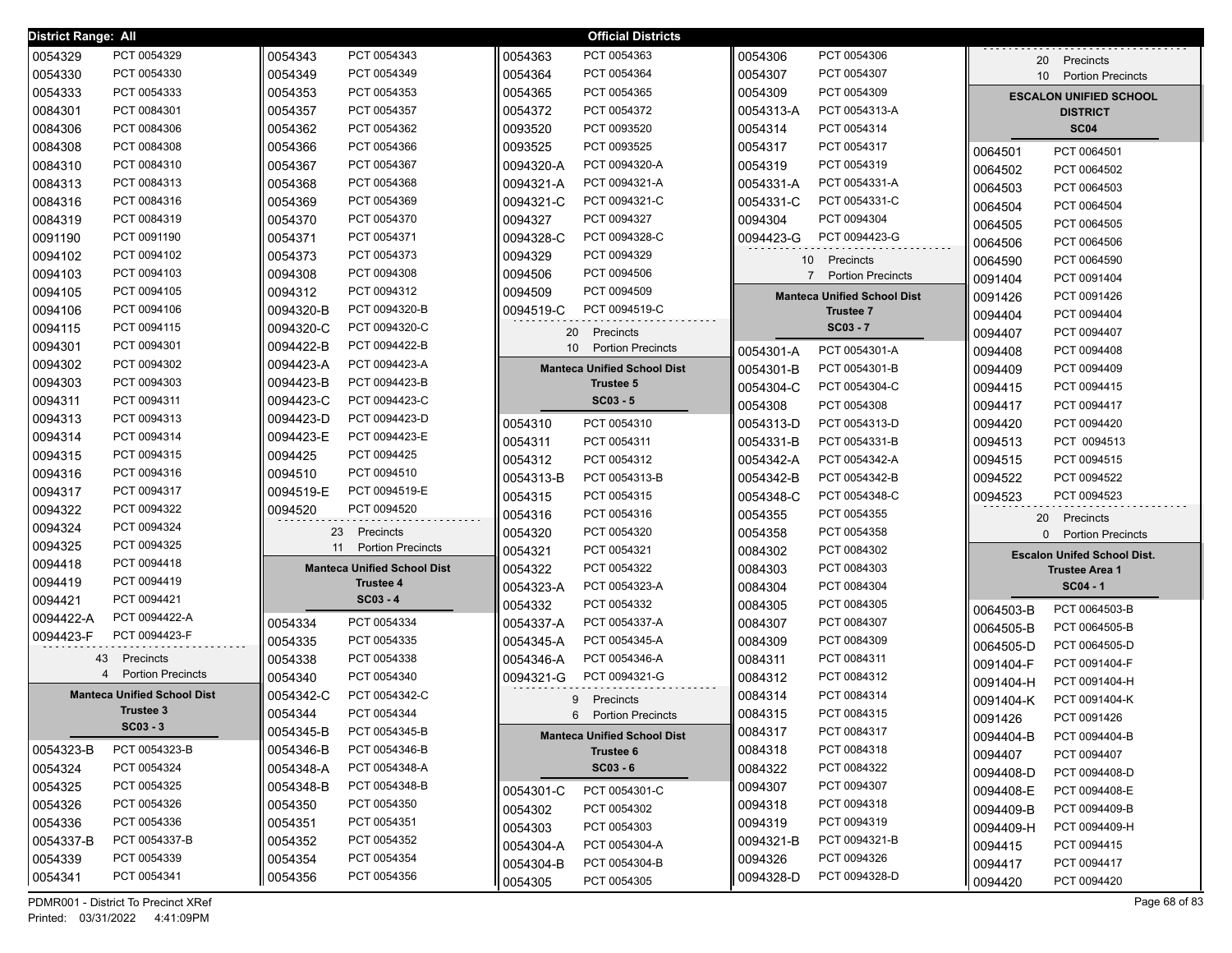| <b>District Range: All</b> |                                    |           |                                    |                 | <b>Official Districts</b>          |                |                                    |           |                                    |
|----------------------------|------------------------------------|-----------|------------------------------------|-----------------|------------------------------------|----------------|------------------------------------|-----------|------------------------------------|
| 0054329                    | PCT 0054329                        | 0054343   | PCT 0054343                        | 0054363         | PCT 0054363                        | 0054306        | PCT 0054306                        | 20        | Precincts                          |
| 0054330                    | PCT 0054330                        | 0054349   | PCT 0054349                        | 0054364         | PCT 0054364                        | 0054307        | PCT 0054307                        |           | 10 Portion Precincts               |
| 0054333                    | PCT 0054333                        | 0054353   | PCT 0054353                        | 0054365         | PCT 0054365                        | 0054309        | PCT 0054309                        |           | <b>ESCALON UNIFIED SCHOOL</b>      |
| 0084301                    | PCT 0084301                        | 0054357   | PCT 0054357                        | 0054372         | PCT 0054372                        | 0054313-A      | PCT 0054313-A                      |           | <b>DISTRICT</b>                    |
| 0084306                    | PCT 0084306                        | 0054362   | PCT 0054362                        | 0093520         | PCT 0093520                        | 0054314        | PCT 0054314                        |           | <b>SC04</b>                        |
| 0084308                    | PCT 0084308                        | 0054366   | PCT 0054366                        | 0093525         | PCT 0093525                        | 0054317        | PCT 0054317                        | 0064501   | PCT 0064501                        |
| 0084310                    | PCT 0084310                        | 0054367   | PCT 0054367                        | 0094320-A       | PCT 0094320-A                      | 0054319        | PCT 0054319                        | 0064502   | PCT 0064502                        |
| 0084313                    | PCT 0084313                        | 0054368   | PCT 0054368                        | 0094321-A       | PCT 0094321-A                      | 0054331-A      | PCT 0054331-A                      | 0064503   | PCT 0064503                        |
| 0084316                    | PCT 0084316                        | 0054369   | PCT 0054369                        | 0094321-C       | PCT 0094321-C                      | 0054331-C      | PCT 0054331-C                      | 0064504   | PCT 0064504                        |
| 0084319                    | PCT 0084319                        | 0054370   | PCT 0054370                        | 0094327         | PCT 0094327                        | 0094304        | PCT 0094304                        | 0064505   | PCT 0064505                        |
| 0091190                    | PCT 0091190                        | 0054371   | PCT 0054371                        | 0094328-C       | PCT 0094328-C                      | 0094423-G      | PCT 0094423-G                      | 0064506   | PCT 0064506                        |
| 0094102                    | PCT 0094102                        | 0054373   | PCT 0054373                        | 0094329         | PCT 0094329                        | 10             | Precincts                          | 0064590   | PCT 0064590                        |
| 0094103                    | PCT 0094103                        | 0094308   | PCT 0094308                        | 0094506         | PCT 0094506                        | $\overline{7}$ | <b>Portion Precincts</b>           | 0091404   | PCT 0091404                        |
| 0094105                    | PCT 0094105                        | 0094312   | PCT 0094312                        | 0094509         | PCT 0094509                        |                | <b>Manteca Unified School Dist</b> | 0091426   | PCT 0091426                        |
| 0094106                    | PCT 0094106                        | 0094320-B | PCT 0094320-B                      | 0094519-C       | PCT 0094519-C                      |                | <b>Trustee 7</b>                   | 0094404   | PCT 0094404                        |
| 0094115                    | PCT 0094115                        | 0094320-C | PCT 0094320-C                      | 20              | Precincts                          |                | $SC03 - 7$                         | 0094407   | PCT 0094407                        |
| 0094301                    | PCT 0094301                        | 0094422-B | PCT 0094422-B                      | 10 <sup>°</sup> | <b>Portion Precincts</b>           | 0054301-A      | PCT 0054301-A                      | 0094408   | PCT 0094408                        |
| 0094302                    | PCT 0094302                        | 0094423-A | PCT 0094423-A                      |                 | <b>Manteca Unified School Dist</b> | 0054301-B      | PCT 0054301-B                      | 0094409   | PCT 0094409                        |
| 0094303                    | PCT 0094303                        | 0094423-B | PCT 0094423-B                      |                 | <b>Trustee 5</b>                   | 0054304-C      | PCT 0054304-C                      | 0094415   | PCT 0094415                        |
| 0094311                    | PCT 0094311                        | 0094423-C | PCT 0094423-C                      |                 | $SC03 - 5$                         | 0054308        | PCT 0054308                        | 0094417   | PCT 0094417                        |
| 0094313                    | PCT 0094313                        | 0094423-D | PCT 0094423-D                      | 0054310         | PCT 0054310                        | 0054313-D      | PCT 0054313-D                      | 0094420   | PCT 0094420                        |
| 0094314                    | PCT 0094314                        | 0094423-E | PCT 0094423-E                      | 0054311         | PCT 0054311                        | 0054331-B      | PCT 0054331-B                      | 0094513   | PCT 0094513                        |
| 0094315                    | PCT 0094315                        | 0094425   | PCT 0094425                        | 0054312         | PCT 0054312                        | 0054342-A      | PCT 0054342-A                      | 0094515   | PCT 0094515                        |
| 0094316                    | PCT 0094316                        | 0094510   | PCT 0094510                        | 0054313-B       | PCT 0054313-B                      | 0054342-B      | PCT 0054342-B                      | 0094522   | PCT 0094522                        |
| 0094317                    | PCT 0094317                        | 0094519-E | PCT 0094519-E                      | 0054315         | PCT 0054315                        | 0054348-C      | PCT 0054348-C                      | 0094523   | PCT 0094523                        |
| 0094322                    | PCT 0094322                        | 0094520   | PCT 0094520                        | 0054316         | PCT 0054316                        | 0054355        | PCT 0054355                        | 20        | Precincts                          |
| 0094324                    | PCT 0094324                        | 23        | Precincts                          | 0054320         | PCT 0054320                        | 0054358        | PCT 0054358                        |           | 0 Portion Precincts                |
| 0094325                    | PCT 0094325                        | 11        | <b>Portion Precincts</b>           | 0054321         | PCT 0054321                        | 0084302        | PCT 0084302                        |           | <b>Escalon Unifed School Dist.</b> |
| 0094418                    | PCT 0094418                        |           | <b>Manteca Unified School Dist</b> | 0054322         | PCT 0054322                        | 0084303        | PCT 0084303                        |           | <b>Trustee Area 1</b>              |
| 0094419                    | PCT 0094419                        |           | <b>Trustee 4</b>                   | 0054323-A       | PCT 0054323-A                      | 0084304        | PCT 0084304                        |           | $SC04 - 1$                         |
| 0094421                    | PCT 0094421                        |           | $SC03 - 4$                         | 0054332         | PCT 0054332                        | 0084305        | PCT 0084305                        | 0064503-B | PCT 0064503-B                      |
| 0094422-A                  | PCT 0094422-A                      | 0054334   | PCT 0054334                        | 0054337-A       | PCT 0054337-A                      | 0084307        | PCT 0084307                        | 0064505-B | PCT 0064505-B                      |
| 0094423-F                  | PCT 0094423-F                      | 0054335   | PCT 0054335                        | 0054345-A       | PCT 0054345-A                      | 0084309        | PCT 0084309                        | 0064505-D | PCT 0064505-D                      |
| 43                         | Precincts                          | 0054338   | PCT 0054338                        | 0054346-A       | PCT 0054346-A                      | 0084311        | PCT 0084311                        | 0091404-F | PCT 0091404-F                      |
|                            | <b>Portion Precincts</b><br>4      | 0054340   | PCT 0054340                        | 0094321-G       | PCT 0094321-G                      | 0084312        | PCT 0084312                        | 0091404-H | PCT 0091404-H                      |
|                            | <b>Manteca Unified School Dist</b> | 0054342-C | PCT 0054342-C                      | 9               | Precincts                          | 0084314        | PCT 0084314                        | 0091404-K | PCT 0091404-K                      |
|                            | <b>Trustee 3</b>                   | 0054344   | PCT 0054344                        | 6               | <b>Portion Precincts</b>           | 0084315        | PCT 0084315                        | 0091426   | PCT 0091426                        |
|                            | $SC03 - 3$                         | 0054345-B | PCT 0054345-B                      |                 | <b>Manteca Unified School Dist</b> | 0084317        | PCT 0084317                        | 0094404-B | PCT 0094404-B                      |
| 0054323-B                  | PCT 0054323-B                      | 0054346-B | PCT 0054346-B                      |                 | <b>Trustee 6</b>                   | 0084318        | PCT 0084318                        | 0094407   | PCT 0094407                        |
| 0054324                    | PCT 0054324                        | 0054348-A | PCT 0054348-A                      |                 | $SC03 - 6$                         | 0084322        | PCT 0084322                        | 0094408-D | PCT 0094408-D                      |
| 0054325                    | PCT 0054325                        | 0054348-B | PCT 0054348-B                      | 0054301-C       | PCT 0054301-C                      | 0094307        | PCT 0094307                        | 0094408-E | PCT 0094408-E                      |
| 0054326                    | PCT 0054326                        | 0054350   | PCT 0054350                        | 0054302         | PCT 0054302                        | 0094318        | PCT 0094318                        | 0094409-B | PCT 0094409-B                      |
| 0054336                    | PCT 0054336                        | 0054351   | PCT 0054351                        | 0054303         | PCT 0054303                        | 0094319        | PCT 0094319                        | 0094409-H | PCT 0094409-H                      |
| 0054337-B                  | PCT 0054337-B                      | 0054352   | PCT 0054352                        | 0054304-A       | PCT 0054304-A                      | 0094321-B      | PCT 0094321-B                      | 0094415   | PCT 0094415                        |
| 0054339                    | PCT 0054339                        | 0054354   | PCT 0054354                        | 0054304-B       | PCT 0054304-B                      | 0094326        | PCT 0094326                        | 0094417   | PCT 0094417                        |
| 0054341                    | PCT 0054341                        | 0054356   | PCT 0054356                        | 0054305         | PCT 0054305                        | 0094328-D      | PCT 0094328-D                      | 0094420   | PCT 0094420                        |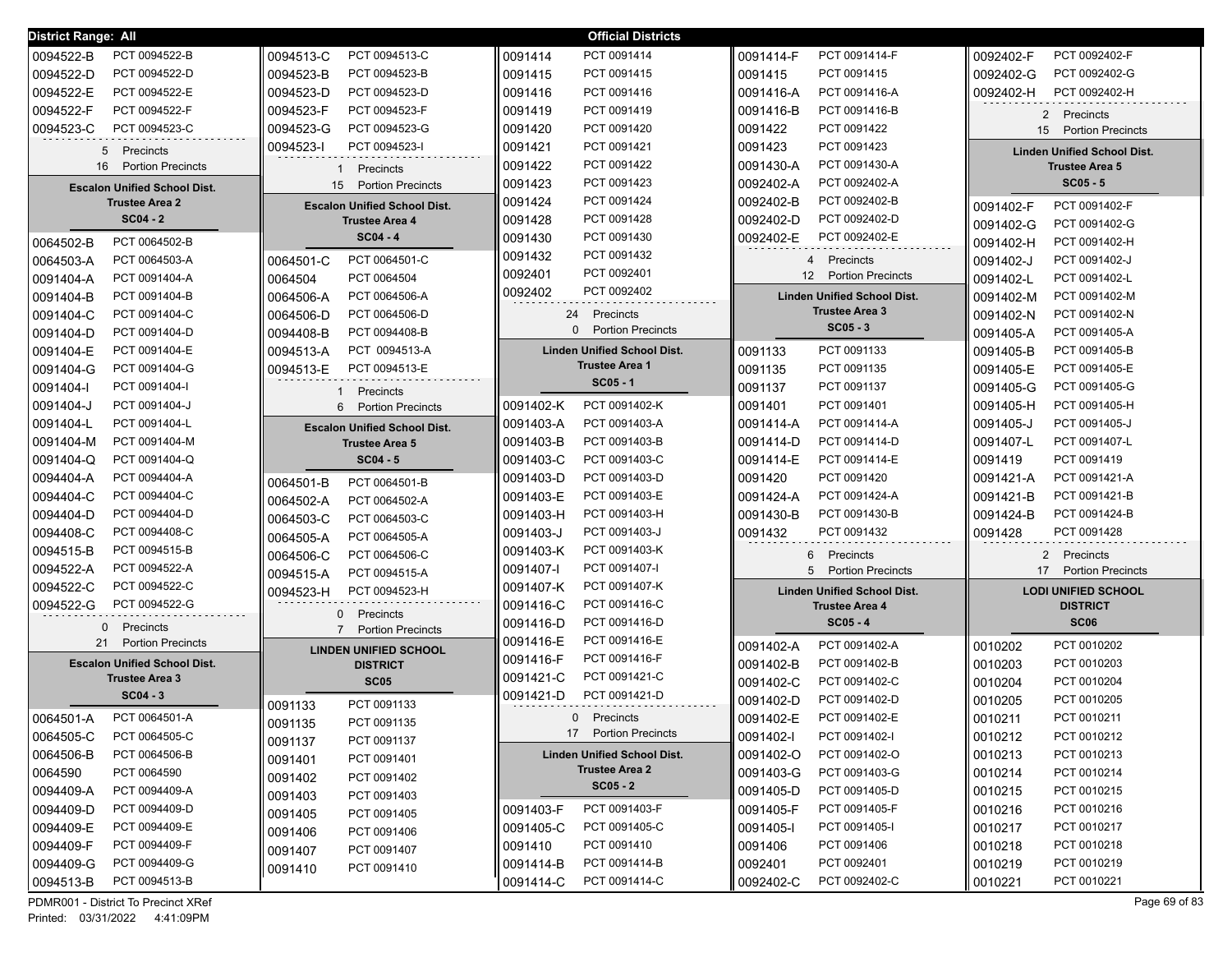| District Range: All                 |                                            | <b>Official Districts</b>          |                                    |                                    |
|-------------------------------------|--------------------------------------------|------------------------------------|------------------------------------|------------------------------------|
| 0094522-B                           | PCT 0094513-C                              | 0091414                            | PCT 0091414-F                      | 0092402-F                          |
| PCT 0094522-B                       | 0094513-C                                  | PCT 0091414                        | 0091414-F                          | PCT 0092402-F                      |
| 0094522-D                           | 0094523-B                                  | 0091415                            | PCT 0091415                        | 0092402-G                          |
| PCT 0094522-D                       | PCT 0094523-B                              | PCT 0091415                        | 0091415                            | PCT 0092402-G                      |
| 0094522-E                           | 0094523-D                                  | 0091416                            | PCT 0091416-A                      | PCT 0092402-H                      |
| PCT 0094522-E                       | PCT 0094523-D                              | PCT 0091416                        | 0091416-A                          | 0092402-H                          |
| 0094522-F                           | PCT 0094523-F                              | PCT 0091419                        | PCT 0091416-B                      | Precincts                          |
| PCT 0094522-F                       | 0094523-F                                  | 0091419                            | 0091416-B                          | 2                                  |
| 0094523-C                           | 0094523-G                                  | 0091420                            | 0091422                            | 15 Portion Precincts               |
| PCT 0094523-C                       | PCT 0094523-G                              | PCT 0091420                        | PCT 0091422                        |                                    |
| 5                                   | 0094523-I                                  | 0091421                            | PCT 0091423                        | <b>Linden Unified School Dist.</b> |
| Precincts                           | PCT 0094523-I                              | PCT 0091421                        | 0091423                            |                                    |
| <b>Portion Precincts</b>            | Precincts                                  | PCT 0091422                        | PCT 0091430-A                      | <b>Trustee Area 5</b>              |
| 16                                  | -1                                         | 0091422                            | 0091430-A                          |                                    |
| <b>Escalon Unified School Dist.</b> | <b>Portion Precincts</b><br>15             | PCT 0091423<br>0091423             | PCT 0092402-A<br>0092402-A         | $SC05 - 5$                         |
| <b>Trustee Area 2</b>               | <b>Escalon Unified School Dist.</b>        | PCT 0091424<br>0091424             | PCT 0092402-B<br>0092402-B         | PCT 0091402-F<br>0091402-F         |
| $SC04 - 2$                          | <b>Trustee Area 4</b>                      | PCT 0091428<br>0091428             | PCT 0092402-D<br>0092402-D         | 0091402-G<br>PCT 0091402-G         |
| PCT 0064502-B                       | $SC04 - 4$                                 | PCT 0091430                        | PCT 0092402-E                      | 0091402-H                          |
| 0064502-B                           |                                            | 0091430                            | 0092402-E                          | PCT 0091402-H                      |
| 0064503-A                           | PCT 0064501-C                              | PCT 0091432                        | Precincts                          | 0091402-J                          |
| PCT 0064503-A                       | 0064501-C                                  | 0091432                            | 4                                  | PCT 0091402-J                      |
| 0091404-A                           | PCT 0064504                                | PCT 0092401                        | 12 <sup>°</sup>                    | 0091402-L                          |
| PCT 0091404-A                       | 0064504                                    | 0092401                            | <b>Portion Precincts</b>           | PCT 0091402-L                      |
| 0091404-B                           | 0064506-A                                  | 0092402                            | <b>Linden Unified School Dist.</b> | 0091402-M                          |
| PCT 0091404-B                       | PCT 0064506-A                              | PCT 0092402                        |                                    | PCT 0091402-M                      |
| 0091404-C                           | 0064506-D                                  | 24                                 | <b>Trustee Area 3</b>              | 0091402-N                          |
| PCT 0091404-C                       | PCT 0064506-D                              | Precincts                          |                                    | PCT 0091402-N                      |
| 0091404-D                           | PCT 0094408-B                              | 0                                  | $SC05 - 3$                         | 0091405-A                          |
| PCT 0091404-D                       | 0094408-B                                  | <b>Portion Precincts</b>           |                                    | PCT 0091405-A                      |
| 0091404-E                           | 0094513-A                                  | <b>Linden Unified School Dist.</b> | PCT 0091133                        | 0091405-B                          |
| PCT 0091404-E                       | PCT 0094513-A                              |                                    | 0091133                            | PCT 0091405-B                      |
| 0091404-G                           | 0094513-E                                  | <b>Trustee Area 1</b>              | 0091135                            | 0091405-E                          |
| PCT 0091404-G                       | PCT 0094513-E                              |                                    | PCT 0091135                        | PCT 0091405-E                      |
| PCT 0091404-I<br>0091404-l          | Precincts                                  | $SC05 - 1$                         | PCT 0091137<br>0091137             | 0091405-G<br>PCT 0091405-G         |
| 0091404-J                           | <b>Portion Precincts</b>                   | PCT 0091402-K                      | PCT 0091401                        | 0091405-H                          |
| PCT 0091404-J                       | 6                                          | 0091402-K                          | 0091401                            | PCT 0091405-H                      |
| 0091404-L                           | <b>Escalon Unified School Dist.</b>        | PCT 0091403-A                      | PCT 0091414-A                      | 0091405-J                          |
| PCT 0091404-L                       |                                            | 0091403-A                          | 0091414-A                          | PCT 0091405-J                      |
| 0091404-M                           | <b>Trustee Area 5</b>                      | PCT 0091403-B                      | PCT 0091414-D                      | PCT 0091407-L                      |
| PCT 0091404-M                       |                                            | 0091403-B                          | 0091414-D                          | 0091407-L                          |
| PCT 0091404-Q                       | $SC04 - 5$                                 | PCT 0091403-C                      | PCT 0091414-E                      | PCT 0091419                        |
| 0091404-Q                           |                                            | 0091403-C                          | 0091414-E                          | 0091419                            |
| PCT 0094404-A                       | PCT 0064501-B                              | PCT 0091403-D                      | PCT 0091420                        | 0091421-A                          |
| 0094404-A                           | 0064501-B                                  | 0091403-D                          | 0091420                            | PCT 0091421-A                      |
| 0094404-C                           | 0064502-A                                  | 0091403-E                          | PCT 0091424-A                      | 0091421-B                          |
| PCT 0094404-C                       | PCT 0064502-A                              | PCT 0091403-E                      | 0091424-A                          | PCT 0091421-B                      |
| 0094404-D                           | 0064503-C                                  | PCT 0091403-H                      | 0091430-B                          | 0091424-B                          |
| PCT 0094404-D                       | PCT 0064503-C                              | 0091403-H                          | PCT 0091430-B                      | PCT 0091424-B                      |
| 0094408-C                           | 0064505-A                                  | 0091403-J                          | 0091432                            | PCT 0091428                        |
| PCT 0094408-C                       | PCT 0064505-A                              | PCT 0091403-J                      | PCT 0091432                        | 0091428                            |
| 0094515-B                           | 0064506-C                                  | 0091403-K                          | 6 Precincts                        | $\mathbf{2}$                       |
| PCT 0094515-B                       | PCT 0064506-C                              | PCT 0091403-K                      |                                    | Precincts                          |
| 0094522-A                           | 0094515-A                                  | 0091407-l                          | 5                                  | 17                                 |
| PCT 0094522-A                       | PCT 0094515-A                              | PCT 0091407-I                      | <b>Portion Precincts</b>           | <b>Portion Precincts</b>           |
| 0094522-C<br>PCT 0094522-C          | 0094523-H<br>PCT 0094523-H                 | 0091407-K<br>PCT 0091407-K         | <b>Linden Unified School Dist.</b> | <b>LODI UNIFIED SCHOOL</b>         |
| 0094522-G<br>PCT 0094522-G          | Precincts<br>0                             | 0091416-C<br>PCT 0091416-C         | <b>Trustee Area 4</b>              | <b>DISTRICT</b>                    |
| 0<br>Precincts                      | $\overline{7}$<br><b>Portion Precincts</b> | 0091416-D<br>PCT 0091416-D         | $SC05 - 4$                         | <b>SC06</b>                        |
| <b>Portion Precincts</b>            | <b>LINDEN UNIFIED SCHOOL</b>               | PCT 0091416-E                      | PCT 0091402-A                      | PCT 0010202                        |
| 21                                  |                                            | 0091416-E                          | 0091402-A                          | 0010202                            |
| <b>Escalon Unified School Dist.</b> | <b>DISTRICT</b>                            | PCT 0091416-F<br>0091416-F         | 0091402-B<br>PCT 0091402-B         | PCT 0010203<br>0010203             |
| <b>Trustee Area 3</b>               | <b>SC05</b>                                | PCT 0091421-C<br>0091421-C         | PCT 0091402-C<br>0091402-C         | PCT 0010204<br>0010204             |
| $SC04 - 3$                          | 0091133                                    | PCT 0091421-D                      | 0091402-D                          | PCT 0010205                        |
|                                     | PCT 0091133                                | 0091421-D                          | PCT 0091402-D                      | 0010205                            |
| 0064501-A                           | 0091135                                    | Precincts                          | PCT 0091402-E                      | 0010211                            |
| PCT 0064501-A                       | PCT 0091135                                | 0                                  | 0091402-E                          | PCT 0010211                        |
| 0064505-C                           | 0091137                                    | 17 Portion Precincts               | 0091402-I                          | 0010212                            |
| PCT 0064505-C                       | PCT 0091137                                |                                    | PCT 0091402-I                      | PCT 0010212                        |
| 0064506-B                           | 0091401                                    | <b>Linden Unified School Dist.</b> | 0091402-O                          | 0010213                            |
| PCT 0064506-B                       | PCT 0091401                                |                                    | PCT 0091402-O                      | PCT 0010213                        |
| 0064590                             | 0091402                                    | <b>Trustee Area 2</b>              | 0091403-G                          | 0010214                            |
| PCT 0064590                         | PCT 0091402                                |                                    | PCT 0091403-G                      | PCT 0010214                        |
| 0094409-A                           | PCT 0091403                                | $SC05 - 2$                         | 0091405-D                          | 0010215                            |
| PCT 0094409-A                       | 0091403                                    |                                    | PCT 0091405-D                      | PCT 0010215                        |
| 0094409-D                           | PCT 0091405                                | PCT 0091403-F                      | 0091405-F                          | 0010216                            |
| PCT 0094409-D                       | 0091405                                    | 0091403-F                          | PCT 0091405-F                      | PCT 0010216                        |
| 0094409-E                           | 0091406                                    | 0091405-C                          | 0091405-I                          | 0010217                            |
| PCT 0094409-E                       | PCT 0091406                                | PCT 0091405-C                      | PCT 0091405-I                      | PCT 0010217                        |
| 0094409-F                           | PCT 0091407                                | 0091410                            | 0091406                            | 0010218                            |
| PCT 0094409-F                       | 0091407                                    | PCT 0091410                        | PCT 0091406                        | PCT 0010218                        |
| 0094409-G                           | PCT 0091410                                | PCT 0091414-B                      | PCT 0092401                        | PCT 0010219                        |
| PCT 0094409-G                       | 0091410                                    | 0091414-B                          | 0092401                            | 0010219                            |
| PCT 0094513-B                       |                                            | PCT 0091414-C                      | PCT 0092402-C                      | PCT 0010221                        |
| 0094513-B                           |                                            | 0091414-C                          | 0092402-C                          | 0010221                            |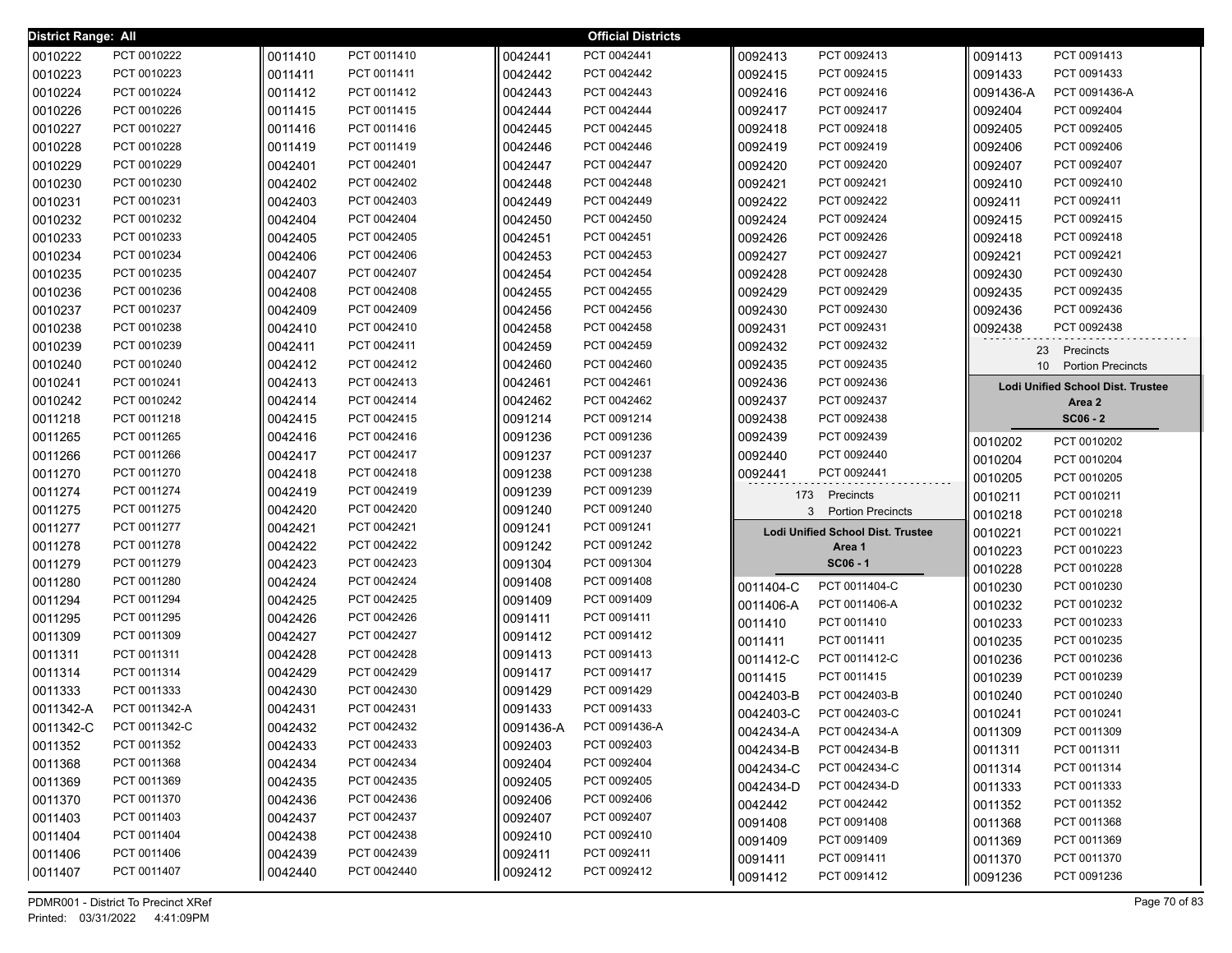| District Range: All |               |         |             |           | <b>Official Districts</b> |           |                                          |                 |                                          |
|---------------------|---------------|---------|-------------|-----------|---------------------------|-----------|------------------------------------------|-----------------|------------------------------------------|
| 0010222             | PCT 0010222   | 0011410 | PCT 0011410 | 0042441   | PCT 0042441               | 0092413   | PCT 0092413                              | 0091413         | PCT 0091413                              |
| 0010223             | PCT 0010223   | 0011411 | PCT 0011411 | 0042442   | PCT 0042442               | 0092415   | PCT 0092415                              | 0091433         | PCT 0091433                              |
| 0010224             | PCT 0010224   | 0011412 | PCT 0011412 | 0042443   | PCT 0042443               | 0092416   | PCT 0092416                              | 0091436-A       | PCT 0091436-A                            |
| 0010226             | PCT 0010226   | 0011415 | PCT 0011415 | 0042444   | PCT 0042444               | 0092417   | PCT 0092417                              | 0092404         | PCT 0092404                              |
| 0010227             | PCT 0010227   | 0011416 | PCT 0011416 | 0042445   | PCT 0042445               | 0092418   | PCT 0092418                              | 0092405         | PCT 0092405                              |
| 0010228             | PCT 0010228   | 0011419 | PCT 0011419 | 0042446   | PCT 0042446               | 0092419   | PCT 0092419                              | 0092406         | PCT 0092406                              |
| 0010229             | PCT 0010229   | 0042401 | PCT 0042401 | 0042447   | PCT 0042447               | 0092420   | PCT 0092420                              | 0092407         | PCT 0092407                              |
| 0010230             | PCT 0010230   | 0042402 | PCT 0042402 | 0042448   | PCT 0042448               | 0092421   | PCT 0092421                              | 0092410         | PCT 0092410                              |
| 0010231             | PCT 0010231   | 0042403 | PCT 0042403 | 0042449   | PCT 0042449               | 0092422   | PCT 0092422                              | 0092411         | PCT 0092411                              |
| 0010232             | PCT 0010232   | 0042404 | PCT 0042404 | 0042450   | PCT 0042450               | 0092424   | PCT 0092424                              | 0092415         | PCT 0092415                              |
| 0010233             | PCT 0010233   | 0042405 | PCT 0042405 | 0042451   | PCT 0042451               | 0092426   | PCT 0092426                              | 0092418         | PCT 0092418                              |
| 0010234             | PCT 0010234   | 0042406 | PCT 0042406 | 0042453   | PCT 0042453               | 0092427   | PCT 0092427                              | 0092421         | PCT 0092421                              |
| 0010235             | PCT 0010235   | 0042407 | PCT 0042407 | 0042454   | PCT 0042454               | 0092428   | PCT 0092428                              | 0092430         | PCT 0092430                              |
| 0010236             | PCT 0010236   | 0042408 | PCT 0042408 | 0042455   | PCT 0042455               | 0092429   | PCT 0092429                              | 0092435         | PCT 0092435                              |
| 0010237             | PCT 0010237   | 0042409 | PCT 0042409 | 0042456   | PCT 0042456               | 0092430   | PCT 0092430                              | 0092436         | PCT 0092436                              |
| 0010238             | PCT 0010238   | 0042410 | PCT 0042410 | 0042458   | PCT 0042458               | 0092431   | PCT 0092431                              | 0092438         | PCT 0092438                              |
| 0010239             | PCT 0010239   | 0042411 | PCT 0042411 | 0042459   | PCT 0042459               | 0092432   | PCT 0092432                              |                 | 23 Precincts                             |
| 0010240             | PCT 0010240   | 0042412 | PCT 0042412 | 0042460   | PCT 0042460               | 0092435   | PCT 0092435                              | 10 <sup>°</sup> | <b>Portion Precincts</b>                 |
| 0010241             | PCT 0010241   | 0042413 | PCT 0042413 | 0042461   | PCT 0042461               | 0092436   | PCT 0092436                              |                 | <b>Lodi Unified School Dist. Trustee</b> |
| 0010242             | PCT 0010242   | 0042414 | PCT 0042414 | 0042462   | PCT 0042462               | 0092437   | PCT 0092437                              |                 | Area 2                                   |
| 0011218             | PCT 0011218   | 0042415 | PCT 0042415 | 0091214   | PCT 0091214               | 0092438   | PCT 0092438                              |                 | $SC06 - 2$                               |
| 0011265             | PCT 0011265   | 0042416 | PCT 0042416 | 0091236   | PCT 0091236               | 0092439   | PCT 0092439                              | 0010202         | PCT 0010202                              |
| 0011266             | PCT 0011266   | 0042417 | PCT 0042417 | 0091237   | PCT 0091237               | 0092440   | PCT 0092440                              | 0010204         | PCT 0010204                              |
| 0011270             | PCT 0011270   | 0042418 | PCT 0042418 | 0091238   | PCT 0091238               | 0092441   | PCT 0092441                              | 0010205         | PCT 0010205                              |
| 0011274             | PCT 0011274   | 0042419 | PCT 0042419 | 0091239   | PCT 0091239               |           | 173 Precincts                            | 0010211         | PCT 0010211                              |
| 0011275             | PCT 0011275   | 0042420 | PCT 0042420 | 0091240   | PCT 0091240               | 3         | <b>Portion Precincts</b>                 | 0010218         | PCT 0010218                              |
| 0011277             | PCT 0011277   | 0042421 | PCT 0042421 | 0091241   | PCT 0091241               |           | <b>Lodi Unified School Dist. Trustee</b> | 0010221         | PCT 0010221                              |
| 0011278             | PCT 0011278   | 0042422 | PCT 0042422 | 0091242   | PCT 0091242               |           | Area 1                                   | 0010223         | PCT 0010223                              |
| 0011279             | PCT 0011279   | 0042423 | PCT 0042423 | 0091304   | PCT 0091304               |           | $SC06 - 1$                               | 0010228         | PCT 0010228                              |
| 0011280             | PCT 0011280   | 0042424 | PCT 0042424 | 0091408   | PCT 0091408               | 0011404-C | PCT 0011404-C                            | 0010230         | PCT 0010230                              |
| 0011294             | PCT 0011294   | 0042425 | PCT 0042425 | 0091409   | PCT 0091409               | 0011406-A | PCT 0011406-A                            | 0010232         | PCT 0010232                              |
| 0011295             | PCT 0011295   | 0042426 | PCT 0042426 | 0091411   | PCT 0091411               | 0011410   | PCT 0011410                              | 0010233         | PCT 0010233                              |
| 0011309             | PCT 0011309   | 0042427 | PCT 0042427 | 0091412   | PCT 0091412               | 0011411   | PCT 0011411                              | 0010235         | PCT 0010235                              |
| 0011311             | PCT 0011311   | 0042428 | PCT 0042428 | 0091413   | PCT 0091413               | 0011412-C | PCT 0011412-C                            | 0010236         | PCT 0010236                              |
| 0011314             | PCT 0011314   | 0042429 | PCT 0042429 | 0091417   | PCT 0091417               | 0011415   | PCT 0011415                              | 0010239         | PCT 0010239                              |
| 0011333             | PCT 0011333   | 0042430 | PCT 0042430 | 0091429   | PCT 0091429               | 0042403-B | PCT 0042403-B                            | 0010240         | PCT 0010240                              |
| 0011342-A           | PCT 0011342-A | 0042431 | PCT 0042431 | 0091433   | PCT 0091433               | 0042403-C | PCT 0042403-C                            | 0010241         | PCT 0010241                              |
| 0011342-C           | PCT 0011342-C | 0042432 | PCT 0042432 | 0091436-A | PCT 0091436-A             | 0042434-A | PCT 0042434-A                            | 0011309         | PCT 0011309                              |
| 0011352             | PCT 0011352   | 0042433 | PCT 0042433 | 0092403   | PCT 0092403               | 0042434-B | PCT 0042434-B                            | 0011311         | PCT 0011311                              |
| 0011368             | PCT 0011368   | 0042434 | PCT 0042434 | 0092404   | PCT 0092404               | 0042434-C | PCT 0042434-C                            | 0011314         | PCT 0011314                              |
| 0011369             | PCT 0011369   | 0042435 | PCT 0042435 | 0092405   | PCT 0092405               | 0042434-D | PCT 0042434-D                            | 0011333         | PCT 0011333                              |
| 0011370             | PCT 0011370   | 0042436 | PCT 0042436 | 0092406   | PCT 0092406               | 0042442   | PCT 0042442                              | 0011352         | PCT 0011352                              |
| 0011403             | PCT 0011403   | 0042437 | PCT 0042437 | 0092407   | PCT 0092407               | 0091408   | PCT 0091408                              | 0011368         | PCT 0011368                              |
| 0011404             | PCT 0011404   | 0042438 | PCT 0042438 | 0092410   | PCT 0092410               | 0091409   | PCT 0091409                              | 0011369         | PCT 0011369                              |
| 0011406             | PCT 0011406   | 0042439 | PCT 0042439 | 0092411   | PCT 0092411               | 0091411   | PCT 0091411                              | 0011370         | PCT 0011370                              |
| 0011407             | PCT 0011407   | 0042440 | PCT 0042440 | 0092412   | PCT 0092412               | 0091412   | PCT 0091412                              | 0091236         | PCT 0091236                              |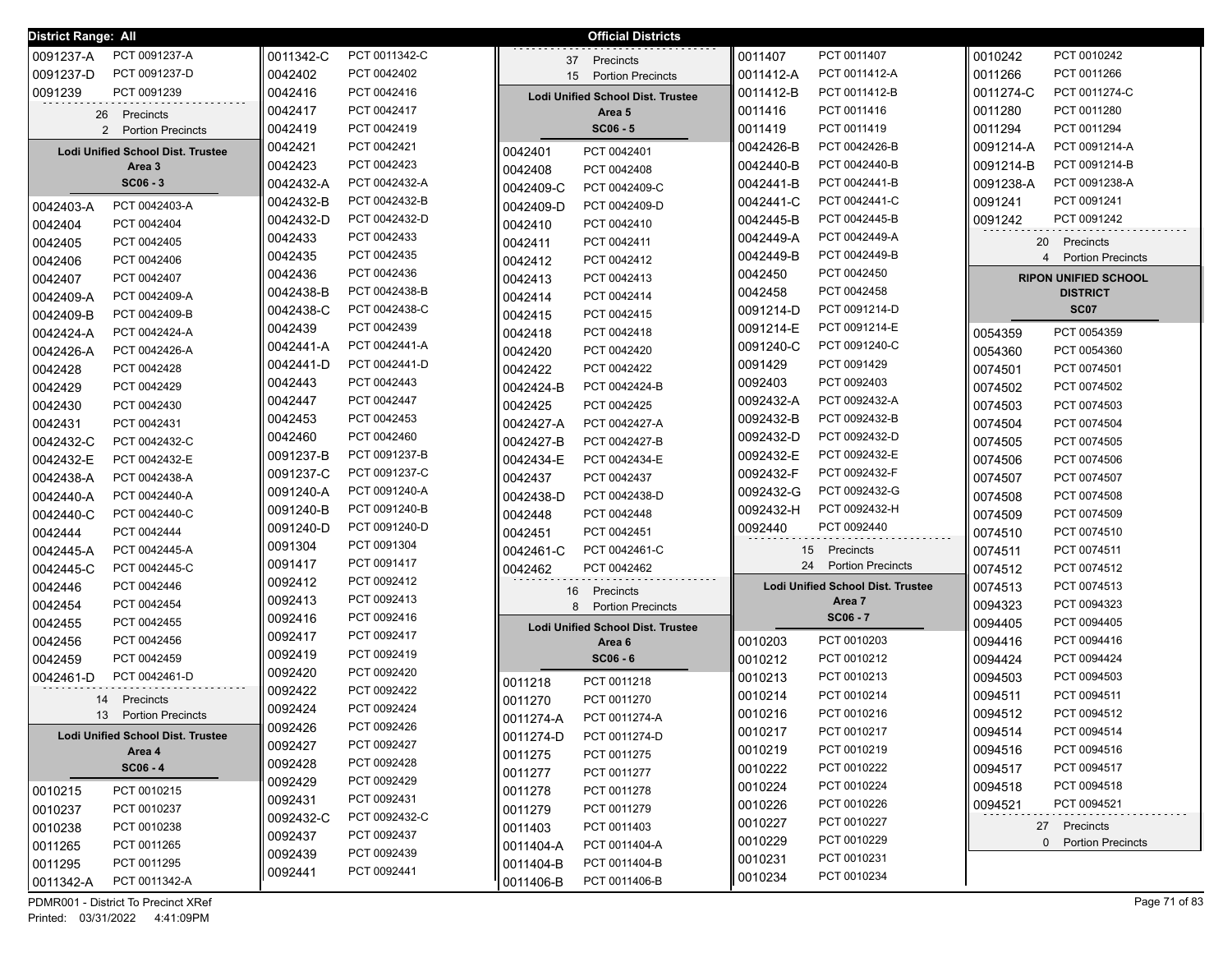| <b>District Range: All</b>               |           |               |           | <b>Official Districts</b>                |           |                                          |                |                             |
|------------------------------------------|-----------|---------------|-----------|------------------------------------------|-----------|------------------------------------------|----------------|-----------------------------|
| PCT 0091237-A<br>0091237-A               | 0011342-C | PCT 0011342-C |           | 37 Precincts                             | 0011407   | PCT 0011407                              | 0010242        | PCT 0010242                 |
| 0091237-D<br>PCT 0091237-D               | 0042402   | PCT 0042402   | 15        | <b>Portion Precincts</b>                 | 0011412-A | PCT 0011412-A                            | 0011266        | PCT 0011266                 |
| 0091239<br>PCT 0091239                   | 0042416   | PCT 0042416   |           | <b>Lodi Unified School Dist. Trustee</b> | 0011412-B | PCT 0011412-B                            | 0011274-C      | PCT 0011274-C               |
| 26 Precincts                             | 0042417   | PCT 0042417   |           | Area 5                                   | 0011416   | PCT 0011416                              | 0011280        | PCT 0011280                 |
| 2 Portion Precincts                      | 0042419   | PCT 0042419   |           | $SC06 - 5$                               | 0011419   | PCT 0011419                              | 0011294        | PCT 0011294                 |
| <b>Lodi Unified School Dist. Trustee</b> | 0042421   | PCT 0042421   | 0042401   | PCT 0042401                              | 0042426-B | PCT 0042426-B                            | 0091214-A      | PCT 0091214-A               |
| Area 3                                   | 0042423   | PCT 0042423   | 0042408   | PCT 0042408                              | 0042440-B | PCT 0042440-B                            | 0091214-B      | PCT 0091214-B               |
| $SC06 - 3$                               | 0042432-A | PCT 0042432-A | 0042409-C | PCT 0042409-C                            | 0042441-B | PCT 0042441-B                            | 0091238-A      | PCT 0091238-A               |
| PCT 0042403-A<br>0042403-A               | 0042432-B | PCT 0042432-B | 0042409-D | PCT 0042409-D                            | 0042441-C | PCT 0042441-C                            | 0091241        | PCT 0091241                 |
| 0042404<br>PCT 0042404                   | 0042432-D | PCT 0042432-D | 0042410   | PCT 0042410                              | 0042445-B | PCT 0042445-B                            | 0091242        | PCT 0091242                 |
| 0042405<br>PCT 0042405                   | 0042433   | PCT 0042433   | 0042411   | PCT 0042411                              | 0042449-A | PCT 0042449-A                            | 20             | Precincts                   |
| PCT 0042406<br>0042406                   | 0042435   | PCT 0042435   | 0042412   | PCT 0042412                              | 0042449-B | PCT 0042449-B                            | $\overline{4}$ | <b>Portion Precincts</b>    |
| PCT 0042407<br>0042407                   | 0042436   | PCT 0042436   | 0042413   | PCT 0042413                              | 0042450   | PCT 0042450                              |                | <b>RIPON UNIFIED SCHOOL</b> |
| 0042409-A<br>PCT 0042409-A               | 0042438-B | PCT 0042438-B | 0042414   | PCT 0042414                              | 0042458   | PCT 0042458                              |                | <b>DISTRICT</b>             |
| 0042409-B<br>PCT 0042409-B               | 0042438-C | PCT 0042438-C | 0042415   | PCT 0042415                              | 0091214-D | PCT 0091214-D                            |                | <b>SC07</b>                 |
| 0042424-A<br>PCT 0042424-A               | 0042439   | PCT 0042439   | 0042418   | PCT 0042418                              | 0091214-E | PCT 0091214-E                            | 0054359        | PCT 0054359                 |
| 0042426-A<br>PCT 0042426-A               | 0042441-A | PCT 0042441-A | 0042420   | PCT 0042420                              | 0091240-C | PCT 0091240-C                            | 0054360        | PCT 0054360                 |
| 0042428<br>PCT 0042428                   | 0042441-D | PCT 0042441-D | 0042422   | PCT 0042422                              | 0091429   | PCT 0091429                              | 0074501        | PCT 0074501                 |
| PCT 0042429<br>0042429                   | 0042443   | PCT 0042443   | 0042424-B | PCT 0042424-B                            | 0092403   | PCT 0092403                              | 0074502        | PCT 0074502                 |
| PCT 0042430<br>0042430                   | 0042447   | PCT 0042447   | 0042425   | PCT 0042425                              | 0092432-A | PCT 0092432-A                            | 0074503        | PCT 0074503                 |
| PCT 0042431<br>0042431                   | 0042453   | PCT 0042453   | 0042427-A | PCT 0042427-A                            | 0092432-B | PCT 0092432-B                            | 0074504        | PCT 0074504                 |
| 0042432-C<br>PCT 0042432-C               | 0042460   | PCT 0042460   | 0042427-B | PCT 0042427-B                            | 0092432-D | PCT 0092432-D                            | 0074505        | PCT 0074505                 |
| PCT 0042432-E<br>0042432-E               | 0091237-B | PCT 0091237-B | 0042434-E | PCT 0042434-E                            | 0092432-E | PCT 0092432-E                            | 0074506        | PCT 0074506                 |
| PCT 0042438-A<br>0042438-A               | 0091237-C | PCT 0091237-C | 0042437   | PCT 0042437                              | 0092432-F | PCT 0092432-F                            | 0074507        | PCT 0074507                 |
| 0042440-A<br>PCT 0042440-A               | 0091240-A | PCT 0091240-A | 0042438-D | PCT 0042438-D                            | 0092432-G | PCT 0092432-G                            | 0074508        | PCT 0074508                 |
| 0042440-C<br>PCT 0042440-C               | 0091240-B | PCT 0091240-B | 0042448   | PCT 0042448                              | 0092432-H | PCT 0092432-H                            | 0074509        | PCT 0074509                 |
| 0042444<br>PCT 0042444                   | 0091240-D | PCT 0091240-D | 0042451   | PCT 0042451                              | 0092440   | PCT 0092440                              | 0074510        | PCT 0074510                 |
| 0042445-A<br>PCT 0042445-A               | 0091304   | PCT 0091304   | 0042461-C | PCT 0042461-C                            | 15        | Precincts                                | 0074511        | PCT 0074511                 |
| PCT 0042445-C<br>0042445-C               | 0091417   | PCT 0091417   | 0042462   | PCT 0042462                              | 24        | <b>Portion Precincts</b>                 | 0074512        | PCT 0074512                 |
| 0042446<br>PCT 0042446                   | 0092412   | PCT 0092412   |           | 16 Precincts                             |           | <b>Lodi Unified School Dist. Trustee</b> | 0074513        | PCT 0074513                 |
| 0042454<br>PCT 0042454                   | 0092413   | PCT 0092413   |           | 8 Portion Precincts                      |           | Area 7                                   | 0094323        | PCT 0094323                 |
| 0042455<br>PCT 0042455                   | 0092416   | PCT 0092416   |           | <b>Lodi Unified School Dist. Trustee</b> |           | SC06 - 7                                 | 0094405        | PCT 0094405                 |
| 0042456<br>PCT 0042456                   | 0092417   | PCT 0092417   |           | Area 6                                   | 0010203   | PCT 0010203                              | 0094416        | PCT 0094416                 |
| PCT 0042459<br>0042459                   | 0092419   | PCT 0092419   |           | $SC06 - 6$                               | 0010212   | PCT 0010212                              | 0094424        | PCT 0094424                 |
| PCT 0042461-D<br>0042461-D               | 0092420   | PCT 0092420   | 0011218   | PCT 0011218                              | 0010213   | PCT 0010213                              | 0094503        | PCT 0094503                 |
| Precincts<br>14                          | 0092422   | PCT 0092422   | 0011270   | PCT 0011270                              | 0010214   | PCT 0010214                              | 0094511        | PCT 0094511                 |
| 13 Portion Precincts                     | 0092424   | PCT 0092424   | 0011274-A | PCT 0011274-A                            | 0010216   | PCT 0010216                              | 0094512        | PCT 0094512                 |
| <b>Lodi Unified School Dist. Trustee</b> | 0092426   | PCT 0092426   | 0011274-D | PCT 0011274-D                            | 0010217   | PCT 0010217                              | 0094514        | PCT 0094514                 |
| Area 4                                   | 0092427   | PCT 0092427   | 0011275   | PCT 0011275                              | 0010219   | PCT 0010219                              | 0094516        | PCT 0094516                 |
| $SC06 - 4$                               | 0092428   | PCT 0092428   | 0011277   | PCT 0011277                              | 0010222   | PCT 0010222                              | 0094517        | PCT 0094517                 |
| PCT 0010215<br>0010215                   | 0092429   | PCT 0092429   | 0011278   | PCT 0011278                              | 0010224   | PCT 0010224                              | 0094518        | PCT 0094518                 |
| 0010237<br>PCT 0010237                   | 0092431   | PCT 0092431   | 0011279   | PCT 0011279                              | 0010226   | PCT 0010226                              | 0094521        | PCT 0094521                 |
| 0010238<br>PCT 0010238                   | 0092432-C | PCT 0092432-C | 0011403   | PCT 0011403                              | 0010227   | PCT 0010227                              |                | 27 Precincts                |
| 0011265<br>PCT 0011265                   | 0092437   | PCT 0092437   | 0011404-A | PCT 0011404-A                            | 0010229   | PCT 0010229                              |                | 0 Portion Precincts         |
| 0011295<br>PCT 0011295                   | 0092439   | PCT 0092439   | 0011404-B | PCT 0011404-B                            | 0010231   | PCT 0010231                              |                |                             |
| PCT 0011342-A<br>0011342-A               | 0092441   | PCT 0092441   | 0011406-B | PCT 0011406-B                            | 0010234   | PCT 0010234                              |                |                             |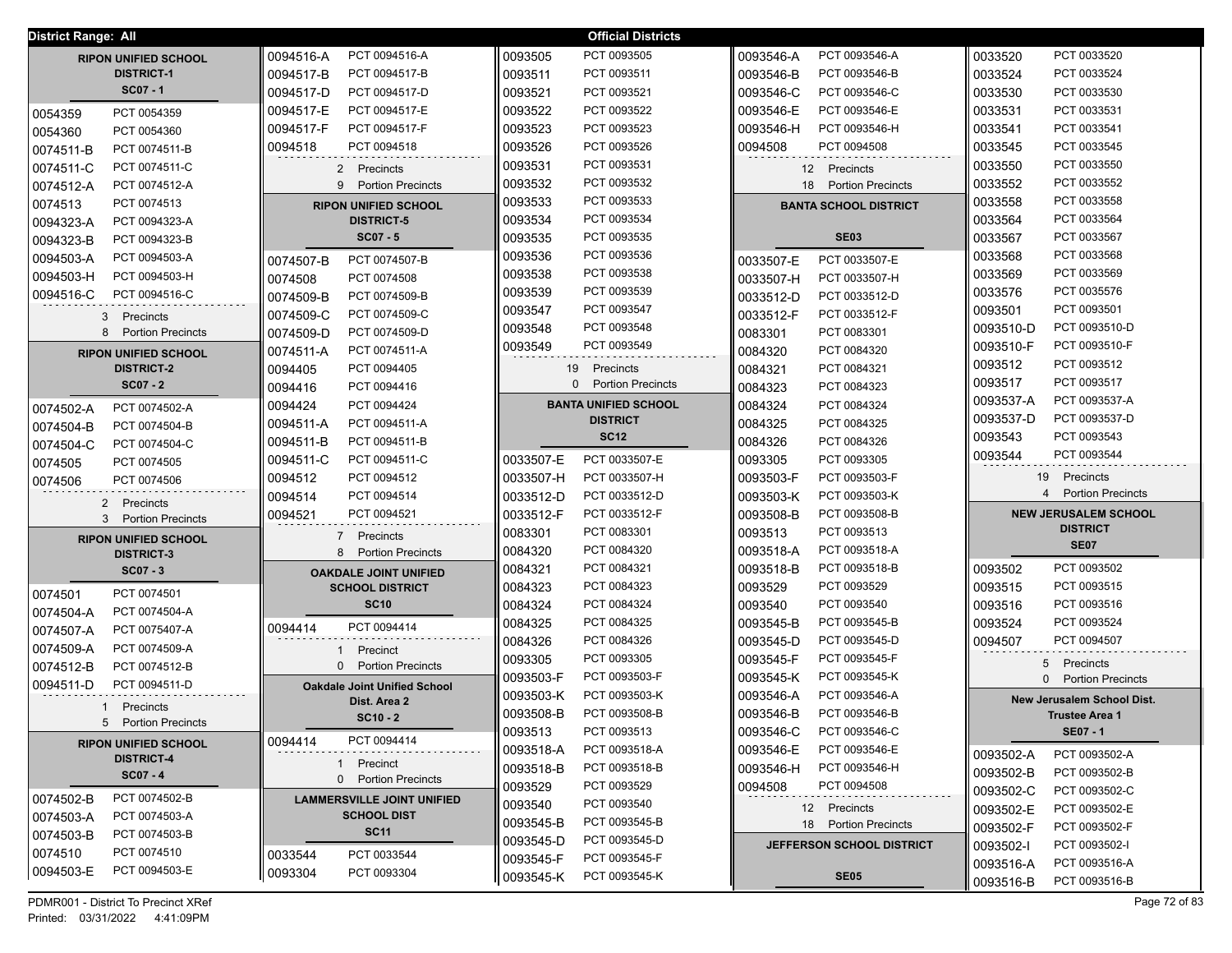| District Range: All         |                                     | <b>Official Districts</b>             |                                             |                                       |
|-----------------------------|-------------------------------------|---------------------------------------|---------------------------------------------|---------------------------------------|
| <b>RIPON UNIFIED SCHOOL</b> | PCT 0094516-A                       | 0093505                               | PCT 0093546-A                               | PCT 0033520                           |
|                             | 0094516-A                           | PCT 0093505                           | 0093546-A                                   | 0033520                               |
| <b>DISTRICT-1</b>           | PCT 0094517-B                       | PCT 0093511                           | PCT 0093546-B                               | PCT 0033524                           |
|                             | 0094517-B                           | 0093511                               | 0093546-B                                   | 0033524                               |
| $SCO7 - 1$                  | PCT 0094517-D                       | PCT 0093521                           | PCT 0093546-C                               | PCT 0033530                           |
|                             | 0094517-D                           | 0093521                               | 0093546-C                                   | 0033530                               |
| PCT 0054359                 | PCT 0094517-E                       | 0093522                               | PCT 0093546-E                               | 0033531                               |
| 0054359                     | 0094517-E                           | PCT 0093522                           | 0093546-E                                   | PCT 0033531                           |
| 0054360                     | 0094517-F                           | PCT 0093523                           | 0093546-H                                   | PCT 0033541                           |
| PCT 0054360                 | PCT 0094517-F                       | 0093523                               | PCT 0093546-H                               | 0033541                               |
| 0074511-B                   | 0094518                             | 0093526                               | 0094508                                     | 0033545                               |
| PCT 0074511-B               | PCT 0094518                         | PCT 0093526                           | PCT 0094508                                 | PCT 0033545                           |
| 0074511-C<br>PCT 0074511-C  | 2 Precincts                         | 0093531<br>PCT 0093531                | 12 Precincts                                | 0033550<br>PCT 0033550                |
| 0074512-A<br>PCT 0074512-A  | 9 Portion Precincts                 | PCT 0093532<br>0093532                | 18 Portion Precincts                        | PCT 0033552<br>0033552                |
| 0074513<br>PCT 0074513      | <b>RIPON UNIFIED SCHOOL</b>         | PCT 0093533<br>0093533                | <b>BANTA SCHOOL DISTRICT</b>                | PCT 0033558<br>0033558                |
| 0094323-A<br>PCT 0094323-A  | <b>DISTRICT-5</b>                   | PCT 0093534<br>0093534                |                                             | PCT 0033564<br>0033564                |
| 0094323-B<br>PCT 0094323-B  | $SCO7 - 5$                          | PCT 0093535<br>0093535                | <b>SE03</b>                                 | PCT 0033567<br>0033567                |
| 0094503-A                   | PCT 0074507-B                       | PCT 0093536                           | PCT 0033507-E                               | PCT 0033568                           |
| PCT 0094503-A               | 0074507-B                           | 0093536                               | 0033507-E                                   | 0033568                               |
| 0094503-H                   | 0074508                             | PCT 0093538                           | 0033507-H                                   | PCT 0033569                           |
| PCT 0094503-H               | PCT 0074508                         | 0093538                               | PCT 0033507-H                               | 0033569                               |
| 0094516-C                   | PCT 0074509-B                       | 0093539                               | PCT 0033512-D                               | 0033576                               |
| PCT 0094516-C               | 0074509-B                           | PCT 0093539                           | 0033512-D                                   | PCT 0035576                           |
| 3 Precincts                 | 0074509-C                           | 0093547                               | 0033512-F                                   | 0093501                               |
|                             | PCT 0074509-C                       | PCT 0093547                           | PCT 0033512-F                               | PCT 0093501                           |
| 8                           | 0074509-D                           | 0093548                               | PCT 0083301                                 | 0093510-D                             |
| <b>Portion Precincts</b>    | PCT 0074509-D                       | PCT 0093548                           | 0083301                                     | PCT 0093510-D                         |
| <b>RIPON UNIFIED SCHOOL</b> | 0074511-A                           | PCT 0093549                           | 0084320                                     | PCT 0093510-F                         |
|                             | PCT 0074511-A                       | 0093549                               | PCT 0084320                                 | 0093510-F                             |
| <b>DISTRICT-2</b>           | 0094405                             | 19                                    | 0084321                                     | PCT 0093512                           |
|                             | PCT 0094405                         | Precincts                             | PCT 0084321                                 | 0093512                               |
| $SCO7 - 2$                  | PCT 0094416                         | $\mathbf{0}$                          | PCT 0084323                                 | PCT 0093517                           |
|                             | 0094416                             | <b>Portion Precincts</b>              | 0084323                                     | 0093517                               |
| PCT 0074502-A               | PCT 0094424                         | <b>BANTA UNIFIED SCHOOL</b>           | PCT 0084324                                 | PCT 0093537-A                         |
| 0074502-A                   | 0094424                             |                                       | 0084324                                     | 0093537-A                             |
| 0074504-B                   | PCT 0094511-A                       | <b>DISTRICT</b>                       | PCT 0084325                                 | PCT 0093537-D                         |
| PCT 0074504-B               | 0094511-A                           | <b>SC12</b>                           | 0084325                                     | 0093537-D                             |
| 0074504-C<br>PCT 0074504-C  | PCT 0094511-B<br>0094511-B          |                                       | PCT 0084326<br>0084326                      | 0093543<br>PCT 0093543<br>PCT 0093544 |
| 0074505                     | PCT 0094511-C                       | PCT 0033507-E                         | PCT 0093305                                 | 0093544                               |
| PCT 0074505                 | 0094511-C                           | 0033507-E                             | 0093305                                     |                                       |
| PCT 0074506                 | PCT 0094512                         | PCT 0033507-H                         | PCT 0093503-F                               | 19 Precincts                          |
| 0074506                     | 0094512                             | 0033507-H                             | 0093503-F                                   | 4 Portion Precincts                   |
| 2 Precincts                 | 0094514<br>PCT 0094514              | PCT 0033512-D<br>0033512-D            | 0093503-K<br>PCT 0093503-K                  |                                       |
| 3 Portion Precincts         | PCT 0094521                         | 0033512-F                             | PCT 0093508-B                               | <b>NEW JERUSALEM SCHOOL</b>           |
|                             | 0094521                             | PCT 0033512-F                         | 0093508-B                                   | <b>DISTRICT</b>                       |
| <b>RIPON UNIFIED SCHOOL</b> | 7 Precincts                         | PCT 0083301<br>0083301                | PCT 0093513<br>0093513                      | <b>SE07</b>                           |
| <b>DISTRICT-3</b>           | 8 Portion Precincts                 | 0084320<br>PCT 0084320<br>PCT 0084321 | 0093518-A<br>PCT 0093518-A<br>PCT 0093518-B | PCT 0093502                           |
| $SCO7 - 3$                  | <b>OAKDALE JOINT UNIFIED</b>        | 0084321<br>0084323<br>PCT 0084323     | 0093518-B<br>PCT 0093529<br>0093529         | 0093502<br>PCT 0093515<br>0093515     |
| PCT 0074501                 | <b>SCHOOL DISTRICT</b>              | 0084324                               | PCT 0093540                                 | 0093516                               |
| 0074501                     | <b>SC10</b>                         | PCT 0084324                           | 0093540                                     | PCT 0093516                           |
| 0074504-A                   |                                     | 0084325                               | 0093545-B                                   | 0093524                               |
| PCT 0074504-A               |                                     | PCT 0084325                           | PCT 0093545-B                               | PCT 0093524                           |
| 0074507-A                   | PCT 0094414                         | PCT 0084326                           | PCT 0093545-D                               | 0094507                               |
| PCT 0075407-A               | 0094414                             | 0084326                               | 0093545-D                                   | PCT 0094507                           |
| 0074509-A<br>PCT 0074509-A  | Precinct                            | PCT 0093305<br>0093305                | PCT 0093545-F<br>0093545-F                  |                                       |
| 0074512-B                   | 0 Portion Precincts                 | PCT 0093503-F                         | PCT 0093545-K                               | 5 Precincts                           |
| PCT 0074512-B               |                                     | 0093503-F                             | 0093545-K                                   | 0 Portion Precincts                   |
| PCT 0094511-D<br>0094511-D  | <b>Oakdale Joint Unified School</b> | PCT 0093503-K<br>0093503-K            | PCT 0093546-A<br>0093546-A                  | <b>New Jerusalem School Dist.</b>     |
| Precincts                   | Dist. Area 2<br>$SC10 - 2$          | PCT 0093508-B<br>0093508-B            | PCT 0093546-B<br>0093546-B                  | <b>Trustee Area 1</b>                 |
| 5 Portion Precincts         |                                     | PCT 0093513<br>0093513                | PCT 0093546-C<br>0093546-C                  | <b>SE07 - 1</b>                       |
| <b>RIPON UNIFIED SCHOOL</b> | PCT 0094414                         | 0093518-A                             | 0093546-E                                   | PCT 0093502-A                         |
|                             | 0094414                             | PCT 0093518-A                         | PCT 0093546-E                               | 0093502-A                             |
| <b>DISTRICT-4</b>           | 1 Precinct                          | 0093518-B                             | PCT 0093546-H                               | PCT 0093502-B                         |
| $SC07 - 4$                  |                                     | PCT 0093518-B                         | 0093546-H                                   | 0093502-B                             |
|                             | 0 Portion Precincts                 | 0093529<br>PCT 0093529                | 0094508<br>PCT 0094508                      | PCT 0093502-C<br>0093502-C            |
| 0074502-B<br>PCT 0074502-B  | <b>LAMMERSVILLE JOINT UNIFIED</b>   | 0093540<br>PCT 0093540                | 12 Precincts                                | PCT 0093502-E<br>0093502-E            |
| 0074503-A                   | <b>SCHOOL DIST</b>                  | 0093545-B                             | 18 Portion Precincts                        | 0093502-F                             |
| PCT 0074503-A               | <b>SC11</b>                         | PCT 0093545-B                         |                                             | PCT 0093502-F                         |
| 0074503-B<br>PCT 0074503-B  |                                     | 0093545-D<br>PCT 0093545-D            | <b>JEFFERSON SCHOOL DISTRICT</b>            | 0093502-I<br>PCT 0093502-I            |
| 0074510                     | PCT 0033544                         | 0093545-F                             |                                             | PCT 0093516-A                         |
| PCT 0074510                 | 0033544                             | PCT 0093545-F                         |                                             | 0093516-A                             |
| 0094503-E                   | 0093304                             | 0093545-K                             | <b>SE05</b>                                 | PCT 0093516-B                         |
| PCT 0094503-E               | PCT 0093304                         | PCT 0093545-K                         |                                             | 0093516-B                             |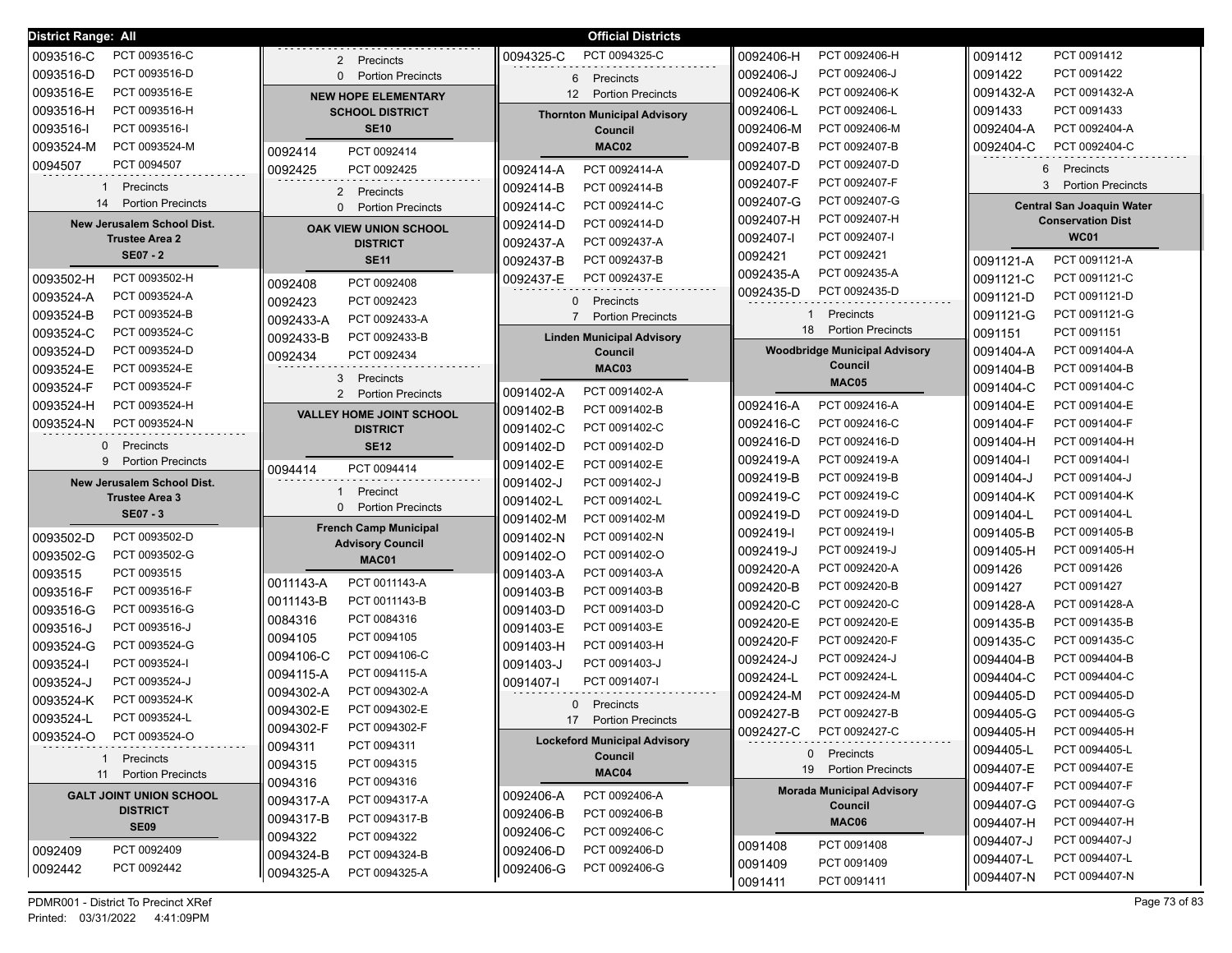| <b>District Range: All</b>                          |                                                    | <b>Official Districts</b>                   |                                             |                                                              |
|-----------------------------------------------------|----------------------------------------------------|---------------------------------------------|---------------------------------------------|--------------------------------------------------------------|
| PCT 0093516-C<br>0093516-C                          | Precincts<br>$\mathbf{2}$                          | 0094325-C<br>PCT 0094325-C                  | 0092406-H<br>PCT 0092406-H                  | 0091412<br>PCT 0091412                                       |
| PCT 0093516-D<br>0093516-D                          | 0 Portion Precincts                                | 6 Precincts                                 | 0092406-J<br>PCT 0092406-J                  | 0091422<br>PCT 0091422                                       |
| 0093516-E<br>PCT 0093516-E                          | <b>NEW HOPE ELEMENTARY</b>                         | <b>Portion Precincts</b><br>12 <sup>2</sup> | PCT 0092406-K<br>0092406-K                  | 0091432-A<br>PCT 0091432-A                                   |
| 0093516-H<br>PCT 0093516-H                          | <b>SCHOOL DISTRICT</b>                             | <b>Thornton Municipal Advisory</b>          | 0092406-L<br>PCT 0092406-L                  | 0091433<br>PCT 0091433                                       |
| 0093516-I<br>PCT 0093516-I                          | <b>SE10</b>                                        | Council                                     | PCT 0092406-M<br>0092406-M                  | 0092404-A<br>PCT 0092404-A                                   |
| 0093524-M<br>PCT 0093524-M                          |                                                    | MAC02                                       | 0092407-B<br>PCT 0092407-B                  | 0092404-C<br>PCT 0092404-C                                   |
| 0094507<br>PCT 0094507                              | PCT 0092414<br>0092414                             |                                             | 0092407-D<br>PCT 0092407-D                  |                                                              |
|                                                     | PCT 0092425<br>0092425                             | PCT 0092414-A<br>0092414-A                  | PCT 0092407-F<br>0092407-F                  | 6 Precincts<br>3 Portion Precincts                           |
| Precincts<br>1<br>14<br><b>Portion Precincts</b>    | 2 Precincts                                        | PCT 0092414-B<br>0092414-B                  | PCT 0092407-G<br>0092407-G                  |                                                              |
|                                                     | <b>Portion Precincts</b><br>$\Omega$               | PCT 0092414-C<br>0092414-C                  | PCT 0092407-H<br>0092407-H                  | <b>Central San Joaquin Water</b><br><b>Conservation Dist</b> |
| New Jerusalem School Dist.<br><b>Trustee Area 2</b> | OAK VIEW UNION SCHOOL                              | PCT 0092414-D<br>0092414-D                  | PCT 0092407-I<br>0092407-I                  | <b>WC01</b>                                                  |
| <b>SE07 - 2</b>                                     | <b>DISTRICT</b>                                    | 0092437-A<br>PCT 0092437-A                  | PCT 0092421<br>0092421                      |                                                              |
|                                                     | <b>SE11</b>                                        | 0092437-B<br>PCT 0092437-B                  | PCT 0092435-A<br>0092435-A                  | PCT 0091121-A<br>0091121-A                                   |
| PCT 0093502-H<br>0093502-H                          | PCT 0092408<br>0092408                             | 0092437-E<br>PCT 0092437-E                  | PCT 0092435-D<br>0092435-D                  | 0091121-C<br>PCT 0091121-C                                   |
| 0093524-A<br>PCT 0093524-A                          | 0092423<br>PCT 0092423                             | 0 Precincts                                 |                                             | 0091121-D<br>PCT 0091121-D                                   |
| 0093524-B<br>PCT 0093524-B                          | PCT 0092433-A<br>0092433-A                         | <b>Portion Precincts</b><br>$7^{\circ}$     | Precincts                                   | PCT 0091121-G<br>0091121-G                                   |
| 0093524-C<br>PCT 0093524-C                          | PCT 0092433-B<br>0092433-B                         | <b>Linden Municipal Advisory</b>            | 18<br><b>Portion Precincts</b>              | PCT 0091151<br>0091151                                       |
| 0093524-D<br>PCT 0093524-D                          | PCT 0092434<br>0092434                             | Council                                     | <b>Woodbridge Municipal Advisory</b>        | 0091404-A<br>PCT 0091404-A                                   |
| PCT 0093524-E<br>0093524-E                          | 3<br>Precincts                                     | MAC03                                       | Council                                     | 0091404-B<br>PCT 0091404-B                                   |
| PCT 0093524-F<br>0093524-F                          | 2 Portion Precincts                                | PCT 0091402-A<br>0091402-A                  | MAC05                                       | PCT 0091404-C<br>0091404-C                                   |
| 0093524-H<br>PCT 0093524-H                          |                                                    | PCT 0091402-B<br>0091402-B                  | PCT 0092416-A<br>0092416-A                  | PCT 0091404-E<br>0091404-E                                   |
| PCT 0093524-N<br>0093524-N                          | <b>VALLEY HOME JOINT SCHOOL</b><br><b>DISTRICT</b> | PCT 0091402-C<br>0091402-C                  | PCT 0092416-C<br>0092416-C                  | 0091404-F<br>PCT 0091404-F                                   |
| 0<br>Precincts                                      | <b>SE12</b>                                        | 0091402-D<br>PCT 0091402-D                  | PCT 0092416-D<br>0092416-D                  | PCT 0091404-H<br>0091404-H                                   |
| 9<br><b>Portion Precincts</b>                       |                                                    | 0091402-E<br>PCT 0091402-E                  | PCT 0092419-A<br>0092419-A                  | PCT 0091404-I<br>0091404-I                                   |
| New Jerusalem School Dist.                          | PCT 0094414<br>0094414                             | 0091402-J<br>PCT 0091402-J                  | PCT 0092419-B<br>0092419-B                  | 0091404-J<br>PCT 0091404-J                                   |
| <b>Trustee Area 3</b>                               | Precinct                                           | PCT 0091402-L<br>0091402-L                  | PCT 0092419-C<br>0092419-C                  | PCT 0091404-K<br>0091404-K                                   |
| <b>SE07 - 3</b>                                     | <b>Portion Precincts</b><br>$\Omega$               | PCT 0091402-M                               | 0092419-D<br>PCT 0092419-D                  | PCT 0091404-L<br>0091404-L                                   |
|                                                     | <b>French Camp Municipal</b>                       | 0091402-M                                   | PCT 0092419-I<br>0092419-I                  | 0091405-B<br>PCT 0091405-B                                   |
| PCT 0093502-D<br>0093502-D                          | <b>Advisory Council</b>                            | 0091402-N<br>PCT 0091402-N                  | PCT 0092419-J<br>0092419-J                  | PCT 0091405-H<br>0091405-H                                   |
| PCT 0093502-G<br>0093502-G                          | MAC01                                              | 0091402-O<br>PCT 0091402-O                  | PCT 0092420-A<br>0092420-A                  | 0091426<br>PCT 0091426                                       |
| 0093515<br>PCT 0093515                              | PCT 0011143-A<br>0011143-A                         | PCT 0091403-A<br>0091403-A                  | PCT 0092420-B<br>0092420-B                  | 0091427<br>PCT 0091427                                       |
| PCT 0093516-F<br>0093516-F                          | PCT 0011143-B<br>0011143-B                         | PCT 0091403-B<br>0091403-B                  | PCT 0092420-C<br>0092420-C                  | 0091428-A<br>PCT 0091428-A                                   |
| PCT 0093516-G<br>0093516-G                          | PCT 0084316<br>0084316                             | 0091403-D<br>PCT 0091403-D                  | PCT 0092420-E<br>0092420-E                  | 0091435-B<br>PCT 0091435-B                                   |
| 0093516-J<br>PCT 0093516-J                          | PCT 0094105<br>0094105                             | PCT 0091403-E<br>0091403-E                  | PCT 0092420-F<br>0092420-F                  | PCT 0091435-C<br>0091435-C                                   |
| PCT 0093524-G<br>0093524-G                          | PCT 0094106-C<br>0094106-C                         | PCT 0091403-H<br>0091403-H                  | PCT 0092424-J                               | PCT 0094404-B                                                |
| PCT 0093524-I<br>0093524-l                          | PCT 0094115-A<br>0094115-A                         | PCT 0091403-J<br>0091403-J                  | 0092424-J<br>PCT 0092424-L                  | 0094404-B<br>PCT 0094404-C                                   |
| 0093524-J<br>PCT 0093524-J                          | 0094302-A<br>PCT 0094302-A                         | PCT 0091407-I<br>0091407-I                  | 0092424-L                                   | 0094404-C                                                    |
| 0093524-K<br>PCT 0093524-K                          | 0094302-E<br>PCT 0094302-E                         | $\Omega$<br>Precincts                       | PCT 0092424-M<br>0092424-M<br>PCT 0092427-B | PCT 0094405-D<br>0094405-D                                   |
| 0093524-L<br>PCT 0093524-L                          | 0094302-F<br>PCT 0094302-F                         | 17<br><b>Portion Precincts</b>              | 0092427-B                                   | PCT 0094405-G<br>0094405-G                                   |
| 0093524-O<br>PCT 0093524-O                          | PCT 0094311<br>0094311                             | <b>Lockeford Municipal Advisory</b>         | PCT 0092427-C<br>0092427-C                  | PCT 0094405-H<br>0094405-H                                   |
| 1 Precincts                                         | PCT 0094315                                        | Council                                     | 0 Precincts                                 | PCT 0094405-L<br>0094405-L                                   |
| 11 Portion Precincts                                | 0094315<br>PCT 0094316                             | MAC04                                       | 19 Portion Precincts                        | PCT 0094407-E<br>0094407-E                                   |
| <b>GALT JOINT UNION SCHOOL</b>                      | 0094316                                            | PCT 0092406-A<br>0092406-A                  | <b>Morada Municipal Advisory</b>            | PCT 0094407-F<br>0094407-F                                   |
| <b>DISTRICT</b>                                     | PCT 0094317-A<br>0094317-A                         | PCT 0092406-B<br>0092406-B                  | Council                                     | 0094407-G<br>PCT 0094407-G                                   |
| <b>SE09</b>                                         | PCT 0094317-B<br>0094317-B                         | PCT 0092406-C<br>0092406-C                  | <b>MAC06</b>                                | 0094407-H<br>PCT 0094407-H                                   |
| PCT 0092409<br>0092409                              | 0094322<br>PCT 0094322                             | PCT 0092406-D<br>0092406-D                  | PCT 0091408<br>0091408                      | 0094407-J<br>PCT 0094407-J                                   |
| PCT 0092442<br>0092442                              | 0094324-B<br>PCT 0094324-B                         | PCT 0092406-G<br>0092406-G                  | PCT 0091409<br>0091409                      | 0094407-L<br>PCT 0094407-L                                   |
|                                                     | PCT 0094325-A<br>0094325-A                         |                                             | PCT 0091411<br>0091411                      | PCT 0094407-N<br>0094407-N                                   |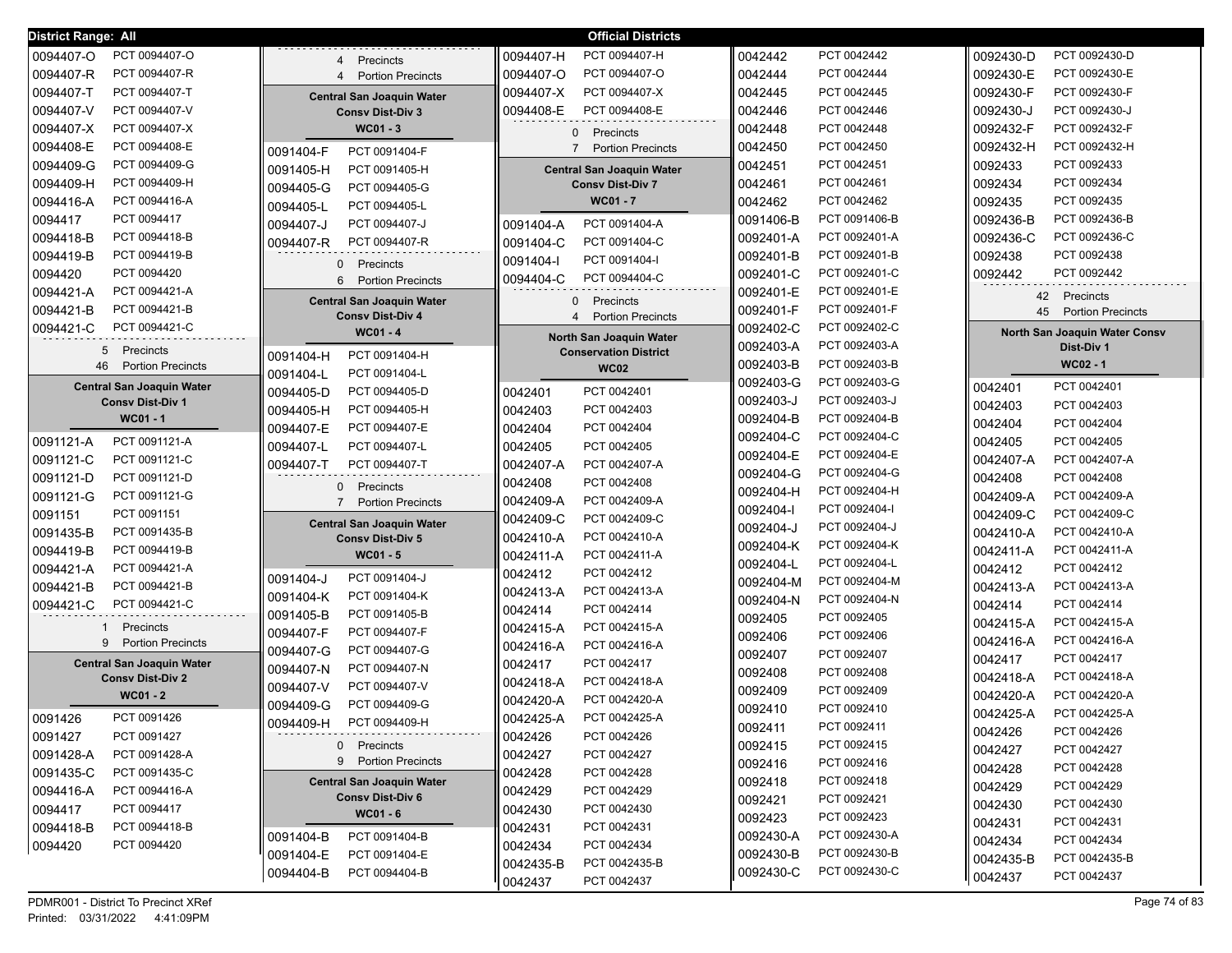| <b>District Range: All</b>       |                                                             | <b>Official Districts</b>                                  |                            |                                |
|----------------------------------|-------------------------------------------------------------|------------------------------------------------------------|----------------------------|--------------------------------|
| 0094407-O                        | Precincts                                                   | 0094407-H                                                  | PCT 0042442                | PCT 0092430-D                  |
| PCT 0094407-O                    | $4\overline{ }$                                             | PCT 0094407-H                                              | 0042442                    | 0092430-D                      |
| 0094407-R                        | <b>Portion Precincts</b>                                    | PCT 0094407-O                                              | PCT 0042444                | PCT 0092430-E                  |
| PCT 0094407-R                    | $\overline{4}$                                              | 0094407-O                                                  | 0042444                    | 0092430-E                      |
| 0094407-T                        | <b>Central San Joaquin Water</b>                            | 0094407-X                                                  | PCT 0042445                | PCT 0092430-F                  |
| PCT 0094407-T                    |                                                             | PCT 0094407-X                                              | 0042445                    | 0092430-F                      |
| 0094407-V                        | <b>Consv Dist-Div 3</b>                                     | 0094408-E                                                  | 0042446                    | 0092430-J                      |
| PCT 0094407-V                    |                                                             | PCT 0094408-E                                              | PCT 0042446                | PCT 0092430-J                  |
| 0094407-X                        | WC01 - 3                                                    | $\mathbf{0}$                                               | 0042448                    | 0092432-F                      |
| PCT 0094407-X                    |                                                             | Precincts                                                  | PCT 0042448                | PCT 0092432-F                  |
| 0094408-E                        | PCT 0091404-F                                               | $\overline{7}$                                             | PCT 0042450                | PCT 0092432-H                  |
| PCT 0094408-E                    | 0091404-F                                                   | <b>Portion Precincts</b>                                   | 0042450                    | 0092432-H                      |
| 0094409-G                        | PCT 0091405-H                                               | <b>Central San Joaquin Water</b>                           | 0042451                    | 0092433                        |
| PCT 0094409-G                    | 0091405-H                                                   |                                                            | PCT 0042451                | PCT 0092433                    |
| 0094409-H                        | PCT 0094405-G                                               | <b>Consv Dist-Div 7</b>                                    | PCT 0042461                | PCT 0092434                    |
| PCT 0094409-H                    | 0094405-G                                                   |                                                            | 0042461                    | 0092434                        |
| 0094416-A                        | PCT 0094405-L                                               | <b>WC01 - 7</b>                                            | PCT 0042462                | PCT 0092435                    |
| PCT 0094416-A                    | 0094405-L                                                   |                                                            | 0042462                    | 0092435                        |
| PCT 0094417                      | 0094407-J                                                   | PCT 0091404-A                                              | PCT 0091406-B              | PCT 0092436-B                  |
| 0094417                          | PCT 0094407-J                                               | 0091404-A                                                  | 0091406-B                  | 0092436-B                      |
| PCT 0094418-B                    | PCT 0094407-R                                               | PCT 0091404-C                                              | PCT 0092401-A              | PCT 0092436-C                  |
| 0094418-B                        | 0094407-R                                                   | 0091404-C                                                  | 0092401-A                  | 0092436-C                      |
| PCT 0094419-B                    |                                                             | 0091404-l                                                  | PCT 0092401-B              | PCT 0092438                    |
| 0094419-B                        |                                                             | PCT 0091404-I                                              | 0092401-B                  | 0092438                        |
| PCT 0094420<br>0094420           | $\mathbf{0}$<br>Precincts<br>6 Portion Precincts            | 0094404-C<br>PCT 0094404-C                                 | PCT 0092401-C<br>0092401-C | PCT 0092442<br>0092442         |
| 0094421-A<br>PCT 0094421-A       |                                                             |                                                            | 0092401-E<br>PCT 0092401-E | 42<br>Precincts                |
| 0094421-B<br>PCT 0094421-B       | <b>Central San Joaquin Water</b><br><b>Consv Dist-Div 4</b> | Precincts<br>$\mathbf{0}$<br><b>Portion Precincts</b><br>4 | PCT 0092401-F<br>0092401-F | 45<br><b>Portion Precincts</b> |
| 0094421-C<br>PCT 0094421-C       | WC01 - 4                                                    |                                                            | 0092402-C<br>PCT 0092402-C | North San Joaquin Water Consv  |
| 5<br>Precincts                   |                                                             | North San Joaquin Water<br><b>Conservation District</b>    | 0092403-A<br>PCT 0092403-A | Dist-Div 1                     |
| <b>Portion Precincts</b><br>46   | PCT 0091404-H<br>0091404-H                                  | <b>WC02</b>                                                | 0092403-B<br>PCT 0092403-B | WC02 - 1                       |
| <b>Central San Joaquin Water</b> | PCT 0091404-L<br>0091404-L                                  |                                                            | PCT 0092403-G<br>0092403-G | PCT 0042401<br>0042401         |
| <b>Consv Dist-Div 1</b>          | PCT 0094405-D<br>0094405-D<br>PCT 0094405-H                 | PCT 0042401<br>0042401                                     | PCT 0092403-J<br>0092403-J | PCT 0042403<br>0042403         |
| WC01 - 1                         | 0094405-H                                                   | PCT 0042403<br>0042403                                     | 0092404-B<br>PCT 0092404-B | PCT 0042404<br>0042404         |
| PCT 0091121-A                    | 0094407-E                                                   | PCT 0042404                                                | PCT 0092404-C              | PCT 0042405                    |
| 0091121-A                        | PCT 0094407-E                                               | 0042404                                                    | 0092404-C                  | 0042405                        |
| PCT 0091121-C                    | 0094407-L                                                   | 0042405                                                    | PCT 0092404-E              | PCT 0042407-A                  |
| 0091121-C                        | PCT 0094407-L                                               | PCT 0042405                                                | 0092404-E                  | 0042407-A                      |
| PCT 0091121-D                    | PCT 0094407-T                                               | 0042407-A                                                  | PCT 0092404-G              | PCT 0042408                    |
| 0091121-D                        | 0094407-T                                                   | PCT 0042407-A                                              | 0092404-G                  | 0042408                        |
| 0091121-G                        | 0 Precincts                                                 | 0042408                                                    | PCT 0092404-H              | PCT 0042409-A                  |
| PCT 0091121-G                    |                                                             | PCT 0042408                                                | 0092404-H                  | 0042409-A                      |
| 0091151<br>PCT 0091151           | <b>Portion Precincts</b><br>$7^{\circ}$                     | 0042409-A<br>PCT 0042409-A<br>PCT 0042409-C                | PCT 0092404-I<br>0092404-l | 0042409-C<br>PCT 0042409-C     |
| 0091435-B<br>PCT 0091435-B       | <b>Central San Joaquin Water</b>                            | 0042409-C<br>0042410-A<br>PCT 0042410-A                    | PCT 0092404-J<br>0092404-J | PCT 0042410-A<br>0042410-A     |
| 0094419-B                        | <b>Consv Dist-Div 5</b>                                     | PCT 0042411-A                                              | PCT 0092404-K              | PCT 0042411-A                  |
| PCT 0094419-B                    | WC01 - 5                                                    | 0042411-A                                                  | 0092404-K                  | 0042411-A                      |
| 0094421-A                        |                                                             | PCT 0042412                                                | 0092404-L                  | PCT 0042412                    |
| PCT 0094421-A                    |                                                             | 0042412                                                    | PCT 0092404-L              | 0042412                        |
| 0094421-B                        | PCT 0091404-J                                               | PCT 0042413-A                                              | 0092404-M                  | 0042413-A                      |
| PCT 0094421-B                    | 0091404-J                                                   | 0042413-A                                                  | PCT 0092404-M              | PCT 0042413-A                  |
| 0094421-C                        | PCT 0091404-K                                               | PCT 0042414                                                | PCT 0092404-N              | 0042414                        |
| PCT 0094421-C                    | 0091404-K                                                   | 0042414                                                    | 0092404-N                  | PCT 0042414                    |
| $\mathbf{1}$                     | PCT 0091405-B                                               | PCT 0042415-A                                              | PCT 0092405                | 0042415-A                      |
| Precincts                        | 0091405-B                                                   | 0042415-A                                                  | 0092405                    | PCT 0042415-A                  |
| 9                                | PCT 0094407-F                                               | PCT 0042416-A                                              | PCT 0092406                | 0042416-A                      |
| <b>Portion Precincts</b>         | 0094407-F                                                   | 0042416-A                                                  | 0092406                    | PCT 0042416-A                  |
| <b>Central San Joaquin Water</b> | PCT 0094407-G                                               | PCT 0042417                                                | PCT 0092407                | PCT 0042417                    |
|                                  | 0094407-G                                                   | 0042417                                                    | 0092407                    | 0042417                        |
| <b>Consv Dist-Div 2</b>          | PCT 0094407-N                                               | PCT 0042418-A                                              | PCT 0092408                | PCT 0042418-A                  |
|                                  | 0094407-N                                                   | 0042418-A                                                  | 0092408                    | 0042418-A                      |
| WC01 - 2                         | PCT 0094407-V                                               | 0042420-A                                                  | PCT 0092409                | PCT 0042420-A                  |
|                                  | 0094407-V                                                   | PCT 0042420-A                                              | 0092409                    | 0042420-A                      |
| 0091426                          | PCT 0094409-G                                               | 0042425-A                                                  | PCT 0092410                | PCT 0042425-A                  |
| PCT 0091426                      | 0094409-G                                                   | PCT 0042425-A                                              | 0092410                    | 0042425-A                      |
| 0091427                          | 0094409-H PCT 0094409-H                                     | PCT 0042426                                                | 0092411                    | PCT 0042426                    |
| PCT 0091427                      |                                                             | 0042426                                                    | PCT 0092411                | 0042426                        |
| 0091428-A                        | 0 Precincts                                                 | PCT 0042427                                                | PCT 0092415                | PCT 0042427                    |
| PCT 0091428-A                    |                                                             | 0042427                                                    | 0092415                    | 0042427                        |
| 0091435-C                        | 9 Portion Precincts                                         | 0042428                                                    | PCT 0092416                | PCT 0042428                    |
| PCT 0091435-C                    |                                                             | PCT 0042428                                                | 0092416                    | 0042428                        |
| 0094416-A                        | <b>Central San Joaquin Water</b>                            | 0042429                                                    | PCT 0092418                | 0042429                        |
| PCT 0094416-A                    |                                                             | PCT 0042429                                                | 0092418                    | PCT 0042429                    |
| 0094417                          | <b>Consv Dist-Div 6</b>                                     | 0042430                                                    | PCT 0092421                | 0042430                        |
| PCT 0094417                      |                                                             | PCT 0042430                                                | 0092421                    | PCT 0042430                    |
| 0094418-B                        | <b>WC01 - 6</b>                                             | 0042431                                                    | PCT 0092423                | 0042431                        |
| PCT 0094418-B                    |                                                             | PCT 0042431                                                | 0092423                    | PCT 0042431                    |
| 0094420                          | PCT 0091404-B                                               | 0042434                                                    | 0092430-A                  | 0042434                        |
| PCT 0094420                      | 0091404-B                                                   | PCT 0042434                                                | PCT 0092430-A              | PCT 0042434                    |
|                                  | 0091404-E                                                   | PCT 0042435-B                                              | PCT 0092430-B              | PCT 0042435-B                  |
|                                  | PCT 0091404-E                                               | 0042435-B                                                  | 0092430-B                  | 0042435-B                      |
|                                  | 0094404-B                                                   | PCT 0042437                                                | PCT 0092430-C              | 0042437                        |
|                                  | PCT 0094404-B                                               | 0042437                                                    | 0092430-C                  | PCT 0042437                    |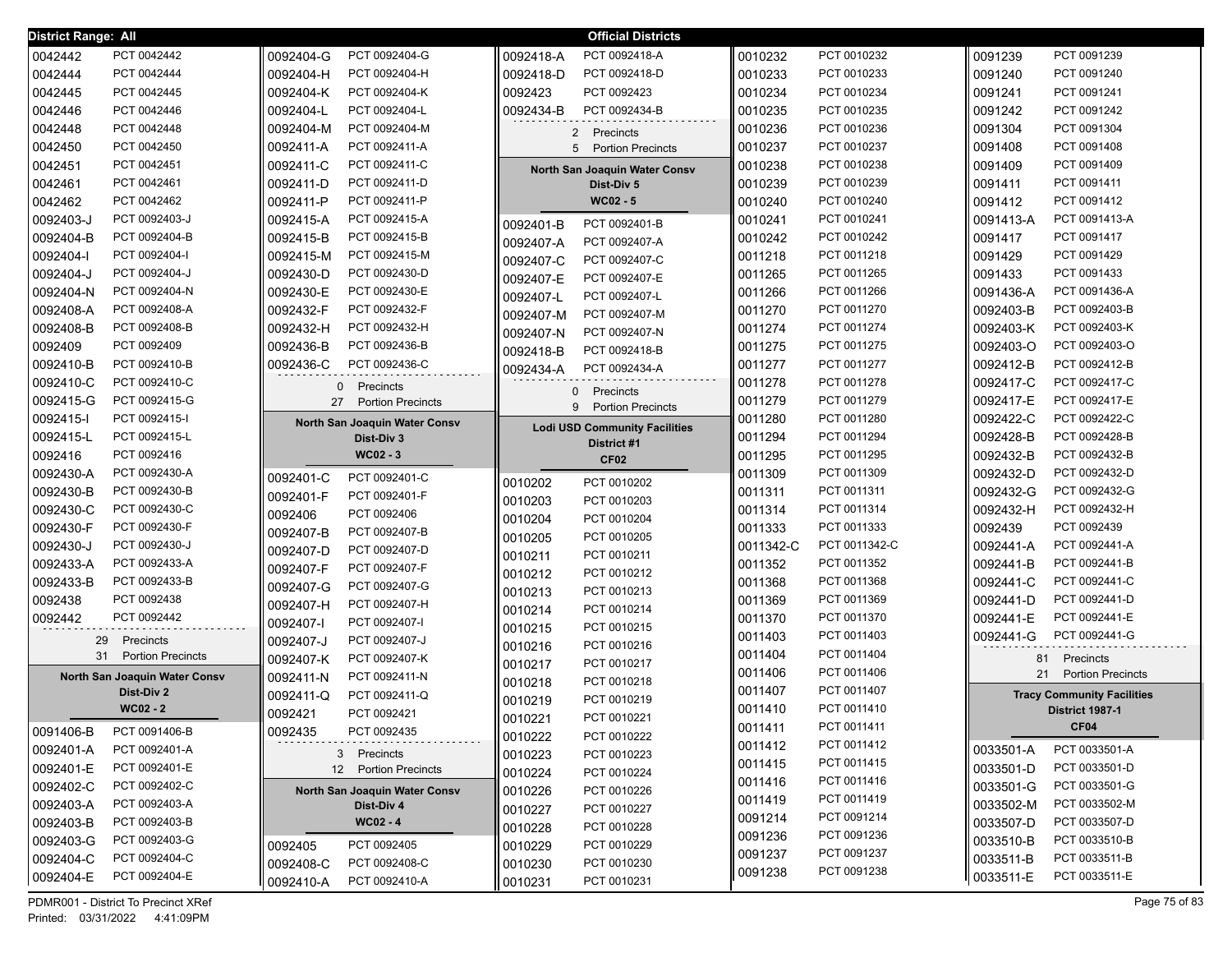| District Range: All |                               |                                |                    | <b>Official Districts</b>                           |           |               |           |                                   |
|---------------------|-------------------------------|--------------------------------|--------------------|-----------------------------------------------------|-----------|---------------|-----------|-----------------------------------|
| 0042442             | PCT 0042442                   | 0092404-G<br>PCT 0092404-G     | 0092418-A          | PCT 0092418-A                                       | 0010232   | PCT 0010232   | 0091239   | PCT 0091239                       |
| 0042444             | PCT 0042444                   | 0092404-H<br>PCT 0092404-H     | 0092418-D          | PCT 0092418-D                                       | 0010233   | PCT 0010233   | 0091240   | PCT 0091240                       |
| 0042445             | PCT 0042445                   | 0092404-K<br>PCT 0092404-K     | 0092423            | PCT 0092423                                         | 0010234   | PCT 0010234   | 0091241   | PCT 0091241                       |
| 0042446             | PCT 0042446                   | PCT 0092404-L<br>0092404-L     | 0092434-B          | PCT 0092434-B                                       | 0010235   | PCT 0010235   | 0091242   | PCT 0091242                       |
| 0042448             | PCT 0042448                   | PCT 0092404-M<br>0092404-M     | $2^{\circ}$        | Precincts                                           | 0010236   | PCT 0010236   | 0091304   | PCT 0091304                       |
| 0042450             | PCT 0042450                   | PCT 0092411-A<br>0092411-A     |                    | 5 Portion Precincts                                 | 0010237   | PCT 0010237   | 0091408   | PCT 0091408                       |
| 0042451             | PCT 0042451                   | 0092411-C<br>PCT 0092411-C     |                    | North San Joaquin Water Consv                       | 0010238   | PCT 0010238   | 0091409   | PCT 0091409                       |
| 0042461             | PCT 0042461                   | PCT 0092411-D<br>0092411-D     |                    | Dist-Div 5                                          | 0010239   | PCT 0010239   | 0091411   | PCT 0091411                       |
| 0042462             | PCT 0042462                   | PCT 0092411-P<br>0092411-P     |                    | $WC02 - 5$                                          | 0010240   | PCT 0010240   | 0091412   | PCT 0091412                       |
| 0092403-J           | PCT 0092403-J                 | PCT 0092415-A<br>0092415-A     | 0092401-B          | PCT 0092401-B                                       | 0010241   | PCT 0010241   | 0091413-A | PCT 0091413-A                     |
| 0092404-B           | PCT 0092404-B                 | PCT 0092415-B<br>0092415-B     | 0092407-A          | PCT 0092407-A                                       | 0010242   | PCT 0010242   | 0091417   | PCT 0091417                       |
| 0092404-l           | PCT 0092404-I                 | PCT 0092415-M<br>0092415-M     | 0092407-C          | PCT 0092407-C                                       | 0011218   | PCT 0011218   | 0091429   | PCT 0091429                       |
| 0092404-J           | PCT 0092404-J                 | PCT 0092430-D<br>0092430-D     | 0092407-E          | PCT 0092407-E                                       | 0011265   | PCT 0011265   | 0091433   | PCT 0091433                       |
| 0092404-N           | PCT 0092404-N                 | PCT 0092430-E<br>0092430-E     | 0092407-L          | PCT 0092407-L                                       | 0011266   | PCT 0011266   | 0091436-A | PCT 0091436-A                     |
| 0092408-A           | PCT 0092408-A                 | 0092432-F<br>PCT 0092432-F     | 0092407-M          | PCT 0092407-M                                       | 0011270   | PCT 0011270   | 0092403-B | PCT 0092403-B                     |
| 0092408-B           | PCT 0092408-B                 | 0092432-H<br>PCT 0092432-H     | 0092407-N          | PCT 0092407-N                                       | 0011274   | PCT 0011274   | 0092403-K | PCT 0092403-K                     |
| 0092409             | PCT 0092409                   | 0092436-B<br>PCT 0092436-B     | 0092418-B          | PCT 0092418-B                                       | 0011275   | PCT 0011275   | 0092403-O | PCT 0092403-O                     |
| 0092410-B           | PCT 0092410-B                 | PCT 0092436-C<br>0092436-C     | 0092434-A          | PCT 0092434-A                                       | 0011277   | PCT 0011277   | 0092412-B | PCT 0092412-B                     |
| 0092410-C           | PCT 0092410-C                 | 0<br>Precincts                 |                    |                                                     | 0011278   | PCT 0011278   | 0092417-C | PCT 0092417-C                     |
| 0092415-G           | PCT 0092415-G                 | 27<br><b>Portion Precincts</b> | $\mathbf{0}$<br>9  | Precincts<br><b>Portion Precincts</b>               | 0011279   | PCT 0011279   | 0092417-E | PCT 0092417-E                     |
| 0092415-l           | PCT 0092415-I                 | North San Joaquin Water Consv  |                    |                                                     | 0011280   | PCT 0011280   | 0092422-C | PCT 0092422-C                     |
| 0092415-L           | PCT 0092415-L                 | Dist-Div 3                     |                    | <b>Lodi USD Community Facilities</b><br>District #1 | 0011294   | PCT 0011294   | 0092428-B | PCT 0092428-B                     |
| 0092416             | PCT 0092416                   | WC02 - 3                       |                    | CF <sub>02</sub>                                    | 0011295   | PCT 0011295   | 0092432-B | PCT 0092432-B                     |
| 0092430-A           | PCT 0092430-A                 | PCT 0092401-C<br>0092401-C     |                    | PCT 0010202                                         | 0011309   | PCT 0011309   | 0092432-D | PCT 0092432-D                     |
| 0092430-B           | PCT 0092430-B                 | 0092401-F<br>PCT 0092401-F     | 0010202            |                                                     | 0011311   | PCT 0011311   | 0092432-G | PCT 0092432-G                     |
| 0092430-C           | PCT 0092430-C                 | 0092406<br>PCT 0092406         | 0010203            | PCT 0010203                                         | 0011314   | PCT 0011314   | 0092432-H | PCT 0092432-H                     |
| 0092430-F           | PCT 0092430-F                 | PCT 0092407-B<br>0092407-B     | 0010204            | PCT 0010204<br>PCT 0010205                          | 0011333   | PCT 0011333   | 0092439   | PCT 0092439                       |
| 0092430-J           | PCT 0092430-J                 | 0092407-D<br>PCT 0092407-D     | 0010205            | PCT 0010211                                         | 0011342-C | PCT 0011342-C | 0092441-A | PCT 0092441-A                     |
| 0092433-A           | PCT 0092433-A                 | 0092407-F<br>PCT 0092407-F     | 0010211<br>0010212 | PCT 0010212                                         | 0011352   | PCT 0011352   | 0092441-B | PCT 0092441-B                     |
| 0092433-B           | PCT 0092433-B                 | 0092407-G<br>PCT 0092407-G     |                    | PCT 0010213                                         | 0011368   | PCT 0011368   | 0092441-C | PCT 0092441-C                     |
| 0092438             | PCT 0092438                   | 0092407-H<br>PCT 0092407-H     | 0010213<br>0010214 | PCT 0010214                                         | 0011369   | PCT 0011369   | 0092441-D | PCT 0092441-D                     |
| 0092442             | PCT 0092442                   | PCT 0092407-I<br>0092407-I     |                    | PCT 0010215                                         | 0011370   | PCT 0011370   | 0092441-E | PCT 0092441-E                     |
| 29                  | Precincts                     | PCT 0092407-J<br>0092407-J     | 0010215            | PCT 0010216                                         | 0011403   | PCT 0011403   | 0092441-G | PCT 0092441-G                     |
| 31                  | <b>Portion Precincts</b>      | PCT 0092407-K<br>0092407-K     | 0010216            | PCT 0010217                                         | 0011404   | PCT 0011404   | 81        | Precincts                         |
|                     | North San Joaquin Water Consv | PCT 0092411-N<br>0092411-N     | 0010217<br>0010218 | PCT 0010218                                         | 0011406   | PCT 0011406   | 21        | <b>Portion Precincts</b>          |
|                     | Dist-Div 2                    | PCT 0092411-Q<br>0092411-Q     | 0010219            | PCT 0010219                                         | 0011407   | PCT 0011407   |           | <b>Tracy Community Facilities</b> |
|                     | $WC02 - 2$                    | PCT 0092421<br>0092421         | 0010221            | PCT 0010221                                         | 0011410   | PCT 0011410   |           | District 1987-1                   |
| 0091406-B           | PCT 0091406-B                 | 0092435<br>PCT 0092435         | 0010222            | PCT 0010222                                         | 0011411   | PCT 0011411   |           | CF <sub>04</sub>                  |
| 0092401-A           | PCT 0092401-A                 | 3 Precincts                    | 0010223            | PCT 0010223                                         | 0011412   | PCT 0011412   | 0033501-A | PCT 0033501-A                     |
| 0092401-E           | PCT 0092401-E                 | 12 Portion Precincts           | 0010224            | PCT 0010224                                         | 0011415   | PCT 0011415   | 0033501-D | PCT 0033501-D                     |
| 0092402-C           | PCT 0092402-C                 | North San Joaquin Water Consv  | 0010226            | PCT 0010226                                         | 0011416   | PCT 0011416   | 0033501-G | PCT 0033501-G                     |
| 0092403-A           | PCT 0092403-A                 | Dist-Div 4                     | 0010227            | PCT 0010227                                         | 0011419   | PCT 0011419   | 0033502-M | PCT 0033502-M                     |
| 0092403-B           | PCT 0092403-B                 | $WC02 - 4$                     | 0010228            | PCT 0010228                                         | 0091214   | PCT 0091214   | 0033507-D | PCT 0033507-D                     |
| 0092403-G           | PCT 0092403-G                 | PCT 0092405<br>0092405         | 0010229            | PCT 0010229                                         | 0091236   | PCT 0091236   | 0033510-B | PCT 0033510-B                     |
| 0092404-C           | PCT 0092404-C                 | PCT 0092408-C<br>0092408-C     | 0010230            | PCT 0010230                                         | 0091237   | PCT 0091237   | 0033511-B | PCT 0033511-B                     |
| 0092404-E           | PCT 0092404-E                 | PCT 0092410-A<br>0092410-A     | 0010231            | PCT 0010231                                         | 0091238   | PCT 0091238   | 0033511-E | PCT 0033511-E                     |
|                     |                               |                                |                    |                                                     |           |               |           |                                   |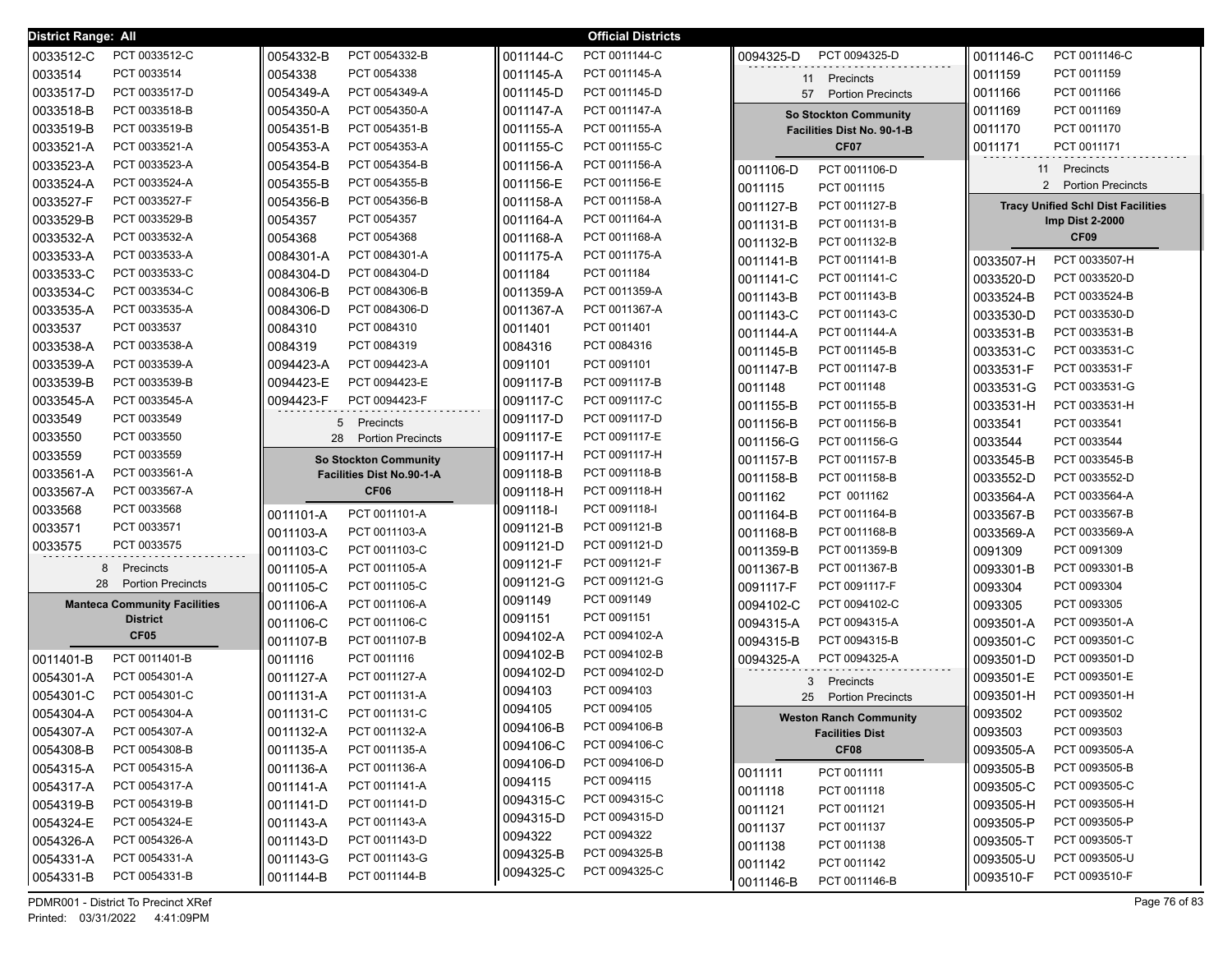| District Range: All                 |                                  |           | <b>Official Districts</b> |                                   |                                           |
|-------------------------------------|----------------------------------|-----------|---------------------------|-----------------------------------|-------------------------------------------|
| PCT 0033512-C<br>0033512-C          | 0054332-B<br>PCT 0054332-B       | 0011144-C | PCT 0011144-C             | 0094325-D<br>PCT 0094325-D        | 0011146-C<br>PCT 0011146-C                |
| 0033514<br>PCT 0033514              | 0054338<br>PCT 0054338           | 0011145-A | PCT 0011145-A             | Precincts<br>11                   | 0011159<br>PCT 0011159                    |
| 0033517-D<br>PCT 0033517-D          | PCT 0054349-A<br>0054349-A       | 0011145-D | PCT 0011145-D             | 57 Portion Precincts              | PCT 0011166<br>0011166                    |
| 0033518-B<br>PCT 0033518-B          | PCT 0054350-A<br>0054350-A       | 0011147-A | PCT 0011147-A             | <b>So Stockton Community</b>      | 0011169<br>PCT 0011169                    |
| 0033519-B<br>PCT 0033519-B          | PCT 0054351-B<br>0054351-B       | 0011155-A | PCT 0011155-A             | <b>Facilities Dist No. 90-1-B</b> | 0011170<br>PCT 0011170                    |
| 0033521-A<br>PCT 0033521-A          | PCT 0054353-A<br>0054353-A       | 0011155-C | PCT 0011155-C             | CF07                              | 0011171<br>PCT 0011171                    |
| 0033523-A<br>PCT 0033523-A          | PCT 0054354-B<br>0054354-B       | 0011156-A | PCT 0011156-A             | PCT 0011106-D<br>0011106-D        | 11 Precincts                              |
| 0033524-A<br>PCT 0033524-A          | PCT 0054355-B<br>0054355-B       | 0011156-E | PCT 0011156-E             | PCT 0011115<br>0011115            | 2 Portion Precincts                       |
| PCT 0033527-F<br>0033527-F          | PCT 0054356-B<br>0054356-B       | 0011158-A | PCT 0011158-A             | PCT 0011127-B<br>0011127-B        | <b>Tracy Unified Schl Dist Facilities</b> |
| PCT 0033529-B<br>0033529-B          | PCT 0054357<br>0054357           | 0011164-A | PCT 0011164-A             | 0011131-B<br>PCT 0011131-B        | <b>Imp Dist 2-2000</b>                    |
| PCT 0033532-A<br>0033532-A          | PCT 0054368<br>0054368           | 0011168-A | PCT 0011168-A             | 0011132-B<br>PCT 0011132-B        | CF <sub>09</sub>                          |
| 0033533-A<br>PCT 0033533-A          | 0084301-A<br>PCT 0084301-A       | 0011175-A | PCT 0011175-A             | PCT 0011141-B<br>0011141-B        | PCT 0033507-H<br>0033507-H                |
| 0033533-C<br>PCT 0033533-C          | PCT 0084304-D<br>0084304-D       | 0011184   | PCT 0011184               | PCT 0011141-C<br>0011141-C        | 0033520-D<br>PCT 0033520-D                |
| 0033534-C<br>PCT 0033534-C          | PCT 0084306-B<br>0084306-B       | 0011359-A | PCT 0011359-A             | PCT 0011143-B<br>0011143-B        | PCT 0033524-B<br>0033524-B                |
| 0033535-A<br>PCT 0033535-A          | PCT 0084306-D<br>0084306-D       | 0011367-A | PCT 0011367-A             | PCT 0011143-C<br>0011143-C        | 0033530-D<br>PCT 0033530-D                |
| 0033537<br>PCT 0033537              | PCT 0084310<br>0084310           | 0011401   | PCT 0011401               | PCT 0011144-A<br>0011144-A        | PCT 0033531-B<br>0033531-B                |
| 0033538-A<br>PCT 0033538-A          | PCT 0084319<br>0084319           | 0084316   | PCT 0084316               | PCT 0011145-B<br>0011145-B        | PCT 0033531-C<br>0033531-C                |
| 0033539-A<br>PCT 0033539-A          | PCT 0094423-A<br>0094423-A       | 0091101   | PCT 0091101               | PCT 0011147-B<br>0011147-B        | 0033531-F<br>PCT 0033531-F                |
| 0033539-B<br>PCT 0033539-B          | 0094423-E<br>PCT 0094423-E       | 0091117-B | PCT 0091117-B             | PCT 0011148<br>0011148            | PCT 0033531-G<br>0033531-G                |
| 0033545-A<br>PCT 0033545-A          | 0094423-F<br>PCT 0094423-F       | 0091117-C | PCT 0091117-C             | PCT 0011155-B<br>0011155-B        | 0033531-H<br>PCT 0033531-H                |
| 0033549<br>PCT 0033549              | 5<br>Precincts                   | 0091117-D | PCT 0091117-D             | PCT 0011156-B<br>0011156-B        | 0033541<br>PCT 0033541                    |
| 0033550<br>PCT 0033550              | 28<br><b>Portion Precincts</b>   | 0091117-E | PCT 0091117-E             | PCT 0011156-G<br>0011156-G        | PCT 0033544<br>0033544                    |
| PCT 0033559<br>0033559              | <b>So Stockton Community</b>     | 0091117-H | PCT 0091117-H             | PCT 0011157-B<br>0011157-B        | PCT 0033545-B<br>0033545-B                |
| 0033561-A<br>PCT 0033561-A          | <b>Facilities Dist No.90-1-A</b> | 0091118-B | PCT 0091118-B             | PCT 0011158-B<br>0011158-B        | PCT 0033552-D<br>0033552-D                |
| PCT 0033567-A<br>0033567-A          | CF <sub>06</sub>                 | 0091118-H | PCT 0091118-H             | 0011162<br>PCT 0011162            | 0033564-A<br>PCT 0033564-A                |
| PCT 0033568<br>0033568              | PCT 0011101-A<br>0011101-A       | 0091118-I | PCT 0091118-I             | PCT 0011164-B<br>0011164-B        | 0033567-B<br>PCT 0033567-B                |
| PCT 0033571<br>0033571              | PCT 0011103-A<br>0011103-A       | 0091121-B | PCT 0091121-B             | PCT 0011168-B<br>0011168-B        | 0033569-A<br>PCT 0033569-A                |
| PCT 0033575<br>0033575              | PCT 0011103-C<br>0011103-C       | 0091121-D | PCT 0091121-D             | 0011359-B<br>PCT 0011359-B        | 0091309<br>PCT 0091309                    |
| Precincts<br>8                      | PCT 0011105-A<br>0011105-A       | 0091121-F | PCT 0091121-F             | 0011367-B<br>PCT 0011367-B        | PCT 0093301-B<br>0093301-B                |
| 28<br><b>Portion Precincts</b>      | PCT 0011105-C<br>0011105-C       | 0091121-G | PCT 0091121-G             | 0091117-F<br>PCT 0091117-F        | 0093304<br>PCT 0093304                    |
| <b>Manteca Community Facilities</b> | PCT 0011106-A<br>0011106-A       | 0091149   | PCT 0091149               | 0094102-C<br>PCT 0094102-C        | PCT 0093305<br>0093305                    |
| <b>District</b>                     | PCT 0011106-C<br>0011106-C       | 0091151   | PCT 0091151               | PCT 0094315-A<br>0094315-A        | PCT 0093501-A<br>0093501-A                |
| CF <sub>05</sub>                    | PCT 0011107-B<br>0011107-B       | 0094102-A | PCT 0094102-A             | PCT 0094315-B<br>0094315-B        | PCT 0093501-C<br>0093501-C                |
| PCT 0011401-B<br>0011401-B          | PCT 0011116<br>0011116           | 0094102-B | PCT 0094102-B             | PCT 0094325-A<br>0094325-A        | PCT 0093501-D<br>0093501-D                |
| PCT 0054301-A<br>0054301-A          | PCT 0011127-A<br>0011127-A       | 0094102-D | PCT 0094102-D             | 3 Precincts                       | PCT 0093501-E<br>0093501-E                |
| PCT 0054301-C<br>0054301-C          | PCT 0011131-A<br>0011131-A       | 0094103   | PCT 0094103               | 25<br><b>Portion Precincts</b>    | PCT 0093501-H<br>0093501-H                |
| 0054304-A<br>PCT 0054304-A          | PCT 0011131-C<br>0011131-C       | 0094105   | PCT 0094105               | <b>Weston Ranch Community</b>     | PCT 0093502<br>0093502                    |
| PCT 0054307-A<br>0054307-A          | PCT 0011132-A<br>0011132-A       | 0094106-B | PCT 0094106-B             | <b>Facilities Dist</b>            | PCT 0093503<br>0093503                    |
| PCT 0054308-B<br>0054308-B          | PCT 0011135-A<br>0011135-A       | 0094106-C | PCT 0094106-C             | CF08                              | PCT 0093505-A<br>0093505-A                |
| 0054315-A<br>PCT 0054315-A          | 0011136-A<br>PCT 0011136-A       | 0094106-D | PCT 0094106-D             | PCT 0011111<br>0011111            | 0093505-B<br>PCT 0093505-B                |
| 0054317-A<br>PCT 0054317-A          | 0011141-A<br>PCT 0011141-A       | 0094115   | PCT 0094115               | PCT 0011118<br>0011118            | 0093505-C<br>PCT 0093505-C                |
| 0054319-B<br>PCT 0054319-B          | 0011141-D<br>PCT 0011141-D       | 0094315-C | PCT 0094315-C             | 0011121<br>PCT 0011121            | 0093505-H<br>PCT 0093505-H                |
| 0054324-E<br>PCT 0054324-E          | 0011143-A<br>PCT 0011143-A       | 0094315-D | PCT 0094315-D             | 0011137<br>PCT 0011137            | 0093505-P<br>PCT 0093505-P                |
| 0054326-A<br>PCT 0054326-A          | 0011143-D<br>PCT 0011143-D       | 0094322   | PCT 0094322               | PCT 0011138<br>0011138            | 0093505-T<br>PCT 0093505-T                |
| 0054331-A<br>PCT 0054331-A          | PCT 0011143-G<br>0011143-G       | 0094325-B | PCT 0094325-B             | PCT 0011142<br>0011142            | PCT 0093505-U<br>0093505-U                |
| 0054331-B<br>PCT 0054331-B          | PCT 0011144-B<br>   0011144-B    | 0094325-C | PCT 0094325-C             | PCT 0011146-B<br>0011146-B        | PCT 0093510-F<br>0093510-F                |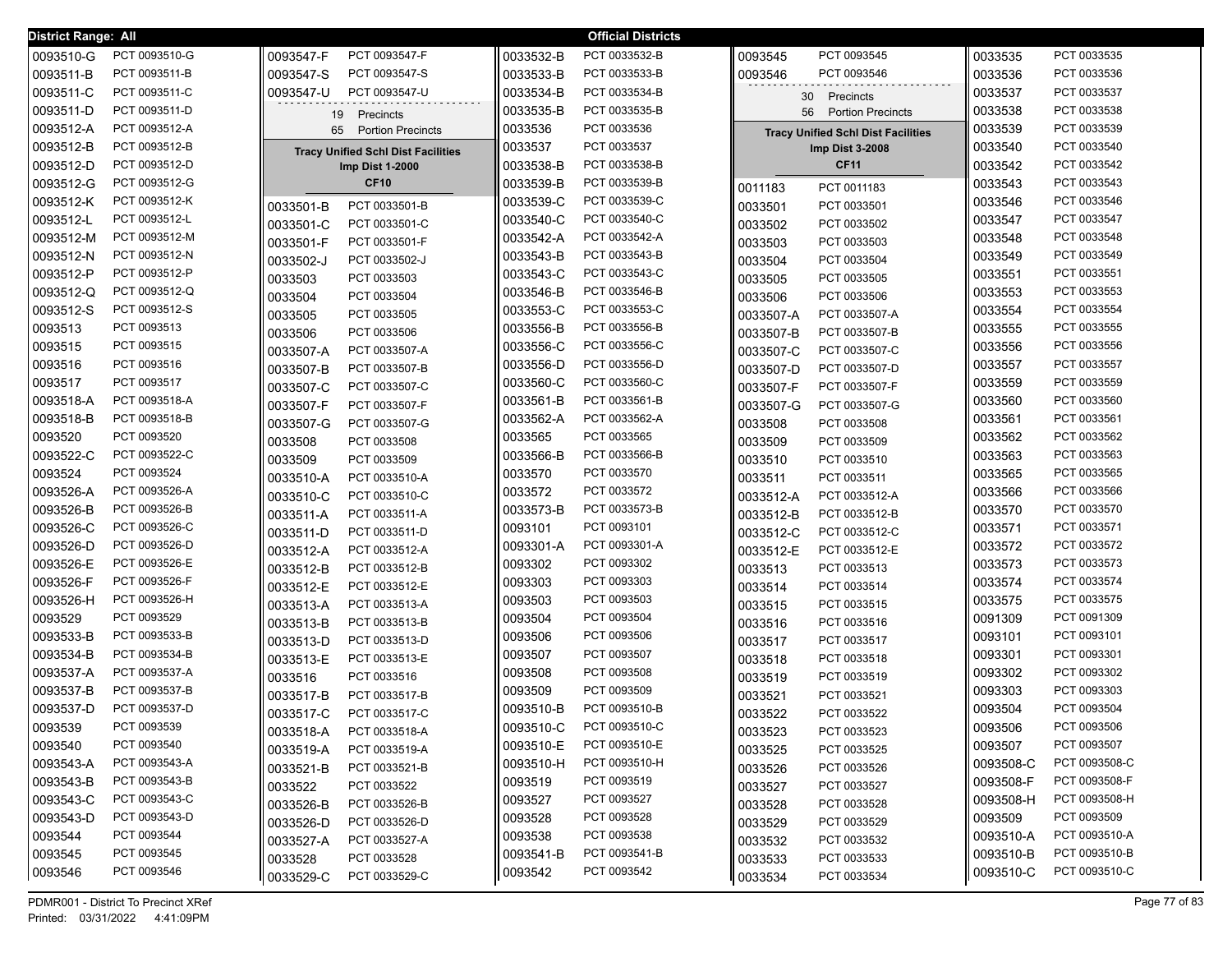| District Range: All |               |           |                                           |           | <b>Official Districts</b> |           |                                           |           |               |
|---------------------|---------------|-----------|-------------------------------------------|-----------|---------------------------|-----------|-------------------------------------------|-----------|---------------|
| 0093510-G           | PCT 0093510-G | 0093547-F | PCT 0093547-F                             | 0033532-B | PCT 0033532-B             | 0093545   | PCT 0093545                               | 0033535   | PCT 0033535   |
| 0093511-B           | PCT 0093511-B | 0093547-S | PCT 0093547-S                             | 0033533-B | PCT 0033533-B             | 0093546   | PCT 0093546                               | 0033536   | PCT 0033536   |
| 0093511-C           | PCT 0093511-C | 0093547-U | PCT 0093547-U                             | 0033534-B | PCT 0033534-B             | 30        | Precincts                                 | 0033537   | PCT 0033537   |
| 0093511-D           | PCT 0093511-D | 19        | Precincts                                 | 0033535-B | PCT 0033535-B             | 56        | <b>Portion Precincts</b>                  | 0033538   | PCT 0033538   |
| 0093512-A           | PCT 0093512-A | 65        | <b>Portion Precincts</b>                  | 0033536   | PCT 0033536               |           | <b>Tracy Unified Schl Dist Facilities</b> | 0033539   | PCT 0033539   |
| 0093512-B           | PCT 0093512-B |           | <b>Tracy Unified Schl Dist Facilities</b> | 0033537   | PCT 0033537               |           | Imp Dist 3-2008                           | 0033540   | PCT 0033540   |
| 0093512-D           | PCT 0093512-D |           | Imp Dist 1-2000                           | 0033538-B | PCT 0033538-B             |           | <b>CF11</b>                               | 0033542   | PCT 0033542   |
| 0093512-G           | PCT 0093512-G |           | <b>CF10</b>                               | 0033539-B | PCT 0033539-B             | 0011183   | PCT 0011183                               | 0033543   | PCT 0033543   |
| 0093512-K           | PCT 0093512-K | 0033501-B | PCT 0033501-B                             | 0033539-C | PCT 0033539-C             | 0033501   | PCT 0033501                               | 0033546   | PCT 0033546   |
| 0093512-L           | PCT 0093512-L | 0033501-C | PCT 0033501-C                             | 0033540-C | PCT 0033540-C             | 0033502   | PCT 0033502                               | 0033547   | PCT 0033547   |
| 0093512-M           | PCT 0093512-M | 0033501-F | PCT 0033501-F                             | 0033542-A | PCT 0033542-A             | 0033503   | PCT 0033503                               | 0033548   | PCT 0033548   |
| 0093512-N           | PCT 0093512-N | 0033502-J | PCT 0033502-J                             | 0033543-B | PCT 0033543-B             | 0033504   | PCT 0033504                               | 0033549   | PCT 0033549   |
| 0093512-P           | PCT 0093512-P | 0033503   | PCT 0033503                               | 0033543-C | PCT 0033543-C             | 0033505   | PCT 0033505                               | 0033551   | PCT 0033551   |
| 0093512-Q           | PCT 0093512-Q | 0033504   | PCT 0033504                               | 0033546-B | PCT 0033546-B             | 0033506   | PCT 0033506                               | 0033553   | PCT 0033553   |
| 0093512-S           | PCT 0093512-S | 0033505   | PCT 0033505                               | 0033553-C | PCT 0033553-C             | 0033507-A | PCT 0033507-A                             | 0033554   | PCT 0033554   |
| 0093513             | PCT 0093513   | 0033506   | PCT 0033506                               | 0033556-B | PCT 0033556-B             | 0033507-B | PCT 0033507-B                             | 0033555   | PCT 0033555   |
| 0093515             | PCT 0093515   | 0033507-A | PCT 0033507-A                             | 0033556-C | PCT 0033556-C             | 0033507-C | PCT 0033507-C                             | 0033556   | PCT 0033556   |
| 0093516             | PCT 0093516   | 0033507-B | PCT 0033507-B                             | 0033556-D | PCT 0033556-D             | 0033507-D | PCT 0033507-D                             | 0033557   | PCT 0033557   |
| 0093517             | PCT 0093517   | 0033507-C | PCT 0033507-C                             | 0033560-C | PCT 0033560-C             | 0033507-F | PCT 0033507-F                             | 0033559   | PCT 0033559   |
| 0093518-A           | PCT 0093518-A | 0033507-F | PCT 0033507-F                             | 0033561-B | PCT 0033561-B             | 0033507-G | PCT 0033507-G                             | 0033560   | PCT 0033560   |
| 0093518-B           | PCT 0093518-B | 0033507-G | PCT 0033507-G                             | 0033562-A | PCT 0033562-A             | 0033508   | PCT 0033508                               | 0033561   | PCT 0033561   |
| 0093520             | PCT 0093520   | 0033508   | PCT 0033508                               | 0033565   | PCT 0033565               | 0033509   | PCT 0033509                               | 0033562   | PCT 0033562   |
| 0093522-C           | PCT 0093522-C | 0033509   | PCT 0033509                               | 0033566-B | PCT 0033566-B             | 0033510   | PCT 0033510                               | 0033563   | PCT 0033563   |
| 0093524             | PCT 0093524   | 0033510-A | PCT 0033510-A                             | 0033570   | PCT 0033570               | 0033511   | PCT 0033511                               | 0033565   | PCT 0033565   |
| 0093526-A           | PCT 0093526-A | 0033510-C | PCT 0033510-C                             | 0033572   | PCT 0033572               | 0033512-A | PCT 0033512-A                             | 0033566   | PCT 0033566   |
| 0093526-B           | PCT 0093526-B | 0033511-A | PCT 0033511-A                             | 0033573-B | PCT 0033573-B             | 0033512-B | PCT 0033512-B                             | 0033570   | PCT 0033570   |
| 0093526-C           | PCT 0093526-C | 0033511-D | PCT 0033511-D                             | 0093101   | PCT 0093101               | 0033512-C | PCT 0033512-C                             | 0033571   | PCT 0033571   |
| 0093526-D           | PCT 0093526-D | 0033512-A | PCT 0033512-A                             | 0093301-A | PCT 0093301-A             | 0033512-E | PCT 0033512-E                             | 0033572   | PCT 0033572   |
| 0093526-E           | PCT 0093526-E | 0033512-B | PCT 0033512-B                             | 0093302   | PCT 0093302               | 0033513   | PCT 0033513                               | 0033573   | PCT 0033573   |
| 0093526-F           | PCT 0093526-F | 0033512-E | PCT 0033512-E                             | 0093303   | PCT 0093303               | 0033514   | PCT 0033514                               | 0033574   | PCT 0033574   |
| 0093526-H           | PCT 0093526-H | 0033513-A | PCT 0033513-A                             | 0093503   | PCT 0093503               | 0033515   | PCT 0033515                               | 0033575   | PCT 0033575   |
| 0093529             | PCT 0093529   | 0033513-B | PCT 0033513-B                             | 0093504   | PCT 0093504               | 0033516   | PCT 0033516                               | 0091309   | PCT 0091309   |
| 0093533-B           | PCT 0093533-B | 0033513-D | PCT 0033513-D                             | 0093506   | PCT 0093506               | 0033517   | PCT 0033517                               | 0093101   | PCT 0093101   |
| 0093534-B           | PCT 0093534-B | 0033513-E | PCT 0033513-E                             | 0093507   | PCT 0093507               | 0033518   | PCT 0033518                               | 0093301   | PCT 0093301   |
| 0093537-A           | PCT 0093537-A | 0033516   | PCT 0033516                               | 0093508   | PCT 0093508               | 0033519   | PCT 0033519                               | 0093302   | PCT 0093302   |
| 0093537-B           | PCT 0093537-B | 0033517-B | PCT 0033517-B                             | 0093509   | PCT 0093509               | 0033521   | PCT 0033521                               | 0093303   | PCT 0093303   |
| 0093537-D           | PCT 0093537-D | 0033517-C | PCT 0033517-C                             | 0093510-B | PCT 0093510-B             | 0033522   | PCT 0033522                               | 0093504   | PCT 0093504   |
| 0093539             | PCT 0093539   | 0033518-A | PCT 0033518-A                             | 0093510-C | PCT 0093510-C             | 0033523   | PCT 0033523                               | 0093506   | PCT 0093506   |
| 0093540             | PCT 0093540   | 0033519-A | PCT 0033519-A                             | 0093510-E | PCT 0093510-E             | 0033525   | PCT 0033525                               | 0093507   | PCT 0093507   |
| 0093543-A           | PCT 0093543-A | 0033521-B | PCT 0033521-B                             | 0093510-H | PCT 0093510-H             | 0033526   | PCT 0033526                               | 0093508-C | PCT 0093508-C |
| 0093543-B           | PCT 0093543-B | 0033522   | PCT 0033522                               | 0093519   | PCT 0093519               | 0033527   | PCT 0033527                               | 0093508-F | PCT 0093508-F |
| 0093543-C           | PCT 0093543-C | 0033526-B | PCT 0033526-B                             | 0093527   | PCT 0093527               | 0033528   | PCT 0033528                               | 0093508-H | PCT 0093508-H |
| 0093543-D           | PCT 0093543-D | 0033526-D | PCT 0033526-D                             | 0093528   | PCT 0093528               | 0033529   | PCT 0033529                               | 0093509   | PCT 0093509   |
| 0093544             | PCT 0093544   | 0033527-A | PCT 0033527-A                             | 0093538   | PCT 0093538               | 0033532   | PCT 0033532                               | 0093510-A | PCT 0093510-A |
| 0093545             | PCT 0093545   | 0033528   | PCT 0033528                               | 0093541-B | PCT 0093541-B             | 0033533   | PCT 0033533                               | 0093510-B | PCT 0093510-B |
| 0093546             | PCT 0093546   | 0033529-C | PCT 0033529-C                             | 0093542   | PCT 0093542               | 0033534   | PCT 0033534                               | 0093510-C | PCT 0093510-C |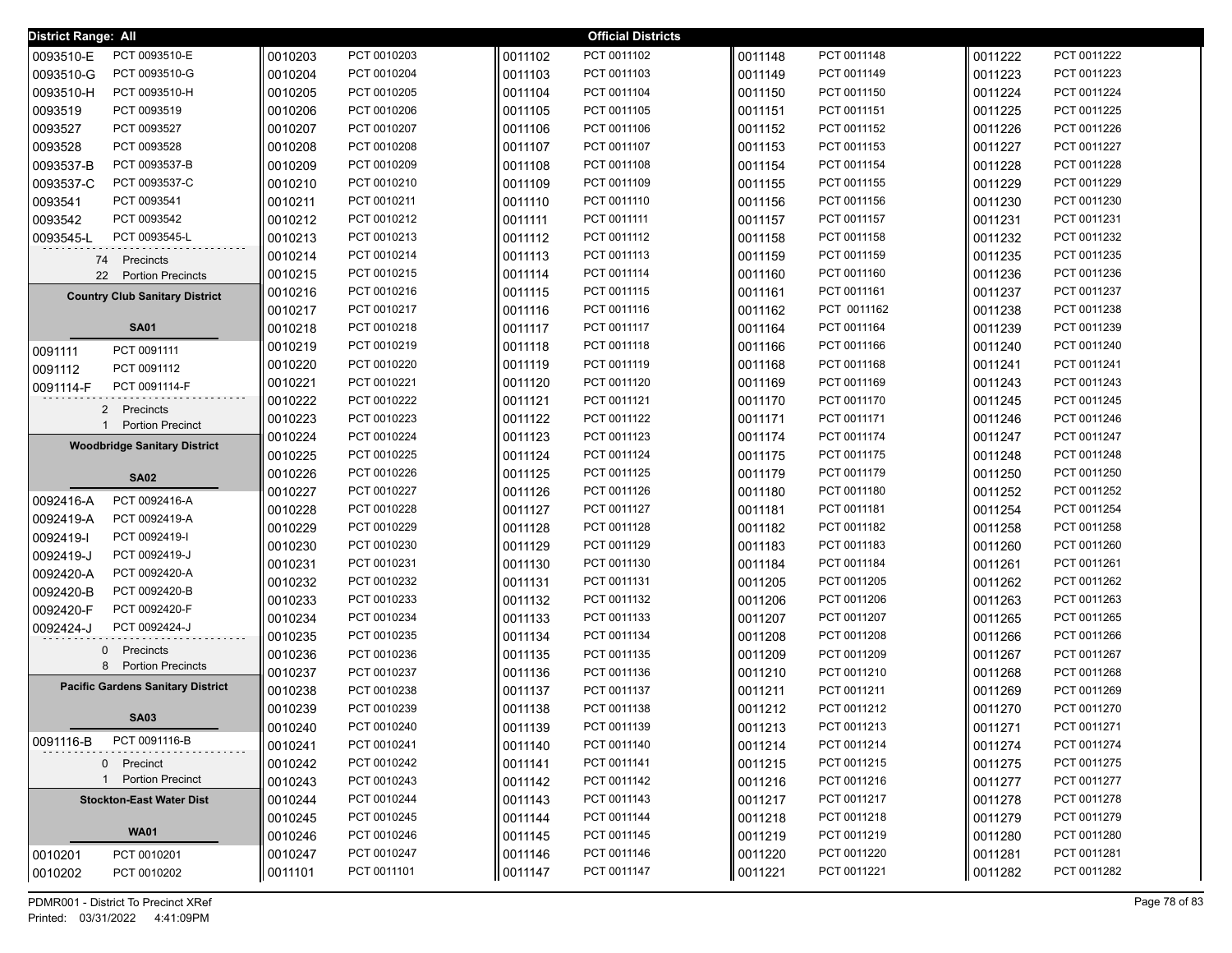| District Range: All |                                          |         |                            |                    | <b>Official Districts</b>  |         |                            |         |                            |
|---------------------|------------------------------------------|---------|----------------------------|--------------------|----------------------------|---------|----------------------------|---------|----------------------------|
| 0093510-E           | PCT 0093510-E                            | 0010203 | PCT 0010203                | 0011102            | PCT 0011102                | 0011148 | PCT 0011148                | 0011222 | PCT 0011222                |
| 0093510-G           | PCT 0093510-G                            | 0010204 | PCT 0010204                | 0011103            | PCT 0011103                | 0011149 | PCT 0011149                | 0011223 | PCT 0011223                |
| 0093510-H           | PCT 0093510-H                            | 0010205 | PCT 0010205                | 0011104            | PCT 0011104                | 0011150 | PCT 0011150                | 0011224 | PCT 0011224                |
| 0093519             | PCT 0093519                              | 0010206 | PCT 0010206                | 0011105            | PCT 0011105                | 0011151 | PCT 0011151                | 0011225 | PCT 0011225                |
| 0093527             | PCT 0093527                              | 0010207 | PCT 0010207                | 0011106            | PCT 0011106                | 0011152 | PCT 0011152                | 0011226 | PCT 0011226                |
| 0093528             | PCT 0093528                              | 0010208 | PCT 0010208                | 0011107            | PCT 0011107                | 0011153 | PCT 0011153                | 0011227 | PCT 0011227                |
| 0093537-B           | PCT 0093537-B                            | 0010209 | PCT 0010209                | 0011108            | PCT 0011108                | 0011154 | PCT 0011154                | 0011228 | PCT 0011228                |
| 0093537-C           | PCT 0093537-C                            | 0010210 | PCT 0010210                | 0011109            | PCT 0011109                | 0011155 | PCT 0011155                | 0011229 | PCT 0011229                |
| 0093541             | PCT 0093541                              | 0010211 | PCT 0010211                | 0011110            | PCT 0011110                | 0011156 | PCT 0011156                | 0011230 | PCT 0011230                |
| 0093542             | PCT 0093542                              | 0010212 | PCT 0010212                | 0011111            | PCT 0011111                | 0011157 | PCT 0011157                | 0011231 | PCT 0011231                |
| 0093545-L           | PCT 0093545-L                            | 0010213 | PCT 0010213                | 0011112            | PCT 0011112                | 0011158 | PCT 0011158                | 0011232 | PCT 0011232                |
|                     | 74 Precincts                             | 0010214 | PCT 0010214                | 0011113            | PCT 0011113                | 0011159 | PCT 0011159                | 0011235 | PCT 0011235                |
| 22                  | <b>Portion Precincts</b>                 | 0010215 | PCT 0010215                | 0011114            | PCT 0011114                | 0011160 | PCT 0011160                | 0011236 | PCT 0011236                |
|                     | <b>Country Club Sanitary District</b>    | 0010216 | PCT 0010216                | 0011115            | PCT 0011115                | 0011161 | PCT 0011161                | 0011237 | PCT 0011237                |
|                     |                                          | 0010217 | PCT 0010217                | 0011116            | PCT 0011116                | 0011162 | PCT 0011162                | 0011238 | PCT 0011238                |
|                     | <b>SA01</b>                              | 0010218 | PCT 0010218                | 0011117            | PCT 0011117                | 0011164 | PCT 0011164                | 0011239 | PCT 0011239                |
| 0091111             | PCT 0091111                              | 0010219 | PCT 0010219                | 0011118            | PCT 0011118                | 0011166 | PCT 0011166                | 0011240 | PCT 0011240                |
| 0091112             | PCT 0091112                              | 0010220 | PCT 0010220                | 0011119            | PCT 0011119                | 0011168 | PCT 0011168                | 0011241 | PCT 0011241                |
| 0091114-F           | PCT 0091114-F                            | 0010221 | PCT 0010221                | 0011120            | PCT 0011120                | 0011169 | PCT 0011169                | 0011243 | PCT 0011243                |
|                     | 2 Precincts                              | 0010222 | PCT 0010222                | 0011121            | PCT 0011121                | 0011170 | PCT 0011170                | 0011245 | PCT 0011245                |
|                     | <b>Portion Precinct</b>                  | 0010223 | PCT 0010223                | 0011122            | PCT 0011122                | 0011171 | PCT 0011171                | 0011246 | PCT 0011246                |
|                     | <b>Woodbridge Sanitary District</b>      | 0010224 | PCT 0010224                | 0011123            | PCT 0011123                | 0011174 | PCT 0011174                | 0011247 | PCT 0011247                |
|                     |                                          | 0010225 | PCT 0010225                | 0011124            | PCT 0011124                | 0011175 | PCT 0011175                | 0011248 | PCT 0011248                |
|                     | <b>SA02</b>                              | 0010226 | PCT 0010226                | 0011125            | PCT 0011125                | 0011179 | PCT 0011179                | 0011250 | PCT 0011250                |
| 0092416-A           | PCT 0092416-A                            | 0010227 | PCT 0010227                | 0011126            | PCT 0011126                | 0011180 | PCT 0011180                | 0011252 | PCT 0011252                |
| 0092419-A           | PCT 0092419-A                            | 0010228 | PCT 0010228                | 0011127            | PCT 0011127                | 0011181 | PCT 0011181                | 0011254 | PCT 0011254                |
| 0092419-I           | PCT 0092419-I                            | 0010229 | PCT 0010229                | 0011128            | PCT 0011128                | 0011182 | PCT 0011182                | 0011258 | PCT 0011258                |
| 0092419-J           | PCT 0092419-J                            | 0010230 | PCT 0010230                | 0011129            | PCT 0011129                | 0011183 | PCT 0011183                | 0011260 | PCT 0011260                |
| 0092420-A           | PCT 0092420-A                            | 0010231 | PCT 0010231                | 0011130            | PCT 0011130                | 0011184 | PCT 0011184                | 0011261 | PCT 0011261                |
| 0092420-B           | PCT 0092420-B                            | 0010232 | PCT 0010232                | 0011131            | PCT 0011131                | 0011205 | PCT 0011205                | 0011262 | PCT 0011262                |
| 0092420-F           | PCT 0092420-F                            | 0010233 | PCT 0010233                | 0011132            | PCT 0011132                | 0011206 | PCT 0011206                | 0011263 | PCT 0011263                |
| 0092424-J           | PCT 0092424-J                            | 0010234 | PCT 0010234                | 0011133            | PCT 0011133                | 0011207 | PCT 0011207                | 0011265 | PCT 0011265                |
| $\mathbf{0}$        | Precincts                                | 0010235 | PCT 0010235                | 0011134            | PCT 0011134                | 0011208 | PCT 0011208                | 0011266 | PCT 0011266                |
|                     | 8 Portion Precincts                      | 0010236 | PCT 0010236                | 0011135            | PCT 0011135                | 0011209 | PCT 0011209                | 0011267 | PCT 0011267                |
|                     | <b>Pacific Gardens Sanitary District</b> | 0010237 | PCT 0010237                | 0011136            | PCT 0011136                | 0011210 | PCT 0011210                | 0011268 | PCT 0011268                |
|                     |                                          | 0010238 | PCT 0010238                | 0011137<br>0011138 | PCT 0011137<br>PCT 0011138 | 0011211 | PCT 0011211<br>PCT 0011212 | 0011269 | PCT 0011269                |
|                     | <b>SA03</b>                              | 0010239 | PCT 0010239                |                    |                            | 0011212 |                            | 0011270 | PCT 0011270                |
| 0091116-B           | PCT 0091116-B                            | 0010240 | PCT 0010240                | 0011139            | PCT 0011139                | 0011213 | PCT 0011213                | 0011271 | PCT 0011271                |
|                     |                                          | 0010241 | PCT 0010241                | 0011140            | PCT 0011140                | 0011214 | PCT 0011214                | 0011274 | PCT 0011274                |
|                     | 0 Precinct<br>1 Portion Precinct         | 0010242 | PCT 0010242                | 0011141            | PCT 0011141                | 0011215 | PCT 0011215                | 0011275 | PCT 0011275<br>PCT 0011277 |
|                     |                                          | 0010243 | PCT 0010243<br>PCT 0010244 | 0011142            | PCT 0011142                | 0011216 | PCT 0011216                | 0011277 |                            |
|                     | <b>Stockton-East Water Dist</b>          | 0010244 |                            | 0011143            | PCT 0011143                | 0011217 | PCT 0011217                | 0011278 | PCT 0011278                |
|                     | <b>WA01</b>                              | 0010245 | PCT 0010245                | 0011144            | PCT 0011144                | 0011218 | PCT 0011218                | 0011279 | PCT 0011279                |
|                     |                                          | 0010246 | PCT 0010246                | 0011145            | PCT 0011145                | 0011219 | PCT 0011219                | 0011280 | PCT 0011280                |
| 0010201             | PCT 0010201                              | 0010247 | PCT 0010247                | 0011146            | PCT 0011146                | 0011220 | PCT 0011220                | 0011281 | PCT 0011281                |
| 0010202             | PCT 0010202                              | 0011101 | PCT 0011101                | 0011147            | PCT 0011147                | 0011221 | PCT 0011221                | 0011282 | PCT 0011282                |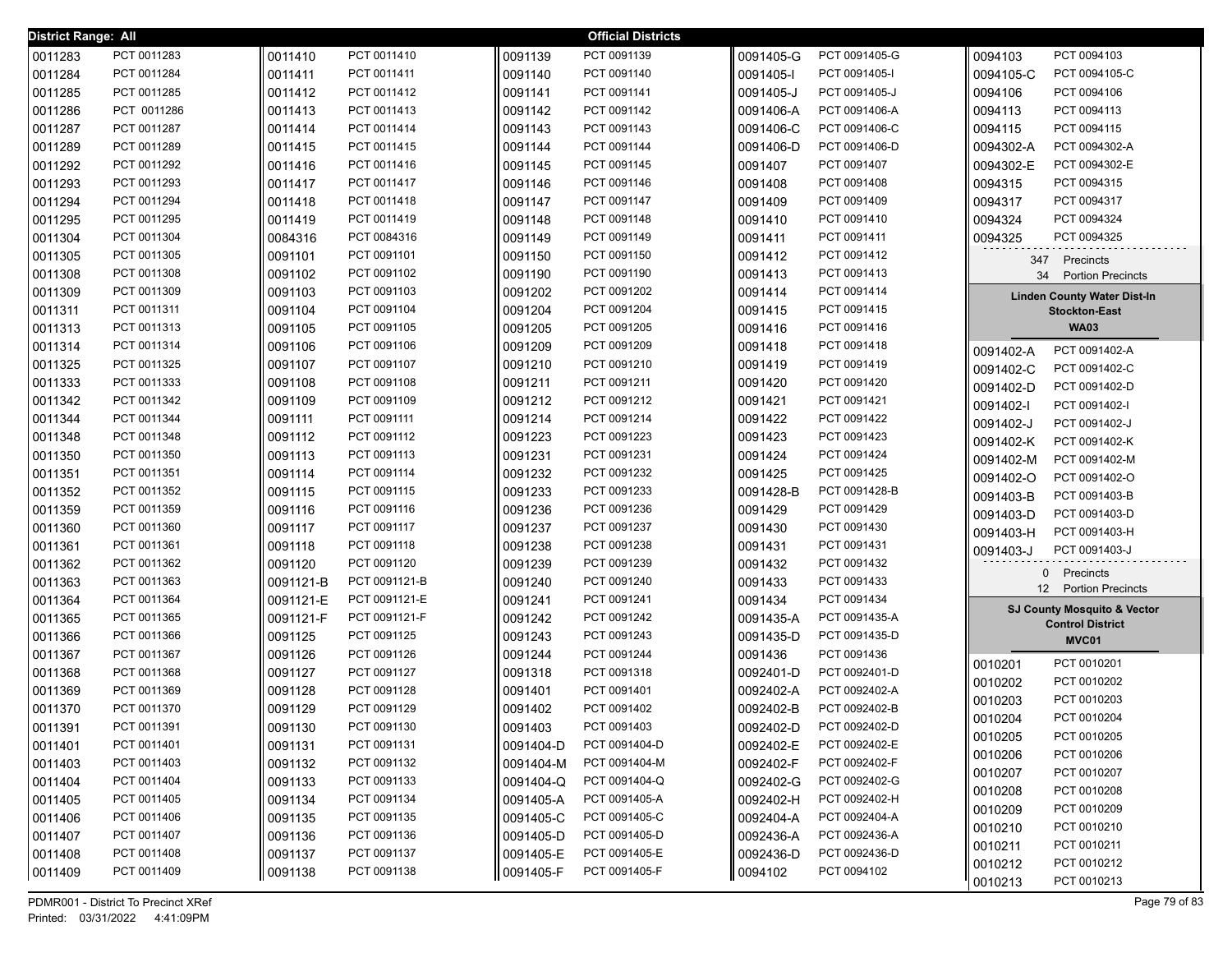| <b>District Range: All</b> |             |           |               |           | <b>Official Districts</b> |           |               |                                        |
|----------------------------|-------------|-----------|---------------|-----------|---------------------------|-----------|---------------|----------------------------------------|
| 0011283                    | PCT 0011283 | 0011410   | PCT 0011410   | 0091139   | PCT 0091139               | 0091405-G | PCT 0091405-G | 0094103<br>PCT 0094103                 |
| 0011284                    | PCT 0011284 | 0011411   | PCT 0011411   | 0091140   | PCT 0091140               | 0091405-I | PCT 0091405-I | 0094105-C<br>PCT 0094105-C             |
| 0011285                    | PCT 0011285 | 0011412   | PCT 0011412   | 0091141   | PCT 0091141               | 0091405-J | PCT 0091405-J | PCT 0094106<br>0094106                 |
| 0011286                    | PCT 0011286 | 0011413   | PCT 0011413   | 0091142   | PCT 0091142               | 0091406-A | PCT 0091406-A | 0094113<br>PCT 0094113                 |
| 0011287                    | PCT 0011287 | 0011414   | PCT 0011414   | 0091143   | PCT 0091143               | 0091406-C | PCT 0091406-C | 0094115<br>PCT 0094115                 |
| 0011289                    | PCT 0011289 | 0011415   | PCT 0011415   | 0091144   | PCT 0091144               | 0091406-D | PCT 0091406-D | 0094302-A<br>PCT 0094302-A             |
| 0011292                    | PCT 0011292 | 0011416   | PCT 0011416   | 0091145   | PCT 0091145               | 0091407   | PCT 0091407   | PCT 0094302-E<br>0094302-E             |
| 0011293                    | PCT 0011293 | 0011417   | PCT 0011417   | 0091146   | PCT 0091146               | 0091408   | PCT 0091408   | PCT 0094315<br>0094315                 |
| 0011294                    | PCT 0011294 | 0011418   | PCT 0011418   | 0091147   | PCT 0091147               | 0091409   | PCT 0091409   | PCT 0094317<br>0094317                 |
| 0011295                    | PCT 0011295 | 0011419   | PCT 0011419   | 0091148   | PCT 0091148               | 0091410   | PCT 0091410   | PCT 0094324<br>0094324                 |
| 0011304                    | PCT 0011304 | 0084316   | PCT 0084316   | 0091149   | PCT 0091149               | 0091411   | PCT 0091411   | PCT 0094325<br>0094325                 |
| 0011305                    | PCT 0011305 | 0091101   | PCT 0091101   | 0091150   | PCT 0091150               | 0091412   | PCT 0091412   | Precincts<br>347                       |
| 0011308                    | PCT 0011308 | 0091102   | PCT 0091102   | 0091190   | PCT 0091190               | 0091413   | PCT 0091413   | 34<br><b>Portion Precincts</b>         |
| 0011309                    | PCT 0011309 | 0091103   | PCT 0091103   | 0091202   | PCT 0091202               | 0091414   | PCT 0091414   | <b>Linden County Water Dist-In</b>     |
| 0011311                    | PCT 0011311 | 0091104   | PCT 0091104   | 0091204   | PCT 0091204               | 0091415   | PCT 0091415   | <b>Stockton-East</b>                   |
| 0011313                    | PCT 0011313 | 0091105   | PCT 0091105   | 0091205   | PCT 0091205               | 0091416   | PCT 0091416   | <b>WA03</b>                            |
| 0011314                    | PCT 0011314 | 0091106   | PCT 0091106   | 0091209   | PCT 0091209               | 0091418   | PCT 0091418   | PCT 0091402-A<br>0091402-A             |
| 0011325                    | PCT 0011325 | 0091107   | PCT 0091107   | 0091210   | PCT 0091210               | 0091419   | PCT 0091419   | 0091402-C<br>PCT 0091402-C             |
| 0011333                    | PCT 0011333 | 0091108   | PCT 0091108   | 0091211   | PCT 0091211               | 0091420   | PCT 0091420   | PCT 0091402-D<br>0091402-D             |
| 0011342                    | PCT 0011342 | 0091109   | PCT 0091109   | 0091212   | PCT 0091212               | 0091421   | PCT 0091421   | PCT 0091402-I<br>0091402-l             |
| 0011344                    | PCT 0011344 | 0091111   | PCT 0091111   | 0091214   | PCT 0091214               | 0091422   | PCT 0091422   | PCT 0091402-J<br>0091402-J             |
| 0011348                    | PCT 0011348 | 0091112   | PCT 0091112   | 0091223   | PCT 0091223               | 0091423   | PCT 0091423   | PCT 0091402-K<br>0091402-K             |
| 0011350                    | PCT 0011350 | 0091113   | PCT 0091113   | 0091231   | PCT 0091231               | 0091424   | PCT 0091424   | PCT 0091402-M<br>0091402-M             |
| 0011351                    | PCT 0011351 | 0091114   | PCT 0091114   | 0091232   | PCT 0091232               | 0091425   | PCT 0091425   | PCT 0091402-O<br>0091402-O             |
| 0011352                    | PCT 0011352 | 0091115   | PCT 0091115   | 0091233   | PCT 0091233               | 0091428-B | PCT 0091428-B | 0091403-B<br>PCT 0091403-B             |
| 0011359                    | PCT 0011359 | 0091116   | PCT 0091116   | 0091236   | PCT 0091236               | 0091429   | PCT 0091429   | 0091403-D<br>PCT 0091403-D             |
| 0011360                    | PCT 0011360 | 0091117   | PCT 0091117   | 0091237   | PCT 0091237               | 0091430   | PCT 0091430   | 0091403-H<br>PCT 0091403-H             |
| 0011361                    | PCT 0011361 | 0091118   | PCT 0091118   | 0091238   | PCT 0091238               | 0091431   | PCT 0091431   | PCT 0091403-J<br>0091403-J             |
| 0011362                    | PCT 0011362 | 0091120   | PCT 0091120   | 0091239   | PCT 0091239               | 0091432   | PCT 0091432   | 0 Precincts                            |
| 0011363                    | PCT 0011363 | 0091121-B | PCT 0091121-B | 0091240   | PCT 0091240               | 0091433   | PCT 0091433   | 12 Portion Precincts                   |
| 0011364                    | PCT 0011364 | 0091121-E | PCT 0091121-E | 0091241   | PCT 0091241               | 0091434   | PCT 0091434   | <b>SJ County Mosquito &amp; Vector</b> |
| 0011365                    | PCT 0011365 | 0091121-F | PCT 0091121-F | 0091242   | PCT 0091242               | 0091435-A | PCT 0091435-A | <b>Control District</b>                |
| 0011366                    | PCT 0011366 | 0091125   | PCT 0091125   | 0091243   | PCT 0091243               | 0091435-D | PCT 0091435-D | MVC01                                  |
| 0011367                    | PCT 0011367 | 0091126   | PCT 0091126   | 0091244   | PCT 0091244               | 0091436   | PCT 0091436   | PCT 0010201<br>0010201                 |
| 0011368                    | PCT 0011368 | 0091127   | PCT 0091127   | 0091318   | PCT 0091318               | 0092401-D | PCT 0092401-D | PCT 0010202<br>0010202                 |
| 0011369                    | PCT 0011369 | 0091128   | PCT 0091128   | 0091401   | PCT 0091401               | 0092402-A | PCT 0092402-A | 0010203<br>PCT 0010203                 |
| 0011370                    | PCT 0011370 | 0091129   | PCT 0091129   | 0091402   | PCT 0091402               | 0092402-B | PCT 0092402-B | 0010204<br>PCT 0010204                 |
| 0011391                    | PCT 0011391 | 0091130   | PCT 0091130   | 0091403   | PCT 0091403               | 0092402-D | PCT 0092402-D | 0010205<br>PCT 0010205                 |
| 0011401                    | PCT 0011401 | 0091131   | PCT 0091131   | 0091404-D | PCT 0091404-D             | 0092402-E | PCT 0092402-E | PCT 0010206<br>0010206                 |
| 0011403                    | PCT 0011403 | 0091132   | PCT 0091132   | 0091404-M | PCT 0091404-M             | 0092402-F | PCT 0092402-F | 0010207<br>PCT 0010207                 |
| 0011404                    | PCT 0011404 | 0091133   | PCT 0091133   | 0091404-Q | PCT 0091404-Q             | 0092402-G | PCT 0092402-G | 0010208<br>PCT 0010208                 |
| 0011405                    | PCT 0011405 | 0091134   | PCT 0091134   | 0091405-A | PCT 0091405-A             | 0092402-H | PCT 0092402-H | 0010209<br>PCT 0010209                 |
| 0011406                    | PCT 0011406 | 0091135   | PCT 0091135   | 0091405-C | PCT 0091405-C             | 0092404-A | PCT 0092404-A | 0010210<br>PCT 0010210                 |
| 0011407                    | PCT 0011407 | 0091136   | PCT 0091136   | 0091405-D | PCT 0091405-D             | 0092436-A | PCT 0092436-A | 0010211<br>PCT 0010211                 |
| 0011408                    | PCT 0011408 | 0091137   | PCT 0091137   | 0091405-E | PCT 0091405-E             | 0092436-D | PCT 0092436-D | PCT 0010212<br>0010212                 |
| 0011409                    | PCT 0011409 | 0091138   | PCT 0091138   | 0091405-F | PCT 0091405-F             | 0094102   | PCT 0094102   | PCT 0010213<br>0010213                 |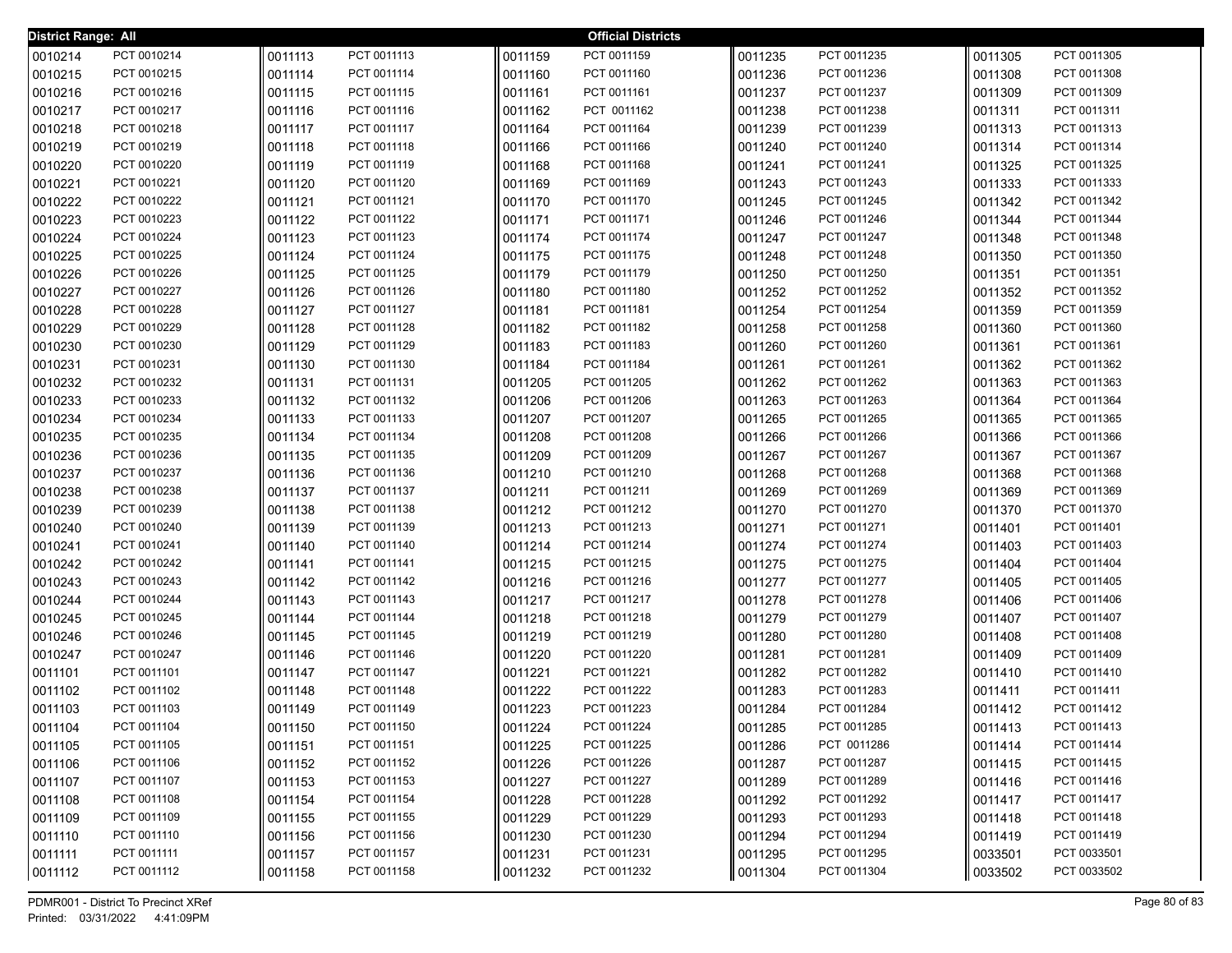| <b>District Range: All</b> |             |         |             |         | <b>Official Districts</b> |         |             |         |             |
|----------------------------|-------------|---------|-------------|---------|---------------------------|---------|-------------|---------|-------------|
| 0010214                    | PCT 0010214 | 0011113 | PCT 0011113 | 0011159 | PCT 0011159               | 0011235 | PCT 0011235 | 0011305 | PCT 0011305 |
| 0010215                    | PCT 0010215 | 0011114 | PCT 0011114 | 0011160 | PCT 0011160               | 0011236 | PCT 0011236 | 0011308 | PCT 0011308 |
| 0010216                    | PCT 0010216 | 0011115 | PCT 0011115 | 0011161 | PCT 0011161               | 0011237 | PCT 0011237 | 0011309 | PCT 0011309 |
| 0010217                    | PCT 0010217 | 0011116 | PCT 0011116 | 0011162 | PCT 0011162               | 0011238 | PCT 0011238 | 0011311 | PCT 0011311 |
| 0010218                    | PCT 0010218 | 0011117 | PCT 0011117 | 0011164 | PCT 0011164               | 0011239 | PCT 0011239 | 0011313 | PCT 0011313 |
| 0010219                    | PCT 0010219 | 0011118 | PCT 0011118 | 0011166 | PCT 0011166               | 0011240 | PCT 0011240 | 0011314 | PCT 0011314 |
| 0010220                    | PCT 0010220 | 0011119 | PCT 0011119 | 0011168 | PCT 0011168               | 0011241 | PCT 0011241 | 0011325 | PCT 0011325 |
| 0010221                    | PCT 0010221 | 0011120 | PCT 0011120 | 0011169 | PCT 0011169               | 0011243 | PCT 0011243 | 0011333 | PCT 0011333 |
| 0010222                    | PCT 0010222 | 0011121 | PCT 0011121 | 0011170 | PCT 0011170               | 0011245 | PCT 0011245 | 0011342 | PCT 0011342 |
| 0010223                    | PCT 0010223 | 0011122 | PCT 0011122 | 0011171 | PCT 0011171               | 0011246 | PCT 0011246 | 0011344 | PCT 0011344 |
| 0010224                    | PCT 0010224 | 0011123 | PCT 0011123 | 0011174 | PCT 0011174               | 0011247 | PCT 0011247 | 0011348 | PCT 0011348 |
| 0010225                    | PCT 0010225 | 0011124 | PCT 0011124 | 0011175 | PCT 0011175               | 0011248 | PCT 0011248 | 0011350 | PCT 0011350 |
| 0010226                    | PCT 0010226 | 0011125 | PCT 0011125 | 0011179 | PCT 0011179               | 0011250 | PCT 0011250 | 0011351 | PCT 0011351 |
| 0010227                    | PCT 0010227 | 0011126 | PCT 0011126 | 0011180 | PCT 0011180               | 0011252 | PCT 0011252 | 0011352 | PCT 0011352 |
| 0010228                    | PCT 0010228 | 0011127 | PCT 0011127 | 0011181 | PCT 0011181               | 0011254 | PCT 0011254 | 0011359 | PCT 0011359 |
| 0010229                    | PCT 0010229 | 0011128 | PCT 0011128 | 0011182 | PCT 0011182               | 0011258 | PCT 0011258 | 0011360 | PCT 0011360 |
| 0010230                    | PCT 0010230 | 0011129 | PCT 0011129 | 0011183 | PCT 0011183               | 0011260 | PCT 0011260 | 0011361 | PCT 0011361 |
| 0010231                    | PCT 0010231 | 0011130 | PCT 0011130 | 0011184 | PCT 0011184               | 0011261 | PCT 0011261 | 0011362 | PCT 0011362 |
| 0010232                    | PCT 0010232 | 0011131 | PCT 0011131 | 0011205 | PCT 0011205               | 0011262 | PCT 0011262 | 0011363 | PCT 0011363 |
| 0010233                    | PCT 0010233 | 0011132 | PCT 0011132 | 0011206 | PCT 0011206               | 0011263 | PCT 0011263 | 0011364 | PCT 0011364 |
| 0010234                    | PCT 0010234 | 0011133 | PCT 0011133 | 0011207 | PCT 0011207               | 0011265 | PCT 0011265 | 0011365 | PCT 0011365 |
| 0010235                    | PCT 0010235 | 0011134 | PCT 0011134 | 0011208 | PCT 0011208               | 0011266 | PCT 0011266 | 0011366 | PCT 0011366 |
| 0010236                    | PCT 0010236 | 0011135 | PCT 0011135 | 0011209 | PCT 0011209               | 0011267 | PCT 0011267 | 0011367 | PCT 0011367 |
| 0010237                    | PCT 0010237 | 0011136 | PCT 0011136 | 0011210 | PCT 0011210               | 0011268 | PCT 0011268 | 0011368 | PCT 0011368 |
| 0010238                    | PCT 0010238 | 0011137 | PCT 0011137 | 0011211 | PCT 0011211               | 0011269 | PCT 0011269 | 0011369 | PCT 0011369 |
| 0010239                    | PCT 0010239 | 0011138 | PCT 0011138 | 0011212 | PCT 0011212               | 0011270 | PCT 0011270 | 0011370 | PCT 0011370 |
| 0010240                    | PCT 0010240 | 0011139 | PCT 0011139 | 0011213 | PCT 0011213               | 0011271 | PCT 0011271 | 0011401 | PCT 0011401 |
| 0010241                    | PCT 0010241 | 0011140 | PCT 0011140 | 0011214 | PCT 0011214               | 0011274 | PCT 0011274 | 0011403 | PCT 0011403 |
| 0010242                    | PCT 0010242 | 0011141 | PCT 0011141 | 0011215 | PCT 0011215               | 0011275 | PCT 0011275 | 0011404 | PCT 0011404 |
| 0010243                    | PCT 0010243 | 0011142 | PCT 0011142 | 0011216 | PCT 0011216               | 0011277 | PCT 0011277 | 0011405 | PCT 0011405 |
| 0010244                    | PCT 0010244 | 0011143 | PCT 0011143 | 0011217 | PCT 0011217               | 0011278 | PCT 0011278 | 0011406 | PCT 0011406 |
| 0010245                    | PCT 0010245 | 0011144 | PCT 0011144 | 0011218 | PCT 0011218               | 0011279 | PCT 0011279 | 0011407 | PCT 0011407 |
| 0010246                    | PCT 0010246 | 0011145 | PCT 0011145 | 0011219 | PCT 0011219               | 0011280 | PCT 0011280 | 0011408 | PCT 0011408 |
| 0010247                    | PCT 0010247 | 0011146 | PCT 0011146 | 0011220 | PCT 0011220               | 0011281 | PCT 0011281 | 0011409 | PCT 0011409 |
| 0011101                    | PCT 0011101 | 0011147 | PCT 0011147 | 0011221 | PCT 0011221               | 0011282 | PCT 0011282 | 0011410 | PCT 0011410 |
| 0011102                    | PCT 0011102 | 0011148 | PCT 0011148 | 0011222 | PCT 0011222               | 0011283 | PCT 0011283 | 0011411 | PCT 0011411 |
| 0011103                    | PCT 0011103 | 0011149 | PCT 0011149 | 0011223 | PCT 0011223               | 0011284 | PCT 0011284 | 0011412 | PCT 0011412 |
| 0011104                    | PCT 0011104 | 0011150 | PCT 0011150 | 0011224 | PCT 0011224               | 0011285 | PCT 0011285 | 0011413 | PCT 0011413 |
| 0011105                    | PCT 0011105 | 0011151 | PCT 0011151 | 0011225 | PCT 0011225               | 0011286 | PCT 0011286 | 0011414 | PCT 0011414 |
| 0011106                    | PCT 0011106 | 0011152 | PCT 0011152 | 0011226 | PCT 0011226               | 0011287 | PCT 0011287 | 0011415 | PCT 0011415 |
| 0011107                    | PCT 0011107 | 0011153 | PCT 0011153 | 0011227 | PCT 0011227               | 0011289 | PCT 0011289 | 0011416 | PCT 0011416 |
| 0011108                    | PCT 0011108 | 0011154 | PCT 0011154 | 0011228 | PCT 0011228               | 0011292 | PCT 0011292 | 0011417 | PCT 0011417 |
| 0011109                    | PCT 0011109 | 0011155 | PCT 0011155 | 0011229 | PCT 0011229               | 0011293 | PCT 0011293 | 0011418 | PCT 0011418 |
| 0011110                    | PCT 0011110 | 0011156 | PCT 0011156 | 0011230 | PCT 0011230               | 0011294 | PCT 0011294 | 0011419 | PCT 0011419 |
| 0011111                    | PCT 0011111 | 0011157 | PCT 0011157 | 0011231 | PCT 0011231               | 0011295 | PCT 0011295 | 0033501 | PCT 0033501 |
| 0011112                    | PCT 0011112 | 0011158 | PCT 0011158 | 0011232 | PCT 0011232               | 0011304 | PCT 0011304 | 0033502 | PCT 0033502 |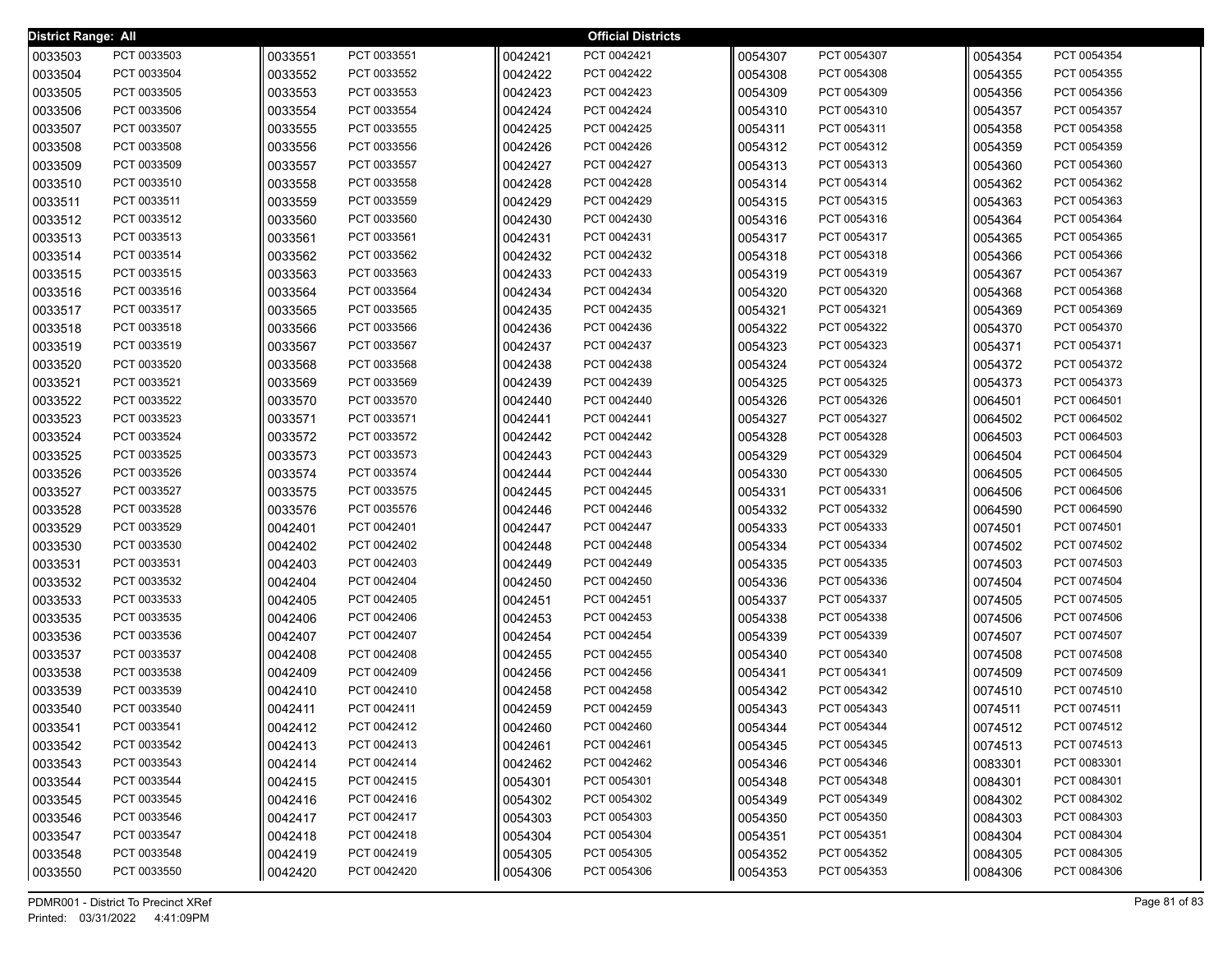| <b>District Range: All</b> |             |         |             |         | <b>Official Districts</b> |         |             |         |             |
|----------------------------|-------------|---------|-------------|---------|---------------------------|---------|-------------|---------|-------------|
| 0033503                    | PCT 0033503 | 0033551 | PCT 0033551 | 0042421 | PCT 0042421               | 0054307 | PCT 0054307 | 0054354 | PCT 0054354 |
| 0033504                    | PCT 0033504 | 0033552 | PCT 0033552 | 0042422 | PCT 0042422               | 0054308 | PCT 0054308 | 0054355 | PCT 0054355 |
| 0033505                    | PCT 0033505 | 0033553 | PCT 0033553 | 0042423 | PCT 0042423               | 0054309 | PCT 0054309 | 0054356 | PCT 0054356 |
| 0033506                    | PCT 0033506 | 0033554 | PCT 0033554 | 0042424 | PCT 0042424               | 0054310 | PCT 0054310 | 0054357 | PCT 0054357 |
| 0033507                    | PCT 0033507 | 0033555 | PCT 0033555 | 0042425 | PCT 0042425               | 0054311 | PCT 0054311 | 0054358 | PCT 0054358 |
| 0033508                    | PCT 0033508 | 0033556 | PCT 0033556 | 0042426 | PCT 0042426               | 0054312 | PCT 0054312 | 0054359 | PCT 0054359 |
| 0033509                    | PCT 0033509 | 0033557 | PCT 0033557 | 0042427 | PCT 0042427               | 0054313 | PCT 0054313 | 0054360 | PCT 0054360 |
| 0033510                    | PCT 0033510 | 0033558 | PCT 0033558 | 0042428 | PCT 0042428               | 0054314 | PCT 0054314 | 0054362 | PCT 0054362 |
| 0033511                    | PCT 0033511 | 0033559 | PCT 0033559 | 0042429 | PCT 0042429               | 0054315 | PCT 0054315 | 0054363 | PCT 0054363 |
| 0033512                    | PCT 0033512 | 0033560 | PCT 0033560 | 0042430 | PCT 0042430               | 0054316 | PCT 0054316 | 0054364 | PCT 0054364 |
| 0033513                    | PCT 0033513 | 0033561 | PCT 0033561 | 0042431 | PCT 0042431               | 0054317 | PCT 0054317 | 0054365 | PCT 0054365 |
| 0033514                    | PCT 0033514 | 0033562 | PCT 0033562 | 0042432 | PCT 0042432               | 0054318 | PCT 0054318 | 0054366 | PCT 0054366 |
| 0033515                    | PCT 0033515 | 0033563 | PCT 0033563 | 0042433 | PCT 0042433               | 0054319 | PCT 0054319 | 0054367 | PCT 0054367 |
| 0033516                    | PCT 0033516 | 0033564 | PCT 0033564 | 0042434 | PCT 0042434               | 0054320 | PCT 0054320 | 0054368 | PCT 0054368 |
| 0033517                    | PCT 0033517 | 0033565 | PCT 0033565 | 0042435 | PCT 0042435               | 0054321 | PCT 0054321 | 0054369 | PCT 0054369 |
| 0033518                    | PCT 0033518 | 0033566 | PCT 0033566 | 0042436 | PCT 0042436               | 0054322 | PCT 0054322 | 0054370 | PCT 0054370 |
| 0033519                    | PCT 0033519 | 0033567 | PCT 0033567 | 0042437 | PCT 0042437               | 0054323 | PCT 0054323 | 0054371 | PCT 0054371 |
| 0033520                    | PCT 0033520 | 0033568 | PCT 0033568 | 0042438 | PCT 0042438               | 0054324 | PCT 0054324 | 0054372 | PCT 0054372 |
| 0033521                    | PCT 0033521 | 0033569 | PCT 0033569 | 0042439 | PCT 0042439               | 0054325 | PCT 0054325 | 0054373 | PCT 0054373 |
| 0033522                    | PCT 0033522 | 0033570 | PCT 0033570 | 0042440 | PCT 0042440               | 0054326 | PCT 0054326 | 0064501 | PCT 0064501 |
| 0033523                    | PCT 0033523 | 0033571 | PCT 0033571 | 0042441 | PCT 0042441               | 0054327 | PCT 0054327 | 0064502 | PCT 0064502 |
| 0033524                    | PCT 0033524 | 0033572 | PCT 0033572 | 0042442 | PCT 0042442               | 0054328 | PCT 0054328 | 0064503 | PCT 0064503 |
| 0033525                    | PCT 0033525 | 0033573 | PCT 0033573 | 0042443 | PCT 0042443               | 0054329 | PCT 0054329 | 0064504 | PCT 0064504 |
| 0033526                    | PCT 0033526 | 0033574 | PCT 0033574 | 0042444 | PCT 0042444               | 0054330 | PCT 0054330 | 0064505 | PCT 0064505 |
| 0033527                    | PCT 0033527 | 0033575 | PCT 0033575 | 0042445 | PCT 0042445               | 0054331 | PCT 0054331 | 0064506 | PCT 0064506 |
| 0033528                    | PCT 0033528 | 0033576 | PCT 0035576 | 0042446 | PCT 0042446               | 0054332 | PCT 0054332 | 0064590 | PCT 0064590 |
| 0033529                    | PCT 0033529 | 0042401 | PCT 0042401 | 0042447 | PCT 0042447               | 0054333 | PCT 0054333 | 0074501 | PCT 0074501 |
| 0033530                    | PCT 0033530 | 0042402 | PCT 0042402 | 0042448 | PCT 0042448               | 0054334 | PCT 0054334 | 0074502 | PCT 0074502 |
| 0033531                    | PCT 0033531 | 0042403 | PCT 0042403 | 0042449 | PCT 0042449               | 0054335 | PCT 0054335 | 0074503 | PCT 0074503 |
| 0033532                    | PCT 0033532 | 0042404 | PCT 0042404 | 0042450 | PCT 0042450               | 0054336 | PCT 0054336 | 0074504 | PCT 0074504 |
| 0033533                    | PCT 0033533 | 0042405 | PCT 0042405 | 0042451 | PCT 0042451               | 0054337 | PCT 0054337 | 0074505 | PCT 0074505 |
| 0033535                    | PCT 0033535 | 0042406 | PCT 0042406 | 0042453 | PCT 0042453               | 0054338 | PCT 0054338 | 0074506 | PCT 0074506 |
| 0033536                    | PCT 0033536 | 0042407 | PCT 0042407 | 0042454 | PCT 0042454               | 0054339 | PCT 0054339 | 0074507 | PCT 0074507 |
| 0033537                    | PCT 0033537 | 0042408 | PCT 0042408 | 0042455 | PCT 0042455               | 0054340 | PCT 0054340 | 0074508 | PCT 0074508 |
| 0033538                    | PCT 0033538 | 0042409 | PCT 0042409 | 0042456 | PCT 0042456               | 0054341 | PCT 0054341 | 0074509 | PCT 0074509 |
| 0033539                    | PCT 0033539 | 0042410 | PCT 0042410 | 0042458 | PCT 0042458               | 0054342 | PCT 0054342 | 0074510 | PCT 0074510 |
| 0033540                    | PCT 0033540 | 0042411 | PCT 0042411 | 0042459 | PCT 0042459               | 0054343 | PCT 0054343 | 0074511 | PCT 0074511 |
| 0033541                    | PCT 0033541 | 0042412 | PCT 0042412 | 0042460 | PCT 0042460               | 0054344 | PCT 0054344 | 0074512 | PCT 0074512 |
| 0033542                    | PCT 0033542 | 0042413 | PCT 0042413 | 0042461 | PCT 0042461               | 0054345 | PCT 0054345 | 0074513 | PCT 0074513 |
| 0033543                    | PCT 0033543 | 0042414 | PCT 0042414 | 0042462 | PCT 0042462               | 0054346 | PCT 0054346 | 0083301 | PCT 0083301 |
| 0033544                    | PCT 0033544 | 0042415 | PCT 0042415 | 0054301 | PCT 0054301               | 0054348 | PCT 0054348 | 0084301 | PCT 0084301 |
| 0033545                    | PCT 0033545 | 0042416 | PCT 0042416 | 0054302 | PCT 0054302               | 0054349 | PCT 0054349 | 0084302 | PCT 0084302 |
| 0033546                    | PCT 0033546 | 0042417 | PCT 0042417 | 0054303 | PCT 0054303               | 0054350 | PCT 0054350 | 0084303 | PCT 0084303 |
| 0033547                    | PCT 0033547 | 0042418 | PCT 0042418 | 0054304 | PCT 0054304               | 0054351 | PCT 0054351 | 0084304 | PCT 0084304 |
| 0033548                    | PCT 0033548 | 0042419 | PCT 0042419 | 0054305 | PCT 0054305               | 0054352 | PCT 0054352 | 0084305 | PCT 0084305 |
| 0033550                    | PCT 0033550 | 0042420 | PCT 0042420 | 0054306 | PCT 0054306               | 0054353 | PCT 0054353 | 0084306 | PCT 0084306 |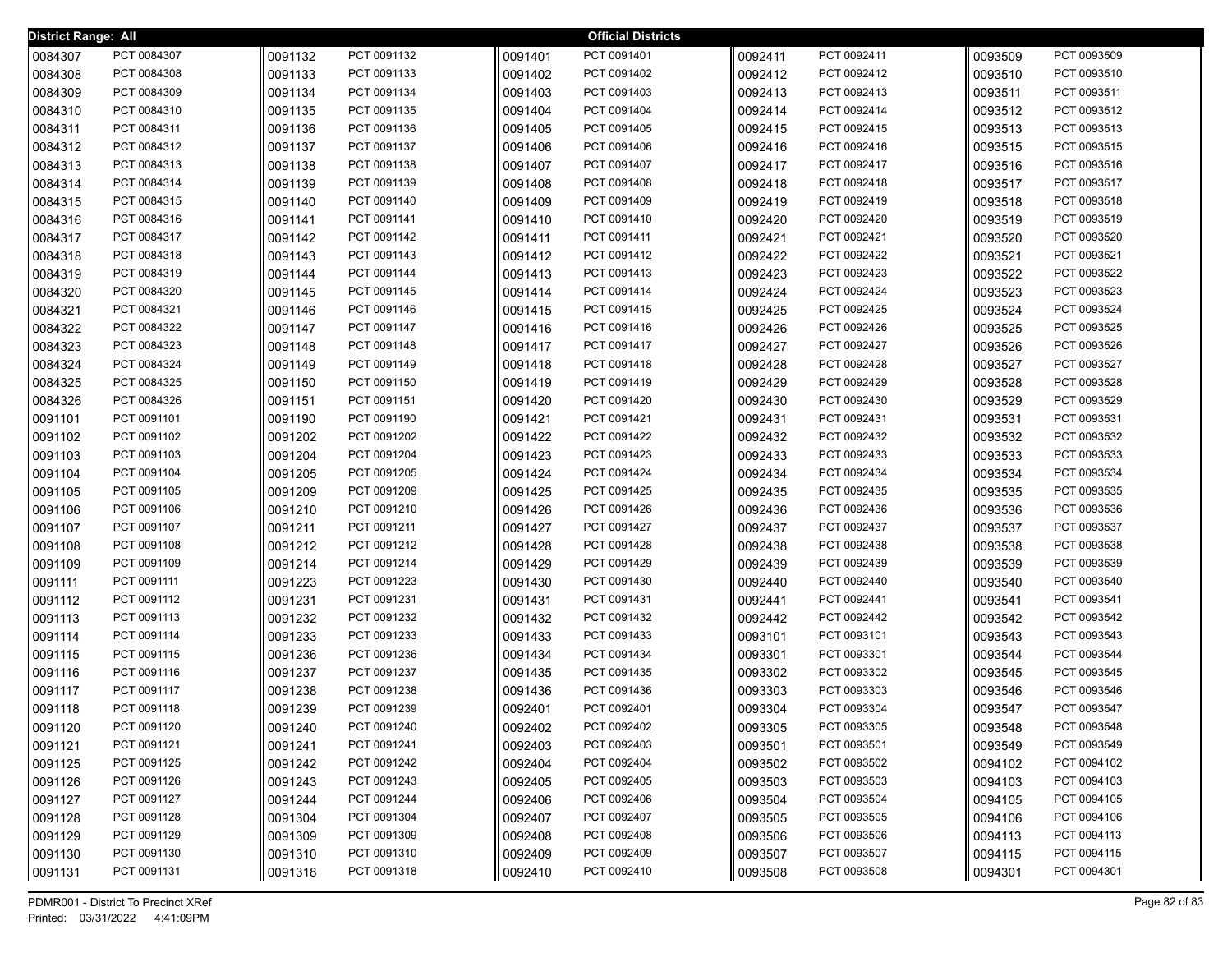| District Range: All |             |         |             |         | <b>Official Districts</b> |         |             |         |             |
|---------------------|-------------|---------|-------------|---------|---------------------------|---------|-------------|---------|-------------|
| 0084307             | PCT 0084307 | 0091132 | PCT 0091132 | 0091401 | PCT 0091401               | 0092411 | PCT 0092411 | 0093509 | PCT 0093509 |
| 0084308             | PCT 0084308 | 0091133 | PCT 0091133 | 0091402 | PCT 0091402               | 0092412 | PCT 0092412 | 0093510 | PCT 0093510 |
| 0084309             | PCT 0084309 | 0091134 | PCT 0091134 | 0091403 | PCT 0091403               | 0092413 | PCT 0092413 | 0093511 | PCT 0093511 |
| 0084310             | PCT 0084310 | 0091135 | PCT 0091135 | 0091404 | PCT 0091404               | 0092414 | PCT 0092414 | 0093512 | PCT 0093512 |
| 0084311             | PCT 0084311 | 0091136 | PCT 0091136 | 0091405 | PCT 0091405               | 0092415 | PCT 0092415 | 0093513 | PCT 0093513 |
| 0084312             | PCT 0084312 | 0091137 | PCT 0091137 | 0091406 | PCT 0091406               | 0092416 | PCT 0092416 | 0093515 | PCT 0093515 |
| 0084313             | PCT 0084313 | 0091138 | PCT 0091138 | 0091407 | PCT 0091407               | 0092417 | PCT 0092417 | 0093516 | PCT 0093516 |
| 0084314             | PCT 0084314 | 0091139 | PCT 0091139 | 0091408 | PCT 0091408               | 0092418 | PCT 0092418 | 0093517 | PCT 0093517 |
| 0084315             | PCT 0084315 | 0091140 | PCT 0091140 | 0091409 | PCT 0091409               | 0092419 | PCT 0092419 | 0093518 | PCT 0093518 |
| 0084316             | PCT 0084316 | 0091141 | PCT 0091141 | 0091410 | PCT 0091410               | 0092420 | PCT 0092420 | 0093519 | PCT 0093519 |
| 0084317             | PCT 0084317 | 0091142 | PCT 0091142 | 0091411 | PCT 0091411               | 0092421 | PCT 0092421 | 0093520 | PCT 0093520 |
| 0084318             | PCT 0084318 | 0091143 | PCT 0091143 | 0091412 | PCT 0091412               | 0092422 | PCT 0092422 | 0093521 | PCT 0093521 |
| 0084319             | PCT 0084319 | 0091144 | PCT 0091144 | 0091413 | PCT 0091413               | 0092423 | PCT 0092423 | 0093522 | PCT 0093522 |
| 0084320             | PCT 0084320 | 0091145 | PCT 0091145 | 0091414 | PCT 0091414               | 0092424 | PCT 0092424 | 0093523 | PCT 0093523 |
| 0084321             | PCT 0084321 | 0091146 | PCT 0091146 | 0091415 | PCT 0091415               | 0092425 | PCT 0092425 | 0093524 | PCT 0093524 |
| 0084322             | PCT 0084322 | 0091147 | PCT 0091147 | 0091416 | PCT 0091416               | 0092426 | PCT 0092426 | 0093525 | PCT 0093525 |
| 0084323             | PCT 0084323 | 0091148 | PCT 0091148 | 0091417 | PCT 0091417               | 0092427 | PCT 0092427 | 0093526 | PCT 0093526 |
| 0084324             | PCT 0084324 | 0091149 | PCT 0091149 | 0091418 | PCT 0091418               | 0092428 | PCT 0092428 | 0093527 | PCT 0093527 |
| 0084325             | PCT 0084325 | 0091150 | PCT 0091150 | 0091419 | PCT 0091419               | 0092429 | PCT 0092429 | 0093528 | PCT 0093528 |
| 0084326             | PCT 0084326 | 0091151 | PCT 0091151 | 0091420 | PCT 0091420               | 0092430 | PCT 0092430 | 0093529 | PCT 0093529 |
| 0091101             | PCT 0091101 | 0091190 | PCT 0091190 | 0091421 | PCT 0091421               | 0092431 | PCT 0092431 | 0093531 | PCT 0093531 |
| 0091102             | PCT 0091102 | 0091202 | PCT 0091202 | 0091422 | PCT 0091422               | 0092432 | PCT 0092432 | 0093532 | PCT 0093532 |
| 0091103             | PCT 0091103 | 0091204 | PCT 0091204 | 0091423 | PCT 0091423               | 0092433 | PCT 0092433 | 0093533 | PCT 0093533 |
| 0091104             | PCT 0091104 | 0091205 | PCT 0091205 | 0091424 | PCT 0091424               | 0092434 | PCT 0092434 | 0093534 | PCT 0093534 |
| 0091105             | PCT 0091105 | 0091209 | PCT 0091209 | 0091425 | PCT 0091425               | 0092435 | PCT 0092435 | 0093535 | PCT 0093535 |
| 0091106             | PCT 0091106 | 0091210 | PCT 0091210 | 0091426 | PCT 0091426               | 0092436 | PCT 0092436 | 0093536 | PCT 0093536 |
| 0091107             | PCT 0091107 | 0091211 | PCT 0091211 | 0091427 | PCT 0091427               | 0092437 | PCT 0092437 | 0093537 | PCT 0093537 |
| 0091108             | PCT 0091108 | 0091212 | PCT 0091212 | 0091428 | PCT 0091428               | 0092438 | PCT 0092438 | 0093538 | PCT 0093538 |
| 0091109             | PCT 0091109 | 0091214 | PCT 0091214 | 0091429 | PCT 0091429               | 0092439 | PCT 0092439 | 0093539 | PCT 0093539 |
| 0091111             | PCT 0091111 | 0091223 | PCT 0091223 | 0091430 | PCT 0091430               | 0092440 | PCT 0092440 | 0093540 | PCT 0093540 |
| 0091112             | PCT 0091112 | 0091231 | PCT 0091231 | 0091431 | PCT 0091431               | 0092441 | PCT 0092441 | 0093541 | PCT 0093541 |
| 0091113             | PCT 0091113 | 0091232 | PCT 0091232 | 0091432 | PCT 0091432               | 0092442 | PCT 0092442 | 0093542 | PCT 0093542 |
| 0091114             | PCT 0091114 | 0091233 | PCT 0091233 | 0091433 | PCT 0091433               | 0093101 | PCT 0093101 | 0093543 | PCT 0093543 |
| 0091115             | PCT 0091115 | 0091236 | PCT 0091236 | 0091434 | PCT 0091434               | 0093301 | PCT 0093301 | 0093544 | PCT 0093544 |
| 0091116             | PCT 0091116 | 0091237 | PCT 0091237 | 0091435 | PCT 0091435               | 0093302 | PCT 0093302 | 0093545 | PCT 0093545 |
| 0091117             | PCT 0091117 | 0091238 | PCT 0091238 | 0091436 | PCT 0091436               | 0093303 | PCT 0093303 | 0093546 | PCT 0093546 |
| 0091118             | PCT 0091118 | 0091239 | PCT 0091239 | 0092401 | PCT 0092401               | 0093304 | PCT 0093304 | 0093547 | PCT 0093547 |
| 0091120             | PCT 0091120 | 0091240 | PCT 0091240 | 0092402 | PCT 0092402               | 0093305 | PCT 0093305 | 0093548 | PCT 0093548 |
| 0091121             | PCT 0091121 | 0091241 | PCT 0091241 | 0092403 | PCT 0092403               | 0093501 | PCT 0093501 | 0093549 | PCT 0093549 |
| 0091125             | PCT 0091125 | 0091242 | PCT 0091242 | 0092404 | PCT 0092404               | 0093502 | PCT 0093502 | 0094102 | PCT 0094102 |
| 0091126             | PCT 0091126 | 0091243 | PCT 0091243 | 0092405 | PCT 0092405               | 0093503 | PCT 0093503 | 0094103 | PCT 0094103 |
| 0091127             | PCT 0091127 | 0091244 | PCT 0091244 | 0092406 | PCT 0092406               | 0093504 | PCT 0093504 | 0094105 | PCT 0094105 |
| 0091128             | PCT 0091128 | 0091304 | PCT 0091304 | 0092407 | PCT 0092407               | 0093505 | PCT 0093505 | 0094106 | PCT 0094106 |
| 0091129             | PCT 0091129 | 0091309 | PCT 0091309 | 0092408 | PCT 0092408               | 0093506 | PCT 0093506 | 0094113 | PCT 0094113 |
| 0091130             | PCT 0091130 | 0091310 | PCT 0091310 | 0092409 | PCT 0092409               | 0093507 | PCT 0093507 | 0094115 | PCT 0094115 |
| 0091131             | PCT 0091131 | 0091318 | PCT 0091318 | 0092410 | PCT 0092410               | 0093508 | PCT 0093508 | 0094301 | PCT 0094301 |